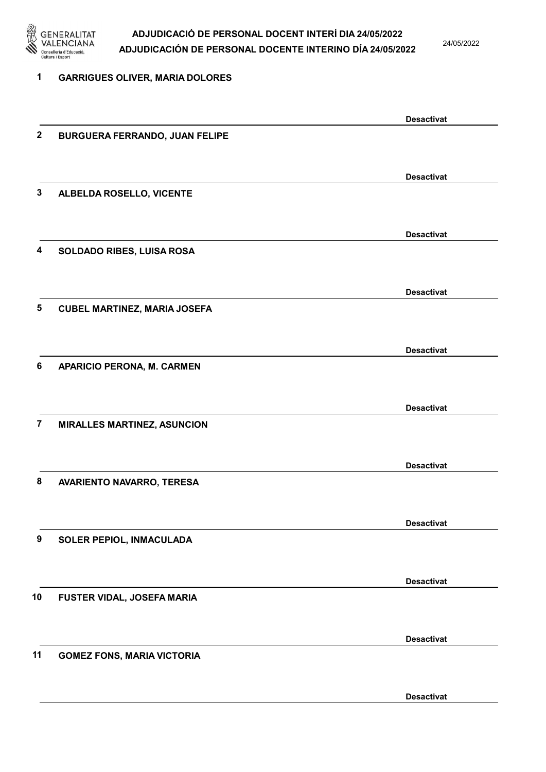

24/05/2022

| 1              | <b>GARRIGUES OLIVER, MARIA DOLORES</b> |                   |
|----------------|----------------------------------------|-------------------|
|                |                                        | <b>Desactivat</b> |
| $\mathbf{2}$   | <b>BURGUERA FERRANDO, JUAN FELIPE</b>  |                   |
|                |                                        | <b>Desactivat</b> |
| 3              | ALBELDA ROSELLO, VICENTE               |                   |
|                |                                        | <b>Desactivat</b> |
| 4              | SOLDADO RIBES, LUISA ROSA              |                   |
|                |                                        | <b>Desactivat</b> |
| 5              | <b>CUBEL MARTINEZ, MARIA JOSEFA</b>    |                   |
| 6              |                                        | <b>Desactivat</b> |
|                | <b>APARICIO PERONA, M. CARMEN</b>      |                   |
|                |                                        | <b>Desactivat</b> |
| $\overline{7}$ | <b>MIRALLES MARTINEZ, ASUNCION</b>     |                   |
|                |                                        | <b>Desactivat</b> |
| 8              | AVARIENTO NAVARRO, TERESA              |                   |
|                |                                        | <b>Desactivat</b> |
| 9              | SOLER PEPIOL, INMACULADA               |                   |
|                |                                        | <b>Desactivat</b> |
| 10             | FUSTER VIDAL, JOSEFA MARIA             |                   |
|                |                                        | <b>Desactivat</b> |
| 11             | <b>GOMEZ FONS, MARIA VICTORIA</b>      |                   |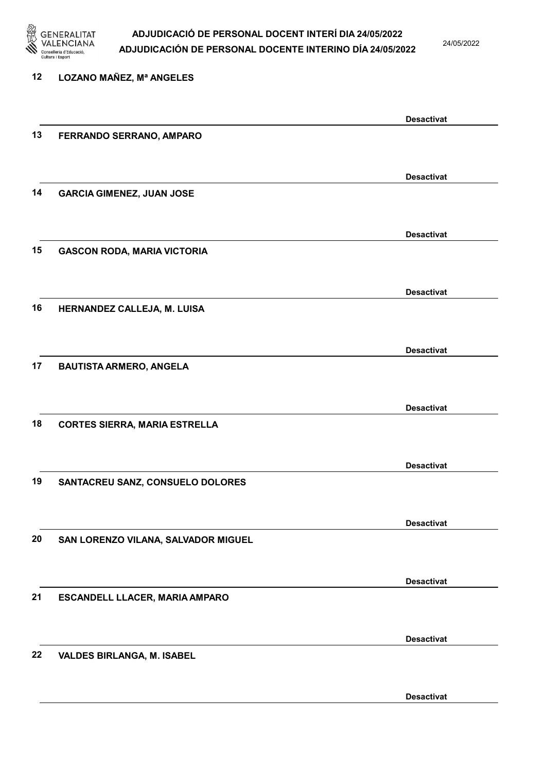

24/05/2022

| 12 | <b>LOZANO MAÑEZ, Mª ANGELES</b>      |                   |
|----|--------------------------------------|-------------------|
|    |                                      | <b>Desactivat</b> |
| 13 | FERRANDO SERRANO, AMPARO             |                   |
|    |                                      | <b>Desactivat</b> |
| 14 | <b>GARCIA GIMENEZ, JUAN JOSE</b>     |                   |
|    |                                      | <b>Desactivat</b> |
| 15 | <b>GASCON RODA, MARIA VICTORIA</b>   |                   |
|    |                                      | <b>Desactivat</b> |
| 16 | HERNANDEZ CALLEJA, M. LUISA          |                   |
|    |                                      | <b>Desactivat</b> |
| 17 | <b>BAUTISTA ARMERO, ANGELA</b>       |                   |
|    |                                      | <b>Desactivat</b> |
| 18 | <b>CORTES SIERRA, MARIA ESTRELLA</b> |                   |
|    |                                      | <b>Desactivat</b> |
| 19 | SANTACREU SANZ, CONSUELO DOLORES     |                   |
|    |                                      | <b>Desactivat</b> |
| 20 | SAN LORENZO VILANA, SALVADOR MIGUEL  |                   |
|    |                                      | <b>Desactivat</b> |
| 21 | ESCANDELL LLACER, MARIA AMPARO       |                   |
|    |                                      | <b>Desactivat</b> |
| 22 | VALDES BIRLANGA, M. ISABEL           |                   |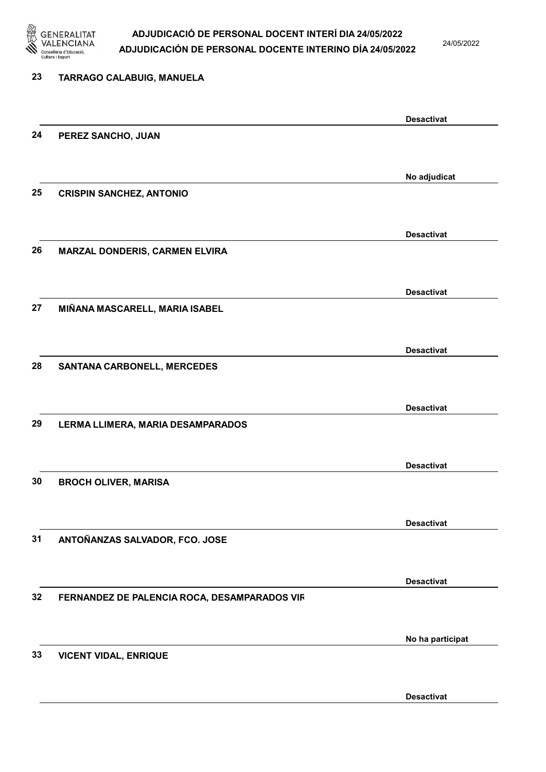

24/05/2022

| 23 | <b>TARRAGO CALABUIG, MANUELA</b>             |                   |
|----|----------------------------------------------|-------------------|
|    |                                              | <b>Desactivat</b> |
| 24 | PEREZ SANCHO, JUAN                           |                   |
|    |                                              | No adjudicat      |
| 25 | <b>CRISPIN SANCHEZ, ANTONIO</b>              |                   |
|    |                                              | <b>Desactivat</b> |
| 26 | MARZAL DONDERIS, CARMEN ELVIRA               |                   |
|    |                                              | <b>Desactivat</b> |
| 27 | MIÑANA MASCARELL, MARIA ISABEL               |                   |
|    |                                              | <b>Desactivat</b> |
| 28 | <b>SANTANA CARBONELL, MERCEDES</b>           |                   |
|    |                                              | <b>Desactivat</b> |
| 29 | LERMA LLIMERA, MARIA DESAMPARADOS            |                   |
|    |                                              | <b>Desactivat</b> |
| 30 | <b>BROCH OLIVER, MARISA</b>                  |                   |
| 31 |                                              | <b>Desactivat</b> |
|    | ANTOÑANZAS SALVADOR, FCO. JOSE               |                   |
| 32 | FERNANDEZ DE PALENCIA ROCA, DESAMPARADOS VIR | <b>Desactivat</b> |
|    |                                              |                   |
| 33 | <b>VICENT VIDAL, ENRIQUE</b>                 | No ha participat  |
|    |                                              |                   |
|    |                                              | <b>Desactivat</b> |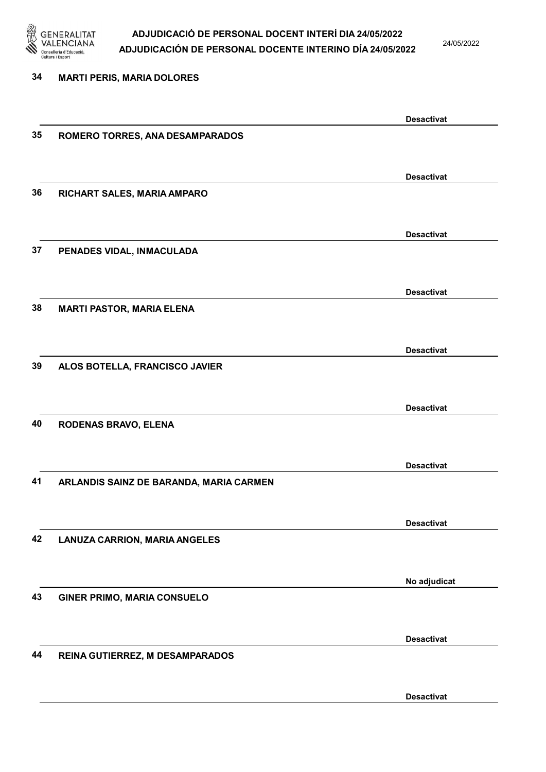

24/05/2022

Desactivat

# 34 MARTI PERIS, MARIA DOLORES Desactivat 35 ROMERO TORRES, ANA DESAMPARADOS Desactivat 36 RICHART SALES, MARIA AMPARO Desactivat 37 PENADES VIDAL, INMACULADA Desactivat 38 MARTI PASTOR, MARIA ELENA Desactivat 39 ALOS BOTELLA, FRANCISCO JAVIER Desactivat 40 RODENAS BRAVO, ELENA Desactivat 41 ARLANDIS SAINZ DE BARANDA, MARIA CARMEN Desactivat 42 LANUZA CARRION, MARIA ANGELES No adjudicat 43 GINER PRIMO, MARIA CONSUELO Desactivat 44 REINA GUTIERREZ, M DESAMPARADOS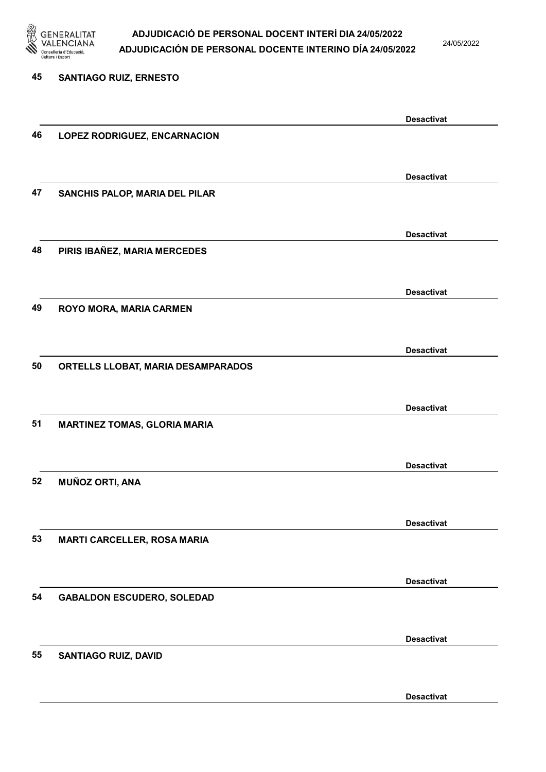

24/05/2022

Desactivat

# 45 SANTIAGO RUIZ, ERNESTO Desactivat 46 LOPEZ RODRIGUEZ, ENCARNACION Desactivat 47 SANCHIS PALOP, MARIA DEL PILAR Desactivat 48 PIRIS IBAÑEZ, MARIA MERCEDES Desactivat 49 ROYO MORA, MARIA CARMEN Desactivat 50 ORTELLS LLOBAT, MARIA DESAMPARADOS Desactivat 51 MARTINEZ TOMAS, GLORIA MARIA Desactivat 52 MUÑOZ ORTI, ANA Desactivat 53 MARTI CARCELLER, ROSA MARIA Desactivat 54 GABALDON ESCUDERO, SOLEDAD Desactivat 55 SANTIAGO RUIZ, DAVID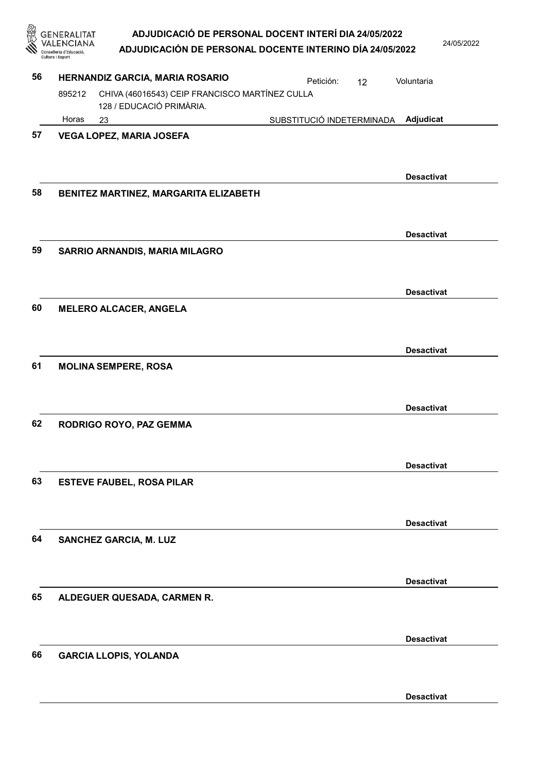| 鑫  | <b>GENERALITAT</b><br>Conselleria d'Educac<br>Cultura i Esport |                                                                            | ADJUDICACIÓ DE PERSONAL DOCENT INTERÍ DIA 24/05/2022<br>ADJUDICACIÓN DE PERSONAL DOCENTE INTERINO DÍA 24/05/2022 |    | 24/05/2022        |
|----|----------------------------------------------------------------|----------------------------------------------------------------------------|------------------------------------------------------------------------------------------------------------------|----|-------------------|
| 56 |                                                                | HERNANDIZ GARCIA, MARIA ROSARIO                                            | Petición:                                                                                                        | 12 | Voluntaria        |
|    | 895212                                                         | CHIVA (46016543) CEIP FRANCISCO MARTÍNEZ CULLA<br>128 / EDUCACIÓ PRIMÀRIA. |                                                                                                                  |    |                   |
|    | Horas                                                          | 23                                                                         | SUBSTITUCIÓ INDETERMINADA                                                                                        |    | Adjudicat         |
| 57 |                                                                | <b>VEGA LOPEZ, MARIA JOSEFA</b>                                            |                                                                                                                  |    | <b>Desactivat</b> |
| 58 |                                                                | BENITEZ MARTINEZ, MARGARITA ELIZABETH                                      |                                                                                                                  |    |                   |
| 59 |                                                                | SARRIO ARNANDIS, MARIA MILAGRO                                             |                                                                                                                  |    | <b>Desactivat</b> |
| 60 |                                                                | <b>MELERO ALCACER, ANGELA</b>                                              |                                                                                                                  |    | <b>Desactivat</b> |
|    |                                                                |                                                                            |                                                                                                                  |    | <b>Desactivat</b> |
| 61 |                                                                | <b>MOLINA SEMPERE, ROSA</b>                                                |                                                                                                                  |    |                   |
| 62 |                                                                | RODRIGO ROYO, PAZ GEMMA                                                    |                                                                                                                  |    | <b>Desactivat</b> |
|    |                                                                |                                                                            |                                                                                                                  |    | <b>Desactivat</b> |
| 63 |                                                                | <b>ESTEVE FAUBEL, ROSA PILAR</b>                                           |                                                                                                                  |    |                   |
|    |                                                                |                                                                            |                                                                                                                  |    | <b>Desactivat</b> |
| 64 |                                                                | <b>SANCHEZ GARCIA, M. LUZ</b>                                              |                                                                                                                  |    |                   |
|    |                                                                |                                                                            |                                                                                                                  |    | <b>Desactivat</b> |
| 65 |                                                                | ALDEGUER QUESADA, CARMEN R.                                                |                                                                                                                  |    |                   |
|    |                                                                |                                                                            |                                                                                                                  |    | <b>Desactivat</b> |
| 66 |                                                                | <b>GARCIA LLOPIS, YOLANDA</b>                                              |                                                                                                                  |    |                   |
|    |                                                                |                                                                            |                                                                                                                  |    | <b>Desactivat</b> |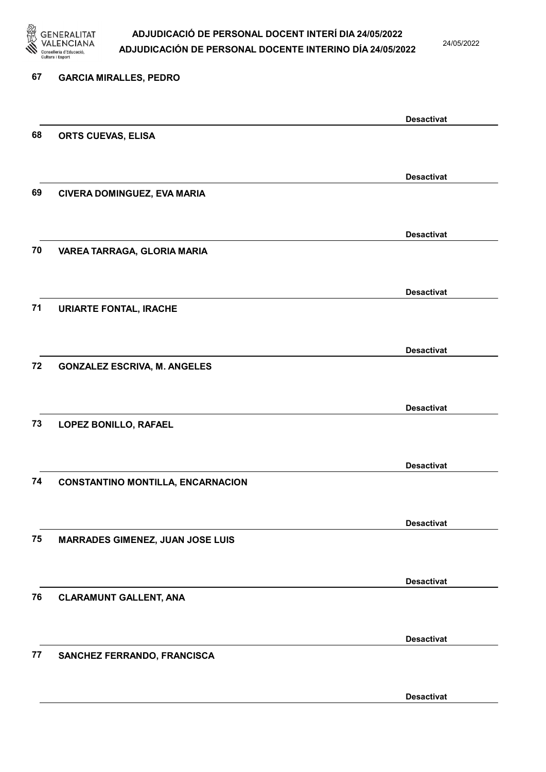

24/05/2022

| 67 | <b>GARCIA MIRALLES, PEDRO</b>            |                   |
|----|------------------------------------------|-------------------|
|    |                                          | <b>Desactivat</b> |
| 68 | ORTS CUEVAS, ELISA                       |                   |
|    |                                          |                   |
| 69 | CIVERA DOMINGUEZ, EVA MARIA              | <b>Desactivat</b> |
|    |                                          |                   |
|    |                                          | <b>Desactivat</b> |
| 70 | VAREA TARRAGA, GLORIA MARIA              |                   |
|    |                                          |                   |
| 71 |                                          | <b>Desactivat</b> |
|    | <b>URIARTE FONTAL, IRACHE</b>            |                   |
|    |                                          | <b>Desactivat</b> |
| 72 | <b>GONZALEZ ESCRIVA, M. ANGELES</b>      |                   |
|    |                                          |                   |
|    |                                          | <b>Desactivat</b> |
| 73 | LOPEZ BONILLO, RAFAEL                    |                   |
|    |                                          |                   |
| 74 | <b>CONSTANTINO MONTILLA, ENCARNACION</b> | <b>Desactivat</b> |
|    |                                          |                   |
|    |                                          | <b>Desactivat</b> |
| 75 | <b>MARRADES GIMENEZ, JUAN JOSE LUIS</b>  |                   |
|    |                                          |                   |
| 76 | <b>CLARAMUNT GALLENT, ANA</b>            | <b>Desactivat</b> |
|    |                                          |                   |
|    |                                          | <b>Desactivat</b> |
| 77 | SANCHEZ FERRANDO, FRANCISCA              |                   |
|    |                                          |                   |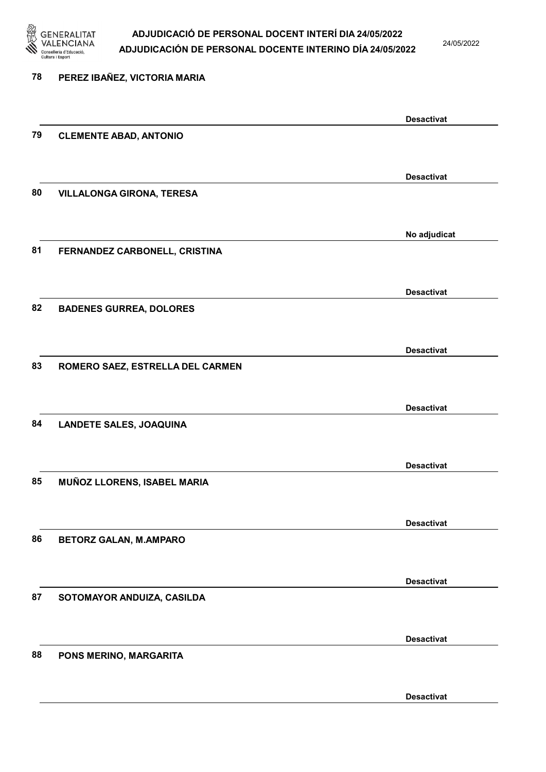

24/05/2022

| 78 | PEREZ IBAÑEZ, VICTORIA MARIA     |                   |
|----|----------------------------------|-------------------|
|    |                                  |                   |
| 79 | <b>CLEMENTE ABAD, ANTONIO</b>    | <b>Desactivat</b> |
|    |                                  |                   |
|    |                                  | <b>Desactivat</b> |
| 80 | <b>VILLALONGA GIRONA, TERESA</b> |                   |
|    |                                  | No adjudicat      |
| 81 | FERNANDEZ CARBONELL, CRISTINA    |                   |
|    |                                  | <b>Desactivat</b> |
| 82 | <b>BADENES GURREA, DOLORES</b>   |                   |
|    |                                  |                   |
|    |                                  | <b>Desactivat</b> |
| 83 | ROMERO SAEZ, ESTRELLA DEL CARMEN |                   |
|    |                                  |                   |
|    |                                  | <b>Desactivat</b> |
| 84 | <b>LANDETE SALES, JOAQUINA</b>   |                   |
|    |                                  | <b>Desactivat</b> |
| 85 | MUÑOZ LLORENS, ISABEL MARIA      |                   |
|    |                                  |                   |
|    |                                  | <b>Desactivat</b> |
| 86 | <b>BETORZ GALAN, M.AMPARO</b>    |                   |
|    |                                  |                   |
| 87 |                                  | <b>Desactivat</b> |
|    | SOTOMAYOR ANDUIZA, CASILDA       |                   |
|    |                                  | <b>Desactivat</b> |
| 88 | PONS MERINO, MARGARITA           |                   |
|    |                                  |                   |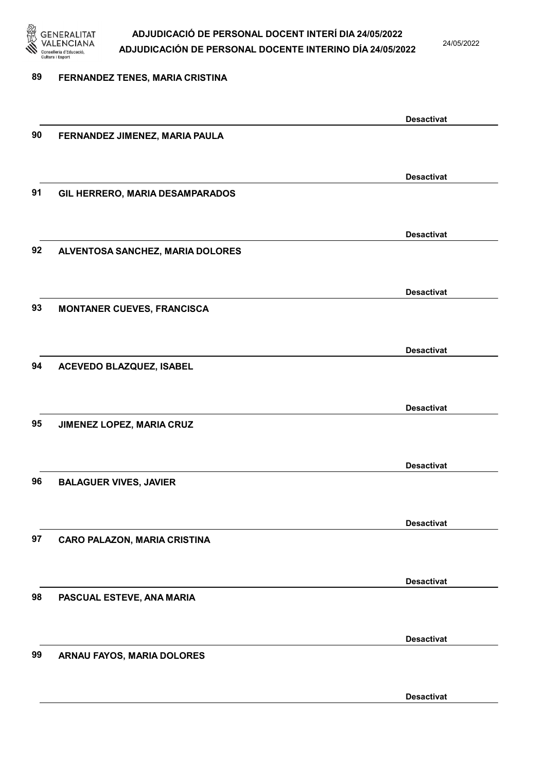

24/05/2022

#### 89 FERNANDEZ TENES, MARIA CRISTINA

Desactivat 90 FERNANDEZ JIMENEZ, MARIA PAULA Desactivat 91 GIL HERRERO, MARIA DESAMPARADOS Desactivat 92 ALVENTOSA SANCHEZ, MARIA DOLORES Desactivat 93 MONTANER CUEVES, FRANCISCA Desactivat 94 ACEVEDO BLAZQUEZ, ISABEL Desactivat 95 JIMENEZ LOPEZ, MARIA CRUZ Desactivat 96 BALAGUER VIVES, JAVIER Desactivat 97 CARO PALAZON, MARIA CRISTINA Desactivat 98 PASCUAL ESTEVE, ANA MARIA Desactivat 99 ARNAU FAYOS, MARIA DOLORES Desactivat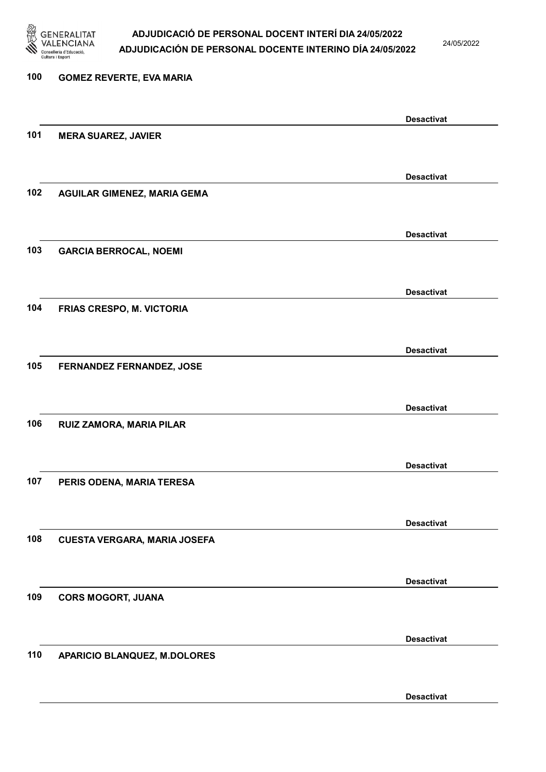

24/05/2022

Desactivat

# 100 GOMEZ REVERTE, EVA MARIA Desactivat 101 MERA SUAREZ, JAVIER Desactivat 102 AGUILAR GIMENEZ, MARIA GEMA Desactivat 103 GARCIA BERROCAL, NOEMI Desactivat 104 FRIAS CRESPO, M. VICTORIA Desactivat 105 FERNANDEZ FERNANDEZ, JOSE Desactivat 106 RUIZ ZAMORA, MARIA PILAR Desactivat 107 PERIS ODENA, MARIA TERESA Desactivat 108 CUESTA VERGARA, MARIA JOSEFA Desactivat 109 CORS MOGORT, JUANA Desactivat 110 APARICIO BLANQUEZ, M.DOLORES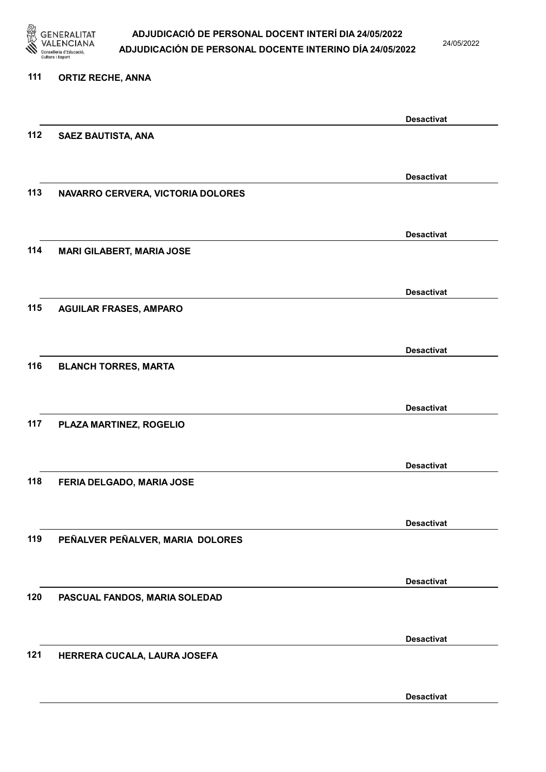

24/05/2022

#### 111 ORTIZ RECHE, ANNA

|     |                                   | <b>Desactivat</b> |
|-----|-----------------------------------|-------------------|
| 112 | <b>SAEZ BAUTISTA, ANA</b>         |                   |
|     |                                   |                   |
|     |                                   |                   |
|     |                                   | <b>Desactivat</b> |
| 113 | NAVARRO CERVERA, VICTORIA DOLORES |                   |
|     |                                   |                   |
|     |                                   | <b>Desactivat</b> |
| 114 | <b>MARI GILABERT, MARIA JOSE</b>  |                   |
|     |                                   |                   |
|     |                                   |                   |
|     |                                   | <b>Desactivat</b> |
| 115 | <b>AGUILAR FRASES, AMPARO</b>     |                   |
|     |                                   |                   |
|     |                                   | <b>Desactivat</b> |
| 116 | <b>BLANCH TORRES, MARTA</b>       |                   |
|     |                                   |                   |
|     |                                   |                   |
|     |                                   | <b>Desactivat</b> |
| 117 | PLAZA MARTINEZ, ROGELIO           |                   |
|     |                                   |                   |
|     |                                   | <b>Desactivat</b> |
| 118 | FERIA DELGADO, MARIA JOSE         |                   |
|     |                                   |                   |
|     |                                   |                   |
|     |                                   | <b>Desactivat</b> |
| 119 | PEÑALVER PEÑALVER, MARIA DOLORES  |                   |
|     |                                   |                   |
|     |                                   | <b>Desactivat</b> |
| 120 | PASCUAL FANDOS, MARIA SOLEDAD     |                   |
|     |                                   |                   |
|     |                                   |                   |
|     |                                   | <b>Desactivat</b> |
| 121 | HERRERA CUCALA, LAURA JOSEFA      |                   |
|     |                                   |                   |
|     |                                   | <b>Desactivat</b> |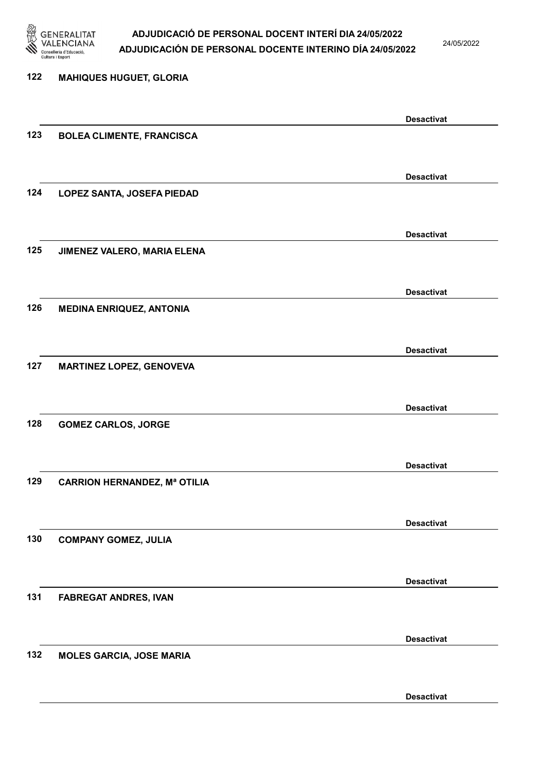

24/05/2022

| 122 | <b>MAHIQUES HUGUET, GLORIA</b>      |                   |
|-----|-------------------------------------|-------------------|
|     |                                     |                   |
|     |                                     | <b>Desactivat</b> |
| 123 | <b>BOLEA CLIMENTE, FRANCISCA</b>    |                   |
|     |                                     |                   |
|     |                                     | <b>Desactivat</b> |
| 124 | LOPEZ SANTA, JOSEFA PIEDAD          |                   |
|     |                                     |                   |
|     |                                     | <b>Desactivat</b> |
| 125 | JIMENEZ VALERO, MARIA ELENA         |                   |
|     |                                     |                   |
|     |                                     | <b>Desactivat</b> |
| 126 | <b>MEDINA ENRIQUEZ, ANTONIA</b>     |                   |
|     |                                     |                   |
| 127 |                                     | <b>Desactivat</b> |
|     | <b>MARTINEZ LOPEZ, GENOVEVA</b>     |                   |
|     |                                     |                   |
| 128 | <b>GOMEZ CARLOS, JORGE</b>          | <b>Desactivat</b> |
|     |                                     |                   |
|     |                                     | <b>Desactivat</b> |
| 129 | <b>CARRION HERNANDEZ, Mª OTILIA</b> |                   |
|     |                                     |                   |
|     |                                     | <b>Desactivat</b> |
| 130 | <b>COMPANY GOMEZ, JULIA</b>         |                   |
|     |                                     |                   |
|     |                                     | <b>Desactivat</b> |
| 131 | <b>FABREGAT ANDRES, IVAN</b>        |                   |
|     |                                     |                   |
|     |                                     | <b>Desactivat</b> |
| 132 | <b>MOLES GARCIA, JOSE MARIA</b>     |                   |
|     |                                     |                   |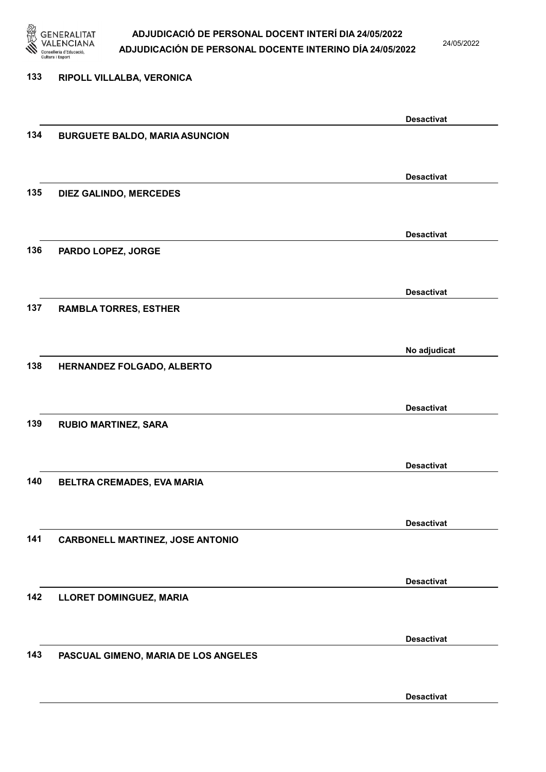

24/05/2022

Desactivat

# 133 RIPOLL VILLALBA, VERONICA Desactivat 134 BURGUETE BALDO, MARIA ASUNCION Desactivat 135 DIEZ GALINDO, MERCEDES Desactivat 136 PARDO LOPEZ, JORGE Desactivat 137 RAMBLA TORRES, ESTHER No adjudicat 138 HERNANDEZ FOLGADO, ALBERTO Desactivat 139 RUBIO MARTINEZ, SARA Desactivat 140 BELTRA CREMADES, EVA MARIA Desactivat 141 CARBONELL MARTINEZ, JOSE ANTONIO Desactivat 142 LLORET DOMINGUEZ, MARIA Desactivat 143 PASCUAL GIMENO, MARIA DE LOS ANGELES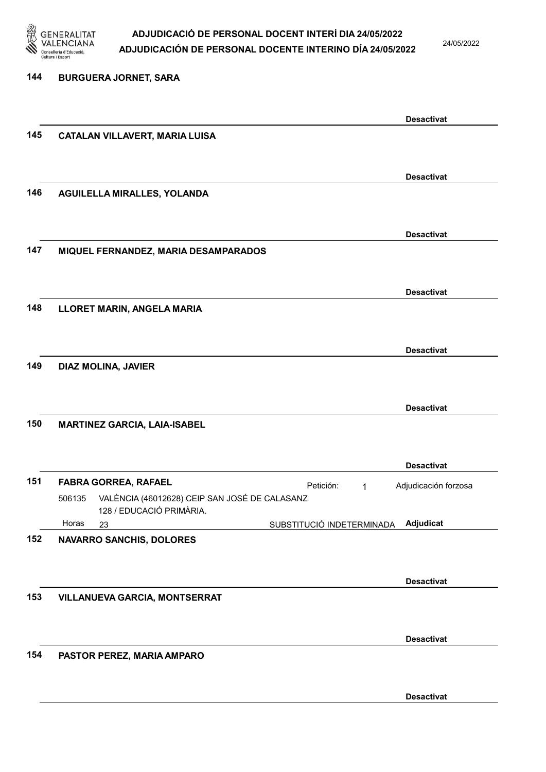

144 BURGUERA JORNET, SARA

### ADJUDICACIÓ DE PERSONAL DOCENT INTERÍ DIA 24/05/2022 ADJUDICACIÓN DE PERSONAL DOCENTE INTERINO DÍA 24/05/2022

24/05/2022

### Desactivat 145 CATALAN VILLAVERT, MARIA LUISA Desactivat 146 AGUILELLA MIRALLES, YOLANDA Desactivat 147 MIQUEL FERNANDEZ, MARIA DESAMPARADOS Desactivat 148 LLORET MARIN, ANGELA MARIA Desactivat 149 DIAZ MOLINA, JAVIER Desactivat 150 MARTINEZ GARCIA, LAIA-ISABEL Desactivat 151 FABRA GORREA, RAFAEL PERSON Petición: 1 23 SUBSTITUCIÓ INDETERMINADA VALÈNCIA (46012628) CEIP SAN JOSÉ DE CALASANZ 128 / EDUCACIÓ PRIMÀRIA. Adjudicat Adjudicación forzosa 506135 Horas 152 NAVARRO SANCHIS, DOLORES Desactivat 153 VILLANUEVA GARCIA, MONTSERRAT Desactivat 154 PASTOR PEREZ, MARIA AMPARO Desactivat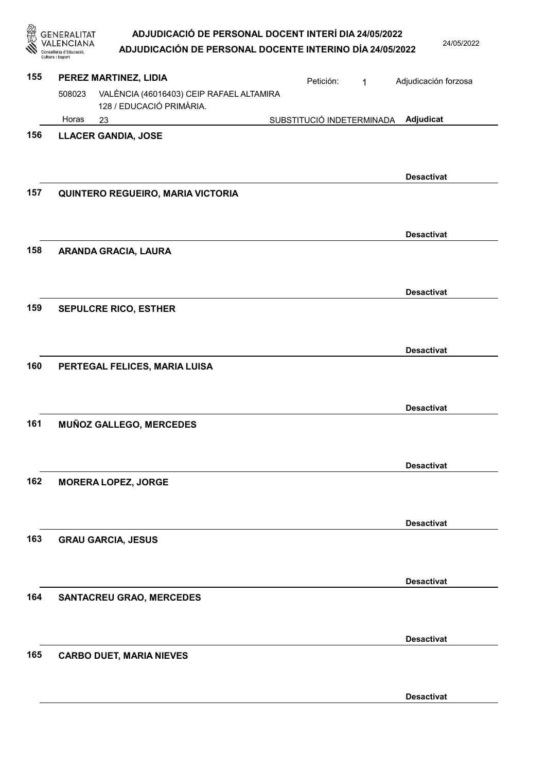| ADJUDICACIÓ DE PERSONAL DOCENT INTERÍ DIA 24/05/2022   |
|--------------------------------------------------------|
| AR UIRIA AIÁN RE RERGANAL ROGENTE INTERINA RÍA AMEIGRA |

| 魯   | <b>GENERALITAT</b><br>CIANA<br>lleria d'Educació<br>Cultura i Esport | ADJUDICACIÓ DE PERSONAL DOCENT INTERÍ DIA 24/05/2022<br>ADJUDICACIÓN DE PERSONAL DOCENTE INTERINO DÍA 24/05/2022 |                           |                                     | 24/05/2022 |
|-----|----------------------------------------------------------------------|------------------------------------------------------------------------------------------------------------------|---------------------------|-------------------------------------|------------|
| 155 |                                                                      | PEREZ MARTINEZ, LIDIA                                                                                            | Petición:                 | Adjudicación forzosa<br>$\mathbf 1$ |            |
|     | 508023                                                               | VALÈNCIA (46016403) CEIP RAFAEL ALTAMIRA<br>128 / EDUCACIÓ PRIMÀRIA.                                             |                           |                                     |            |
|     | Horas                                                                | 23                                                                                                               | SUBSTITUCIÓ INDETERMINADA | Adjudicat                           |            |
| 156 |                                                                      | <b>LLACER GANDIA, JOSE</b>                                                                                       |                           | <b>Desactivat</b>                   |            |
| 157 |                                                                      | QUINTERO REGUEIRO, MARIA VICTORIA                                                                                |                           |                                     |            |
| 158 |                                                                      | ARANDA GRACIA, LAURA                                                                                             |                           | <b>Desactivat</b>                   |            |
|     |                                                                      |                                                                                                                  |                           | <b>Desactivat</b>                   |            |
| 159 |                                                                      | <b>SEPULCRE RICO, ESTHER</b>                                                                                     |                           |                                     |            |
| 160 |                                                                      | PERTEGAL FELICES, MARIA LUISA                                                                                    |                           | <b>Desactivat</b>                   |            |
| 161 |                                                                      | MUÑOZ GALLEGO, MERCEDES                                                                                          |                           | <b>Desactivat</b>                   |            |
| 162 |                                                                      | <b>MORERA LOPEZ, JORGE</b>                                                                                       |                           | <b>Desactivat</b>                   |            |
| 163 |                                                                      | <b>GRAU GARCIA, JESUS</b>                                                                                        |                           | <b>Desactivat</b>                   |            |
| 164 |                                                                      | <b>SANTACREU GRAO, MERCEDES</b>                                                                                  |                           | <b>Desactivat</b>                   |            |
| 165 |                                                                      | <b>CARBO DUET, MARIA NIEVES</b>                                                                                  |                           | <b>Desactivat</b>                   |            |
|     |                                                                      |                                                                                                                  |                           | <b>Desactivat</b>                   |            |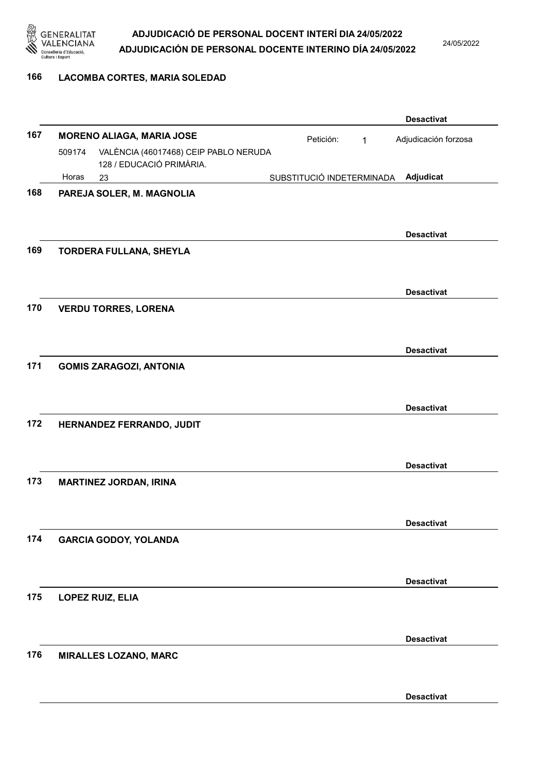

24/05/2022

#### 166 LACOMBA CORTES, MARIA SOLEDAD

|     |        |                                                                   |                           |           |             | <b>Desactivat</b>    |
|-----|--------|-------------------------------------------------------------------|---------------------------|-----------|-------------|----------------------|
| 167 |        | <b>MORENO ALIAGA, MARIA JOSE</b>                                  |                           | Petición: | $\mathbf 1$ | Adjudicación forzosa |
|     | 509174 | VALÈNCIA (46017468) CEIP PABLO NERUDA<br>128 / EDUCACIÓ PRIMÀRIA. |                           |           |             |                      |
|     | Horas  | 23                                                                | SUBSTITUCIÓ INDETERMINADA |           |             | Adjudicat            |
| 168 |        | PAREJA SOLER, M. MAGNOLIA                                         |                           |           |             |                      |
|     |        |                                                                   |                           |           |             |                      |
|     |        |                                                                   |                           |           |             | <b>Desactivat</b>    |
| 169 |        | <b>TORDERA FULLANA, SHEYLA</b>                                    |                           |           |             |                      |
|     |        |                                                                   |                           |           |             | <b>Desactivat</b>    |
| 170 |        | <b>VERDU TORRES, LORENA</b>                                       |                           |           |             |                      |
|     |        |                                                                   |                           |           |             | <b>Desactivat</b>    |
| 171 |        | <b>GOMIS ZARAGOZI, ANTONIA</b>                                    |                           |           |             |                      |
|     |        |                                                                   |                           |           |             | <b>Desactivat</b>    |
| 172 |        | HERNANDEZ FERRANDO, JUDIT                                         |                           |           |             |                      |
|     |        |                                                                   |                           |           |             | <b>Desactivat</b>    |
| 173 |        | <b>MARTINEZ JORDAN, IRINA</b>                                     |                           |           |             |                      |
|     |        |                                                                   |                           |           |             | <b>Desactivat</b>    |
| 174 |        | <b>GARCIA GODOY, YOLANDA</b>                                      |                           |           |             |                      |
|     |        |                                                                   |                           |           |             | <b>Desactivat</b>    |
| 175 |        | LOPEZ RUIZ, ELIA                                                  |                           |           |             |                      |
|     |        |                                                                   |                           |           |             | <b>Desactivat</b>    |
| 176 |        | <b>MIRALLES LOZANO, MARC</b>                                      |                           |           |             |                      |
|     |        |                                                                   |                           |           |             |                      |
|     |        |                                                                   |                           |           |             | <b>Desactivat</b>    |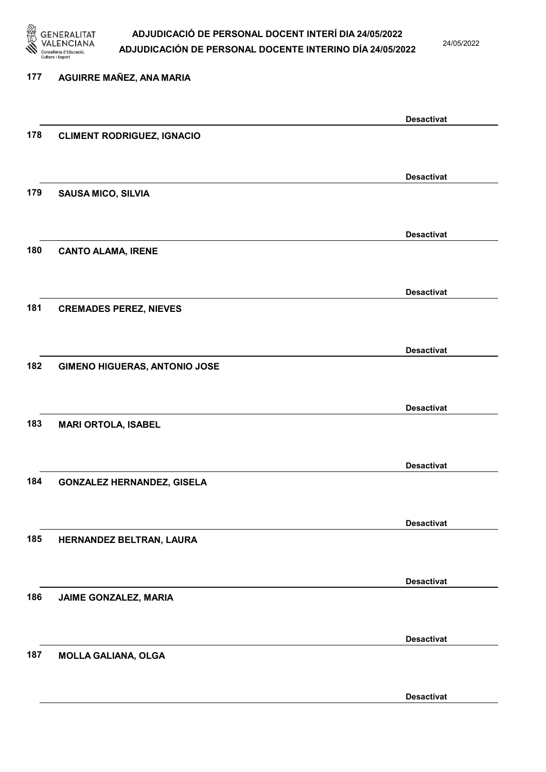

24/05/2022

Desactivat

# 177 AGUIRRE MAÑEZ, ANA MARIA Desactivat 178 CLIMENT RODRIGUEZ, IGNACIO Desactivat 179 SAUSA MICO, SILVIA Desactivat 180 CANTO ALAMA, IRENE Desactivat 181 CREMADES PEREZ, NIEVES Desactivat 182 GIMENO HIGUERAS, ANTONIO JOSE Desactivat 183 MARI ORTOLA, ISABEL Desactivat 184 GONZALEZ HERNANDEZ, GISELA Desactivat 185 HERNANDEZ BELTRAN, LAURA Desactivat 186 JAIME GONZALEZ, MARIA Desactivat 187 MOLLA GALIANA, OLGA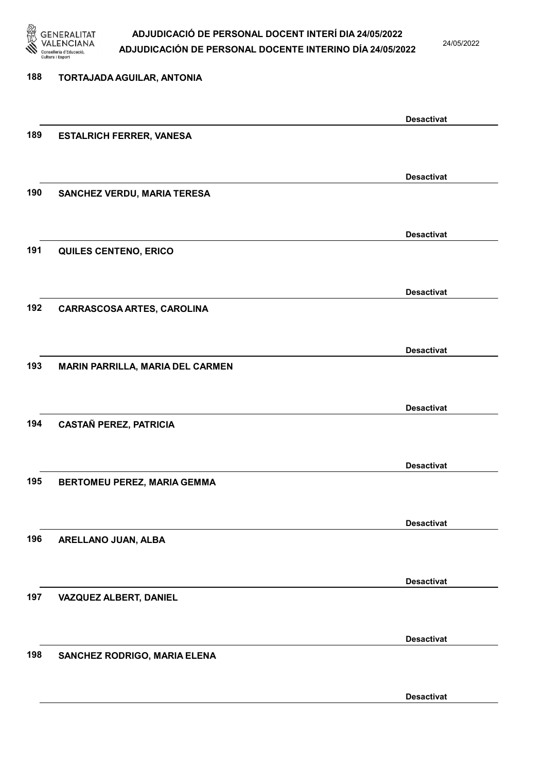

24/05/2022

Desactivat

# 188 TORTAJADA AGUILAR, ANTONIA Desactivat 189 ESTALRICH FERRER, VANESA Desactivat 190 SANCHEZ VERDU, MARIA TERESA Desactivat 191 QUILES CENTENO, ERICO Desactivat 192 CARRASCOSA ARTES, CAROLINA Desactivat 193 MARIN PARRILLA, MARIA DEL CARMEN Desactivat 194 CASTAÑ PEREZ, PATRICIA Desactivat 195 BERTOMEU PEREZ, MARIA GEMMA Desactivat 196 ARELLANO JUAN, ALBA Desactivat 197 VAZQUEZ ALBERT, DANIEL Desactivat 198 SANCHEZ RODRIGO, MARIA ELENA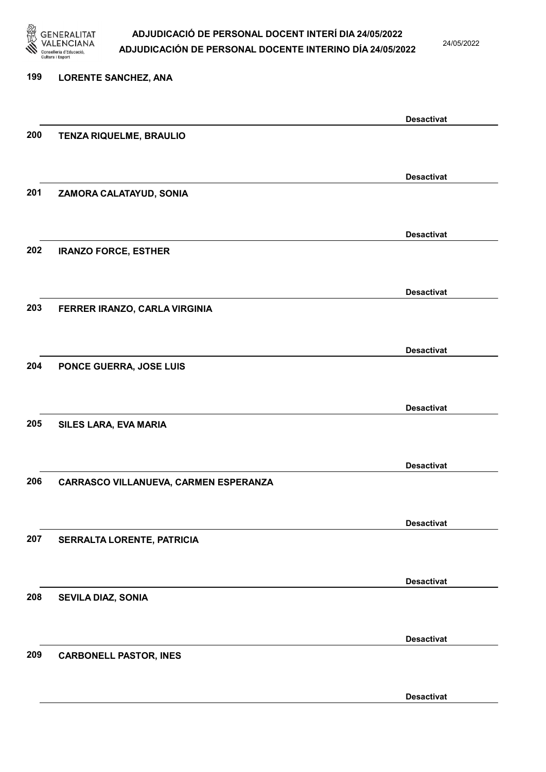

24/05/2022

Desactivat

# 199 LORENTE SANCHEZ, ANA Desactivat 200 TENZA RIQUELME, BRAULIO Desactivat 201 ZAMORA CALATAYUD, SONIA Desactivat 202 IRANZO FORCE, ESTHER Desactivat 203 FERRER IRANZO, CARLA VIRGINIA Desactivat 204 PONCE GUERRA, JOSE LUIS Desactivat 205 SILES LARA, EVA MARIA Desactivat 206 CARRASCO VILLANUEVA, CARMEN ESPERANZA Desactivat 207 SERRALTA LORENTE, PATRICIA Desactivat 208 SEVILA DIAZ, SONIA Desactivat 209 CARBONELL PASTOR, INES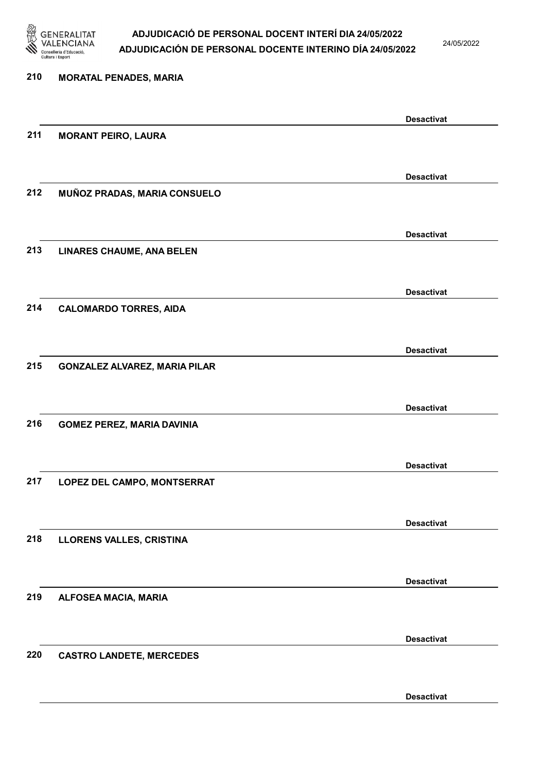

24/05/2022

| 210 | <b>MORATAL PENADES, MARIA</b>        |                   |
|-----|--------------------------------------|-------------------|
|     |                                      | <b>Desactivat</b> |
| 211 | <b>MORANT PEIRO, LAURA</b>           |                   |
|     |                                      |                   |
| 212 | MUÑOZ PRADAS, MARIA CONSUELO         | <b>Desactivat</b> |
|     |                                      |                   |
|     |                                      | <b>Desactivat</b> |
| 213 | <b>LINARES CHAUME, ANA BELEN</b>     |                   |
|     |                                      |                   |
| 214 |                                      | <b>Desactivat</b> |
|     | <b>CALOMARDO TORRES, AIDA</b>        |                   |
|     |                                      | <b>Desactivat</b> |
| 215 | <b>GONZALEZ ALVAREZ, MARIA PILAR</b> |                   |
|     |                                      |                   |
|     |                                      | <b>Desactivat</b> |
| 216 | <b>GOMEZ PEREZ, MARIA DAVINIA</b>    |                   |
|     |                                      |                   |
| 217 | LOPEZ DEL CAMPO, MONTSERRAT          | <b>Desactivat</b> |
|     |                                      |                   |
|     |                                      | <b>Desactivat</b> |
| 218 | LLORENS VALLES, CRISTINA             |                   |
|     |                                      |                   |
| 219 | ALFOSEA MACIA, MARIA                 | <b>Desactivat</b> |
|     |                                      |                   |
|     |                                      | <b>Desactivat</b> |
| 220 | <b>CASTRO LANDETE, MERCEDES</b>      |                   |
|     |                                      |                   |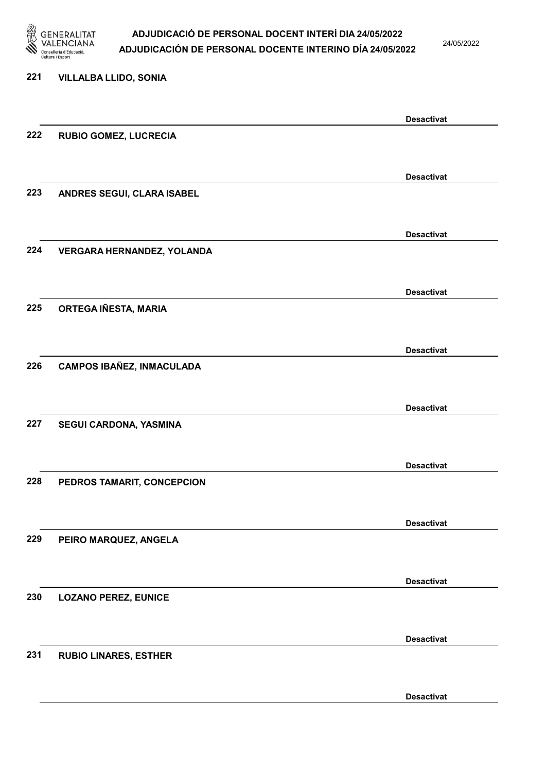

24/05/2022

Desactivat

# 221 VILLALBA LLIDO, SONIA Desactivat 222 RUBIO GOMEZ, LUCRECIA Desactivat 223 ANDRES SEGUI, CLARA ISABEL Desactivat 224 VERGARA HERNANDEZ, YOLANDA Desactivat 225 ORTEGA IÑESTA, MARIA Desactivat 226 CAMPOS IBAÑEZ, INMACULADA Desactivat 227 SEGUI CARDONA, YASMINA Desactivat 228 PEDROS TAMARIT, CONCEPCION Desactivat 229 PEIRO MARQUEZ, ANGELA Desactivat 230 LOZANO PEREZ, EUNICE Desactivat 231 RUBIO LINARES, ESTHER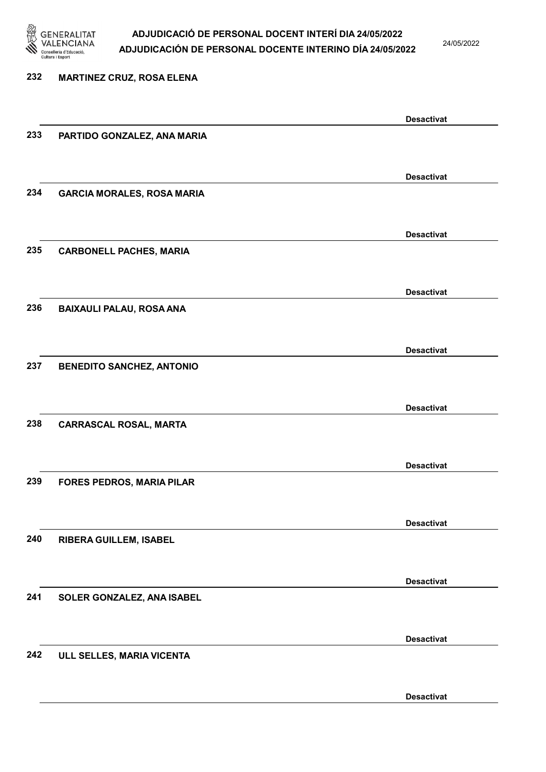

24/05/2022

# 232 MARTINEZ CRUZ, ROSA ELENA Desactivat 233 PARTIDO GONZALEZ, ANA MARIA Desactivat 234 GARCIA MORALES, ROSA MARIA Desactivat 235 CARBONELL PACHES, MARIA Desactivat 236 BAIXAULI PALAU, ROSA ANA Desactivat 237 BENEDITO SANCHEZ, ANTONIO Desactivat 238 CARRASCAL ROSAL, MARTA Desactivat 239 FORES PEDROS, MARIA PILAR Desactivat 240 RIBERA GUILLEM, ISABEL Desactivat 241 SOLER GONZALEZ, ANA ISABEL Desactivat 242 ULL SELLES, MARIA VICENTA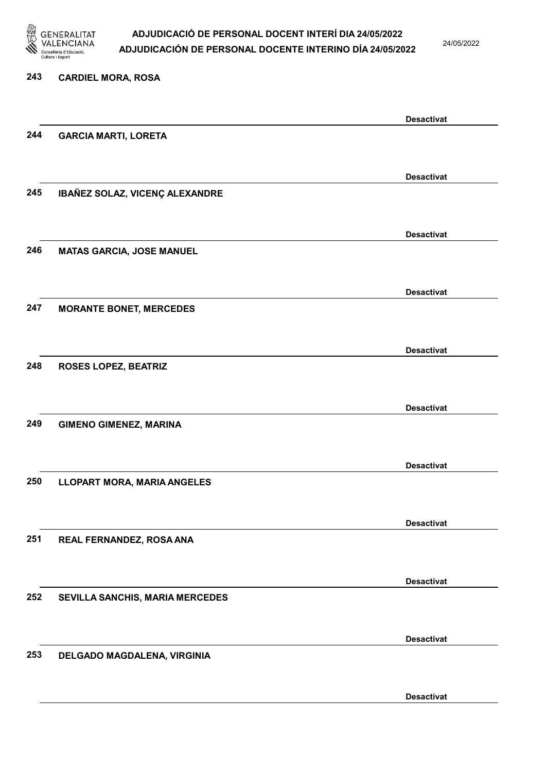

24/05/2022

### 243 CARDIEL MORA, ROSA Desactivat 244 GARCIA MARTI, LORETA Desactivat 245 IBAÑEZ SOLAZ, VICENÇ ALEXANDRE Desactivat 246 MATAS GARCIA, JOSE MANUEL Desactivat 247 MORANTE BONET, MERCEDES Desactivat 248 ROSES LOPEZ, BEATRIZ Desactivat 249 GIMENO GIMENEZ, MARINA Desactivat 250 LLOPART MORA, MARIA ANGELES Desactivat 251 REAL FERNANDEZ, ROSA ANA Desactivat 252 SEVILLA SANCHIS, MARIA MERCEDES Desactivat 253 DELGADO MAGDALENA, VIRGINIA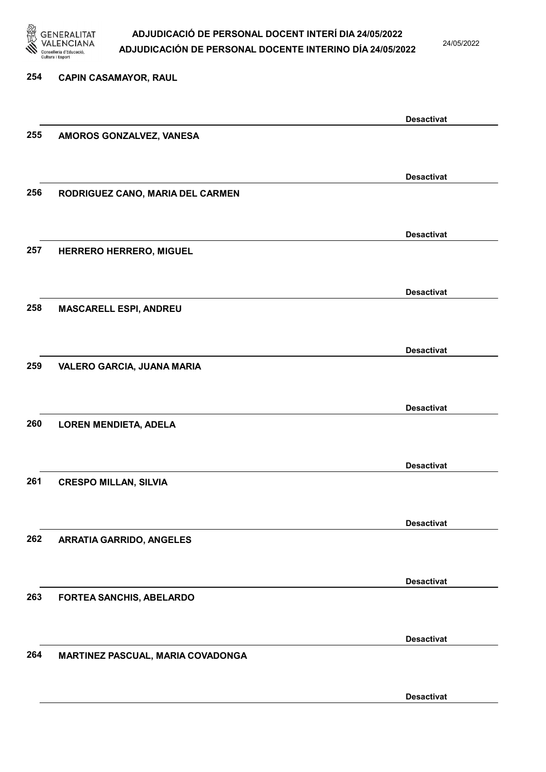

24/05/2022

Desactivat

# 254 CAPIN CASAMAYOR, RAUL Desactivat 255 AMOROS GONZALVEZ, VANESA Desactivat 256 RODRIGUEZ CANO, MARIA DEL CARMEN Desactivat 257 HERRERO HERRERO, MIGUEL Desactivat 258 MASCARELL ESPI, ANDREU Desactivat 259 VALERO GARCIA, JUANA MARIA Desactivat 260 LOREN MENDIETA, ADELA Desactivat 261 CRESPO MILLAN, SILVIA Desactivat 262 ARRATIA GARRIDO, ANGELES Desactivat 263 FORTEA SANCHIS, ABELARDO Desactivat 264 MARTINEZ PASCUAL, MARIA COVADONGA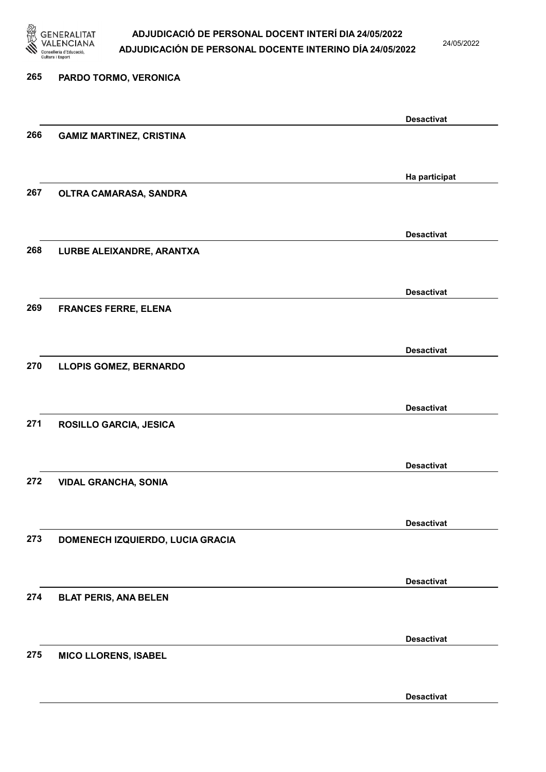

24/05/2022

Desactivat

# 265 PARDO TORMO, VERONICA Desactivat 266 GAMIZ MARTINEZ, CRISTINA Ha participat 267 OLTRA CAMARASA, SANDRA Desactivat 268 LURBE ALEIXANDRE, ARANTXA Desactivat 269 FRANCES FERRE, ELENA Desactivat 270 LLOPIS GOMEZ, BERNARDO Desactivat 271 ROSILLO GARCIA, JESICA Desactivat 272 VIDAL GRANCHA, SONIA Desactivat 273 DOMENECH IZQUIERDO, LUCIA GRACIA Desactivat 274 BLAT PERIS, ANA BELEN Desactivat 275 MICO LLORENS, ISABEL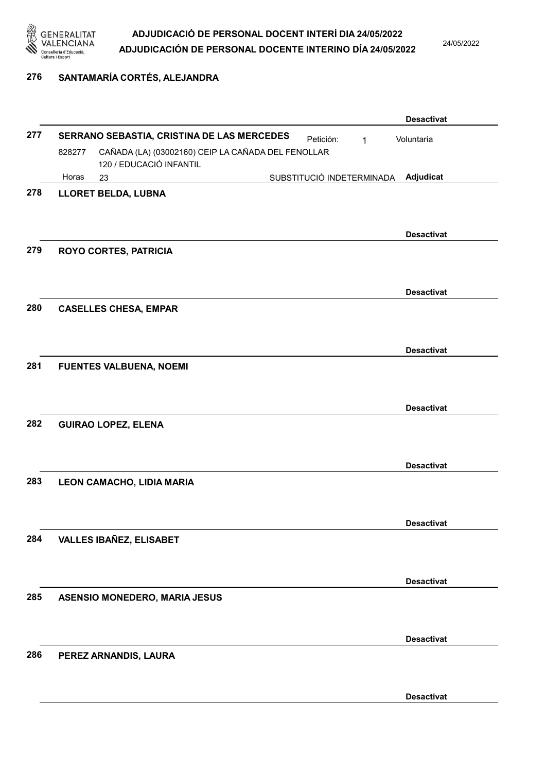

24/05/2022

### 276 SANTAMARÍA CORTÉS, ALEJANDRA

|     |                                            |                                                                               | <b>Desactivat</b> |
|-----|--------------------------------------------|-------------------------------------------------------------------------------|-------------------|
| 277 | SERRANO SEBASTIA, CRISTINA DE LAS MERCEDES | Voluntaria                                                                    |                   |
|     | 828277                                     | CAÑADA (LA) (03002160) CEIP LA CAÑADA DEL FENOLLAR<br>120 / EDUCACIÓ INFANTIL |                   |
|     | Horas                                      | SUBSTITUCIÓ INDETERMINADA<br>23                                               | Adjudicat         |
| 278 |                                            | LLORET BELDA, LUBNA                                                           | <b>Desactivat</b> |
| 279 |                                            | <b>ROYO CORTES, PATRICIA</b>                                                  | <b>Desactivat</b> |
| 280 |                                            | <b>CASELLES CHESA, EMPAR</b>                                                  |                   |
|     |                                            |                                                                               | <b>Desactivat</b> |
| 281 |                                            | <b>FUENTES VALBUENA, NOEMI</b>                                                | <b>Desactivat</b> |
| 282 |                                            | <b>GUIRAO LOPEZ, ELENA</b>                                                    |                   |
|     |                                            |                                                                               | <b>Desactivat</b> |
| 283 |                                            | LEON CAMACHO, LIDIA MARIA                                                     |                   |
|     |                                            |                                                                               | <b>Desactivat</b> |
| 284 |                                            | <b>VALLES IBAÑEZ, ELISABET</b>                                                | <b>Desactivat</b> |
|     |                                            |                                                                               |                   |
| 285 |                                            | <b>ASENSIO MONEDERO, MARIA JESUS</b>                                          |                   |
|     |                                            |                                                                               | <b>Desactivat</b> |
| 286 |                                            | PEREZ ARNANDIS, LAURA                                                         |                   |
|     |                                            |                                                                               | <b>Desactivat</b> |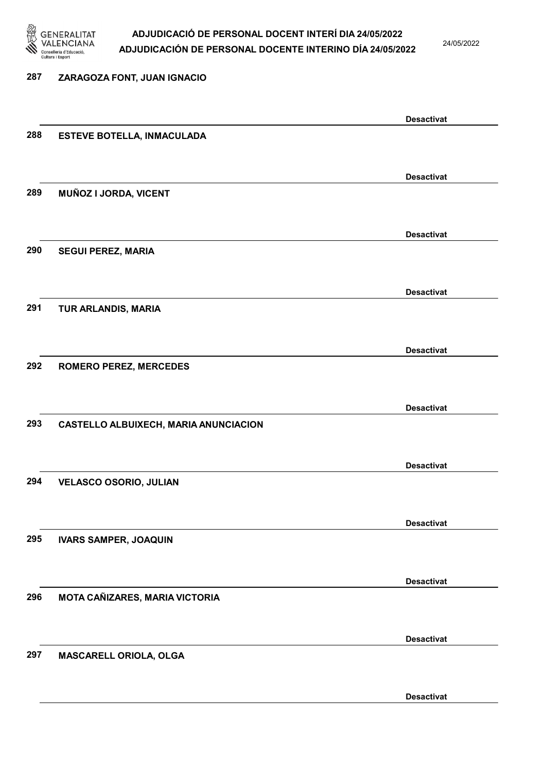

24/05/2022

### 287 ZARAGOZA FONT, JUAN IGNACIO Desactivat 288 ESTEVE BOTELLA, INMACULADA Desactivat 289 MUÑOZ I JORDA, VICENT Desactivat 290 SEGUI PEREZ, MARIA Desactivat 291 TUR ARLANDIS, MARIA Desactivat 292 ROMERO PEREZ, MERCEDES Desactivat 293 CASTELLO ALBUIXECH, MARIA ANUNCIACION Desactivat 294 VELASCO OSORIO, JULIAN Desactivat 295 IVARS SAMPER, JOAQUIN Desactivat 296 MOTA CAÑIZARES, MARIA VICTORIA Desactivat 297 MASCARELL ORIOLA, OLGA Desactivat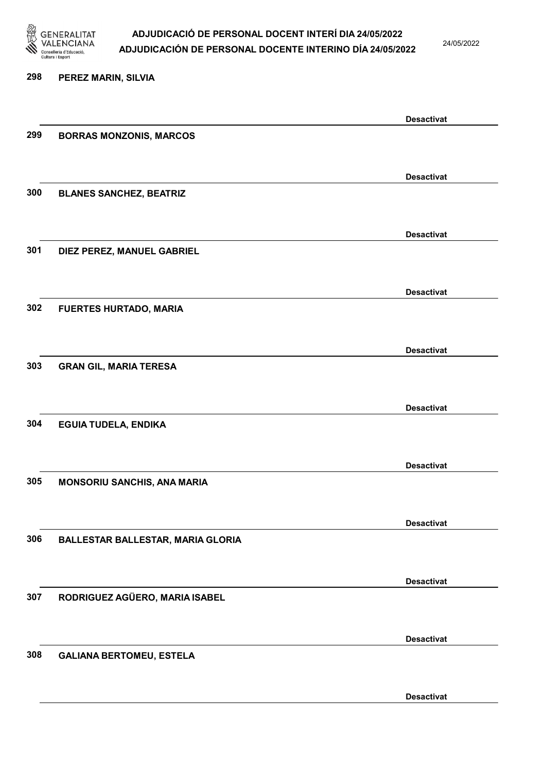

24/05/2022

Desactivat

# 298 PEREZ MARIN, SILVIA Desactivat 299 BORRAS MONZONIS, MARCOS Desactivat 300 BLANES SANCHEZ, BEATRIZ Desactivat 301 DIEZ PEREZ, MANUEL GABRIEL Desactivat 302 FUERTES HURTADO, MARIA Desactivat 303 GRAN GIL, MARIA TERESA Desactivat 304 EGUIA TUDELA, ENDIKA Desactivat 305 MONSORIU SANCHIS, ANA MARIA Desactivat 306 BALLESTAR BALLESTAR, MARIA GLORIA Desactivat 307 RODRIGUEZ AGÜERO, MARIA ISABEL Desactivat 308 GALIANA BERTOMEU, ESTELA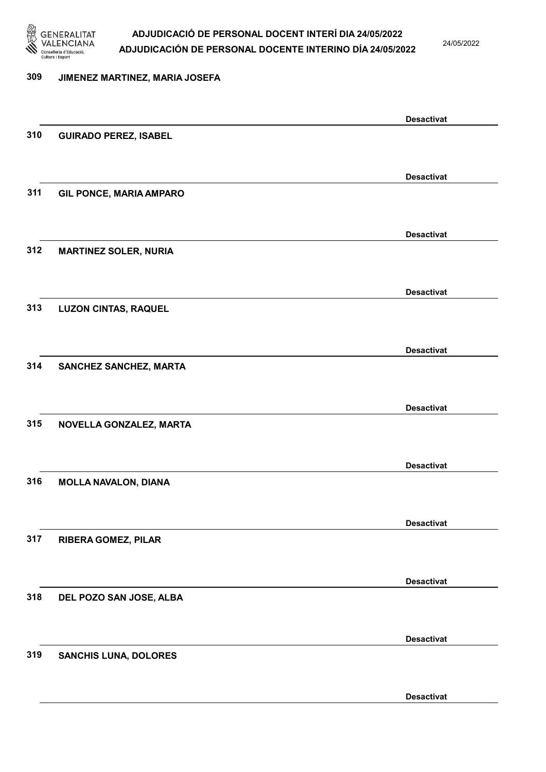

24/05/2022

#### 309 JIMENEZ MARTINEZ, MARIA JOSEFA

|     |                                | <b>Desactivat</b> |
|-----|--------------------------------|-------------------|
| 310 | <b>GUIRADO PEREZ, ISABEL</b>   |                   |
|     |                                |                   |
|     |                                | <b>Desactivat</b> |
| 311 | <b>GIL PONCE, MARIA AMPARO</b> |                   |
|     |                                |                   |
|     |                                | <b>Desactivat</b> |
| 312 | <b>MARTINEZ SOLER, NURIA</b>   |                   |
|     |                                |                   |
|     |                                | <b>Desactivat</b> |
| 313 | <b>LUZON CINTAS, RAQUEL</b>    |                   |
|     |                                |                   |
| 314 | SANCHEZ SANCHEZ, MARTA         | <b>Desactivat</b> |
|     |                                |                   |
|     |                                | <b>Desactivat</b> |
| 315 | NOVELLA GONZALEZ, MARTA        |                   |
|     |                                |                   |
|     |                                | <b>Desactivat</b> |
| 316 | <b>MOLLA NAVALON, DIANA</b>    |                   |
|     |                                |                   |
|     |                                | <b>Desactivat</b> |
| 317 | <b>RIBERA GOMEZ, PILAR</b>     |                   |
|     |                                |                   |
| 318 | DEL POZO SAN JOSE, ALBA        | <b>Desactivat</b> |
|     |                                |                   |
|     |                                | <b>Desactivat</b> |
| 319 | <b>SANCHIS LUNA, DOLORES</b>   |                   |
|     |                                |                   |
|     |                                | <b>Desactivat</b> |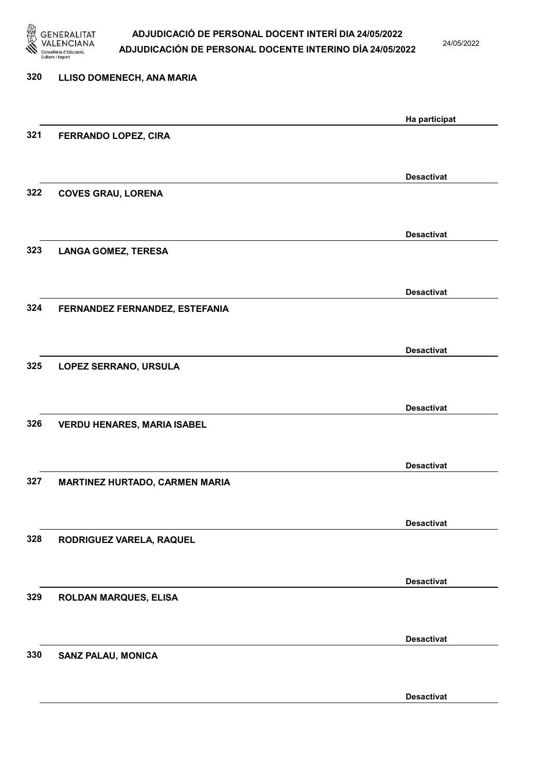

24/05/2022

| 320 | LLISO DOMENECH, ANA MARIA          |                   |
|-----|------------------------------------|-------------------|
|     |                                    |                   |
|     |                                    | Ha participat     |
| 321 | FERRANDO LOPEZ, CIRA               |                   |
|     |                                    |                   |
|     |                                    | <b>Desactivat</b> |
| 322 | <b>COVES GRAU, LORENA</b>          |                   |
|     |                                    |                   |
|     |                                    |                   |
|     |                                    | <b>Desactivat</b> |
| 323 | <b>LANGA GOMEZ, TERESA</b>         |                   |
|     |                                    |                   |
|     |                                    | <b>Desactivat</b> |
| 324 | FERNANDEZ FERNANDEZ, ESTEFANIA     |                   |
|     |                                    |                   |
|     |                                    |                   |
|     |                                    | <b>Desactivat</b> |
| 325 | LOPEZ SERRANO, URSULA              |                   |
|     |                                    |                   |
|     |                                    | <b>Desactivat</b> |
| 326 | <b>VERDU HENARES, MARIA ISABEL</b> |                   |
|     |                                    |                   |
|     |                                    |                   |
|     |                                    | <b>Desactivat</b> |
| 327 | MARTINEZ HURTADO, CARMEN MARIA     |                   |
|     |                                    |                   |
|     |                                    | <b>Desactivat</b> |
| 328 | RODRIGUEZ VARELA, RAQUEL           |                   |
|     |                                    |                   |
|     |                                    |                   |
|     |                                    | <b>Desactivat</b> |
| 329 | ROLDAN MARQUES, ELISA              |                   |
|     |                                    |                   |
|     |                                    | <b>Desactivat</b> |
| 330 | <b>SANZ PALAU, MONICA</b>          |                   |
|     |                                    |                   |
|     |                                    |                   |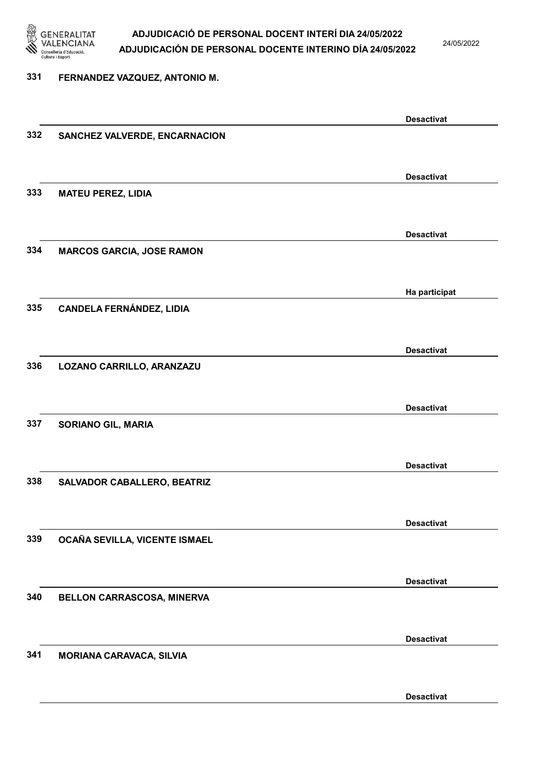

24/05/2022

#### 331 FERNANDEZ VAZQUEZ, ANTONIO M.

|     |                                  | <b>Desactivat</b> |
|-----|----------------------------------|-------------------|
| 332 | SANCHEZ VALVERDE, ENCARNACION    |                   |
|     |                                  |                   |
|     |                                  |                   |
|     |                                  | <b>Desactivat</b> |
| 333 | <b>MATEU PEREZ, LIDIA</b>        |                   |
|     |                                  |                   |
|     |                                  |                   |
|     |                                  | <b>Desactivat</b> |
| 334 | <b>MARCOS GARCIA, JOSE RAMON</b> |                   |
|     |                                  |                   |
|     |                                  |                   |
|     |                                  | Ha participat     |
| 335 | <b>CANDELA FERNÁNDEZ, LIDIA</b>  |                   |
|     |                                  |                   |
|     |                                  |                   |
|     |                                  | <b>Desactivat</b> |
| 336 | LOZANO CARRILLO, ARANZAZU        |                   |
|     |                                  |                   |
|     |                                  |                   |
|     |                                  | <b>Desactivat</b> |
| 337 | <b>SORIANO GIL, MARIA</b>        |                   |
|     |                                  |                   |
|     |                                  |                   |
|     |                                  | <b>Desactivat</b> |
| 338 | SALVADOR CABALLERO, BEATRIZ      |                   |
|     |                                  |                   |
|     |                                  |                   |
|     |                                  | <b>Desactivat</b> |
| 339 | OCAÑA SEVILLA, VICENTE ISMAEL    |                   |
|     |                                  |                   |
|     |                                  |                   |
|     |                                  | <b>Desactivat</b> |
| 340 | BELLON CARRASCOSA, MINERVA       |                   |
|     |                                  |                   |
|     |                                  | <b>Desactivat</b> |
| 341 |                                  |                   |
|     | <b>MORIANA CARAVACA, SILVIA</b>  |                   |
|     |                                  |                   |
|     |                                  | <b>Desactivat</b> |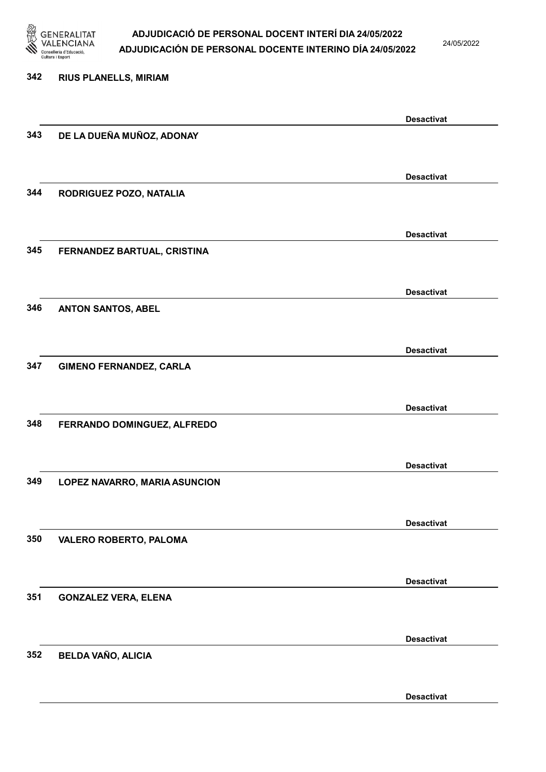

24/05/2022

Desactivat

# 342 RIUS PLANELLS, MIRIAM Desactivat 343 DE LA DUEÑA MUÑOZ, ADONAY Desactivat 344 RODRIGUEZ POZO, NATALIA Desactivat 345 FERNANDEZ BARTUAL, CRISTINA Desactivat 346 ANTON SANTOS, ABEL Desactivat 347 GIMENO FERNANDEZ, CARLA Desactivat 348 FERRANDO DOMINGUEZ, ALFREDO Desactivat 349 LOPEZ NAVARRO, MARIA ASUNCION Desactivat 350 VALERO ROBERTO, PALOMA Desactivat 351 GONZALEZ VERA, ELENA Desactivat 352 BELDA VAÑO, ALICIA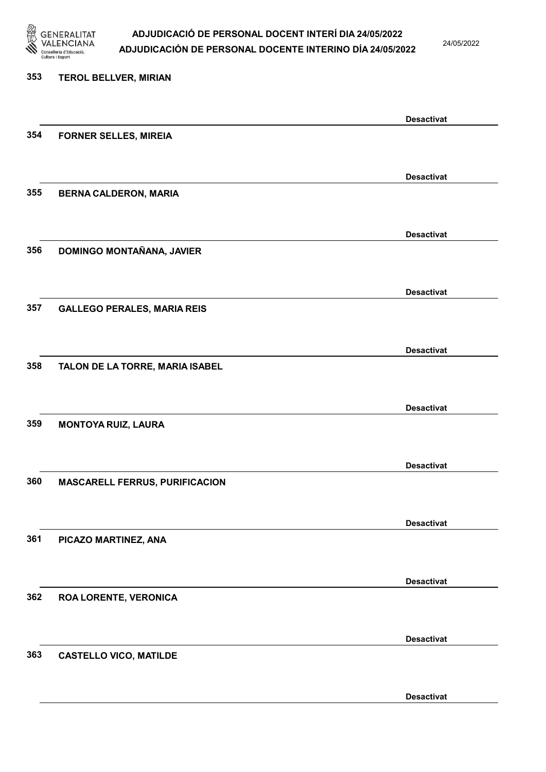

24/05/2022

Desactivat

# 353 TEROL BELLVER, MIRIAN Desactivat 354 FORNER SELLES, MIREIA Desactivat 355 BERNA CALDERON, MARIA Desactivat 356 DOMINGO MONTAÑANA, JAVIER Desactivat 357 GALLEGO PERALES, MARIA REIS Desactivat 358 TALON DE LA TORRE, MARIA ISABEL Desactivat 359 MONTOYA RUIZ, LAURA Desactivat 360 MASCARELL FERRUS, PURIFICACION Desactivat 361 PICAZO MARTINEZ, ANA Desactivat 362 ROA LORENTE, VERONICA Desactivat 363 CASTELLO VICO, MATILDE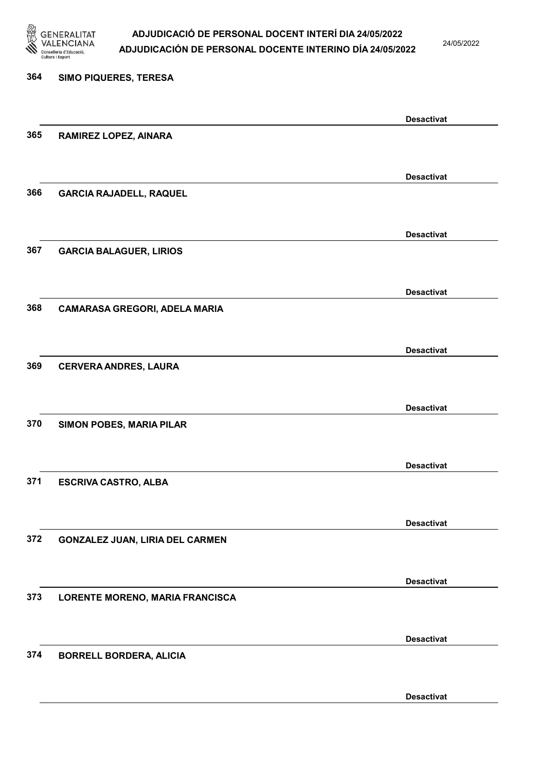

24/05/2022

Desactivat

# 364 SIMO PIQUERES, TERESA Desactivat 365 RAMIREZ LOPEZ, AINARA Desactivat 366 GARCIA RAJADELL, RAQUEL Desactivat 367 GARCIA BALAGUER, LIRIOS Desactivat 368 CAMARASA GREGORI, ADELA MARIA Desactivat 369 CERVERA ANDRES, LAURA Desactivat 370 SIMON POBES, MARIA PILAR Desactivat 371 ESCRIVA CASTRO, ALBA Desactivat 372 GONZALEZ JUAN, LIRIA DEL CARMEN Desactivat 373 LORENTE MORENO, MARIA FRANCISCA Desactivat 374 BORRELL BORDERA, ALICIA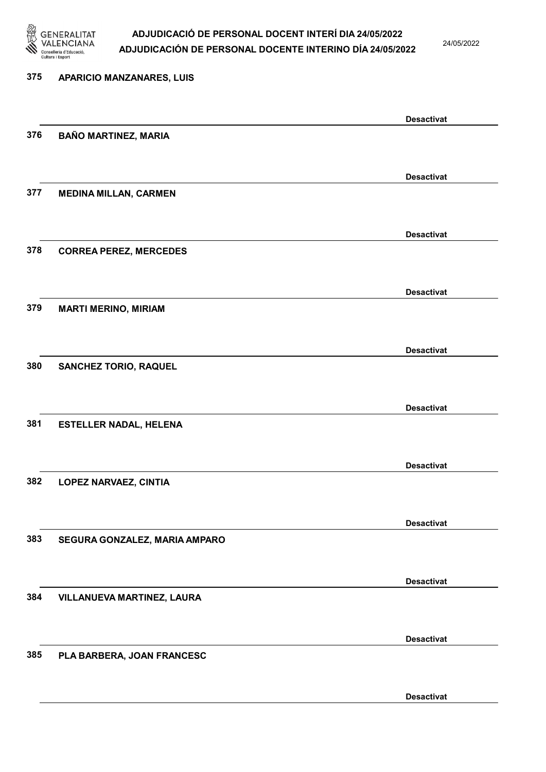

24/05/2022

Desactivat

# 375 APARICIO MANZANARES, LUIS Desactivat 376 BAÑO MARTINEZ, MARIA Desactivat 377 MEDINA MILLAN, CARMEN Desactivat 378 CORREA PEREZ, MERCEDES Desactivat 379 MARTI MERINO, MIRIAM Desactivat 380 SANCHEZ TORIO, RAQUEL Desactivat 381 ESTELLER NADAL, HELENA Desactivat 382 LOPEZ NARVAEZ, CINTIA Desactivat 383 SEGURA GONZALEZ, MARIA AMPARO Desactivat 384 VILLANUEVA MARTINEZ, LAURA Desactivat 385 PLA BARBERA, JOAN FRANCESC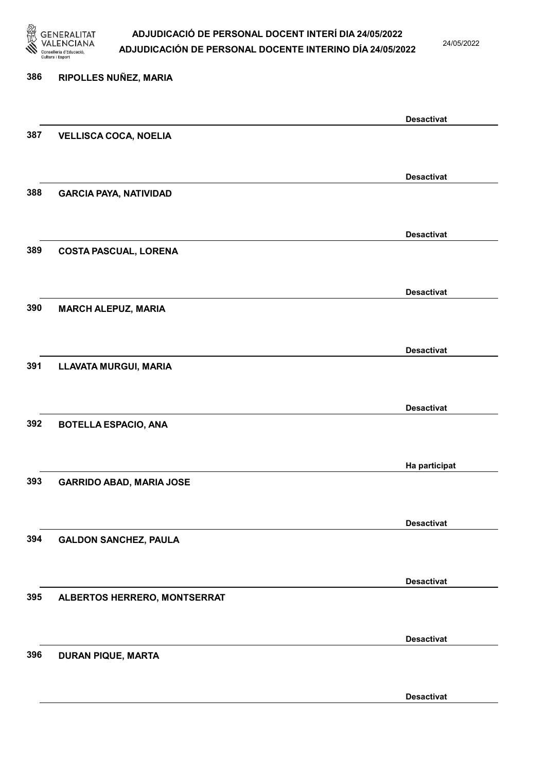

24/05/2022

Desactivat

# 386 RIPOLLES NUÑEZ, MARIA Desactivat 387 VELLISCA COCA, NOELIA Desactivat 388 GARCIA PAYA, NATIVIDAD Desactivat 389 COSTA PASCUAL, LORENA Desactivat 390 MARCH ALEPUZ, MARIA Desactivat 391 LLAVATA MURGUI, MARIA Desactivat 392 BOTELLA ESPACIO, ANA Ha participat 393 GARRIDO ABAD, MARIA JOSE Desactivat 394 GALDON SANCHEZ, PAULA Desactivat 395 ALBERTOS HERRERO, MONTSERRAT Desactivat 396 DURAN PIQUE, MARTA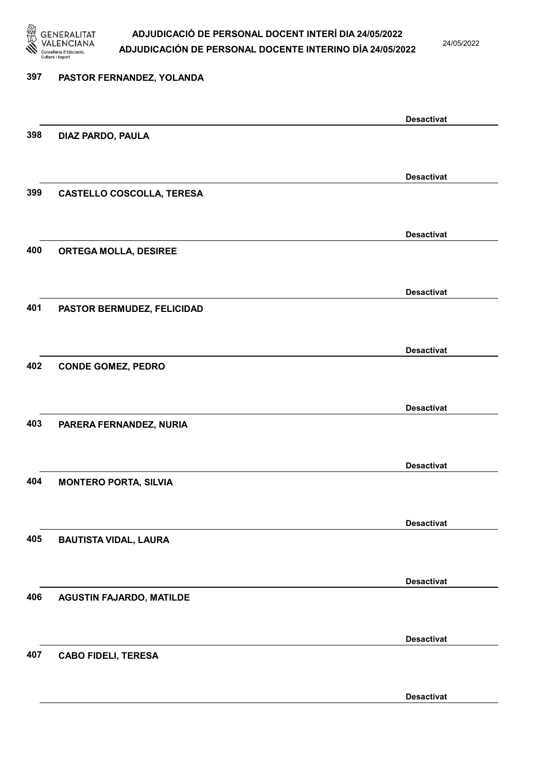

24/05/2022

Desactivat

### 397 PASTOR FERNANDEZ, YOLANDA Desactivat 398 DIAZ PARDO, PAULA Desactivat 399 CASTELLO COSCOLLA, TERESA Desactivat 400 ORTEGA MOLLA, DESIREE Desactivat 401 PASTOR BERMUDEZ, FELICIDAD Desactivat 402 CONDE GOMEZ, PEDRO Desactivat 403 PARERA FERNANDEZ, NURIA Desactivat 404 MONTERO PORTA, SILVIA Desactivat 405 BAUTISTA VIDAL, LAURA Desactivat 406 AGUSTIN FAJARDO, MATILDE Desactivat 407 CABO FIDELI, TERESA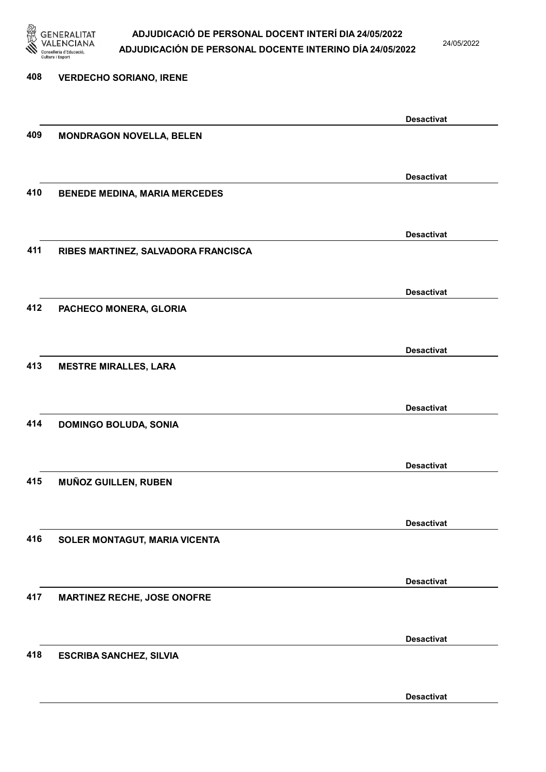

24/05/2022

Desactivat

# 408 VERDECHO SORIANO, IRENE Desactivat 409 MONDRAGON NOVELLA, BELEN Desactivat 410 BENEDE MEDINA, MARIA MERCEDES Desactivat 411 RIBES MARTINEZ, SALVADORA FRANCISCA Desactivat 412 PACHECO MONERA, GLORIA Desactivat 413 MESTRE MIRALLES, LARA Desactivat 414 DOMINGO BOLUDA, SONIA Desactivat 415 MUÑOZ GUILLEN, RUBEN Desactivat 416 SOLER MONTAGUT, MARIA VICENTA Desactivat 417 MARTINEZ RECHE, JOSE ONOFRE Desactivat 418 ESCRIBA SANCHEZ, SILVIA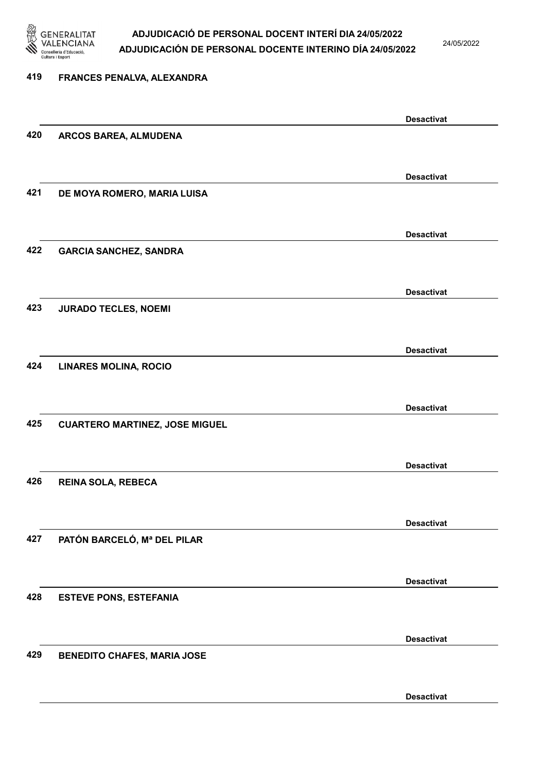

419 FRANCES PENALVA, ALEXANDRA

### ADJUDICACIÓ DE PERSONAL DOCENT INTERÍ DIA 24/05/2022 ADJUDICACIÓN DE PERSONAL DOCENTE INTERINO DÍA 24/05/2022

24/05/2022

## Desactivat 420 ARCOS BAREA, ALMUDENA Desactivat 421 DE MOYA ROMERO, MARIA LUISA Desactivat 422 GARCIA SANCHEZ, SANDRA Desactivat 423 JURADO TECLES, NOEMI Desactivat 424 LINARES MOLINA, ROCIO Desactivat 425 CUARTERO MARTINEZ, JOSE MIGUEL Desactivat 426 REINA SOLA, REBECA Desactivat 427 PATÓN BARCELÓ, Mª DEL PILAR Desactivat 428 ESTEVE PONS, ESTEFANIA Desactivat 429 BENEDITO CHAFES, MARIA JOSE

Desactivat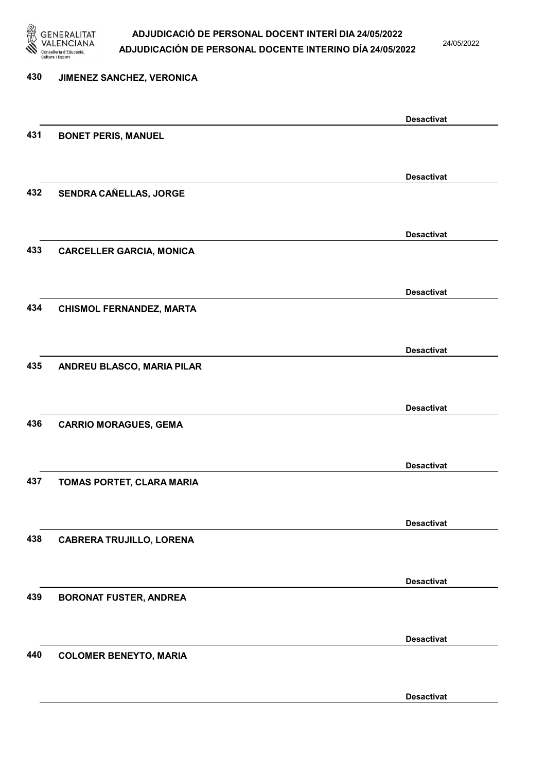

24/05/2022

Desactivat

# 430 JIMENEZ SANCHEZ, VERONICA Desactivat 431 BONET PERIS, MANUEL Desactivat 432 SENDRA CAÑELLAS, JORGE Desactivat 433 CARCELLER GARCIA, MONICA Desactivat 434 CHISMOL FERNANDEZ, MARTA Desactivat 435 ANDREU BLASCO, MARIA PILAR Desactivat 436 CARRIO MORAGUES, GEMA Desactivat 437 TOMAS PORTET, CLARA MARIA Desactivat 438 CABRERA TRUJILLO, LORENA Desactivat 439 BORONAT FUSTER, ANDREA Desactivat 440 COLOMER BENEYTO, MARIA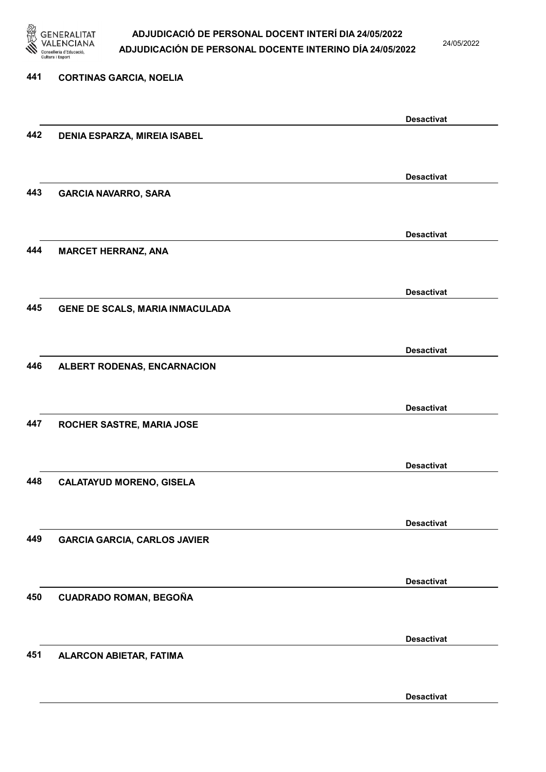

24/05/2022

| 441 | <b>CORTINAS GARCIA, NOELIA</b>      |                   |
|-----|-------------------------------------|-------------------|
|     |                                     |                   |
|     |                                     | <b>Desactivat</b> |
| 442 | <b>DENIA ESPARZA, MIREIA ISABEL</b> |                   |
|     |                                     |                   |
|     |                                     | <b>Desactivat</b> |
| 443 | <b>GARCIA NAVARRO, SARA</b>         |                   |
|     |                                     |                   |
|     |                                     | <b>Desactivat</b> |
| 444 | <b>MARCET HERRANZ, ANA</b>          |                   |
|     |                                     |                   |
|     |                                     | <b>Desactivat</b> |
| 445 | GENE DE SCALS, MARIA INMACULADA     |                   |
|     |                                     |                   |
|     |                                     | <b>Desactivat</b> |
| 446 | ALBERT RODENAS, ENCARNACION         |                   |
|     |                                     |                   |
|     |                                     | <b>Desactivat</b> |
| 447 | ROCHER SASTRE, MARIA JOSE           |                   |
|     |                                     |                   |
|     |                                     | <b>Desactivat</b> |
| 448 | <b>CALATAYUD MORENO, GISELA</b>     |                   |
|     |                                     |                   |
|     |                                     | <b>Desactivat</b> |
| 449 | <b>GARCIA GARCIA, CARLOS JAVIER</b> |                   |
|     |                                     |                   |
|     |                                     | <b>Desactivat</b> |
| 450 | CUADRADO ROMAN, BEGOÑA              |                   |
|     |                                     |                   |
|     |                                     | <b>Desactivat</b> |
| 451 | <b>ALARCON ABIETAR, FATIMA</b>      |                   |
|     |                                     |                   |

Desactivat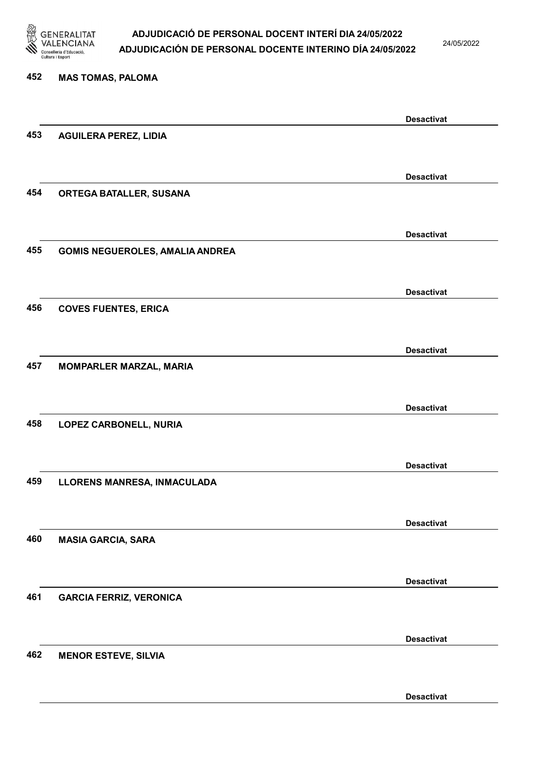

24/05/2022

Desactivat

# 452 MAS TOMAS, PALOMA Desactivat 453 AGUILERA PEREZ, LIDIA Desactivat 454 ORTEGA BATALLER, SUSANA Desactivat 455 GOMIS NEGUEROLES, AMALIA ANDREA Desactivat 456 COVES FUENTES, ERICA Desactivat 457 MOMPARLER MARZAL, MARIA Desactivat 458 LOPEZ CARBONELL, NURIA Desactivat 459 LLORENS MANRESA, INMACULADA Desactivat 460 MASIA GARCIA, SARA Desactivat 461 GARCIA FERRIZ, VERONICA Desactivat 462 MENOR ESTEVE, SILVIA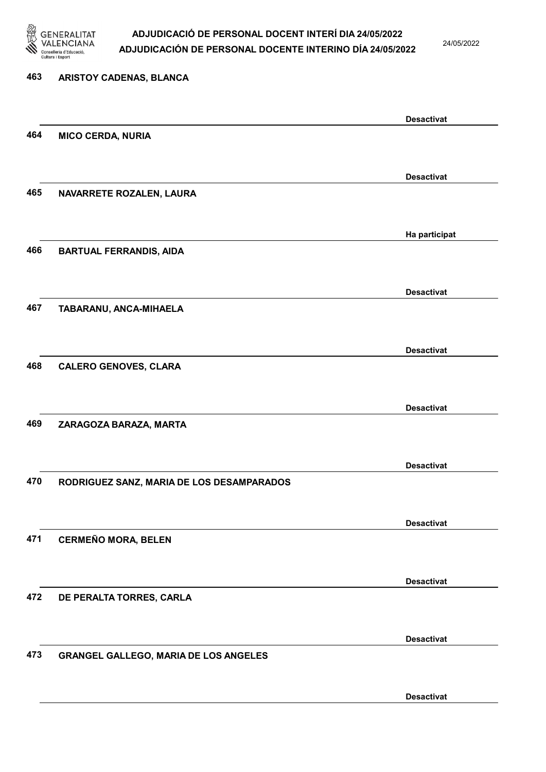

24/05/2022

#### 463 ARISTOY CADENAS, BLANCA

| 464<br><b>MICO CERDA, NURIA</b><br><b>Desactivat</b><br>465<br>NAVARRETE ROZALEN, LAURA<br>Ha participat<br>466<br><b>BARTUAL FERRANDIS, AIDA</b><br><b>Desactivat</b><br>467<br>TABARANU, ANCA-MIHAELA<br><b>Desactivat</b><br>468<br><b>CALERO GENOVES, CLARA</b><br><b>Desactivat</b><br>469<br>ZARAGOZA BARAZA, MARTA<br><b>Desactivat</b><br>470<br>RODRIGUEZ SANZ, MARIA DE LOS DESAMPARADOS<br><b>Desactivat</b><br><b>CERMEÑO MORA, BELEN</b><br>471 |  |                   |
|--------------------------------------------------------------------------------------------------------------------------------------------------------------------------------------------------------------------------------------------------------------------------------------------------------------------------------------------------------------------------------------------------------------------------------------------------------------|--|-------------------|
|                                                                                                                                                                                                                                                                                                                                                                                                                                                              |  | <b>Desactivat</b> |
|                                                                                                                                                                                                                                                                                                                                                                                                                                                              |  |                   |
|                                                                                                                                                                                                                                                                                                                                                                                                                                                              |  |                   |
|                                                                                                                                                                                                                                                                                                                                                                                                                                                              |  |                   |
|                                                                                                                                                                                                                                                                                                                                                                                                                                                              |  |                   |
|                                                                                                                                                                                                                                                                                                                                                                                                                                                              |  |                   |
|                                                                                                                                                                                                                                                                                                                                                                                                                                                              |  |                   |
|                                                                                                                                                                                                                                                                                                                                                                                                                                                              |  |                   |
|                                                                                                                                                                                                                                                                                                                                                                                                                                                              |  |                   |
|                                                                                                                                                                                                                                                                                                                                                                                                                                                              |  |                   |
|                                                                                                                                                                                                                                                                                                                                                                                                                                                              |  |                   |
|                                                                                                                                                                                                                                                                                                                                                                                                                                                              |  |                   |
|                                                                                                                                                                                                                                                                                                                                                                                                                                                              |  |                   |
|                                                                                                                                                                                                                                                                                                                                                                                                                                                              |  |                   |
|                                                                                                                                                                                                                                                                                                                                                                                                                                                              |  |                   |
|                                                                                                                                                                                                                                                                                                                                                                                                                                                              |  |                   |
|                                                                                                                                                                                                                                                                                                                                                                                                                                                              |  |                   |
|                                                                                                                                                                                                                                                                                                                                                                                                                                                              |  |                   |
|                                                                                                                                                                                                                                                                                                                                                                                                                                                              |  |                   |
|                                                                                                                                                                                                                                                                                                                                                                                                                                                              |  |                   |
|                                                                                                                                                                                                                                                                                                                                                                                                                                                              |  |                   |
|                                                                                                                                                                                                                                                                                                                                                                                                                                                              |  |                   |
|                                                                                                                                                                                                                                                                                                                                                                                                                                                              |  |                   |
|                                                                                                                                                                                                                                                                                                                                                                                                                                                              |  |                   |
|                                                                                                                                                                                                                                                                                                                                                                                                                                                              |  |                   |
|                                                                                                                                                                                                                                                                                                                                                                                                                                                              |  |                   |
|                                                                                                                                                                                                                                                                                                                                                                                                                                                              |  |                   |
|                                                                                                                                                                                                                                                                                                                                                                                                                                                              |  |                   |
|                                                                                                                                                                                                                                                                                                                                                                                                                                                              |  |                   |
|                                                                                                                                                                                                                                                                                                                                                                                                                                                              |  |                   |
|                                                                                                                                                                                                                                                                                                                                                                                                                                                              |  |                   |
|                                                                                                                                                                                                                                                                                                                                                                                                                                                              |  |                   |
|                                                                                                                                                                                                                                                                                                                                                                                                                                                              |  |                   |
|                                                                                                                                                                                                                                                                                                                                                                                                                                                              |  | <b>Desactivat</b> |
|                                                                                                                                                                                                                                                                                                                                                                                                                                                              |  |                   |
| 472                                                                                                                                                                                                                                                                                                                                                                                                                                                          |  |                   |
| DE PERALTA TORRES, CARLA                                                                                                                                                                                                                                                                                                                                                                                                                                     |  |                   |
|                                                                                                                                                                                                                                                                                                                                                                                                                                                              |  |                   |
| <b>Desactivat</b>                                                                                                                                                                                                                                                                                                                                                                                                                                            |  |                   |
|                                                                                                                                                                                                                                                                                                                                                                                                                                                              |  |                   |
| 473<br><b>GRANGEL GALLEGO, MARIA DE LOS ANGELES</b>                                                                                                                                                                                                                                                                                                                                                                                                          |  |                   |
|                                                                                                                                                                                                                                                                                                                                                                                                                                                              |  |                   |
|                                                                                                                                                                                                                                                                                                                                                                                                                                                              |  |                   |
|                                                                                                                                                                                                                                                                                                                                                                                                                                                              |  |                   |
|                                                                                                                                                                                                                                                                                                                                                                                                                                                              |  |                   |
|                                                                                                                                                                                                                                                                                                                                                                                                                                                              |  |                   |
|                                                                                                                                                                                                                                                                                                                                                                                                                                                              |  |                   |
|                                                                                                                                                                                                                                                                                                                                                                                                                                                              |  |                   |
|                                                                                                                                                                                                                                                                                                                                                                                                                                                              |  |                   |
|                                                                                                                                                                                                                                                                                                                                                                                                                                                              |  |                   |
|                                                                                                                                                                                                                                                                                                                                                                                                                                                              |  |                   |
|                                                                                                                                                                                                                                                                                                                                                                                                                                                              |  |                   |
|                                                                                                                                                                                                                                                                                                                                                                                                                                                              |  |                   |
|                                                                                                                                                                                                                                                                                                                                                                                                                                                              |  | <b>Desactivat</b> |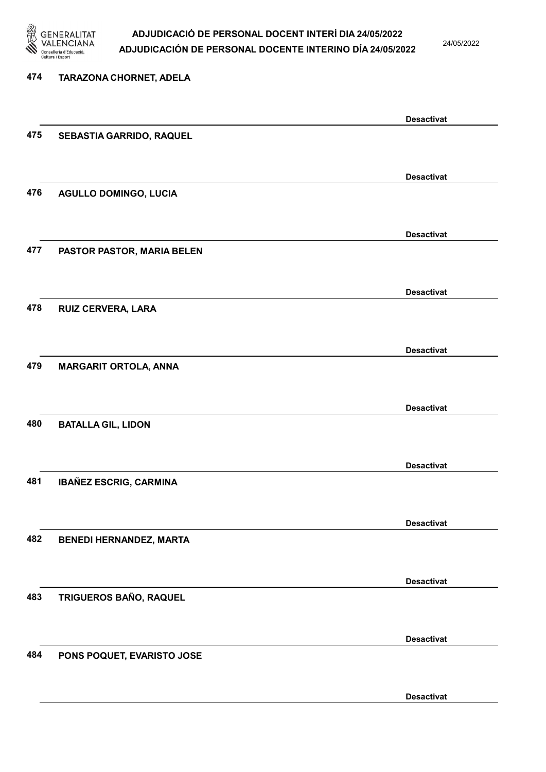

24/05/2022

Desactivat

# 474 TARAZONA CHORNET, ADELA Desactivat 475 SEBASTIA GARRIDO, RAQUEL Desactivat 476 AGULLO DOMINGO, LUCIA Desactivat 477 PASTOR PASTOR, MARIA BELEN Desactivat 478 RUIZ CERVERA, LARA Desactivat 479 MARGARIT ORTOLA, ANNA Desactivat 480 BATALLA GIL, LIDON Desactivat 481 IBAÑEZ ESCRIG, CARMINA Desactivat 482 BENEDI HERNANDEZ, MARTA Desactivat 483 TRIGUEROS BAÑO, RAQUEL Desactivat 484 PONS POQUET, EVARISTO JOSE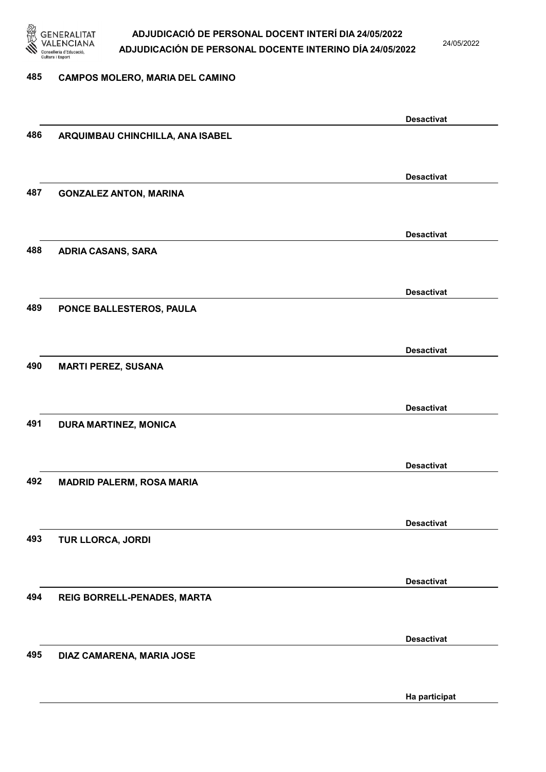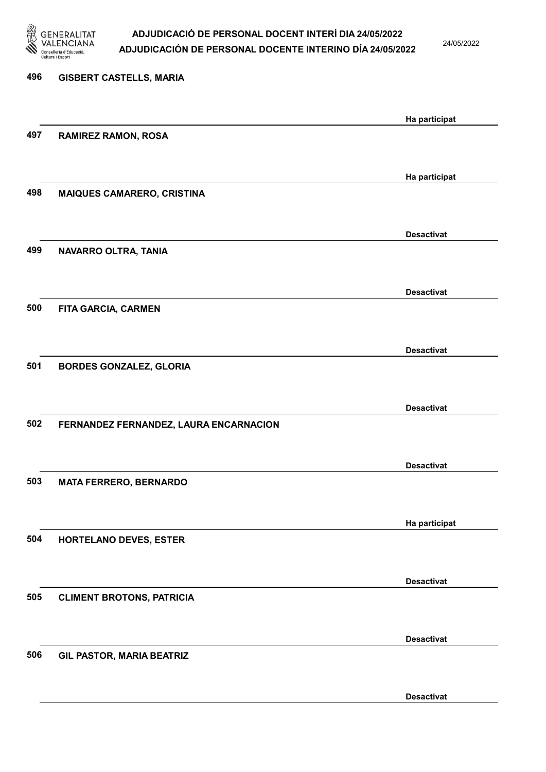

24/05/2022

Desactivat

# 496 GISBERT CASTELLS, MARIA Ha participat 497 RAMIREZ RAMON, ROSA Ha participat 498 MAIQUES CAMARERO, CRISTINA Desactivat 499 NAVARRO OLTRA, TANIA Desactivat 500 FITA GARCIA, CARMEN Desactivat 501 BORDES GONZALEZ, GLORIA Desactivat 502 FERNANDEZ FERNANDEZ, LAURA ENCARNACION Desactivat 503 MATA FERRERO, BERNARDO Ha participat 504 HORTELANO DEVES, ESTER Desactivat 505 CLIMENT BROTONS, PATRICIA Desactivat 506 GIL PASTOR, MARIA BEATRIZ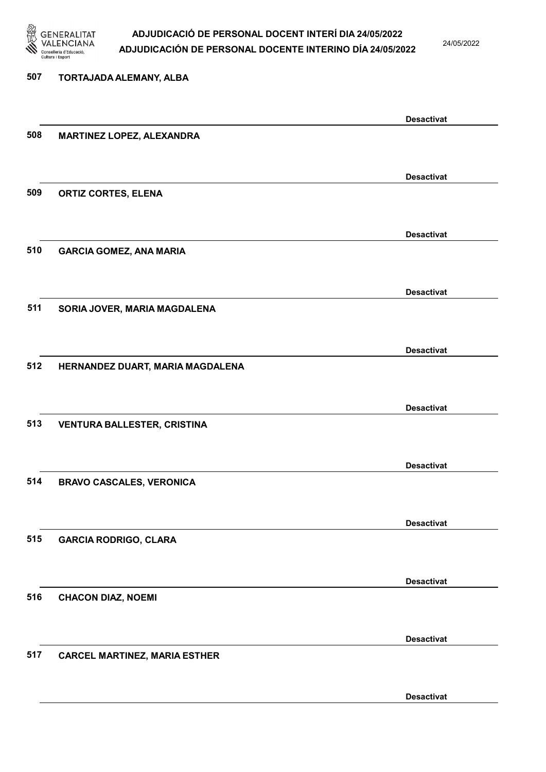

507 TORTAJADA ALEMANY, ALBA

### ADJUDICACIÓ DE PERSONAL DOCENT INTERÍ DIA 24/05/2022 ADJUDICACIÓN DE PERSONAL DOCENTE INTERINO DÍA 24/05/2022

24/05/2022

### Desactivat 508 MARTINEZ LOPEZ, ALEXANDRA Desactivat 509 ORTIZ CORTES, ELENA Desactivat 510 GARCIA GOMEZ, ANA MARIA Desactivat 511 SORIA JOVER, MARIA MAGDALENA Desactivat 512 HERNANDEZ DUART, MARIA MAGDALENA Desactivat 513 VENTURA BALLESTER, CRISTINA Desactivat 514 BRAVO CASCALES, VERONICA Desactivat 515 GARCIA RODRIGO, CLARA Desactivat 516 CHACON DIAZ, NOEMI Desactivat

#### 517 CARCEL MARTINEZ, MARIA ESTHER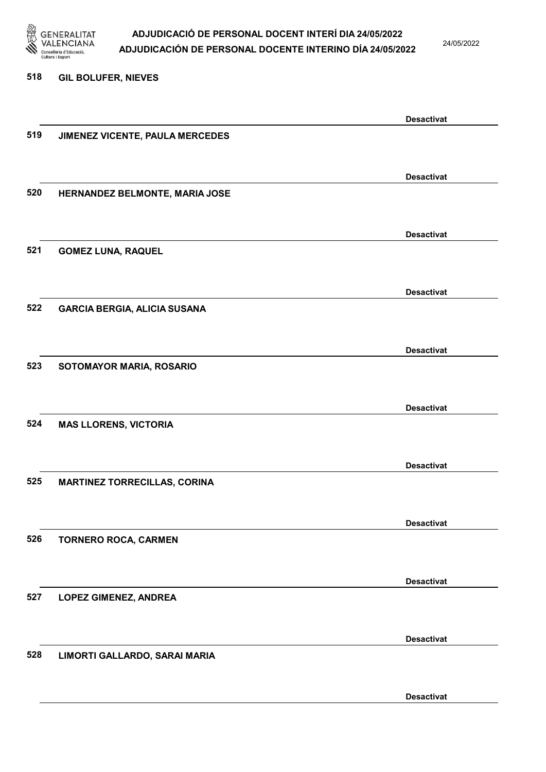

24/05/2022

#### 518 GIL BOLUFER, NIEVES

|     |                                     | <b>Desactivat</b> |
|-----|-------------------------------------|-------------------|
| 519 | JIMENEZ VICENTE, PAULA MERCEDES     |                   |
|     |                                     |                   |
|     |                                     |                   |
|     |                                     | <b>Desactivat</b> |
| 520 | HERNANDEZ BELMONTE, MARIA JOSE      |                   |
|     |                                     |                   |
|     |                                     |                   |
|     |                                     | <b>Desactivat</b> |
| 521 | <b>GOMEZ LUNA, RAQUEL</b>           |                   |
|     |                                     |                   |
|     |                                     |                   |
|     |                                     | <b>Desactivat</b> |
| 522 | <b>GARCIA BERGIA, ALICIA SUSANA</b> |                   |
|     |                                     |                   |
|     |                                     | <b>Desactivat</b> |
| 523 |                                     |                   |
|     | SOTOMAYOR MARIA, ROSARIO            |                   |
|     |                                     |                   |
|     |                                     | <b>Desactivat</b> |
| 524 | <b>MAS LLORENS, VICTORIA</b>        |                   |
|     |                                     |                   |
|     |                                     |                   |
|     |                                     | <b>Desactivat</b> |
| 525 | <b>MARTINEZ TORRECILLAS, CORINA</b> |                   |
|     |                                     |                   |
|     |                                     |                   |
|     |                                     | <b>Desactivat</b> |
| 526 | <b>TORNERO ROCA, CARMEN</b>         |                   |
|     |                                     |                   |
|     |                                     |                   |
|     |                                     | <b>Desactivat</b> |
| 527 | <b>LOPEZ GIMENEZ, ANDREA</b>        |                   |
|     |                                     |                   |
|     |                                     | <b>Desactivat</b> |
| 528 |                                     |                   |
|     | LIMORTI GALLARDO, SARAI MARIA       |                   |
|     |                                     |                   |
|     |                                     | <b>Desactivat</b> |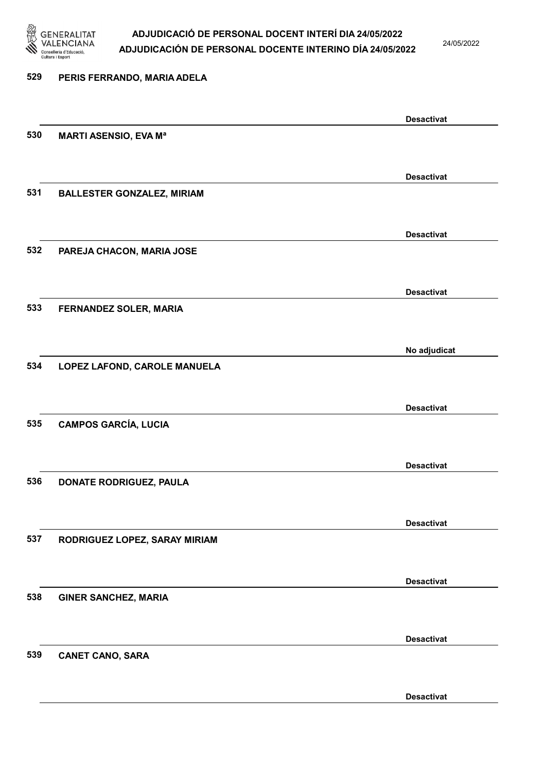

24/05/2022

Desactivat

# 529 PERIS FERRANDO, MARIA ADELA Desactivat 530 MARTI ASENSIO, EVA Mª Desactivat 531 BALLESTER GONZALEZ, MIRIAM Desactivat 532 PAREJA CHACON, MARIA JOSE Desactivat 533 FERNANDEZ SOLER, MARIA No adjudicat 534 LOPEZ LAFOND, CAROLE MANUELA Desactivat 535 CAMPOS GARCÍA, LUCIA Desactivat 536 DONATE RODRIGUEZ, PAULA Desactivat 537 RODRIGUEZ LOPEZ, SARAY MIRIAM Desactivat 538 GINER SANCHEZ, MARIA Desactivat 539 CANET CANO, SARA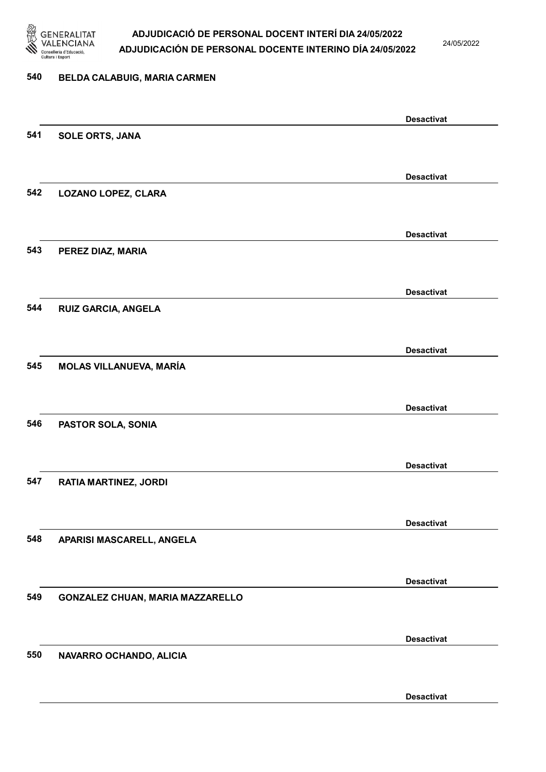

24/05/2022

Desactivat

# 540 BELDA CALABUIG, MARIA CARMEN Desactivat 541 SOLE ORTS, JANA Desactivat 542 LOZANO LOPEZ, CLARA Desactivat 543 PEREZ DIAZ, MARIA Desactivat 544 RUIZ GARCIA, ANGELA Desactivat 545 MOLAS VILLANUEVA, MARÍA Desactivat 546 PASTOR SOLA, SONIA Desactivat 547 RATIA MARTINEZ, JORDI Desactivat 548 APARISI MASCARELL, ANGELA Desactivat 549 GONZALEZ CHUAN, MARIA MAZZARELLO Desactivat 550 NAVARRO OCHANDO, ALICIA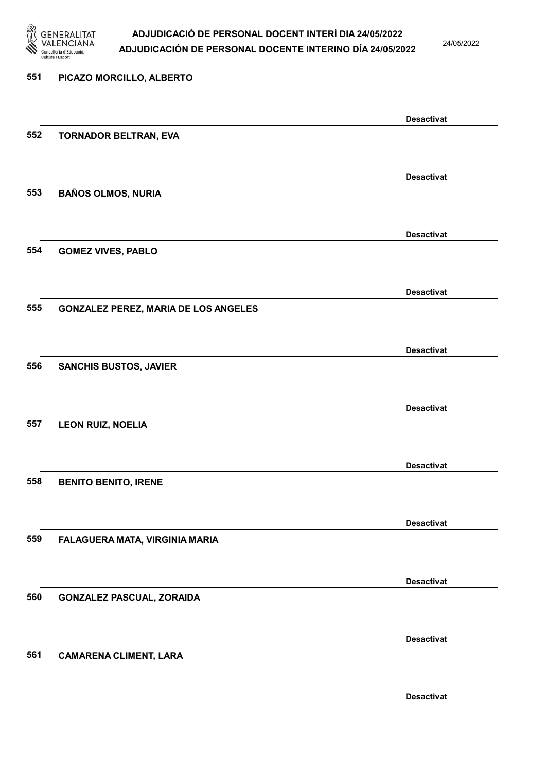

24/05/2022

Desactivat

# 551 PICAZO MORCILLO, ALBERTO Desactivat 552 TORNADOR BELTRAN, EVA Desactivat 553 BAÑOS OLMOS, NURIA Desactivat 554 GOMEZ VIVES, PABLO Desactivat 555 GONZALEZ PEREZ, MARIA DE LOS ANGELES Desactivat 556 SANCHIS BUSTOS, JAVIER Desactivat 557 LEON RUIZ, NOELIA Desactivat 558 BENITO BENITO, IRENE Desactivat 559 FALAGUERA MATA, VIRGINIA MARIA Desactivat 560 GONZALEZ PASCUAL, ZORAIDA Desactivat 561 CAMARENA CLIMENT, LARA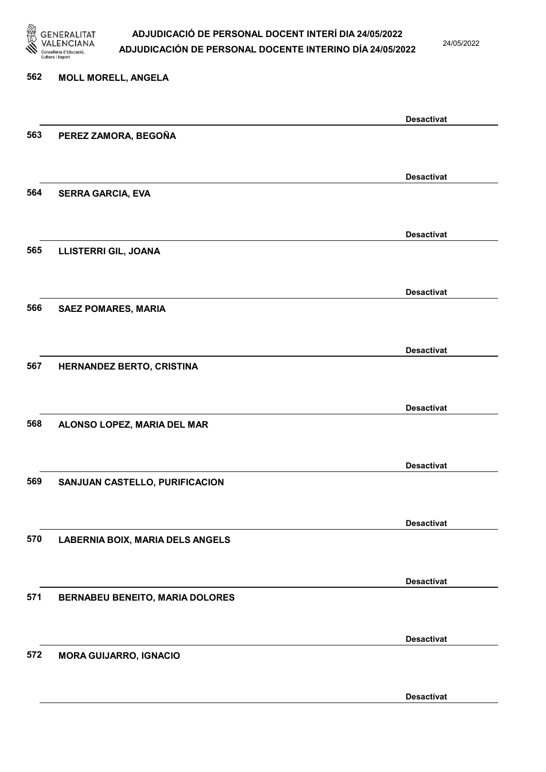

24/05/2022

#### 562 MOLL MORELL, ANGELA

|     |                                         | <b>Desactivat</b> |
|-----|-----------------------------------------|-------------------|
| 563 | PEREZ ZAMORA, BEGOÑA                    |                   |
|     |                                         |                   |
|     |                                         |                   |
|     |                                         | <b>Desactivat</b> |
| 564 | <b>SERRA GARCIA, EVA</b>                |                   |
|     |                                         |                   |
|     |                                         |                   |
|     |                                         | <b>Desactivat</b> |
| 565 | LLISTERRI GIL, JOANA                    |                   |
|     |                                         |                   |
|     |                                         |                   |
|     |                                         | <b>Desactivat</b> |
| 566 | <b>SAEZ POMARES, MARIA</b>              |                   |
|     |                                         |                   |
|     |                                         | <b>Desactivat</b> |
| 567 | HERNANDEZ BERTO, CRISTINA               |                   |
|     |                                         |                   |
|     |                                         |                   |
|     |                                         | <b>Desactivat</b> |
| 568 | ALONSO LOPEZ, MARIA DEL MAR             |                   |
|     |                                         |                   |
|     |                                         |                   |
|     |                                         | <b>Desactivat</b> |
| 569 | SANJUAN CASTELLO, PURIFICACION          |                   |
|     |                                         |                   |
|     |                                         |                   |
|     |                                         | <b>Desactivat</b> |
| 570 | <b>LABERNIA BOIX, MARIA DELS ANGELS</b> |                   |
|     |                                         |                   |
|     |                                         |                   |
|     |                                         | <b>Desactivat</b> |
| 571 | <b>BERNABEU BENEITO, MARIA DOLORES</b>  |                   |
|     |                                         |                   |
|     |                                         | <b>Desactivat</b> |
|     |                                         |                   |
| 572 | <b>MORA GUIJARRO, IGNACIO</b>           |                   |
|     |                                         |                   |
|     |                                         | <b>Desactivat</b> |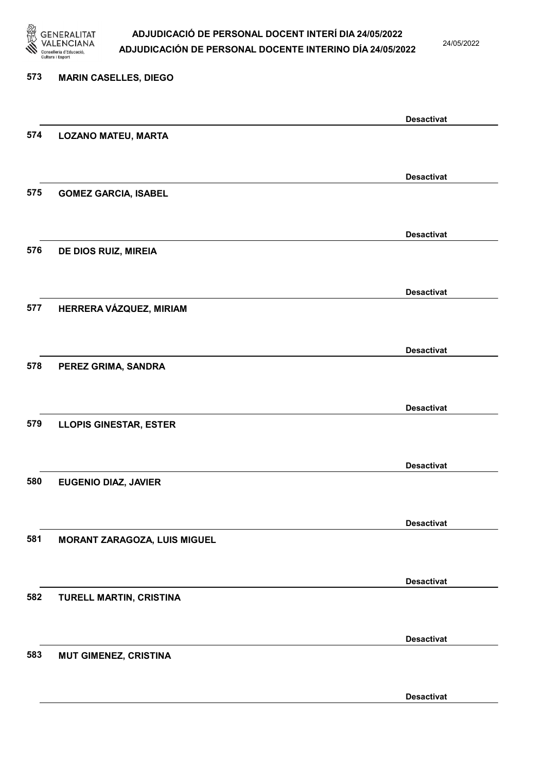

24/05/2022

Desactivat

# 573 MARIN CASELLES, DIEGO Desactivat 574 LOZANO MATEU, MARTA Desactivat 575 GOMEZ GARCIA, ISABEL Desactivat 576 DE DIOS RUIZ, MIREIA Desactivat 577 HERRERA VÁZQUEZ, MIRIAM Desactivat 578 PEREZ GRIMA, SANDRA Desactivat 579 LLOPIS GINESTAR, ESTER Desactivat 580 EUGENIO DIAZ, JAVIER Desactivat 581 MORANT ZARAGOZA, LUIS MIGUEL Desactivat 582 TURELL MARTIN, CRISTINA Desactivat 583 MUT GIMENEZ, CRISTINA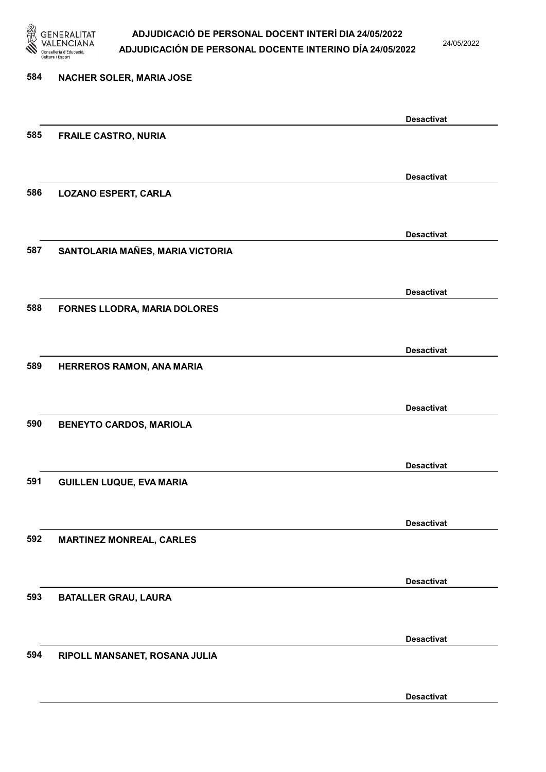

24/05/2022

Desactivat

# 584 NACHER SOLER, MARIA JOSE Desactivat 585 FRAILE CASTRO, NURIA Desactivat 586 LOZANO ESPERT, CARLA Desactivat 587 SANTOLARIA MAÑES, MARIA VICTORIA Desactivat 588 FORNES LLODRA, MARIA DOLORES Desactivat 589 HERREROS RAMON, ANA MARIA Desactivat 590 BENEYTO CARDOS, MARIOLA Desactivat 591 GUILLEN LUQUE, EVA MARIA Desactivat 592 MARTINEZ MONREAL, CARLES Desactivat 593 BATALLER GRAU, LAURA Desactivat 594 RIPOLL MANSANET, ROSANA JULIA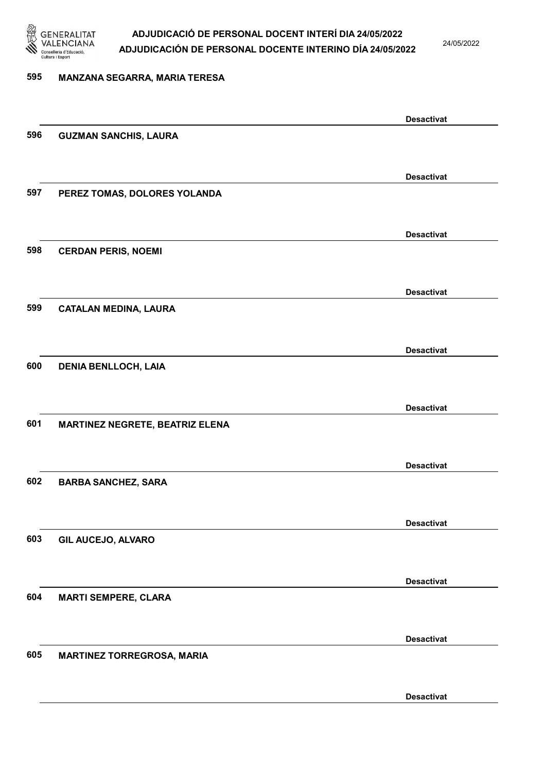

24/05/2022

### 595 MANZANA SEGARRA, MARIA TERESA

|     |                                        | <b>Desactivat</b> |
|-----|----------------------------------------|-------------------|
| 596 | <b>GUZMAN SANCHIS, LAURA</b>           |                   |
|     |                                        |                   |
|     |                                        | <b>Desactivat</b> |
| 597 | PEREZ TOMAS, DOLORES YOLANDA           |                   |
|     |                                        |                   |
|     |                                        |                   |
|     |                                        | <b>Desactivat</b> |
| 598 | <b>CERDAN PERIS, NOEMI</b>             |                   |
|     |                                        |                   |
|     |                                        | <b>Desactivat</b> |
| 599 | <b>CATALAN MEDINA, LAURA</b>           |                   |
|     |                                        |                   |
|     |                                        | <b>Desactivat</b> |
| 600 | <b>DENIA BENLLOCH, LAIA</b>            |                   |
|     |                                        |                   |
|     |                                        |                   |
|     |                                        | <b>Desactivat</b> |
| 601 | <b>MARTINEZ NEGRETE, BEATRIZ ELENA</b> |                   |
|     |                                        |                   |
|     |                                        | <b>Desactivat</b> |
| 602 | <b>BARBA SANCHEZ, SARA</b>             |                   |
|     |                                        |                   |
|     |                                        | <b>Desactivat</b> |
| 603 | GIL AUCEJO, ALVARO                     |                   |
|     |                                        |                   |
|     |                                        |                   |
|     |                                        | <b>Desactivat</b> |
| 604 | <b>MARTI SEMPERE, CLARA</b>            |                   |
|     |                                        |                   |
|     |                                        | <b>Desactivat</b> |
| 605 | <b>MARTINEZ TORREGROSA, MARIA</b>      |                   |
|     |                                        |                   |
|     |                                        | <b>Desactivat</b> |
|     |                                        |                   |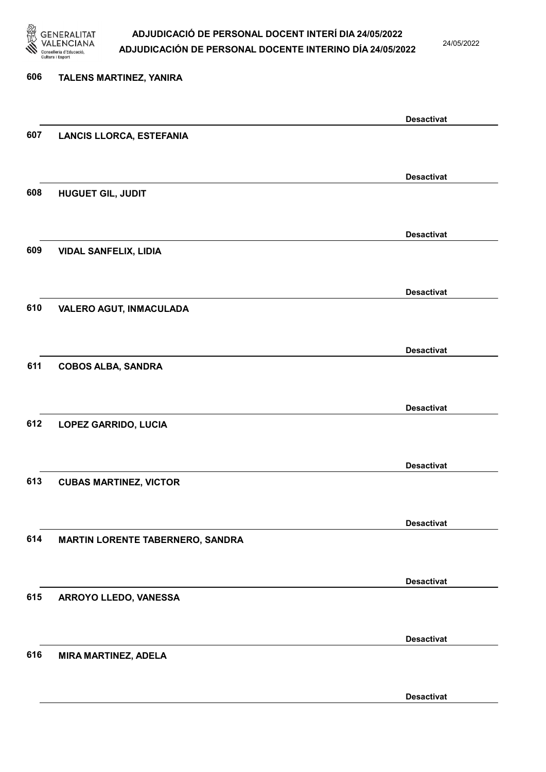

24/05/2022

Desactivat

# 606 TALENS MARTINEZ, YANIRA Desactivat 607 LANCIS LLORCA, ESTEFANIA Desactivat 608 HUGUET GIL, JUDIT Desactivat 609 VIDAL SANFELIX, LIDIA Desactivat 610 VALERO AGUT, INMACULADA Desactivat 611 COBOS ALBA, SANDRA Desactivat 612 LOPEZ GARRIDO, LUCIA Desactivat 613 CUBAS MARTINEZ, VICTOR Desactivat 614 MARTIN LORENTE TABERNERO, SANDRA Desactivat 615 ARROYO LLEDO, VANESSA Desactivat 616 MIRA MARTINEZ, ADELA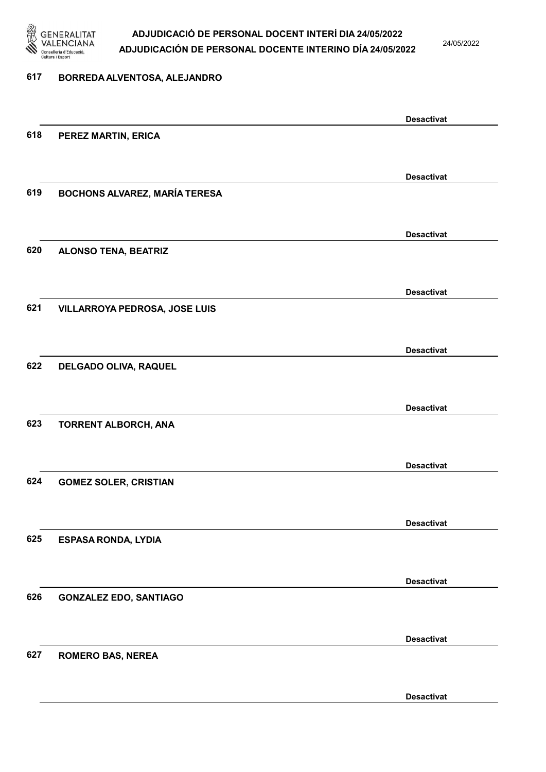

24/05/2022

#### 617 BORREDA ALVENTOSA, ALEJANDRO

|                                      | <b>Desactivat</b>                                                                                                               |
|--------------------------------------|---------------------------------------------------------------------------------------------------------------------------------|
| PEREZ MARTIN, ERICA                  |                                                                                                                                 |
|                                      |                                                                                                                                 |
|                                      | <b>Desactivat</b>                                                                                                               |
| <b>BOCHONS ALVAREZ, MARÍA TERESA</b> |                                                                                                                                 |
|                                      |                                                                                                                                 |
|                                      | <b>Desactivat</b>                                                                                                               |
|                                      |                                                                                                                                 |
|                                      |                                                                                                                                 |
|                                      | <b>Desactivat</b>                                                                                                               |
|                                      |                                                                                                                                 |
|                                      | <b>Desactivat</b>                                                                                                               |
| <b>DELGADO OLIVA, RAQUEL</b>         |                                                                                                                                 |
|                                      |                                                                                                                                 |
|                                      | <b>Desactivat</b>                                                                                                               |
| TORRENT ALBORCH, ANA                 |                                                                                                                                 |
|                                      |                                                                                                                                 |
|                                      | <b>Desactivat</b>                                                                                                               |
|                                      |                                                                                                                                 |
|                                      | <b>Desactivat</b>                                                                                                               |
| <b>ESPASA RONDA, LYDIA</b>           |                                                                                                                                 |
|                                      |                                                                                                                                 |
|                                      | <b>Desactivat</b>                                                                                                               |
| <b>GONZALEZ EDO, SANTIAGO</b>        |                                                                                                                                 |
|                                      |                                                                                                                                 |
|                                      | <b>Desactivat</b>                                                                                                               |
|                                      |                                                                                                                                 |
|                                      | <b>Desactivat</b>                                                                                                               |
|                                      | <b>ALONSO TENA, BEATRIZ</b><br><b>VILLARROYA PEDROSA, JOSE LUIS</b><br><b>GOMEZ SOLER, CRISTIAN</b><br><b>ROMERO BAS, NEREA</b> |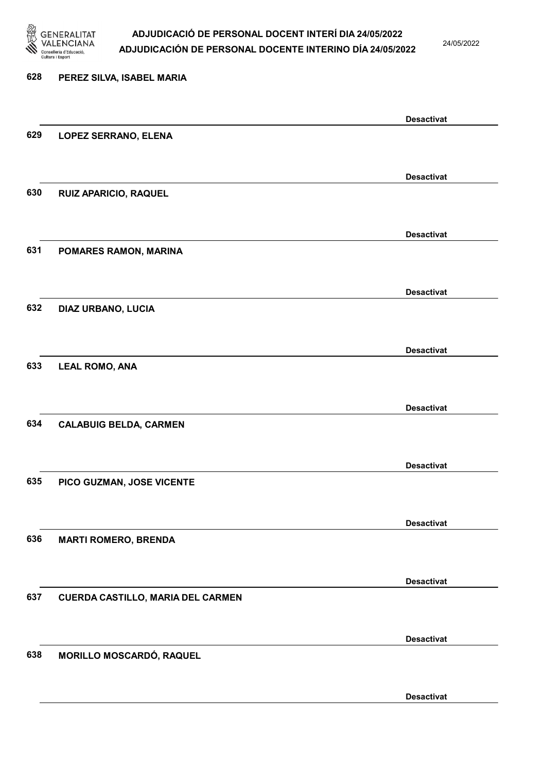

24/05/2022

Desactivat

# 628 PEREZ SILVA, ISABEL MARIA Desactivat 629 LOPEZ SERRANO, ELENA Desactivat 630 RUIZ APARICIO, RAQUEL Desactivat 631 POMARES RAMON, MARINA Desactivat 632 DIAZ URBANO, LUCIA Desactivat 633 LEAL ROMO, ANA Desactivat 634 CALABUIG BELDA, CARMEN Desactivat 635 PICO GUZMAN, JOSE VICENTE Desactivat 636 MARTI ROMERO, BRENDA Desactivat 637 CUERDA CASTILLO, MARIA DEL CARMEN Desactivat 638 MORILLO MOSCARDÓ, RAQUEL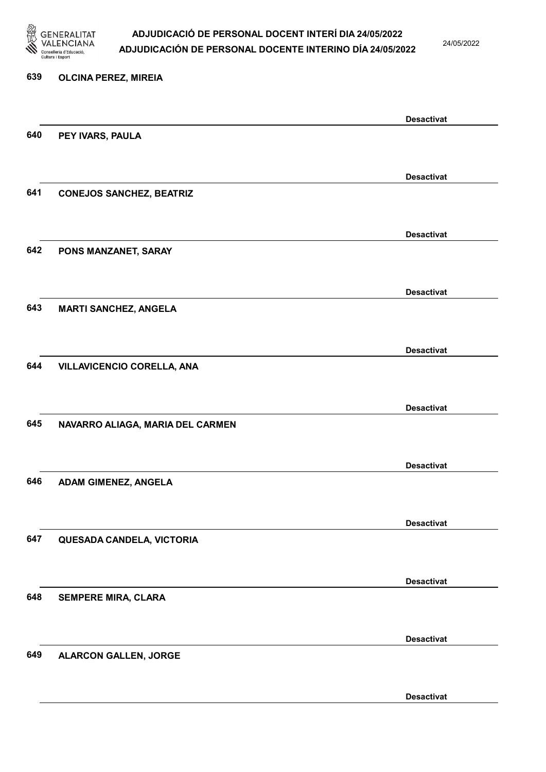

24/05/2022

Desactivat

# 639 OLCINA PEREZ, MIREIA Desactivat 640 PEY IVARS, PAULA Desactivat 641 CONEJOS SANCHEZ, BEATRIZ Desactivat 642 PONS MANZANET, SARAY Desactivat 643 MARTI SANCHEZ, ANGELA Desactivat 644 VILLAVICENCIO CORELLA, ANA Desactivat 645 NAVARRO ALIAGA, MARIA DEL CARMEN Desactivat 646 ADAM GIMENEZ, ANGELA Desactivat 647 QUESADA CANDELA, VICTORIA Desactivat 648 SEMPERE MIRA, CLARA Desactivat 649 ALARCON GALLEN, JORGE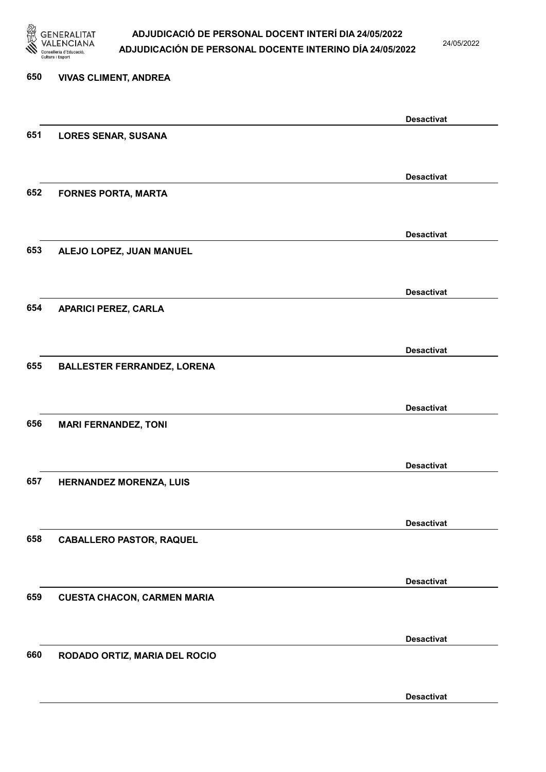

24/05/2022

Desactivat

# 650 VIVAS CLIMENT, ANDREA Desactivat 651 LORES SENAR, SUSANA Desactivat 652 FORNES PORTA, MARTA Desactivat 653 ALEJO LOPEZ, JUAN MANUEL Desactivat 654 APARICI PEREZ, CARLA Desactivat 655 BALLESTER FERRANDEZ, LORENA Desactivat 656 MARI FERNANDEZ, TONI Desactivat 657 HERNANDEZ MORENZA, LUIS Desactivat 658 CABALLERO PASTOR, RAQUEL Desactivat 659 CUESTA CHACON, CARMEN MARIA Desactivat 660 RODADO ORTIZ, MARIA DEL ROCIO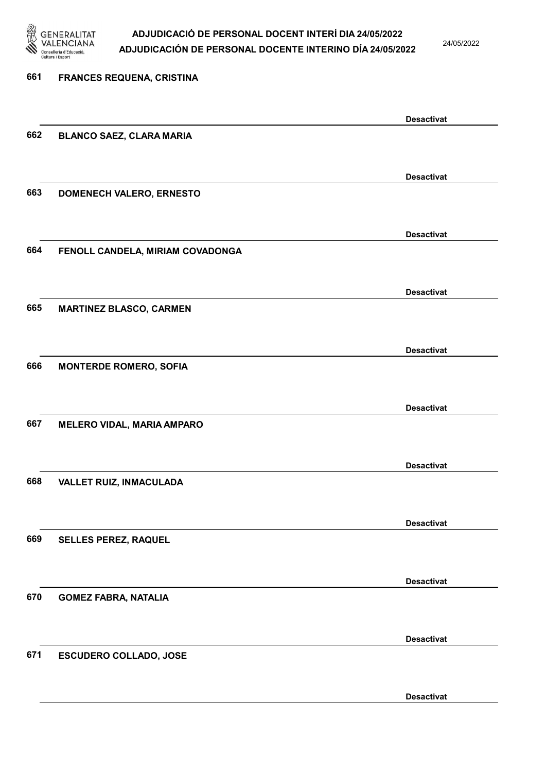

24/05/2022

| 661 | <b>FRANCES REQUENA, CRISTINA</b>  |                   |
|-----|-----------------------------------|-------------------|
|     |                                   | <b>Desactivat</b> |
| 662 | <b>BLANCO SAEZ, CLARA MARIA</b>   |                   |
|     |                                   | <b>Desactivat</b> |
| 663 | DOMENECH VALERO, ERNESTO          |                   |
|     |                                   | <b>Desactivat</b> |
| 664 | FENOLL CANDELA, MIRIAM COVADONGA  |                   |
|     |                                   | <b>Desactivat</b> |
| 665 | <b>MARTINEZ BLASCO, CARMEN</b>    |                   |
|     |                                   | <b>Desactivat</b> |
| 666 | <b>MONTERDE ROMERO, SOFIA</b>     |                   |
|     |                                   | <b>Desactivat</b> |
| 667 | <b>MELERO VIDAL, MARIA AMPARO</b> |                   |
|     |                                   | <b>Desactivat</b> |
| 668 | VALLET RUIZ, INMACULADA           |                   |
| 669 |                                   | <b>Desactivat</b> |
|     | SELLES PEREZ, RAQUEL              |                   |
| 670 | <b>GOMEZ FABRA, NATALIA</b>       | <b>Desactivat</b> |
|     |                                   |                   |
| 671 | <b>ESCUDERO COLLADO, JOSE</b>     | <b>Desactivat</b> |
|     |                                   |                   |
|     |                                   | <b>Desactivat</b> |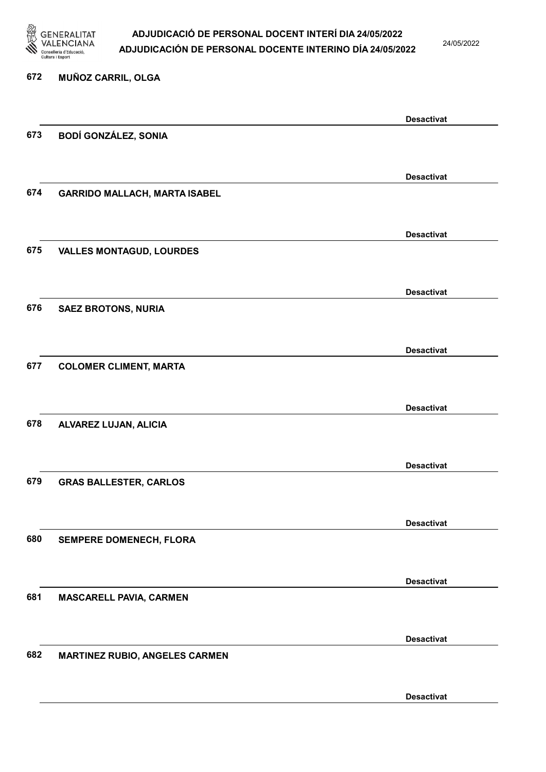

24/05/2022

Desactivat

# 672 MUÑOZ CARRIL, OLGA Desactivat 673 BODÍ GONZÁLEZ, SONIA Desactivat 674 GARRIDO MALLACH, MARTA ISABEL Desactivat 675 VALLES MONTAGUD, LOURDES Desactivat 676 SAEZ BROTONS, NURIA Desactivat 677 COLOMER CLIMENT, MARTA Desactivat 678 ALVAREZ LUJAN, ALICIA Desactivat 679 GRAS BALLESTER, CARLOS Desactivat 680 SEMPERE DOMENECH, FLORA Desactivat 681 MASCARELL PAVIA, CARMEN Desactivat 682 MARTINEZ RUBIO, ANGELES CARMEN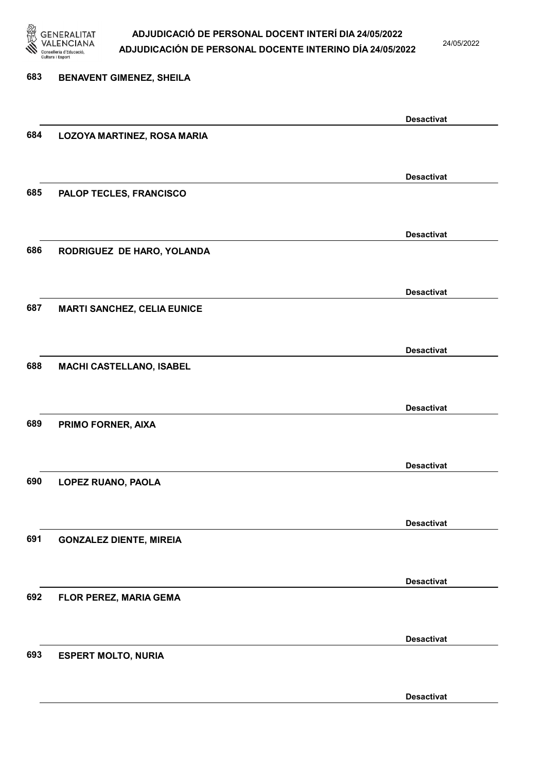

24/05/2022

### 683 BENAVENT GIMENEZ, SHEILA Desactivat 684 LOZOYA MARTINEZ, ROSA MARIA Desactivat 685 PALOP TECLES, FRANCISCO Desactivat 686 RODRIGUEZ DE HARO, YOLANDA Desactivat 687 MARTI SANCHEZ, CELIA EUNICE Desactivat 688 MACHI CASTELLANO, ISABEL Desactivat 689 PRIMO FORNER, AIXA Desactivat 690 LOPEZ RUANO, PAOLA Desactivat 691 GONZALEZ DIENTE, MIREIA Desactivat 692 FLOR PEREZ, MARIA GEMA Desactivat 693 ESPERT MOLTO, NURIA Desactivat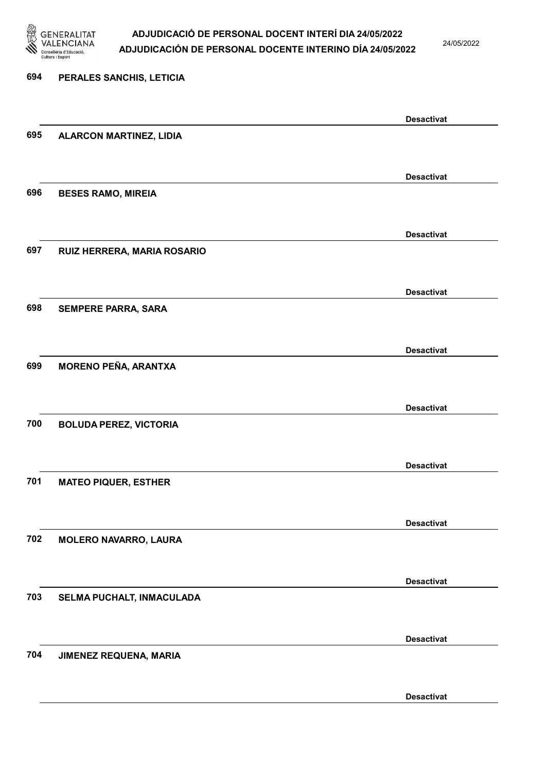

24/05/2022

Desactivat

# 694 PERALES SANCHIS, LETICIA Desactivat 695 ALARCON MARTINEZ, LIDIA Desactivat 696 BESES RAMO, MIREIA Desactivat 697 RUIZ HERRERA, MARIA ROSARIO Desactivat 698 SEMPERE PARRA, SARA Desactivat 699 MORENO PEÑA, ARANTXA Desactivat 700 BOLUDA PEREZ, VICTORIA Desactivat 701 MATEO PIQUER, ESTHER Desactivat 702 MOLERO NAVARRO, LAURA Desactivat 703 SELMA PUCHALT, INMACULADA Desactivat 704 JIMENEZ REQUENA, MARIA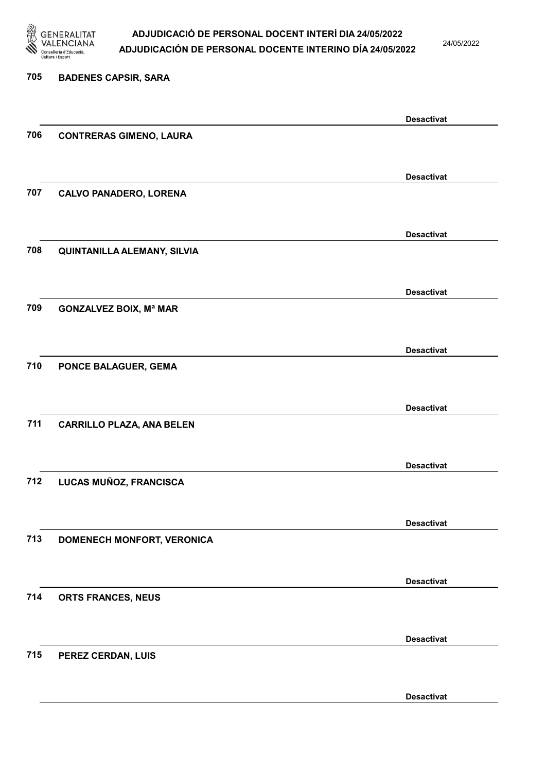

24/05/2022

#### 705 BADENES CAPSIR, SARA

|     |                                  | <b>Desactivat</b> |
|-----|----------------------------------|-------------------|
| 706 | <b>CONTRERAS GIMENO, LAURA</b>   |                   |
|     |                                  |                   |
|     |                                  | <b>Desactivat</b> |
| 707 | <b>CALVO PANADERO, LORENA</b>    |                   |
|     |                                  |                   |
|     |                                  |                   |
|     |                                  | <b>Desactivat</b> |
| 708 | QUINTANILLA ALEMANY, SILVIA      |                   |
|     |                                  |                   |
|     |                                  | <b>Desactivat</b> |
| 709 | <b>GONZALVEZ BOIX, Mª MAR</b>    |                   |
|     |                                  |                   |
|     |                                  | <b>Desactivat</b> |
| 710 | PONCE BALAGUER, GEMA             |                   |
|     |                                  |                   |
|     |                                  |                   |
|     |                                  | <b>Desactivat</b> |
| 711 | <b>CARRILLO PLAZA, ANA BELEN</b> |                   |
|     |                                  |                   |
|     |                                  | <b>Desactivat</b> |
| 712 | LUCAS MUÑOZ, FRANCISCA           |                   |
|     |                                  |                   |
|     |                                  | <b>Desactivat</b> |
| 713 | DOMENECH MONFORT, VERONICA       |                   |
|     |                                  |                   |
|     |                                  |                   |
|     |                                  | <b>Desactivat</b> |
| 714 | ORTS FRANCES, NEUS               |                   |
|     |                                  |                   |
|     |                                  | <b>Desactivat</b> |
| 715 | PEREZ CERDAN, LUIS               |                   |
|     |                                  |                   |
|     |                                  | <b>Desactivat</b> |
|     |                                  |                   |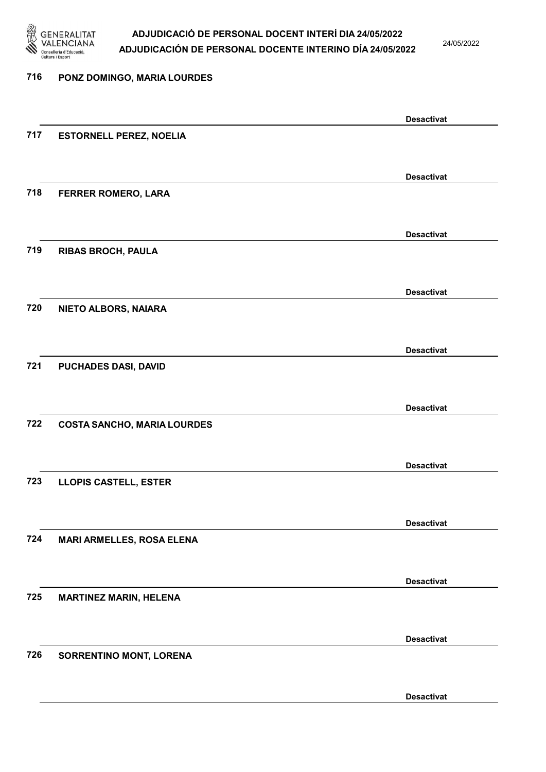

24/05/2022

### 716 PONZ DOMINGO, MARIA LOURDES Desactivat 717 ESTORNELL PEREZ, NOELIA Desactivat 718 FERRER ROMERO, LARA Desactivat 719 RIBAS BROCH, PAULA Desactivat 720 NIETO ALBORS, NAIARA Desactivat 721 PUCHADES DASI, DAVID Desactivat 722 COSTA SANCHO, MARIA LOURDES Desactivat 723 LLOPIS CASTELL, ESTER Desactivat 724 MARI ARMELLES, ROSA ELENA Desactivat 725 MARTINEZ MARIN, HELENA Desactivat 726 SORRENTINO MONT, LORENA Desactivat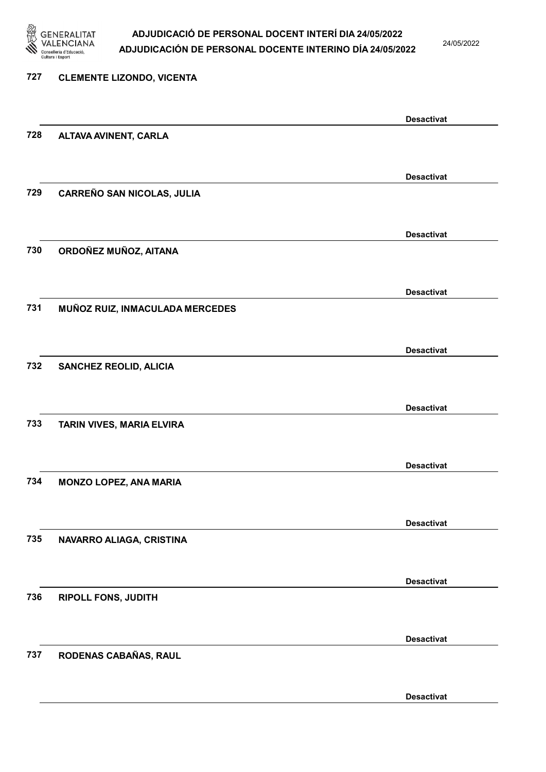

24/05/2022

Desactivat

# 727 CLEMENTE LIZONDO, VICENTA Desactivat 728 ALTAVA AVINENT, CARLA Desactivat 729 CARREÑO SAN NICOLAS, JULIA Desactivat 730 ORDOÑEZ MUÑOZ, AITANA Desactivat 731 MUÑOZ RUIZ, INMACULADA MERCEDES Desactivat 732 SANCHEZ REOLID, ALICIA Desactivat 733 TARIN VIVES, MARIA ELVIRA Desactivat 734 MONZO LOPEZ, ANA MARIA Desactivat 735 NAVARRO ALIAGA, CRISTINA Desactivat 736 RIPOLL FONS, JUDITH Desactivat 737 RODENAS CABAÑAS, RAUL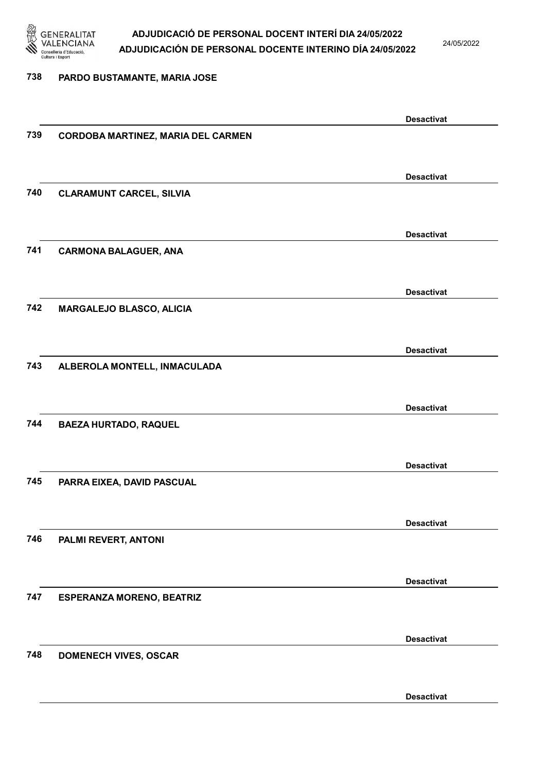

24/05/2022

#### 738 PARDO BUSTAMANTE, MARIA JOSE

|     |                                    | <b>Desactivat</b> |
|-----|------------------------------------|-------------------|
| 739 | CORDOBA MARTINEZ, MARIA DEL CARMEN |                   |
|     |                                    |                   |
|     |                                    |                   |
|     |                                    | <b>Desactivat</b> |
| 740 | <b>CLARAMUNT CARCEL, SILVIA</b>    |                   |
|     |                                    |                   |
|     |                                    | <b>Desactivat</b> |
| 741 | <b>CARMONA BALAGUER, ANA</b>       |                   |
|     |                                    |                   |
|     |                                    | <b>Desactivat</b> |
| 742 | MARGALEJO BLASCO, ALICIA           |                   |
|     |                                    |                   |
|     |                                    |                   |
|     |                                    | <b>Desactivat</b> |
| 743 | ALBEROLA MONTELL, INMACULADA       |                   |
|     |                                    |                   |
|     |                                    | <b>Desactivat</b> |
| 744 | <b>BAEZA HURTADO, RAQUEL</b>       |                   |
|     |                                    |                   |
|     |                                    |                   |
|     |                                    | <b>Desactivat</b> |
| 745 | PARRA EIXEA, DAVID PASCUAL         |                   |
|     |                                    |                   |
|     |                                    | <b>Desactivat</b> |
| 746 | PALMI REVERT, ANTONI               |                   |
|     |                                    |                   |
|     |                                    |                   |
|     |                                    | <b>Desactivat</b> |
| 747 | <b>ESPERANZA MORENO, BEATRIZ</b>   |                   |
|     |                                    |                   |
|     |                                    | <b>Desactivat</b> |
| 748 | <b>DOMENECH VIVES, OSCAR</b>       |                   |
|     |                                    |                   |
|     |                                    |                   |
|     |                                    | <b>Desactivat</b> |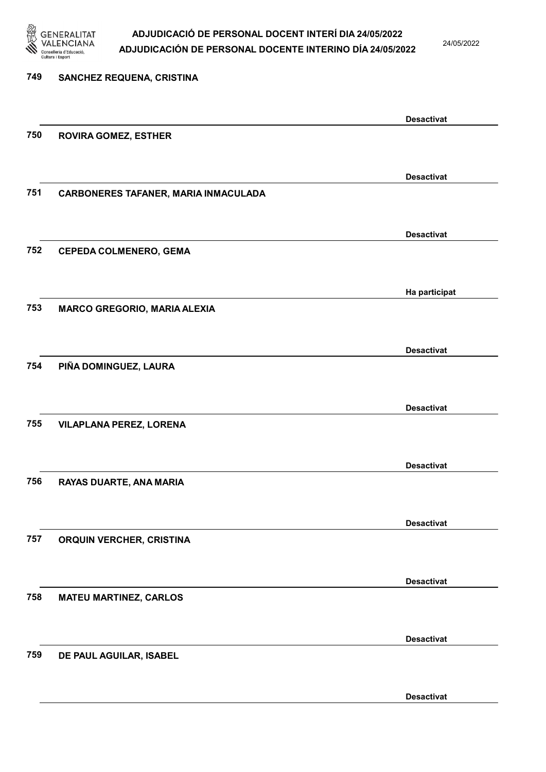

24/05/2022

Desactivat

| 749 | SANCHEZ REQUENA, CRISTINA            |                   |
|-----|--------------------------------------|-------------------|
|     |                                      | <b>Desactivat</b> |
| 750 | <b>ROVIRA GOMEZ, ESTHER</b>          |                   |
|     |                                      | <b>Desactivat</b> |
| 751 | CARBONERES TAFANER, MARIA INMACULADA |                   |
|     |                                      | <b>Desactivat</b> |
| 752 | <b>CEPEDA COLMENERO, GEMA</b>        |                   |
|     |                                      | Ha participat     |
| 753 | <b>MARCO GREGORIO, MARIA ALEXIA</b>  |                   |
|     |                                      | <b>Desactivat</b> |
| 754 | PIÑA DOMINGUEZ, LAURA                |                   |
|     |                                      | <b>Desactivat</b> |
| 755 | <b>VILAPLANA PEREZ, LORENA</b>       |                   |
|     |                                      | <b>Desactivat</b> |
| 756 | RAYAS DUARTE, ANA MARIA              |                   |
| 757 |                                      | <b>Desactivat</b> |
|     | ORQUIN VERCHER, CRISTINA             |                   |
| 758 |                                      | <b>Desactivat</b> |
|     | <b>MATEU MARTINEZ, CARLOS</b>        |                   |
| 759 | DE PAUL AGUILAR, ISABEL              | <b>Desactivat</b> |
|     |                                      |                   |
|     |                                      |                   |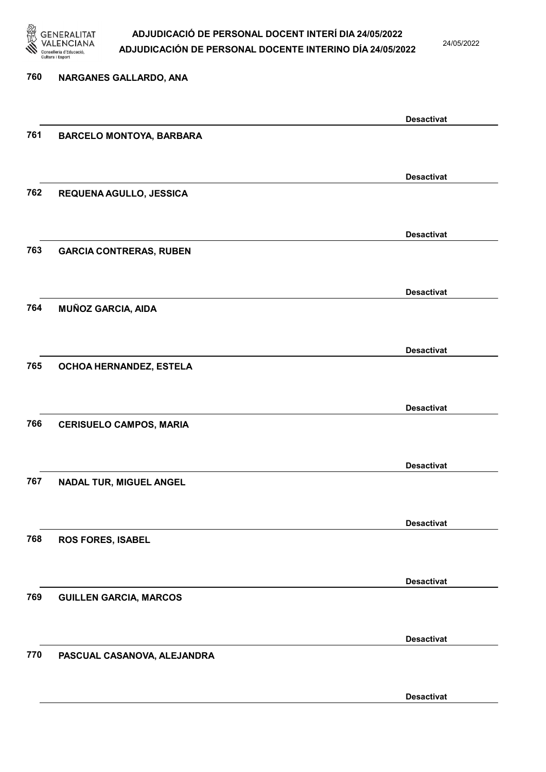

24/05/2022

Desactivat

# 760 NARGANES GALLARDO, ANA Desactivat 761 BARCELO MONTOYA, BARBARA Desactivat 762 REQUENA AGULLO, JESSICA Desactivat 763 GARCIA CONTRERAS, RUBEN Desactivat 764 MUÑOZ GARCIA, AIDA Desactivat 765 OCHOA HERNANDEZ, ESTELA Desactivat 766 CERISUELO CAMPOS, MARIA Desactivat 767 NADAL TUR, MIGUEL ANGEL Desactivat 768 ROS FORES, ISABEL Desactivat 769 GUILLEN GARCIA, MARCOS Desactivat 770 PASCUAL CASANOVA, ALEJANDRA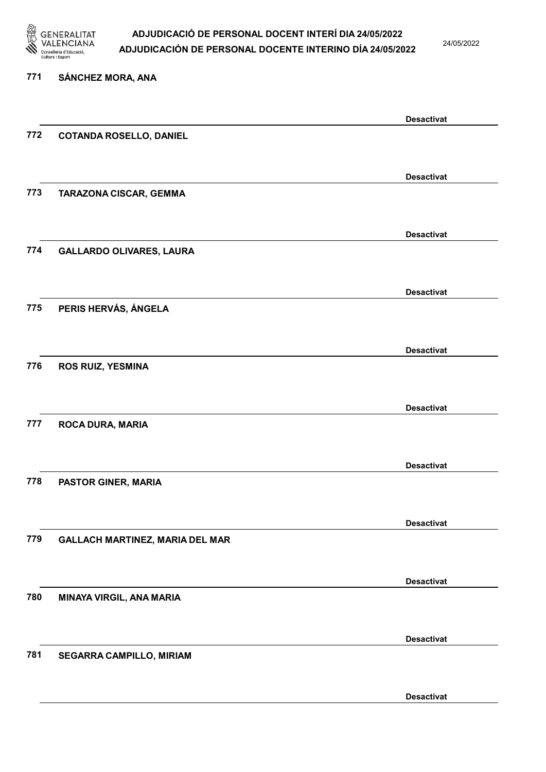

24/05/2022

### 771 SÁNCHEZ MORA, ANA

|     |                                        | <b>Desactivat</b> |
|-----|----------------------------------------|-------------------|
| 772 | <b>COTANDA ROSELLO, DANIEL</b>         |                   |
|     |                                        |                   |
|     |                                        | <b>Desactivat</b> |
| 773 | TARAZONA CISCAR, GEMMA                 |                   |
|     |                                        |                   |
|     |                                        | <b>Desactivat</b> |
| 774 | <b>GALLARDO OLIVARES, LAURA</b>        |                   |
|     |                                        |                   |
|     |                                        | <b>Desactivat</b> |
| 775 | PERIS HERVÁS, ÁNGELA                   |                   |
|     |                                        |                   |
|     |                                        |                   |
| 776 | <b>ROS RUIZ, YESMINA</b>               | <b>Desactivat</b> |
|     |                                        |                   |
|     |                                        |                   |
| 777 |                                        | <b>Desactivat</b> |
|     | ROCA DURA, MARIA                       |                   |
|     |                                        |                   |
|     |                                        | <b>Desactivat</b> |
| 778 | PASTOR GINER, MARIA                    |                   |
|     |                                        |                   |
|     |                                        | <b>Desactivat</b> |
| 779 | <b>GALLACH MARTINEZ, MARIA DEL MAR</b> |                   |
|     |                                        |                   |
|     |                                        | <b>Desactivat</b> |
| 780 | MINAYA VIRGIL, ANA MARIA               |                   |
|     |                                        |                   |
|     |                                        | <b>Desactivat</b> |
| 781 | SEGARRA CAMPILLO, MIRIAM               |                   |
|     |                                        |                   |
|     |                                        | <b>Desactivat</b> |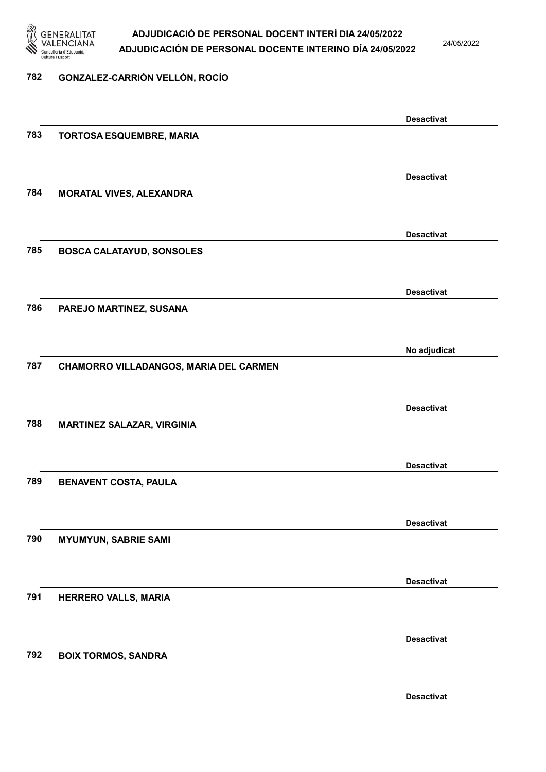

24/05/2022

### 782 GONZALEZ-CARRIÓN VELLÓN, ROCÍO

|     |                                        | <b>Desactivat</b> |
|-----|----------------------------------------|-------------------|
| 783 | TORTOSA ESQUEMBRE, MARIA               |                   |
|     |                                        |                   |
|     |                                        | <b>Desactivat</b> |
| 784 | <b>MORATAL VIVES, ALEXANDRA</b>        |                   |
|     |                                        |                   |
|     |                                        |                   |
| 785 |                                        | <b>Desactivat</b> |
|     | <b>BOSCA CALATAYUD, SONSOLES</b>       |                   |
|     |                                        |                   |
|     |                                        | <b>Desactivat</b> |
| 786 | PAREJO MARTINEZ, SUSANA                |                   |
|     |                                        |                   |
|     |                                        | No adjudicat      |
| 787 | CHAMORRO VILLADANGOS, MARIA DEL CARMEN |                   |
|     |                                        |                   |
|     |                                        | <b>Desactivat</b> |
| 788 | <b>MARTINEZ SALAZAR, VIRGINIA</b>      |                   |
|     |                                        |                   |
|     |                                        | <b>Desactivat</b> |
| 789 | <b>BENAVENT COSTA, PAULA</b>           |                   |
|     |                                        |                   |
|     |                                        |                   |
|     |                                        | <b>Desactivat</b> |
| 790 | <b>MYUMYUN, SABRIE SAMI</b>            |                   |
|     |                                        |                   |
|     |                                        | <b>Desactivat</b> |
| 791 | HERRERO VALLS, MARIA                   |                   |
|     |                                        |                   |
|     |                                        | <b>Desactivat</b> |
| 792 | <b>BOIX TORMOS, SANDRA</b>             |                   |
|     |                                        |                   |
|     |                                        | <b>Desactivat</b> |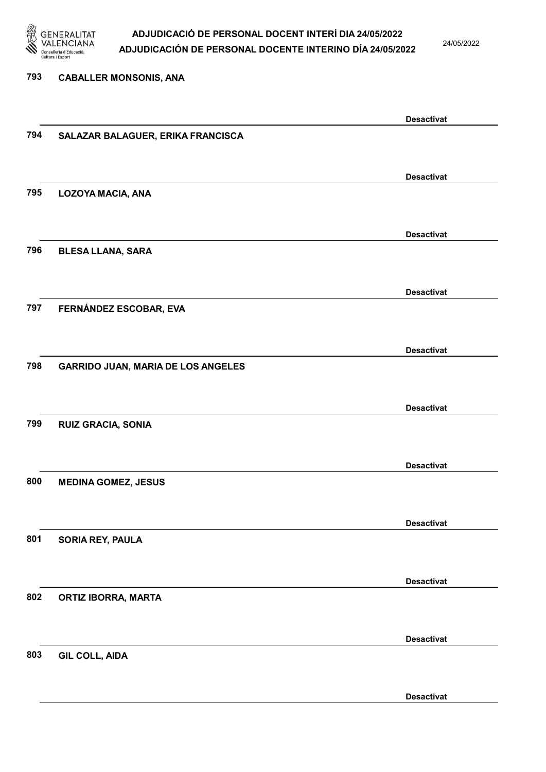

24/05/2022

793 CABALLER MONSONIS, ANA Desactivat 794 SALAZAR BALAGUER, ERIKA FRANCISCA Desactivat 795 LOZOYA MACIA, ANA Desactivat 796 BLESA LLANA, SARA Desactivat 797 FERNÁNDEZ ESCOBAR, EVA Desactivat 798 GARRIDO JUAN, MARIA DE LOS ANGELES Desactivat 799 RUIZ GRACIA, SONIA Desactivat 800 MEDINA GOMEZ, JESUS Desactivat 801 SORIA REY, PAULA Desactivat 802 ORTIZ IBORRA, MARTA Desactivat 803 GIL COLL, AIDA Desactivat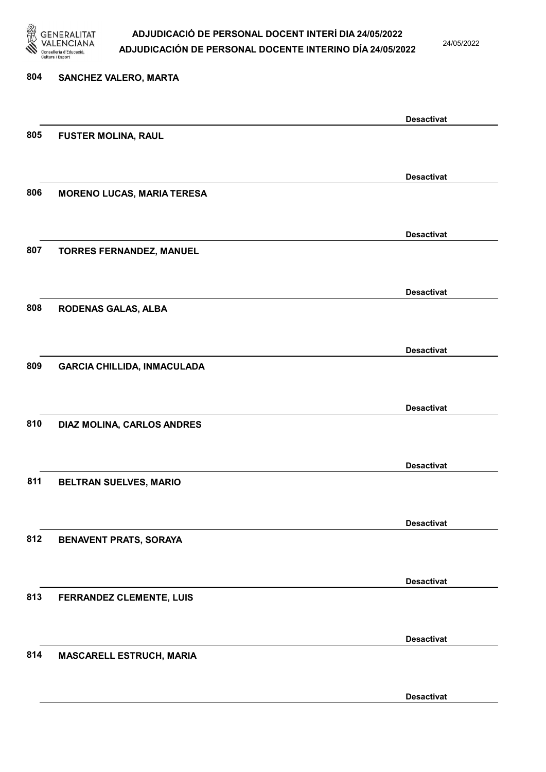

24/05/2022

Desactivat

# 804 SANCHEZ VALERO, MARTA Desactivat 805 FUSTER MOLINA, RAUL Desactivat 806 MORENO LUCAS, MARIA TERESA Desactivat 807 TORRES FERNANDEZ, MANUEL Desactivat 808 RODENAS GALAS, ALBA Desactivat 809 GARCIA CHILLIDA, INMACULADA Desactivat 810 DIAZ MOLINA, CARLOS ANDRES Desactivat 811 BELTRAN SUELVES, MARIO Desactivat 812 BENAVENT PRATS, SORAYA Desactivat 813 FERRANDEZ CLEMENTE, LUIS Desactivat 814 MASCARELL ESTRUCH, MARIA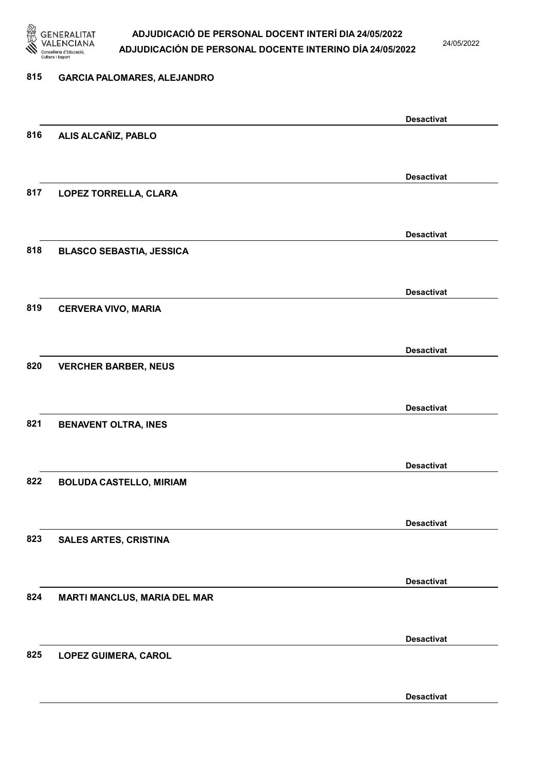

24/05/2022

#### 815 GARCIA PALOMARES, ALEJANDRO

|     |                                     | <b>Desactivat</b> |
|-----|-------------------------------------|-------------------|
| 816 | ALIS ALCAÑIZ, PABLO                 |                   |
|     |                                     |                   |
|     |                                     | <b>Desactivat</b> |
| 817 | LOPEZ TORRELLA, CLARA               |                   |
|     |                                     |                   |
|     |                                     |                   |
|     |                                     | <b>Desactivat</b> |
| 818 | <b>BLASCO SEBASTIA, JESSICA</b>     |                   |
|     |                                     |                   |
|     |                                     | <b>Desactivat</b> |
| 819 | <b>CERVERA VIVO, MARIA</b>          |                   |
|     |                                     |                   |
|     |                                     |                   |
|     |                                     | <b>Desactivat</b> |
| 820 | <b>VERCHER BARBER, NEUS</b>         |                   |
|     |                                     |                   |
|     |                                     | <b>Desactivat</b> |
| 821 | <b>BENAVENT OLTRA, INES</b>         |                   |
|     |                                     |                   |
|     |                                     |                   |
|     |                                     | <b>Desactivat</b> |
| 822 | <b>BOLUDA CASTELLO, MIRIAM</b>      |                   |
|     |                                     |                   |
|     |                                     | <b>Desactivat</b> |
| 823 | <b>SALES ARTES, CRISTINA</b>        |                   |
|     |                                     |                   |
|     |                                     | <b>Desactivat</b> |
| 824 | <b>MARTI MANCLUS, MARIA DEL MAR</b> |                   |
|     |                                     |                   |
|     |                                     |                   |
|     |                                     | <b>Desactivat</b> |
| 825 | <b>LOPEZ GUIMERA, CAROL</b>         |                   |
|     |                                     |                   |
|     |                                     | <b>Desactivat</b> |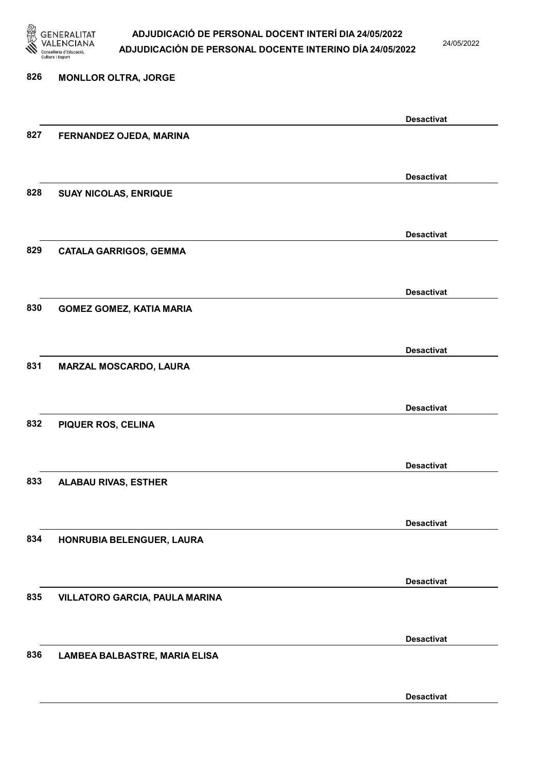

24/05/2022

#### 826 MONLLOR OLTRA, JORGE

|     |                                 | <b>Desactivat</b> |
|-----|---------------------------------|-------------------|
| 827 | FERNANDEZ OJEDA, MARINA         |                   |
|     |                                 |                   |
|     |                                 | <b>Desactivat</b> |
| 828 | <b>SUAY NICOLAS, ENRIQUE</b>    |                   |
|     |                                 |                   |
|     |                                 | <b>Desactivat</b> |
| 829 | <b>CATALA GARRIGOS, GEMMA</b>   |                   |
|     |                                 |                   |
|     |                                 |                   |
|     |                                 | <b>Desactivat</b> |
| 830 | <b>GOMEZ GOMEZ, KATIA MARIA</b> |                   |
|     |                                 |                   |
|     |                                 | <b>Desactivat</b> |
| 831 | MARZAL MOSCARDO, LAURA          |                   |
|     |                                 |                   |
|     |                                 | <b>Desactivat</b> |
| 832 | PIQUER ROS, CELINA              |                   |
|     |                                 |                   |
|     |                                 | <b>Desactivat</b> |
| 833 | <b>ALABAU RIVAS, ESTHER</b>     |                   |
|     |                                 |                   |
|     |                                 | <b>Desactivat</b> |
| 834 | HONRUBIA BELENGUER, LAURA       |                   |
|     |                                 |                   |
|     |                                 |                   |
|     |                                 | <b>Desactivat</b> |
| 835 | VILLATORO GARCIA, PAULA MARINA  |                   |
|     |                                 |                   |
|     |                                 | <b>Desactivat</b> |
| 836 | LAMBEA BALBASTRE, MARIA ELISA   |                   |
|     |                                 |                   |
|     |                                 | <b>Desactivat</b> |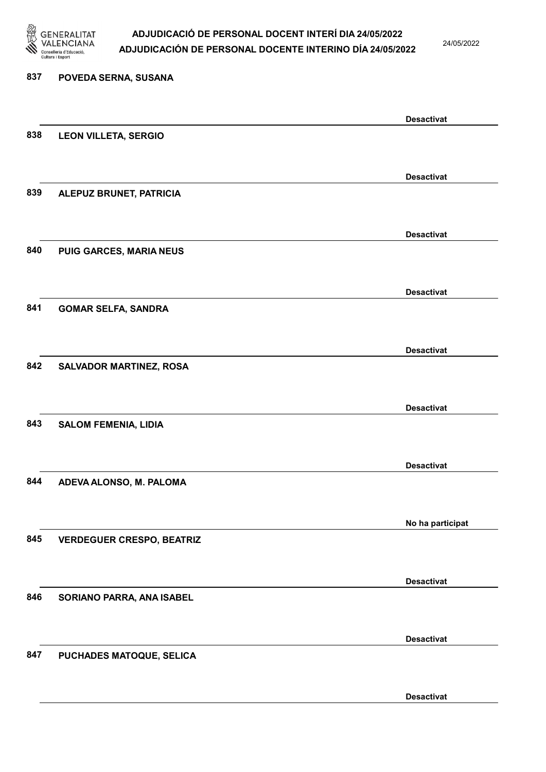

24/05/2022

Desactivat

# 837 POVEDA SERNA, SUSANA Desactivat 838 LEON VILLETA, SERGIO Desactivat 839 ALEPUZ BRUNET, PATRICIA Desactivat 840 PUIG GARCES, MARIA NEUS Desactivat 841 GOMAR SELFA, SANDRA Desactivat 842 SALVADOR MARTINEZ, ROSA Desactivat 843 SALOM FEMENIA, LIDIA Desactivat 844 ADEVA ALONSO, M. PALOMA No ha participat 845 VERDEGUER CRESPO, BEATRIZ Desactivat 846 SORIANO PARRA, ANA ISABEL Desactivat 847 PUCHADES MATOQUE, SELICA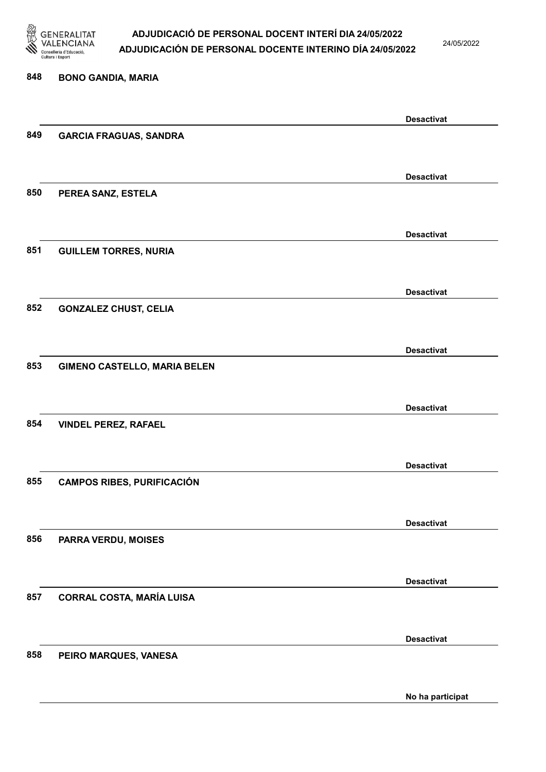

24/05/2022

No ha participat

# 848 BONO GANDIA, MARIA Desactivat 849 GARCIA FRAGUAS, SANDRA Desactivat 850 PEREA SANZ, ESTELA Desactivat 851 GUILLEM TORRES, NURIA Desactivat 852 GONZALEZ CHUST, CELIA Desactivat 853 GIMENO CASTELLO, MARIA BELEN Desactivat 854 VINDEL PEREZ, RAFAEL Desactivat 855 CAMPOS RIBES, PURIFICACIÓN Desactivat 856 PARRA VERDU, MOISES Desactivat 857 CORRAL COSTA, MARÍA LUISA Desactivat 858 PEIRO MARQUES, VANESA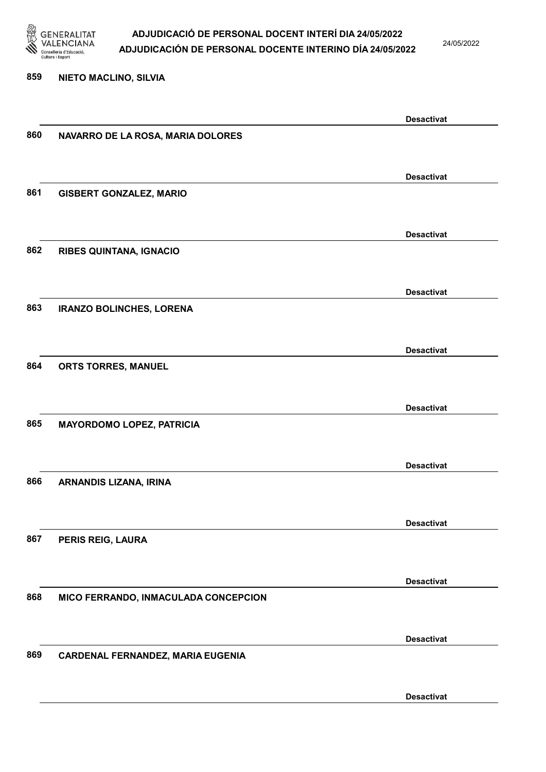

24/05/2022

#### 859 NIETO MACLINO, SILVIA

|     |                                      | <b>Desactivat</b> |
|-----|--------------------------------------|-------------------|
| 860 | NAVARRO DE LA ROSA, MARIA DOLORES    |                   |
|     |                                      |                   |
|     |                                      |                   |
| 861 | <b>GISBERT GONZALEZ, MARIO</b>       | <b>Desactivat</b> |
|     |                                      |                   |
|     |                                      |                   |
|     |                                      | <b>Desactivat</b> |
| 862 | <b>RIBES QUINTANA, IGNACIO</b>       |                   |
|     |                                      |                   |
|     |                                      | <b>Desactivat</b> |
| 863 | <b>IRANZO BOLINCHES, LORENA</b>      |                   |
|     |                                      |                   |
|     |                                      | <b>Desactivat</b> |
| 864 | ORTS TORRES, MANUEL                  |                   |
|     |                                      |                   |
|     |                                      | <b>Desactivat</b> |
| 865 | <b>MAYORDOMO LOPEZ, PATRICIA</b>     |                   |
|     |                                      |                   |
|     |                                      |                   |
| 866 |                                      | <b>Desactivat</b> |
|     | ARNANDIS LIZANA, IRINA               |                   |
|     |                                      |                   |
|     |                                      | <b>Desactivat</b> |
| 867 | <b>PERIS REIG, LAURA</b>             |                   |
|     |                                      |                   |
|     |                                      | <b>Desactivat</b> |
| 868 | MICO FERRANDO, INMACULADA CONCEPCION |                   |
|     |                                      |                   |
|     |                                      | <b>Desactivat</b> |
| 869 | CARDENAL FERNANDEZ, MARIA EUGENIA    |                   |
|     |                                      |                   |
|     |                                      |                   |
|     |                                      | <b>Desactivat</b> |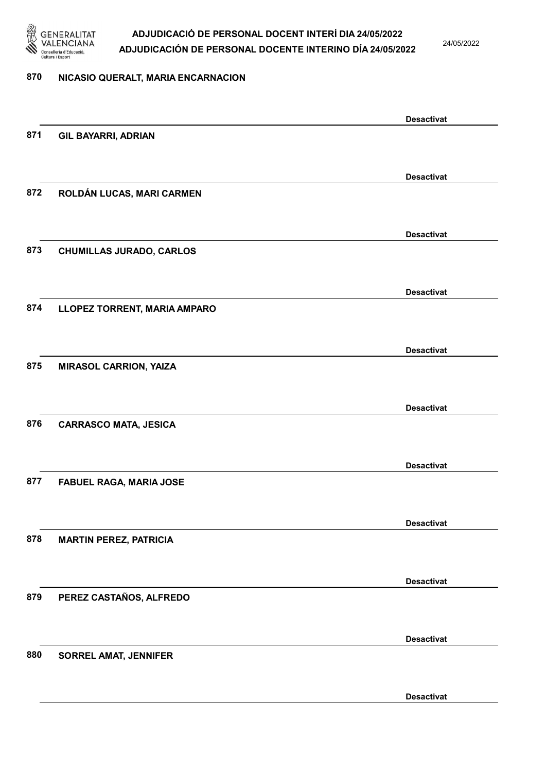

24/05/2022

### 870 NICASIO QUERALT, MARIA ENCARNACION

|     |                                 | <b>Desactivat</b> |
|-----|---------------------------------|-------------------|
| 871 | <b>GIL BAYARRI, ADRIAN</b>      |                   |
|     |                                 |                   |
|     |                                 | <b>Desactivat</b> |
| 872 | ROLDÁN LUCAS, MARI CARMEN       |                   |
|     |                                 |                   |
|     |                                 | <b>Desactivat</b> |
| 873 | <b>CHUMILLAS JURADO, CARLOS</b> |                   |
|     |                                 |                   |
|     |                                 |                   |
|     |                                 | <b>Desactivat</b> |
| 874 | LLOPEZ TORRENT, MARIA AMPARO    |                   |
|     |                                 |                   |
|     |                                 | <b>Desactivat</b> |
| 875 | <b>MIRASOL CARRION, YAIZA</b>   |                   |
|     |                                 |                   |
|     |                                 | <b>Desactivat</b> |
| 876 | <b>CARRASCO MATA, JESICA</b>    |                   |
|     |                                 |                   |
|     |                                 | <b>Desactivat</b> |
| 877 | <b>FABUEL RAGA, MARIA JOSE</b>  |                   |
|     |                                 |                   |
|     |                                 | <b>Desactivat</b> |
| 878 | <b>MARTIN PEREZ, PATRICIA</b>   |                   |
|     |                                 |                   |
|     |                                 |                   |
| 879 |                                 | <b>Desactivat</b> |
|     | PEREZ CASTAÑOS, ALFREDO         |                   |
|     |                                 |                   |
|     |                                 | <b>Desactivat</b> |
| 880 | <b>SORREL AMAT, JENNIFER</b>    |                   |
|     |                                 |                   |
|     |                                 | <b>Desactivat</b> |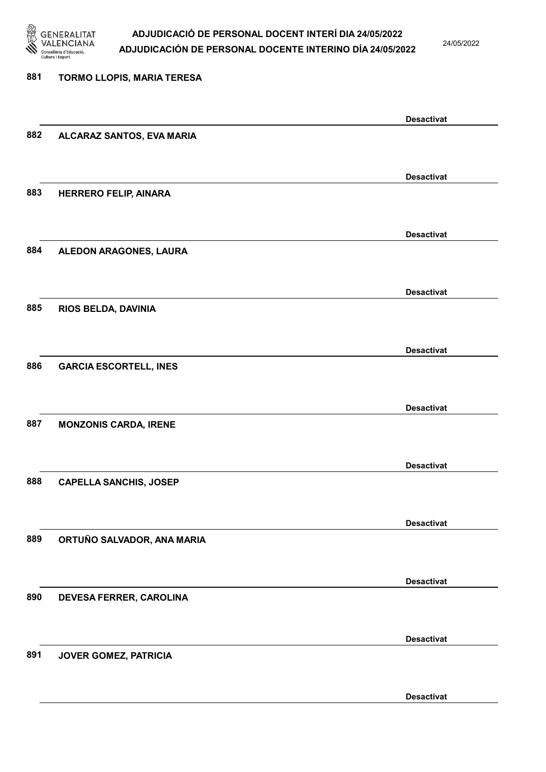

24/05/2022

#### 881 TORMO LLOPIS, MARIA TERESA

|     |                               | <b>Desactivat</b> |
|-----|-------------------------------|-------------------|
| 882 | ALCARAZ SANTOS, EVA MARIA     |                   |
|     |                               |                   |
|     |                               | <b>Desactivat</b> |
| 883 | <b>HERRERO FELIP, AINARA</b>  |                   |
|     |                               |                   |
|     |                               |                   |
|     |                               | <b>Desactivat</b> |
| 884 | ALEDON ARAGONES, LAURA        |                   |
|     |                               |                   |
|     |                               | <b>Desactivat</b> |
| 885 | RIOS BELDA, DAVINIA           |                   |
|     |                               |                   |
|     |                               | <b>Desactivat</b> |
| 886 | <b>GARCIA ESCORTELL, INES</b> |                   |
|     |                               |                   |
|     |                               |                   |
| 887 | <b>MONZONIS CARDA, IRENE</b>  | <b>Desactivat</b> |
|     |                               |                   |
|     |                               |                   |
|     |                               | <b>Desactivat</b> |
| 888 | <b>CAPELLA SANCHIS, JOSEP</b> |                   |
|     |                               |                   |
|     |                               | <b>Desactivat</b> |
| 889 | ORTUÑO SALVADOR, ANA MARIA    |                   |
|     |                               |                   |
|     |                               | <b>Desactivat</b> |
| 890 | DEVESA FERRER, CAROLINA       |                   |
|     |                               |                   |
|     |                               |                   |
|     |                               | <b>Desactivat</b> |
| 891 | JOVER GOMEZ, PATRICIA         |                   |
|     |                               |                   |
|     |                               | <b>Desactivat</b> |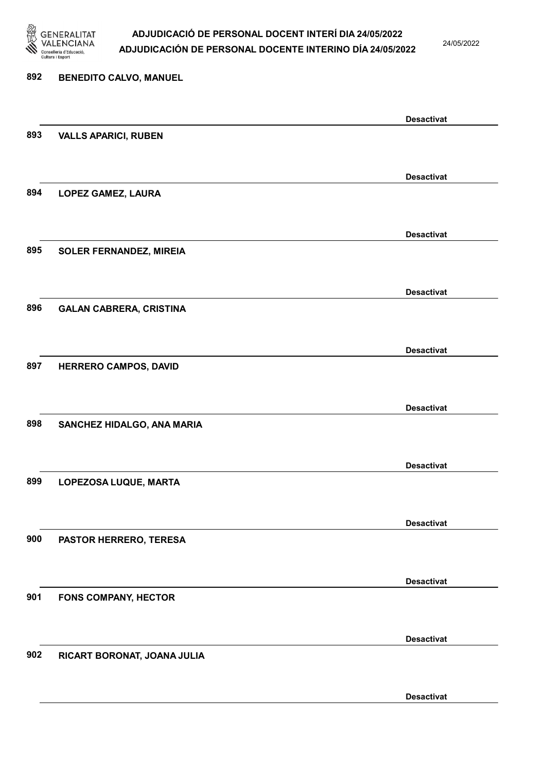

24/05/2022

Desactivat

# 892 BENEDITO CALVO, MANUEL Desactivat 893 VALLS APARICI, RUBEN Desactivat 894 LOPEZ GAMEZ, LAURA Desactivat 895 SOLER FERNANDEZ, MIREIA Desactivat 896 GALAN CABRERA, CRISTINA Desactivat 897 HERRERO CAMPOS, DAVID Desactivat 898 SANCHEZ HIDALGO, ANA MARIA Desactivat 899 LOPEZOSA LUQUE, MARTA Desactivat 900 PASTOR HERRERO, TERESA Desactivat 901 FONS COMPANY, HECTOR Desactivat 902 RICART BORONAT, JOANA JULIA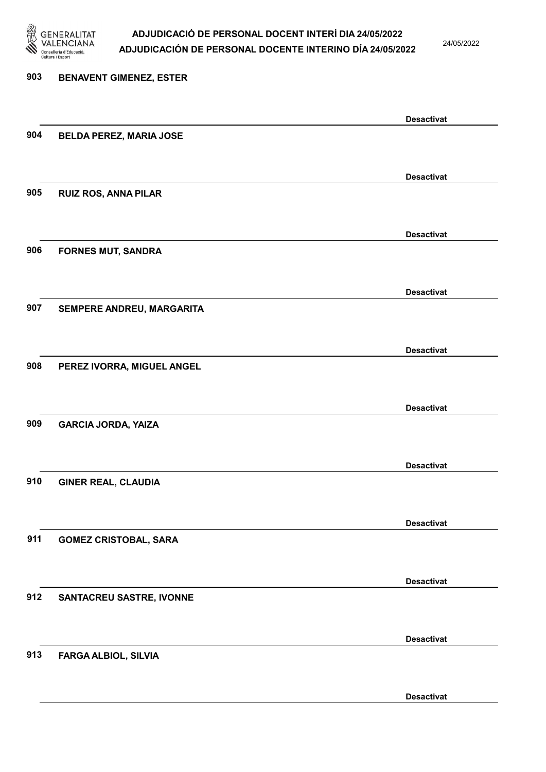

24/05/2022

# 903 BENAVENT GIMENEZ, ESTER Desactivat 904 BELDA PEREZ, MARIA JOSE Desactivat 905 RUIZ ROS, ANNA PILAR Desactivat 906 FORNES MUT, SANDRA Desactivat 907 SEMPERE ANDREU, MARGARITA Desactivat 908 PEREZ IVORRA, MIGUEL ANGEL Desactivat 909 GARCIA JORDA, YAIZA Desactivat 910 GINER REAL, CLAUDIA Desactivat 911 GOMEZ CRISTOBAL, SARA Desactivat 912 SANTACREU SASTRE, IVONNE Desactivat 913 FARGA ALBIOL, SILVIA Desactivat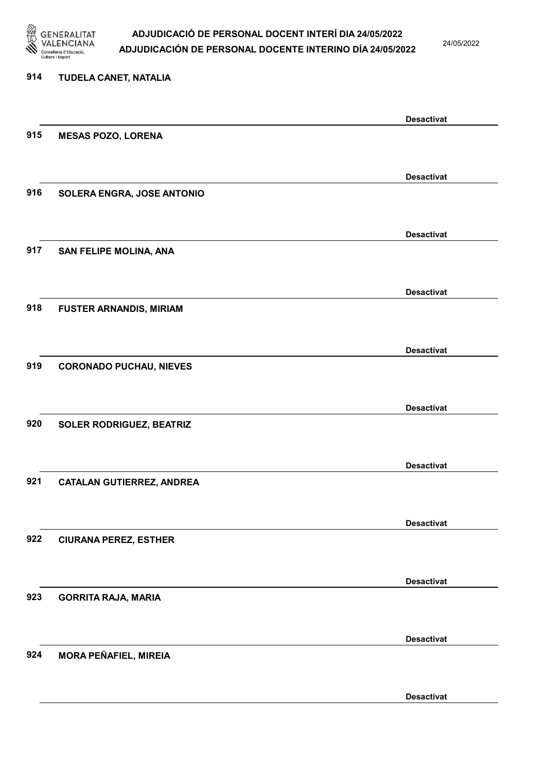

24/05/2022

#### 914 TUDELA CANET, NATALIA

|     |                                  | <b>Desactivat</b> |
|-----|----------------------------------|-------------------|
| 915 | <b>MESAS POZO, LORENA</b>        |                   |
|     |                                  |                   |
|     |                                  | <b>Desactivat</b> |
| 916 | SOLERA ENGRA, JOSE ANTONIO       |                   |
|     |                                  |                   |
|     |                                  |                   |
|     |                                  | <b>Desactivat</b> |
| 917 | SAN FELIPE MOLINA, ANA           |                   |
|     |                                  |                   |
|     |                                  | <b>Desactivat</b> |
| 918 | <b>FUSTER ARNANDIS, MIRIAM</b>   |                   |
|     |                                  |                   |
|     |                                  |                   |
|     |                                  | <b>Desactivat</b> |
| 919 | <b>CORONADO PUCHAU, NIEVES</b>   |                   |
|     |                                  |                   |
|     |                                  | <b>Desactivat</b> |
| 920 | SOLER RODRIGUEZ, BEATRIZ         |                   |
|     |                                  |                   |
|     |                                  |                   |
|     |                                  | <b>Desactivat</b> |
| 921 | <b>CATALAN GUTIERREZ, ANDREA</b> |                   |
|     |                                  |                   |
|     |                                  | <b>Desactivat</b> |
| 922 | <b>CIURANA PEREZ, ESTHER</b>     |                   |
|     |                                  |                   |
|     |                                  | <b>Desactivat</b> |
| 923 | <b>GORRITA RAJA, MARIA</b>       |                   |
|     |                                  |                   |
|     |                                  |                   |
|     |                                  | <b>Desactivat</b> |
| 924 | <b>MORA PEÑAFIEL, MIREIA</b>     |                   |
|     |                                  |                   |
|     |                                  | <b>Desactivat</b> |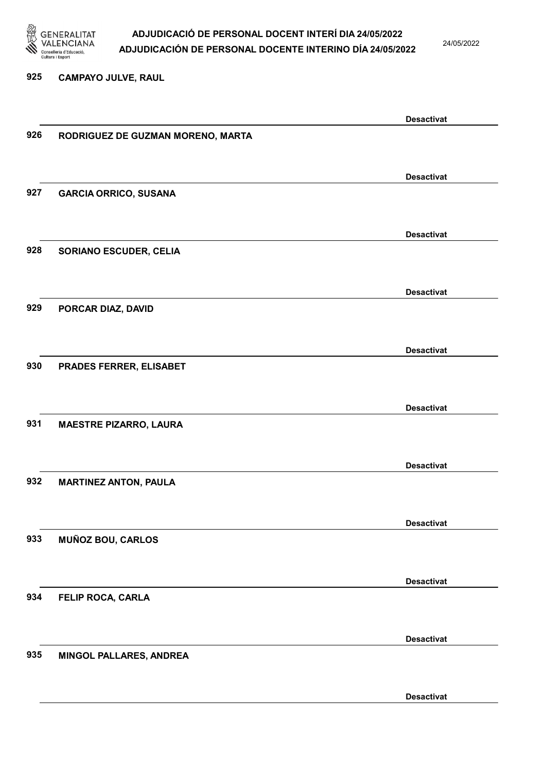

24/05/2022

#### 925 CAMPAYO JULVE, RAUL

|     |                                   | <b>Desactivat</b> |
|-----|-----------------------------------|-------------------|
| 926 | RODRIGUEZ DE GUZMAN MORENO, MARTA |                   |
|     |                                   |                   |
|     |                                   |                   |
|     |                                   | <b>Desactivat</b> |
| 927 | <b>GARCIA ORRICO, SUSANA</b>      |                   |
|     |                                   |                   |
|     |                                   |                   |
|     |                                   | <b>Desactivat</b> |
| 928 | <b>SORIANO ESCUDER, CELIA</b>     |                   |
|     |                                   |                   |
|     |                                   |                   |
|     |                                   | <b>Desactivat</b> |
| 929 | PORCAR DIAZ, DAVID                |                   |
|     |                                   |                   |
|     |                                   |                   |
|     |                                   | <b>Desactivat</b> |
| 930 | PRADES FERRER, ELISABET           |                   |
|     |                                   |                   |
|     |                                   |                   |
|     |                                   | <b>Desactivat</b> |
| 931 | <b>MAESTRE PIZARRO, LAURA</b>     |                   |
|     |                                   |                   |
|     |                                   |                   |
|     |                                   | <b>Desactivat</b> |
| 932 | <b>MARTINEZ ANTON, PAULA</b>      |                   |
|     |                                   |                   |
|     |                                   |                   |
|     |                                   | <b>Desactivat</b> |
| 933 | <b>MUÑOZ BOU, CARLOS</b>          |                   |
|     |                                   |                   |
|     |                                   |                   |
|     |                                   | <b>Desactivat</b> |
| 934 | FELIP ROCA, CARLA                 |                   |
|     |                                   |                   |
|     |                                   |                   |
|     |                                   | <b>Desactivat</b> |
| 935 | MINGOL PALLARES, ANDREA           |                   |
|     |                                   |                   |
|     |                                   |                   |
|     |                                   | <b>Desactivat</b> |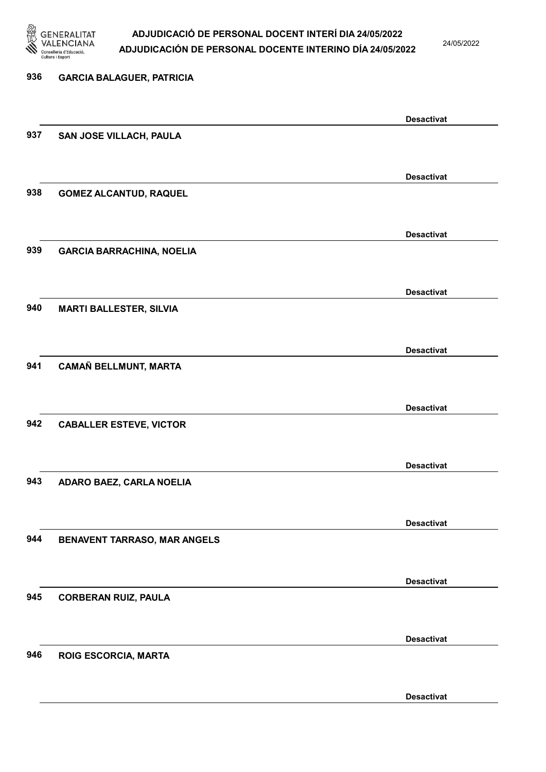

24/05/2022

Desactivat

# 936 GARCIA BALAGUER, PATRICIA Desactivat 937 SAN JOSE VILLACH, PAULA Desactivat 938 GOMEZ ALCANTUD, RAQUEL Desactivat 939 GARCIA BARRACHINA, NOELIA Desactivat 940 MARTI BALLESTER, SILVIA Desactivat 941 CAMAÑ BELLMUNT, MARTA Desactivat 942 CABALLER ESTEVE, VICTOR Desactivat 943 ADARO BAEZ, CARLA NOELIA Desactivat 944 BENAVENT TARRASO, MAR ANGELS Desactivat 945 CORBERAN RUIZ, PAULA Desactivat 946 ROIG ESCORCIA, MARTA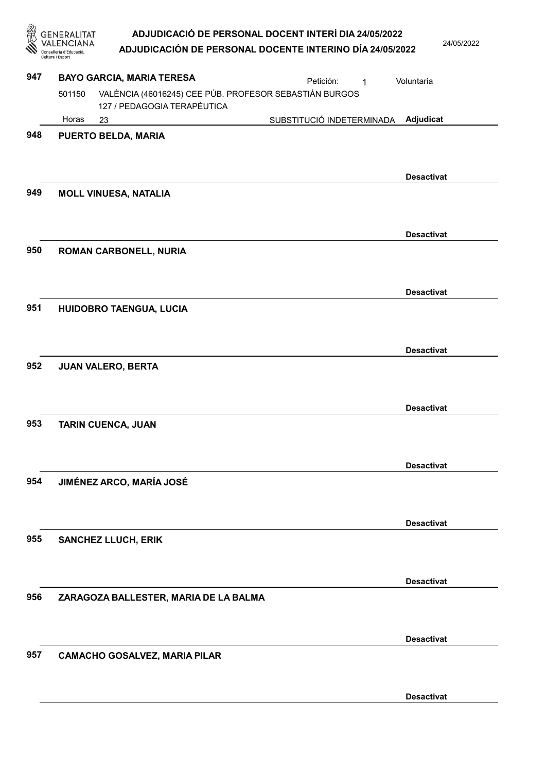**GENERALITAT** ADJUDICACIÓ DE PERSONAL DOCENT INTERÍ DIA 24/05/2022 **VALENCIANA** 24/05/2022 ADJUDICACIÓN DE PERSONAL DOCENTE INTERINO DÍA 24/05/2022 Conselleria d'Educació, 947 BAYO GARCIA, MARIA TERESA **Petición:** 1 Voluntaria VALÈNCIA (46016245) CEE PÚB. PROFESOR SEBASTIÁN BURGOS 501150 127 / PEDAGOGIA TERAPÈUTICA Horas 23 SUBSTITUCIÓ INDETERMINADA Adjudicat 948 PUERTO BELDA, MARIA Desactivat 949 MOLL VINUESA, NATALIA Desactivat 950 ROMAN CARBONELL, NURIA Desactivat 951 HUIDOBRO TAENGUA, LUCIA Desactivat 952 JUAN VALERO, BERTA Desactivat 953 TARIN CUENCA, JUAN Desactivat 954 JIMÉNEZ ARCO, MARÍA JOSÉ Desactivat 955 SANCHEZ LLUCH, ERIK Desactivat 956 ZARAGOZA BALLESTER, MARIA DE LA BALMA Desactivat 957 CAMACHO GOSALVEZ, MARIA PILAR

Desactivat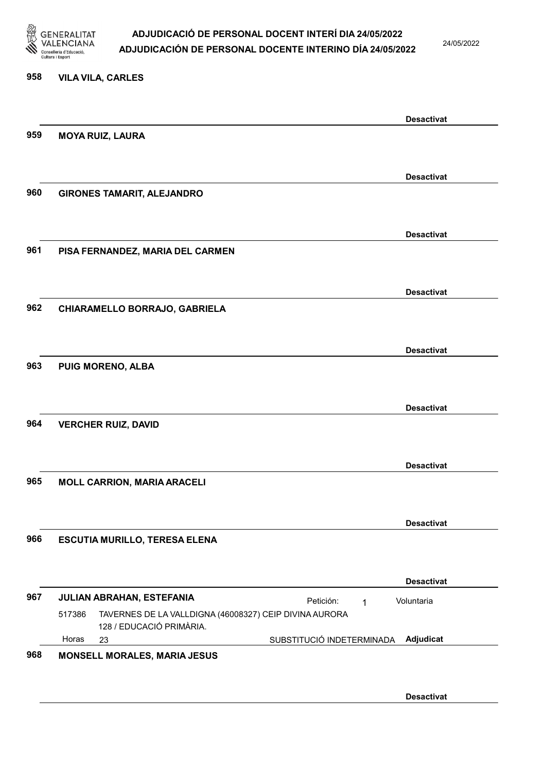

24/05/2022

#### 958 VILA VILA, CARLES

|     |                                      | <b>Desactivat</b>                                      |
|-----|--------------------------------------|--------------------------------------------------------|
| 959 | <b>MOYA RUIZ, LAURA</b>              |                                                        |
|     |                                      |                                                        |
|     |                                      | <b>Desactivat</b>                                      |
| 960 | <b>GIRONES TAMARIT, ALEJANDRO</b>    |                                                        |
|     |                                      |                                                        |
| 961 | PISA FERNANDEZ, MARIA DEL CARMEN     | <b>Desactivat</b>                                      |
|     |                                      |                                                        |
|     |                                      | <b>Desactivat</b>                                      |
| 962 | CHIARAMELLO BORRAJO, GABRIELA        |                                                        |
|     |                                      | <b>Desactivat</b>                                      |
| 963 | <b>PUIG MORENO, ALBA</b>             |                                                        |
|     |                                      |                                                        |
|     |                                      | <b>Desactivat</b>                                      |
| 964 | <b>VERCHER RUIZ, DAVID</b>           |                                                        |
|     |                                      | <b>Desactivat</b>                                      |
| 965 | <b>MOLL CARRION, MARIA ARACELI</b>   |                                                        |
|     |                                      |                                                        |
|     |                                      | <b>Desactivat</b>                                      |
| 966 | <b>ESCUTIA MURILLO, TERESA ELENA</b> |                                                        |
|     |                                      | <b>Desactivat</b>                                      |
| 967 | JULIAN ABRAHAN, ESTEFANIA            | Petición:<br>Voluntaria<br>1                           |
|     | 517386<br>128 / EDUCACIÓ PRIMÀRIA.   | TAVERNES DE LA VALLDIGNA (46008327) CEIP DIVINA AURORA |
|     | Horas<br>23                          | Adjudicat<br>SUBSTITUCIÓ INDETERMINADA                 |

Desactivat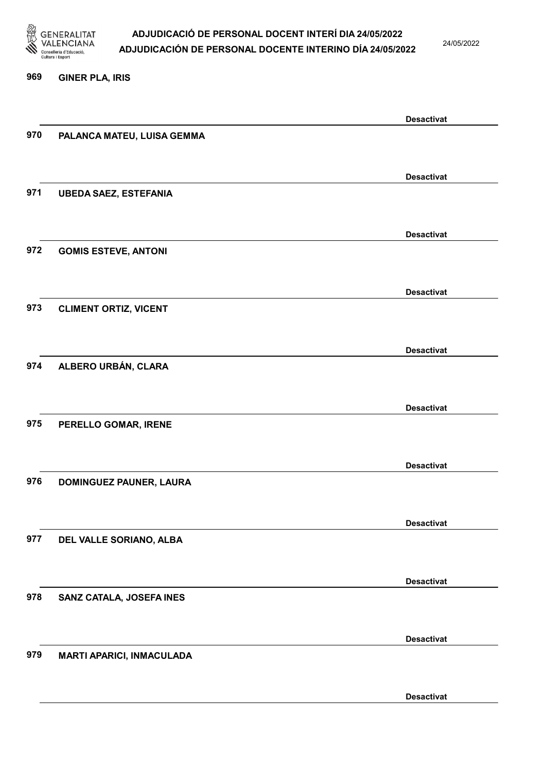

24/05/2022

#### 969 GINER PLA, IRIS

|     |                                  | <b>Desactivat</b> |
|-----|----------------------------------|-------------------|
| 970 | PALANCA MATEU, LUISA GEMMA       |                   |
|     |                                  |                   |
|     |                                  |                   |
|     |                                  | <b>Desactivat</b> |
| 971 | <b>UBEDA SAEZ, ESTEFANIA</b>     |                   |
|     |                                  |                   |
|     |                                  |                   |
|     |                                  | <b>Desactivat</b> |
| 972 | <b>GOMIS ESTEVE, ANTONI</b>      |                   |
|     |                                  |                   |
|     |                                  |                   |
|     |                                  | <b>Desactivat</b> |
| 973 | <b>CLIMENT ORTIZ, VICENT</b>     |                   |
|     |                                  |                   |
|     |                                  | <b>Desactivat</b> |
| 974 | ALBERO URBÁN, CLARA              |                   |
|     |                                  |                   |
|     |                                  |                   |
|     |                                  | <b>Desactivat</b> |
| 975 | PERELLO GOMAR, IRENE             |                   |
|     |                                  |                   |
|     |                                  |                   |
|     |                                  | <b>Desactivat</b> |
| 976 | <b>DOMINGUEZ PAUNER, LAURA</b>   |                   |
|     |                                  |                   |
|     |                                  |                   |
|     |                                  | <b>Desactivat</b> |
| 977 | DEL VALLE SORIANO, ALBA          |                   |
|     |                                  |                   |
|     |                                  |                   |
|     |                                  | <b>Desactivat</b> |
| 978 | SANZ CATALA, JOSEFA INES         |                   |
|     |                                  |                   |
|     |                                  | <b>Desactivat</b> |
| 979 |                                  |                   |
|     | <b>MARTI APARICI, INMACULADA</b> |                   |
|     |                                  |                   |
|     |                                  | <b>Desactivat</b> |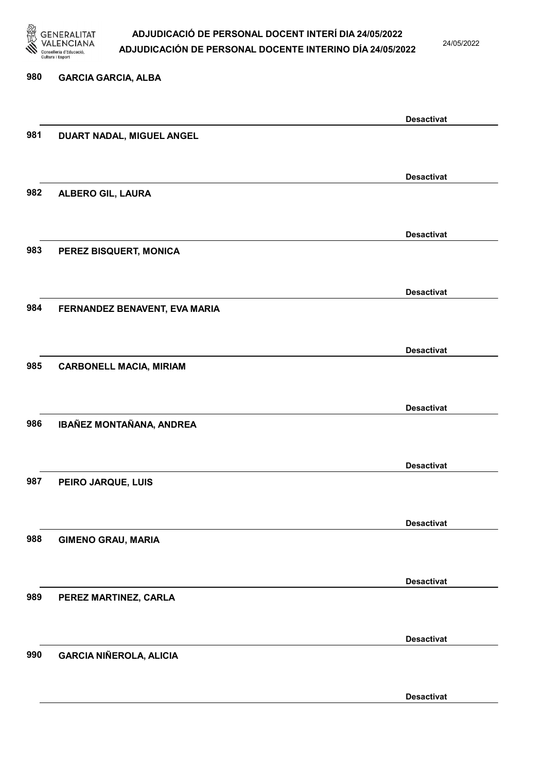

24/05/2022

# 980 GARCIA GARCIA, ALBA Desactivat 981 DUART NADAL, MIGUEL ANGEL Desactivat 982 ALBERO GIL, LAURA Desactivat 983 PEREZ BISQUERT, MONICA Desactivat 984 FERNANDEZ BENAVENT, EVA MARIA Desactivat 985 CARBONELL MACIA, MIRIAM Desactivat 986 IBAÑEZ MONTAÑANA, ANDREA Desactivat 987 PEIRO JARQUE, LUIS Desactivat 988 GIMENO GRAU, MARIA Desactivat 989 PEREZ MARTINEZ, CARLA Desactivat 990 GARCIA NIÑEROLA, ALICIA Desactivat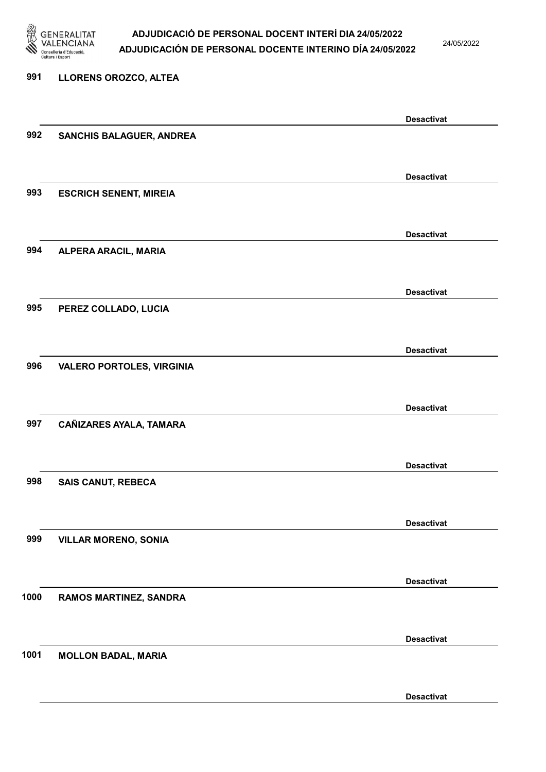

24/05/2022

#### 991 LLORENS OROZCO, ALTEA

|      |                                  | <b>Desactivat</b> |
|------|----------------------------------|-------------------|
| 992  | SANCHIS BALAGUER, ANDREA         |                   |
|      |                                  |                   |
|      |                                  | <b>Desactivat</b> |
| 993  | <b>ESCRICH SENENT, MIREIA</b>    |                   |
|      |                                  |                   |
|      |                                  | <b>Desactivat</b> |
| 994  | ALPERA ARACIL, MARIA             |                   |
|      |                                  |                   |
|      |                                  | <b>Desactivat</b> |
| 995  | PEREZ COLLADO, LUCIA             |                   |
|      |                                  |                   |
|      |                                  | <b>Desactivat</b> |
| 996  | <b>VALERO PORTOLES, VIRGINIA</b> |                   |
|      |                                  |                   |
|      |                                  | <b>Desactivat</b> |
| 997  | CAÑIZARES AYALA, TAMARA          |                   |
|      |                                  |                   |
|      |                                  | <b>Desactivat</b> |
| 998  | <b>SAIS CANUT, REBECA</b>        |                   |
|      |                                  |                   |
|      |                                  | <b>Desactivat</b> |
| 999  | <b>VILLAR MORENO, SONIA</b>      |                   |
|      |                                  |                   |
|      |                                  | <b>Desactivat</b> |
| 1000 | RAMOS MARTINEZ, SANDRA           |                   |
|      |                                  |                   |
|      |                                  | <b>Desactivat</b> |
| 1001 | <b>MOLLON BADAL, MARIA</b>       |                   |
|      |                                  |                   |
|      |                                  |                   |
|      |                                  | <b>Desactivat</b> |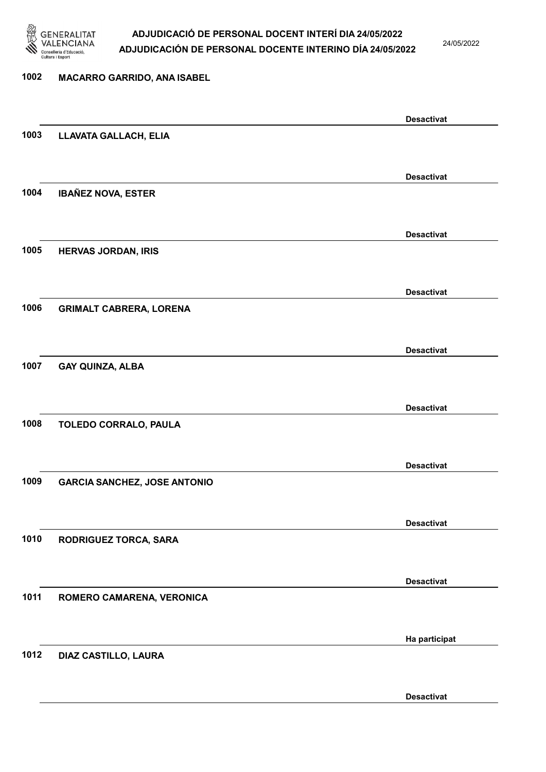

24/05/2022

# 1002 MACARRO GARRIDO, ANA ISABEL Desactivat 1003 LLAVATA GALLACH, ELIA Desactivat 1004 IBAÑEZ NOVA, ESTER Desactivat 1005 HERVAS JORDAN, IRIS Desactivat 1006 GRIMALT CABRERA, LORENA Desactivat 1007 GAY QUINZA, ALBA Desactivat 1008 TOLEDO CORRALO, PAULA Desactivat 1009 GARCIA SANCHEZ, JOSE ANTONIO Desactivat 1010 RODRIGUEZ TORCA, SARA Desactivat 1011 ROMERO CAMARENA, VERONICA Ha participat 1012 DIAZ CASTILLO, LAURA

Desactivat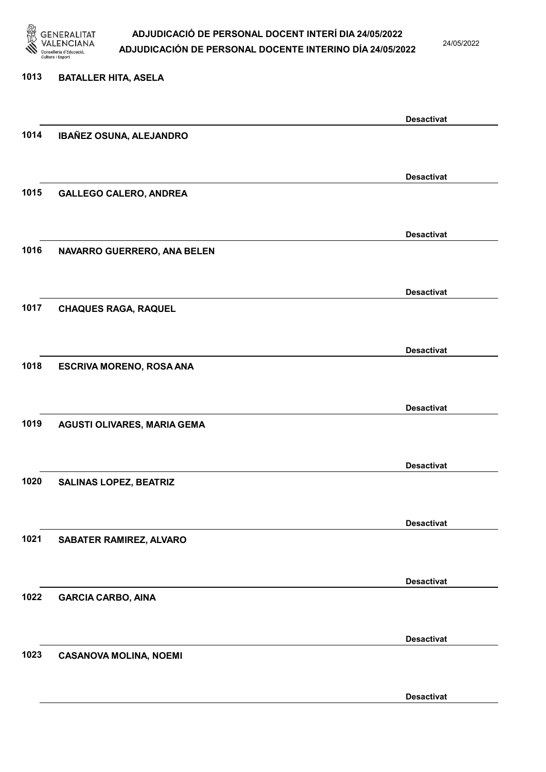

24/05/2022

#### 1013 BATALLER HITA, ASELA

|      |                                 | <b>Desactivat</b> |
|------|---------------------------------|-------------------|
| 1014 | IBAÑEZ OSUNA, ALEJANDRO         |                   |
|      |                                 |                   |
|      |                                 |                   |
|      |                                 | <b>Desactivat</b> |
| 1015 | <b>GALLEGO CALERO, ANDREA</b>   |                   |
|      |                                 |                   |
|      |                                 | <b>Desactivat</b> |
| 1016 |                                 |                   |
|      | NAVARRO GUERRERO, ANA BELEN     |                   |
|      |                                 |                   |
|      |                                 | <b>Desactivat</b> |
| 1017 | <b>CHAQUES RAGA, RAQUEL</b>     |                   |
|      |                                 |                   |
|      |                                 |                   |
|      |                                 | <b>Desactivat</b> |
| 1018 | <b>ESCRIVA MORENO, ROSA ANA</b> |                   |
|      |                                 |                   |
|      |                                 | <b>Desactivat</b> |
| 1019 |                                 |                   |
|      | AGUSTI OLIVARES, MARIA GEMA     |                   |
|      |                                 |                   |
|      |                                 | <b>Desactivat</b> |
| 1020 | <b>SALINAS LOPEZ, BEATRIZ</b>   |                   |
|      |                                 |                   |
|      |                                 |                   |
|      |                                 | <b>Desactivat</b> |
| 1021 | <b>SABATER RAMIREZ, ALVARO</b>  |                   |
|      |                                 |                   |
|      |                                 | <b>Desactivat</b> |
| 1022 | <b>GARCIA CARBO, AINA</b>       |                   |
|      |                                 |                   |
|      |                                 |                   |
|      |                                 | <b>Desactivat</b> |
| 1023 | <b>CASANOVA MOLINA, NOEMI</b>   |                   |
|      |                                 |                   |
|      |                                 |                   |
|      |                                 | <b>Desactivat</b> |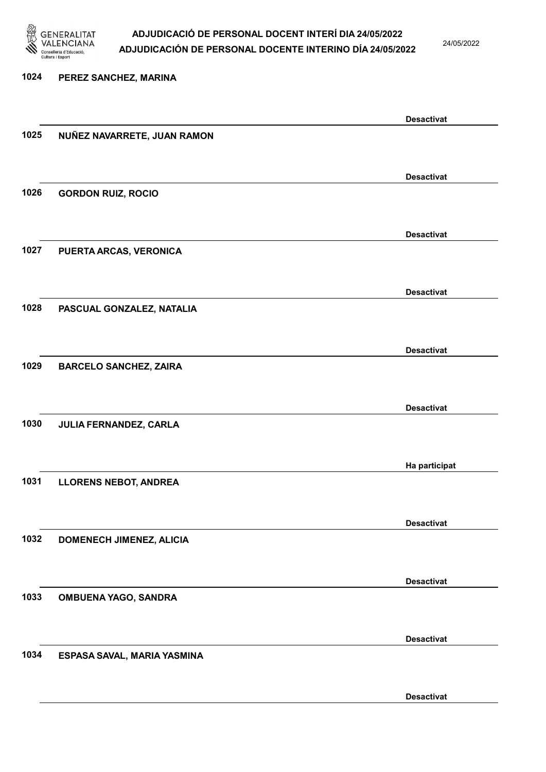

24/05/2022

Desactivat

# 1024 PEREZ SANCHEZ, MARINA Desactivat 1025 NUÑEZ NAVARRETE, JUAN RAMON Desactivat 1026 GORDON RUIZ, ROCIO Desactivat 1027 PUERTA ARCAS, VERONICA Desactivat 1028 PASCUAL GONZALEZ, NATALIA Desactivat 1029 BARCELO SANCHEZ, ZAIRA Desactivat 1030 JULIA FERNANDEZ, CARLA Ha participat 1031 LLORENS NEBOT, ANDREA Desactivat 1032 DOMENECH JIMENEZ, ALICIA Desactivat 1033 OMBUENA YAGO, SANDRA Desactivat 1034 ESPASA SAVAL, MARIA YASMINA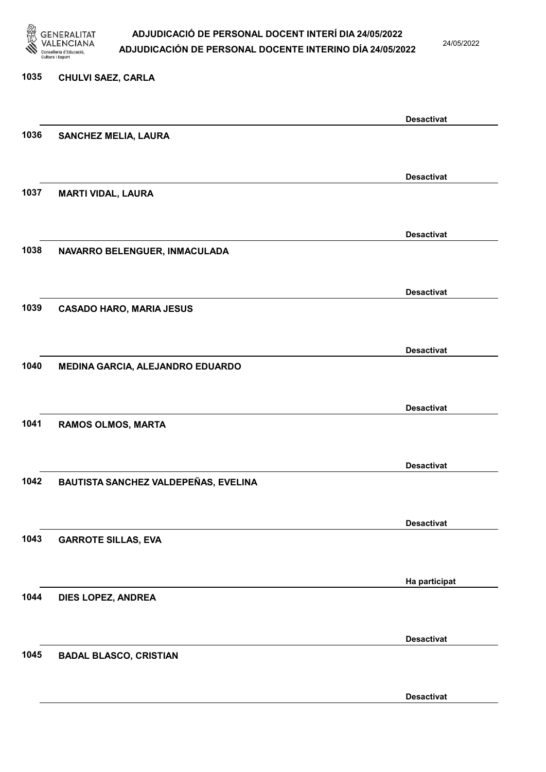

24/05/2022

### 1035 CHULVI SAEZ, CARLA

|      |                                      | <b>Desactivat</b> |
|------|--------------------------------------|-------------------|
| 1036 | <b>SANCHEZ MELIA, LAURA</b>          |                   |
|      |                                      |                   |
|      |                                      | <b>Desactivat</b> |
| 1037 | <b>MARTI VIDAL, LAURA</b>            |                   |
|      |                                      |                   |
|      |                                      | <b>Desactivat</b> |
| 1038 | NAVARRO BELENGUER, INMACULADA        |                   |
|      |                                      |                   |
|      |                                      | <b>Desactivat</b> |
| 1039 | <b>CASADO HARO, MARIA JESUS</b>      |                   |
|      |                                      |                   |
|      |                                      | <b>Desactivat</b> |
| 1040 | MEDINA GARCIA, ALEJANDRO EDUARDO     |                   |
|      |                                      |                   |
|      |                                      |                   |
| 1041 | <b>RAMOS OLMOS, MARTA</b>            | <b>Desactivat</b> |
|      |                                      |                   |
|      |                                      |                   |
| 1042 |                                      | <b>Desactivat</b> |
|      | BAUTISTA SANCHEZ VALDEPEÑAS, EVELINA |                   |
|      |                                      |                   |
|      |                                      | <b>Desactivat</b> |
| 1043 | <b>GARROTE SILLAS, EVA</b>           |                   |
|      |                                      |                   |
|      |                                      | Ha participat     |
| 1044 | DIES LOPEZ, ANDREA                   |                   |
|      |                                      |                   |
|      |                                      | <b>Desactivat</b> |
| 1045 | <b>BADAL BLASCO, CRISTIAN</b>        |                   |
|      |                                      |                   |
|      |                                      | <b>Desactivat</b> |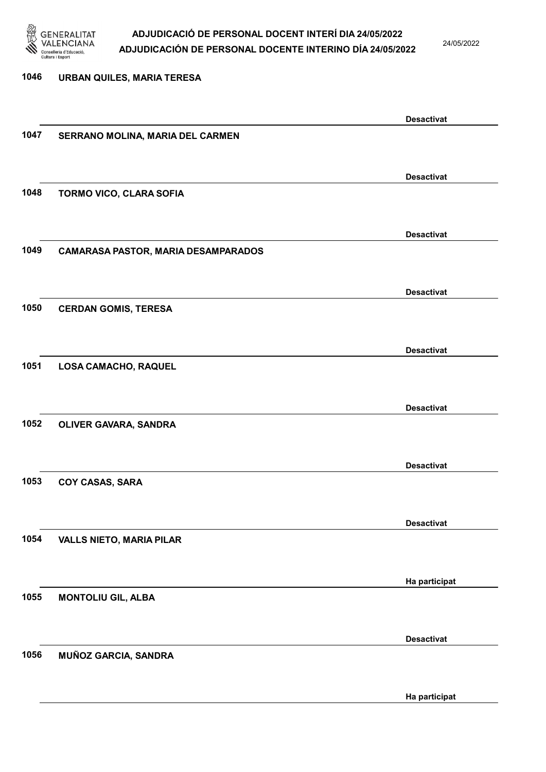

24/05/2022

Ha participat

# 1046 URBAN QUILES, MARIA TERESA Desactivat 1047 SERRANO MOLINA, MARIA DEL CARMEN Desactivat 1048 TORMO VICO, CLARA SOFIA Desactivat 1049 CAMARASA PASTOR, MARIA DESAMPARADOS Desactivat 1050 CERDAN GOMIS, TERESA Desactivat 1051 LOSA CAMACHO, RAQUEL Desactivat 1052 OLIVER GAVARA, SANDRA Desactivat 1053 COY CASAS, SARA Desactivat 1054 VALLS NIETO, MARIA PILAR Ha participat 1055 MONTOLIU GIL, ALBA Desactivat 1056 MUÑOZ GARCIA, SANDRA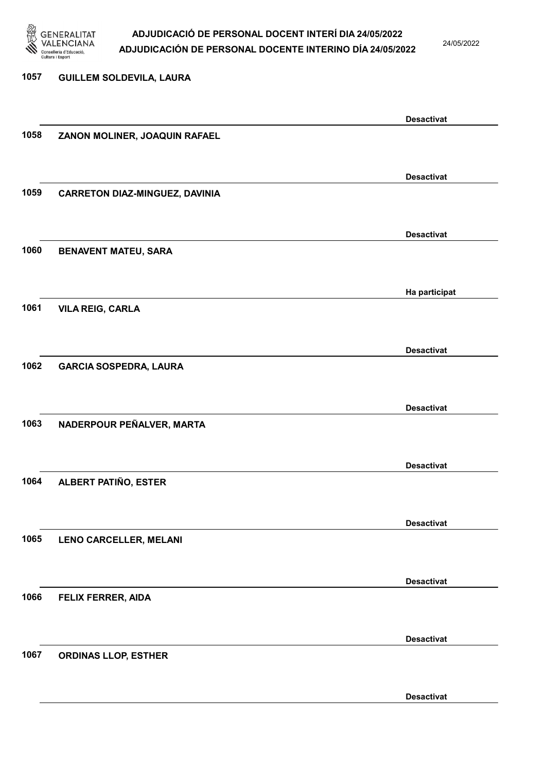

24/05/2022

Desactivat

# 1057 GUILLEM SOLDEVILA, LAURA Desactivat 1058 ZANON MOLINER, JOAQUIN RAFAEL Desactivat 1059 CARRETON DIAZ-MINGUEZ, DAVINIA Desactivat 1060 BENAVENT MATEU, SARA Ha participat 1061 VILA REIG, CARLA Desactivat 1062 GARCIA SOSPEDRA, LAURA Desactivat 1063 NADERPOUR PEÑALVER, MARTA Desactivat 1064 ALBERT PATIÑO, ESTER Desactivat 1065 LENO CARCELLER, MELANI Desactivat 1066 FELIX FERRER, AIDA Desactivat 1067 ORDINAS LLOP, ESTHER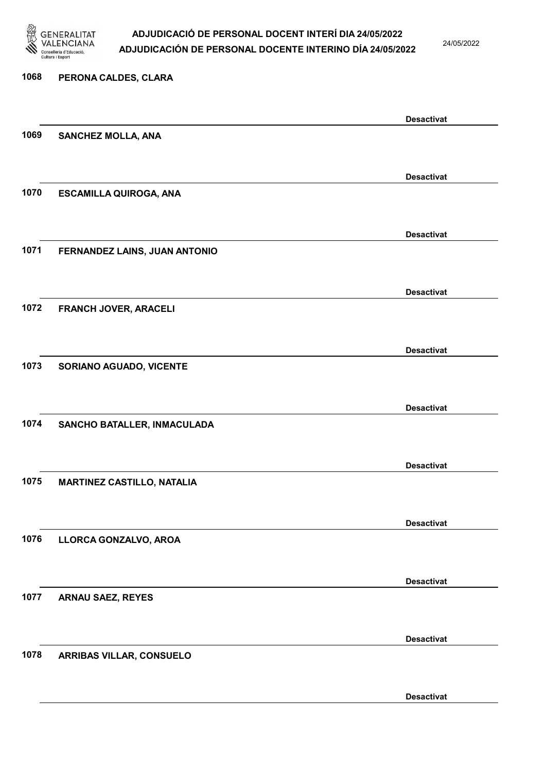

24/05/2022

Desactivat

# 1068 PERONA CALDES, CLARA Desactivat 1069 SANCHEZ MOLLA, ANA Desactivat 1070 ESCAMILLA QUIROGA, ANA Desactivat 1071 FERNANDEZ LAINS, JUAN ANTONIO Desactivat 1072 FRANCH JOVER, ARACELI Desactivat 1073 SORIANO AGUADO, VICENTE Desactivat 1074 SANCHO BATALLER, INMACULADA Desactivat 1075 MARTINEZ CASTILLO, NATALIA Desactivat 1076 LLORCA GONZALVO, AROA Desactivat 1077 ARNAU SAEZ, REYES Desactivat 1078 ARRIBAS VILLAR, CONSUELO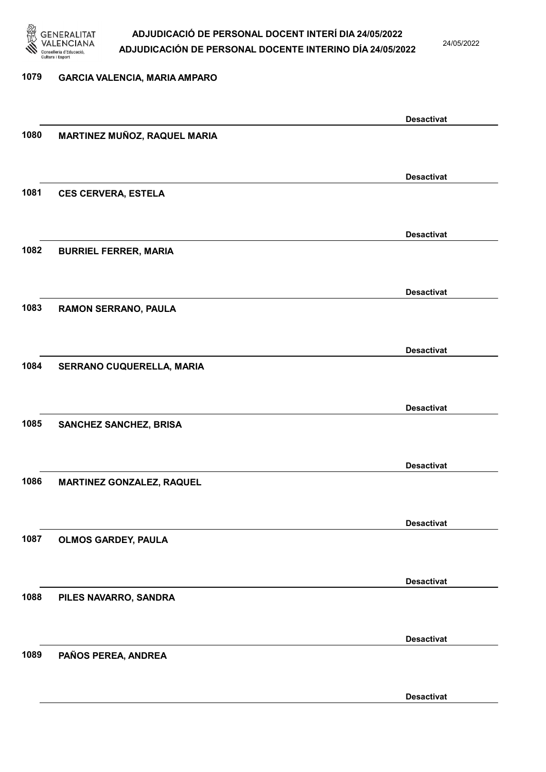

24/05/2022

Desactivat

# 1079 GARCIA VALENCIA, MARIA AMPARO Desactivat 1080 MARTINEZ MUÑOZ, RAQUEL MARIA Desactivat 1081 CES CERVERA, ESTELA Desactivat 1082 BURRIEL FERRER, MARIA Desactivat 1083 RAMON SERRANO, PAULA Desactivat 1084 SERRANO CUQUERELLA, MARIA Desactivat 1085 SANCHEZ SANCHEZ, BRISA Desactivat 1086 MARTINEZ GONZALEZ, RAQUEL Desactivat 1087 OLMOS GARDEY, PAULA Desactivat 1088 PILES NAVARRO, SANDRA Desactivat 1089 PAÑOS PEREA, ANDREA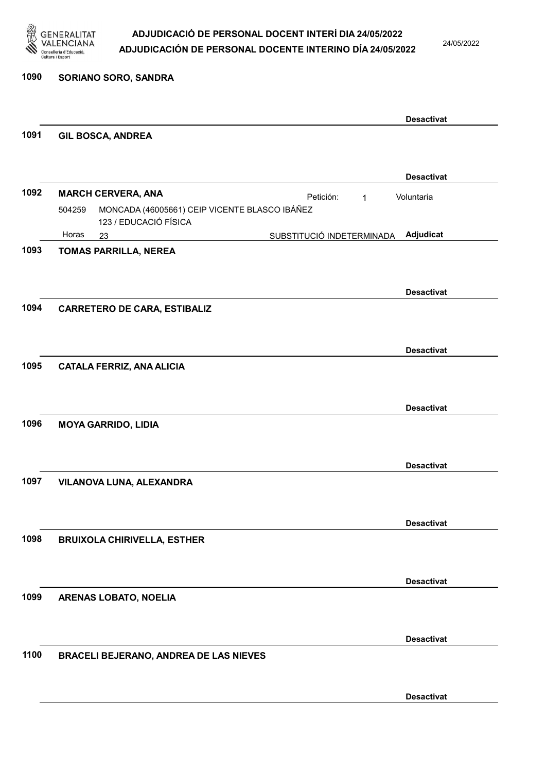

24/05/2022

### 1090 SORIANO SORO, SANDRA

|      |                                                                                  |                           | <b>Desactivat</b> |
|------|----------------------------------------------------------------------------------|---------------------------|-------------------|
| 1091 | <b>GIL BOSCA, ANDREA</b>                                                         |                           |                   |
|      |                                                                                  |                           |                   |
|      |                                                                                  |                           | <b>Desactivat</b> |
| 1092 | <b>MARCH CERVERA, ANA</b>                                                        | Petición:<br>1            | Voluntaria        |
|      | MONCADA (46005661) CEIP VICENTE BLASCO IBÁÑEZ<br>504259<br>123 / EDUCACIÓ FÍSICA |                           |                   |
|      | Horas<br>23                                                                      | SUBSTITUCIÓ INDETERMINADA | Adjudicat         |
| 1093 | <b>TOMAS PARRILLA, NEREA</b>                                                     |                           |                   |
|      |                                                                                  |                           |                   |
|      |                                                                                  |                           | <b>Desactivat</b> |
| 1094 | <b>CARRETERO DE CARA, ESTIBALIZ</b>                                              |                           |                   |
|      |                                                                                  |                           |                   |
|      |                                                                                  |                           | <b>Desactivat</b> |
| 1095 | <b>CATALA FERRIZ, ANA ALICIA</b>                                                 |                           |                   |
|      |                                                                                  |                           |                   |
|      |                                                                                  |                           | <b>Desactivat</b> |
| 1096 | <b>MOYA GARRIDO, LIDIA</b>                                                       |                           |                   |
|      |                                                                                  |                           |                   |
|      |                                                                                  |                           |                   |
|      |                                                                                  |                           | <b>Desactivat</b> |
| 1097 | VILANOVA LUNA, ALEXANDRA                                                         |                           |                   |
|      |                                                                                  |                           |                   |
|      |                                                                                  |                           | <b>Desactivat</b> |
| 1098 | <b>BRUIXOLA CHIRIVELLA, ESTHER</b>                                               |                           |                   |
|      |                                                                                  |                           |                   |
|      |                                                                                  |                           | <b>Desactivat</b> |
| 1099 | ARENAS LOBATO, NOELIA                                                            |                           |                   |
|      |                                                                                  |                           |                   |
|      |                                                                                  |                           | <b>Desactivat</b> |
| 1100 | <b>BRACELI BEJERANO, ANDREA DE LAS NIEVES</b>                                    |                           |                   |
|      |                                                                                  |                           |                   |
|      |                                                                                  |                           |                   |
|      |                                                                                  |                           | <b>Desactivat</b> |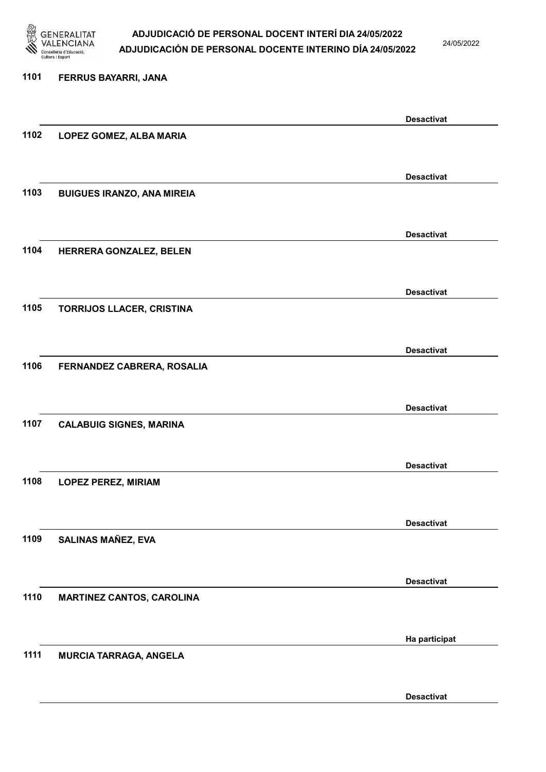

24/05/2022

### 1101 FERRUS BAYARRI, JANA

|      |                                   | <b>Desactivat</b> |
|------|-----------------------------------|-------------------|
| 1102 | LOPEZ GOMEZ, ALBA MARIA           |                   |
|      |                                   |                   |
|      |                                   | <b>Desactivat</b> |
| 1103 | <b>BUIGUES IRANZO, ANA MIREIA</b> |                   |
|      |                                   |                   |
|      |                                   |                   |
| 1104 | HERRERA GONZALEZ, BELEN           | <b>Desactivat</b> |
|      |                                   |                   |
|      |                                   |                   |
|      |                                   | <b>Desactivat</b> |
| 1105 | <b>TORRIJOS LLACER, CRISTINA</b>  |                   |
|      |                                   |                   |
|      |                                   | <b>Desactivat</b> |
| 1106 | FERNANDEZ CABRERA, ROSALIA        |                   |
|      |                                   |                   |
|      |                                   | <b>Desactivat</b> |
| 1107 | <b>CALABUIG SIGNES, MARINA</b>    |                   |
|      |                                   |                   |
|      |                                   | <b>Desactivat</b> |
| 1108 | <b>LOPEZ PEREZ, MIRIAM</b>        |                   |
|      |                                   |                   |
|      |                                   | <b>Desactivat</b> |
| 1109 | <b>SALINAS MAÑEZ, EVA</b>         |                   |
|      |                                   |                   |
|      |                                   |                   |
|      |                                   | <b>Desactivat</b> |
| 1110 | <b>MARTINEZ CANTOS, CAROLINA</b>  |                   |
|      |                                   |                   |
|      |                                   | Ha participat     |
| 1111 | <b>MURCIA TARRAGA, ANGELA</b>     |                   |
|      |                                   |                   |
|      |                                   | <b>Desactivat</b> |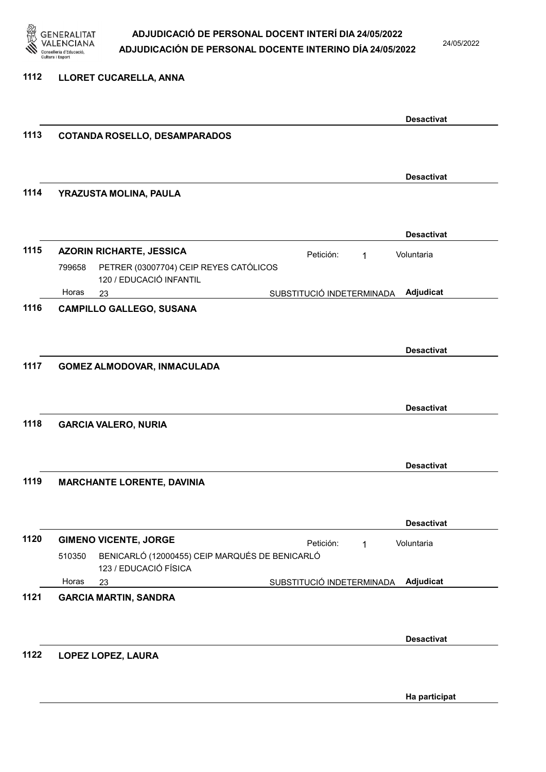

24/05/2022

### 1112 LLORET CUCARELLA, ANNA

|      |                                                                                   | <b>Desactivat</b> |
|------|-----------------------------------------------------------------------------------|-------------------|
| 1113 | <b>COTANDA ROSELLO, DESAMPARADOS</b>                                              |                   |
|      |                                                                                   |                   |
|      |                                                                                   | <b>Desactivat</b> |
| 1114 | YRAZUSTA MOLINA, PAULA                                                            |                   |
|      |                                                                                   |                   |
|      |                                                                                   | <b>Desactivat</b> |
| 1115 | <b>AZORIN RICHARTE, JESSICA</b><br>Petición:<br>1                                 | Voluntaria        |
|      | PETRER (03007704) CEIP REYES CATÓLICOS<br>799658                                  |                   |
|      | 120 / EDUCACIÓ INFANTIL<br>Horas                                                  |                   |
| 1116 | SUBSTITUCIÓ INDETERMINADA<br>23<br><b>CAMPILLO GALLEGO, SUSANA</b>                | Adjudicat         |
|      |                                                                                   |                   |
|      |                                                                                   |                   |
| 1117 | <b>GOMEZ ALMODOVAR, INMACULADA</b>                                                | <b>Desactivat</b> |
|      |                                                                                   |                   |
|      |                                                                                   |                   |
|      |                                                                                   | <b>Desactivat</b> |
| 1118 | <b>GARCIA VALERO, NURIA</b>                                                       |                   |
|      |                                                                                   |                   |
|      |                                                                                   | <b>Desactivat</b> |
| 1119 | <b>MARCHANTE LORENTE, DAVINIA</b>                                                 |                   |
|      |                                                                                   |                   |
|      |                                                                                   | <b>Desactivat</b> |
| 1120 | <b>GIMENO VICENTE, JORGE</b><br>Petición:<br>1                                    | Voluntaria        |
|      | BENICARLÓ (12000455) CEIP MARQUÉS DE BENICARLÓ<br>510350<br>123 / EDUCACIÓ FÍSICA |                   |
|      | Horas<br>SUBSTITUCIÓ INDETERMINADA<br>23                                          | Adjudicat         |
| 1121 | <b>GARCIA MARTIN, SANDRA</b>                                                      |                   |
|      |                                                                                   |                   |
|      |                                                                                   | <b>Desactivat</b> |
| 1122 | LOPEZ LOPEZ, LAURA                                                                |                   |
|      |                                                                                   |                   |
|      |                                                                                   | Ha participat     |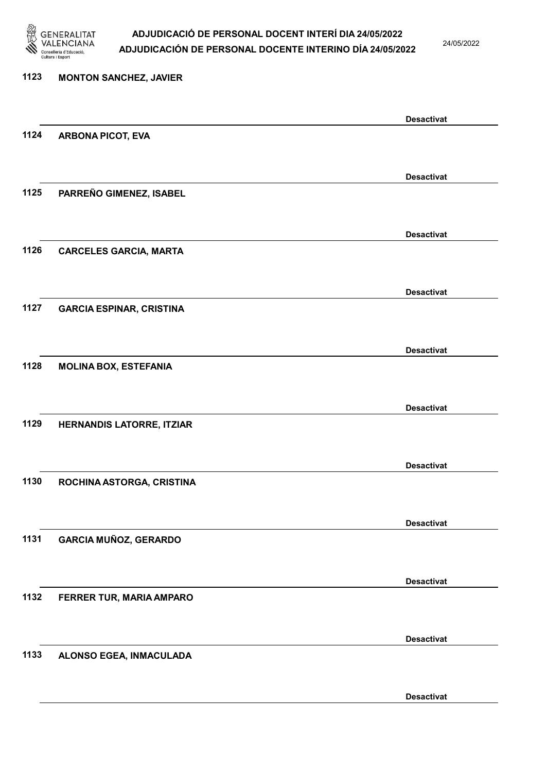

24/05/2022

Desactivat

# 1123 MONTON SANCHEZ, JAVIER Desactivat 1124 ARBONA PICOT, EVA Desactivat 1125 PARREÑO GIMENEZ, ISABEL Desactivat 1126 CARCELES GARCIA, MARTA Desactivat 1127 GARCIA ESPINAR, CRISTINA Desactivat 1128 MOLINA BOX, ESTEFANIA Desactivat 1129 HERNANDIS LATORRE, ITZIAR Desactivat 1130 ROCHINA ASTORGA, CRISTINA Desactivat 1131 GARCIA MUÑOZ, GERARDO Desactivat 1132 FERRER TUR, MARIA AMPARO Desactivat 1133 ALONSO EGEA, INMACULADA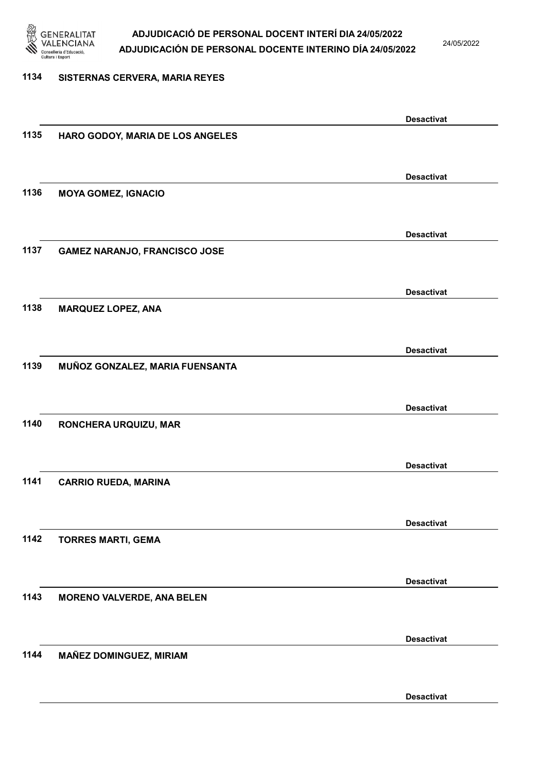

24/05/2022

### 1134 SISTERNAS CERVERA, MARIA REYES

|      |                                      | <b>Desactivat</b> |
|------|--------------------------------------|-------------------|
| 1135 | HARO GODOY, MARIA DE LOS ANGELES     |                   |
|      |                                      |                   |
|      |                                      |                   |
|      |                                      | <b>Desactivat</b> |
| 1136 | <b>MOYA GOMEZ, IGNACIO</b>           |                   |
|      |                                      |                   |
|      |                                      | <b>Desactivat</b> |
| 1137 | <b>GAMEZ NARANJO, FRANCISCO JOSE</b> |                   |
|      |                                      |                   |
|      |                                      |                   |
|      |                                      | <b>Desactivat</b> |
| 1138 | <b>MARQUEZ LOPEZ, ANA</b>            |                   |
|      |                                      |                   |
|      |                                      | <b>Desactivat</b> |
| 1139 | MUÑOZ GONZALEZ, MARIA FUENSANTA      |                   |
|      |                                      |                   |
|      |                                      |                   |
|      |                                      | <b>Desactivat</b> |
| 1140 | RONCHERA URQUIZU, MAR                |                   |
|      |                                      |                   |
|      |                                      | <b>Desactivat</b> |
| 1141 | <b>CARRIO RUEDA, MARINA</b>          |                   |
|      |                                      |                   |
|      |                                      |                   |
|      |                                      | <b>Desactivat</b> |
| 1142 | <b>TORRES MARTI, GEMA</b>            |                   |
|      |                                      |                   |
|      |                                      |                   |
|      |                                      | <b>Desactivat</b> |
| 1143 | <b>MORENO VALVERDE, ANA BELEN</b>    |                   |
|      |                                      |                   |
|      |                                      | <b>Desactivat</b> |
| 1144 | <b>MAÑEZ DOMINGUEZ, MIRIAM</b>       |                   |
|      |                                      |                   |
|      |                                      |                   |
|      |                                      | <b>Desactivat</b> |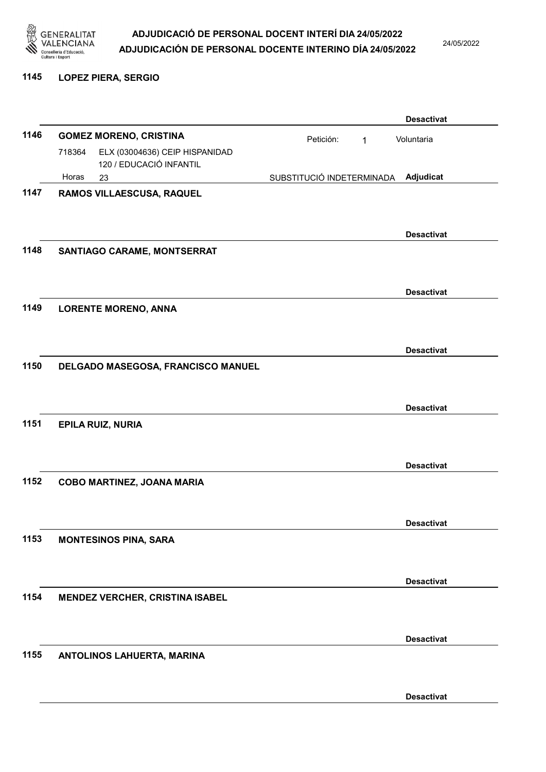

24/05/2022

#### 1145 LOPEZ PIERA, SERGIO

|      |        |                                                           |                           |   | <b>Desactivat</b> |
|------|--------|-----------------------------------------------------------|---------------------------|---|-------------------|
| 1146 |        | <b>GOMEZ MORENO, CRISTINA</b>                             | Petición:                 | 1 | Voluntaria        |
|      | 718364 | ELX (03004636) CEIP HISPANIDAD<br>120 / EDUCACIÓ INFANTIL |                           |   |                   |
|      | Horas  | 23                                                        | SUBSTITUCIÓ INDETERMINADA |   | Adjudicat         |
| 1147 |        | RAMOS VILLAESCUSA, RAQUEL                                 |                           |   |                   |
|      |        |                                                           |                           |   |                   |
|      |        |                                                           |                           |   | <b>Desactivat</b> |
| 1148 |        | SANTIAGO CARAME, MONTSERRAT                               |                           |   |                   |
|      |        |                                                           |                           |   |                   |
|      |        |                                                           |                           |   | <b>Desactivat</b> |
| 1149 |        | <b>LORENTE MORENO, ANNA</b>                               |                           |   |                   |
|      |        |                                                           |                           |   |                   |
|      |        |                                                           |                           |   | <b>Desactivat</b> |
| 1150 |        | DELGADO MASEGOSA, FRANCISCO MANUEL                        |                           |   |                   |
|      |        |                                                           |                           |   |                   |
|      |        |                                                           |                           |   | <b>Desactivat</b> |
| 1151 |        | <b>EPILA RUIZ, NURIA</b>                                  |                           |   |                   |
|      |        |                                                           |                           |   |                   |
|      |        |                                                           |                           |   | <b>Desactivat</b> |
| 1152 |        | COBO MARTINEZ, JOANA MARIA                                |                           |   |                   |
|      |        |                                                           |                           |   |                   |
|      |        |                                                           |                           |   | <b>Desactivat</b> |
| 1153 |        | <b>MONTESINOS PINA, SARA</b>                              |                           |   |                   |
|      |        |                                                           |                           |   |                   |
|      |        |                                                           |                           |   | <b>Desactivat</b> |
| 1154 |        | <b>MENDEZ VERCHER, CRISTINA ISABEL</b>                    |                           |   |                   |
|      |        |                                                           |                           |   |                   |
|      |        |                                                           |                           |   | <b>Desactivat</b> |
| 1155 |        | ANTOLINOS LAHUERTA, MARINA                                |                           |   |                   |
|      |        |                                                           |                           |   |                   |
|      |        |                                                           |                           |   | <b>Desactivat</b> |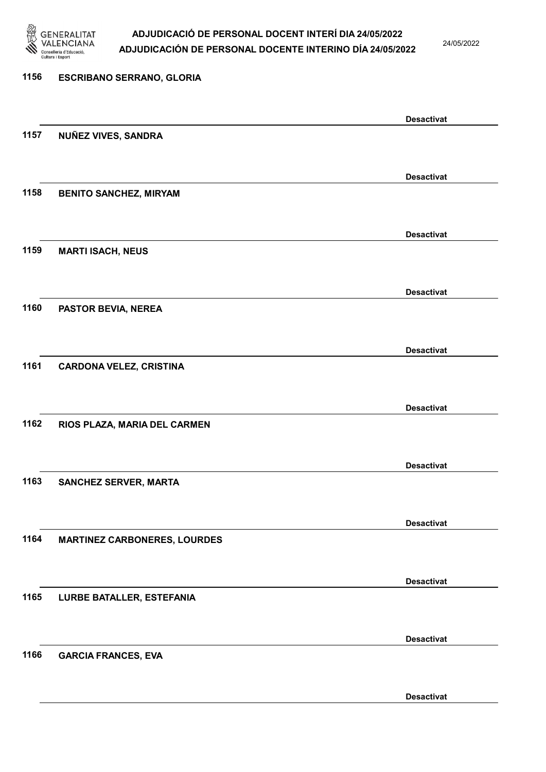

24/05/2022

Desactivat

# 1156 ESCRIBANO SERRANO, GLORIA Desactivat 1157 NUÑEZ VIVES, SANDRA Desactivat 1158 BENITO SANCHEZ, MIRYAM Desactivat 1159 MARTI ISACH, NEUS Desactivat 1160 PASTOR BEVIA, NEREA Desactivat 1161 CARDONA VELEZ, CRISTINA Desactivat 1162 RIOS PLAZA, MARIA DEL CARMEN Desactivat 1163 SANCHEZ SERVER, MARTA Desactivat 1164 MARTINEZ CARBONERES, LOURDES Desactivat 1165 LURBE BATALLER, ESTEFANIA Desactivat 1166 GARCIA FRANCES, EVA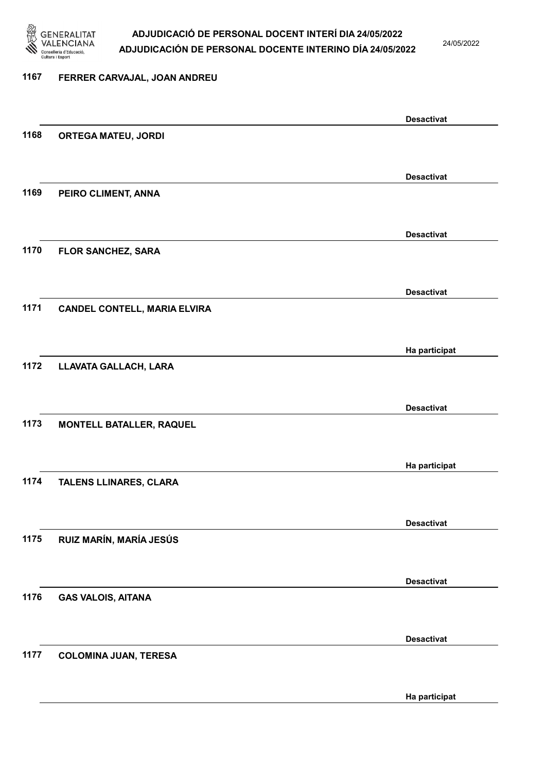

24/05/2022

# 1167 FERRER CARVAJAL, JOAN ANDREU Desactivat 1168 ORTEGA MATEU, JORDI Desactivat 1169 PEIRO CLIMENT, ANNA Desactivat 1170 FLOR SANCHEZ, SARA Desactivat 1171 CANDEL CONTELL, MARIA ELVIRA Ha participat 1172 LLAVATA GALLACH, LARA Desactivat 1173 MONTELL BATALLER, RAQUEL Ha participat 1174 TALENS LLINARES, CLARA Desactivat 1175 RUIZ MARÍN, MARÍA JESÚS Desactivat 1176 GAS VALOIS, AITANA Desactivat 1177 COLOMINA JUAN, TERESA

Ha participat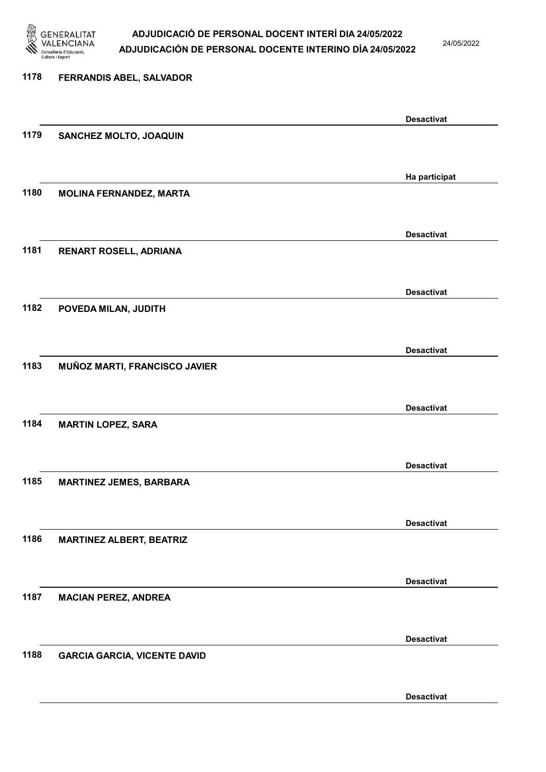

24/05/2022

Desactivat

# 1178 FERRANDIS ABEL, SALVADOR Desactivat 1179 SANCHEZ MOLTO, JOAQUIN Ha participat 1180 MOLINA FERNANDEZ, MARTA Desactivat 1181 RENART ROSELL, ADRIANA Desactivat 1182 POVEDA MILAN, JUDITH Desactivat 1183 MUÑOZ MARTI, FRANCISCO JAVIER Desactivat 1184 MARTIN LOPEZ, SARA Desactivat 1185 MARTINEZ JEMES, BARBARA Desactivat 1186 MARTINEZ ALBERT, BEATRIZ Desactivat 1187 MACIAN PEREZ, ANDREA Desactivat 1188 GARCIA GARCIA, VICENTE DAVID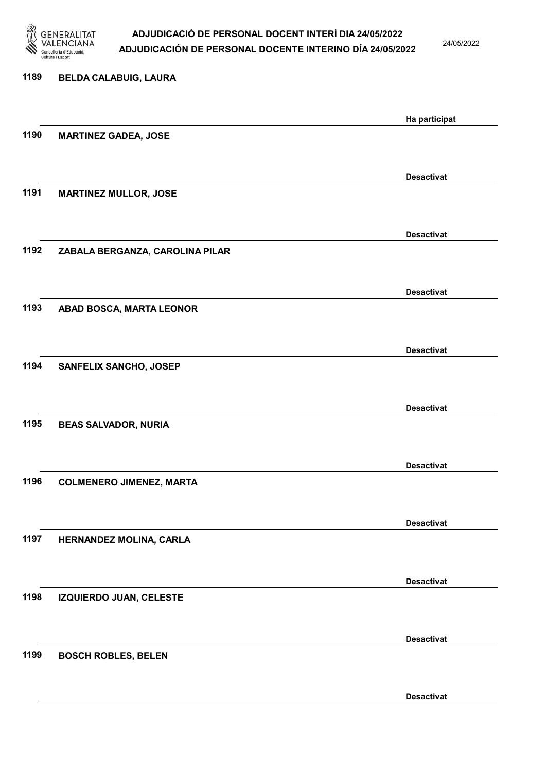

24/05/2022

| 1189 | <b>BELDA CALABUIG, LAURA</b>    |                   |
|------|---------------------------------|-------------------|
|      |                                 | Ha participat     |
| 1190 | <b>MARTINEZ GADEA, JOSE</b>     |                   |
|      |                                 | <b>Desactivat</b> |
| 1191 | <b>MARTINEZ MULLOR, JOSE</b>    |                   |
|      |                                 | <b>Desactivat</b> |
| 1192 | ZABALA BERGANZA, CAROLINA PILAR |                   |
|      |                                 | <b>Desactivat</b> |
| 1193 | ABAD BOSCA, MARTA LEONOR        |                   |
|      |                                 | <b>Desactivat</b> |
| 1194 | SANFELIX SANCHO, JOSEP          |                   |
|      |                                 | <b>Desactivat</b> |
| 1195 | <b>BEAS SALVADOR, NURIA</b>     |                   |
|      |                                 | <b>Desactivat</b> |
| 1196 | <b>COLMENERO JIMENEZ, MARTA</b> |                   |
|      |                                 | <b>Desactivat</b> |
| 1197 | HERNANDEZ MOLINA, CARLA         |                   |
|      |                                 | <b>Desactivat</b> |
| 1198 | IZQUIERDO JUAN, CELESTE         |                   |
|      |                                 | <b>Desactivat</b> |
| 1199 | <b>BOSCH ROBLES, BELEN</b>      |                   |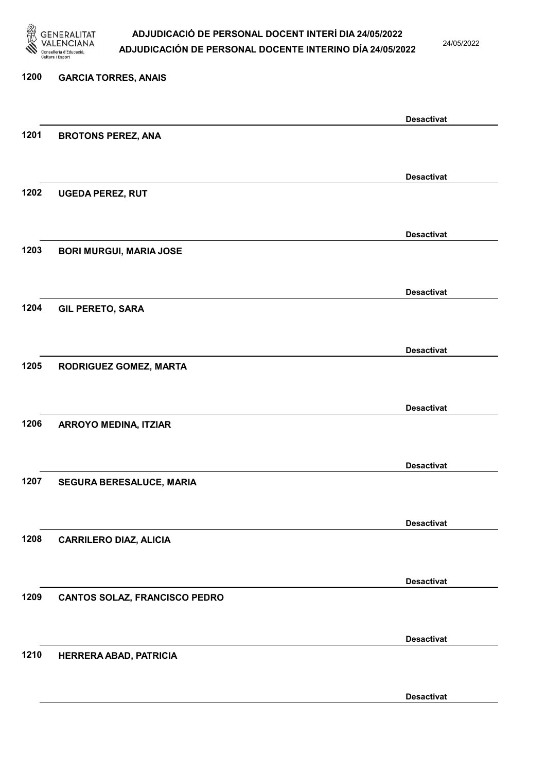

24/05/2022

Desactivat

# 1200 GARCIA TORRES, ANAIS Desactivat 1201 BROTONS PEREZ, ANA Desactivat 1202 UGEDA PEREZ, RUT Desactivat 1203 BORI MURGUI, MARIA JOSE Desactivat 1204 GIL PERETO, SARA Desactivat 1205 RODRIGUEZ GOMEZ, MARTA Desactivat 1206 ARROYO MEDINA, ITZIAR Desactivat 1207 SEGURA BERESALUCE, MARIA Desactivat 1208 CARRILERO DIAZ, ALICIA Desactivat 1209 CANTOS SOLAZ, FRANCISCO PEDRO Desactivat 1210 HERRERA ABAD, PATRICIA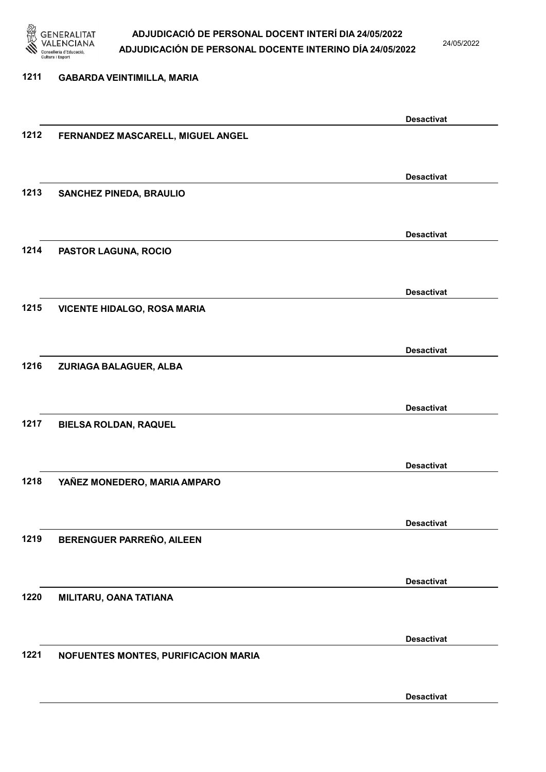

24/05/2022

# 1211 GABARDA VEINTIMILLA, MARIA Desactivat 1212 FERNANDEZ MASCARELL, MIGUEL ANGEL Desactivat 1213 SANCHEZ PINEDA, BRAULIO Desactivat 1214 PASTOR LAGUNA, ROCIO Desactivat 1215 VICENTE HIDALGO, ROSA MARIA Desactivat 1216 ZURIAGA BALAGUER, ALBA Desactivat 1217 BIELSA ROLDAN, RAQUEL Desactivat 1218 YAÑEZ MONEDERO, MARIA AMPARO Desactivat 1219 BERENGUER PARREÑO, AILEEN Desactivat 1220 MILITARU, OANA TATIANA Desactivat 1221 NOFUENTES MONTES, PURIFICACION MARIA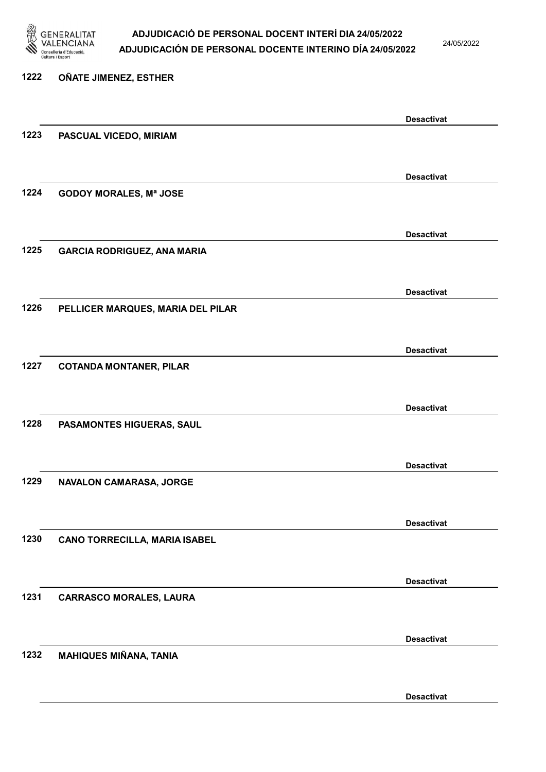

24/05/2022

# 1222 OÑATE JIMENEZ, ESTHER Desactivat 1223 PASCUAL VICEDO, MIRIAM Desactivat 1224 GODOY MORALES, Mª JOSE Desactivat 1225 GARCIA RODRIGUEZ, ANA MARIA Desactivat 1226 PELLICER MARQUES, MARIA DEL PILAR Desactivat 1227 COTANDA MONTANER, PILAR Desactivat 1228 PASAMONTES HIGUERAS, SAUL Desactivat 1229 NAVALON CAMARASA, JORGE Desactivat 1230 CANO TORRECILLA, MARIA ISABEL Desactivat 1231 CARRASCO MORALES, LAURA Desactivat 1232 MAHIQUES MIÑANA, TANIA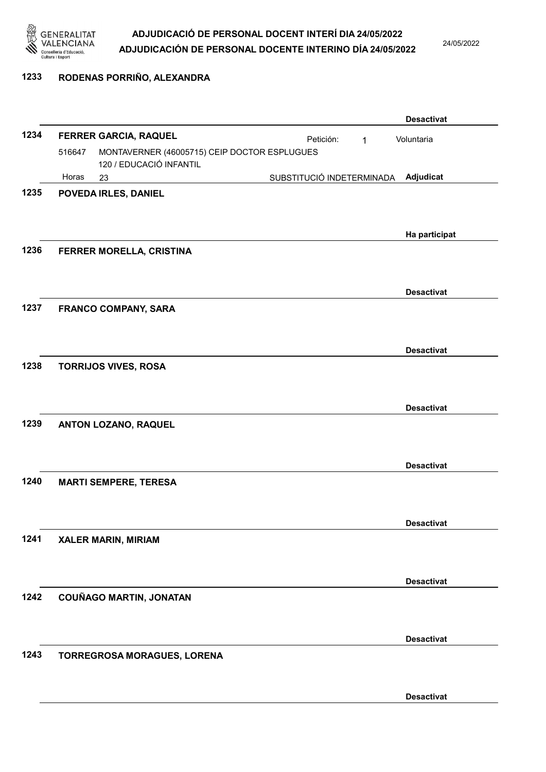

24/05/2022

#### 1233 RODENAS PORRIÑO, ALEXANDRA

|      |        |                                                                         |                           |             | <b>Desactivat</b> |
|------|--------|-------------------------------------------------------------------------|---------------------------|-------------|-------------------|
| 1234 |        | FERRER GARCIA, RAQUEL                                                   | Petición:                 | $\mathbf 1$ | Voluntaria        |
|      | 516647 | MONTAVERNER (46005715) CEIP DOCTOR ESPLUGUES<br>120 / EDUCACIÓ INFANTIL |                           |             |                   |
|      | Horas  | 23                                                                      | SUBSTITUCIÓ INDETERMINADA |             | Adjudicat         |
| 1235 |        | POVEDA IRLES, DANIEL                                                    |                           |             |                   |
|      |        |                                                                         |                           |             |                   |
|      |        |                                                                         |                           |             |                   |
|      |        |                                                                         |                           |             | Ha participat     |
| 1236 |        | FERRER MORELLA, CRISTINA                                                |                           |             |                   |
|      |        |                                                                         |                           |             |                   |
|      |        |                                                                         |                           |             | <b>Desactivat</b> |
| 1237 |        | <b>FRANCO COMPANY, SARA</b>                                             |                           |             |                   |
|      |        |                                                                         |                           |             |                   |
|      |        |                                                                         |                           |             |                   |
|      |        |                                                                         |                           |             | <b>Desactivat</b> |
| 1238 |        | <b>TORRIJOS VIVES, ROSA</b>                                             |                           |             |                   |
|      |        |                                                                         |                           |             |                   |
|      |        |                                                                         |                           |             | <b>Desactivat</b> |
| 1239 |        | ANTON LOZANO, RAQUEL                                                    |                           |             |                   |
|      |        |                                                                         |                           |             |                   |
|      |        |                                                                         |                           |             |                   |
|      |        |                                                                         |                           |             | <b>Desactivat</b> |
| 1240 |        | <b>MARTI SEMPERE, TERESA</b>                                            |                           |             |                   |
|      |        |                                                                         |                           |             |                   |
|      |        |                                                                         |                           |             | <b>Desactivat</b> |
| 1241 |        | <b>XALER MARIN, MIRIAM</b>                                              |                           |             |                   |
|      |        |                                                                         |                           |             |                   |
|      |        |                                                                         |                           |             | <b>Desactivat</b> |
| 1242 |        | <b>COUÑAGO MARTIN, JONATAN</b>                                          |                           |             |                   |
|      |        |                                                                         |                           |             |                   |
|      |        |                                                                         |                           |             |                   |
|      |        |                                                                         |                           |             | <b>Desactivat</b> |
| 1243 |        | TORREGROSA MORAGUES, LORENA                                             |                           |             |                   |
|      |        |                                                                         |                           |             |                   |
|      |        |                                                                         |                           |             |                   |
|      |        |                                                                         |                           |             | <b>Desactivat</b> |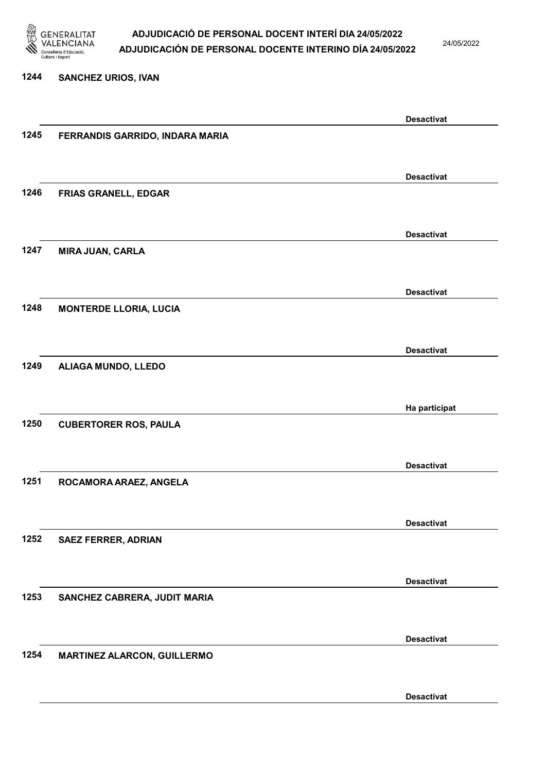

24/05/2022

#### 1244 SANCHEZ URIOS, IVAN

|      |                                 | <b>Desactivat</b> |
|------|---------------------------------|-------------------|
| 1245 | FERRANDIS GARRIDO, INDARA MARIA |                   |
|      |                                 |                   |
|      |                                 |                   |
|      |                                 | <b>Desactivat</b> |
| 1246 | <b>FRIAS GRANELL, EDGAR</b>     |                   |
|      |                                 |                   |
|      |                                 | <b>Desactivat</b> |
| 1247 | <b>MIRA JUAN, CARLA</b>         |                   |
|      |                                 |                   |
|      |                                 |                   |
|      |                                 | <b>Desactivat</b> |
| 1248 | <b>MONTERDE LLORIA, LUCIA</b>   |                   |
|      |                                 |                   |
|      |                                 |                   |
| 1249 |                                 | <b>Desactivat</b> |
|      | ALIAGA MUNDO, LLEDO             |                   |
|      |                                 |                   |
|      |                                 | Ha participat     |
| 1250 | <b>CUBERTORER ROS, PAULA</b>    |                   |
|      |                                 |                   |
|      |                                 |                   |
|      |                                 | <b>Desactivat</b> |
| 1251 | ROCAMORA ARAEZ, ANGELA          |                   |
|      |                                 |                   |
|      |                                 | <b>Desactivat</b> |
| 1252 |                                 |                   |
|      | <b>SAEZ FERRER, ADRIAN</b>      |                   |
|      |                                 |                   |
|      |                                 | <b>Desactivat</b> |
| 1253 | SANCHEZ CABRERA, JUDIT MARIA    |                   |
|      |                                 |                   |
|      |                                 |                   |
|      |                                 | <b>Desactivat</b> |
| 1254 | MARTINEZ ALARCON, GUILLERMO     |                   |
|      |                                 |                   |
|      |                                 | <b>Desactivat</b> |
|      |                                 |                   |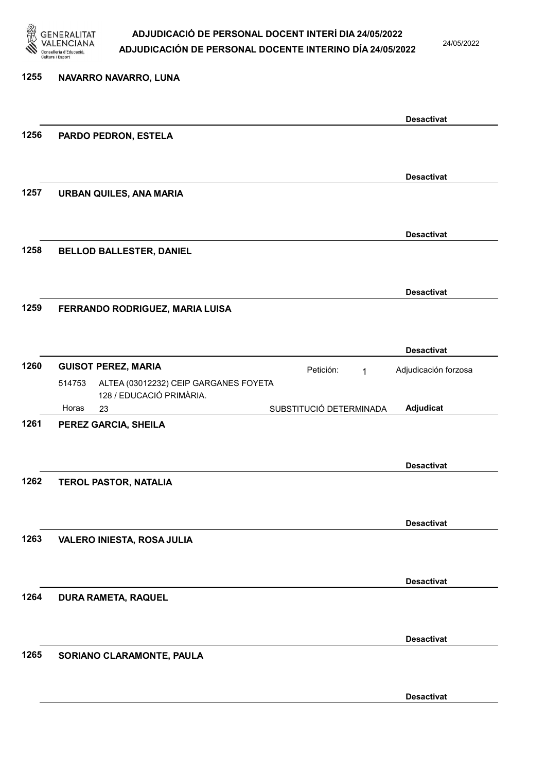

24/05/2022

# 1255 NAVARRO NAVARRO, LUNA Desactivat 1256 PARDO PEDRON, ESTELA Desactivat 1257 URBAN QUILES, ANA MARIA Desactivat 1258 BELLOD BALLESTER, DANIEL Desactivat 1259 FERRANDO RODRIGUEZ, MARIA LUISA Desactivat 1260 GUISOT PEREZ, MARIA **El proportante de la proportante de la proportante de la proportante de la proportante de la proportante de la proportante de la proportante de la proportante de la proportante de la proportante d** 23 SUBSTITUCIÓ DETERMINADA ALTEA (03012232) CEIP GARGANES FOYETA 128 / EDUCACIÓ PRIMÀRIA. Adjudicat Adjudicación forzosa 514753 Horas 1261 PEREZ GARCIA, SHEILA Desactivat 1262 TEROL PASTOR, NATALIA Desactivat 1263 VALERO INIESTA, ROSA JULIA Desactivat 1264 DURA RAMETA, RAQUEL Desactivat 1265 SORIANO CLARAMONTE, PAULA Desactivat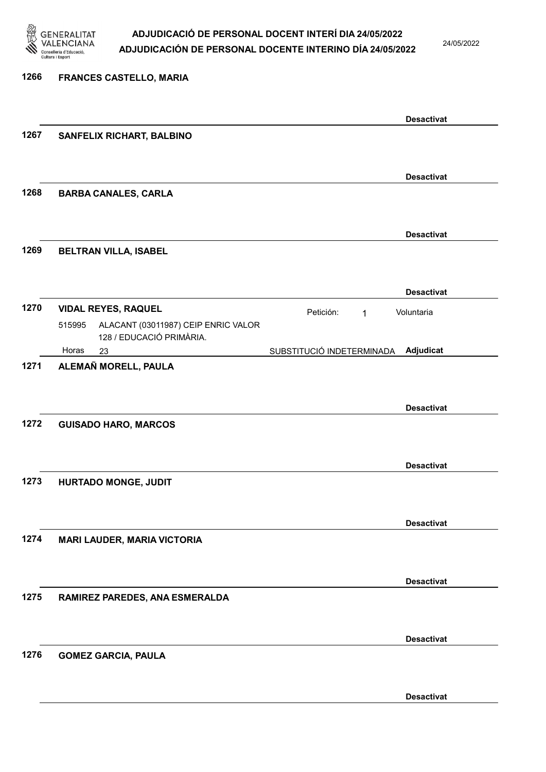

24/05/2022

#### 1266 FRANCES CASTELLO, MARIA

|      |                                                                           |                           | <b>Desactivat</b> |
|------|---------------------------------------------------------------------------|---------------------------|-------------------|
| 1267 | SANFELIX RICHART, BALBINO                                                 |                           |                   |
|      |                                                                           |                           |                   |
|      |                                                                           |                           | <b>Desactivat</b> |
| 1268 | <b>BARBA CANALES, CARLA</b>                                               |                           |                   |
|      |                                                                           |                           |                   |
| 1269 | <b>BELTRAN VILLA, ISABEL</b>                                              |                           | <b>Desactivat</b> |
|      |                                                                           |                           |                   |
|      |                                                                           |                           | <b>Desactivat</b> |
| 1270 | <b>VIDAL REYES, RAQUEL</b>                                                | Petición:<br>$\mathbf{1}$ | Voluntaria        |
|      | ALACANT (03011987) CEIP ENRIC VALOR<br>515995<br>128 / EDUCACIÓ PRIMÀRIA. |                           |                   |
|      | Horas<br>23                                                               | SUBSTITUCIÓ INDETERMINADA | Adjudicat         |
| 1271 | ALEMAÑ MORELL, PAULA                                                      |                           |                   |
|      |                                                                           |                           |                   |
|      |                                                                           |                           | <b>Desactivat</b> |
| 1272 | <b>GUISADO HARO, MARCOS</b>                                               |                           |                   |
|      |                                                                           |                           |                   |
|      |                                                                           |                           | <b>Desactivat</b> |
| 1273 | HURTADO MONGE, JUDIT                                                      |                           |                   |
|      |                                                                           |                           |                   |
| 1274 |                                                                           |                           | <b>Desactivat</b> |
|      | <b>MARI LAUDER, MARIA VICTORIA</b>                                        |                           |                   |
|      |                                                                           |                           |                   |
| 1275 | RAMIREZ PAREDES, ANA ESMERALDA                                            |                           | <b>Desactivat</b> |
|      |                                                                           |                           |                   |
|      |                                                                           |                           | <b>Desactivat</b> |
| 1276 | <b>GOMEZ GARCIA, PAULA</b>                                                |                           |                   |
|      |                                                                           |                           |                   |
|      |                                                                           |                           | <b>Desactivat</b> |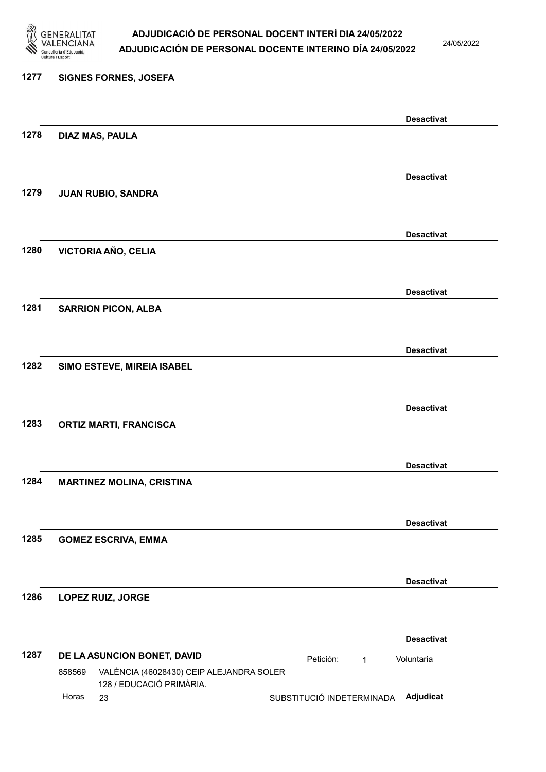

24/05/2022

# 1277 SIGNES FORNES, JOSEFA Desactivat 1278 DIAZ MAS, PAULA Desactivat 1279 JUAN RUBIO, SANDRA Desactivat 1280 VICTORIA AÑO, CELIA Desactivat 1281 SARRION PICON, ALBA Desactivat 1282 SIMO ESTEVE, MIREIA ISABEL Desactivat 1283 ORTIZ MARTI, FRANCISCA Desactivat 1284 MARTINEZ MOLINA, CRISTINA Desactivat 1285 GOMEZ ESCRIVA, EMMA Desactivat 1286 LOPEZ RUIZ, JORGE Desactivat 1287 DE LA ASUNCION BONET, DAVID 23 SUBSTITUCIÓ INDETERMINADA Adjudicat VALÈNCIA (46028430) CEIP ALEJANDRA SOLER 128 / EDUCACIÓ PRIMÀRIA. Voluntaria 858569 Horas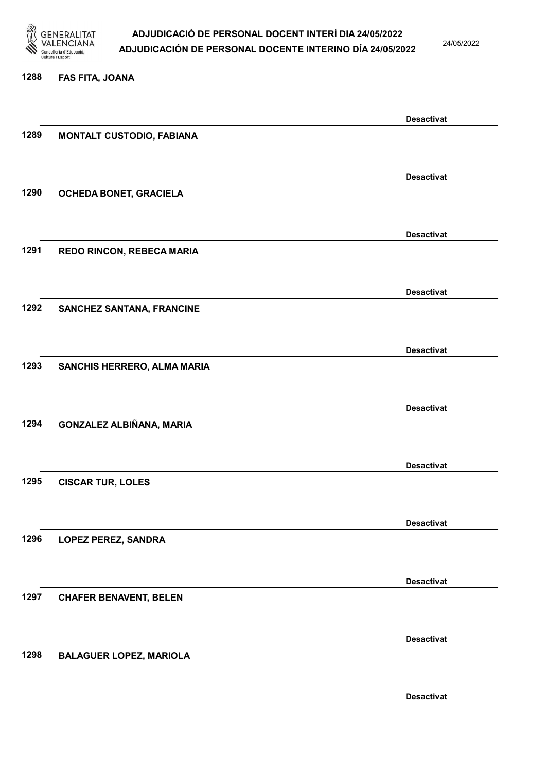

24/05/2022

#### 1288 FAS FITA, JOANA

|      |                                  | <b>Desactivat</b> |
|------|----------------------------------|-------------------|
| 1289 | <b>MONTALT CUSTODIO, FABIANA</b> |                   |
|      |                                  |                   |
|      |                                  | <b>Desactivat</b> |
| 1290 | OCHEDA BONET, GRACIELA           |                   |
|      |                                  |                   |
|      |                                  |                   |
|      |                                  | <b>Desactivat</b> |
| 1291 | REDO RINCON, REBECA MARIA        |                   |
|      |                                  |                   |
|      |                                  | <b>Desactivat</b> |
| 1292 | <b>SANCHEZ SANTANA, FRANCINE</b> |                   |
|      |                                  |                   |
|      |                                  | <b>Desactivat</b> |
| 1293 | SANCHIS HERRERO, ALMA MARIA      |                   |
|      |                                  |                   |
|      |                                  |                   |
| 1294 |                                  | <b>Desactivat</b> |
|      | GONZALEZ ALBIÑANA, MARIA         |                   |
|      |                                  |                   |
|      |                                  | <b>Desactivat</b> |
| 1295 | <b>CISCAR TUR, LOLES</b>         |                   |
|      |                                  |                   |
|      |                                  | <b>Desactivat</b> |
| 1296 | <b>LOPEZ PEREZ, SANDRA</b>       |                   |
|      |                                  |                   |
|      |                                  | <b>Desactivat</b> |
| 1297 | <b>CHAFER BENAVENT, BELEN</b>    |                   |
|      |                                  |                   |
|      |                                  |                   |
|      |                                  | <b>Desactivat</b> |
| 1298 | <b>BALAGUER LOPEZ, MARIOLA</b>   |                   |
|      |                                  |                   |
|      |                                  | <b>Desactivat</b> |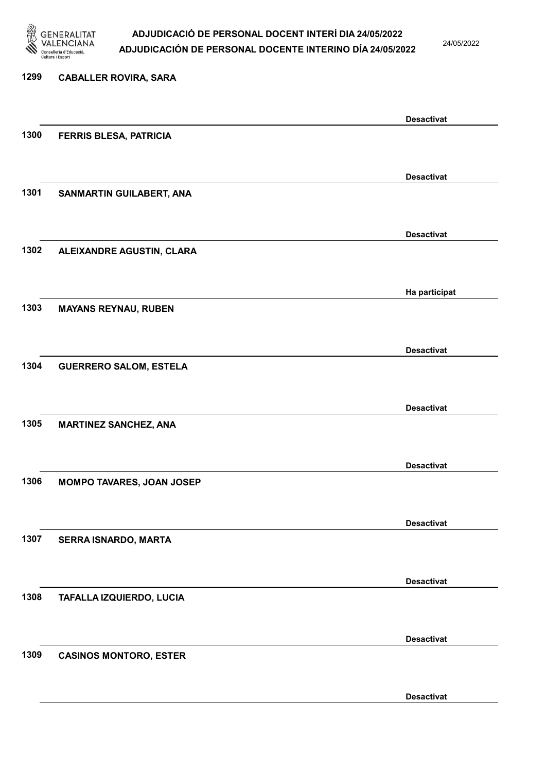

24/05/2022

Desactivat

# 1299 CABALLER ROVIRA, SARA Desactivat 1300 FERRIS BLESA, PATRICIA Desactivat 1301 SANMARTIN GUILABERT, ANA Desactivat 1302 ALEIXANDRE AGUSTIN, CLARA Ha participat 1303 MAYANS REYNAU, RUBEN Desactivat 1304 GUERRERO SALOM, ESTELA Desactivat 1305 MARTINEZ SANCHEZ, ANA Desactivat 1306 MOMPO TAVARES, JOAN JOSEP Desactivat 1307 SERRA ISNARDO, MARTA Desactivat 1308 TAFALLA IZQUIERDO, LUCIA Desactivat 1309 CASINOS MONTORO, ESTER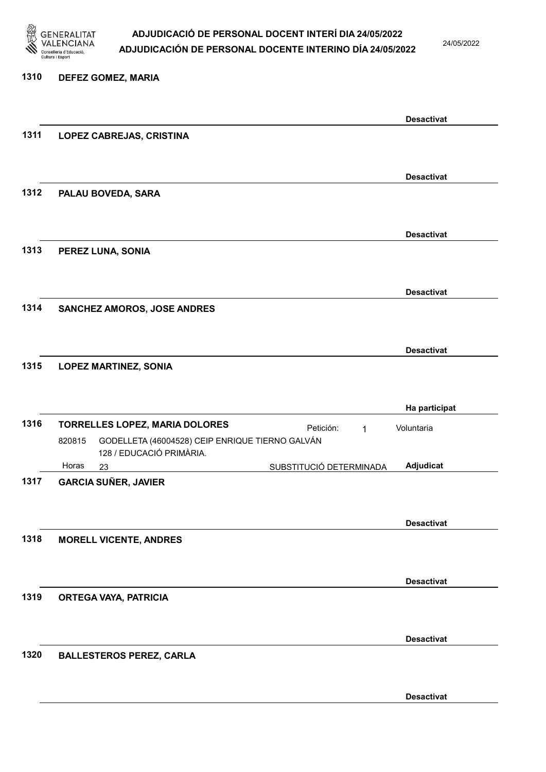

24/05/2022

## 1310 DEFEZ GOMEZ, MARIA Desactivat 1311 LOPEZ CABREJAS, CRISTINA Desactivat 1312 PALAU BOVEDA, SARA Desactivat 1313 PEREZ LUNA, SONIA Desactivat 1314 SANCHEZ AMOROS, JOSE ANDRES Desactivat 1315 LOPEZ MARTINEZ, SONIA Ha participat 1316 TORRELLES LOPEZ, MARIA DOLORES Petición: 1 23 SUBSTITUCIÓ DETERMINADA GODELLETA (46004528) CEIP ENRIQUE TIERNO GALVÁN 128 / EDUCACIÓ PRIMÀRIA. Adjudicat Voluntaria 820815 Horas 1317 GARCIA SUÑER, JAVIER Desactivat 1318 MORELL VICENTE, ANDRES Desactivat 1319 ORTEGA VAYA, PATRICIA

1320 BALLESTEROS PEREZ, CARLA

Desactivat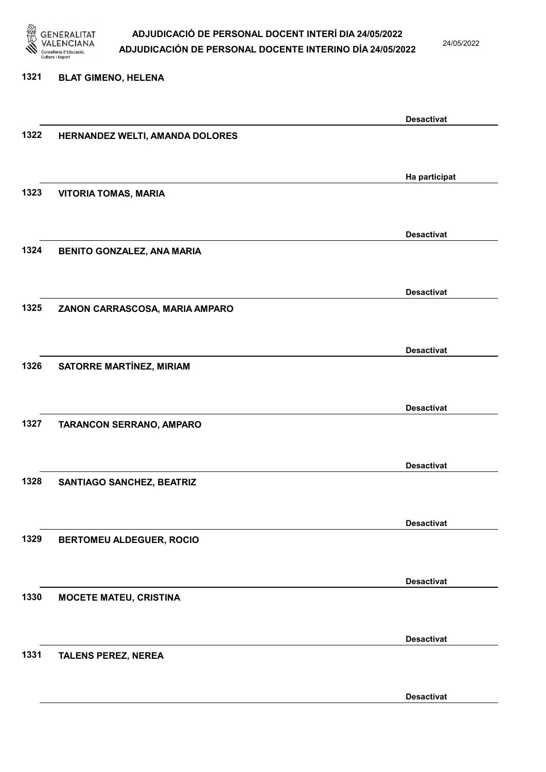

24/05/2022

#### 1321 BLAT GIMENO, HELENA

|      |                                 | <b>Desactivat</b> |
|------|---------------------------------|-------------------|
| 1322 | HERNANDEZ WELTI, AMANDA DOLORES |                   |
|      |                                 |                   |
|      |                                 |                   |
|      |                                 | Ha participat     |
|      |                                 |                   |
| 1323 | <b>VITORIA TOMAS, MARIA</b>     |                   |
|      |                                 |                   |
|      |                                 |                   |
|      |                                 | <b>Desactivat</b> |
| 1324 | BENITO GONZALEZ, ANA MARIA      |                   |
|      |                                 |                   |
|      |                                 |                   |
|      |                                 | <b>Desactivat</b> |
| 1325 | ZANON CARRASCOSA, MARIA AMPARO  |                   |
|      |                                 |                   |
|      |                                 |                   |
|      |                                 | <b>Desactivat</b> |
| 1326 | <b>SATORRE MARTÍNEZ, MIRIAM</b> |                   |
|      |                                 |                   |
|      |                                 |                   |
|      |                                 | <b>Desactivat</b> |
|      |                                 |                   |
| 1327 | TARANCON SERRANO, AMPARO        |                   |
|      |                                 |                   |
|      |                                 |                   |
|      |                                 | <b>Desactivat</b> |
| 1328 | SANTIAGO SANCHEZ, BEATRIZ       |                   |
|      |                                 |                   |
|      |                                 |                   |
|      |                                 | <b>Desactivat</b> |
| 1329 | <b>BERTOMEU ALDEGUER, ROCIO</b> |                   |
|      |                                 |                   |
|      |                                 |                   |
|      |                                 | <b>Desactivat</b> |
| 1330 | <b>MOCETE MATEU, CRISTINA</b>   |                   |
|      |                                 |                   |
|      |                                 |                   |
|      |                                 | <b>Desactivat</b> |
|      |                                 |                   |
| 1331 | <b>TALENS PEREZ, NEREA</b>      |                   |
|      |                                 |                   |
|      |                                 |                   |
|      |                                 | <b>Desactivat</b> |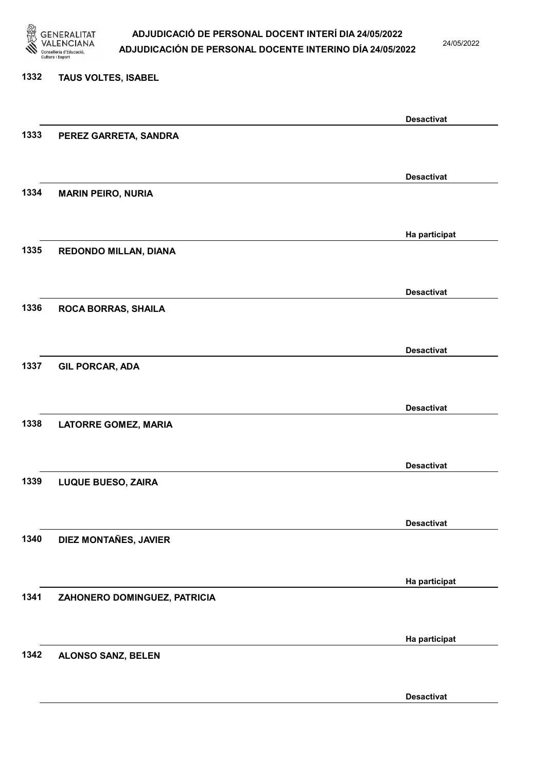

24/05/2022

#### 1332 TAUS VOLTES, ISABEL

|      |                              | <b>Desactivat</b> |
|------|------------------------------|-------------------|
| 1333 | PEREZ GARRETA, SANDRA        |                   |
|      |                              |                   |
|      |                              |                   |
|      |                              | <b>Desactivat</b> |
| 1334 | <b>MARIN PEIRO, NURIA</b>    |                   |
|      |                              |                   |
|      |                              | Ha participat     |
| 1335 |                              |                   |
|      | REDONDO MILLAN, DIANA        |                   |
|      |                              |                   |
|      |                              | <b>Desactivat</b> |
| 1336 | <b>ROCA BORRAS, SHAILA</b>   |                   |
|      |                              |                   |
|      |                              |                   |
|      |                              | <b>Desactivat</b> |
| 1337 | <b>GIL PORCAR, ADA</b>       |                   |
|      |                              |                   |
|      |                              |                   |
|      |                              | <b>Desactivat</b> |
| 1338 | <b>LATORRE GOMEZ, MARIA</b>  |                   |
|      |                              |                   |
|      |                              | <b>Desactivat</b> |
| 1339 | <b>LUQUE BUESO, ZAIRA</b>    |                   |
|      |                              |                   |
|      |                              |                   |
|      |                              | <b>Desactivat</b> |
| 1340 | DIEZ MONTAÑES, JAVIER        |                   |
|      |                              |                   |
|      |                              |                   |
|      |                              | Ha participat     |
| 1341 | ZAHONERO DOMINGUEZ, PATRICIA |                   |
|      |                              |                   |
|      |                              | Ha participat     |
| 1342 | <b>ALONSO SANZ, BELEN</b>    |                   |
|      |                              |                   |
|      |                              |                   |
|      |                              | <b>Desactivat</b> |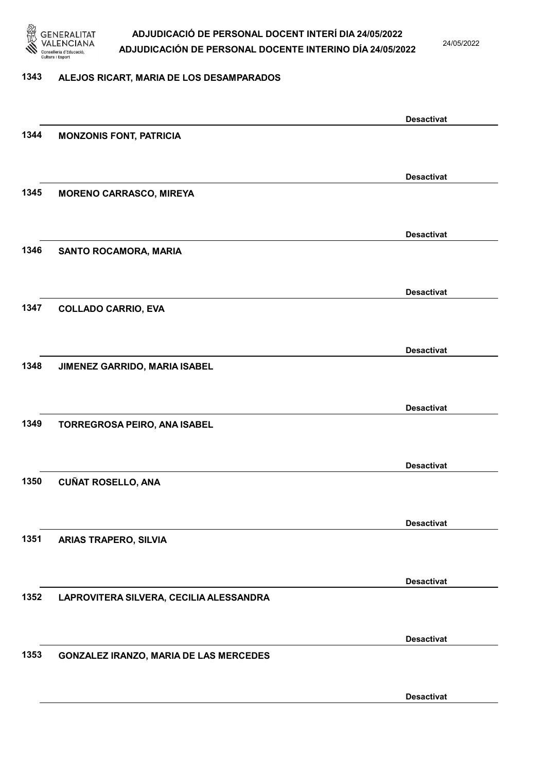

24/05/2022

#### 1343 ALEJOS RICART, MARIA DE LOS DESAMPARADOS

|      |                                               | <b>Desactivat</b> |
|------|-----------------------------------------------|-------------------|
| 1344 | <b>MONZONIS FONT, PATRICIA</b>                |                   |
|      |                                               |                   |
|      |                                               | <b>Desactivat</b> |
| 1345 | <b>MORENO CARRASCO, MIREYA</b>                |                   |
|      |                                               |                   |
|      |                                               |                   |
| 1346 |                                               | <b>Desactivat</b> |
|      | SANTO ROCAMORA, MARIA                         |                   |
|      |                                               |                   |
|      |                                               | <b>Desactivat</b> |
| 1347 | <b>COLLADO CARRIO, EVA</b>                    |                   |
|      |                                               |                   |
|      |                                               | <b>Desactivat</b> |
| 1348 | JIMENEZ GARRIDO, MARIA ISABEL                 |                   |
|      |                                               |                   |
|      |                                               | <b>Desactivat</b> |
| 1349 | TORREGROSA PEIRO, ANA ISABEL                  |                   |
|      |                                               |                   |
|      |                                               |                   |
| 1350 | <b>CUÑAT ROSELLO, ANA</b>                     | <b>Desactivat</b> |
|      |                                               |                   |
|      |                                               |                   |
|      |                                               | <b>Desactivat</b> |
| 1351 | <b>ARIAS TRAPERO, SILVIA</b>                  |                   |
|      |                                               |                   |
|      |                                               | <b>Desactivat</b> |
| 1352 | LAPROVITERA SILVERA, CECILIA ALESSANDRA       |                   |
|      |                                               |                   |
|      |                                               | <b>Desactivat</b> |
| 1353 | <b>GONZALEZ IRANZO, MARIA DE LAS MERCEDES</b> |                   |
|      |                                               |                   |
|      |                                               |                   |
|      |                                               | <b>Desactivat</b> |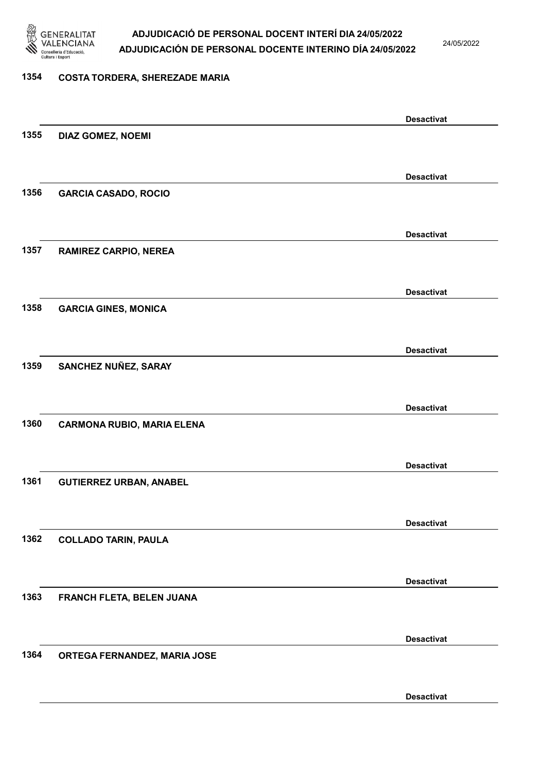

24/05/2022

#### 1354 COSTA TORDERA, SHEREZADE MARIA

|      |                                   | <b>Desactivat</b> |
|------|-----------------------------------|-------------------|
| 1355 | <b>DIAZ GOMEZ, NOEMI</b>          |                   |
|      |                                   |                   |
|      |                                   | <b>Desactivat</b> |
| 1356 | <b>GARCIA CASADO, ROCIO</b>       |                   |
|      |                                   |                   |
|      |                                   |                   |
| 1357 | RAMIREZ CARPIO, NEREA             | <b>Desactivat</b> |
|      |                                   |                   |
|      |                                   |                   |
|      |                                   | <b>Desactivat</b> |
| 1358 | <b>GARCIA GINES, MONICA</b>       |                   |
|      |                                   |                   |
|      |                                   | <b>Desactivat</b> |
| 1359 | SANCHEZ NUÑEZ, SARAY              |                   |
|      |                                   |                   |
|      |                                   | <b>Desactivat</b> |
| 1360 | <b>CARMONA RUBIO, MARIA ELENA</b> |                   |
|      |                                   |                   |
|      |                                   |                   |
| 1361 |                                   | <b>Desactivat</b> |
|      | <b>GUTIERREZ URBAN, ANABEL</b>    |                   |
|      |                                   |                   |
|      |                                   | <b>Desactivat</b> |
| 1362 | <b>COLLADO TARIN, PAULA</b>       |                   |
|      |                                   |                   |
|      |                                   | <b>Desactivat</b> |
| 1363 | FRANCH FLETA, BELEN JUANA         |                   |
|      |                                   |                   |
|      |                                   | <b>Desactivat</b> |
| 1364 | ORTEGA FERNANDEZ, MARIA JOSE      |                   |
|      |                                   |                   |
|      |                                   |                   |
|      |                                   | <b>Desactivat</b> |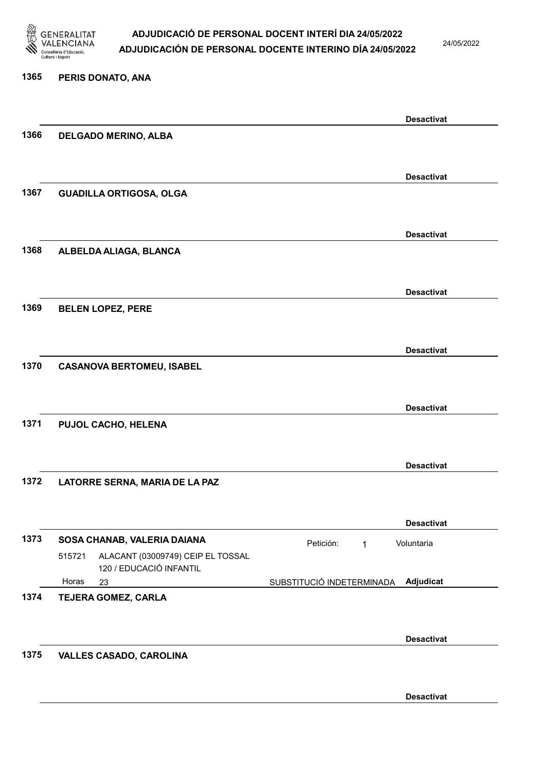

24/05/2022

#### 1365 PERIS DONATO, ANA

|      |        |                                                              |                           | <b>Desactivat</b> |
|------|--------|--------------------------------------------------------------|---------------------------|-------------------|
| 1366 |        | <b>DELGADO MERINO, ALBA</b>                                  |                           |                   |
|      |        |                                                              |                           |                   |
|      |        |                                                              |                           | <b>Desactivat</b> |
| 1367 |        | <b>GUADILLA ORTIGOSA, OLGA</b>                               |                           |                   |
|      |        |                                                              |                           |                   |
|      |        |                                                              |                           | <b>Desactivat</b> |
| 1368 |        | ALBELDA ALIAGA, BLANCA                                       |                           |                   |
|      |        |                                                              |                           |                   |
|      |        |                                                              |                           | <b>Desactivat</b> |
| 1369 |        | <b>BELEN LOPEZ, PERE</b>                                     |                           |                   |
|      |        |                                                              |                           |                   |
|      |        |                                                              |                           | <b>Desactivat</b> |
| 1370 |        | <b>CASANOVA BERTOMEU, ISABEL</b>                             |                           |                   |
|      |        |                                                              |                           |                   |
|      |        |                                                              |                           | <b>Desactivat</b> |
| 1371 |        | PUJOL CACHO, HELENA                                          |                           |                   |
|      |        |                                                              |                           |                   |
|      |        |                                                              |                           | <b>Desactivat</b> |
| 1372 |        | LATORRE SERNA, MARIA DE LA PAZ                               |                           |                   |
|      |        |                                                              |                           |                   |
|      |        |                                                              |                           | <b>Desactivat</b> |
| 1373 |        | SOSA CHANAB, VALERIA DAIANA                                  | Petición:<br>$\mathbf{1}$ | Voluntaria        |
|      | 515721 | ALACANT (03009749) CEIP EL TOSSAL<br>120 / EDUCACIÓ INFANTIL |                           |                   |
|      | Horas  | 23                                                           | SUBSTITUCIÓ INDETERMINADA | Adjudicat         |
| 1374 |        | <b>TEJERA GOMEZ, CARLA</b>                                   |                           |                   |
|      |        |                                                              |                           |                   |
|      |        |                                                              |                           | <b>Desactivat</b> |
| 1375 |        | <b>VALLES CASADO, CAROLINA</b>                               |                           |                   |
|      |        |                                                              |                           |                   |
|      |        |                                                              |                           | <b>Desactivat</b> |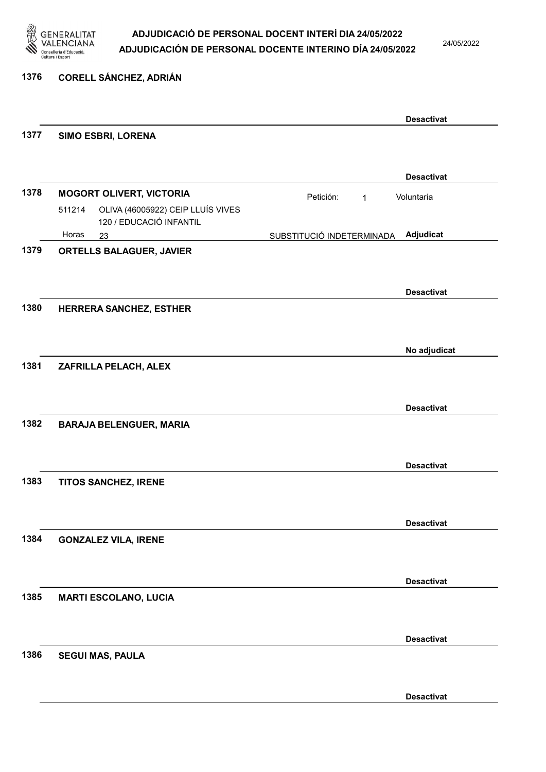

24/05/2022

#### 1376 CORELL SÁNCHEZ, ADRIÁN

|      |                                                                                                           |                           | <b>Desactivat</b> |
|------|-----------------------------------------------------------------------------------------------------------|---------------------------|-------------------|
| 1377 | SIMO ESBRI, LORENA                                                                                        |                           |                   |
|      |                                                                                                           |                           | <b>Desactivat</b> |
| 1378 | <b>MOGORT OLIVERT, VICTORIA</b><br>OLIVA (46005922) CEIP LLUÍS VIVES<br>511214<br>120 / EDUCACIÓ INFANTIL | Petición:<br>$\mathbf 1$  | Voluntaria        |
|      | Horas<br>23                                                                                               | SUBSTITUCIÓ INDETERMINADA | Adjudicat         |
| 1379 | ORTELLS BALAGUER, JAVIER                                                                                  |                           |                   |
|      |                                                                                                           |                           | <b>Desactivat</b> |
| 1380 | HERRERA SANCHEZ, ESTHER                                                                                   |                           |                   |
|      |                                                                                                           |                           | No adjudicat      |
| 1381 | ZAFRILLA PELACH, ALEX                                                                                     |                           |                   |
|      |                                                                                                           |                           | <b>Desactivat</b> |
| 1382 | <b>BARAJA BELENGUER, MARIA</b>                                                                            |                           |                   |
|      |                                                                                                           |                           | <b>Desactivat</b> |
| 1383 | TITOS SANCHEZ, IRENE                                                                                      |                           |                   |
|      |                                                                                                           |                           | <b>Desactivat</b> |
| 1384 | <b>GONZALEZ VILA, IRENE</b>                                                                               |                           |                   |
|      |                                                                                                           |                           | <b>Desactivat</b> |
| 1385 | <b>MARTI ESCOLANO, LUCIA</b>                                                                              |                           |                   |
|      |                                                                                                           |                           | <b>Desactivat</b> |
| 1386 | <b>SEGUI MAS, PAULA</b>                                                                                   |                           |                   |
|      |                                                                                                           |                           | <b>Desactivat</b> |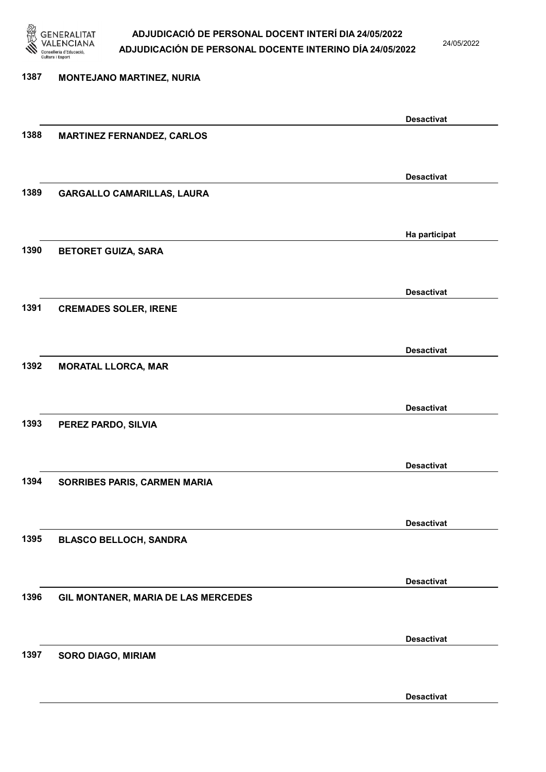

24/05/2022

# 1387 MONTEJANO MARTINEZ, NURIA Desactivat 1388 MARTINEZ FERNANDEZ, CARLOS Desactivat 1389 GARGALLO CAMARILLAS, LAURA Ha participat 1390 BETORET GUIZA, SARA Desactivat 1391 CREMADES SOLER, IRENE Desactivat 1392 MORATAL LLORCA, MAR Desactivat 1393 PEREZ PARDO, SILVIA Desactivat 1394 SORRIBES PARIS, CARMEN MARIA Desactivat 1395 BLASCO BELLOCH, SANDRA Desactivat 1396 GIL MONTANER, MARIA DE LAS MERCEDES Desactivat 1397 SORO DIAGO, MIRIAM Desactivat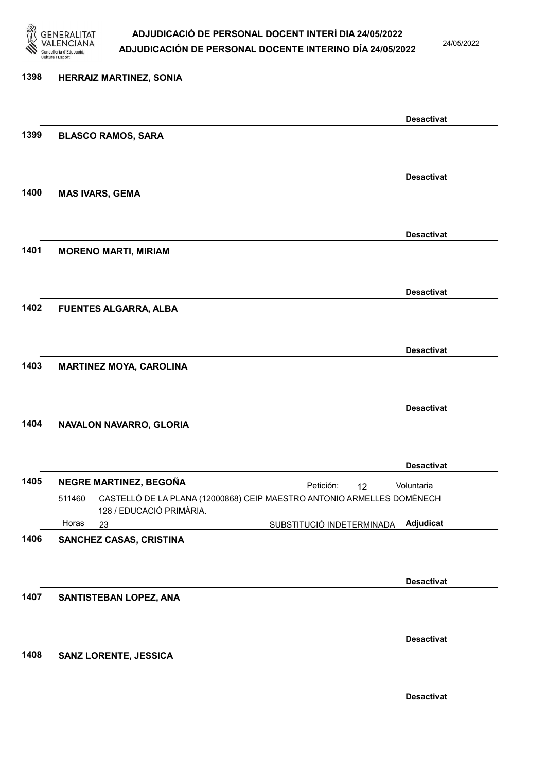

24/05/2022

# 1398 HERRAIZ MARTINEZ, SONIA Desactivat 1399 BLASCO RAMOS, SARA Desactivat 1400 MAS IVARS, GEMA Desactivat 1401 MORENO MARTI, MIRIAM Desactivat 1402 FUENTES ALGARRA, ALBA Desactivat 1403 MARTINEZ MOYA, CAROLINA Desactivat 1404 NAVALON NAVARRO, GLORIA Desactivat 1405 NEGRE MARTINEZ, BEGOÑA **El proportante de la proportante de la proportante de la proportante de la proporta** 23 SUBSTITUCIÓ INDETERMINADA CASTELLÓ DE LA PLANA (12000868) CEIP MAESTRO ANTONIO ARMELLES DOMÉNECH 128 / EDUCACIÓ PRIMÀRIA. Adjudicat Voluntaria 511460 Horas 1406 SANCHEZ CASAS, CRISTINA Desactivat 1407 SANTISTEBAN LOPEZ, ANA Desactivat 1408 SANZ LORENTE, JESSICA Desactivat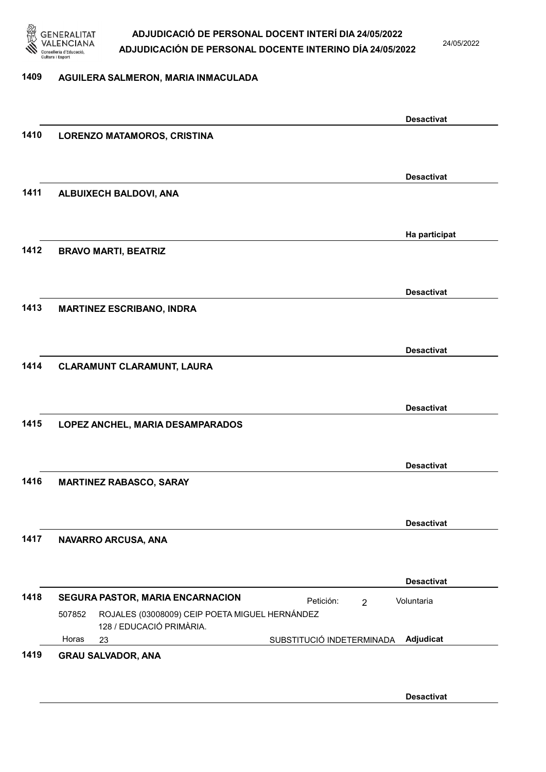

24/05/2022

#### 1409 AGUILERA SALMERON, MARIA INMACULADA

|      |                                                                                      | <b>Desactivat</b>                      |
|------|--------------------------------------------------------------------------------------|----------------------------------------|
| 1410 | <b>LORENZO MATAMOROS, CRISTINA</b>                                                   |                                        |
|      |                                                                                      |                                        |
|      |                                                                                      | <b>Desactivat</b>                      |
| 1411 | ALBUIXECH BALDOVI, ANA                                                               |                                        |
|      |                                                                                      |                                        |
|      |                                                                                      | Ha participat                          |
| 1412 | <b>BRAVO MARTI, BEATRIZ</b>                                                          |                                        |
|      |                                                                                      |                                        |
|      |                                                                                      | <b>Desactivat</b>                      |
| 1413 | <b>MARTINEZ ESCRIBANO, INDRA</b>                                                     |                                        |
|      |                                                                                      |                                        |
|      |                                                                                      | <b>Desactivat</b>                      |
| 1414 | CLARAMUNT CLARAMUNT, LAURA                                                           |                                        |
|      |                                                                                      |                                        |
|      |                                                                                      | <b>Desactivat</b>                      |
| 1415 | LOPEZ ANCHEL, MARIA DESAMPARADOS                                                     |                                        |
|      |                                                                                      |                                        |
|      |                                                                                      | <b>Desactivat</b>                      |
| 1416 | <b>MARTINEZ RABASCO, SARAY</b>                                                       |                                        |
|      |                                                                                      |                                        |
|      |                                                                                      | <b>Desactivat</b>                      |
| 1417 | NAVARRO ARCUSA, ANA                                                                  |                                        |
|      |                                                                                      |                                        |
|      |                                                                                      | <b>Desactivat</b>                      |
| 1418 | SEGURA PASTOR, MARIA ENCARNACION                                                     | Voluntaria<br>Petición:<br>2           |
|      | ROJALES (03008009) CEIP POETA MIGUEL HERNÁNDEZ<br>507852<br>128 / EDUCACIÓ PRIMÀRIA. |                                        |
|      | Horas<br>23                                                                          | Adjudicat<br>SUBSTITUCIÓ INDETERMINADA |
| 1419 | <b>GRAU SALVADOR, ANA</b>                                                            |                                        |
|      |                                                                                      |                                        |
|      |                                                                                      | <b>Desactivat</b>                      |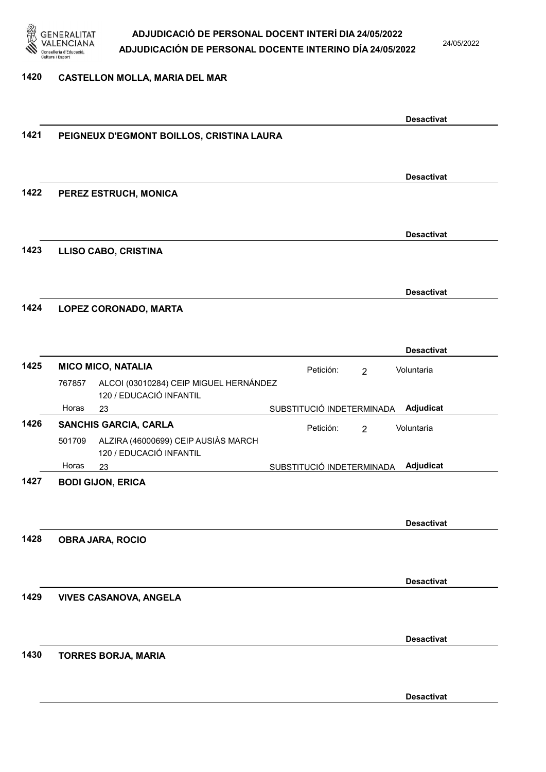

24/05/2022

#### 1420 CASTELLON MOLLA, MARIA DEL MAR

|      |                                                                          |                             | <b>Desactivat</b> |
|------|--------------------------------------------------------------------------|-----------------------------|-------------------|
| 1421 | PEIGNEUX D'EGMONT BOILLOS, CRISTINA LAURA                                |                             |                   |
|      |                                                                          |                             |                   |
|      |                                                                          |                             | <b>Desactivat</b> |
| 1422 | PEREZ ESTRUCH, MONICA                                                    |                             |                   |
|      |                                                                          |                             |                   |
|      |                                                                          |                             | <b>Desactivat</b> |
| 1423 | <b>LLISO CABO, CRISTINA</b>                                              |                             |                   |
|      |                                                                          |                             |                   |
|      |                                                                          |                             | <b>Desactivat</b> |
| 1424 | LOPEZ CORONADO, MARTA                                                    |                             |                   |
|      |                                                                          |                             |                   |
|      |                                                                          |                             | <b>Desactivat</b> |
| 1425 | <b>MICO MICO, NATALIA</b>                                                |                             |                   |
|      | ALCOI (03010284) CEIP MIGUEL HERNÁNDEZ<br>767857                         | Petición:<br>$\overline{2}$ | Voluntaria        |
|      | 120 / EDUCACIÓ INFANTIL                                                  |                             |                   |
|      | Horas<br>23                                                              | SUBSTITUCIÓ INDETERMINADA   | Adjudicat         |
| 1426 | <b>SANCHIS GARCIA, CARLA</b>                                             | Petición:<br>$\overline{2}$ | Voluntaria        |
|      | ALZIRA (46000699) CEIP AUSIÀS MARCH<br>501709<br>120 / EDUCACIÓ INFANTIL |                             |                   |
|      | Horas<br>23                                                              | SUBSTITUCIÓ INDETERMINADA   | Adjudicat         |
| 1427 | <b>BODI GIJON, ERICA</b>                                                 |                             |                   |
|      |                                                                          |                             |                   |
|      |                                                                          |                             | <b>Desactivat</b> |
| 1428 | <b>OBRA JARA, ROCIO</b>                                                  |                             |                   |
|      |                                                                          |                             |                   |
|      |                                                                          |                             | <b>Desactivat</b> |
| 1429 | <b>VIVES CASANOVA, ANGELA</b>                                            |                             |                   |
|      |                                                                          |                             |                   |
|      |                                                                          |                             |                   |
| 1430 | <b>TORRES BORJA, MARIA</b>                                               |                             | <b>Desactivat</b> |
|      |                                                                          |                             |                   |
|      |                                                                          |                             |                   |
|      |                                                                          |                             | <b>Desactivat</b> |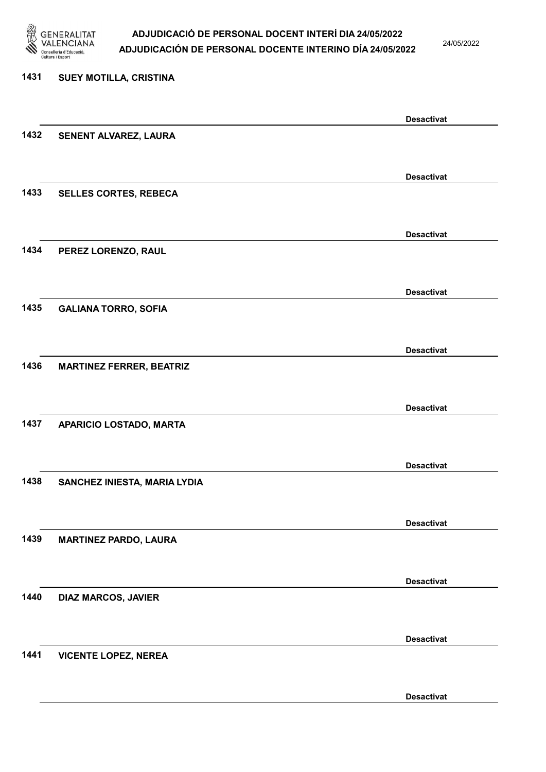

24/05/2022

Desactivat

# 1431 SUEY MOTILLA, CRISTINA Desactivat 1432 SENENT ALVAREZ, LAURA Desactivat 1433 SELLES CORTES, REBECA Desactivat 1434 PEREZ LORENZO, RAUL Desactivat 1435 GALIANA TORRO, SOFIA Desactivat 1436 MARTINEZ FERRER, BEATRIZ Desactivat 1437 APARICIO LOSTADO, MARTA Desactivat 1438 SANCHEZ INIESTA, MARIA LYDIA Desactivat 1439 MARTINEZ PARDO, LAURA Desactivat 1440 DIAZ MARCOS, JAVIER Desactivat 1441 VICENTE LOPEZ, NEREA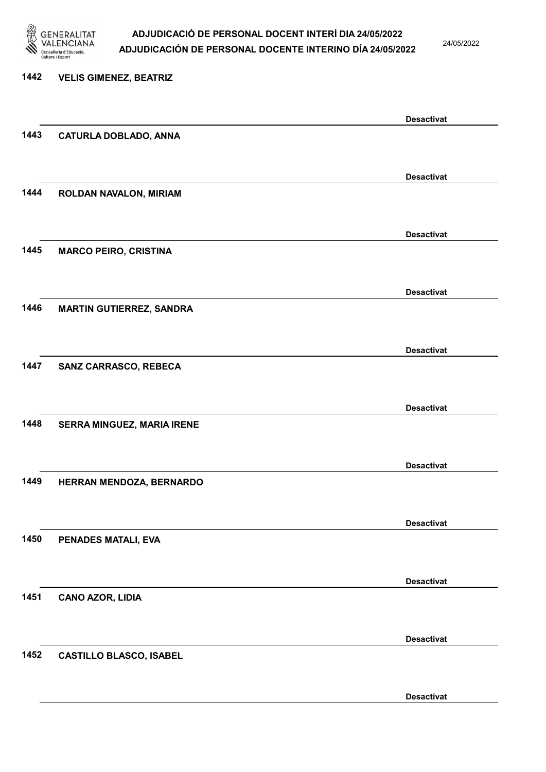

24/05/2022

Desactivat

# 1442 VELIS GIMENEZ, BEATRIZ Desactivat 1443 CATURLA DOBLADO, ANNA Desactivat 1444 ROLDAN NAVALON, MIRIAM Desactivat 1445 MARCO PEIRO, CRISTINA Desactivat 1446 MARTIN GUTIERREZ, SANDRA Desactivat 1447 SANZ CARRASCO, REBECA Desactivat 1448 SERRA MINGUEZ, MARIA IRENE Desactivat 1449 HERRAN MENDOZA, BERNARDO Desactivat 1450 PENADES MATALI, EVA Desactivat 1451 CANO AZOR, LIDIA Desactivat 1452 CASTILLO BLASCO, ISABEL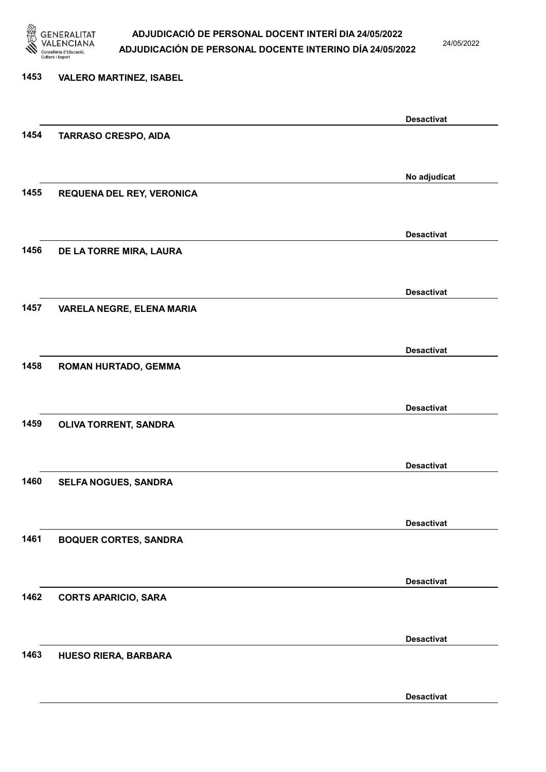

24/05/2022

# 1453 VALERO MARTINEZ, ISABEL Desactivat 1454 TARRASO CRESPO, AIDA No adjudicat 1455 REQUENA DEL REY, VERONICA Desactivat 1456 DE LA TORRE MIRA, LAURA Desactivat 1457 VARELA NEGRE, ELENA MARIA Desactivat 1458 ROMAN HURTADO, GEMMA Desactivat 1459 OLIVA TORRENT, SANDRA Desactivat 1460 SELFA NOGUES, SANDRA Desactivat 1461 BOQUER CORTES, SANDRA Desactivat 1462 CORTS APARICIO, SARA Desactivat 1463 HUESO RIERA, BARBARA Desactivat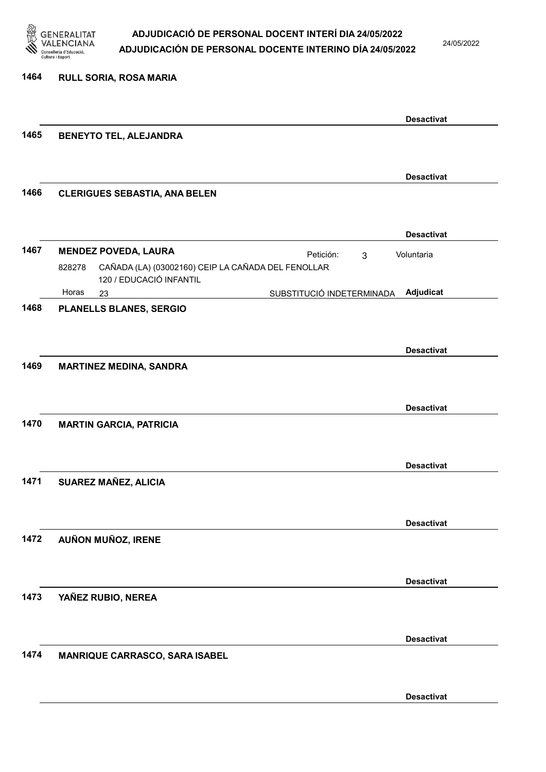

24/05/2022

| 1464 | <b>RULL SORIA, ROSA MARIA</b>                                                  |                   |
|------|--------------------------------------------------------------------------------|-------------------|
|      |                                                                                |                   |
|      |                                                                                | <b>Desactivat</b> |
| 1465 | <b>BENEYTO TEL, ALEJANDRA</b>                                                  |                   |
|      |                                                                                |                   |
|      |                                                                                | <b>Desactivat</b> |
| 1466 | <b>CLERIGUES SEBASTIA, ANA BELEN</b>                                           |                   |
|      |                                                                                |                   |
|      |                                                                                | <b>Desactivat</b> |
| 1467 | <b>MENDEZ POVEDA, LAURA</b>                                                    |                   |
|      | Petición:<br>3<br>CAÑADA (LA) (03002160) CEIP LA CAÑADA DEL FENOLLAR<br>828278 | Voluntaria        |
|      | 120 / EDUCACIÓ INFANTIL                                                        |                   |
|      | Horas<br>SUBSTITUCIÓ INDETERMINADA<br>23                                       | Adjudicat         |
| 1468 | PLANELLS BLANES, SERGIO                                                        |                   |
|      |                                                                                |                   |
|      |                                                                                | <b>Desactivat</b> |
| 1469 | <b>MARTINEZ MEDINA, SANDRA</b>                                                 |                   |
|      |                                                                                |                   |
|      |                                                                                |                   |
| 1470 |                                                                                | <b>Desactivat</b> |
|      | <b>MARTIN GARCIA, PATRICIA</b>                                                 |                   |
|      |                                                                                |                   |
|      |                                                                                | <b>Desactivat</b> |
| 1471 | SUAREZ MAÑEZ, ALICIA                                                           |                   |
|      |                                                                                |                   |
|      |                                                                                | <b>Desactivat</b> |
| 1472 | AUÑON MUÑOZ, IRENE                                                             |                   |
|      |                                                                                |                   |
|      |                                                                                |                   |
|      |                                                                                | <b>Desactivat</b> |
| 1473 | YAÑEZ RUBIO, NEREA                                                             |                   |
|      |                                                                                |                   |
|      |                                                                                | <b>Desactivat</b> |
| 1474 | MANRIQUE CARRASCO, SARA ISABEL                                                 |                   |
|      |                                                                                |                   |
|      |                                                                                |                   |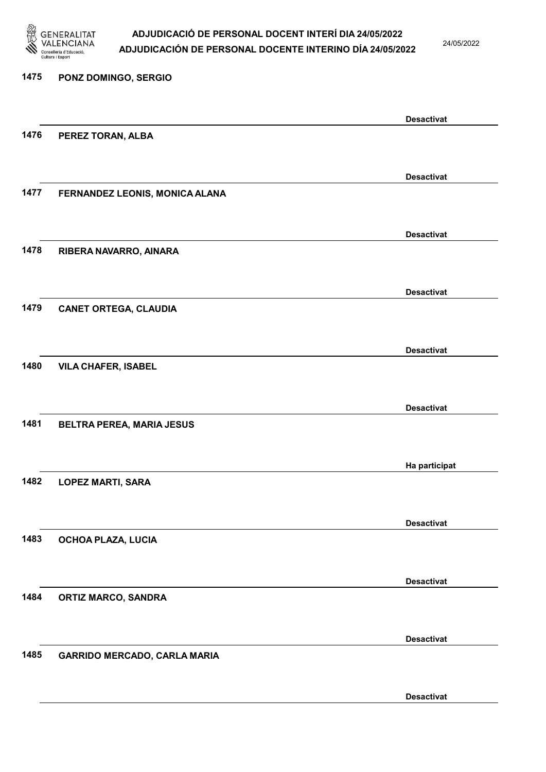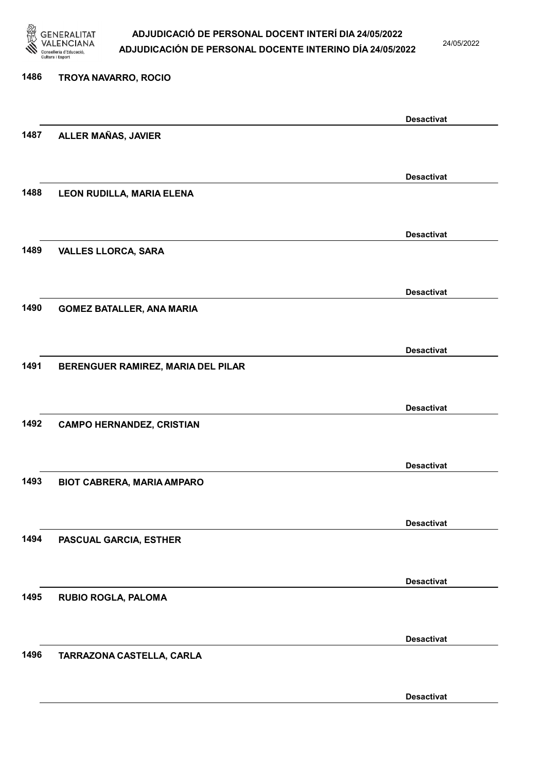

24/05/2022

# 1486 TROYA NAVARRO, ROCIO Desactivat 1487 ALLER MAÑAS, JAVIER Desactivat 1488 LEON RUDILLA, MARIA ELENA Desactivat 1489 VALLES LLORCA, SARA Desactivat 1490 GOMEZ BATALLER, ANA MARIA Desactivat 1491 BERENGUER RAMIREZ, MARIA DEL PILAR Desactivat 1492 CAMPO HERNANDEZ, CRISTIAN Desactivat 1493 BIOT CABRERA, MARIA AMPARO Desactivat 1494 PASCUAL GARCIA, ESTHER Desactivat 1495 RUBIO ROGLA, PALOMA Desactivat 1496 TARRAZONA CASTELLA, CARLA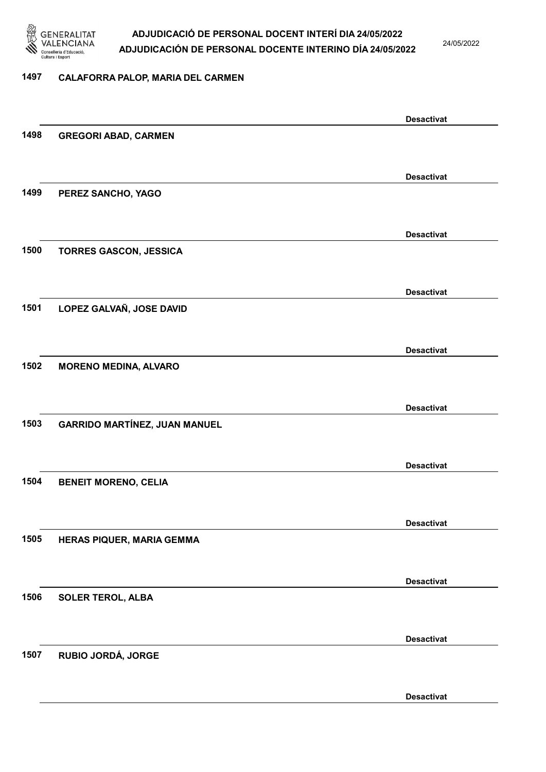

24/05/2022

#### 1497 CALAFORRA PALOP, MARIA DEL CARMEN

|      |                                      | <b>Desactivat</b> |
|------|--------------------------------------|-------------------|
| 1498 | <b>GREGORI ABAD, CARMEN</b>          |                   |
|      |                                      |                   |
|      |                                      | <b>Desactivat</b> |
| 1499 | PEREZ SANCHO, YAGO                   |                   |
|      |                                      |                   |
|      |                                      | <b>Desactivat</b> |
| 1500 | <b>TORRES GASCON, JESSICA</b>        |                   |
|      |                                      |                   |
|      |                                      | <b>Desactivat</b> |
| 1501 | LOPEZ GALVAÑ, JOSE DAVID             |                   |
|      |                                      |                   |
|      |                                      | <b>Desactivat</b> |
| 1502 | <b>MORENO MEDINA, ALVARO</b>         |                   |
|      |                                      |                   |
|      |                                      | <b>Desactivat</b> |
| 1503 | <b>GARRIDO MARTÍNEZ, JUAN MANUEL</b> |                   |
|      |                                      |                   |
|      |                                      | <b>Desactivat</b> |
| 1504 | <b>BENEIT MORENO, CELIA</b>          |                   |
|      |                                      |                   |
|      |                                      | <b>Desactivat</b> |
| 1505 | HERAS PIQUER, MARIA GEMMA            |                   |
|      |                                      |                   |
|      |                                      | <b>Desactivat</b> |
| 1506 | <b>SOLER TEROL, ALBA</b>             |                   |
|      |                                      |                   |
|      |                                      | <b>Desactivat</b> |
| 1507 | RUBIO JORDÁ, JORGE                   |                   |
|      |                                      |                   |
|      |                                      | <b>Desactivat</b> |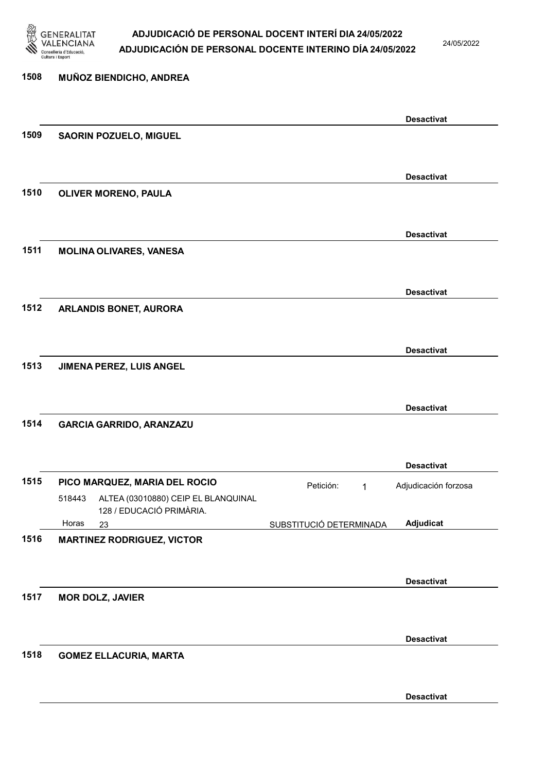

24/05/2022

# 1508 MUÑOZ BIENDICHO, ANDREA Desactivat 1509 SAORIN POZUELO, MIGUEL Desactivat 1510 OLIVER MORENO, PAULA Desactivat 1511 MOLINA OLIVARES, VANESA Desactivat 1512 ARLANDIS BONET, AURORA Desactivat 1513 JIMENA PEREZ, LUIS ANGEL Desactivat 1514 GARCIA GARRIDO, ARANZAZU Desactivat 1515 PICO MARQUEZ, MARIA DEL ROCIO Petición: 1 23 SUBSTITUCIÓ DETERMINADA ALTEA (03010880) CEIP EL BLANQUINAL 128 / EDUCACIÓ PRIMÀRIA. Adjudicat Adjudicación forzosa 518443 Horas 1516 MARTINEZ RODRIGUEZ, VICTOR Desactivat 1517 MOR DOLZ, JAVIER Desactivat 1518 GOMEZ ELLACURIA, MARTA Desactivat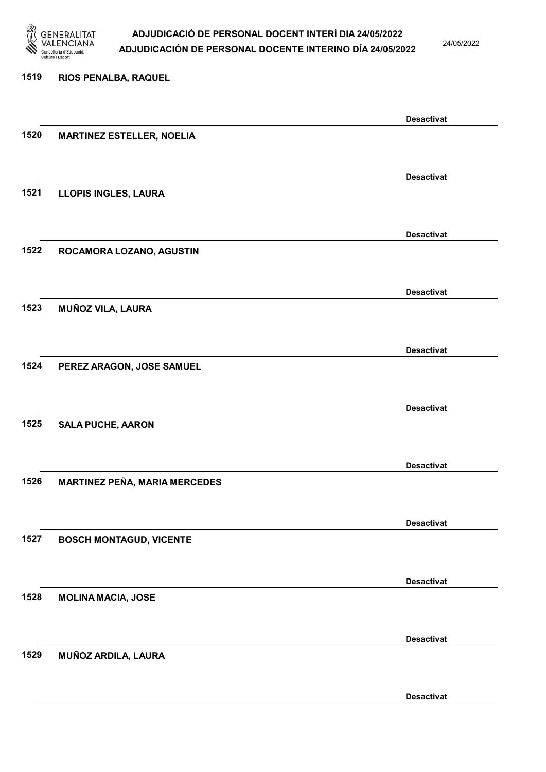

24/05/2022

#### 1519 RIOS PENALBA, RAQUEL

|      |                                      | <b>Desactivat</b> |
|------|--------------------------------------|-------------------|
| 1520 | <b>MARTINEZ ESTELLER, NOELIA</b>     |                   |
|      |                                      |                   |
|      |                                      | <b>Desactivat</b> |
| 1521 | <b>LLOPIS INGLES, LAURA</b>          |                   |
|      |                                      |                   |
|      |                                      |                   |
|      |                                      | <b>Desactivat</b> |
| 1522 | ROCAMORA LOZANO, AGUSTIN             |                   |
|      |                                      |                   |
|      |                                      | <b>Desactivat</b> |
| 1523 | MUÑOZ VILA, LAURA                    |                   |
|      |                                      |                   |
|      |                                      | <b>Desactivat</b> |
| 1524 | PEREZ ARAGON, JOSE SAMUEL            |                   |
|      |                                      |                   |
|      |                                      |                   |
|      |                                      | <b>Desactivat</b> |
| 1525 | <b>SALA PUCHE, AARON</b>             |                   |
|      |                                      |                   |
|      |                                      | <b>Desactivat</b> |
| 1526 | <b>MARTINEZ PEÑA, MARIA MERCEDES</b> |                   |
|      |                                      |                   |
|      |                                      | <b>Desactivat</b> |
| 1527 | <b>BOSCH MONTAGUD, VICENTE</b>       |                   |
|      |                                      |                   |
|      |                                      |                   |
|      |                                      | <b>Desactivat</b> |
| 1528 | <b>MOLINA MACIA, JOSE</b>            |                   |
|      |                                      |                   |
|      |                                      | <b>Desactivat</b> |
| 1529 | MUÑOZ ARDILA, LAURA                  |                   |
|      |                                      |                   |
|      |                                      | <b>Desactivat</b> |
|      |                                      |                   |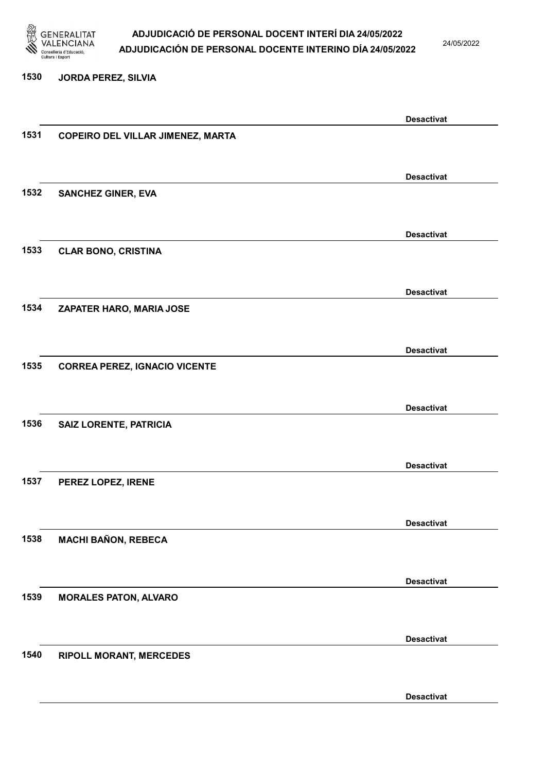

24/05/2022

#### 1530 JORDA PEREZ, SILVIA

|      |                                          | <b>Desactivat</b> |
|------|------------------------------------------|-------------------|
| 1531 | <b>COPEIRO DEL VILLAR JIMENEZ, MARTA</b> |                   |
|      |                                          |                   |
|      |                                          |                   |
|      |                                          | <b>Desactivat</b> |
| 1532 | <b>SANCHEZ GINER, EVA</b>                |                   |
|      |                                          |                   |
|      |                                          |                   |
|      |                                          | <b>Desactivat</b> |
| 1533 | <b>CLAR BONO, CRISTINA</b>               |                   |
|      |                                          |                   |
|      |                                          |                   |
|      |                                          | <b>Desactivat</b> |
| 1534 | ZAPATER HARO, MARIA JOSE                 |                   |
|      |                                          |                   |
|      |                                          |                   |
|      |                                          | <b>Desactivat</b> |
| 1535 | <b>CORREA PEREZ, IGNACIO VICENTE</b>     |                   |
|      |                                          |                   |
|      |                                          |                   |
|      |                                          | <b>Desactivat</b> |
| 1536 | <b>SAIZ LORENTE, PATRICIA</b>            |                   |
|      |                                          |                   |
|      |                                          |                   |
|      |                                          | <b>Desactivat</b> |
| 1537 | PEREZ LOPEZ, IRENE                       |                   |
|      |                                          |                   |
|      |                                          |                   |
|      |                                          | <b>Desactivat</b> |
| 1538 | <b>MACHI BAÑON, REBECA</b>               |                   |
|      |                                          |                   |
|      |                                          |                   |
|      |                                          | <b>Desactivat</b> |
| 1539 | <b>MORALES PATON, ALVARO</b>             |                   |
|      |                                          |                   |
|      |                                          |                   |
|      |                                          | <b>Desactivat</b> |
| 1540 | <b>RIPOLL MORANT, MERCEDES</b>           |                   |
|      |                                          |                   |
|      |                                          |                   |
|      |                                          | <b>Desactivat</b> |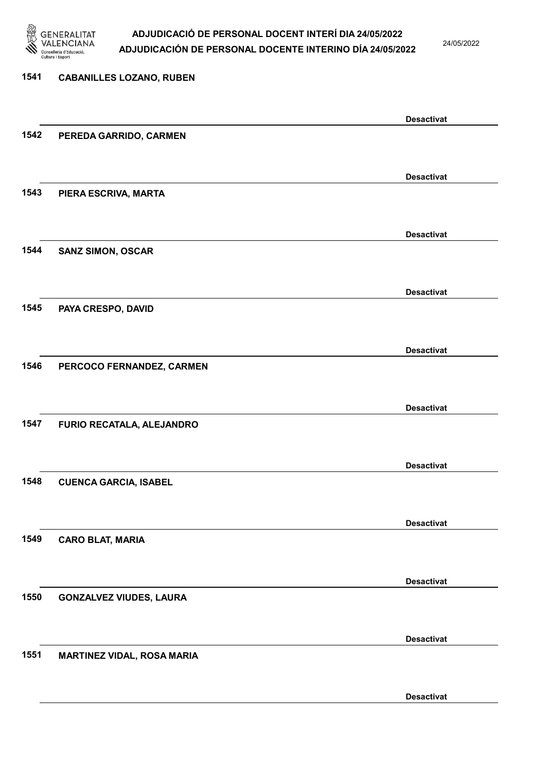

24/05/2022

# 1541 CABANILLES LOZANO, RUBEN Desactivat 1542 PEREDA GARRIDO, CARMEN Desactivat 1543 PIERA ESCRIVA, MARTA Desactivat 1544 SANZ SIMON, OSCAR Desactivat 1545 PAYA CRESPO, DAVID Desactivat 1546 PERCOCO FERNANDEZ, CARMEN Desactivat 1547 FURIO RECATALA, ALEJANDRO Desactivat 1548 CUENCA GARCIA, ISABEL Desactivat 1549 CARO BLAT, MARIA Desactivat 1550 GONZALVEZ VIUDES, LAURA Desactivat 1551 MARTINEZ VIDAL, ROSA MARIA Desactivat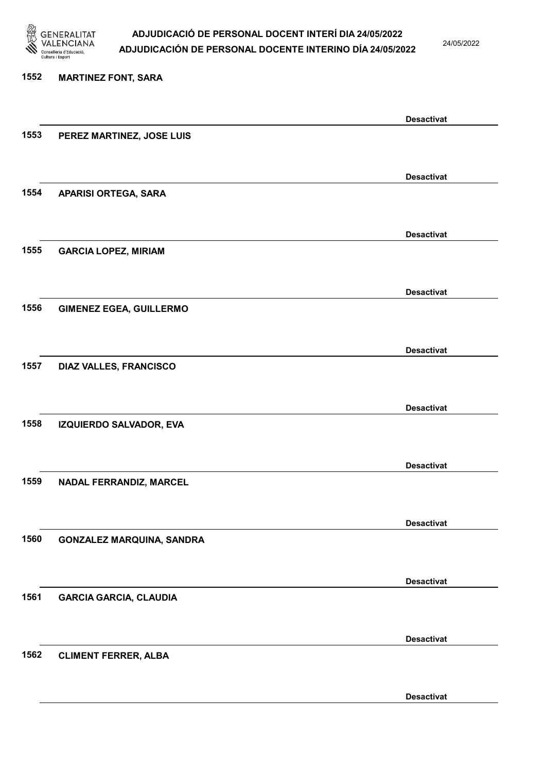

24/05/2022

# 1552 MARTINEZ FONT, SARA Desactivat 1553 PEREZ MARTINEZ, JOSE LUIS Desactivat 1554 APARISI ORTEGA, SARA Desactivat 1555 GARCIA LOPEZ, MIRIAM Desactivat 1556 GIMENEZ EGEA, GUILLERMO Desactivat 1557 DIAZ VALLES, FRANCISCO Desactivat 1558 IZQUIERDO SALVADOR, EVA Desactivat 1559 NADAL FERRANDIZ, MARCEL Desactivat 1560 GONZALEZ MARQUINA, SANDRA Desactivat 1561 GARCIA GARCIA, CLAUDIA Desactivat 1562 CLIMENT FERRER, ALBA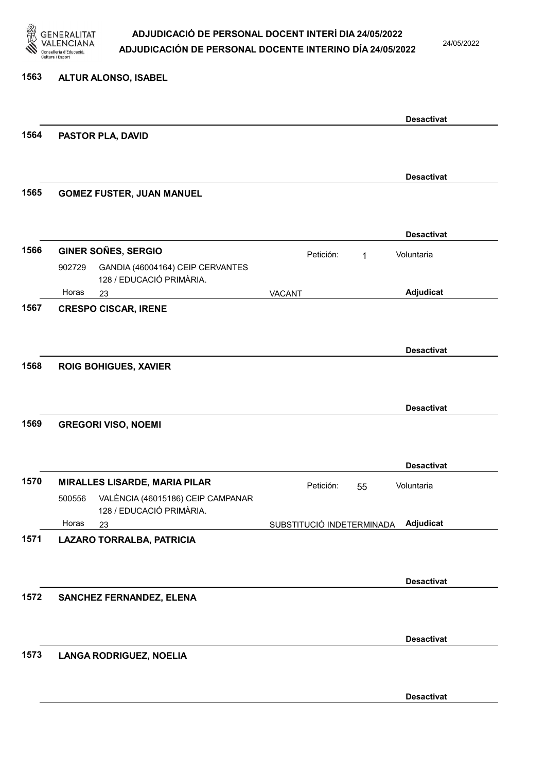

24/05/2022

#### 1563 ALTUR ALONSO, ISABEL

|      |                                                                         |                           |           |    | <b>Desactivat</b> |
|------|-------------------------------------------------------------------------|---------------------------|-----------|----|-------------------|
| 1564 | PASTOR PLA, DAVID                                                       |                           |           |    |                   |
|      |                                                                         |                           |           |    |                   |
|      |                                                                         |                           |           |    | <b>Desactivat</b> |
| 1565 | <b>GOMEZ FUSTER, JUAN MANUEL</b>                                        |                           |           |    |                   |
|      |                                                                         |                           |           |    |                   |
|      |                                                                         |                           |           |    | <b>Desactivat</b> |
| 1566 | <b>GINER SOÑES, SERGIO</b>                                              |                           | Petición: | 1  | Voluntaria        |
|      | 902729<br>GANDIA (46004164) CEIP CERVANTES<br>128 / EDUCACIÓ PRIMÀRIA.  |                           |           |    |                   |
|      | Horas<br>23                                                             | <b>VACANT</b>             |           |    | Adjudicat         |
| 1567 | <b>CRESPO CISCAR, IRENE</b>                                             |                           |           |    |                   |
|      |                                                                         |                           |           |    |                   |
|      |                                                                         |                           |           |    | <b>Desactivat</b> |
| 1568 | <b>ROIG BOHIGUES, XAVIER</b>                                            |                           |           |    |                   |
|      |                                                                         |                           |           |    |                   |
|      |                                                                         |                           |           |    | <b>Desactivat</b> |
| 1569 | <b>GREGORI VISO, NOEMI</b>                                              |                           |           |    |                   |
|      |                                                                         |                           |           |    |                   |
|      |                                                                         |                           |           |    | <b>Desactivat</b> |
| 1570 | <b>MIRALLES LISARDE, MARIA PILAR</b>                                    |                           | Petición: | 55 | Voluntaria        |
|      | VALÈNCIA (46015186) CEIP CAMPANAR<br>500556<br>128 / EDUCACIÓ PRIMÀRIA. |                           |           |    |                   |
|      | Horas<br>23                                                             | SUBSTITUCIÓ INDETERMINADA |           |    | <b>Adjudicat</b>  |
| 1571 | LAZARO TORRALBA, PATRICIA                                               |                           |           |    |                   |
|      |                                                                         |                           |           |    |                   |
|      |                                                                         |                           |           |    | <b>Desactivat</b> |
| 1572 | <b>SANCHEZ FERNANDEZ, ELENA</b>                                         |                           |           |    |                   |
|      |                                                                         |                           |           |    |                   |
|      |                                                                         |                           |           |    | <b>Desactivat</b> |
| 1573 | <b>LANGA RODRIGUEZ, NOELIA</b>                                          |                           |           |    |                   |
|      |                                                                         |                           |           |    |                   |
|      |                                                                         |                           |           |    | <b>Desactivat</b> |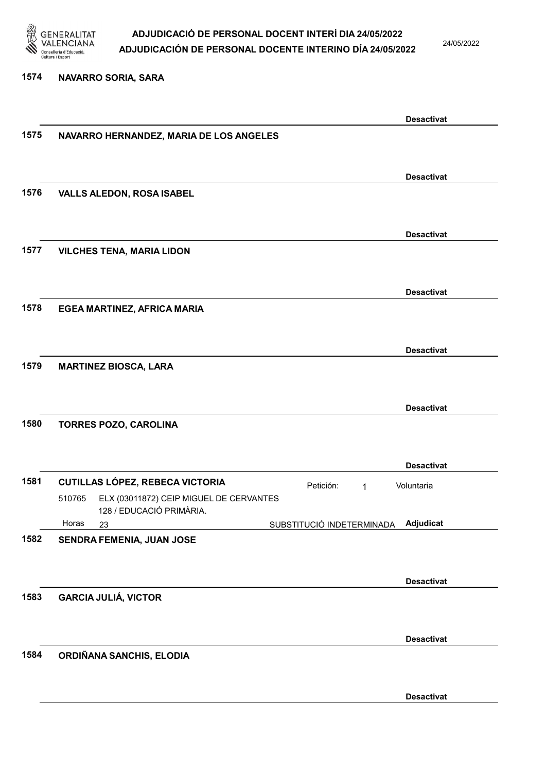

24/05/2022

#### 1574 NAVARRO SORIA, SARA

|      |                                                                               |                           | <b>Desactivat</b> |
|------|-------------------------------------------------------------------------------|---------------------------|-------------------|
| 1575 | NAVARRO HERNANDEZ, MARIA DE LOS ANGELES                                       |                           |                   |
|      |                                                                               |                           |                   |
|      |                                                                               |                           | <b>Desactivat</b> |
| 1576 | <b>VALLS ALEDON, ROSA ISABEL</b>                                              |                           |                   |
|      |                                                                               |                           |                   |
|      |                                                                               |                           | <b>Desactivat</b> |
| 1577 | <b>VILCHES TENA, MARIA LIDON</b>                                              |                           |                   |
|      |                                                                               |                           |                   |
|      |                                                                               |                           | <b>Desactivat</b> |
| 1578 | EGEA MARTINEZ, AFRICA MARIA                                                   |                           |                   |
|      |                                                                               |                           |                   |
|      |                                                                               |                           | <b>Desactivat</b> |
| 1579 | <b>MARTINEZ BIOSCA, LARA</b>                                                  |                           |                   |
|      |                                                                               |                           |                   |
|      |                                                                               |                           | <b>Desactivat</b> |
| 1580 | TORRES POZO, CAROLINA                                                         |                           |                   |
|      |                                                                               |                           |                   |
|      |                                                                               |                           | <b>Desactivat</b> |
| 1581 | <b>CUTILLAS LÓPEZ, REBECA VICTORIA</b>                                        | Petición:<br>1            | Voluntaria        |
|      | ELX (03011872) CEIP MIGUEL DE CERVANTES<br>510765<br>128 / EDUCACIÓ PRIMÀRIA. |                           |                   |
|      | Horas<br>23                                                                   | SUBSTITUCIÓ INDETERMINADA | Adjudicat         |
| 1582 | SENDRA FEMENIA, JUAN JOSE                                                     |                           |                   |
|      |                                                                               |                           |                   |
|      |                                                                               |                           | <b>Desactivat</b> |
| 1583 | <b>GARCIA JULIÁ, VICTOR</b>                                                   |                           |                   |
|      |                                                                               |                           |                   |
|      |                                                                               |                           | <b>Desactivat</b> |
| 1584 | ORDIÑANA SANCHIS, ELODIA                                                      |                           |                   |
|      |                                                                               |                           |                   |
|      |                                                                               |                           | <b>Desactivat</b> |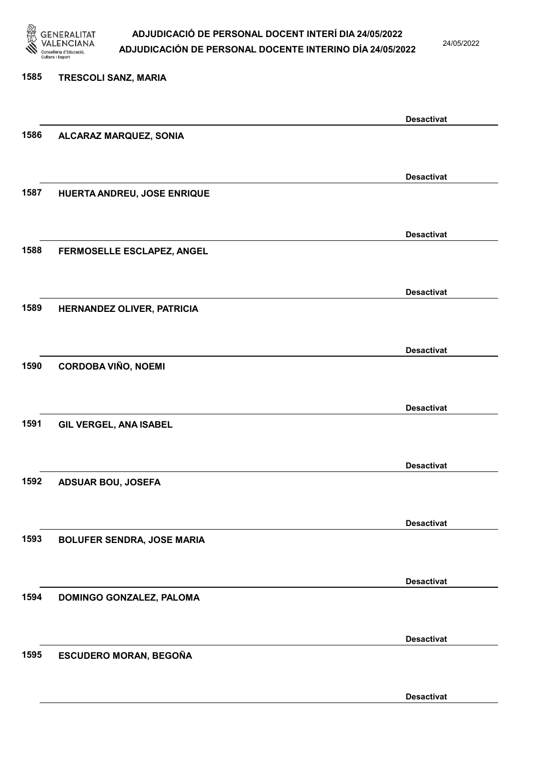

24/05/2022

Desactivat

# 1585 TRESCOLI SANZ, MARIA Desactivat 1586 ALCARAZ MARQUEZ, SONIA Desactivat 1587 HUERTA ANDREU, JOSE ENRIQUE Desactivat 1588 FERMOSELLE ESCLAPEZ, ANGEL Desactivat 1589 HERNANDEZ OLIVER, PATRICIA Desactivat 1590 CORDOBA VIÑO, NOEMI Desactivat 1591 GIL VERGEL, ANA ISABEL Desactivat 1592 ADSUAR BOU, JOSEFA Desactivat 1593 BOLUFER SENDRA, JOSE MARIA Desactivat 1594 DOMINGO GONZALEZ, PALOMA Desactivat 1595 ESCUDERO MORAN, BEGOÑA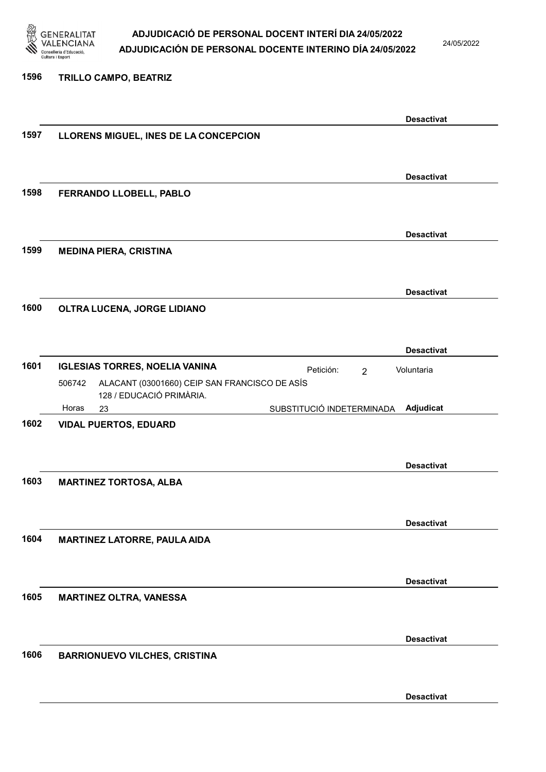

24/05/2022

#### 1596 TRILLO CAMPO, BEATRIZ

|      |                                                         |                             | <b>Desactivat</b> |
|------|---------------------------------------------------------|-----------------------------|-------------------|
| 1597 | LLORENS MIGUEL, INES DE LA CONCEPCION                   |                             |                   |
|      |                                                         |                             |                   |
|      |                                                         |                             |                   |
|      |                                                         |                             | <b>Desactivat</b> |
| 1598 | FERRANDO LLOBELL, PABLO                                 |                             |                   |
|      |                                                         |                             |                   |
|      |                                                         |                             |                   |
|      |                                                         |                             | <b>Desactivat</b> |
| 1599 | <b>MEDINA PIERA, CRISTINA</b>                           |                             |                   |
|      |                                                         |                             |                   |
|      |                                                         |                             |                   |
|      |                                                         |                             | <b>Desactivat</b> |
|      |                                                         |                             |                   |
| 1600 | OLTRA LUCENA, JORGE LIDIANO                             |                             |                   |
|      |                                                         |                             |                   |
|      |                                                         |                             |                   |
|      |                                                         |                             | <b>Desactivat</b> |
| 1601 | <b>IGLESIAS TORRES, NOELIA VANINA</b>                   | Petición:<br>$\overline{2}$ | Voluntaria        |
|      | ALACANT (03001660) CEIP SAN FRANCISCO DE ASÍS<br>506742 |                             |                   |
|      | 128 / EDUCACIÓ PRIMÀRIA.                                |                             |                   |
|      | Horas<br>23                                             | SUBSTITUCIÓ INDETERMINADA   | Adjudicat         |
| 1602 | <b>VIDAL PUERTOS, EDUARD</b>                            |                             |                   |
|      |                                                         |                             |                   |
|      |                                                         |                             |                   |
|      |                                                         |                             | <b>Desactivat</b> |
| 1603 | <b>MARTINEZ TORTOSA, ALBA</b>                           |                             |                   |
|      |                                                         |                             |                   |
|      |                                                         |                             |                   |
|      |                                                         |                             | <b>Desactivat</b> |
| 1604 | <b>MARTINEZ LATORRE, PAULA AIDA</b>                     |                             |                   |
|      |                                                         |                             |                   |
|      |                                                         |                             |                   |
|      |                                                         |                             | <b>Desactivat</b> |
| 1605 |                                                         |                             |                   |
|      | <b>MARTINEZ OLTRA, VANESSA</b>                          |                             |                   |
|      |                                                         |                             |                   |
|      |                                                         |                             |                   |
|      |                                                         |                             | <b>Desactivat</b> |
| 1606 | <b>BARRIONUEVO VILCHES, CRISTINA</b>                    |                             |                   |
|      |                                                         |                             |                   |
|      |                                                         |                             |                   |
|      |                                                         |                             | <b>Desactivat</b> |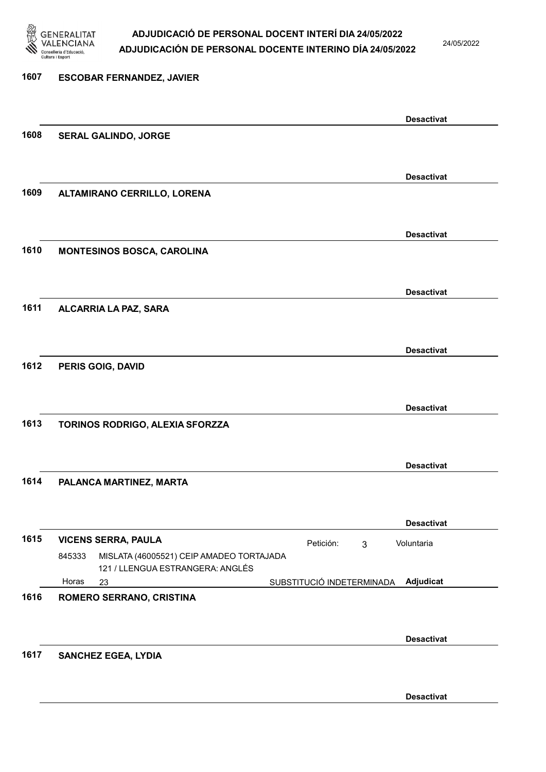

24/05/2022

| 1607 | <b>ESCOBAR FERNANDEZ, JAVIER</b>                                                       |                                        |
|------|----------------------------------------------------------------------------------------|----------------------------------------|
|      |                                                                                        | <b>Desactivat</b>                      |
| 1608 | SERAL GALINDO, JORGE                                                                   |                                        |
|      |                                                                                        | <b>Desactivat</b>                      |
| 1609 | ALTAMIRANO CERRILLO, LORENA                                                            |                                        |
|      |                                                                                        | <b>Desactivat</b>                      |
| 1610 | <b>MONTESINOS BOSCA, CAROLINA</b>                                                      |                                        |
|      |                                                                                        | <b>Desactivat</b>                      |
| 1611 | ALCARRIA LA PAZ, SARA                                                                  |                                        |
|      |                                                                                        | <b>Desactivat</b>                      |
| 1612 | PERIS GOIG, DAVID                                                                      |                                        |
|      |                                                                                        | <b>Desactivat</b>                      |
| 1613 | TORINOS RODRIGO, ALEXIA SFORZZA                                                        |                                        |
|      |                                                                                        | <b>Desactivat</b>                      |
| 1614 | PALANCA MARTINEZ, MARTA                                                                |                                        |
|      |                                                                                        | <b>Desactivat</b>                      |
| 1615 | <b>VICENS SERRA, PAULA</b>                                                             | Petición:<br>Voluntaria<br>3           |
|      | MISLATA (46005521) CEIP AMADEO TORTAJADA<br>845333<br>121 / LLENGUA ESTRANGERA: ANGLÉS |                                        |
|      | Horas<br>23                                                                            | Adjudicat<br>SUBSTITUCIÓ INDETERMINADA |
| 1616 | ROMERO SERRANO, CRISTINA                                                               |                                        |
|      |                                                                                        | <b>Desactivat</b>                      |
| 1617 | <b>SANCHEZ EGEA, LYDIA</b>                                                             |                                        |
|      |                                                                                        | <b>Desactivat</b>                      |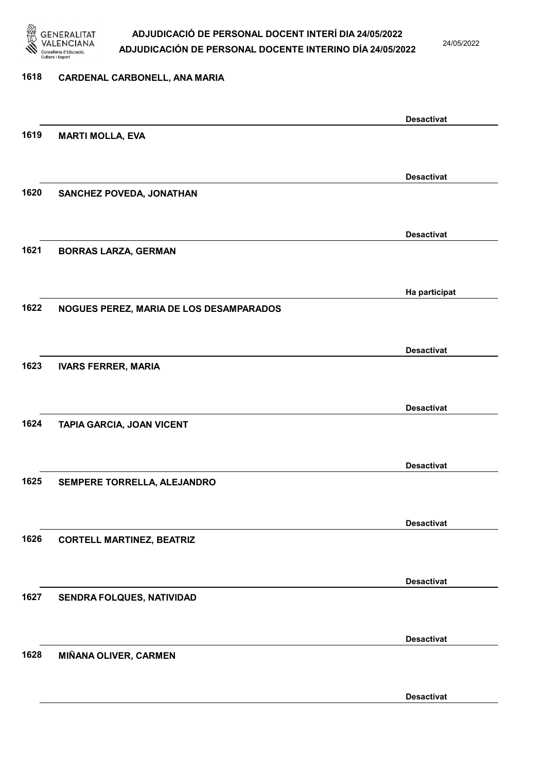

24/05/2022

#### 1618 CARDENAL CARBONELL, ANA MARIA

|      |                                         | <b>Desactivat</b> |
|------|-----------------------------------------|-------------------|
| 1619 | <b>MARTI MOLLA, EVA</b>                 |                   |
|      |                                         |                   |
|      |                                         | <b>Desactivat</b> |
| 1620 | SANCHEZ POVEDA, JONATHAN                |                   |
|      |                                         |                   |
|      |                                         |                   |
|      |                                         | <b>Desactivat</b> |
| 1621 | <b>BORRAS LARZA, GERMAN</b>             |                   |
|      |                                         |                   |
|      |                                         | Ha participat     |
| 1622 | NOGUES PEREZ, MARIA DE LOS DESAMPARADOS |                   |
|      |                                         |                   |
|      |                                         |                   |
|      |                                         | <b>Desactivat</b> |
| 1623 | <b>IVARS FERRER, MARIA</b>              |                   |
|      |                                         |                   |
|      |                                         | <b>Desactivat</b> |
| 1624 | TAPIA GARCIA, JOAN VICENT               |                   |
|      |                                         |                   |
|      |                                         | <b>Desactivat</b> |
| 1625 | SEMPERE TORRELLA, ALEJANDRO             |                   |
|      |                                         |                   |
|      |                                         |                   |
|      |                                         | <b>Desactivat</b> |
| 1626 | <b>CORTELL MARTINEZ, BEATRIZ</b>        |                   |
|      |                                         |                   |
|      |                                         | <b>Desactivat</b> |
| 1627 | <b>SENDRA FOLQUES, NATIVIDAD</b>        |                   |
|      |                                         |                   |
|      |                                         | <b>Desactivat</b> |
| 1628 | MIÑANA OLIVER, CARMEN                   |                   |
|      |                                         |                   |
|      |                                         |                   |
|      |                                         | <b>Desactivat</b> |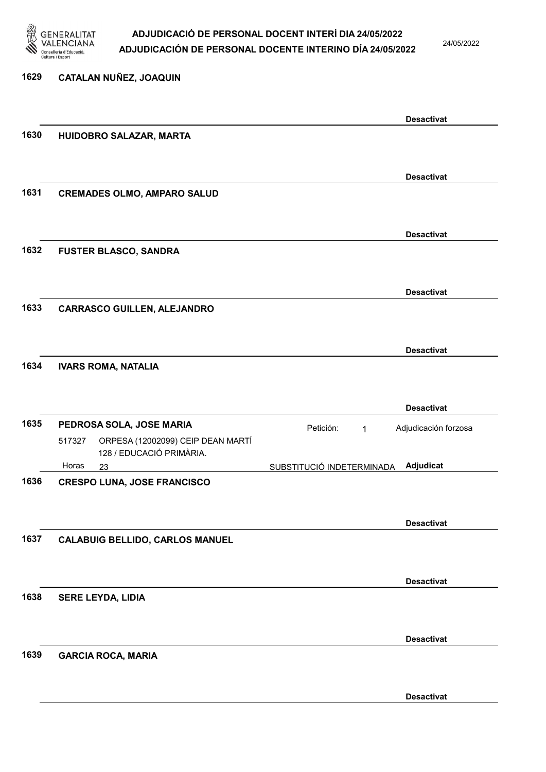

24/05/2022

Desactivat

| 1629 | CATALAN NUÑEZ, JOAQUIN                                                  |                           |                      |
|------|-------------------------------------------------------------------------|---------------------------|----------------------|
|      |                                                                         |                           | <b>Desactivat</b>    |
| 1630 | HUIDOBRO SALAZAR, MARTA                                                 |                           |                      |
|      |                                                                         |                           | <b>Desactivat</b>    |
| 1631 | <b>CREMADES OLMO, AMPARO SALUD</b>                                      |                           |                      |
|      |                                                                         |                           | <b>Desactivat</b>    |
| 1632 | <b>FUSTER BLASCO, SANDRA</b>                                            |                           |                      |
|      |                                                                         |                           | <b>Desactivat</b>    |
| 1633 | <b>CARRASCO GUILLEN, ALEJANDRO</b>                                      |                           |                      |
|      |                                                                         |                           | <b>Desactivat</b>    |
| 1634 | <b>IVARS ROMA, NATALIA</b>                                              |                           |                      |
|      |                                                                         |                           | <b>Desactivat</b>    |
| 1635 | PEDROSA SOLA, JOSE MARIA                                                | Petición:<br>$\mathbf{1}$ | Adjudicación forzosa |
|      | ORPESA (12002099) CEIP DEAN MARTÍ<br>517327<br>128 / EDUCACIÓ PRIMÀRIA. |                           |                      |
| 1636 | Horas<br>23<br><b>CRESPO LUNA, JOSE FRANCISCO</b>                       | SUBSTITUCIÓ INDETERMINADA | Adjudicat            |
|      |                                                                         |                           | <b>Desactivat</b>    |
| 1637 | <b>CALABUIG BELLIDO, CARLOS MANUEL</b>                                  |                           |                      |
|      |                                                                         |                           | <b>Desactivat</b>    |
| 1638 | <b>SERE LEYDA, LIDIA</b>                                                |                           |                      |
|      |                                                                         |                           | <b>Desactivat</b>    |
| 1639 | <b>GARCIA ROCA, MARIA</b>                                               |                           |                      |
|      |                                                                         |                           |                      |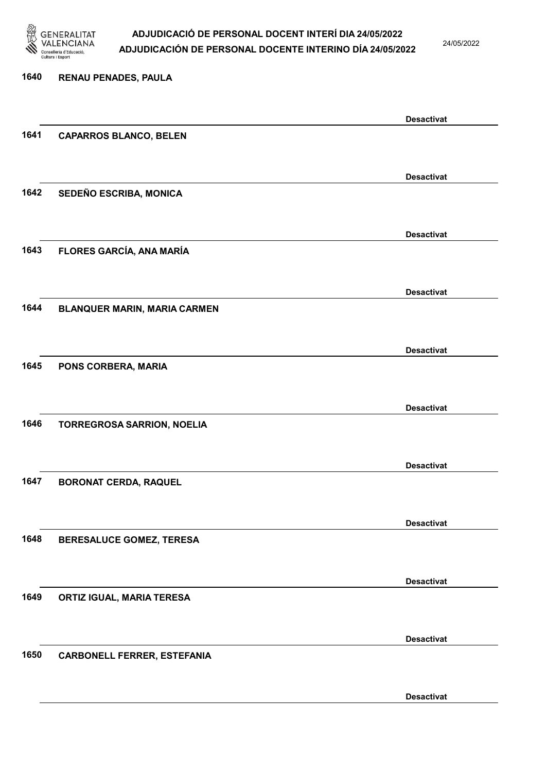

24/05/2022

Desactivat

# 1640 RENAU PENADES, PAULA Desactivat 1641 CAPARROS BLANCO, BELEN Desactivat 1642 SEDEÑO ESCRIBA, MONICA Desactivat 1643 FLORES GARCÍA, ANA MARÍA Desactivat 1644 BLANQUER MARIN, MARIA CARMEN Desactivat 1645 PONS CORBERA, MARIA Desactivat 1646 TORREGROSA SARRION, NOELIA Desactivat 1647 BORONAT CERDA, RAQUEL Desactivat 1648 BERESALUCE GOMEZ, TERESA Desactivat 1649 ORTIZ IGUAL, MARIA TERESA Desactivat 1650 CARBONELL FERRER, ESTEFANIA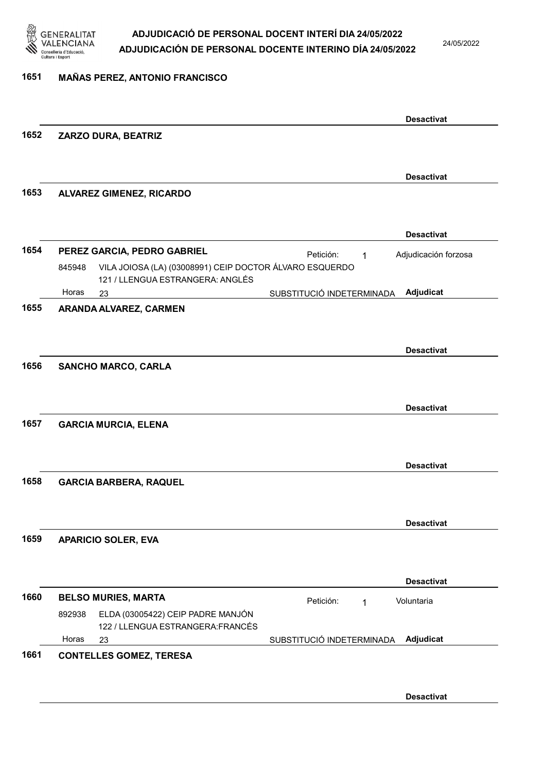

24/05/2022

#### 1651 MAÑAS PEREZ, ANTONIO FRANCISCO

|      |        |                                                                                             |                           | <b>Desactivat</b>    |
|------|--------|---------------------------------------------------------------------------------------------|---------------------------|----------------------|
| 1652 |        | ZARZO DURA, BEATRIZ                                                                         |                           |                      |
|      |        |                                                                                             |                           | <b>Desactivat</b>    |
| 1653 |        | <b>ALVAREZ GIMENEZ, RICARDO</b>                                                             |                           |                      |
|      |        |                                                                                             |                           | <b>Desactivat</b>    |
| 1654 |        | PEREZ GARCIA, PEDRO GABRIEL                                                                 | Petición:<br>1            | Adjudicación forzosa |
|      | 845948 | VILA JOIOSA (LA) (03008991) CEIP DOCTOR ÁLVARO ESQUERDO<br>121 / LLENGUA ESTRANGERA: ANGLÉS |                           |                      |
|      | Horas  | 23                                                                                          | SUBSTITUCIÓ INDETERMINADA | Adjudicat            |
| 1655 |        | ARANDA ALVAREZ, CARMEN                                                                      |                           |                      |
|      |        |                                                                                             |                           | <b>Desactivat</b>    |
| 1656 |        | <b>SANCHO MARCO, CARLA</b>                                                                  |                           | <b>Desactivat</b>    |
| 1657 |        | <b>GARCIA MURCIA, ELENA</b>                                                                 |                           |                      |
|      |        |                                                                                             |                           | <b>Desactivat</b>    |
| 1658 |        | <b>GARCIA BARBERA, RAQUEL</b>                                                               |                           |                      |
|      |        |                                                                                             |                           | <b>Desactivat</b>    |
| 1659 |        | <b>APARICIO SOLER, EVA</b>                                                                  |                           |                      |
|      |        |                                                                                             |                           | <b>Desactivat</b>    |
| 1660 |        | <b>BELSO MURIES, MARTA</b>                                                                  | Petición:<br>1            | Voluntaria           |
|      | 892938 | ELDA (03005422) CEIP PADRE MANJÓN<br>122 / LLENGUA ESTRANGERA: FRANCÉS                      |                           |                      |
|      | Horas  | 23                                                                                          | SUBSTITUCIÓ INDETERMINADA | Adjudicat            |
| 1661 |        | <b>CONTELLES GOMEZ, TERESA</b>                                                              |                           |                      |
|      |        |                                                                                             |                           |                      |
|      |        |                                                                                             |                           |                      |
|      |        |                                                                                             |                           | <b>Desactivat</b>    |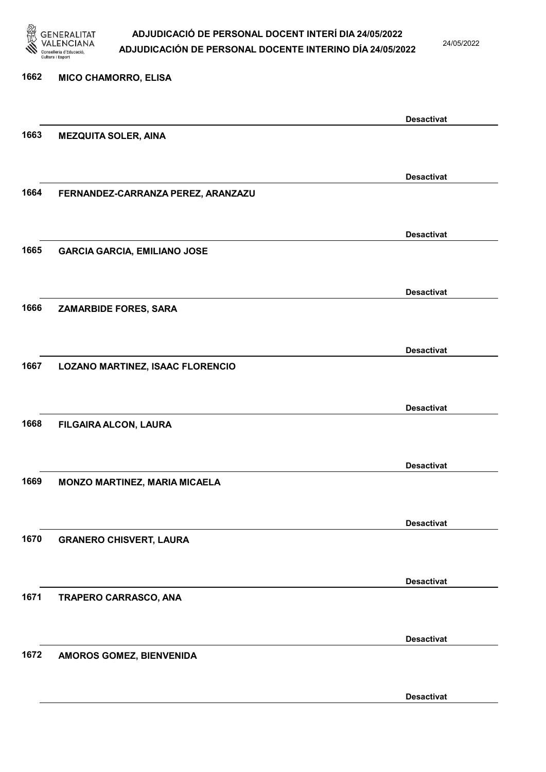

24/05/2022

# 1662 MICO CHAMORRO, ELISA Desactivat 1663 MEZQUITA SOLER, AINA Desactivat 1664 FERNANDEZ-CARRANZA PEREZ, ARANZAZU Desactivat 1665 GARCIA GARCIA, EMILIANO JOSE Desactivat 1666 ZAMARBIDE FORES, SARA Desactivat 1667 LOZANO MARTINEZ, ISAAC FLORENCIO Desactivat 1668 FILGAIRA ALCON, LAURA Desactivat 1669 MONZO MARTINEZ, MARIA MICAELA Desactivat 1670 GRANERO CHISVERT, LAURA Desactivat 1671 TRAPERO CARRASCO, ANA Desactivat 1672 AMOROS GOMEZ, BIENVENIDA

Desactivat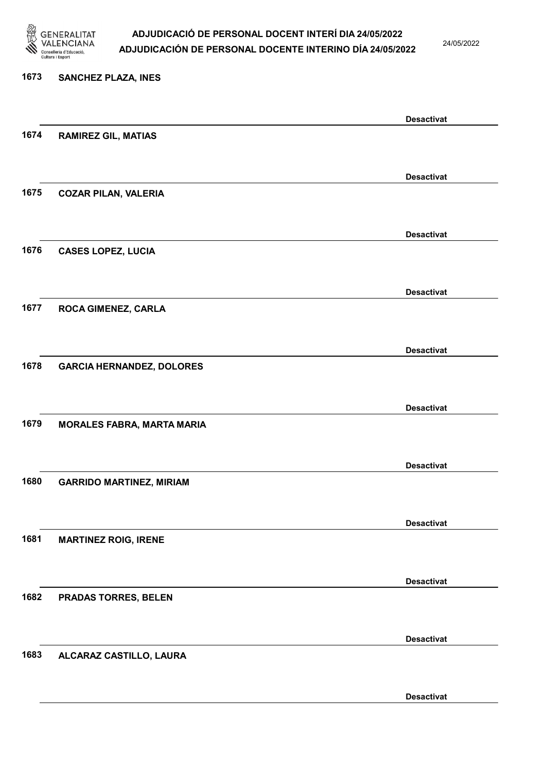

24/05/2022

#### 1673 SANCHEZ PLAZA, INES

|      |                                   | <b>Desactivat</b> |
|------|-----------------------------------|-------------------|
| 1674 | <b>RAMIREZ GIL, MATIAS</b>        |                   |
|      |                                   |                   |
|      |                                   | <b>Desactivat</b> |
| 1675 | <b>COZAR PILAN, VALERIA</b>       |                   |
|      |                                   |                   |
|      |                                   | <b>Desactivat</b> |
| 1676 | <b>CASES LOPEZ, LUCIA</b>         |                   |
|      |                                   |                   |
|      |                                   |                   |
| 1677 |                                   | <b>Desactivat</b> |
|      | ROCA GIMENEZ, CARLA               |                   |
|      |                                   |                   |
|      |                                   | <b>Desactivat</b> |
| 1678 | <b>GARCIA HERNANDEZ, DOLORES</b>  |                   |
|      |                                   |                   |
|      |                                   | <b>Desactivat</b> |
| 1679 | <b>MORALES FABRA, MARTA MARIA</b> |                   |
|      |                                   |                   |
|      |                                   | <b>Desactivat</b> |
| 1680 | <b>GARRIDO MARTINEZ, MIRIAM</b>   |                   |
|      |                                   |                   |
|      |                                   | <b>Desactivat</b> |
| 1681 | <b>MARTINEZ ROIG, IRENE</b>       |                   |
|      |                                   |                   |
|      |                                   | <b>Desactivat</b> |
| 1682 | <b>PRADAS TORRES, BELEN</b>       |                   |
|      |                                   |                   |
|      |                                   | <b>Desactivat</b> |
| 1683 | ALCARAZ CASTILLO, LAURA           |                   |
|      |                                   |                   |
|      |                                   |                   |
|      |                                   | <b>Desactivat</b> |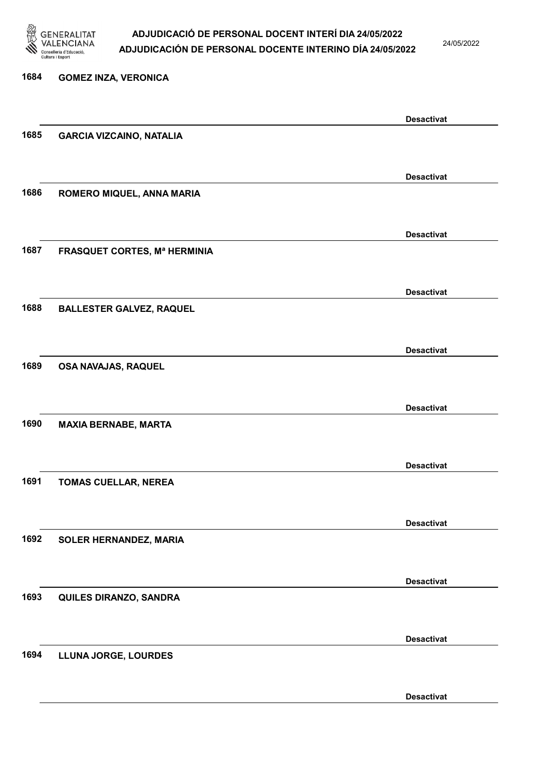

24/05/2022

Desactivat

# 1684 GOMEZ INZA, VERONICA Desactivat 1685 GARCIA VIZCAINO, NATALIA Desactivat 1686 ROMERO MIQUEL, ANNA MARIA Desactivat 1687 FRASQUET CORTES, Mª HERMINIA Desactivat 1688 BALLESTER GALVEZ, RAQUEL Desactivat 1689 OSA NAVAJAS, RAQUEL Desactivat 1690 MAXIA BERNABE, MARTA Desactivat 1691 TOMAS CUELLAR, NEREA Desactivat 1692 SOLER HERNANDEZ, MARIA Desactivat 1693 QUILES DIRANZO, SANDRA Desactivat 1694 LLUNA JORGE, LOURDES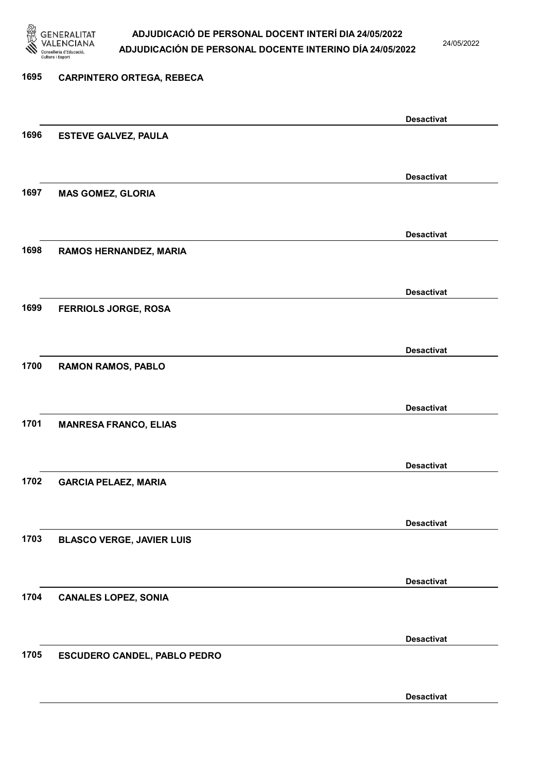

24/05/2022

Desactivat

# 1695 CARPINTERO ORTEGA, REBECA Desactivat 1696 ESTEVE GALVEZ, PAULA Desactivat 1697 MAS GOMEZ, GLORIA Desactivat 1698 RAMOS HERNANDEZ, MARIA Desactivat 1699 FERRIOLS JORGE, ROSA Desactivat 1700 RAMON RAMOS, PABLO Desactivat 1701 MANRESA FRANCO, ELIAS Desactivat 1702 GARCIA PELAEZ, MARIA Desactivat 1703 BLASCO VERGE, JAVIER LUIS Desactivat 1704 CANALES LOPEZ, SONIA Desactivat 1705 ESCUDERO CANDEL, PABLO PEDRO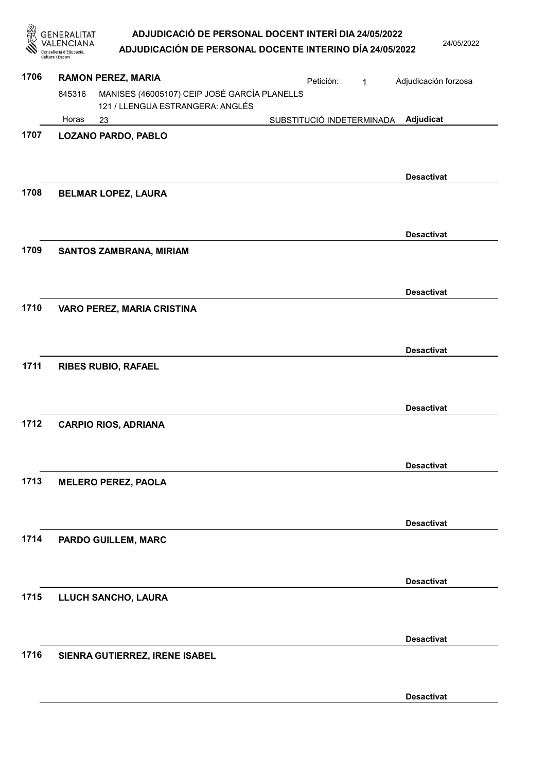| ADJUDICACIÓ DE PERSONAL DOCENT INTERÍ DIA 24/05/2022     |
|----------------------------------------------------------|
| ADJUDICACIÓN DE PERSONAL DOCENTE INTERINO DÍA 24/05/2022 |

|      | GENERALITAT<br>Conselleria d'Educacio<br>Cultura i Esport |                                                                                  | ADJUDICACIÓ DE PERSONAL DOCENT INTERÍ DIA 24/05/2022<br>ADJUDICACIÓN DE PERSONAL DOCENTE INTERINO DÍA 24/05/2022 |   | 24/05/2022           |
|------|-----------------------------------------------------------|----------------------------------------------------------------------------------|------------------------------------------------------------------------------------------------------------------|---|----------------------|
| 1706 | <b>RAMON PEREZ, MARIA</b>                                 |                                                                                  | Petición:                                                                                                        | 1 | Adjudicación forzosa |
|      | 845316                                                    | MANISES (46005107) CEIP JOSÉ GARCÍA PLANELLS<br>121 / LLENGUA ESTRANGERA: ANGLÉS |                                                                                                                  |   |                      |
|      | Horas<br>23                                               |                                                                                  | SUBSTITUCIÓ INDETERMINADA                                                                                        |   | Adjudicat            |
| 1707 | <b>LOZANO PARDO, PABLO</b>                                |                                                                                  |                                                                                                                  |   |                      |
| 1708 | <b>BELMAR LOPEZ, LAURA</b>                                |                                                                                  |                                                                                                                  |   | <b>Desactivat</b>    |
| 1709 | <b>SANTOS ZAMBRANA, MIRIAM</b>                            |                                                                                  |                                                                                                                  |   | <b>Desactivat</b>    |
|      |                                                           |                                                                                  |                                                                                                                  |   | <b>Desactivat</b>    |
| 1710 | <b>VARO PEREZ, MARIA CRISTINA</b>                         |                                                                                  |                                                                                                                  |   |                      |
| 1711 | <b>RIBES RUBIO, RAFAEL</b>                                |                                                                                  |                                                                                                                  |   | <b>Desactivat</b>    |
| 1712 | <b>CARPIO RIOS, ADRIANA</b>                               |                                                                                  |                                                                                                                  |   | <b>Desactivat</b>    |
|      |                                                           |                                                                                  |                                                                                                                  |   | <b>Desactivat</b>    |
| 1713 | <b>MELERO PEREZ, PAOLA</b>                                |                                                                                  |                                                                                                                  |   |                      |
| 1714 | <b>PARDO GUILLEM, MARC</b>                                |                                                                                  |                                                                                                                  |   | <b>Desactivat</b>    |
|      |                                                           |                                                                                  |                                                                                                                  |   | <b>Desactivat</b>    |
| 1715 | LLUCH SANCHO, LAURA                                       |                                                                                  |                                                                                                                  |   |                      |
| 1716 | SIENRA GUTIERREZ, IRENE ISABEL                            |                                                                                  |                                                                                                                  |   | <b>Desactivat</b>    |
|      |                                                           |                                                                                  |                                                                                                                  |   | <b>Desactivat</b>    |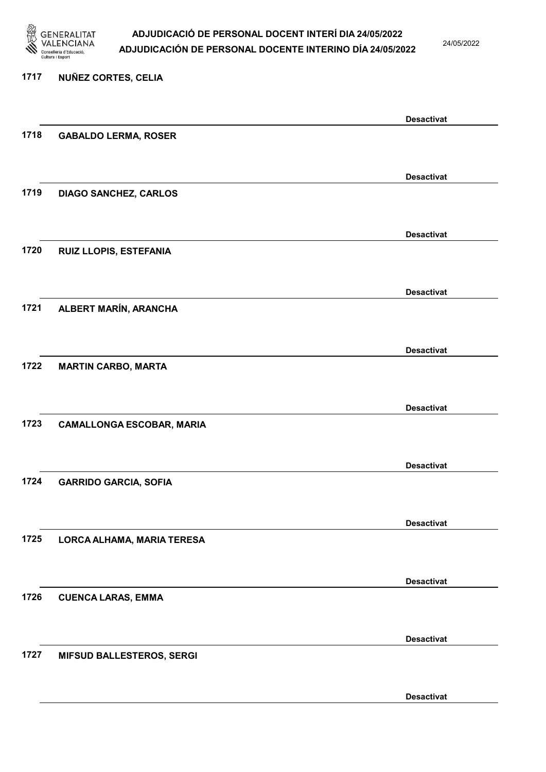

24/05/2022

### 1717 NUÑEZ CORTES, CELIA

|      |                                  | <b>Desactivat</b> |
|------|----------------------------------|-------------------|
| 1718 | <b>GABALDO LERMA, ROSER</b>      |                   |
|      |                                  |                   |
|      |                                  | <b>Desactivat</b> |
| 1719 | <b>DIAGO SANCHEZ, CARLOS</b>     |                   |
|      |                                  |                   |
|      |                                  |                   |
|      |                                  | <b>Desactivat</b> |
| 1720 | RUIZ LLOPIS, ESTEFANIA           |                   |
|      |                                  |                   |
|      |                                  | <b>Desactivat</b> |
| 1721 | ALBERT MARÍN, ARANCHA            |                   |
|      |                                  |                   |
|      |                                  | <b>Desactivat</b> |
| 1722 | <b>MARTIN CARBO, MARTA</b>       |                   |
|      |                                  |                   |
|      |                                  | <b>Desactivat</b> |
| 1723 | <b>CAMALLONGA ESCOBAR, MARIA</b> |                   |
|      |                                  |                   |
|      |                                  | <b>Desactivat</b> |
| 1724 | <b>GARRIDO GARCIA, SOFIA</b>     |                   |
|      |                                  |                   |
|      |                                  |                   |
|      |                                  | <b>Desactivat</b> |
| 1725 | LORCA ALHAMA, MARIA TERESA       |                   |
|      |                                  |                   |
|      |                                  | <b>Desactivat</b> |
| 1726 | <b>CUENCA LARAS, EMMA</b>        |                   |
|      |                                  |                   |
|      |                                  | <b>Desactivat</b> |
| 1727 | <b>MIFSUD BALLESTEROS, SERGI</b> |                   |
|      |                                  |                   |
|      |                                  | <b>Desactivat</b> |
|      |                                  |                   |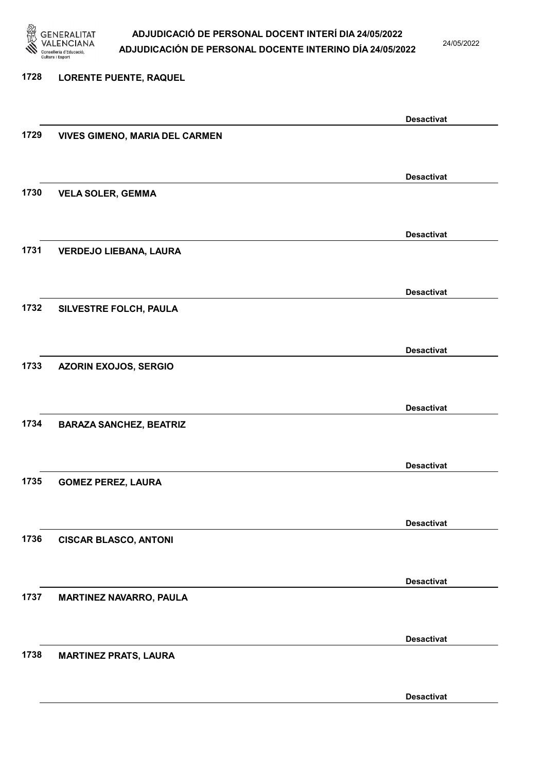

24/05/2022

Desactivat

# 1728 LORENTE PUENTE, RAQUEL Desactivat 1729 VIVES GIMENO, MARIA DEL CARMEN Desactivat 1730 VELA SOLER, GEMMA Desactivat 1731 VERDEJO LIEBANA, LAURA Desactivat 1732 SILVESTRE FOLCH, PAULA Desactivat 1733 AZORIN EXOJOS, SERGIO Desactivat 1734 BARAZA SANCHEZ, BEATRIZ Desactivat 1735 GOMEZ PEREZ, LAURA Desactivat 1736 CISCAR BLASCO, ANTONI Desactivat 1737 MARTINEZ NAVARRO, PAULA Desactivat 1738 MARTINEZ PRATS, LAURA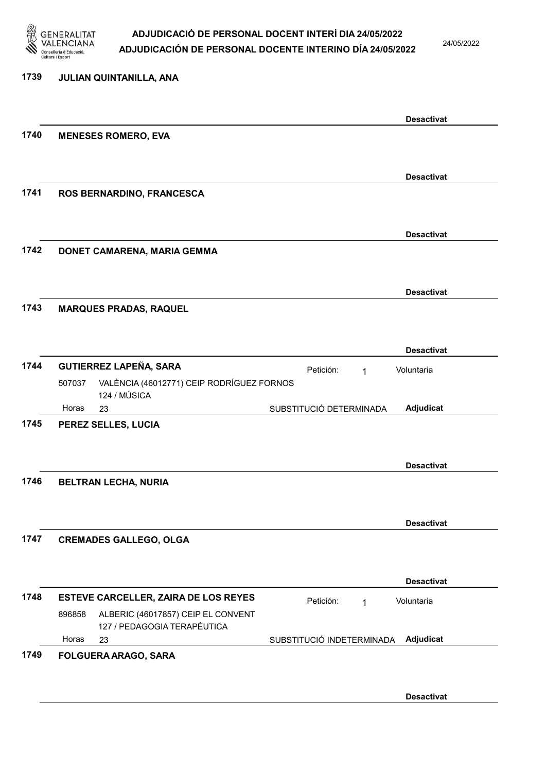

24/05/2022

| 1739 | JULIAN QUINTANILLA, ANA                                                     |                                                              |
|------|-----------------------------------------------------------------------------|--------------------------------------------------------------|
|      |                                                                             | <b>Desactivat</b>                                            |
| 1740 | <b>MENESES ROMERO, EVA</b>                                                  |                                                              |
|      |                                                                             | <b>Desactivat</b>                                            |
| 1741 | ROS BERNARDINO, FRANCESCA                                                   |                                                              |
|      |                                                                             | <b>Desactivat</b>                                            |
| 1742 | DONET CAMARENA, MARIA GEMMA                                                 |                                                              |
| 1743 | <b>MARQUES PRADAS, RAQUEL</b>                                               | <b>Desactivat</b>                                            |
|      |                                                                             |                                                              |
| 1744 | <b>GUTIERREZ LAPEÑA, SARA</b>                                               | <b>Desactivat</b><br>Petición:<br>Voluntaria<br>$\mathbf{1}$ |
|      | VALÈNCIA (46012771) CEIP RODRÍGUEZ FORNOS<br>507037<br>124 / MÚSICA         |                                                              |
|      | Horas<br>23                                                                 | Adjudicat<br>SUBSTITUCIÓ DETERMINADA                         |
| 1745 | PEREZ SELLES, LUCIA                                                         |                                                              |
| 1746 | <b>BELTRAN LECHA, NURIA</b>                                                 | <b>Desactivat</b>                                            |
|      |                                                                             | <b>Desactivat</b>                                            |
| 1747 | <b>CREMADES GALLEGO, OLGA</b>                                               |                                                              |
|      |                                                                             | <b>Desactivat</b>                                            |
| 1748 | ESTEVE CARCELLER, ZAIRA DE LOS REYES                                        | Petición:<br>Voluntaria<br>$\mathbf{1}$                      |
|      | ALBERIC (46017857) CEIP EL CONVENT<br>896858<br>127 / PEDAGOGIA TERAPÈUTICA |                                                              |
|      | Horas<br>23                                                                 | Adjudicat<br>SUBSTITUCIÓ INDETERMINADA                       |

Desactivat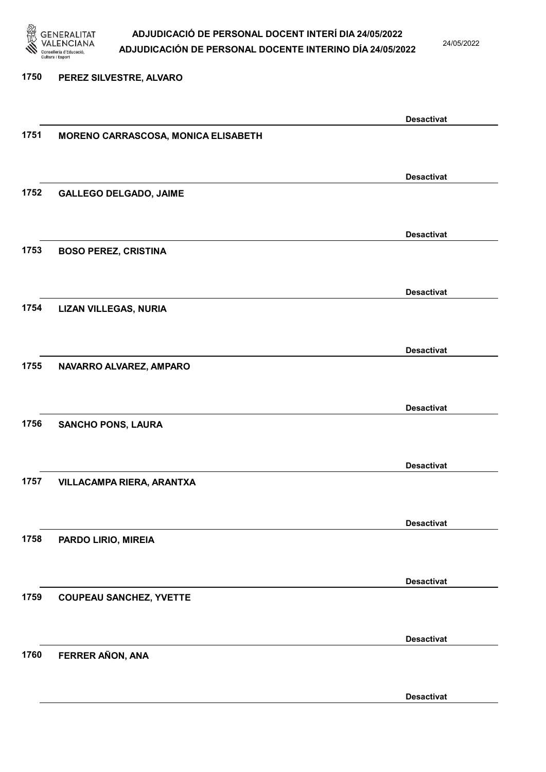

24/05/2022

#### 1750 PEREZ SILVESTRE, ALVARO

|      |                                     | <b>Desactivat</b> |
|------|-------------------------------------|-------------------|
| 1751 | MORENO CARRASCOSA, MONICA ELISABETH |                   |
|      |                                     |                   |
|      |                                     |                   |
|      |                                     | <b>Desactivat</b> |
| 1752 | <b>GALLEGO DELGADO, JAIME</b>       |                   |
|      |                                     |                   |
|      |                                     |                   |
|      |                                     |                   |
|      |                                     | <b>Desactivat</b> |
| 1753 | <b>BOSO PEREZ, CRISTINA</b>         |                   |
|      |                                     |                   |
|      |                                     |                   |
|      |                                     | <b>Desactivat</b> |
| 1754 | <b>LIZAN VILLEGAS, NURIA</b>        |                   |
|      |                                     |                   |
|      |                                     |                   |
|      |                                     | <b>Desactivat</b> |
| 1755 | NAVARRO ALVAREZ, AMPARO             |                   |
|      |                                     |                   |
|      |                                     |                   |
|      |                                     | <b>Desactivat</b> |
|      |                                     |                   |
| 1756 | <b>SANCHO PONS, LAURA</b>           |                   |
|      |                                     |                   |
|      |                                     |                   |
|      |                                     | <b>Desactivat</b> |
| 1757 | VILLACAMPA RIERA, ARANTXA           |                   |
|      |                                     |                   |
|      |                                     |                   |
|      |                                     | <b>Desactivat</b> |
| 1758 | PARDO LIRIO, MIREIA                 |                   |
|      |                                     |                   |
|      |                                     |                   |
|      |                                     | <b>Desactivat</b> |
| 1759 |                                     |                   |
|      | <b>COUPEAU SANCHEZ, YVETTE</b>      |                   |
|      |                                     |                   |
|      |                                     |                   |
|      |                                     | <b>Desactivat</b> |
| 1760 | FERRER AÑON, ANA                    |                   |
|      |                                     |                   |
|      |                                     |                   |
|      |                                     | <b>Desactivat</b> |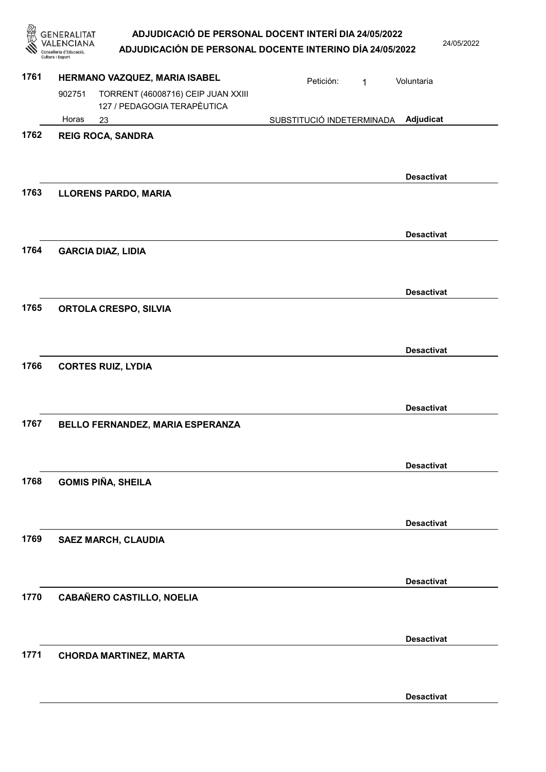|      | <b>GENERALITAT</b><br>Conselleria d'Educació<br>Cultura i Esport | ADJUDICACIÓ DE PERSONAL DOCENT INTERÍ DIA 24/05/2022<br>ADJUDICACIÓN DE PERSONAL DOCENTE INTERINO DÍA 24/05/2022 |                           |   | 24/05/2022        |
|------|------------------------------------------------------------------|------------------------------------------------------------------------------------------------------------------|---------------------------|---|-------------------|
| 1761 |                                                                  | HERMANO VAZQUEZ, MARIA ISABEL                                                                                    | Petición:                 | 1 | Voluntaria        |
|      | 902751                                                           | TORRENT (46008716) CEIP JUAN XXIII<br>127 / PEDAGOGIA TERAPÈUTICA                                                |                           |   |                   |
|      | Horas                                                            | 23                                                                                                               | SUBSTITUCIÓ INDETERMINADA |   | Adjudicat         |
| 1762 |                                                                  | <b>REIG ROCA, SANDRA</b>                                                                                         |                           |   |                   |
| 1763 |                                                                  | <b>LLORENS PARDO, MARIA</b>                                                                                      |                           |   | <b>Desactivat</b> |
|      |                                                                  |                                                                                                                  |                           |   | <b>Desactivat</b> |
| 1764 |                                                                  | <b>GARCIA DIAZ, LIDIA</b>                                                                                        |                           |   |                   |
|      |                                                                  |                                                                                                                  |                           |   | <b>Desactivat</b> |
| 1765 |                                                                  | ORTOLA CRESPO, SILVIA                                                                                            |                           |   |                   |
|      |                                                                  |                                                                                                                  |                           |   | <b>Desactivat</b> |
| 1766 |                                                                  | <b>CORTES RUIZ, LYDIA</b>                                                                                        |                           |   |                   |
|      |                                                                  |                                                                                                                  |                           |   | <b>Desactivat</b> |
| 1767 |                                                                  | <b>BELLO FERNANDEZ. MARIA ESPERANZA</b>                                                                          |                           |   |                   |
|      |                                                                  |                                                                                                                  |                           |   | <b>Desactivat</b> |
| 1768 |                                                                  | <b>GOMIS PIÑA, SHEILA</b>                                                                                        |                           |   |                   |
|      |                                                                  |                                                                                                                  |                           |   | <b>Desactivat</b> |
| 1769 |                                                                  | <b>SAEZ MARCH, CLAUDIA</b>                                                                                       |                           |   |                   |
|      |                                                                  |                                                                                                                  |                           |   | <b>Desactivat</b> |
| 1770 |                                                                  | <b>CABAÑERO CASTILLO, NOELIA</b>                                                                                 |                           |   |                   |
|      |                                                                  |                                                                                                                  |                           |   | <b>Desactivat</b> |
| 1771 |                                                                  | <b>CHORDA MARTINEZ, MARTA</b>                                                                                    |                           |   |                   |
|      |                                                                  |                                                                                                                  |                           |   | <b>Desactivat</b> |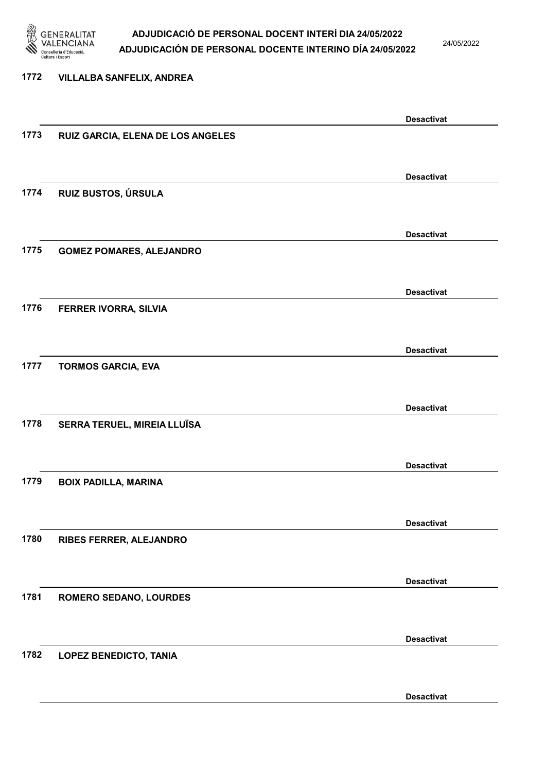

24/05/2022

#### 1772 VILLALBA SANFELIX, ANDREA

|      |                                   | <b>Desactivat</b> |
|------|-----------------------------------|-------------------|
| 1773 | RUIZ GARCIA, ELENA DE LOS ANGELES |                   |
|      |                                   |                   |
|      |                                   |                   |
|      |                                   | <b>Desactivat</b> |
| 1774 | RUIZ BUSTOS, ÚRSULA               |                   |
|      |                                   |                   |
|      |                                   | <b>Desactivat</b> |
| 1775 |                                   |                   |
|      | <b>GOMEZ POMARES, ALEJANDRO</b>   |                   |
|      |                                   |                   |
|      |                                   | <b>Desactivat</b> |
| 1776 | FERRER IVORRA, SILVIA             |                   |
|      |                                   |                   |
|      |                                   |                   |
|      |                                   | <b>Desactivat</b> |
| 1777 | <b>TORMOS GARCIA, EVA</b>         |                   |
|      |                                   |                   |
|      |                                   | <b>Desactivat</b> |
| 1778 | SERRA TERUEL, MIREIA LLUÏSA       |                   |
|      |                                   |                   |
|      |                                   |                   |
|      |                                   | <b>Desactivat</b> |
| 1779 | <b>BOIX PADILLA, MARINA</b>       |                   |
|      |                                   |                   |
|      |                                   |                   |
|      |                                   | <b>Desactivat</b> |
| 1780 | RIBES FERRER, ALEJANDRO           |                   |
|      |                                   |                   |
|      |                                   | <b>Desactivat</b> |
| 1781 | ROMERO SEDANO, LOURDES            |                   |
|      |                                   |                   |
|      |                                   |                   |
|      |                                   | <b>Desactivat</b> |
| 1782 | <b>LOPEZ BENEDICTO, TANIA</b>     |                   |
|      |                                   |                   |
|      |                                   |                   |
|      |                                   | <b>Desactivat</b> |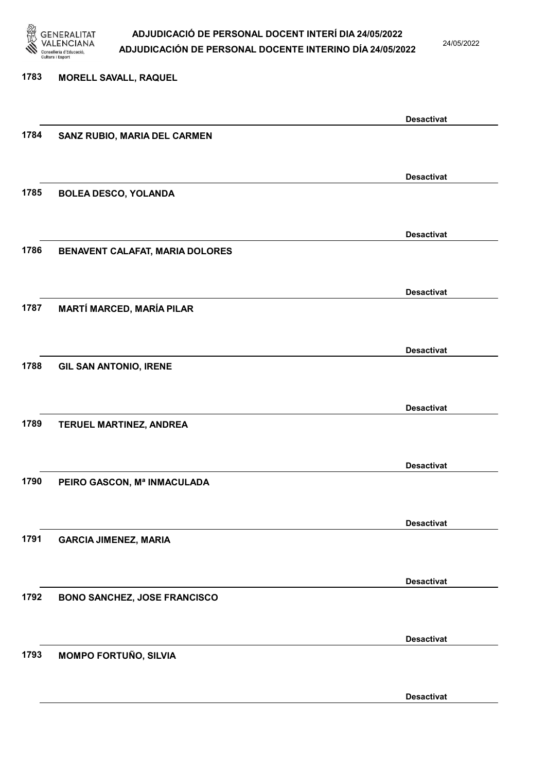

24/05/2022

Desactivat

# 1783 MORELL SAVALL, RAQUEL Desactivat 1784 SANZ RUBIO, MARIA DEL CARMEN Desactivat 1785 BOLEA DESCO, YOLANDA Desactivat 1786 BENAVENT CALAFAT, MARIA DOLORES Desactivat 1787 MARTÍ MARCED, MARÍA PILAR Desactivat 1788 GIL SAN ANTONIO, IRENE Desactivat 1789 TERUEL MARTINEZ, ANDREA Desactivat 1790 PEIRO GASCON, Mª INMACULADA Desactivat 1791 GARCIA JIMENEZ, MARIA Desactivat 1792 BONO SANCHEZ, JOSE FRANCISCO Desactivat 1793 MOMPO FORTUÑO, SILVIA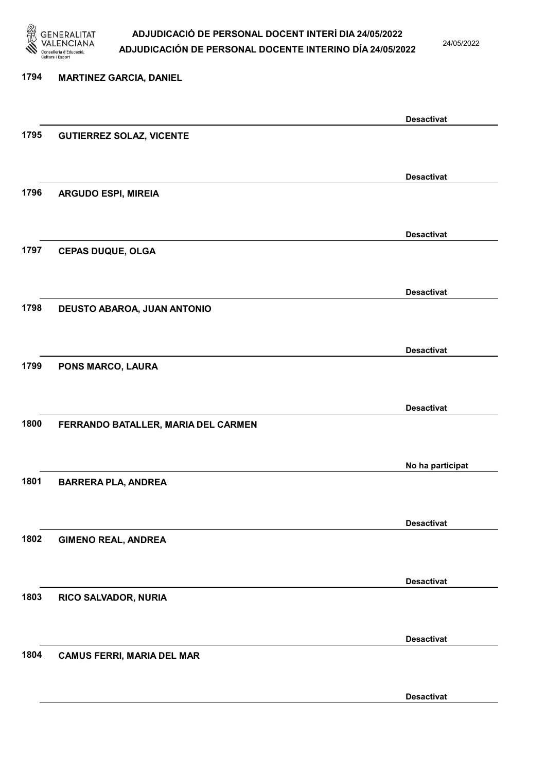

24/05/2022

## 1794 MARTINEZ GARCIA, DANIEL Desactivat 1795 GUTIERREZ SOLAZ, VICENTE Desactivat 1796 ARGUDO ESPI, MIREIA Desactivat 1797 CEPAS DUQUE, OLGA Desactivat 1798 DEUSTO ABAROA, JUAN ANTONIO Desactivat 1799 PONS MARCO, LAURA Desactivat 1800 FERRANDO BATALLER, MARIA DEL CARMEN No ha participat 1801 BARRERA PLA, ANDREA Desactivat 1802 GIMENO REAL, ANDREA Desactivat 1803 RICO SALVADOR, NURIA Desactivat 1804 CAMUS FERRI, MARIA DEL MAR Desactivat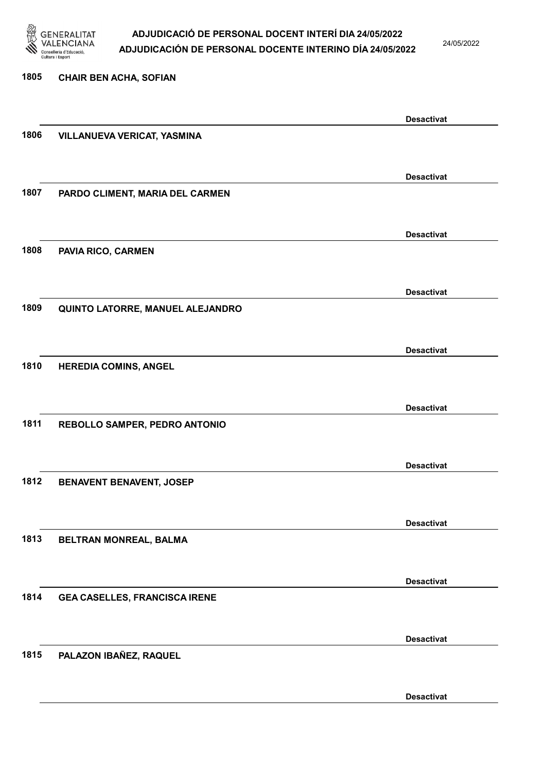

24/05/2022

# 1805 CHAIR BEN ACHA, SOFIAN Desactivat 1806 VILLANUEVA VERICAT, YASMINA Desactivat 1807 PARDO CLIMENT, MARIA DEL CARMEN Desactivat 1808 PAVIA RICO, CARMEN Desactivat 1809 QUINTO LATORRE, MANUEL ALEJANDRO Desactivat 1810 HEREDIA COMINS, ANGEL Desactivat 1811 REBOLLO SAMPER, PEDRO ANTONIO Desactivat 1812 BENAVENT BENAVENT, JOSEP Desactivat 1813 BELTRAN MONREAL, BALMA Desactivat 1814 GEA CASELLES, FRANCISCA IRENE Desactivat 1815 PALAZON IBAÑEZ, RAQUEL

Desactivat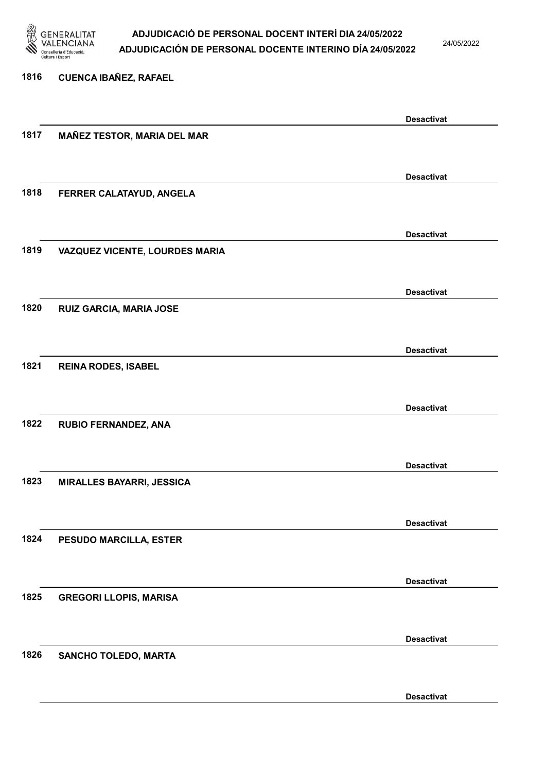

24/05/2022

Desactivat

# 1816 CUENCA IBAÑEZ, RAFAEL Desactivat 1817 MAÑEZ TESTOR, MARIA DEL MAR Desactivat 1818 FERRER CALATAYUD, ANGELA Desactivat 1819 VAZQUEZ VICENTE, LOURDES MARIA Desactivat 1820 RUIZ GARCIA, MARIA JOSE Desactivat 1821 REINA RODES, ISABEL Desactivat 1822 RUBIO FERNANDEZ, ANA Desactivat 1823 MIRALLES BAYARRI, JESSICA Desactivat 1824 PESUDO MARCILLA, ESTER Desactivat 1825 GREGORI LLOPIS, MARISA Desactivat 1826 SANCHO TOLEDO, MARTA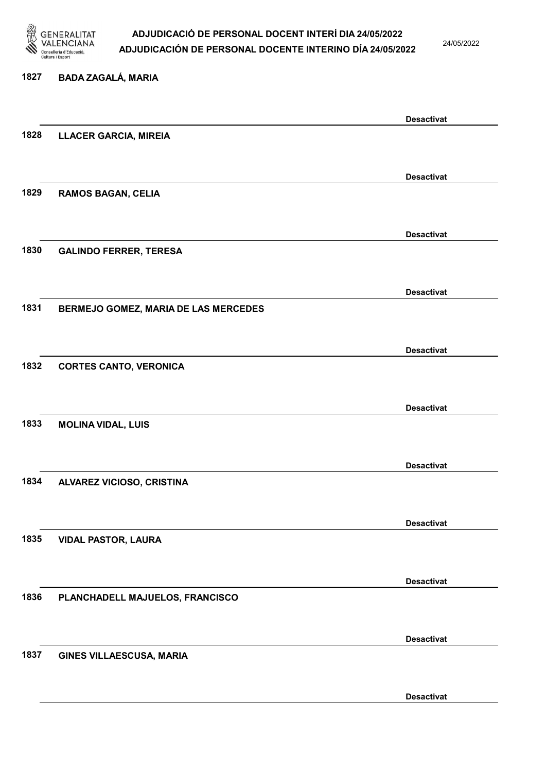

24/05/2022

#### 1827 BADA ZAGALÁ, MARIA

|      |                                      | <b>Desactivat</b> |
|------|--------------------------------------|-------------------|
| 1828 | <b>LLACER GARCIA, MIREIA</b>         |                   |
|      |                                      |                   |
|      |                                      |                   |
|      |                                      | <b>Desactivat</b> |
| 1829 | <b>RAMOS BAGAN, CELIA</b>            |                   |
|      |                                      |                   |
|      |                                      | <b>Desactivat</b> |
| 1830 | <b>GALINDO FERRER, TERESA</b>        |                   |
|      |                                      |                   |
|      |                                      |                   |
|      |                                      | <b>Desactivat</b> |
| 1831 | BERMEJO GOMEZ, MARIA DE LAS MERCEDES |                   |
|      |                                      |                   |
|      |                                      | <b>Desactivat</b> |
| 1832 | <b>CORTES CANTO, VERONICA</b>        |                   |
|      |                                      |                   |
|      |                                      |                   |
|      |                                      | <b>Desactivat</b> |
| 1833 | <b>MOLINA VIDAL, LUIS</b>            |                   |
|      |                                      |                   |
|      |                                      | <b>Desactivat</b> |
| 1834 | ALVAREZ VICIOSO, CRISTINA            |                   |
|      |                                      |                   |
|      |                                      |                   |
|      |                                      | <b>Desactivat</b> |
| 1835 | <b>VIDAL PASTOR, LAURA</b>           |                   |
|      |                                      |                   |
|      |                                      |                   |
| 1836 |                                      | <b>Desactivat</b> |
|      | PLANCHADELL MAJUELOS, FRANCISCO      |                   |
|      |                                      |                   |
|      |                                      | <b>Desactivat</b> |
| 1837 | GINES VILLAESCUSA, MARIA             |                   |
|      |                                      |                   |
|      |                                      |                   |
|      |                                      | <b>Desactivat</b> |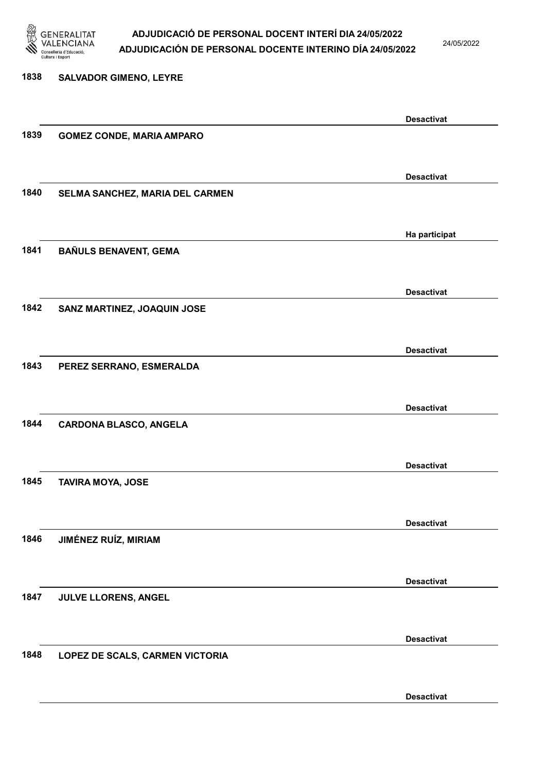

24/05/2022

## 1838 SALVADOR GIMENO, LEYRE Desactivat 1839 GOMEZ CONDE, MARIA AMPARO Desactivat 1840 SELMA SANCHEZ, MARIA DEL CARMEN Ha participat 1841 BAÑULS BENAVENT, GEMA Desactivat 1842 SANZ MARTINEZ, JOAQUIN JOSE Desactivat 1843 PEREZ SERRANO, ESMERALDA Desactivat 1844 CARDONA BLASCO, ANGELA Desactivat 1845 TAVIRA MOYA, JOSE Desactivat 1846 JIMÉNEZ RUÍZ, MIRIAM Desactivat 1847 JULVE LLORENS, ANGEL Desactivat 1848 LOPEZ DE SCALS, CARMEN VICTORIA Desactivat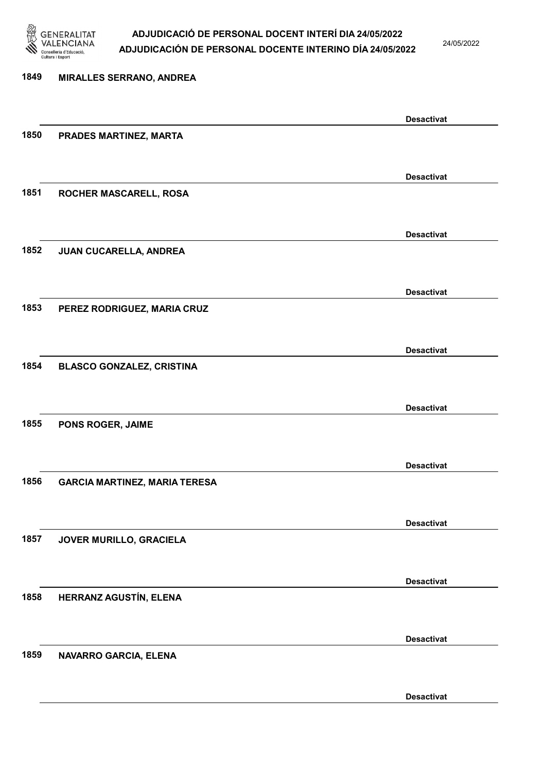

24/05/2022

Desactivat

# 1849 MIRALLES SERRANO, ANDREA Desactivat 1850 PRADES MARTINEZ, MARTA Desactivat 1851 ROCHER MASCARELL, ROSA Desactivat 1852 JUAN CUCARELLA, ANDREA Desactivat 1853 PEREZ RODRIGUEZ, MARIA CRUZ Desactivat 1854 BLASCO GONZALEZ, CRISTINA Desactivat 1855 PONS ROGER, JAIME Desactivat 1856 GARCIA MARTINEZ, MARIA TERESA Desactivat 1857 JOVER MURILLO, GRACIELA Desactivat 1858 HERRANZ AGUSTÍN, ELENA Desactivat 1859 NAVARRO GARCIA, ELENA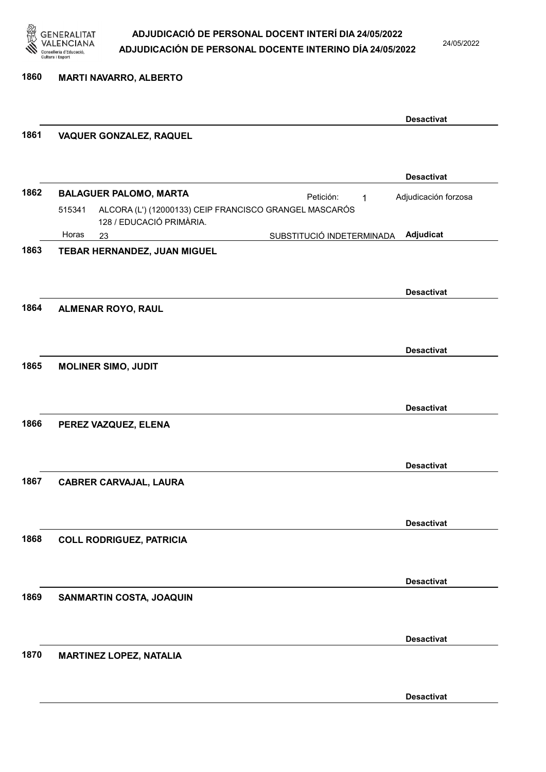

24/05/2022

1860 MARTI NAVARRO, ALBERTO

|      |                                                                                              |                           | <b>Desactivat</b>    |
|------|----------------------------------------------------------------------------------------------|---------------------------|----------------------|
| 1861 | <b>VAQUER GONZALEZ, RAQUEL</b>                                                               |                           |                      |
|      |                                                                                              |                           |                      |
|      |                                                                                              |                           | <b>Desactivat</b>    |
| 1862 | <b>BALAGUER PALOMO, MARTA</b>                                                                | Petición:<br>$\mathbf{1}$ | Adjudicación forzosa |
|      | ALCORA (L') (12000133) CEIP FRANCISCO GRANGEL MASCARÓS<br>515341<br>128 / EDUCACIÓ PRIMÀRIA. |                           |                      |
|      | Horas<br>23                                                                                  | SUBSTITUCIÓ INDETERMINADA | Adjudicat            |
| 1863 | TEBAR HERNANDEZ, JUAN MIGUEL                                                                 |                           |                      |
|      |                                                                                              |                           |                      |
|      |                                                                                              |                           | <b>Desactivat</b>    |
| 1864 | <b>ALMENAR ROYO, RAUL</b>                                                                    |                           |                      |
|      |                                                                                              |                           |                      |
|      |                                                                                              |                           | <b>Desactivat</b>    |
| 1865 | <b>MOLINER SIMO, JUDIT</b>                                                                   |                           |                      |
|      |                                                                                              |                           |                      |
|      |                                                                                              |                           | <b>Desactivat</b>    |
| 1866 | PEREZ VAZQUEZ, ELENA                                                                         |                           |                      |
|      |                                                                                              |                           |                      |
|      |                                                                                              |                           |                      |
|      |                                                                                              |                           | <b>Desactivat</b>    |
| 1867 | <b>CABRER CARVAJAL, LAURA</b>                                                                |                           |                      |
|      |                                                                                              |                           |                      |
|      |                                                                                              |                           | <b>Desactivat</b>    |
| 1868 | <b>COLL RODRIGUEZ, PATRICIA</b>                                                              |                           |                      |
|      |                                                                                              |                           |                      |
|      |                                                                                              |                           | <b>Desactivat</b>    |
| 1869 | SANMARTIN COSTA, JOAQUIN                                                                     |                           |                      |
|      |                                                                                              |                           |                      |
|      |                                                                                              |                           |                      |
| 1870 | <b>MARTINEZ LOPEZ, NATALIA</b>                                                               |                           | <b>Desactivat</b>    |
|      |                                                                                              |                           |                      |
|      |                                                                                              |                           |                      |
|      |                                                                                              |                           | <b>Desactivat</b>    |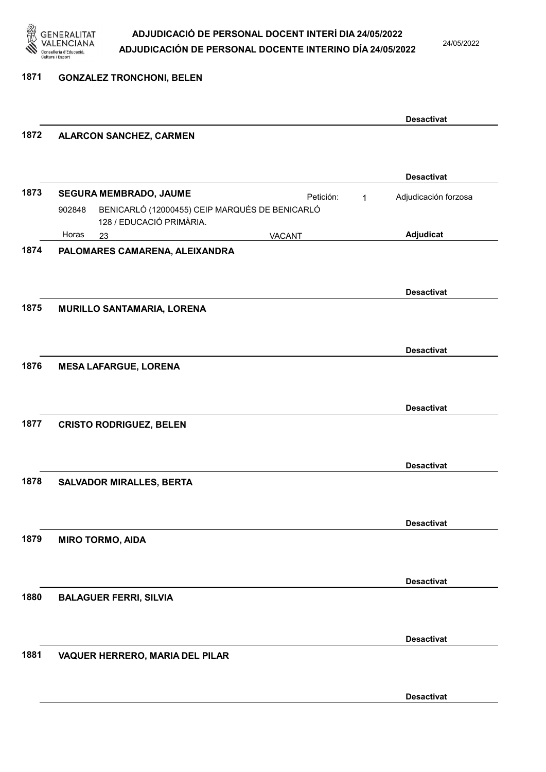

24/05/2022

1871 GONZALEZ TRONCHONI, BELEN

|      |                                                                                      |           |              | <b>Desactivat</b>    |
|------|--------------------------------------------------------------------------------------|-----------|--------------|----------------------|
| 1872 | <b>ALARCON SANCHEZ, CARMEN</b>                                                       |           |              |                      |
|      |                                                                                      |           |              | <b>Desactivat</b>    |
| 1873 | SEGURA MEMBRADO, JAUME                                                               | Petición: | $\mathbf{1}$ | Adjudicación forzosa |
|      | BENICARLÓ (12000455) CEIP MARQUÉS DE BENICARLÓ<br>902848<br>128 / EDUCACIÓ PRIMÀRIA. |           |              |                      |
|      | Horas<br>23                                                                          | VACANT    |              | Adjudicat            |
| 1874 | PALOMARES CAMARENA, ALEIXANDRA                                                       |           |              |                      |
|      |                                                                                      |           |              | <b>Desactivat</b>    |
| 1875 | <b>MURILLO SANTAMARIA, LORENA</b>                                                    |           |              |                      |
|      |                                                                                      |           |              | <b>Desactivat</b>    |
| 1876 | <b>MESA LAFARGUE, LORENA</b>                                                         |           |              |                      |
|      |                                                                                      |           |              | <b>Desactivat</b>    |
| 1877 | <b>CRISTO RODRIGUEZ, BELEN</b>                                                       |           |              |                      |
|      |                                                                                      |           |              | <b>Desactivat</b>    |
| 1878 | <b>SALVADOR MIRALLES, BERTA</b>                                                      |           |              |                      |
|      |                                                                                      |           |              | <b>Desactivat</b>    |
| 1879 | <b>MIRO TORMO, AIDA</b>                                                              |           |              |                      |
|      |                                                                                      |           |              | <b>Desactivat</b>    |
| 1880 | <b>BALAGUER FERRI, SILVIA</b>                                                        |           |              |                      |
|      |                                                                                      |           |              | <b>Desactivat</b>    |
| 1881 | VAQUER HERRERO, MARIA DEL PILAR                                                      |           |              |                      |
|      |                                                                                      |           |              | <b>Desactivat</b>    |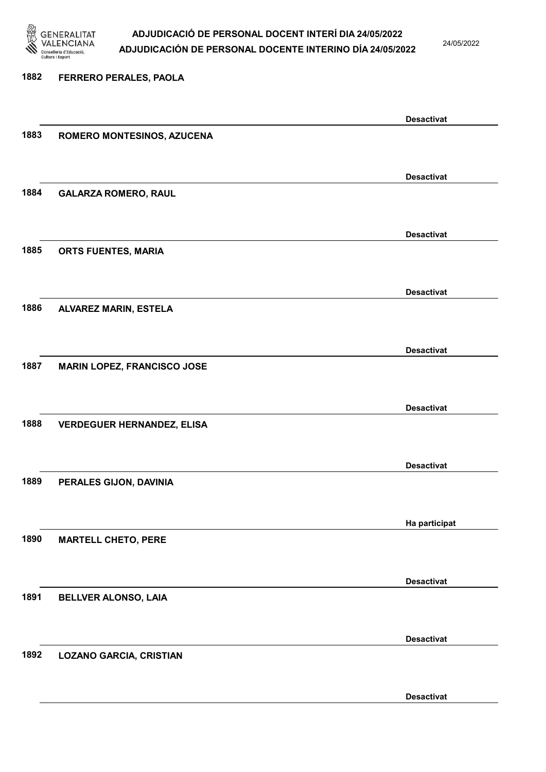

24/05/2022

Desactivat

# 1882 FERRERO PERALES, PAOLA Desactivat 1883 ROMERO MONTESINOS, AZUCENA Desactivat 1884 GALARZA ROMERO, RAUL Desactivat 1885 ORTS FUENTES, MARIA Desactivat 1886 ALVAREZ MARIN, ESTELA Desactivat 1887 MARIN LOPEZ, FRANCISCO JOSE Desactivat 1888 VERDEGUER HERNANDEZ, ELISA Desactivat 1889 PERALES GIJON, DAVINIA Ha participat 1890 MARTELL CHETO, PERE Desactivat 1891 BELLVER ALONSO, LAIA Desactivat 1892 LOZANO GARCIA, CRISTIAN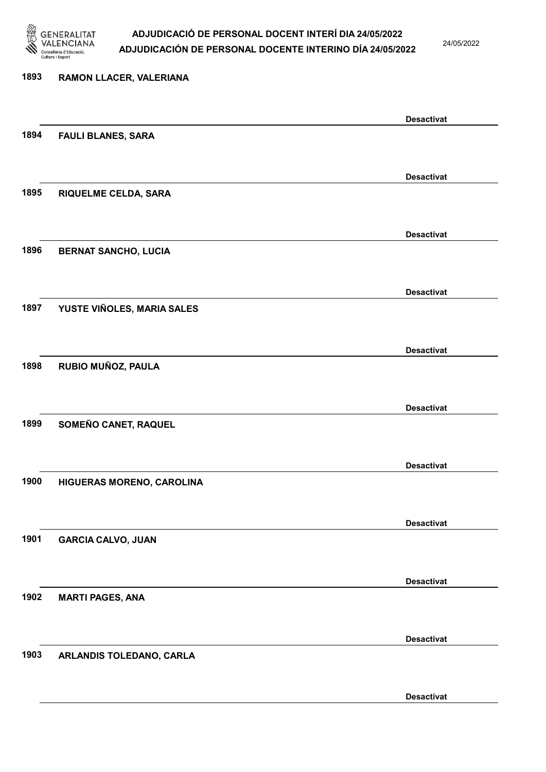

24/05/2022

Desactivat

# 1893 RAMON LLACER, VALERIANA Desactivat 1894 FAULI BLANES, SARA Desactivat 1895 RIQUELME CELDA, SARA Desactivat 1896 BERNAT SANCHO, LUCIA Desactivat 1897 YUSTE VIÑOLES, MARIA SALES Desactivat 1898 RUBIO MUÑOZ, PAULA Desactivat 1899 SOMEÑO CANET, RAQUEL Desactivat 1900 HIGUERAS MORENO, CAROLINA Desactivat 1901 GARCIA CALVO, JUAN Desactivat 1902 MARTI PAGES, ANA Desactivat 1903 ARLANDIS TOLEDANO, CARLA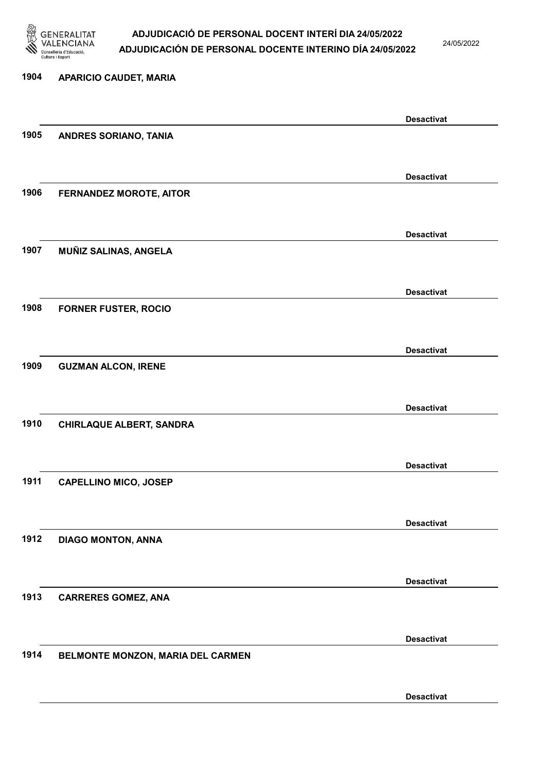

24/05/2022

## 1904 APARICIO CAUDET, MARIA Desactivat 1905 ANDRES SORIANO, TANIA Desactivat 1906 FERNANDEZ MOROTE, AITOR Desactivat 1907 MUÑIZ SALINAS, ANGELA Desactivat 1908 FORNER FUSTER, ROCIO Desactivat 1909 GUZMAN ALCON, IRENE Desactivat 1910 CHIRLAQUE ALBERT, SANDRA Desactivat 1911 CAPELLINO MICO, JOSEP Desactivat 1912 DIAGO MONTON, ANNA Desactivat 1913 CARRERES GOMEZ, ANA Desactivat 1914 BELMONTE MONZON, MARIA DEL CARMEN Desactivat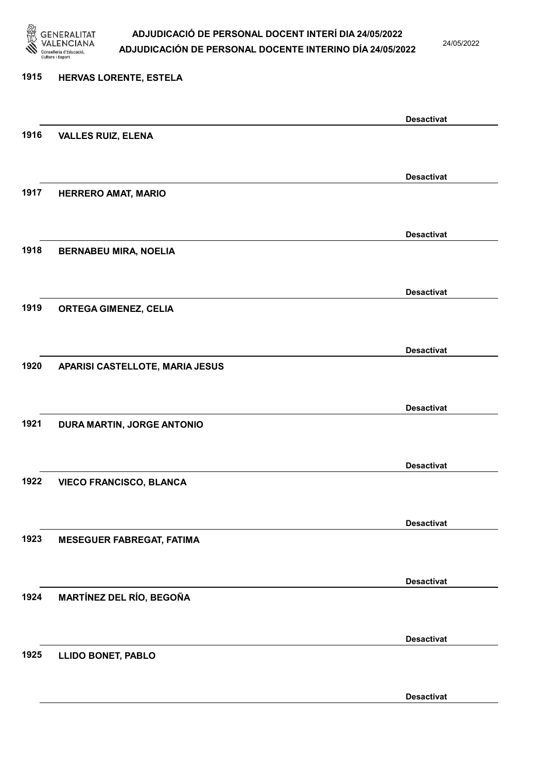

24/05/2022

#### 1915 HERVAS LORENTE, ESTELA

|      |                                  | <b>Desactivat</b> |
|------|----------------------------------|-------------------|
| 1916 | <b>VALLES RUIZ, ELENA</b>        |                   |
|      |                                  |                   |
|      |                                  | <b>Desactivat</b> |
| 1917 | <b>HERRERO AMAT, MARIO</b>       |                   |
|      |                                  |                   |
|      |                                  |                   |
|      |                                  | <b>Desactivat</b> |
| 1918 | <b>BERNABEU MIRA, NOELIA</b>     |                   |
|      |                                  |                   |
|      |                                  | <b>Desactivat</b> |
| 1919 | <b>ORTEGA GIMENEZ, CELIA</b>     |                   |
|      |                                  |                   |
|      |                                  | <b>Desactivat</b> |
| 1920 | APARISI CASTELLOTE, MARIA JESUS  |                   |
|      |                                  |                   |
|      |                                  |                   |
|      |                                  | <b>Desactivat</b> |
| 1921 | DURA MARTIN, JORGE ANTONIO       |                   |
|      |                                  |                   |
|      |                                  | <b>Desactivat</b> |
| 1922 | <b>VIECO FRANCISCO, BLANCA</b>   |                   |
|      |                                  |                   |
|      |                                  | <b>Desactivat</b> |
| 1923 | <b>MESEGUER FABREGAT, FATIMA</b> |                   |
|      |                                  |                   |
|      |                                  |                   |
| 1924 |                                  | <b>Desactivat</b> |
|      | <b>MARTÍNEZ DEL RÍO, BEGOÑA</b>  |                   |
|      |                                  |                   |
|      |                                  | <b>Desactivat</b> |
| 1925 | <b>LLIDO BONET, PABLO</b>        |                   |
|      |                                  |                   |
|      |                                  | <b>Desactivat</b> |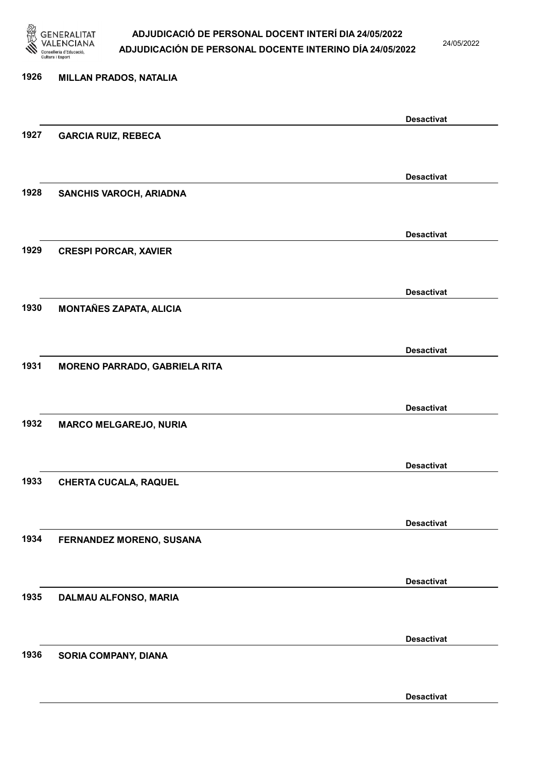

24/05/2022

Desactivat

# 1926 MILLAN PRADOS, NATALIA Desactivat 1927 GARCIA RUIZ, REBECA Desactivat 1928 SANCHIS VAROCH, ARIADNA Desactivat 1929 CRESPI PORCAR, XAVIER Desactivat 1930 MONTAÑES ZAPATA, ALICIA Desactivat 1931 MORENO PARRADO, GABRIELA RITA Desactivat 1932 MARCO MELGAREJO, NURIA Desactivat 1933 CHERTA CUCALA, RAQUEL Desactivat 1934 FERNANDEZ MORENO, SUSANA Desactivat 1935 DALMAU ALFONSO, MARIA Desactivat 1936 SORIA COMPANY, DIANA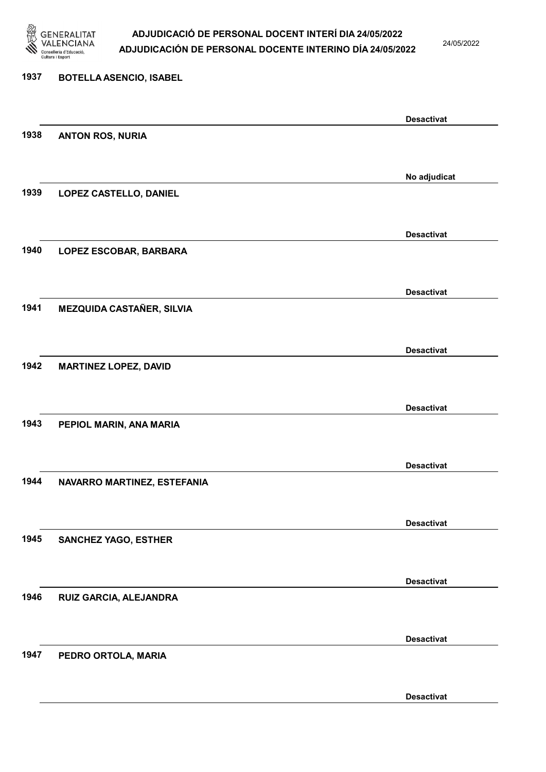

24/05/2022

#### 1937 BOTELLA ASENCIO, ISABEL

| 1938 | <b>ANTON ROS, NURIA</b>          | <b>Desactivat</b> |
|------|----------------------------------|-------------------|
|      |                                  |                   |
|      |                                  | No adjudicat      |
| 1939 | LOPEZ CASTELLO, DANIEL           |                   |
|      |                                  |                   |
|      |                                  | <b>Desactivat</b> |
| 1940 | LOPEZ ESCOBAR, BARBARA           |                   |
|      |                                  |                   |
| 1941 | <b>MEZQUIDA CASTAÑER, SILVIA</b> | <b>Desactivat</b> |
|      |                                  |                   |
|      |                                  | <b>Desactivat</b> |
| 1942 | <b>MARTINEZ LOPEZ, DAVID</b>     |                   |
|      |                                  |                   |
|      |                                  | <b>Desactivat</b> |
| 1943 | PEPIOL MARIN, ANA MARIA          |                   |
|      |                                  |                   |
| 1944 |                                  | <b>Desactivat</b> |
|      | NAVARRO MARTINEZ, ESTEFANIA      |                   |
|      |                                  | <b>Desactivat</b> |
| 1945 | <b>SANCHEZ YAGO, ESTHER</b>      |                   |
|      |                                  |                   |
|      |                                  | <b>Desactivat</b> |
| 1946 | RUIZ GARCIA, ALEJANDRA           |                   |
|      |                                  |                   |
| 1947 |                                  | <b>Desactivat</b> |
|      | PEDRO ORTOLA, MARIA              |                   |
|      |                                  | <b>Desactivat</b> |
|      |                                  |                   |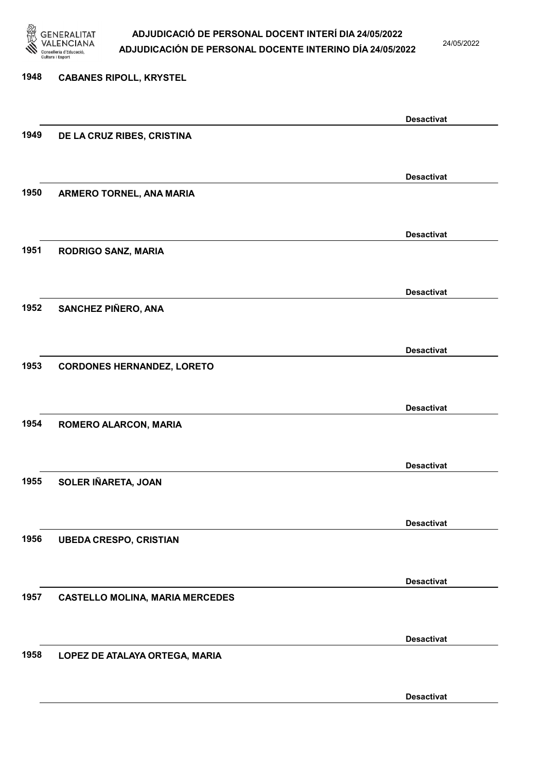

24/05/2022

Desactivat

# 1948 CABANES RIPOLL, KRYSTEL Desactivat 1949 DE LA CRUZ RIBES, CRISTINA Desactivat 1950 ARMERO TORNEL, ANA MARIA Desactivat 1951 RODRIGO SANZ, MARIA Desactivat 1952 SANCHEZ PIÑERO, ANA Desactivat 1953 CORDONES HERNANDEZ, LORETO Desactivat 1954 ROMERO ALARCON, MARIA Desactivat 1955 SOLER IÑARETA, JOAN Desactivat 1956 UBEDA CRESPO, CRISTIAN Desactivat 1957 CASTELLO MOLINA, MARIA MERCEDES Desactivat 1958 LOPEZ DE ATALAYA ORTEGA, MARIA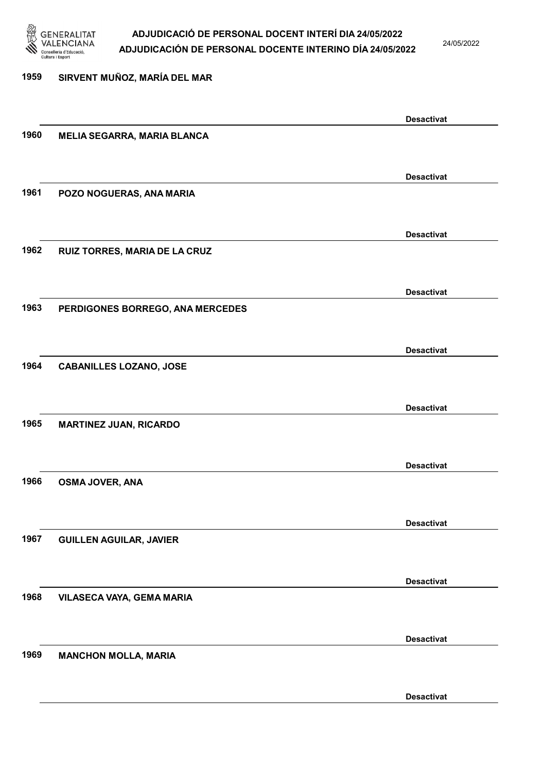

24/05/2022

## 1959 SIRVENT MUÑOZ, MARÍA DEL MAR Desactivat 1960 MELIA SEGARRA, MARIA BLANCA Desactivat 1961 POZO NOGUERAS, ANA MARIA Desactivat 1962 RUIZ TORRES, MARIA DE LA CRUZ Desactivat 1963 PERDIGONES BORREGO, ANA MERCEDES Desactivat 1964 CABANILLES LOZANO, JOSE Desactivat 1965 MARTINEZ JUAN, RICARDO Desactivat 1966 OSMA JOVER, ANA Desactivat 1967 GUILLEN AGUILAR, JAVIER Desactivat 1968 VILASECA VAYA, GEMA MARIA Desactivat 1969 MANCHON MOLLA, MARIA Desactivat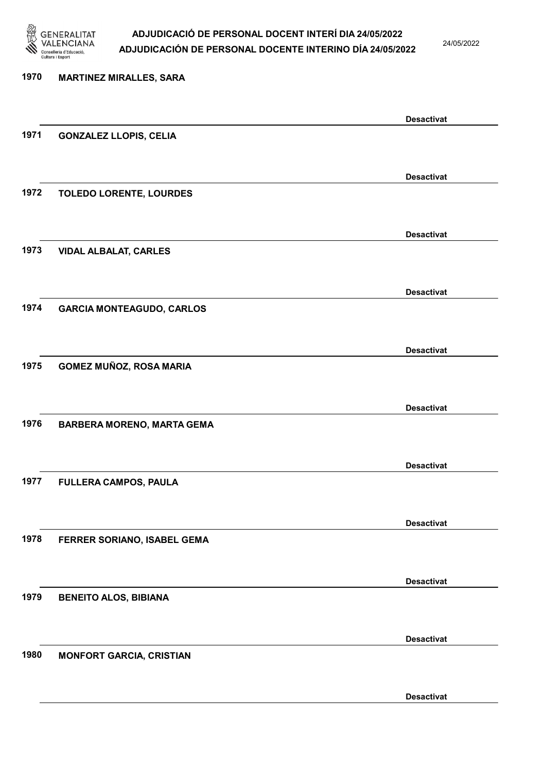

24/05/2022

Desactivat

| 1970 | <b>MARTINEZ MIRALLES, SARA</b>    |                   |
|------|-----------------------------------|-------------------|
|      |                                   |                   |
|      |                                   | <b>Desactivat</b> |
| 1971 | <b>GONZALEZ LLOPIS, CELIA</b>     |                   |
|      |                                   |                   |
|      |                                   | <b>Desactivat</b> |
| 1972 | <b>TOLEDO LORENTE, LOURDES</b>    |                   |
|      |                                   |                   |
|      |                                   |                   |
|      |                                   | <b>Desactivat</b> |
| 1973 | <b>VIDAL ALBALAT, CARLES</b>      |                   |
|      |                                   |                   |
|      |                                   | <b>Desactivat</b> |
| 1974 | <b>GARCIA MONTEAGUDO, CARLOS</b>  |                   |
|      |                                   |                   |
|      |                                   | <b>Desactivat</b> |
| 1975 | GOMEZ MUÑOZ, ROSA MARIA           |                   |
|      |                                   |                   |
|      |                                   |                   |
|      |                                   | <b>Desactivat</b> |
| 1976 | <b>BARBERA MORENO, MARTA GEMA</b> |                   |
|      |                                   |                   |
|      |                                   | <b>Desactivat</b> |
| 1977 | FULLERA CAMPOS, PAULA             |                   |
|      |                                   |                   |
|      |                                   | <b>Desactivat</b> |
| 1978 | FERRER SORIANO, ISABEL GEMA       |                   |
|      |                                   |                   |
|      |                                   |                   |
|      |                                   | <b>Desactivat</b> |
| 1979 | <b>BENEITO ALOS, BIBIANA</b>      |                   |
|      |                                   |                   |
|      |                                   | <b>Desactivat</b> |
| 1980 | <b>MONFORT GARCIA, CRISTIAN</b>   |                   |
|      |                                   |                   |
|      |                                   |                   |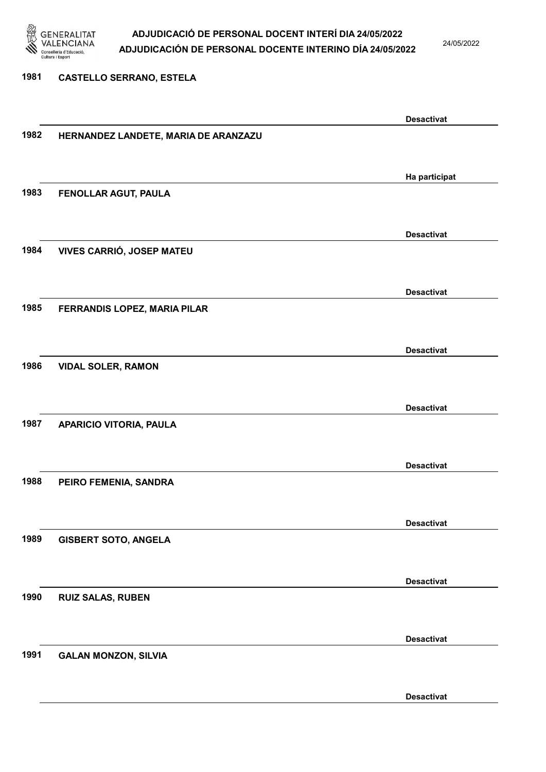

24/05/2022

#### 1981 CASTELLO SERRANO, ESTELA

|      |                                      | <b>Desactivat</b> |
|------|--------------------------------------|-------------------|
| 1982 | HERNANDEZ LANDETE, MARIA DE ARANZAZU |                   |
|      |                                      |                   |
|      |                                      |                   |
|      |                                      |                   |
|      |                                      | Ha participat     |
| 1983 | FENOLLAR AGUT, PAULA                 |                   |
|      |                                      |                   |
|      |                                      |                   |
|      |                                      | <b>Desactivat</b> |
| 1984 | VIVES CARRIÓ, JOSEP MATEU            |                   |
|      |                                      |                   |
|      |                                      |                   |
|      |                                      |                   |
|      |                                      | <b>Desactivat</b> |
| 1985 | FERRANDIS LOPEZ, MARIA PILAR         |                   |
|      |                                      |                   |
|      |                                      |                   |
|      |                                      | <b>Desactivat</b> |
|      |                                      |                   |
| 1986 | <b>VIDAL SOLER, RAMON</b>            |                   |
|      |                                      |                   |
|      |                                      |                   |
|      |                                      | <b>Desactivat</b> |
| 1987 |                                      |                   |
|      | APARICIO VITORIA, PAULA              |                   |
|      |                                      |                   |
|      |                                      |                   |
|      |                                      | <b>Desactivat</b> |
| 1988 | PEIRO FEMENIA, SANDRA                |                   |
|      |                                      |                   |
|      |                                      |                   |
|      |                                      | <b>Desactivat</b> |
|      |                                      |                   |
| 1989 | <b>GISBERT SOTO, ANGELA</b>          |                   |
|      |                                      |                   |
|      |                                      |                   |
|      |                                      | <b>Desactivat</b> |
| 1990 | <b>RUIZ SALAS, RUBEN</b>             |                   |
|      |                                      |                   |
|      |                                      |                   |
|      |                                      |                   |
|      |                                      | <b>Desactivat</b> |
| 1991 | <b>GALAN MONZON, SILVIA</b>          |                   |
|      |                                      |                   |
|      |                                      |                   |
|      |                                      | <b>Desactivat</b> |
|      |                                      |                   |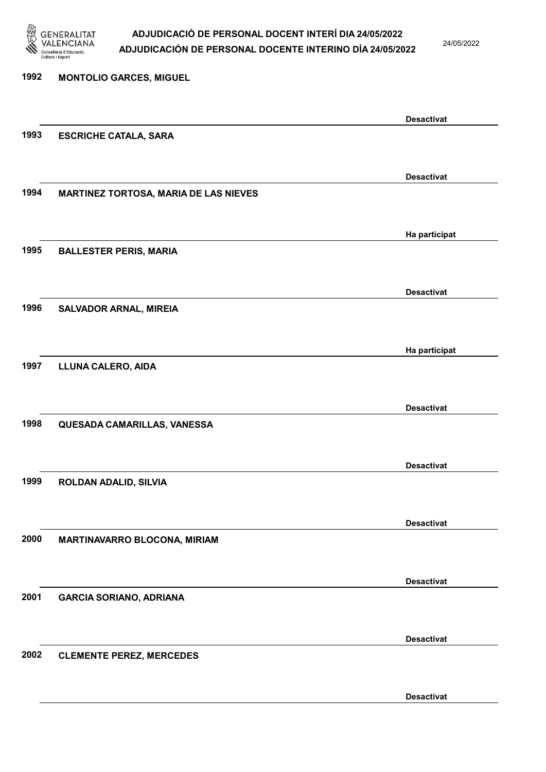

24/05/2022

Desactivat

| 1992 | <b>MONTOLIO GARCES, MIGUEL</b>               |                   |
|------|----------------------------------------------|-------------------|
|      |                                              |                   |
|      |                                              | <b>Desactivat</b> |
| 1993 | <b>ESCRICHE CATALA, SARA</b>                 |                   |
|      |                                              |                   |
|      |                                              | <b>Desactivat</b> |
| 1994 | <b>MARTINEZ TORTOSA, MARIA DE LAS NIEVES</b> |                   |
|      |                                              |                   |
|      |                                              | Ha participat     |
| 1995 | <b>BALLESTER PERIS, MARIA</b>                |                   |
|      |                                              |                   |
|      |                                              | <b>Desactivat</b> |
| 1996 | <b>SALVADOR ARNAL, MIREIA</b>                |                   |
|      |                                              |                   |
|      |                                              | Ha participat     |
| 1997 | LLUNA CALERO, AIDA                           |                   |
|      |                                              |                   |
|      |                                              | <b>Desactivat</b> |
| 1998 | QUESADA CAMARILLAS, VANESSA                  |                   |
|      |                                              |                   |
|      |                                              |                   |
|      |                                              | <b>Desactivat</b> |
| 1999 | ROLDAN ADALID, SILVIA                        |                   |
|      |                                              |                   |
|      |                                              | <b>Desactivat</b> |
| 2000 | <b>MARTINAVARRO BLOCONA, MIRIAM</b>          |                   |
|      |                                              |                   |
|      |                                              | <b>Desactivat</b> |
| 2001 | <b>GARCIA SORIANO, ADRIANA</b>               |                   |
|      |                                              |                   |
|      |                                              | <b>Desactivat</b> |
| 2002 | <b>CLEMENTE PEREZ, MERCEDES</b>              |                   |
|      |                                              |                   |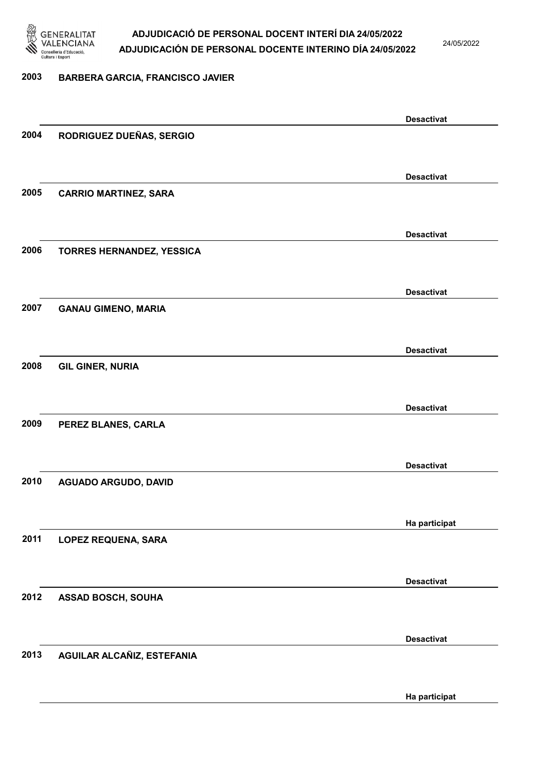

24/05/2022

#### 2003 BARBERA GARCIA, FRANCISCO JAVIER

|      |                              | <b>Desactivat</b> |
|------|------------------------------|-------------------|
| 2004 | RODRIGUEZ DUEÑAS, SERGIO     |                   |
|      |                              |                   |
|      |                              | <b>Desactivat</b> |
| 2005 | <b>CARRIO MARTINEZ, SARA</b> |                   |
|      |                              |                   |
|      |                              | <b>Desactivat</b> |
| 2006 | TORRES HERNANDEZ, YESSICA    |                   |
|      |                              |                   |
|      |                              | <b>Desactivat</b> |
| 2007 | <b>GANAU GIMENO, MARIA</b>   |                   |
|      |                              |                   |
|      |                              | <b>Desactivat</b> |
| 2008 | <b>GIL GINER, NURIA</b>      |                   |
|      |                              |                   |
|      |                              | <b>Desactivat</b> |
| 2009 | PEREZ BLANES, CARLA          |                   |
|      |                              |                   |
|      |                              | <b>Desactivat</b> |
| 2010 | <b>AGUADO ARGUDO, DAVID</b>  |                   |
|      |                              |                   |
|      |                              | Ha participat     |
| 2011 | <b>LOPEZ REQUENA, SARA</b>   |                   |
|      |                              |                   |
|      |                              | <b>Desactivat</b> |
| 2012 | <b>ASSAD BOSCH, SOUHA</b>    |                   |
|      |                              |                   |
|      |                              | <b>Desactivat</b> |
| 2013 | AGUILAR ALCAÑIZ, ESTEFANIA   |                   |
|      |                              |                   |
|      |                              | Ha participat     |
|      |                              |                   |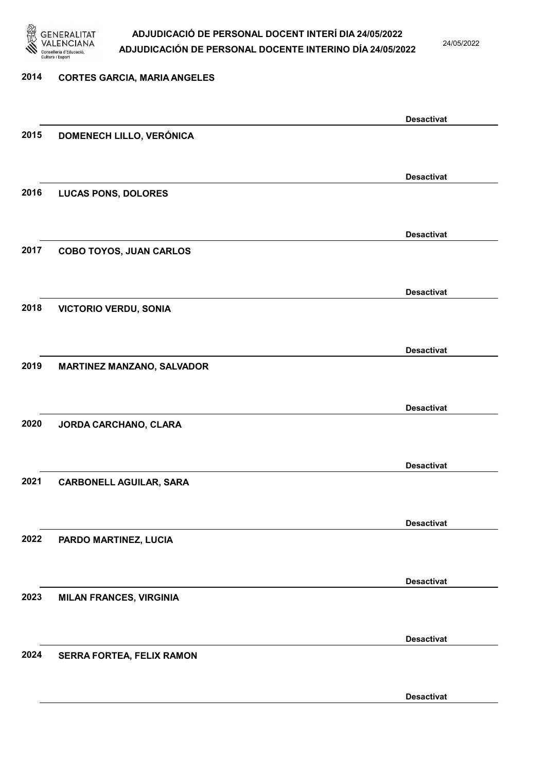

24/05/2022

#### 2014 CORTES GARCIA, MARIA ANGELES

|      |                                   | <b>Desactivat</b> |
|------|-----------------------------------|-------------------|
| 2015 | DOMENECH LILLO, VERÓNICA          |                   |
|      |                                   |                   |
|      |                                   | <b>Desactivat</b> |
| 2016 | <b>LUCAS PONS, DOLORES</b>        |                   |
|      |                                   |                   |
|      |                                   |                   |
|      |                                   | <b>Desactivat</b> |
| 2017 | <b>COBO TOYOS, JUAN CARLOS</b>    |                   |
|      |                                   |                   |
|      |                                   | <b>Desactivat</b> |
| 2018 | <b>VICTORIO VERDU, SONIA</b>      |                   |
|      |                                   |                   |
|      |                                   | <b>Desactivat</b> |
| 2019 | <b>MARTINEZ MANZANO, SALVADOR</b> |                   |
|      |                                   |                   |
|      |                                   | <b>Desactivat</b> |
| 2020 | JORDA CARCHANO, CLARA             |                   |
|      |                                   |                   |
|      |                                   |                   |
| 2021 |                                   | <b>Desactivat</b> |
|      | <b>CARBONELL AGUILAR, SARA</b>    |                   |
|      |                                   |                   |
|      |                                   | <b>Desactivat</b> |
| 2022 | PARDO MARTINEZ, LUCIA             |                   |
|      |                                   |                   |
|      |                                   | <b>Desactivat</b> |
| 2023 | <b>MILAN FRANCES, VIRGINIA</b>    |                   |
|      |                                   |                   |
|      |                                   | <b>Desactivat</b> |
| 2024 | <b>SERRA FORTEA, FELIX RAMON</b>  |                   |
|      |                                   |                   |
|      |                                   |                   |
|      |                                   | <b>Desactivat</b> |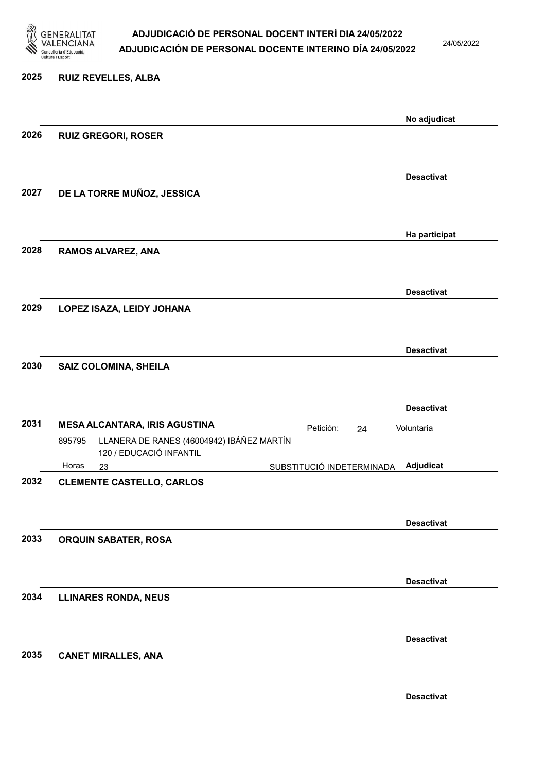

### ADJUDICACIÓ DE PERSONAL DOCENT INTERÍ DIA 24/05/2022

 $2^{12}$ 

# 2026 RUIZ G 2027 DE LA TORRE MUÑOZ, JESSICA

2028 RAMOS ALVAREZ, ANA

2029 LOPEZ ISAZA, LEIDY JOHANA

2030 SAIZ COLOMINA, SHEILA

|      |        |                                                                      |                           |    | <b>Desactivat</b> |
|------|--------|----------------------------------------------------------------------|---------------------------|----|-------------------|
| 2031 |        | <b>MESA ALCANTARA, IRIS AGUSTINA</b>                                 | Petición:                 | 24 | Voluntaria        |
|      | 895795 | LLANERA DE RANES (46004942) IBÁÑEZ MARTÍN<br>120 / EDUCACIÓ INFANTIL |                           |    |                   |
|      | Horas  | 23                                                                   | SUBSTITUCIÓ INDETERMINADA |    | Adjudicat         |
| 2032 |        | <b>CLEMENTE CASTELLO, CARLOS</b>                                     |                           |    |                   |
|      |        |                                                                      |                           |    | <b>Desactivat</b> |
| 2033 |        | <b>ORQUIN SABATER, ROSA</b>                                          |                           |    |                   |
|      |        |                                                                      |                           |    | <b>Desactivat</b> |
| 2034 |        | <b>LLINARES RONDA, NEUS</b>                                          |                           |    |                   |
|      |        |                                                                      |                           |    | <b>Desactivat</b> |
| 2035 |        | <b>CANET MIRALLES, ANA</b>                                           |                           |    |                   |

| 1.   | <b>VALENCIANA</b><br>Conselleria d'Educació,<br>Cultura i Esport | ADJUDICACIÓN DE PERSONAL DOCENTE INTERINO DÍA 24/05/2022 | 24/05/202    |
|------|------------------------------------------------------------------|----------------------------------------------------------|--------------|
| 2025 | <b>RUIZ REVELLES, ALBA</b>                                       |                                                          |              |
| 2026 |                                                                  | <b>RUIZ GREGORI, ROSER</b>                               | No adjudicat |
|      |                                                                  |                                                          |              |

Desactivat

Ha participat

Desactivat

Desactivat

Desactivat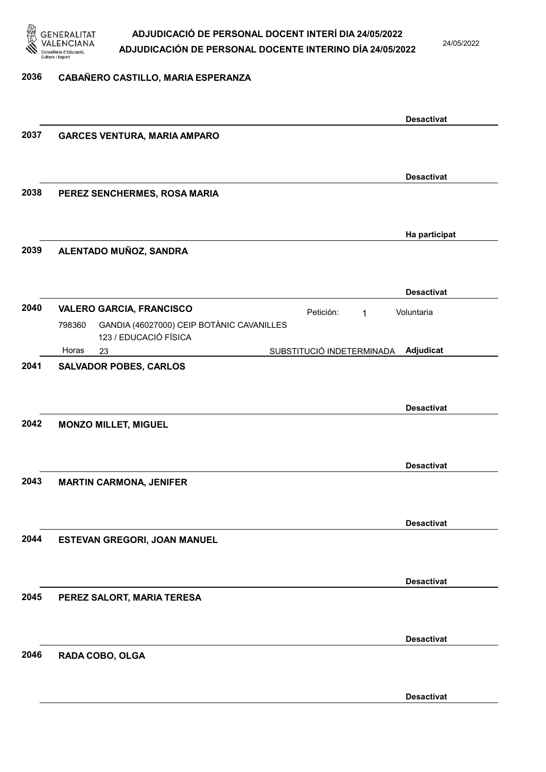

24/05/2022

#### 2036 CABAÑERO CASTILLO, MARIA ESPERANZA

|      |                                                     | <b>Desactivat</b> |
|------|-----------------------------------------------------|-------------------|
| 2037 | <b>GARCES VENTURA, MARIA AMPARO</b>                 |                   |
|      |                                                     |                   |
|      |                                                     | <b>Desactivat</b> |
| 2038 | PEREZ SENCHERMES, ROSA MARIA                        |                   |
|      |                                                     |                   |
|      |                                                     |                   |
|      |                                                     | Ha participat     |
| 2039 | ALENTADO MUÑOZ, SANDRA                              |                   |
|      |                                                     |                   |
|      |                                                     | <b>Desactivat</b> |
| 2040 | <b>VALERO GARCIA, FRANCISCO</b><br>Petición:<br>1   | Voluntaria        |
|      | GANDIA (46027000) CEIP BOTÀNIC CAVANILLES<br>798360 |                   |
|      | 123 / EDUCACIÓ FÍSICA                               |                   |
| 2041 | Horas<br>SUBSTITUCIÓ INDETERMINADA<br>23            | Adjudicat         |
|      | <b>SALVADOR POBES, CARLOS</b>                       |                   |
|      |                                                     |                   |
|      |                                                     | <b>Desactivat</b> |
| 2042 | <b>MONZO MILLET, MIGUEL</b>                         |                   |
|      |                                                     |                   |
|      |                                                     | <b>Desactivat</b> |
| 2043 | <b>MARTIN CARMONA, JENIFER</b>                      |                   |
|      |                                                     |                   |
|      |                                                     |                   |
|      |                                                     | <b>Desactivat</b> |
| 2044 | ESTEVAN GREGORI, JOAN MANUEL                        |                   |
|      |                                                     |                   |
|      |                                                     | <b>Desactivat</b> |
| 2045 | PEREZ SALORT, MARIA TERESA                          |                   |
|      |                                                     |                   |
|      |                                                     | <b>Desactivat</b> |
| 2046 | RADA COBO, OLGA                                     |                   |
|      |                                                     |                   |
|      |                                                     |                   |
|      |                                                     | <b>Desactivat</b> |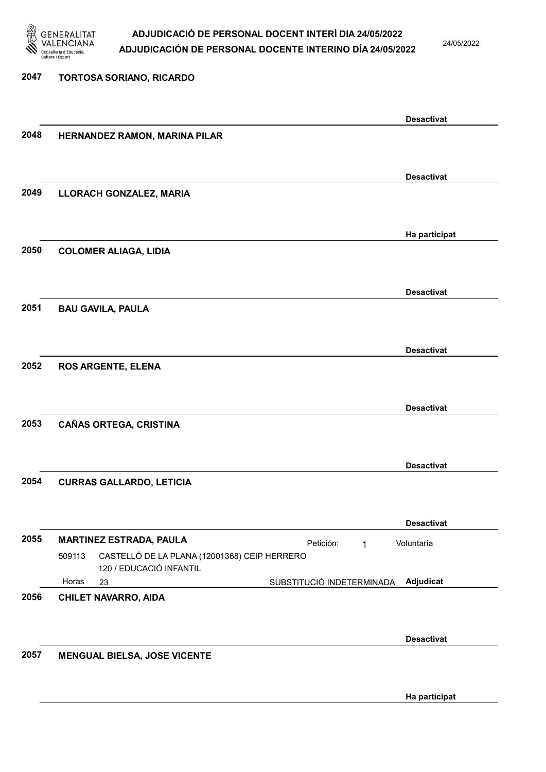

2047 TORTOSA SORIANO, RICARDO

#### ADJUDICACIÓ DE PERSONAL DOCENT INTERÍ DIA 24/05/2022 ADJUDICACIÓN DE PERSONAL DOCENTE INTERINO DÍA 24/05/2022

24/05/2022

### Desactivat 2048 HERNANDEZ RAMON, MARINA PILAR Desactivat 2049 LLORACH GONZALEZ, MARIA Ha participat 2050 COLOMER ALIAGA, LIDIA Desactivat 2051 BAU GAVILA, PAULA Desactivat 2052 ROS ARGENTE, ELENA Desactivat 2053 CAÑAS ORTEGA, CRISTINA Desactivat 2054 CURRAS GALLARDO, LETICIA Desactivat 2055 MARTINEZ ESTRADA, PAULA **El proportante en la partición:** 1 23 SUBSTITUCIÓ INDETERMINADA CASTELLÓ DE LA PLANA (12001368) CEIP HERRERO 120 / EDUCACIÓ INFANTIL Adjudicat Voluntaria 509113 Horas 2056 CHILET NAVARRO, AIDA Desactivat 2057 MENGUAL BIELSA, JOSE VICENTE

Ha participat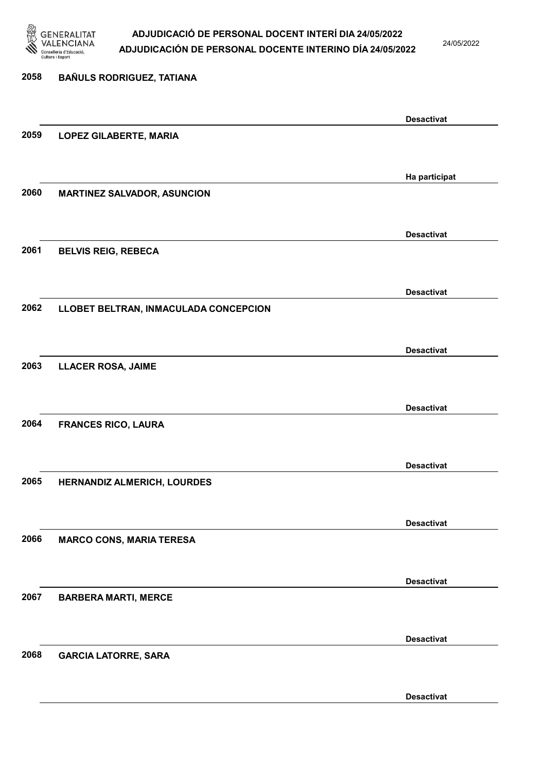

24/05/2022

Desactivat

### 2058 BAÑULS RODRIGUEZ, TATIANA Desactivat 2059 LOPEZ GILABERTE, MARIA Ha participat 2060 MARTINEZ SALVADOR, ASUNCION Desactivat 2061 BELVIS REIG, REBECA Desactivat 2062 LLOBET BELTRAN, INMACULADA CONCEPCION Desactivat 2063 LLACER ROSA, JAIME Desactivat 2064 FRANCES RICO, LAURA Desactivat 2065 HERNANDIZ ALMERICH, LOURDES Desactivat 2066 MARCO CONS, MARIA TERESA Desactivat 2067 BARBERA MARTI, MERCE Desactivat 2068 GARCIA LATORRE, SARA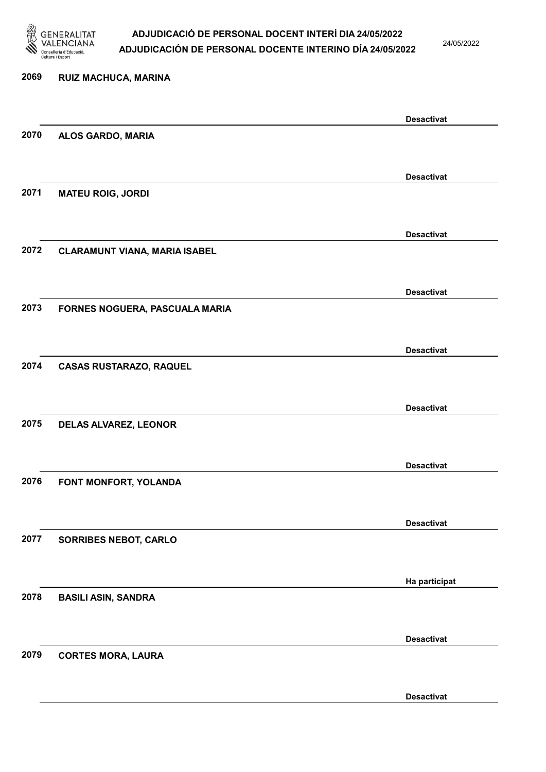

24/05/2022

Desactivat

### 2069 RUIZ MACHUCA, MARINA Desactivat 2070 ALOS GARDO, MARIA Desactivat 2071 MATEU ROIG, JORDI Desactivat 2072 CLARAMUNT VIANA, MARIA ISABEL Desactivat 2073 FORNES NOGUERA, PASCUALA MARIA Desactivat 2074 CASAS RUSTARAZO, RAQUEL Desactivat 2075 DELAS ALVAREZ, LEONOR Desactivat 2076 FONT MONFORT, YOLANDA Desactivat 2077 SORRIBES NEBOT, CARLO Ha participat 2078 BASILI ASIN, SANDRA Desactivat 2079 CORTES MORA, LAURA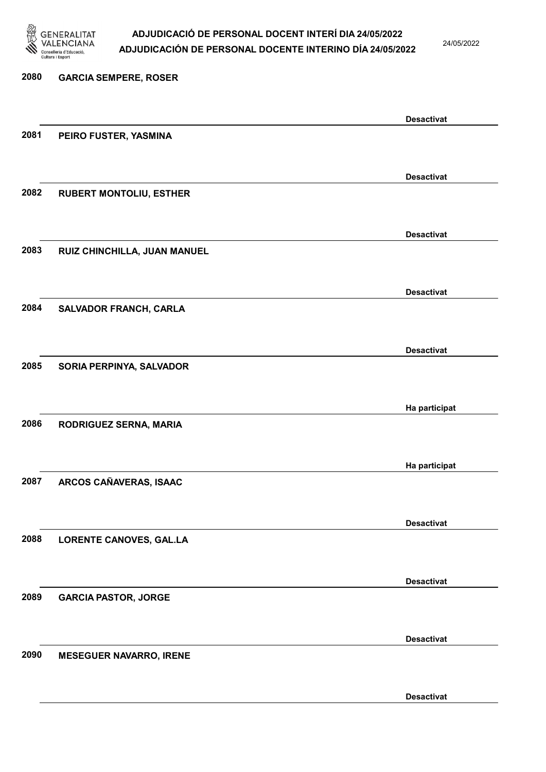

24/05/2022

Desactivat

### 2080 GARCIA SEMPERE, ROSER Desactivat 2081 PEIRO FUSTER, YASMINA Desactivat 2082 RUBERT MONTOLIU, ESTHER Desactivat 2083 RUIZ CHINCHILLA, JUAN MANUEL Desactivat 2084 SALVADOR FRANCH, CARLA Desactivat 2085 SORIA PERPINYA, SALVADOR Ha participat 2086 RODRIGUEZ SERNA, MARIA Ha participat 2087 ARCOS CAÑAVERAS, ISAAC Desactivat 2088 LORENTE CANOVES, GAL.LA Desactivat 2089 GARCIA PASTOR, JORGE Desactivat 2090 MESEGUER NAVARRO, IRENE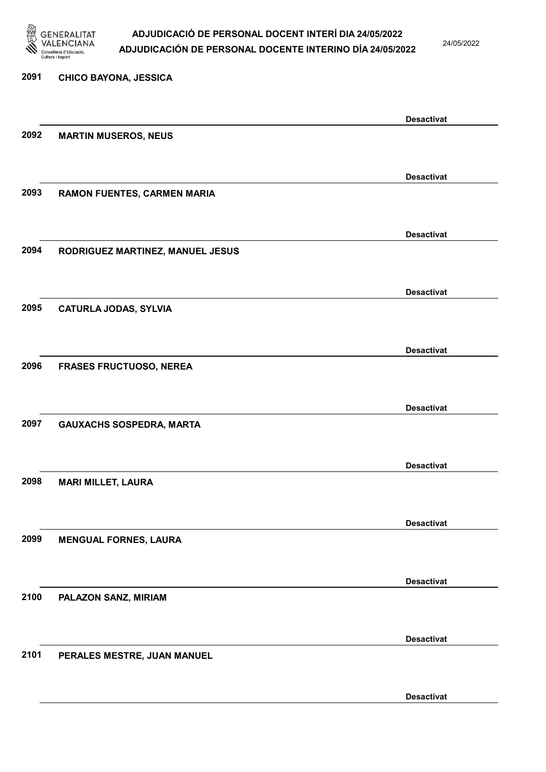

24/05/2022

Desactivat

### 2091 CHICO BAYONA, JESSICA Desactivat 2092 MARTIN MUSEROS, NEUS Desactivat 2093 RAMON FUENTES, CARMEN MARIA Desactivat 2094 RODRIGUEZ MARTINEZ, MANUEL JESUS Desactivat 2095 CATURLA JODAS, SYLVIA Desactivat 2096 FRASES FRUCTUOSO, NEREA Desactivat 2097 GAUXACHS SOSPEDRA, MARTA Desactivat 2098 MARI MILLET, LAURA Desactivat 2099 MENGUAL FORNES, LAURA Desactivat 2100 PALAZON SANZ, MIRIAM Desactivat 2101 PERALES MESTRE, JUAN MANUEL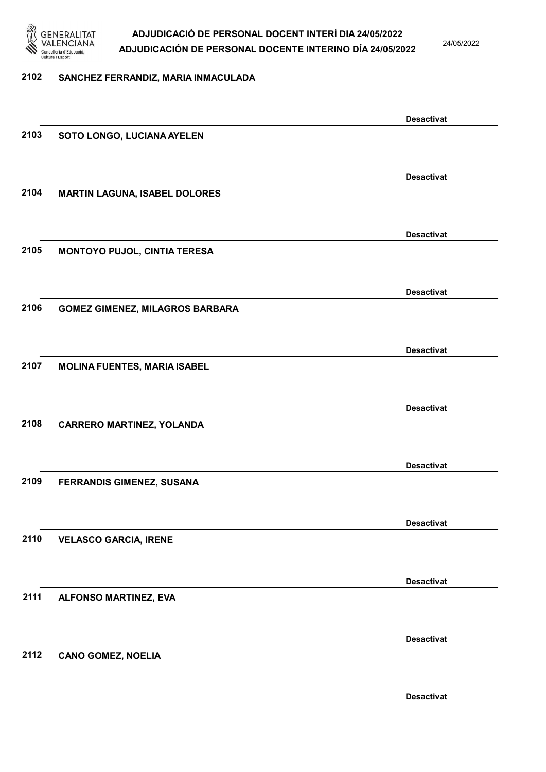

24/05/2022

#### 2102 SANCHEZ FERRANDIZ, MARIA INMACULADA

|      |                                        | <b>Desactivat</b> |
|------|----------------------------------------|-------------------|
| 2103 | SOTO LONGO, LUCIANA AYELEN             |                   |
|      |                                        |                   |
|      |                                        | <b>Desactivat</b> |
| 2104 | <b>MARTIN LAGUNA, ISABEL DOLORES</b>   |                   |
|      |                                        |                   |
|      |                                        |                   |
|      |                                        | <b>Desactivat</b> |
| 2105 | MONTOYO PUJOL, CINTIA TERESA           |                   |
|      |                                        |                   |
|      |                                        | <b>Desactivat</b> |
| 2106 | <b>GOMEZ GIMENEZ, MILAGROS BARBARA</b> |                   |
|      |                                        |                   |
|      |                                        | <b>Desactivat</b> |
| 2107 | <b>MOLINA FUENTES, MARIA ISABEL</b>    |                   |
|      |                                        |                   |
|      |                                        | <b>Desactivat</b> |
| 2108 | <b>CARRERO MARTINEZ, YOLANDA</b>       |                   |
|      |                                        |                   |
|      |                                        |                   |
|      |                                        | <b>Desactivat</b> |
| 2109 | FERRANDIS GIMENEZ, SUSANA              |                   |
|      |                                        |                   |
|      |                                        | <b>Desactivat</b> |
| 2110 | <b>VELASCO GARCIA, IRENE</b>           |                   |
|      |                                        |                   |
|      |                                        | <b>Desactivat</b> |
| 2111 | ALFONSO MARTINEZ, EVA                  |                   |
|      |                                        |                   |
|      |                                        |                   |
| 2112 |                                        | <b>Desactivat</b> |
|      | <b>CANO GOMEZ, NOELIA</b>              |                   |
|      |                                        |                   |
|      |                                        | <b>Desactivat</b> |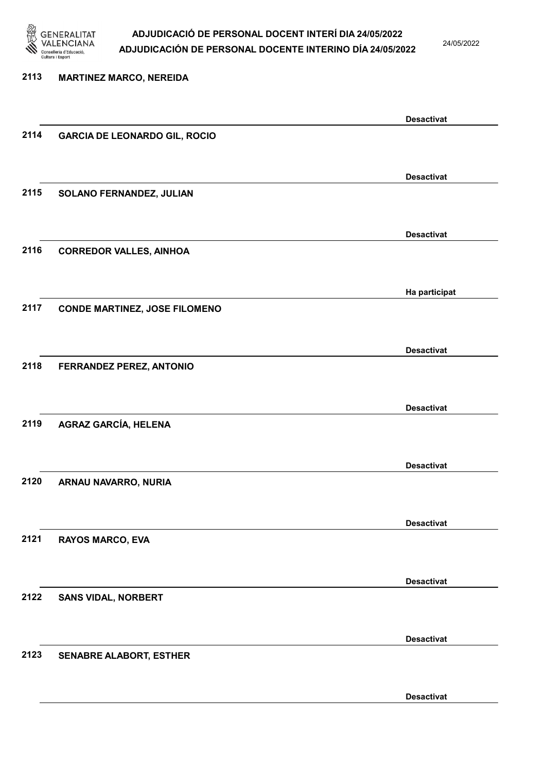

24/05/2022

Desactivat

### 2113 MARTINEZ MARCO, NEREIDA Desactivat 2114 GARCIA DE LEONARDO GIL, ROCIO Desactivat 2115 SOLANO FERNANDEZ, JULIAN Desactivat 2116 CORREDOR VALLES, AINHOA Ha participat 2117 CONDE MARTINEZ, JOSE FILOMENO Desactivat 2118 FERRANDEZ PEREZ, ANTONIO Desactivat 2119 AGRAZ GARCÍA, HELENA Desactivat 2120 ARNAU NAVARRO, NURIA Desactivat 2121 RAYOS MARCO, EVA Desactivat 2122 SANS VIDAL, NORBERT Desactivat 2123 SENABRE ALABORT, ESTHER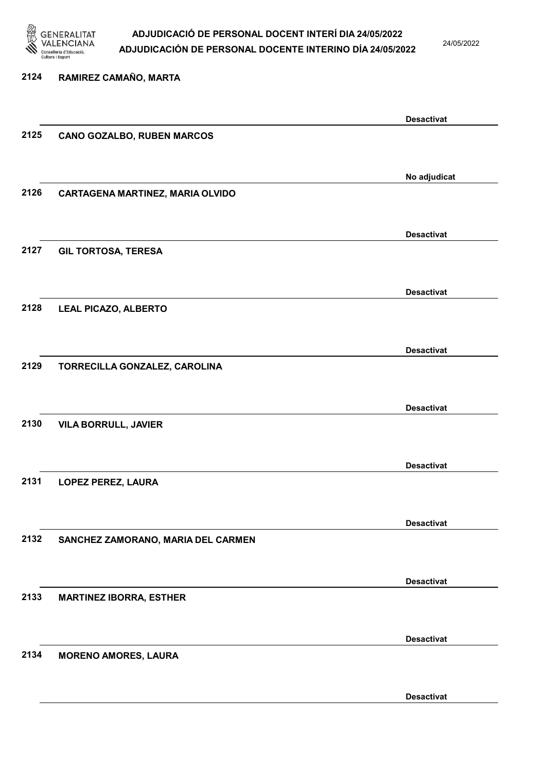

24/05/2022

#### 2124 RAMIREZ CAMAÑO, MARTA

|      |                                         | <b>Desactivat</b> |
|------|-----------------------------------------|-------------------|
| 2125 | <b>CANO GOZALBO, RUBEN MARCOS</b>       |                   |
|      |                                         |                   |
|      |                                         |                   |
|      |                                         | No adjudicat      |
| 2126 | <b>CARTAGENA MARTINEZ, MARIA OLVIDO</b> |                   |
|      |                                         |                   |
|      |                                         |                   |
|      |                                         | <b>Desactivat</b> |
| 2127 | <b>GIL TORTOSA, TERESA</b>              |                   |
|      |                                         |                   |
|      |                                         |                   |
|      |                                         | <b>Desactivat</b> |
| 2128 | <b>LEAL PICAZO, ALBERTO</b>             |                   |
|      |                                         |                   |
|      |                                         | <b>Desactivat</b> |
| 2129 | TORRECILLA GONZALEZ, CAROLINA           |                   |
|      |                                         |                   |
|      |                                         |                   |
|      |                                         | <b>Desactivat</b> |
| 2130 | <b>VILA BORRULL, JAVIER</b>             |                   |
|      |                                         |                   |
|      |                                         |                   |
|      |                                         | <b>Desactivat</b> |
| 2131 | LOPEZ PEREZ, LAURA                      |                   |
|      |                                         |                   |
|      |                                         |                   |
|      |                                         | <b>Desactivat</b> |
| 2132 | SANCHEZ ZAMORANO, MARIA DEL CARMEN      |                   |
|      |                                         |                   |
|      |                                         |                   |
|      |                                         | <b>Desactivat</b> |
| 2133 | <b>MARTINEZ IBORRA, ESTHER</b>          |                   |
|      |                                         |                   |
|      |                                         | <b>Desactivat</b> |
| 2134 |                                         |                   |
|      | <b>MORENO AMORES, LAURA</b>             |                   |
|      |                                         |                   |
|      |                                         | <b>Desactivat</b> |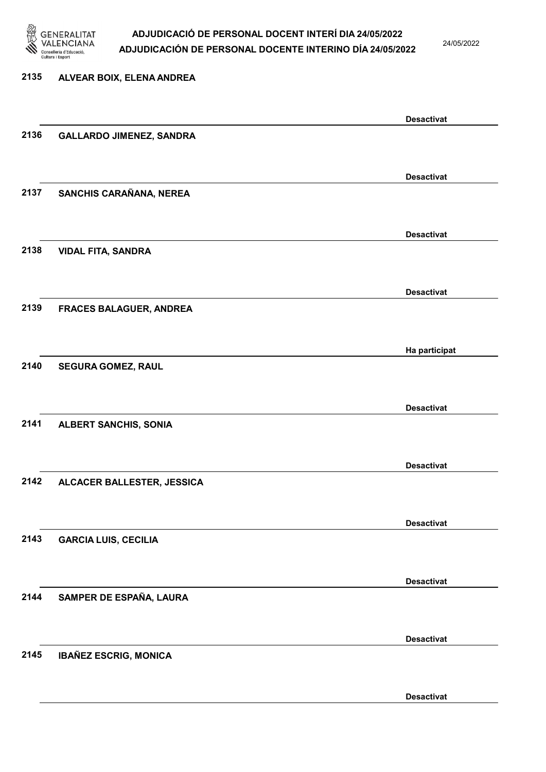

24/05/2022

Desactivat

### 2135 ALVEAR BOIX, ELENA ANDREA Desactivat 2136 GALLARDO JIMENEZ, SANDRA Desactivat 2137 SANCHIS CARAÑANA, NEREA Desactivat 2138 VIDAL FITA, SANDRA Desactivat 2139 FRACES BALAGUER, ANDREA Ha participat 2140 SEGURA GOMEZ, RAUL Desactivat 2141 ALBERT SANCHIS, SONIA Desactivat 2142 ALCACER BALLESTER, JESSICA Desactivat 2143 GARCIA LUIS, CECILIA Desactivat 2144 SAMPER DE ESPAÑA, LAURA Desactivat 2145 IBAÑEZ ESCRIG, MONICA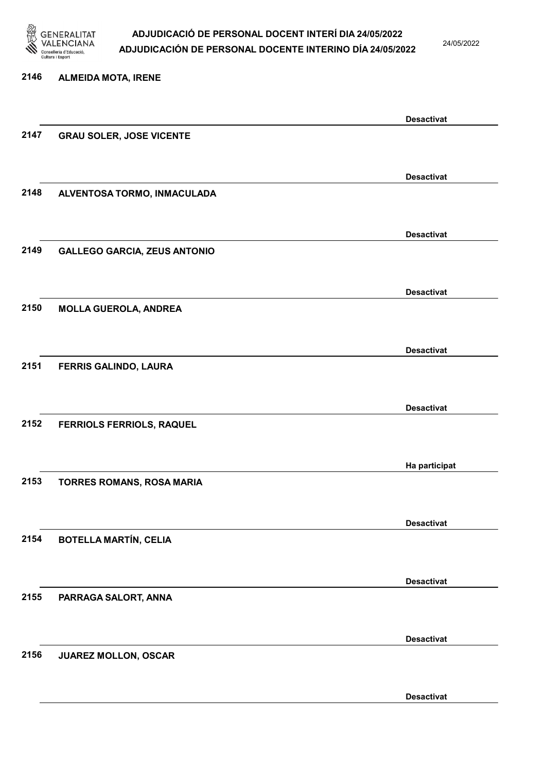

24/05/2022

Desactivat

### 2146 ALMEIDA MOTA, IRENE Desactivat 2147 GRAU SOLER, JOSE VICENTE Desactivat 2148 ALVENTOSA TORMO, INMACULADA Desactivat 2149 GALLEGO GARCIA, ZEUS ANTONIO Desactivat 2150 MOLLA GUEROLA, ANDREA Desactivat 2151 FERRIS GALINDO, LAURA Desactivat 2152 FERRIOLS FERRIOLS, RAQUEL Ha participat 2153 TORRES ROMANS, ROSA MARIA Desactivat 2154 BOTELLA MARTÍN, CELIA Desactivat 2155 PARRAGA SALORT, ANNA Desactivat 2156 JUAREZ MOLLON, OSCAR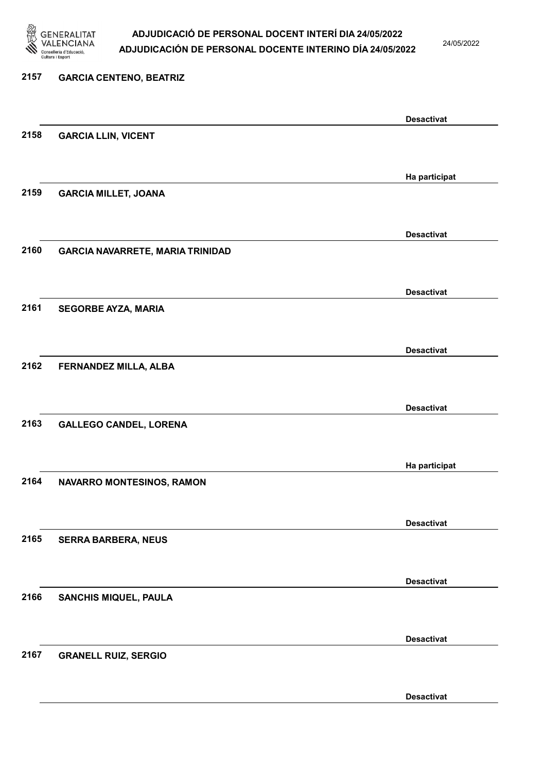

24/05/2022

Desactivat

### 2157 GARCIA CENTENO, BEATRIZ Desactivat 2158 GARCIA LLIN, VICENT Ha participat 2159 GARCIA MILLET, JOANA Desactivat 2160 GARCIA NAVARRETE, MARIA TRINIDAD Desactivat 2161 SEGORBE AYZA, MARIA Desactivat 2162 FERNANDEZ MILLA, ALBA Desactivat 2163 GALLEGO CANDEL, LORENA Ha participat 2164 NAVARRO MONTESINOS, RAMON Desactivat 2165 SERRA BARBERA, NEUS Desactivat 2166 SANCHIS MIQUEL, PAULA Desactivat 2167 GRANELL RUIZ, SERGIO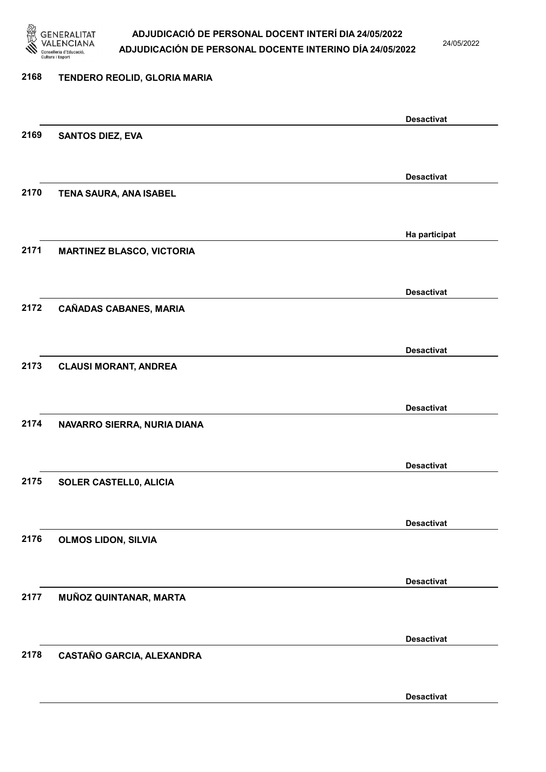

24/05/2022

#### 2168 TENDERO REOLID, GLORIA MARIA

|      |                                  | <b>Desactivat</b> |
|------|----------------------------------|-------------------|
| 2169 | <b>SANTOS DIEZ, EVA</b>          |                   |
|      |                                  |                   |
|      |                                  | <b>Desactivat</b> |
| 2170 | TENA SAURA, ANA ISABEL           |                   |
|      |                                  |                   |
|      |                                  |                   |
|      |                                  | Ha participat     |
| 2171 | <b>MARTINEZ BLASCO, VICTORIA</b> |                   |
|      |                                  |                   |
|      |                                  | <b>Desactivat</b> |
| 2172 | <b>CAÑADAS CABANES, MARIA</b>    |                   |
|      |                                  |                   |
|      |                                  | <b>Desactivat</b> |
| 2173 | <b>CLAUSI MORANT, ANDREA</b>     |                   |
|      |                                  |                   |
|      |                                  |                   |
|      |                                  | <b>Desactivat</b> |
| 2174 | NAVARRO SIERRA, NURIA DIANA      |                   |
|      |                                  |                   |
|      |                                  | <b>Desactivat</b> |
| 2175 | SOLER CASTELL0, ALICIA           |                   |
|      |                                  |                   |
|      |                                  | <b>Desactivat</b> |
| 2176 | <b>OLMOS LIDON, SILVIA</b>       |                   |
|      |                                  |                   |
|      |                                  |                   |
| 2177 |                                  | <b>Desactivat</b> |
|      | MUÑOZ QUINTANAR, MARTA           |                   |
|      |                                  |                   |
|      |                                  | <b>Desactivat</b> |
| 2178 | CASTAÑO GARCIA, ALEXANDRA        |                   |
|      |                                  |                   |
|      |                                  | <b>Desactivat</b> |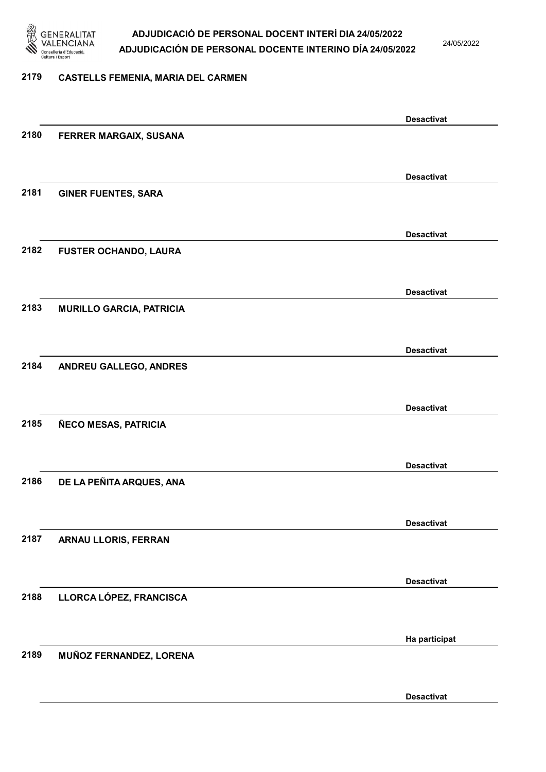

24/05/2022

#### 2179 CASTELLS FEMENIA, MARIA DEL CARMEN

|      |                                 | <b>Desactivat</b> |
|------|---------------------------------|-------------------|
| 2180 | FERRER MARGAIX, SUSANA          |                   |
|      |                                 |                   |
|      |                                 | <b>Desactivat</b> |
| 2181 | <b>GINER FUENTES, SARA</b>      |                   |
|      |                                 |                   |
|      |                                 |                   |
|      |                                 | <b>Desactivat</b> |
| 2182 | <b>FUSTER OCHANDO, LAURA</b>    |                   |
|      |                                 |                   |
|      |                                 | <b>Desactivat</b> |
| 2183 | <b>MURILLO GARCIA, PATRICIA</b> |                   |
|      |                                 |                   |
|      |                                 |                   |
| 2184 |                                 | <b>Desactivat</b> |
|      | ANDREU GALLEGO, ANDRES          |                   |
|      |                                 |                   |
|      |                                 | <b>Desactivat</b> |
| 2185 | ÑECO MESAS, PATRICIA            |                   |
|      |                                 |                   |
|      |                                 | <b>Desactivat</b> |
| 2186 | DE LA PEÑITA ARQUES, ANA        |                   |
|      |                                 |                   |
|      |                                 |                   |
|      |                                 | <b>Desactivat</b> |
| 2187 | ARNAU LLORIS, FERRAN            |                   |
|      |                                 |                   |
|      |                                 | <b>Desactivat</b> |
| 2188 | LLORCA LÓPEZ, FRANCISCA         |                   |
|      |                                 |                   |
|      |                                 | Ha participat     |
| 2189 | MUÑOZ FERNANDEZ, LORENA         |                   |
|      |                                 |                   |
|      |                                 |                   |
|      |                                 | <b>Desactivat</b> |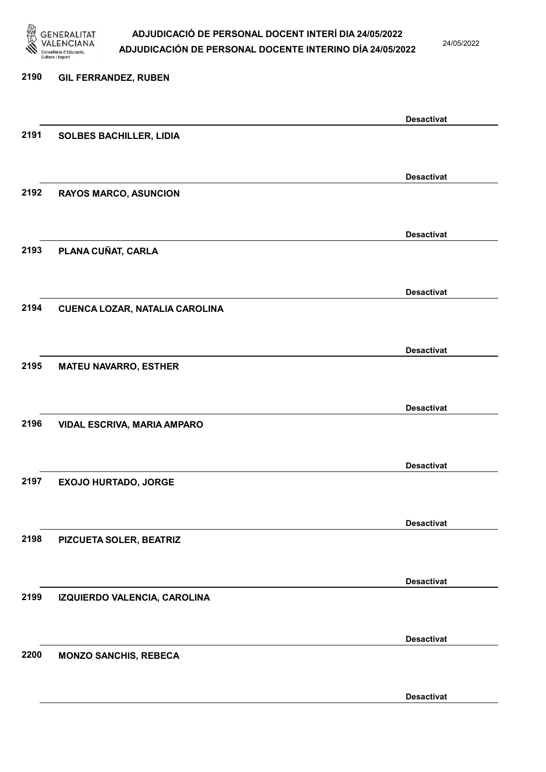

24/05/2022

Desactivat

### 2190 GIL FERRANDEZ, RUBEN Desactivat 2191 SOLBES BACHILLER, LIDIA Desactivat 2192 RAYOS MARCO, ASUNCION Desactivat 2193 PLANA CUÑAT, CARLA Desactivat 2194 CUENCA LOZAR, NATALIA CAROLINA Desactivat 2195 MATEU NAVARRO, ESTHER Desactivat 2196 VIDAL ESCRIVA, MARIA AMPARO Desactivat 2197 EXOJO HURTADO, JORGE Desactivat 2198 PIZCUETA SOLER, BEATRIZ Desactivat 2199 IZQUIERDO VALENCIA, CAROLINA Desactivat 2200 MONZO SANCHIS, REBECA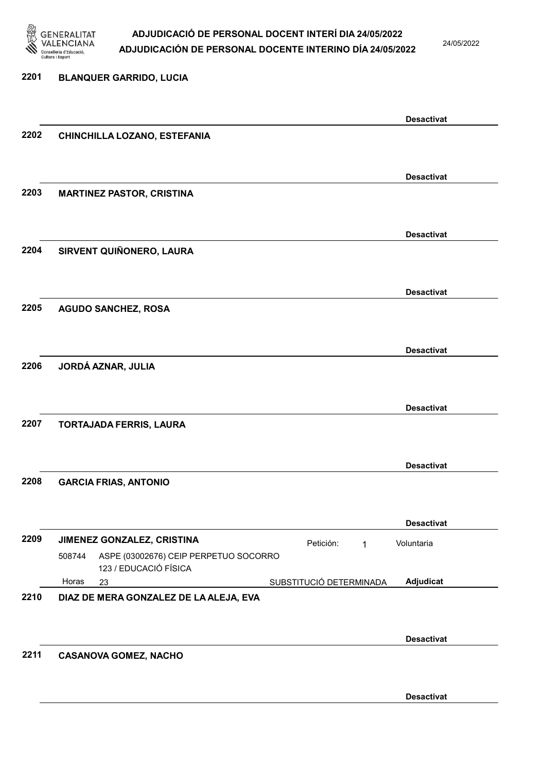

24/05/2022

### 2201 BLANQUER GARRIDO, LUCIA Desactivat 2202 CHINCHILLA LOZANO, ESTEFANIA Desactivat 2203 MARTINEZ PASTOR, CRISTINA Desactivat 2204 SIRVENT QUIÑONERO, LAURA Desactivat 2205 AGUDO SANCHEZ, ROSA Desactivat 2206 JORDÁ AZNAR, JULIA Desactivat 2207 TORTAJADA FERRIS, LAURA Desactivat 2208 GARCIA FRIAS, ANTONIO Desactivat 2209 JIMENEZ GONZALEZ, CRISTINA **Petición:** 1 23 SUBSTITUCIÓ DETERMINADA ASPE (03002676) CEIP PERPETUO SOCORRO 123 / EDUCACIÓ FÍSICA Adjudicat Voluntaria 508744 Horas 2210 DIAZ DE MERA GONZALEZ DE LA ALEJA, EVA Desactivat 2211 CASANOVA GOMEZ, NACHO

Desactivat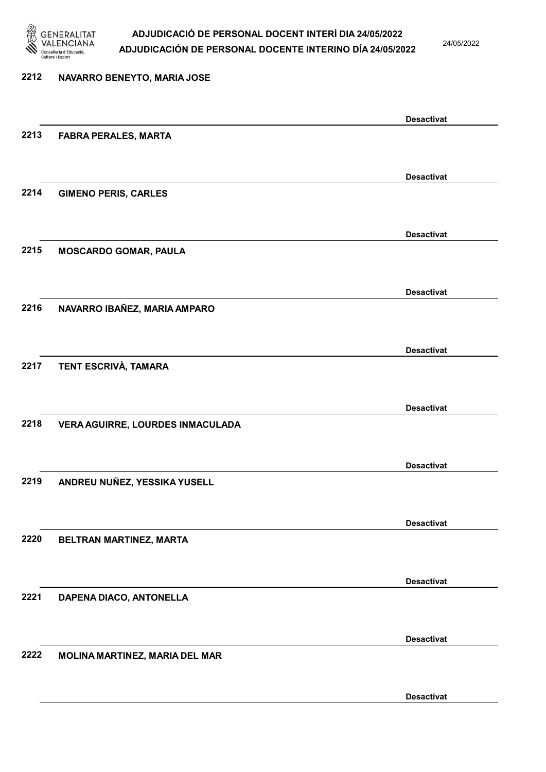

24/05/2022

### 2212 NAVARRO BENEYTO, MARIA JOSE Desactivat 2213 FABRA PERALES, MARTA Desactivat 2214 GIMENO PERIS, CARLES Desactivat 2215 MOSCARDO GOMAR, PAULA Desactivat 2216 NAVARRO IBAÑEZ, MARIA AMPARO Desactivat 2217 TENT ESCRIVÀ, TAMARA Desactivat 2218 VERA AGUIRRE, LOURDES INMACULADA Desactivat 2219 ANDREU NUÑEZ, YESSIKA YUSELL Desactivat 2220 BELTRAN MARTINEZ, MARTA Desactivat 2221 DAPENA DIACO, ANTONELLA Desactivat 2222 MOLINA MARTINEZ, MARIA DEL MAR

Desactivat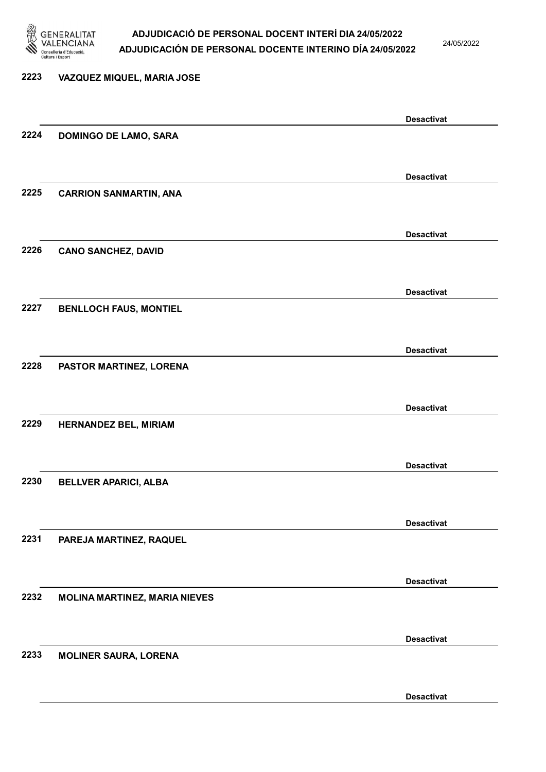

24/05/2022

Desactivat

### 2223 VAZQUEZ MIQUEL, MARIA JOSE Desactivat 2224 DOMINGO DE LAMO, SARA Desactivat 2225 CARRION SANMARTIN, ANA Desactivat 2226 CANO SANCHEZ, DAVID Desactivat 2227 BENLLOCH FAUS, MONTIEL Desactivat 2228 PASTOR MARTINEZ, LORENA Desactivat 2229 HERNANDEZ BEL, MIRIAM Desactivat 2230 BELLVER APARICI, ALBA Desactivat 2231 PAREJA MARTINEZ, RAQUEL Desactivat 2232 MOLINA MARTINEZ, MARIA NIEVES Desactivat 2233 MOLINER SAURA, LORENA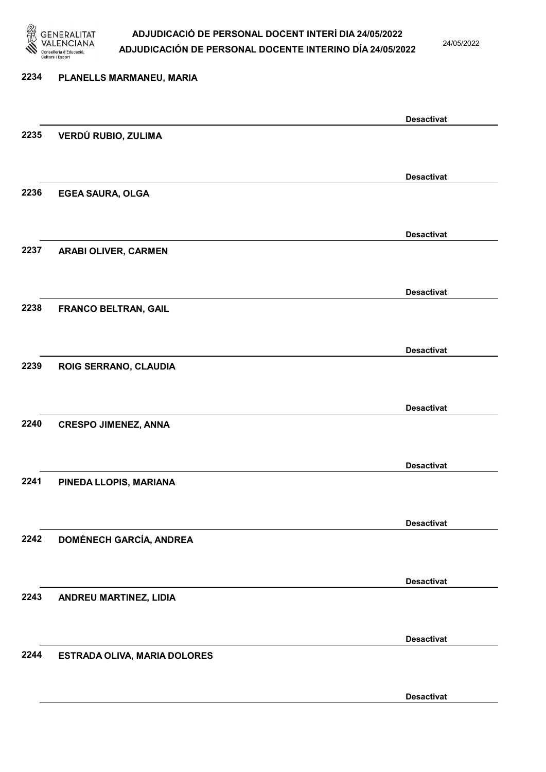

24/05/2022

Desactivat

### 2234 PLANELLS MARMANEU, MARIA Desactivat 2235 VERDÚ RUBIO, ZULIMA Desactivat 2236 EGEA SAURA, OLGA Desactivat 2237 ARABI OLIVER, CARMEN Desactivat 2238 FRANCO BELTRAN, GAIL Desactivat 2239 ROIG SERRANO, CLAUDIA Desactivat 2240 CRESPO JIMENEZ, ANNA Desactivat 2241 PINEDA LLOPIS, MARIANA Desactivat 2242 DOMÉNECH GARCÍA, ANDREA Desactivat 2243 ANDREU MARTINEZ, LIDIA Desactivat 2244 ESTRADA OLIVA, MARIA DOLORES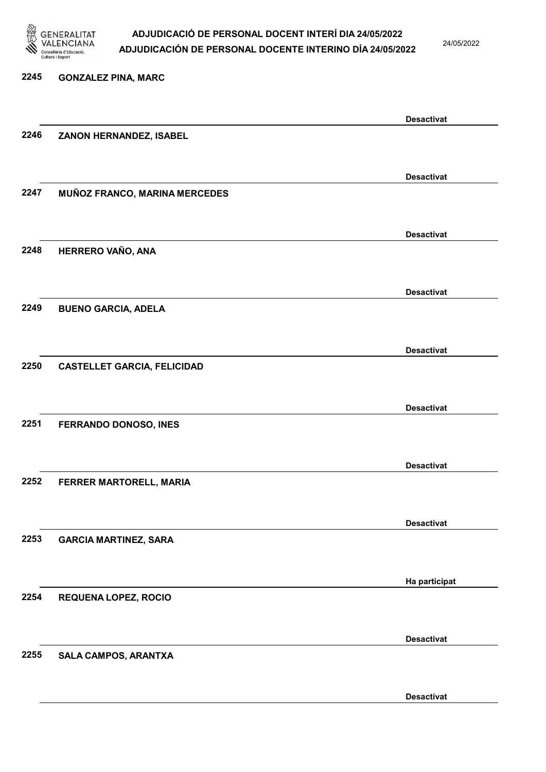

24/05/2022

Desactivat

### 2245 GONZALEZ PINA, MARC Desactivat 2246 ZANON HERNANDEZ, ISABEL Desactivat 2247 MUÑOZ FRANCO, MARINA MERCEDES Desactivat 2248 HERRERO VAÑO, ANA Desactivat 2249 BUENO GARCIA, ADELA Desactivat 2250 CASTELLET GARCIA, FELICIDAD Desactivat 2251 FERRANDO DONOSO, INES Desactivat 2252 FERRER MARTORELL, MARIA Desactivat 2253 GARCIA MARTINEZ, SARA Ha participat 2254 REQUENA LOPEZ, ROCIO Desactivat 2255 SALA CAMPOS, ARANTXA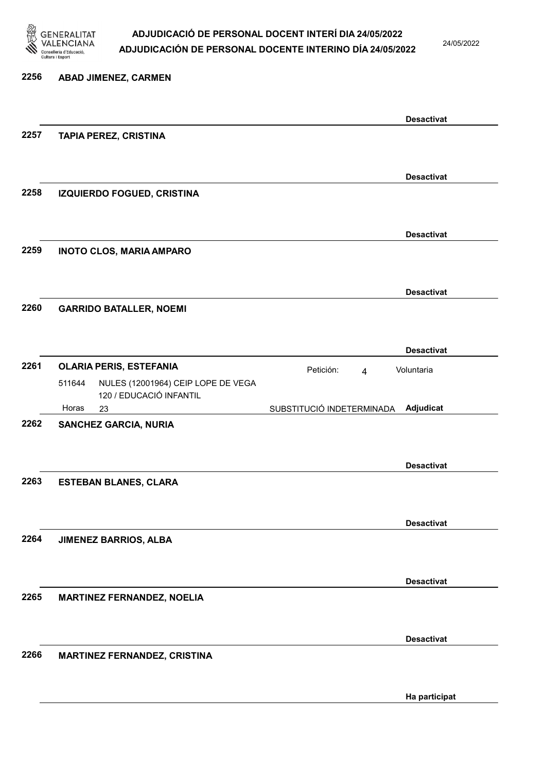

24/05/2022

### 2256 ABAD JIMENEZ, CARMEN Desactivat 2257 TAPIA PEREZ, CRISTINA Desactivat 2258 IZQUIERDO FOGUED, CRISTINA Desactivat 2259 INOTO CLOS, MARIA AMPARO Desactivat 2260 GARRIDO BATALLER, NOEMI Desactivat 2261 OLARIA PERIS, ESTEFANIA **El proportante en el proportante de la proportante de la proportante de la propo** 23 SUBSTITUCIÓ INDETERMINADA NULES (12001964) CEIP LOPE DE VEGA 120 / EDUCACIÓ INFANTIL Adjudicat Voluntaria 511644 Horas 2262 SANCHEZ GARCIA, NURIA Desactivat 2263 ESTEBAN BLANES, CLARA Desactivat 2264 JIMENEZ BARRIOS, ALBA Desactivat 2265 MARTINEZ FERNANDEZ, NOELIA Desactivat 2266 MARTINEZ FERNANDEZ, CRISTINA Ha participat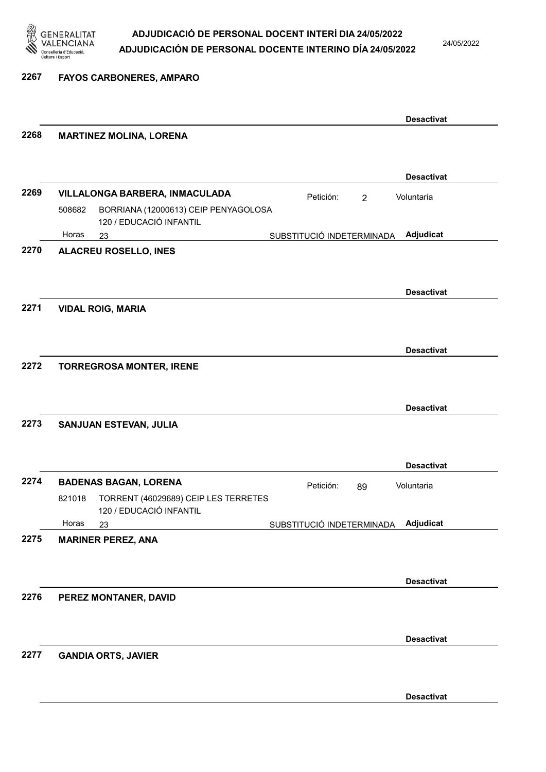

2267 FAYOS CARBONERES, AMPARO

|      |                                                                                |                             | <b>Desactivat</b> |
|------|--------------------------------------------------------------------------------|-----------------------------|-------------------|
| 2268 | <b>MARTINEZ MOLINA, LORENA</b>                                                 |                             |                   |
|      |                                                                                |                             |                   |
|      |                                                                                |                             | <b>Desactivat</b> |
| 2269 | VILLALONGA BARBERA, INMACULADA                                                 | Petición:<br>$\overline{2}$ | Voluntaria        |
|      | 508682<br>BORRIANA (12000613) CEIP PENYAGOLOSA<br>120 / EDUCACIÓ INFANTIL      |                             |                   |
|      | Horas<br>23                                                                    | SUBSTITUCIÓ INDETERMINADA   | Adjudicat         |
| 2270 | <b>ALACREU ROSELLO, INES</b>                                                   |                             |                   |
|      |                                                                                |                             |                   |
|      |                                                                                |                             | <b>Desactivat</b> |
| 2271 | <b>VIDAL ROIG, MARIA</b>                                                       |                             |                   |
|      |                                                                                |                             |                   |
|      |                                                                                |                             | <b>Desactivat</b> |
| 2272 | <b>TORREGROSA MONTER, IRENE</b>                                                |                             |                   |
|      |                                                                                |                             |                   |
|      |                                                                                |                             | <b>Desactivat</b> |
| 2273 | SANJUAN ESTEVAN, JULIA                                                         |                             |                   |
|      |                                                                                |                             |                   |
|      |                                                                                |                             |                   |
| 2274 |                                                                                |                             | <b>Desactivat</b> |
|      | <b>BADENAS BAGAN, LORENA</b><br>TORRENT (46029689) CEIP LES TERRETES<br>821018 | Petición:<br>89             | Voluntaria        |
|      | 120 / EDUCACIÓ INFANTIL                                                        |                             |                   |
|      | Horas<br>23                                                                    | SUBSTITUCIÓ INDETERMINADA   | Adjudicat         |
| 2275 | <b>MARINER PEREZ, ANA</b>                                                      |                             |                   |
|      |                                                                                |                             |                   |
|      |                                                                                |                             | <b>Desactivat</b> |
| 2276 | PEREZ MONTANER, DAVID                                                          |                             |                   |
|      |                                                                                |                             |                   |
|      |                                                                                |                             | <b>Desactivat</b> |
| 2277 | <b>GANDIA ORTS, JAVIER</b>                                                     |                             |                   |
|      |                                                                                |                             |                   |
|      |                                                                                |                             |                   |
|      |                                                                                |                             | <b>Desactivat</b> |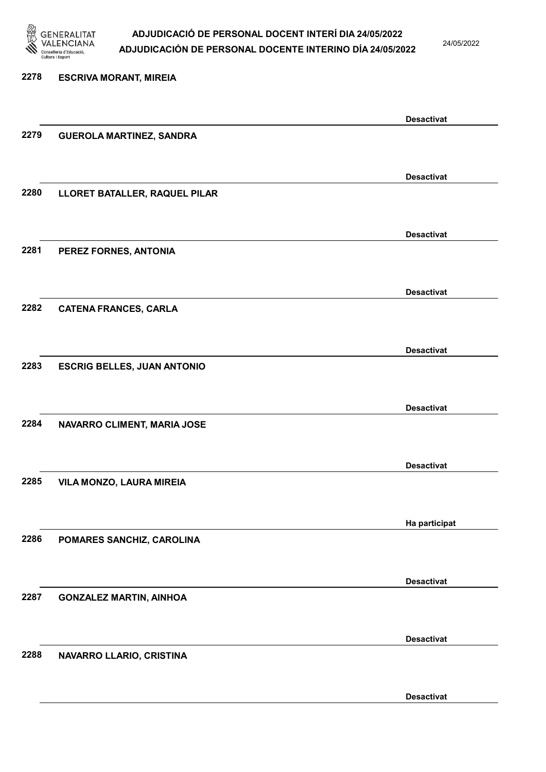

24/05/2022

Desactivat

### 2278 ESCRIVA MORANT, MIREIA Desactivat 2279 GUEROLA MARTINEZ, SANDRA Desactivat 2280 LLORET BATALLER, RAQUEL PILAR Desactivat 2281 PEREZ FORNES, ANTONIA Desactivat 2282 CATENA FRANCES, CARLA Desactivat 2283 ESCRIG BELLES, JUAN ANTONIO Desactivat 2284 NAVARRO CLIMENT, MARIA JOSE Desactivat 2285 VILA MONZO, LAURA MIREIA Ha participat 2286 POMARES SANCHIZ, CAROLINA Desactivat 2287 GONZALEZ MARTIN, AINHOA Desactivat 2288 NAVARRO LLARIO, CRISTINA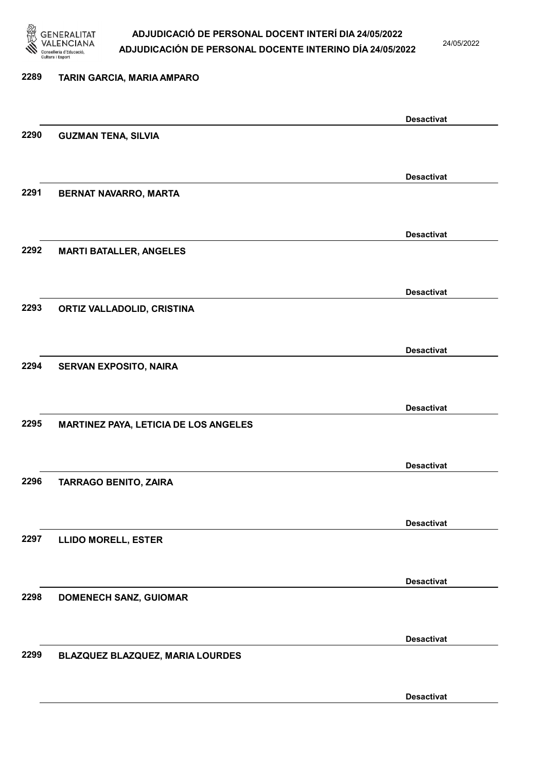

24/05/2022

Desactivat

### 2289 TARIN GARCIA, MARIA AMPARO Desactivat 2290 GUZMAN TENA, SILVIA Desactivat 2291 BERNAT NAVARRO, MARTA Desactivat 2292 MARTI BATALLER, ANGELES Desactivat 2293 ORTIZ VALLADOLID, CRISTINA Desactivat 2294 SERVAN EXPOSITO, NAIRA Desactivat 2295 MARTINEZ PAYA, LETICIA DE LOS ANGELES Desactivat 2296 TARRAGO BENITO, ZAIRA Desactivat 2297 LLIDO MORELL, ESTER Desactivat 2298 DOMENECH SANZ, GUIOMAR Desactivat 2299 BLAZQUEZ BLAZQUEZ, MARIA LOURDES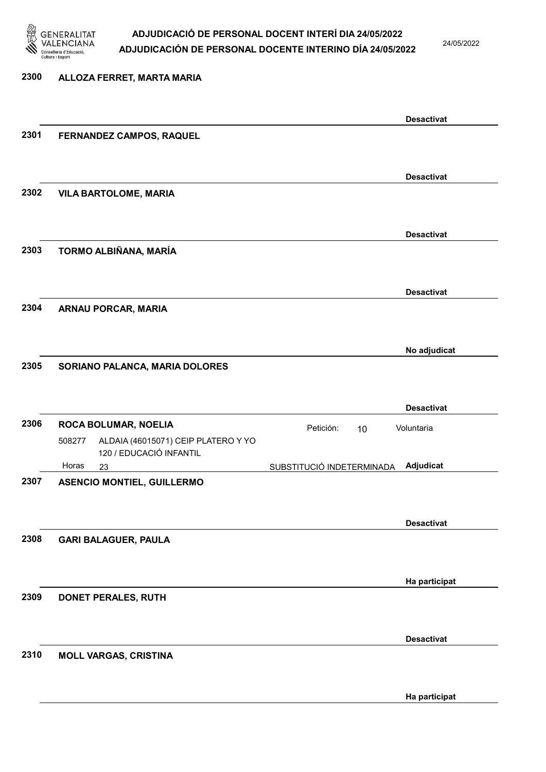

2300 ALLOZA FERRET, MARTA MARIA

#### ADJUDICACIÓ DE PERSONAL DOCENT INTERÍ DIA 24/05/2022 ADJUDICACIÓN DE PERSONAL DOCENTE INTERINO DÍA 24/05/2022

24/05/2022

Desactivat

Desactivat

Desactivat

Desactivat

No adjudicat

## 2301 FERNANDEZ CAMPOS, RAQUEL 2302 VILA BARTOLOME, MARIA 2303 TORMO ALBIÑANA, MARÍA 2304 ARNAU PORCAR, MARIA

2305 SORIANO PALANCA, MARIA DOLORES

|      |                             |                                                                |                           |  | <b>Desactivat</b> |
|------|-----------------------------|----------------------------------------------------------------|---------------------------|--|-------------------|
| 2306 | <b>ROCA BOLUMAR, NOELIA</b> |                                                                | Petición:                 |  | Voluntaria        |
|      | 508277                      | ALDAIA (46015071) CEIP PLATERO Y YO<br>120 / EDUCACIÓ INFANTIL |                           |  |                   |
|      | Horas                       | 23                                                             | SUBSTITUCIÓ INDETERMINADA |  | Adjudicat         |
| 2307 |                             | <b>ASENCIO MONTIEL, GUILLERMO</b>                              |                           |  |                   |
|      |                             |                                                                |                           |  |                   |
|      |                             |                                                                |                           |  |                   |
|      |                             |                                                                |                           |  | <b>Desactivat</b> |
| 2308 |                             | <b>GARI BALAGUER, PAULA</b>                                    |                           |  |                   |
|      |                             |                                                                |                           |  |                   |
|      |                             |                                                                |                           |  |                   |
|      |                             |                                                                |                           |  | Ha participat     |
| 2309 |                             | <b>DONET PERALES, RUTH</b>                                     |                           |  |                   |
|      |                             |                                                                |                           |  |                   |

#### 2310 MOLL VARGAS, CRISTINA

Desactivat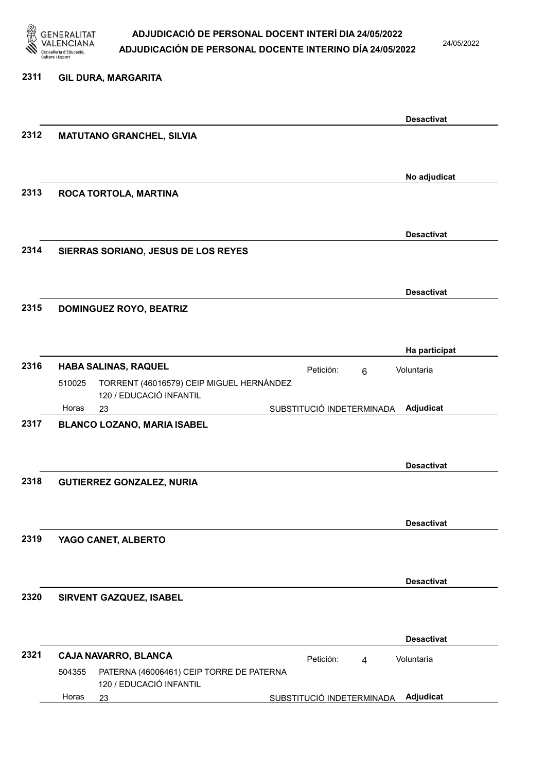

24/05/2022

#### 2311 GIL DURA, MARGARITA

|      |                                                                               | <b>Desactivat</b>                         |
|------|-------------------------------------------------------------------------------|-------------------------------------------|
| 2312 | <b>MATUTANO GRANCHEL, SILVIA</b>                                              |                                           |
|      |                                                                               |                                           |
|      |                                                                               | No adjudicat                              |
| 2313 | ROCA TORTOLA, MARTINA                                                         |                                           |
|      |                                                                               |                                           |
|      |                                                                               | <b>Desactivat</b>                         |
| 2314 | SIERRAS SORIANO, JESUS DE LOS REYES                                           |                                           |
|      |                                                                               |                                           |
|      |                                                                               | <b>Desactivat</b>                         |
| 2315 | <b>DOMINGUEZ ROYO, BEATRIZ</b>                                                |                                           |
|      |                                                                               |                                           |
|      |                                                                               | Ha participat                             |
| 2316 | <b>HABA SALINAS, RAQUEL</b>                                                   | Petición:<br>Voluntaria<br>6              |
|      | TORRENT (46016579) CEIP MIGUEL HERNÁNDEZ<br>510025<br>120 / EDUCACIÓ INFANTIL |                                           |
|      | Horas<br>23                                                                   | Adjudicat<br>SUBSTITUCIÓ INDETERMINADA    |
| 2317 | <b>BLANCO LOZANO, MARIA ISABEL</b>                                            |                                           |
|      |                                                                               |                                           |
|      |                                                                               | <b>Desactivat</b>                         |
| 2318 | <b>GUTIERREZ GONZALEZ, NURIA</b>                                              |                                           |
|      |                                                                               |                                           |
|      |                                                                               | <b>Desactivat</b>                         |
| 2319 | YAGO CANET, ALBERTO                                                           |                                           |
|      |                                                                               |                                           |
|      |                                                                               | <b>Desactivat</b>                         |
| 2320 | SIRVENT GAZQUEZ, ISABEL                                                       |                                           |
|      |                                                                               |                                           |
|      |                                                                               | <b>Desactivat</b>                         |
| 2321 | CAJA NAVARRO, BLANCA                                                          | Voluntaria<br>Petición:<br>$\overline{4}$ |
|      | PATERNA (46006461) CEIP TORRE DE PATERNA<br>504355<br>120 / EDUCACIÓ INFANTIL |                                           |
|      | Horas<br>23                                                                   | Adjudicat<br>SUBSTITUCIÓ INDETERMINADA    |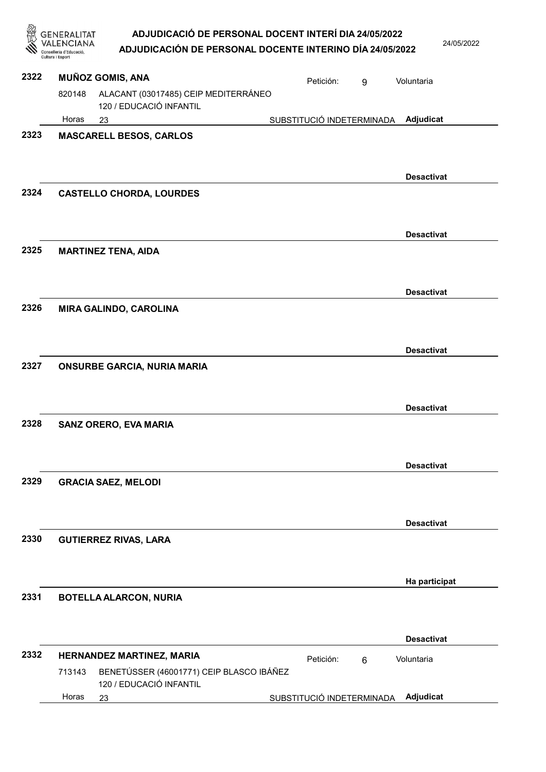|      | ADJUDICACIÓ DE PERSONAL DOCENT INTERÍ DIA 24/05/2022<br>GENERALITAT<br>ADJUDICACIÓN DE PERSONAL DOCENTE INTERINO DÍA 24/05/2022<br>'onselleria d'Educació<br>Cultura i Esport |                           |                | 24/05/2022        |
|------|-------------------------------------------------------------------------------------------------------------------------------------------------------------------------------|---------------------------|----------------|-------------------|
| 2322 | <b>MUÑOZ GOMIS, ANA</b>                                                                                                                                                       | Petición:                 | 9              | Voluntaria        |
|      | ALACANT (03017485) CEIP MEDITERRÁNEO<br>820148<br>120 / EDUCACIÓ INFANTIL                                                                                                     |                           |                |                   |
|      | Horas<br>23                                                                                                                                                                   | SUBSTITUCIÓ INDETERMINADA |                | Adjudicat         |
| 2323 | <b>MASCARELL BESOS, CARLOS</b>                                                                                                                                                |                           |                |                   |
| 2324 | <b>CASTELLO CHORDA, LOURDES</b>                                                                                                                                               |                           |                | <b>Desactivat</b> |
| 2325 | <b>MARTINEZ TENA, AIDA</b>                                                                                                                                                    |                           |                | <b>Desactivat</b> |
|      |                                                                                                                                                                               |                           |                | <b>Desactivat</b> |
| 2326 | <b>MIRA GALINDO, CAROLINA</b>                                                                                                                                                 |                           |                |                   |
| 2327 | <b>ONSURBE GARCIA, NURIA MARIA</b>                                                                                                                                            |                           |                | <b>Desactivat</b> |
| 2328 | <b>SANZ ORERO, EVA MARIA</b>                                                                                                                                                  |                           |                | <b>Desactivat</b> |
|      |                                                                                                                                                                               |                           |                | <b>Desactivat</b> |
| 2329 | <b>GRACIA SAEZ, MELODI</b>                                                                                                                                                    |                           |                |                   |
| 2330 | <b>GUTIERREZ RIVAS, LARA</b>                                                                                                                                                  |                           |                | <b>Desactivat</b> |
| 2331 |                                                                                                                                                                               |                           |                | Ha participat     |
|      | <b>BOTELLA ALARCON, NURIA</b>                                                                                                                                                 |                           |                |                   |
|      |                                                                                                                                                                               |                           |                | <b>Desactivat</b> |
| 2332 | HERNANDEZ MARTINEZ, MARIA<br>BENETÚSSER (46001771) CEIP BLASCO IBÁÑEZ<br>713143<br>120 / EDUCACIÓ INFANTIL                                                                    | Petición:                 | $6\phantom{1}$ | Voluntaria        |
|      | Horas<br>23                                                                                                                                                                   | SUBSTITUCIÓ INDETERMINADA |                | Adjudicat         |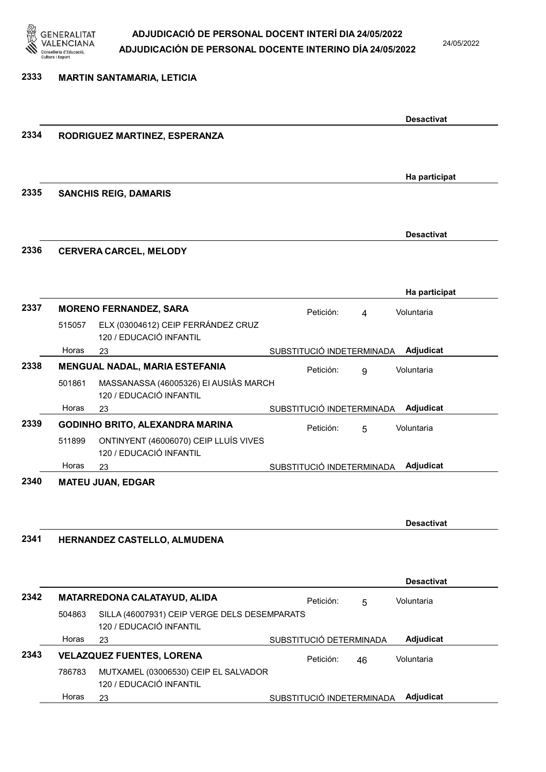

24/05/2022

#### 2333 MARTIN SANTAMARIA, LETICIA

| 2334<br>RODRIGUEZ MARTINEZ, ESPERANZA<br>Ha participat<br>2335<br><b>SANCHIS REIG, DAMARIS</b><br><b>Desactivat</b><br>2336<br><b>CERVERA CARCEL, MELODY</b><br>Ha participat<br>2337<br><b>MORENO FERNANDEZ, SARA</b><br>Petición:<br>Voluntaria<br>$\overline{4}$<br>ELX (03004612) CEIP FERRÁNDEZ CRUZ<br>515057<br>120 / EDUCACIÓ INFANTIL<br>Horas<br>Adjudicat<br>SUBSTITUCIÓ INDETERMINADA<br>23<br>2338<br>MENGUAL NADAL, MARIA ESTEFANIA<br>Petición:<br>Voluntaria<br>9<br>MASSANASSA (46005326) EI AUSIÀS MARCH<br>501861<br>120 / EDUCACIÓ INFANTIL<br>Adjudicat<br>Horas<br>SUBSTITUCIÓ INDETERMINADA<br>23<br>2339<br><b>GODINHO BRITO, ALEXANDRA MARINA</b><br>Voluntaria<br>Petición:<br>5<br>ONTINYENT (46006070) CEIP LLUÍS VIVES<br>511899<br>120 / EDUCACIÓ INFANTIL<br>Adjudicat<br>Horas<br>SUBSTITUCIÓ INDETERMINADA<br>23<br>2340<br><b>MATEU JUAN, EDGAR</b><br><b>Desactivat</b><br>2341<br>HERNANDEZ CASTELLO, ALMUDENA<br><b>Desactivat</b><br>2342<br>MATARREDONA CALATAYUD, ALIDA<br>Petición:<br>Voluntaria<br>5<br>SILLA (46007931) CEIP VERGE DELS DESEMPARATS<br>504863<br>120 / EDUCACIÓ INFANTIL<br>Horas<br>Adjudicat<br>SUBSTITUCIÓ DETERMINADA<br>23<br>2343<br><b>VELAZQUEZ FUENTES, LORENA</b><br>Voluntaria<br>Petición:<br>46<br>MUTXAMEL (03006530) CEIP EL SALVADOR<br>786783<br>120 / EDUCACIÓ INFANTIL<br>Adjudicat<br>Horas<br>SUBSTITUCIÓ INDETERMINADA<br>23 |  |  |  | <b>Desactivat</b> |
|----------------------------------------------------------------------------------------------------------------------------------------------------------------------------------------------------------------------------------------------------------------------------------------------------------------------------------------------------------------------------------------------------------------------------------------------------------------------------------------------------------------------------------------------------------------------------------------------------------------------------------------------------------------------------------------------------------------------------------------------------------------------------------------------------------------------------------------------------------------------------------------------------------------------------------------------------------------------------------------------------------------------------------------------------------------------------------------------------------------------------------------------------------------------------------------------------------------------------------------------------------------------------------------------------------------------------------------------------------------------------------------------------------------|--|--|--|-------------------|
|                                                                                                                                                                                                                                                                                                                                                                                                                                                                                                                                                                                                                                                                                                                                                                                                                                                                                                                                                                                                                                                                                                                                                                                                                                                                                                                                                                                                                |  |  |  |                   |
|                                                                                                                                                                                                                                                                                                                                                                                                                                                                                                                                                                                                                                                                                                                                                                                                                                                                                                                                                                                                                                                                                                                                                                                                                                                                                                                                                                                                                |  |  |  |                   |
|                                                                                                                                                                                                                                                                                                                                                                                                                                                                                                                                                                                                                                                                                                                                                                                                                                                                                                                                                                                                                                                                                                                                                                                                                                                                                                                                                                                                                |  |  |  |                   |
|                                                                                                                                                                                                                                                                                                                                                                                                                                                                                                                                                                                                                                                                                                                                                                                                                                                                                                                                                                                                                                                                                                                                                                                                                                                                                                                                                                                                                |  |  |  |                   |
|                                                                                                                                                                                                                                                                                                                                                                                                                                                                                                                                                                                                                                                                                                                                                                                                                                                                                                                                                                                                                                                                                                                                                                                                                                                                                                                                                                                                                |  |  |  |                   |
|                                                                                                                                                                                                                                                                                                                                                                                                                                                                                                                                                                                                                                                                                                                                                                                                                                                                                                                                                                                                                                                                                                                                                                                                                                                                                                                                                                                                                |  |  |  |                   |
|                                                                                                                                                                                                                                                                                                                                                                                                                                                                                                                                                                                                                                                                                                                                                                                                                                                                                                                                                                                                                                                                                                                                                                                                                                                                                                                                                                                                                |  |  |  |                   |
|                                                                                                                                                                                                                                                                                                                                                                                                                                                                                                                                                                                                                                                                                                                                                                                                                                                                                                                                                                                                                                                                                                                                                                                                                                                                                                                                                                                                                |  |  |  |                   |
|                                                                                                                                                                                                                                                                                                                                                                                                                                                                                                                                                                                                                                                                                                                                                                                                                                                                                                                                                                                                                                                                                                                                                                                                                                                                                                                                                                                                                |  |  |  |                   |
|                                                                                                                                                                                                                                                                                                                                                                                                                                                                                                                                                                                                                                                                                                                                                                                                                                                                                                                                                                                                                                                                                                                                                                                                                                                                                                                                                                                                                |  |  |  |                   |
|                                                                                                                                                                                                                                                                                                                                                                                                                                                                                                                                                                                                                                                                                                                                                                                                                                                                                                                                                                                                                                                                                                                                                                                                                                                                                                                                                                                                                |  |  |  |                   |
|                                                                                                                                                                                                                                                                                                                                                                                                                                                                                                                                                                                                                                                                                                                                                                                                                                                                                                                                                                                                                                                                                                                                                                                                                                                                                                                                                                                                                |  |  |  |                   |
|                                                                                                                                                                                                                                                                                                                                                                                                                                                                                                                                                                                                                                                                                                                                                                                                                                                                                                                                                                                                                                                                                                                                                                                                                                                                                                                                                                                                                |  |  |  |                   |
|                                                                                                                                                                                                                                                                                                                                                                                                                                                                                                                                                                                                                                                                                                                                                                                                                                                                                                                                                                                                                                                                                                                                                                                                                                                                                                                                                                                                                |  |  |  |                   |
|                                                                                                                                                                                                                                                                                                                                                                                                                                                                                                                                                                                                                                                                                                                                                                                                                                                                                                                                                                                                                                                                                                                                                                                                                                                                                                                                                                                                                |  |  |  |                   |
|                                                                                                                                                                                                                                                                                                                                                                                                                                                                                                                                                                                                                                                                                                                                                                                                                                                                                                                                                                                                                                                                                                                                                                                                                                                                                                                                                                                                                |  |  |  |                   |
|                                                                                                                                                                                                                                                                                                                                                                                                                                                                                                                                                                                                                                                                                                                                                                                                                                                                                                                                                                                                                                                                                                                                                                                                                                                                                                                                                                                                                |  |  |  |                   |
|                                                                                                                                                                                                                                                                                                                                                                                                                                                                                                                                                                                                                                                                                                                                                                                                                                                                                                                                                                                                                                                                                                                                                                                                                                                                                                                                                                                                                |  |  |  |                   |
|                                                                                                                                                                                                                                                                                                                                                                                                                                                                                                                                                                                                                                                                                                                                                                                                                                                                                                                                                                                                                                                                                                                                                                                                                                                                                                                                                                                                                |  |  |  |                   |
|                                                                                                                                                                                                                                                                                                                                                                                                                                                                                                                                                                                                                                                                                                                                                                                                                                                                                                                                                                                                                                                                                                                                                                                                                                                                                                                                                                                                                |  |  |  |                   |
|                                                                                                                                                                                                                                                                                                                                                                                                                                                                                                                                                                                                                                                                                                                                                                                                                                                                                                                                                                                                                                                                                                                                                                                                                                                                                                                                                                                                                |  |  |  |                   |
|                                                                                                                                                                                                                                                                                                                                                                                                                                                                                                                                                                                                                                                                                                                                                                                                                                                                                                                                                                                                                                                                                                                                                                                                                                                                                                                                                                                                                |  |  |  |                   |
|                                                                                                                                                                                                                                                                                                                                                                                                                                                                                                                                                                                                                                                                                                                                                                                                                                                                                                                                                                                                                                                                                                                                                                                                                                                                                                                                                                                                                |  |  |  |                   |
|                                                                                                                                                                                                                                                                                                                                                                                                                                                                                                                                                                                                                                                                                                                                                                                                                                                                                                                                                                                                                                                                                                                                                                                                                                                                                                                                                                                                                |  |  |  |                   |
|                                                                                                                                                                                                                                                                                                                                                                                                                                                                                                                                                                                                                                                                                                                                                                                                                                                                                                                                                                                                                                                                                                                                                                                                                                                                                                                                                                                                                |  |  |  |                   |
|                                                                                                                                                                                                                                                                                                                                                                                                                                                                                                                                                                                                                                                                                                                                                                                                                                                                                                                                                                                                                                                                                                                                                                                                                                                                                                                                                                                                                |  |  |  |                   |
|                                                                                                                                                                                                                                                                                                                                                                                                                                                                                                                                                                                                                                                                                                                                                                                                                                                                                                                                                                                                                                                                                                                                                                                                                                                                                                                                                                                                                |  |  |  |                   |
|                                                                                                                                                                                                                                                                                                                                                                                                                                                                                                                                                                                                                                                                                                                                                                                                                                                                                                                                                                                                                                                                                                                                                                                                                                                                                                                                                                                                                |  |  |  |                   |
|                                                                                                                                                                                                                                                                                                                                                                                                                                                                                                                                                                                                                                                                                                                                                                                                                                                                                                                                                                                                                                                                                                                                                                                                                                                                                                                                                                                                                |  |  |  |                   |
|                                                                                                                                                                                                                                                                                                                                                                                                                                                                                                                                                                                                                                                                                                                                                                                                                                                                                                                                                                                                                                                                                                                                                                                                                                                                                                                                                                                                                |  |  |  |                   |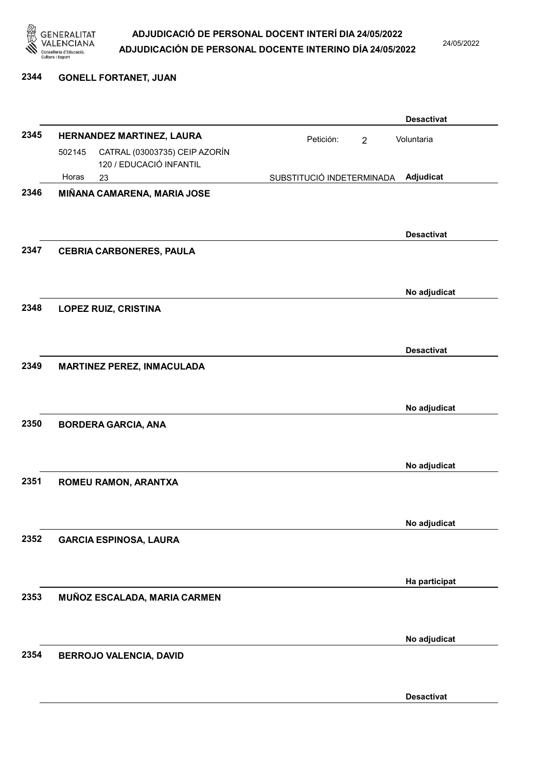

24/05/2022

2344 GONELL FORTANET, JUAN

|      |        |                                                          |                           |                | <b>Desactivat</b> |
|------|--------|----------------------------------------------------------|---------------------------|----------------|-------------------|
| 2345 |        | HERNANDEZ MARTINEZ, LAURA                                | Petición:                 | $\overline{2}$ | Voluntaria        |
|      | 502145 | CATRAL (03003735) CEIP AZORÍN<br>120 / EDUCACIÓ INFANTIL |                           |                |                   |
|      | Horas  | 23                                                       | SUBSTITUCIÓ INDETERMINADA |                | Adjudicat         |
| 2346 |        | MIÑANA CAMARENA, MARIA JOSE                              |                           |                | <b>Desactivat</b> |
| 2347 |        | <b>CEBRIA CARBONERES, PAULA</b>                          |                           |                |                   |
|      |        |                                                          |                           |                | No adjudicat      |
| 2348 |        | <b>LOPEZ RUIZ, CRISTINA</b>                              |                           |                |                   |
|      |        |                                                          |                           |                | <b>Desactivat</b> |
| 2349 |        | <b>MARTINEZ PEREZ, INMACULADA</b>                        |                           |                |                   |
|      |        |                                                          |                           |                | No adjudicat      |
| 2350 |        | <b>BORDERA GARCIA, ANA</b>                               |                           |                |                   |
|      |        |                                                          |                           |                | No adjudicat      |
| 2351 |        | ROMEU RAMON, ARANTXA                                     |                           |                |                   |
|      |        |                                                          |                           |                | No adjudicat      |
| 2352 |        | <b>GARCIA ESPINOSA, LAURA</b>                            |                           |                | Ha participat     |
| 2353 |        |                                                          |                           |                |                   |
|      |        | MUÑOZ ESCALADA, MARIA CARMEN                             |                           |                |                   |
|      |        |                                                          |                           |                | No adjudicat      |
| 2354 |        | BERROJO VALENCIA, DAVID                                  |                           |                |                   |
|      |        |                                                          |                           |                | <b>Desactivat</b> |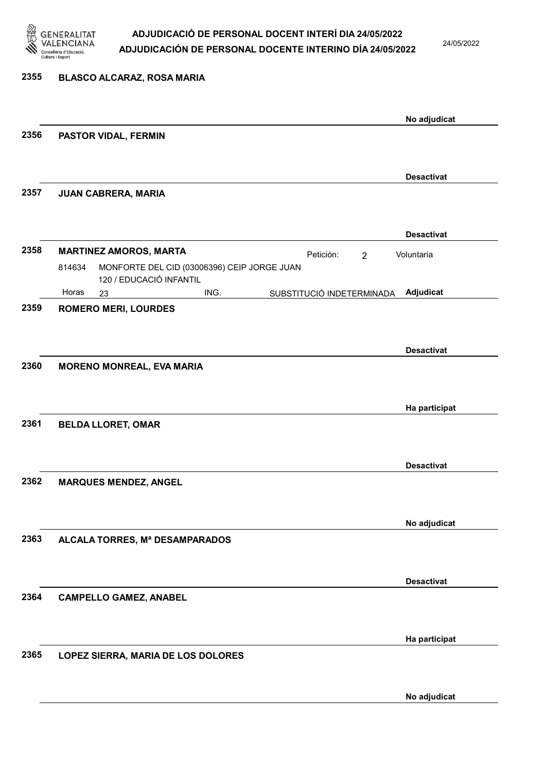

24/05/2022

| 2355 | <b>BLASCO ALCARAZ, ROSA MARIA</b>                                                |                   |
|------|----------------------------------------------------------------------------------|-------------------|
|      |                                                                                  | No adjudicat      |
| 2356 | PASTOR VIDAL, FERMIN                                                             |                   |
|      |                                                                                  | <b>Desactivat</b> |
| 2357 | JUAN CABRERA, MARIA                                                              |                   |
|      |                                                                                  | <b>Desactivat</b> |
| 2358 | <b>MARTINEZ AMOROS, MARTA</b><br>Petición:<br>$\overline{2}$                     | Voluntaria        |
|      | MONFORTE DEL CID (03006396) CEIP JORGE JUAN<br>814634<br>120 / EDUCACIÓ INFANTIL |                   |
|      | Horas<br>ING.<br>SUBSTITUCIÓ INDETERMINADA<br>23                                 | Adjudicat         |
| 2359 | <b>ROMERO MERI, LOURDES</b>                                                      |                   |
|      |                                                                                  | <b>Desactivat</b> |
| 2360 | <b>MORENO MONREAL, EVA MARIA</b>                                                 |                   |
|      |                                                                                  |                   |
|      |                                                                                  | Ha participat     |
| 2361 | <b>BELDA LLORET, OMAR</b>                                                        |                   |
|      |                                                                                  |                   |
|      |                                                                                  | <b>Desactivat</b> |
|      |                                                                                  |                   |
| 2362 | <b>MARQUES MENDEZ, ANGEL</b>                                                     |                   |
|      |                                                                                  |                   |
|      |                                                                                  | No adjudicat      |
| 2363 | ALCALA TORRES, Mª DESAMPARADOS                                                   |                   |
|      |                                                                                  |                   |
|      |                                                                                  |                   |
| 2364 |                                                                                  | <b>Desactivat</b> |
|      | <b>CAMPELLO GAMEZ, ANABEL</b>                                                    |                   |
|      |                                                                                  |                   |
|      |                                                                                  | Ha participat     |
| 2365 | LOPEZ SIERRA, MARIA DE LOS DOLORES                                               |                   |
|      |                                                                                  |                   |
|      |                                                                                  |                   |
|      |                                                                                  | No adjudicat      |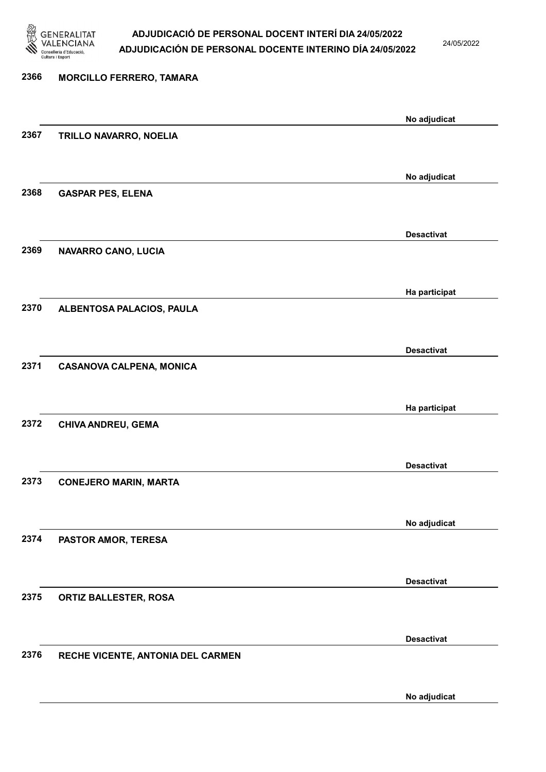

24/05/2022

### 2366 MORCILLO FERRERO, TAMARA No adjudicat 2367 TRILLO NAVARRO, NOELIA No adjudicat 2368 GASPAR PES, ELENA Desactivat 2369 NAVARRO CANO, LUCIA Ha participat 2370 ALBENTOSA PALACIOS, PAULA Desactivat 2371 CASANOVA CALPENA, MONICA Ha participat 2372 CHIVA ANDREU, GEMA Desactivat 2373 CONEJERO MARIN, MARTA No adjudicat 2374 PASTOR AMOR, TERESA Desactivat 2375 ORTIZ BALLESTER, ROSA Desactivat 2376 RECHE VICENTE, ANTONIA DEL CARMEN No adjudicat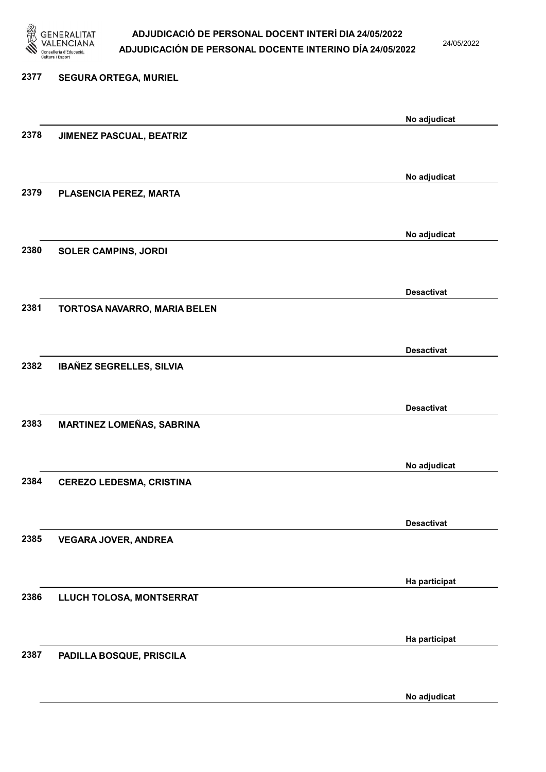

24/05/2022

No adjudicat

# 2377 SEGURA ORTEGA, MURIEL No adjudicat 2378 JIMENEZ PASCUAL, BEATRIZ No adjudicat 2379 PLASENCIA PEREZ, MARTA No adjudicat 2380 SOLER CAMPINS, JORDI Desactivat 2381 TORTOSA NAVARRO, MARIA BELEN Desactivat 2382 IBAÑEZ SEGRELLES, SILVIA Desactivat 2383 MARTINEZ LOMEÑAS, SABRINA No adjudicat 2384 CEREZO LEDESMA, CRISTINA Desactivat 2385 VEGARA JOVER, ANDREA Ha participat 2386 LLUCH TOLOSA, MONTSERRAT Ha participat 2387 PADILLA BOSQUE, PRISCILA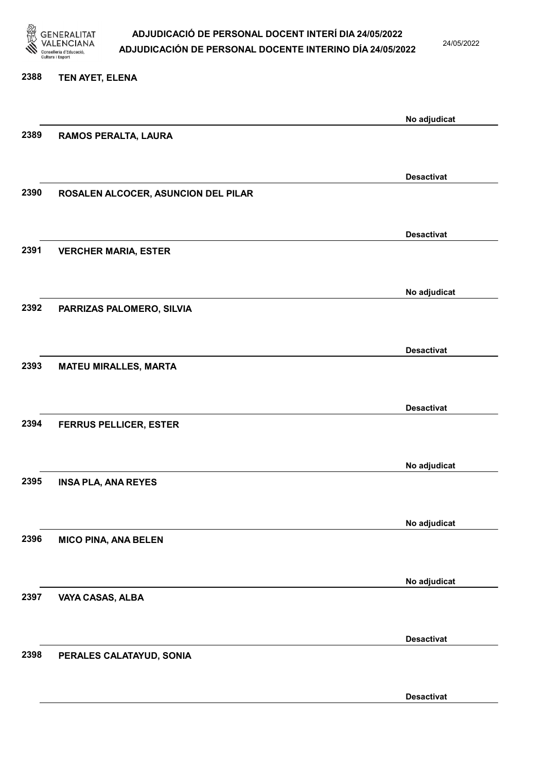

24/05/2022

### 2388 TEN AYET, ELENA

|      |                                     | No adjudicat      |
|------|-------------------------------------|-------------------|
| 2389 | RAMOS PERALTA, LAURA                |                   |
|      |                                     |                   |
|      |                                     | <b>Desactivat</b> |
| 2390 | ROSALEN ALCOCER, ASUNCION DEL PILAR |                   |
|      |                                     |                   |
|      |                                     | <b>Desactivat</b> |
| 2391 | <b>VERCHER MARIA, ESTER</b>         |                   |
|      |                                     |                   |
|      |                                     |                   |
| 2392 |                                     | No adjudicat      |
|      | PARRIZAS PALOMERO, SILVIA           |                   |
|      |                                     |                   |
|      |                                     | <b>Desactivat</b> |
| 2393 | <b>MATEU MIRALLES, MARTA</b>        |                   |
|      |                                     |                   |
|      |                                     | <b>Desactivat</b> |
| 2394 | <b>FERRUS PELLICER, ESTER</b>       |                   |
|      |                                     |                   |
|      |                                     | No adjudicat      |
| 2395 | <b>INSA PLA, ANA REYES</b>          |                   |
|      |                                     |                   |
|      |                                     | No adjudicat      |
| 2396 | <b>MICO PINA, ANA BELEN</b>         |                   |
|      |                                     |                   |
|      |                                     |                   |
| 2397 | VAYA CASAS, ALBA                    | No adjudicat      |
|      |                                     |                   |
|      |                                     |                   |
|      |                                     | <b>Desactivat</b> |
| 2398 | PERALES CALATAYUD, SONIA            |                   |
|      |                                     |                   |
|      |                                     | <b>Desactivat</b> |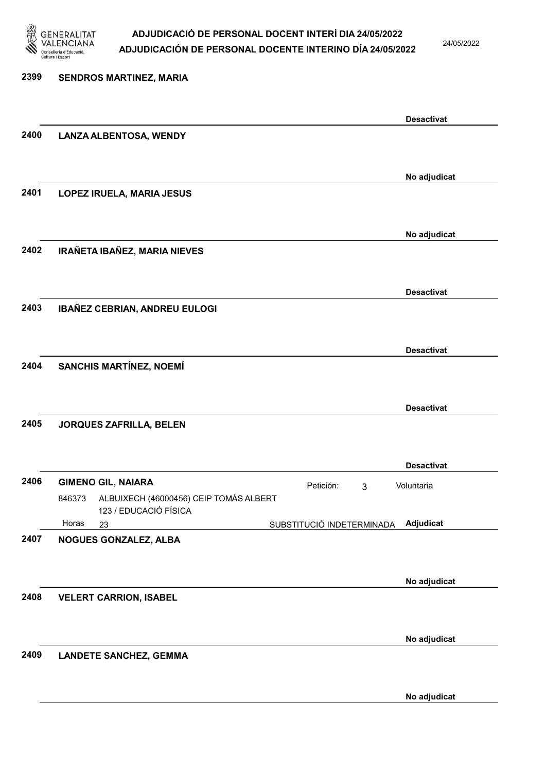

24/05/2022

### 2399 SENDROS MARTINEZ, MARIA Desactivat 2400 LANZA ALBENTOSA, WENDY No adjudicat 2401 LOPEZ IRUELA, MARIA JESUS No adjudicat 2402 IRAÑETA IBAÑEZ, MARIA NIEVES Desactivat 2403 IBAÑEZ CEBRIAN, ANDREU EULOGI Desactivat 2404 SANCHIS MARTÍNEZ, NOEMÍ Desactivat 2405 JORQUES ZAFRILLA, BELEN Desactivat 2406 GIMENO GIL, NAIARA **Petición:** 3 23 SUBSTITUCIÓ INDETERMINADA ALBUIXECH (46000456) CEIP TOMÁS ALBERT 123 / EDUCACIÓ FÍSICA Adjudicat Voluntaria 846373 Horas 2407 NOGUES GONZALEZ, ALBA No adjudicat 2408 VELERT CARRION, ISABEL No adjudicat 2409 LANDETE SANCHEZ, GEMMA No adjudicat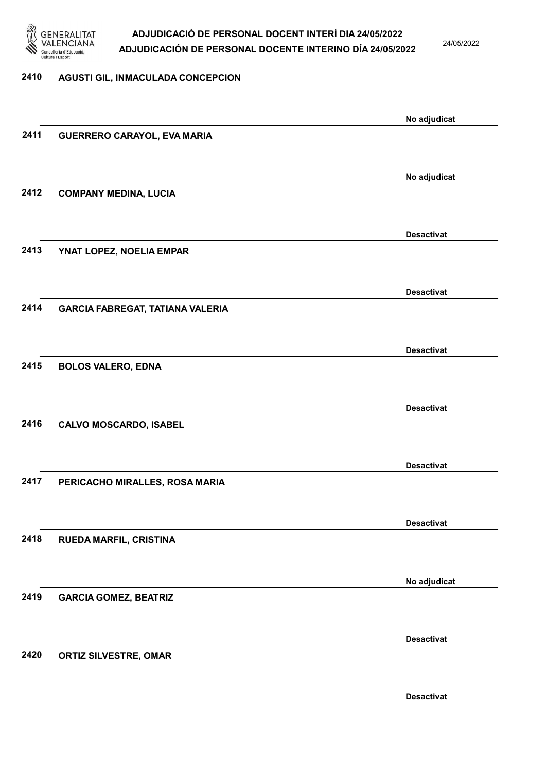

24/05/2022

#### 2410 AGUSTI GIL, INMACULADA CONCEPCION

|      |                                         | No adjudicat      |
|------|-----------------------------------------|-------------------|
| 2411 | GUERRERO CARAYOL, EVA MARIA             |                   |
|      |                                         |                   |
|      |                                         |                   |
|      |                                         | No adjudicat      |
| 2412 | <b>COMPANY MEDINA, LUCIA</b>            |                   |
|      |                                         |                   |
|      |                                         | <b>Desactivat</b> |
| 2413 | YNAT LOPEZ, NOELIA EMPAR                |                   |
|      |                                         |                   |
|      |                                         |                   |
|      |                                         | <b>Desactivat</b> |
| 2414 | <b>GARCIA FABREGAT, TATIANA VALERIA</b> |                   |
|      |                                         |                   |
|      |                                         | <b>Desactivat</b> |
| 2415 | <b>BOLOS VALERO, EDNA</b>               |                   |
|      |                                         |                   |
|      |                                         |                   |
|      |                                         | <b>Desactivat</b> |
| 2416 | <b>CALVO MOSCARDO, ISABEL</b>           |                   |
|      |                                         |                   |
|      |                                         | <b>Desactivat</b> |
| 2417 | PERICACHO MIRALLES, ROSA MARIA          |                   |
|      |                                         |                   |
|      |                                         |                   |
|      |                                         | <b>Desactivat</b> |
| 2418 | RUEDA MARFIL, CRISTINA                  |                   |
|      |                                         |                   |
|      |                                         | No adjudicat      |
| 2419 | <b>GARCIA GOMEZ, BEATRIZ</b>            |                   |
|      |                                         |                   |
|      |                                         |                   |
|      |                                         | <b>Desactivat</b> |
| 2420 | <b>ORTIZ SILVESTRE, OMAR</b>            |                   |
|      |                                         |                   |
|      |                                         | <b>Desactivat</b> |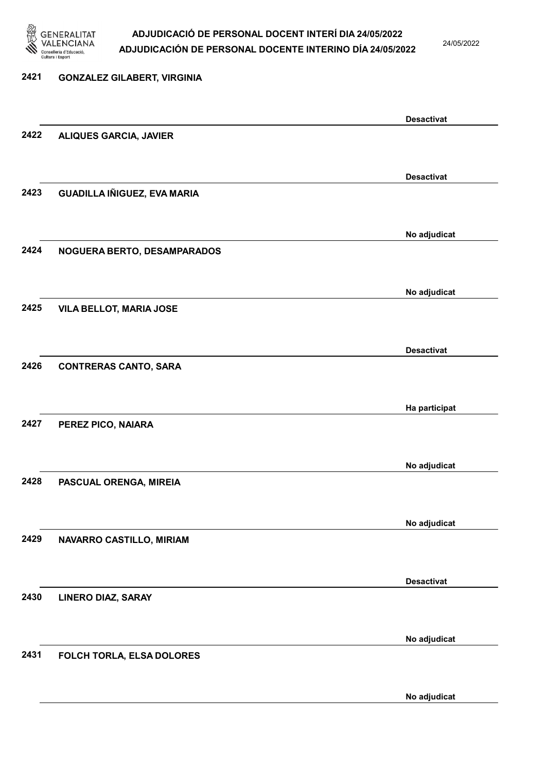

24/05/2022

No adjudicat

# 2421 GONZALEZ GILABERT, VIRGINIA Desactivat 2422 ALIQUES GARCIA, JAVIER Desactivat 2423 GUADILLA IÑIGUEZ, EVA MARIA No adjudicat 2424 NOGUERA BERTO, DESAMPARADOS No adjudicat 2425 VILA BELLOT, MARIA JOSE Desactivat 2426 CONTRERAS CANTO, SARA Ha participat 2427 PEREZ PICO, NAIARA No adjudicat 2428 PASCUAL ORENGA, MIREIA No adjudicat 2429 NAVARRO CASTILLO, MIRIAM Desactivat 2430 LINERO DIAZ, SARAY No adjudicat 2431 FOLCH TORLA, ELSA DOLORES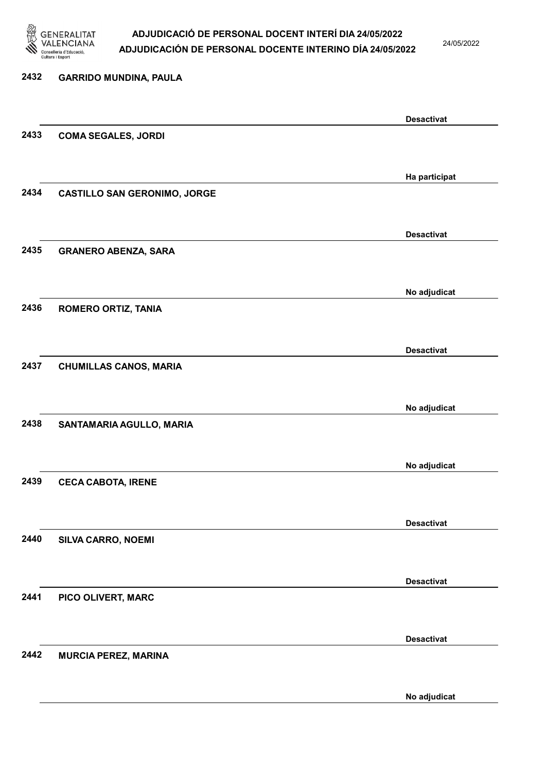

24/05/2022

### 2432 GARRIDO MUNDINA, PAULA Desactivat 2433 COMA SEGALES, JORDI Ha participat 2434 CASTILLO SAN GERONIMO, JORGE Desactivat 2435 GRANERO ABENZA, SARA No adjudicat 2436 ROMERO ORTIZ, TANIA Desactivat 2437 CHUMILLAS CANOS, MARIA No adjudicat 2438 SANTAMARIA AGULLO, MARIA No adjudicat 2439 CECA CABOTA, IRENE Desactivat 2440 SILVA CARRO, NOEMI Desactivat 2441 PICO OLIVERT, MARC Desactivat 2442 MURCIA PEREZ, MARINA No adjudicat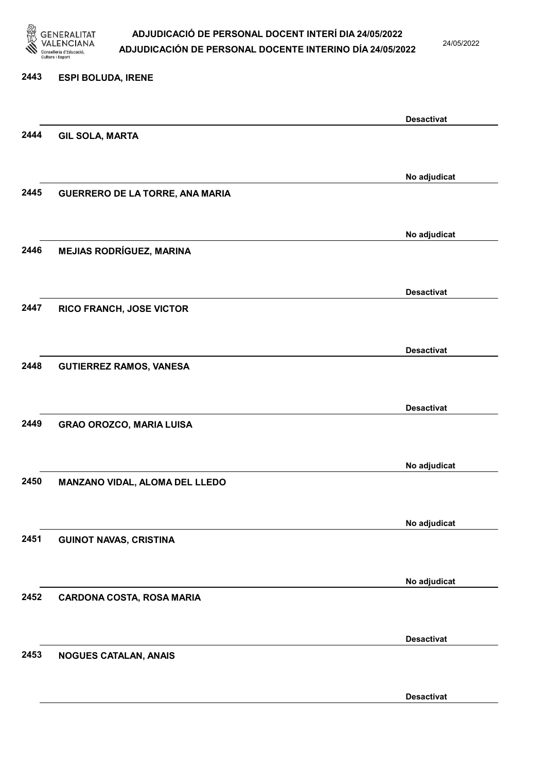

24/05/2022

#### 2443 ESPI BOLUDA, IRENE

|      |                                  | <b>Desactivat</b> |
|------|----------------------------------|-------------------|
| 2444 | <b>GIL SOLA, MARTA</b>           |                   |
|      |                                  |                   |
|      |                                  | No adjudicat      |
| 2445 | GUERRERO DE LA TORRE, ANA MARIA  |                   |
|      |                                  |                   |
|      |                                  |                   |
|      |                                  | No adjudicat      |
| 2446 | <b>MEJIAS RODRÍGUEZ, MARINA</b>  |                   |
|      |                                  |                   |
|      |                                  | <b>Desactivat</b> |
| 2447 | RICO FRANCH, JOSE VICTOR         |                   |
|      |                                  |                   |
|      |                                  |                   |
|      |                                  | <b>Desactivat</b> |
| 2448 | <b>GUTIERREZ RAMOS, VANESA</b>   |                   |
|      |                                  |                   |
|      |                                  | <b>Desactivat</b> |
| 2449 | <b>GRAO OROZCO, MARIA LUISA</b>  |                   |
|      |                                  |                   |
|      |                                  |                   |
| 2450 |                                  | No adjudicat      |
|      | MANZANO VIDAL, ALOMA DEL LLEDO   |                   |
|      |                                  |                   |
|      |                                  | No adjudicat      |
| 2451 | <b>GUINOT NAVAS, CRISTINA</b>    |                   |
|      |                                  |                   |
|      |                                  | No adjudicat      |
| 2452 | <b>CARDONA COSTA, ROSA MARIA</b> |                   |
|      |                                  |                   |
|      |                                  |                   |
|      |                                  | <b>Desactivat</b> |
| 2453 | <b>NOGUES CATALAN, ANAIS</b>     |                   |
|      |                                  |                   |
|      |                                  | <b>Desactivat</b> |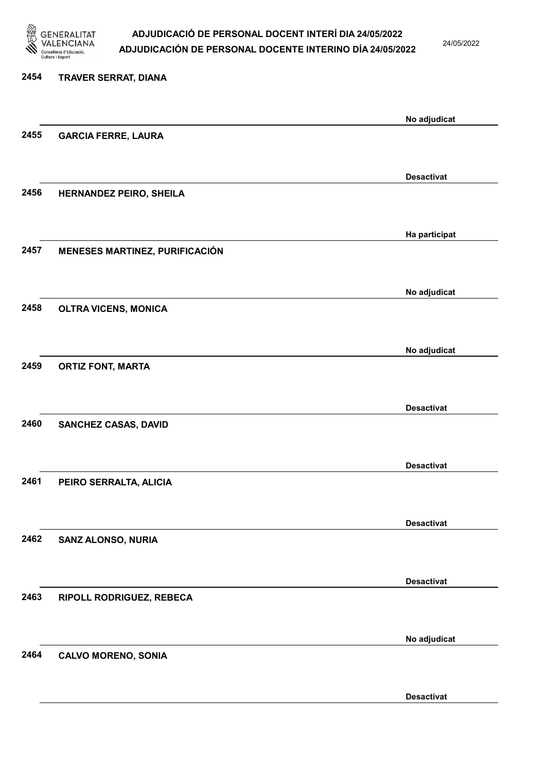

24/05/2022

Desactivat

# 2454 TRAVER SERRAT, DIANA No adjudicat 2455 GARCIA FERRE, LAURA Desactivat 2456 HERNANDEZ PEIRO, SHEILA Ha participat 2457 MENESES MARTINEZ, PURIFICACIÓN No adjudicat 2458 OLTRA VICENS, MONICA No adjudicat 2459 ORTIZ FONT, MARTA Desactivat 2460 SANCHEZ CASAS, DAVID Desactivat 2461 PEIRO SERRALTA, ALICIA Desactivat 2462 SANZ ALONSO, NURIA Desactivat 2463 RIPOLL RODRIGUEZ, REBECA No adjudicat 2464 CALVO MORENO, SONIA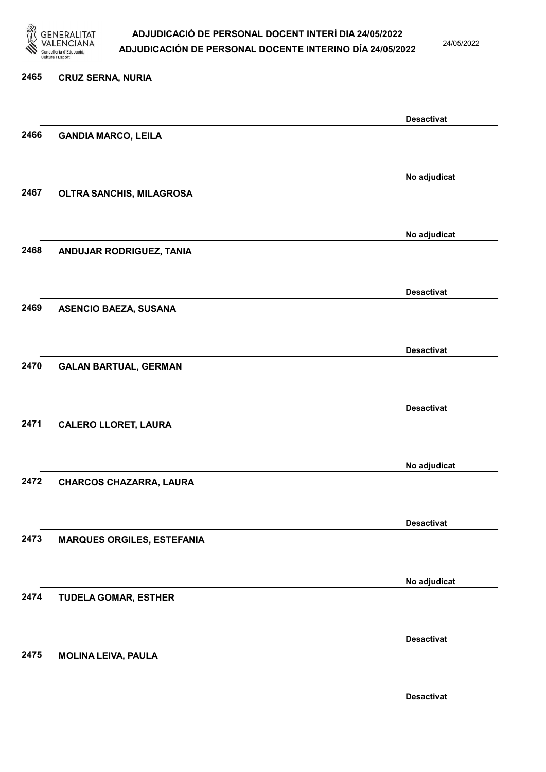

24/05/2022

#### 2465 CRUZ SERNA, NURIA

|      |                                   | <b>Desactivat</b> |
|------|-----------------------------------|-------------------|
| 2466 | <b>GANDIA MARCO, LEILA</b>        |                   |
|      |                                   |                   |
|      |                                   | No adjudicat      |
| 2467 | OLTRA SANCHIS, MILAGROSA          |                   |
|      |                                   |                   |
|      |                                   | No adjudicat      |
| 2468 | ANDUJAR RODRIGUEZ, TANIA          |                   |
|      |                                   |                   |
|      |                                   | <b>Desactivat</b> |
| 2469 | <b>ASENCIO BAEZA, SUSANA</b>      |                   |
|      |                                   |                   |
|      |                                   | <b>Desactivat</b> |
| 2470 | <b>GALAN BARTUAL, GERMAN</b>      |                   |
|      |                                   |                   |
|      |                                   | <b>Desactivat</b> |
| 2471 | <b>CALERO LLORET, LAURA</b>       |                   |
|      |                                   |                   |
|      |                                   | No adjudicat      |
| 2472 | CHARCOS CHAZARRA, LAURA           |                   |
|      |                                   |                   |
|      |                                   | <b>Desactivat</b> |
| 2473 | <b>MARQUES ORGILES, ESTEFANIA</b> |                   |
|      |                                   |                   |
|      |                                   | No adjudicat      |
| 2474 | <b>TUDELA GOMAR, ESTHER</b>       |                   |
|      |                                   |                   |
|      |                                   | <b>Desactivat</b> |
| 2475 | <b>MOLINA LEIVA, PAULA</b>        |                   |
|      |                                   |                   |
|      |                                   | <b>Desactivat</b> |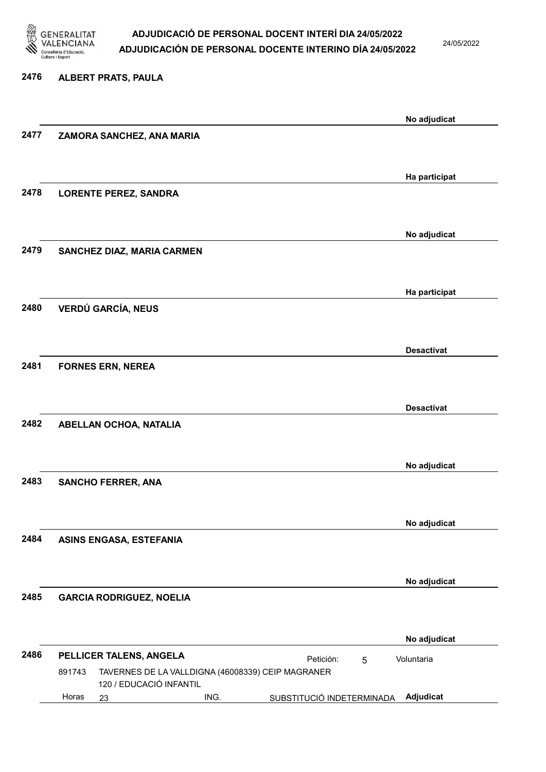

24/05/2022

#### 2476 ALBERT PRATS, PAULA

|      |        |                                 |                         |                                                   |                           |   | No adjudicat      |
|------|--------|---------------------------------|-------------------------|---------------------------------------------------|---------------------------|---|-------------------|
| 2477 |        | ZAMORA SANCHEZ, ANA MARIA       |                         |                                                   |                           |   |                   |
|      |        |                                 |                         |                                                   |                           |   |                   |
|      |        |                                 |                         |                                                   |                           |   | Ha participat     |
| 2478 |        | <b>LORENTE PEREZ, SANDRA</b>    |                         |                                                   |                           |   |                   |
|      |        |                                 |                         |                                                   |                           |   |                   |
|      |        |                                 |                         |                                                   |                           |   |                   |
|      |        |                                 |                         |                                                   |                           |   | No adjudicat      |
| 2479 |        | SANCHEZ DIAZ, MARIA CARMEN      |                         |                                                   |                           |   |                   |
|      |        |                                 |                         |                                                   |                           |   |                   |
|      |        |                                 |                         |                                                   |                           |   | Ha participat     |
| 2480 |        | <b>VERDÚ GARCÍA, NEUS</b>       |                         |                                                   |                           |   |                   |
|      |        |                                 |                         |                                                   |                           |   |                   |
|      |        |                                 |                         |                                                   |                           |   | <b>Desactivat</b> |
| 2481 |        | <b>FORNES ERN, NEREA</b>        |                         |                                                   |                           |   |                   |
|      |        |                                 |                         |                                                   |                           |   |                   |
|      |        |                                 |                         |                                                   |                           |   | <b>Desactivat</b> |
| 2482 |        | ABELLAN OCHOA, NATALIA          |                         |                                                   |                           |   |                   |
|      |        |                                 |                         |                                                   |                           |   |                   |
|      |        |                                 |                         |                                                   |                           |   |                   |
| 2483 |        | <b>SANCHO FERRER, ANA</b>       |                         |                                                   |                           |   | No adjudicat      |
|      |        |                                 |                         |                                                   |                           |   |                   |
|      |        |                                 |                         |                                                   |                           |   |                   |
|      |        |                                 |                         |                                                   |                           |   | No adjudicat      |
| 2484 |        | <b>ASINS ENGASA, ESTEFANIA</b>  |                         |                                                   |                           |   |                   |
|      |        |                                 |                         |                                                   |                           |   |                   |
|      |        |                                 |                         |                                                   |                           |   | No adjudicat      |
| 2485 |        | <b>GARCIA RODRIGUEZ, NOELIA</b> |                         |                                                   |                           |   |                   |
|      |        |                                 |                         |                                                   |                           |   |                   |
|      |        |                                 |                         |                                                   |                           |   | No adjudicat      |
| 2486 |        | PELLICER TALENS, ANGELA         |                         |                                                   | Petición:                 | 5 | Voluntaria        |
|      | 891743 |                                 |                         | TAVERNES DE LA VALLDIGNA (46008339) CEIP MAGRANER |                           |   |                   |
|      | Horas  |                                 | 120 / EDUCACIÓ INFANTIL | ING.                                              |                           |   | Adjudicat         |
|      |        | 23                              |                         |                                                   | SUBSTITUCIÓ INDETERMINADA |   |                   |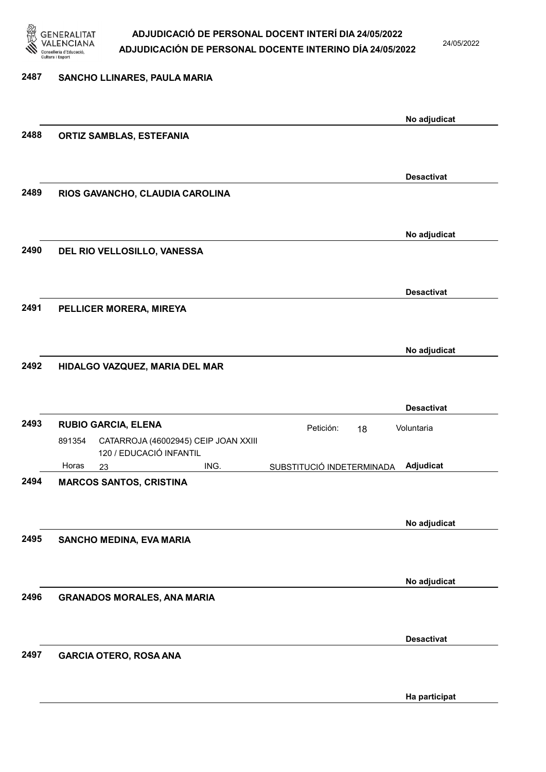

24/05/2022

| 2487 | SANCHO LLINARES, PAULA MARIA                                              |                                        |
|------|---------------------------------------------------------------------------|----------------------------------------|
|      |                                                                           |                                        |
|      |                                                                           | No adjudicat                           |
| 2488 | <b>ORTIZ SAMBLAS, ESTEFANIA</b>                                           |                                        |
|      |                                                                           |                                        |
|      |                                                                           | <b>Desactivat</b>                      |
| 2489 | RIOS GAVANCHO, CLAUDIA CAROLINA                                           |                                        |
|      |                                                                           |                                        |
|      |                                                                           | No adjudicat                           |
| 2490 | DEL RIO VELLOSILLO, VANESSA                                               |                                        |
|      |                                                                           |                                        |
|      |                                                                           | <b>Desactivat</b>                      |
| 2491 | PELLICER MORERA, MIREYA                                                   |                                        |
|      |                                                                           |                                        |
|      |                                                                           | No adjudicat                           |
| 2492 | HIDALGO VAZQUEZ, MARIA DEL MAR                                            |                                        |
|      |                                                                           |                                        |
|      |                                                                           | <b>Desactivat</b>                      |
| 2493 | <b>RUBIO GARCIA, ELENA</b>                                                | Petición:<br>Voluntaria<br>18          |
|      | 891354<br>CATARROJA (46002945) CEIP JOAN XXIII<br>120 / EDUCACIÓ INFANTIL |                                        |
|      | ING.<br>Horas<br>23                                                       | Adjudicat<br>SUBSTITUCIÓ INDETERMINADA |
| 2494 | <b>MARCOS SANTOS, CRISTINA</b>                                            |                                        |
|      |                                                                           |                                        |
|      |                                                                           | No adjudicat                           |
| 2495 | SANCHO MEDINA, EVA MARIA                                                  |                                        |
|      |                                                                           |                                        |
|      |                                                                           | No adjudicat                           |
| 2496 | <b>GRANADOS MORALES, ANA MARIA</b>                                        |                                        |
|      |                                                                           |                                        |
|      |                                                                           | <b>Desactivat</b>                      |
| 2497 | <b>GARCIA OTERO, ROSA ANA</b>                                             |                                        |

Ha participat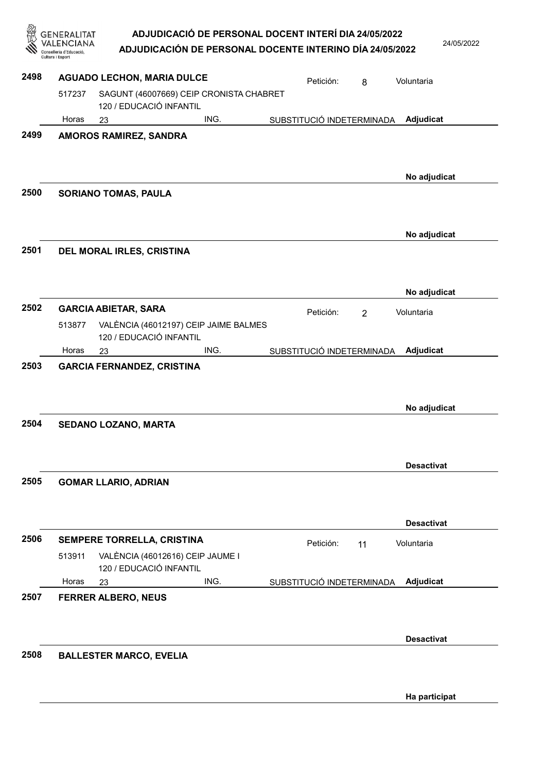|      |        | <b>AGUADO LECHON, MARIA DULCE</b>                                  |      | Petición:                 | 8              | Voluntaria        |
|------|--------|--------------------------------------------------------------------|------|---------------------------|----------------|-------------------|
|      | 517237 | SAGUNT (46007669) CEIP CRONISTA CHABRET<br>120 / EDUCACIÓ INFANTIL |      |                           |                |                   |
|      | Horas  | 23                                                                 | ING. | SUBSTITUCIÓ INDETERMINADA |                | Adjudicat         |
| 2499 |        | AMOROS RAMIREZ, SANDRA                                             |      |                           |                |                   |
|      |        |                                                                    |      |                           |                | No adjudicat      |
| 2500 |        | <b>SORIANO TOMAS, PAULA</b>                                        |      |                           |                |                   |
|      |        |                                                                    |      |                           |                | No adjudicat      |
| 2501 |        | DEL MORAL IRLES, CRISTINA                                          |      |                           |                |                   |
|      |        |                                                                    |      |                           |                | No adjudicat      |
| 2502 |        | <b>GARCIA ABIETAR, SARA</b>                                        |      | Petición:                 | $\overline{2}$ | Voluntaria        |
|      | 513877 | VALÈNCIA (46012197) CEIP JAIME BALMES<br>120 / EDUCACIÓ INFANTIL   |      |                           |                |                   |
| 2503 | Horas  | 23<br><b>GARCIA FERNANDEZ, CRISTINA</b>                            | ING. | SUBSTITUCIÓ INDETERMINADA |                | Adjudicat         |
| 2504 |        | SEDANO LOZANO, MARTA                                               |      |                           |                | No adjudicat      |
|      |        |                                                                    |      |                           |                | <b>Desactivat</b> |
| 2505 |        | <b>GOMAR LLARIO, ADRIAN</b>                                        |      |                           |                |                   |
|      |        |                                                                    |      |                           |                | <b>Desactivat</b> |
| 2506 |        | SEMPERE TORRELLA, CRISTINA                                         |      | Petición:                 | 11             | Voluntaria        |
|      | 513911 | VALÈNCIA (46012616) CEIP JAUME I<br>120 / EDUCACIÓ INFANTIL        |      |                           |                |                   |
| 2507 | Horas  | 23<br><b>FERRER ALBERO, NEUS</b>                                   | ING. | SUBSTITUCIÓ INDETERMINADA |                | Adjudicat         |
|      |        |                                                                    |      |                           |                |                   |
|      |        |                                                                    |      |                           |                | <b>Desactivat</b> |
|      |        |                                                                    |      |                           |                |                   |
| 2508 |        | <b>BALLESTER MARCO, EVELIA</b>                                     |      |                           |                |                   |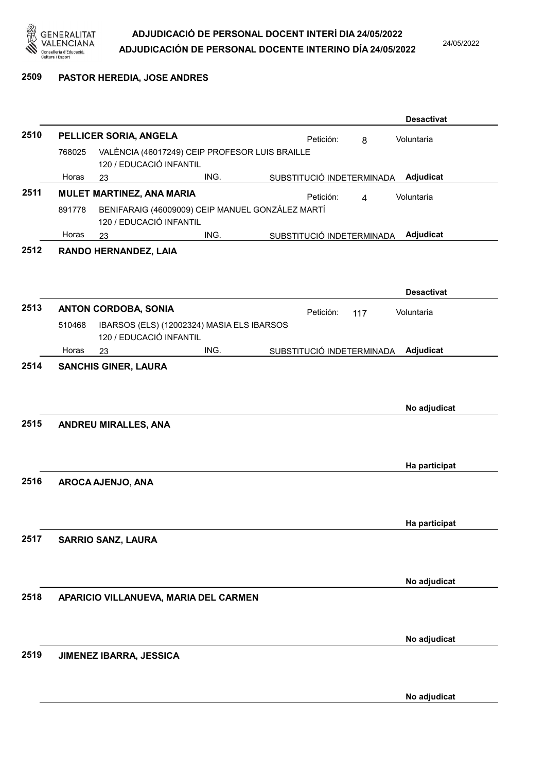

24/05/2022

#### 2509 PASTOR HEREDIA, JOSE ANDRES

|      |        |                             |                                                  |                             | <b>Desactivat</b> |
|------|--------|-----------------------------|--------------------------------------------------|-----------------------------|-------------------|
| 2510 |        | PELLICER SORIA, ANGELA      |                                                  | Petición:<br>8              | Voluntaria        |
|      | 768025 | 120 / EDUCACIÓ INFANTIL     | VALÈNCIA (46017249) CEIP PROFESOR LUIS BRAILLE   |                             |                   |
|      | Horas  | 23                          | ING.                                             | SUBSTITUCIÓ INDETERMINADA   | Adjudicat         |
| 2511 |        | MULET MARTINEZ, ANA MARIA   |                                                  | Petición:<br>$\overline{4}$ | Voluntaria        |
|      | 891778 | 120 / EDUCACIÓ INFANTIL     | BENIFARAIG (46009009) CEIP MANUEL GONZÁLEZ MARTÍ |                             |                   |
|      | Horas  | 23                          | ING.                                             | SUBSTITUCIÓ INDETERMINADA   | Adjudicat         |
| 2512 |        | RANDO HERNANDEZ, LAIA       |                                                  |                             | <b>Desactivat</b> |
| 2513 |        | <b>ANTON CORDOBA, SONIA</b> |                                                  | Petición:<br>117            | Voluntaria        |
|      | 510468 | 120 / EDUCACIÓ INFANTIL     | IBARSOS (ELS) (12002324) MASIA ELS IBARSOS       |                             |                   |
|      | Horas  | 23                          | ING.                                             | SUBSTITUCIÓ INDETERMINADA   | Adjudicat         |
| 2514 |        | <b>SANCHIS GINER, LAURA</b> |                                                  |                             | No adjudicat      |
| 2515 |        | <b>ANDREU MIRALLES, ANA</b> |                                                  |                             | Ha participat     |
| 2516 |        | AROCA AJENJO, ANA           |                                                  |                             |                   |
|      |        |                             |                                                  |                             | Ha participat     |
| 2517 |        | <b>SARRIO SANZ, LAURA</b>   |                                                  |                             |                   |
|      |        |                             |                                                  |                             | No adjudicat      |
| 2518 |        |                             | APARICIO VILLANUEVA, MARIA DEL CARMEN            |                             |                   |
|      |        |                             |                                                  |                             | No adjudicat      |
| 2519 |        | JIMENEZ IBARRA, JESSICA     |                                                  |                             |                   |
|      |        |                             |                                                  |                             | No adjudicat      |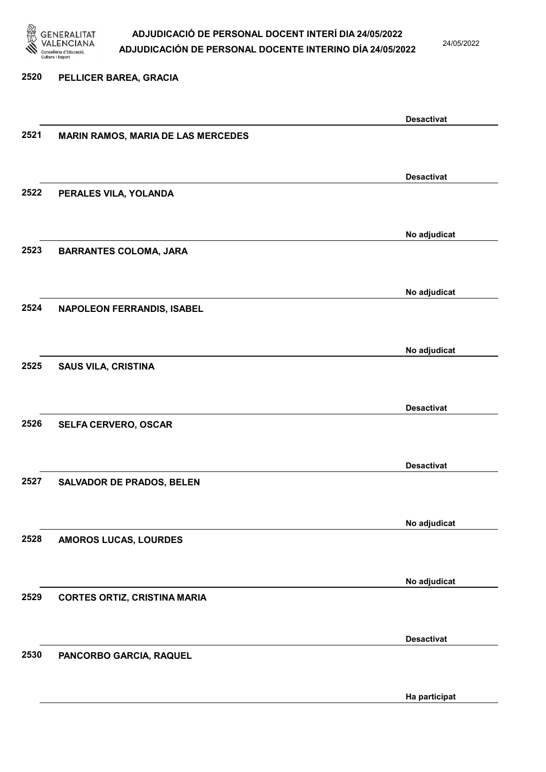

24/05/2022

#### 2520 PELLICER BAREA, GRACIA

|      |                                           | <b>Desactivat</b> |
|------|-------------------------------------------|-------------------|
| 2521 | <b>MARIN RAMOS, MARIA DE LAS MERCEDES</b> |                   |
|      |                                           |                   |
|      |                                           |                   |
|      |                                           | <b>Desactivat</b> |
|      |                                           |                   |
| 2522 | PERALES VILA, YOLANDA                     |                   |
|      |                                           |                   |
|      |                                           |                   |
|      |                                           | No adjudicat      |
| 2523 | <b>BARRANTES COLOMA, JARA</b>             |                   |
|      |                                           |                   |
|      |                                           |                   |
|      |                                           | No adjudicat      |
|      |                                           |                   |
| 2524 | <b>NAPOLEON FERRANDIS, ISABEL</b>         |                   |
|      |                                           |                   |
|      |                                           |                   |
|      |                                           | No adjudicat      |
| 2525 | <b>SAUS VILA, CRISTINA</b>                |                   |
|      |                                           |                   |
|      |                                           |                   |
|      |                                           | <b>Desactivat</b> |
| 2526 |                                           |                   |
|      | SELFA CERVERO, OSCAR                      |                   |
|      |                                           |                   |
|      |                                           |                   |
|      |                                           | <b>Desactivat</b> |
| 2527 | <b>SALVADOR DE PRADOS, BELEN</b>          |                   |
|      |                                           |                   |
|      |                                           |                   |
|      |                                           | No adjudicat      |
| 2528 | AMOROS LUCAS, LOURDES                     |                   |
|      |                                           |                   |
|      |                                           |                   |
|      |                                           |                   |
|      |                                           | No adjudicat      |
| 2529 | <b>CORTES ORTIZ, CRISTINA MARIA</b>       |                   |
|      |                                           |                   |
|      |                                           |                   |
|      |                                           | <b>Desactivat</b> |
| 2530 | PANCORBO GARCIA, RAQUEL                   |                   |
|      |                                           |                   |
|      |                                           |                   |
|      |                                           |                   |
|      |                                           | Ha participat     |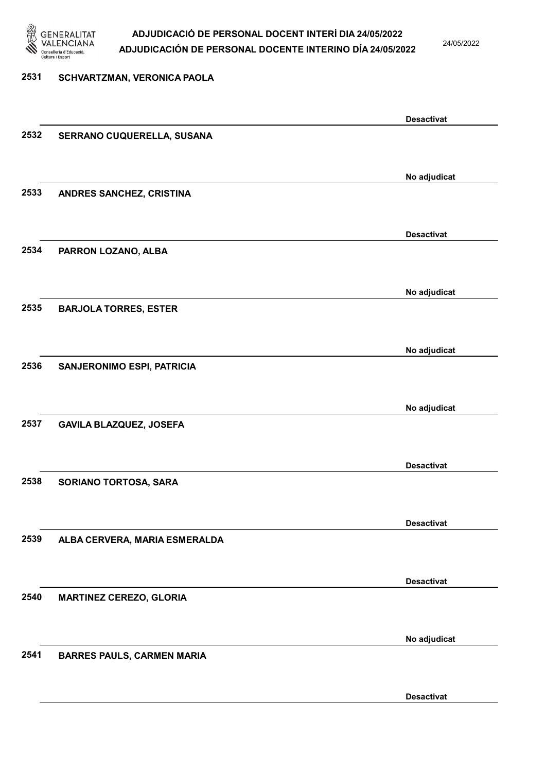

24/05/2022

Desactivat

# 2531 SCHVARTZMAN, VERONICA PAOLA Desactivat 2532 SERRANO CUQUERELLA, SUSANA No adjudicat 2533 ANDRES SANCHEZ, CRISTINA Desactivat 2534 PARRON LOZANO, ALBA No adjudicat 2535 BARJOLA TORRES, ESTER No adjudicat 2536 SANJERONIMO ESPI, PATRICIA No adjudicat 2537 GAVILA BLAZQUEZ, JOSEFA Desactivat 2538 SORIANO TORTOSA, SARA Desactivat 2539 ALBA CERVERA, MARIA ESMERALDA Desactivat 2540 MARTINEZ CEREZO, GLORIA No adjudicat 2541 BARRES PAULS, CARMEN MARIA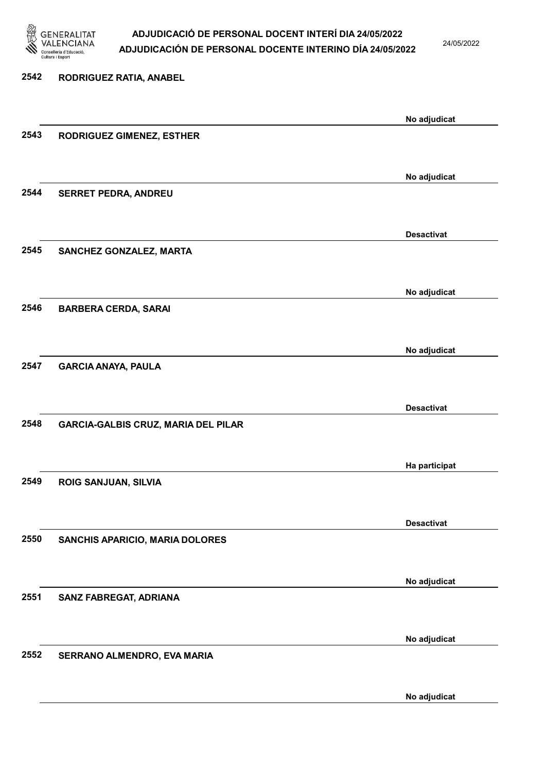

24/05/2022

No adjudicat

# 2542 RODRIGUEZ RATIA, ANABEL No adjudicat 2543 RODRIGUEZ GIMENEZ, ESTHER No adjudicat 2544 SERRET PEDRA, ANDREU Desactivat 2545 SANCHEZ GONZALEZ, MARTA No adjudicat 2546 BARBERA CERDA, SARAI No adjudicat 2547 GARCIA ANAYA, PAULA Desactivat 2548 GARCIA-GALBIS CRUZ, MARIA DEL PILAR Ha participat 2549 ROIG SANJUAN, SILVIA Desactivat 2550 SANCHIS APARICIO, MARIA DOLORES No adjudicat 2551 SANZ FABREGAT, ADRIANA No adjudicat 2552 SERRANO ALMENDRO, EVA MARIA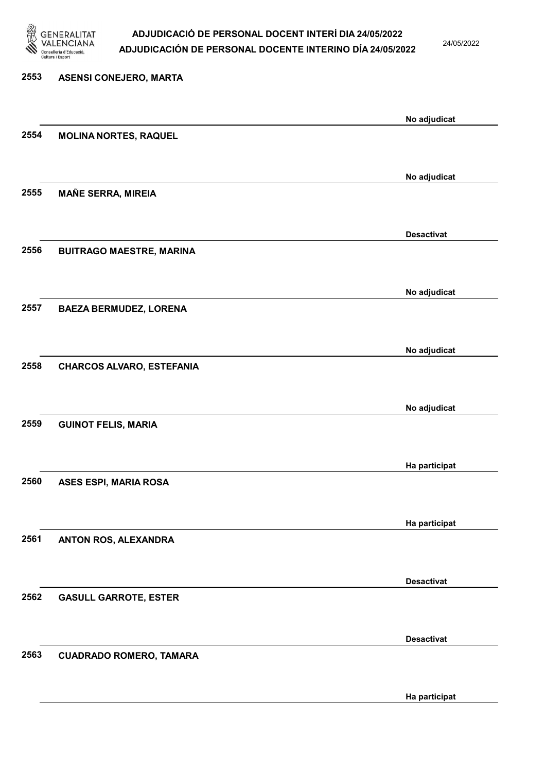

24/05/2022

# 2553 ASENSI CONEJERO, MARTA No adjudicat 2554 MOLINA NORTES, RAQUEL No adjudicat 2555 MAÑE SERRA, MIREIA Desactivat 2556 BUITRAGO MAESTRE, MARINA No adjudicat 2557 BAEZA BERMUDEZ, LORENA No adjudicat 2558 CHARCOS ALVARO, ESTEFANIA No adjudicat 2559 GUINOT FELIS, MARIA Ha participat 2560 ASES ESPI, MARIA ROSA Ha participat 2561 ANTON ROS, ALEXANDRA Desactivat 2562 GASULL GARROTE, ESTER Desactivat 2563 CUADRADO ROMERO, TAMARA

Ha participat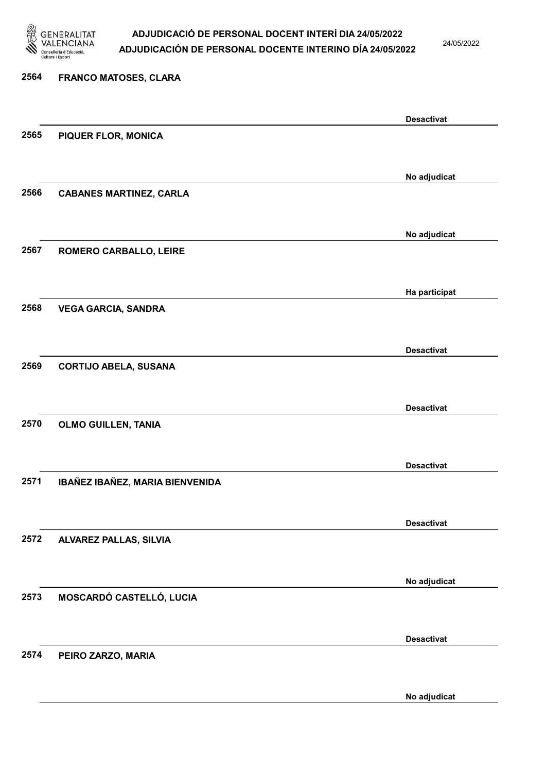

24/05/2022

No adjudicat

# 2564 FRANCO MATOSES, CLARA Desactivat 2565 PIQUER FLOR, MONICA No adjudicat 2566 CABANES MARTINEZ, CARLA No adjudicat 2567 ROMERO CARBALLO, LEIRE Ha participat 2568 VEGA GARCIA, SANDRA Desactivat 2569 CORTIJO ABELA, SUSANA Desactivat 2570 OLMO GUILLEN, TANIA Desactivat 2571 IBAÑEZ IBAÑEZ, MARIA BIENVENIDA Desactivat 2572 ALVAREZ PALLAS, SILVIA No adjudicat 2573 MOSCARDÓ CASTELLÓ, LUCIA Desactivat 2574 PEIRO ZARZO, MARIA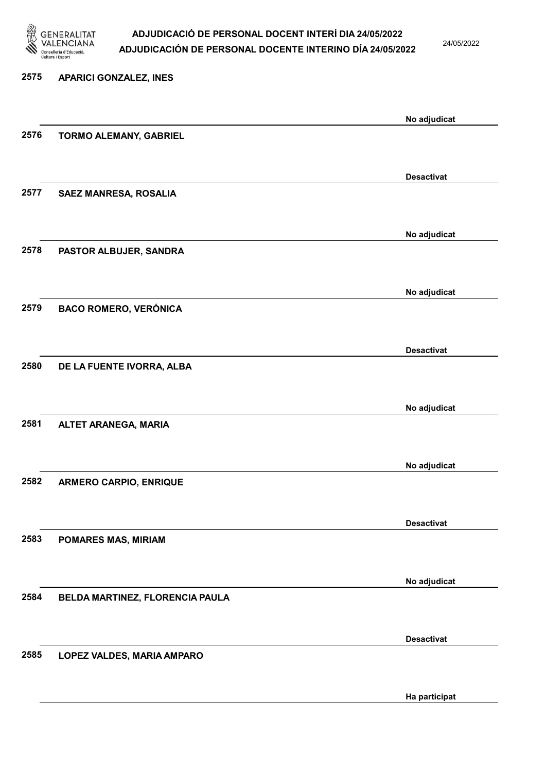

24/05/2022

Ha participat

# 2575 APARICI GONZALEZ, INES No adjudicat 2576 TORMO ALEMANY, GABRIEL Desactivat 2577 SAEZ MANRESA, ROSALIA No adjudicat 2578 PASTOR ALBUJER, SANDRA No adjudicat 2579 BACO ROMERO, VERÓNICA Desactivat 2580 DE LA FUENTE IVORRA, ALBA No adjudicat 2581 ALTET ARANEGA, MARIA No adjudicat 2582 ARMERO CARPIO, ENRIQUE Desactivat 2583 POMARES MAS, MIRIAM No adjudicat 2584 BELDA MARTINEZ, FLORENCIA PAULA Desactivat 2585 LOPEZ VALDES, MARIA AMPARO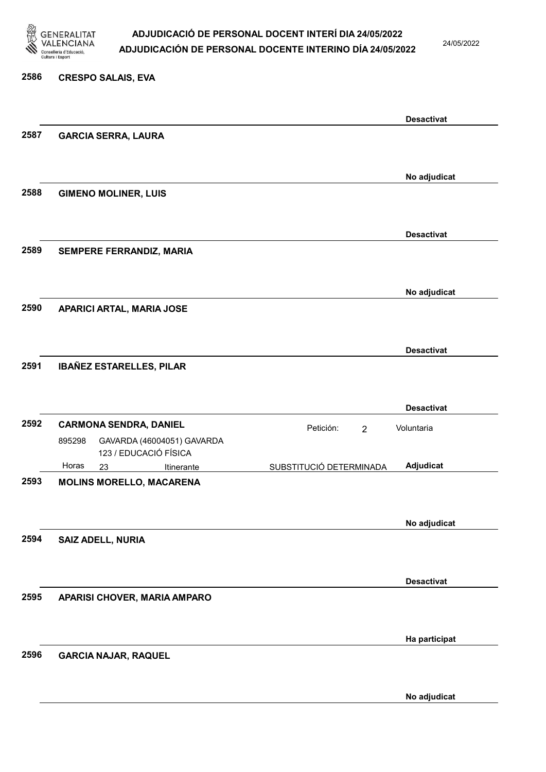

24/05/2022

#### 2586 CRESPO SALAIS, EVA

|      |                                      |                             | <b>Desactivat</b> |
|------|--------------------------------------|-----------------------------|-------------------|
| 2587 | <b>GARCIA SERRA, LAURA</b>           |                             |                   |
|      |                                      |                             |                   |
|      |                                      |                             | No adjudicat      |
| 2588 | <b>GIMENO MOLINER, LUIS</b>          |                             |                   |
|      |                                      |                             |                   |
|      |                                      |                             | <b>Desactivat</b> |
| 2589 | SEMPERE FERRANDIZ, MARIA             |                             |                   |
|      |                                      |                             |                   |
|      |                                      |                             |                   |
|      |                                      |                             | No adjudicat      |
| 2590 | APARICI ARTAL, MARIA JOSE            |                             |                   |
|      |                                      |                             |                   |
|      |                                      |                             | <b>Desactivat</b> |
| 2591 | <b>IBAÑEZ ESTARELLES, PILAR</b>      |                             |                   |
|      |                                      |                             |                   |
|      |                                      |                             | <b>Desactivat</b> |
| 2592 | <b>CARMONA SENDRA, DANIEL</b>        |                             |                   |
|      | GAVARDA (46004051) GAVARDA<br>895298 | Petición:<br>$\overline{2}$ | Voluntaria        |
|      | 123 / EDUCACIÓ FÍSICA                |                             |                   |
|      | Horas<br>23<br>Itinerante            | SUBSTITUCIÓ DETERMINADA     | Adjudicat         |
| 2593 | <b>MOLINS MORELLO, MACARENA</b>      |                             |                   |
|      |                                      |                             |                   |
|      |                                      |                             | No adjudicat      |
| 2594 | SAIZ ADELL, NURIA                    |                             |                   |
|      |                                      |                             |                   |
|      |                                      |                             | <b>Desactivat</b> |
| 2595 | APARISI CHOVER, MARIA AMPARO         |                             |                   |
|      |                                      |                             |                   |
|      |                                      |                             |                   |
|      |                                      |                             | Ha participat     |
| 2596 | <b>GARCIA NAJAR, RAQUEL</b>          |                             |                   |
|      |                                      |                             |                   |
|      |                                      |                             | No adjudicat      |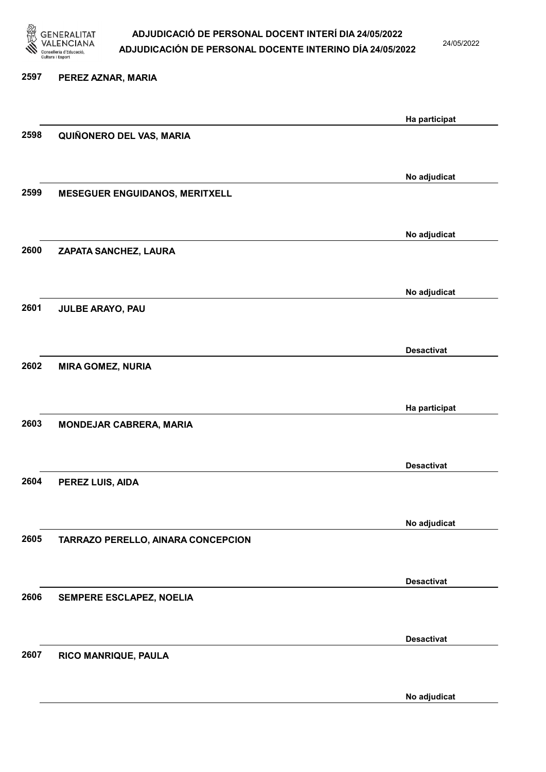

24/05/2022

No adjudicat

# 2597 PEREZ AZNAR, MARIA Ha participat 2598 QUIÑONERO DEL VAS, MARIA No adjudicat 2599 MESEGUER ENGUIDANOS, MERITXELL No adjudicat 2600 ZAPATA SANCHEZ, LAURA No adjudicat 2601 JULBE ARAYO, PAU Desactivat 2602 MIRA GOMEZ, NURIA Ha participat 2603 MONDEJAR CABRERA, MARIA Desactivat 2604 PEREZ LUIS, AIDA No adjudicat 2605 TARRAZO PERELLO, AINARA CONCEPCION Desactivat 2606 SEMPERE ESCLAPEZ, NOELIA Desactivat 2607 RICO MANRIQUE, PAULA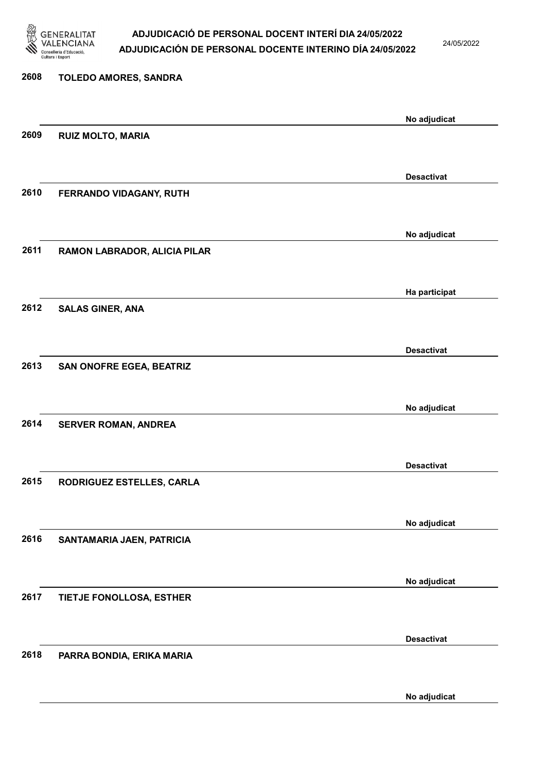

24/05/2022

| 2608 | TOLEDO AMORES, SANDRA        |                   |
|------|------------------------------|-------------------|
|      |                              | No adjudicat      |
| 2609 | <b>RUIZ MOLTO, MARIA</b>     |                   |
|      |                              | <b>Desactivat</b> |
| 2610 | FERRANDO VIDAGANY, RUTH      |                   |
|      |                              |                   |
| 2611 | RAMON LABRADOR, ALICIA PILAR | No adjudicat      |
|      |                              |                   |
|      |                              | Ha participat     |
| 2612 | <b>SALAS GINER, ANA</b>      |                   |
|      |                              | <b>Desactivat</b> |
| 2613 | SAN ONOFRE EGEA, BEATRIZ     |                   |
|      |                              |                   |
| 2614 | <b>SERVER ROMAN, ANDREA</b>  | No adjudicat      |
|      |                              |                   |
| 2615 | RODRIGUEZ ESTELLES, CARLA    | <b>Desactivat</b> |
|      |                              |                   |
|      |                              | No adjudicat      |
| 2616 | SANTAMARIA JAEN, PATRICIA    |                   |
|      |                              | No adjudicat      |
| 2617 | TIETJE FONOLLOSA, ESTHER     |                   |
|      |                              | <b>Desactivat</b> |
| 2618 | PARRA BONDIA, ERIKA MARIA    |                   |
|      |                              |                   |

No adjudicat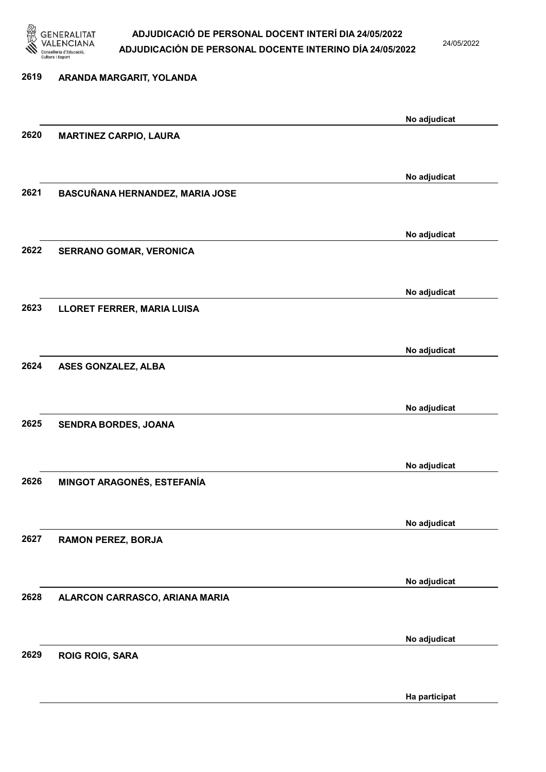

24/05/2022

| 2619 | ARANDA MARGARIT, YOLANDA          |              |
|------|-----------------------------------|--------------|
|      |                                   |              |
|      |                                   | No adjudicat |
| 2620 | <b>MARTINEZ CARPIO, LAURA</b>     |              |
|      |                                   |              |
|      |                                   | No adjudicat |
| 2621 | BASCUÑANA HERNANDEZ, MARIA JOSE   |              |
|      |                                   |              |
|      |                                   | No adjudicat |
| 2622 | SERRANO GOMAR, VERONICA           |              |
|      |                                   |              |
|      |                                   | No adjudicat |
| 2623 | LLORET FERRER, MARIA LUISA        |              |
|      |                                   |              |
| 2624 |                                   | No adjudicat |
|      | ASES GONZALEZ, ALBA               |              |
|      |                                   |              |
| 2625 | SENDRA BORDES, JOANA              | No adjudicat |
|      |                                   |              |
|      |                                   |              |
| 2626 | <b>MINGOT ARAGONÉS, ESTEFANÍA</b> | No adjudicat |
|      |                                   |              |
|      |                                   | No adjudicat |
| 2627 | <b>RAMON PEREZ, BORJA</b>         |              |
|      |                                   |              |
|      |                                   | No adjudicat |
| 2628 | ALARCON CARRASCO, ARIANA MARIA    |              |
|      |                                   |              |
|      |                                   | No adjudicat |
| 2629 | <b>ROIG ROIG, SARA</b>            |              |
|      |                                   |              |
|      |                                   |              |

Ha participat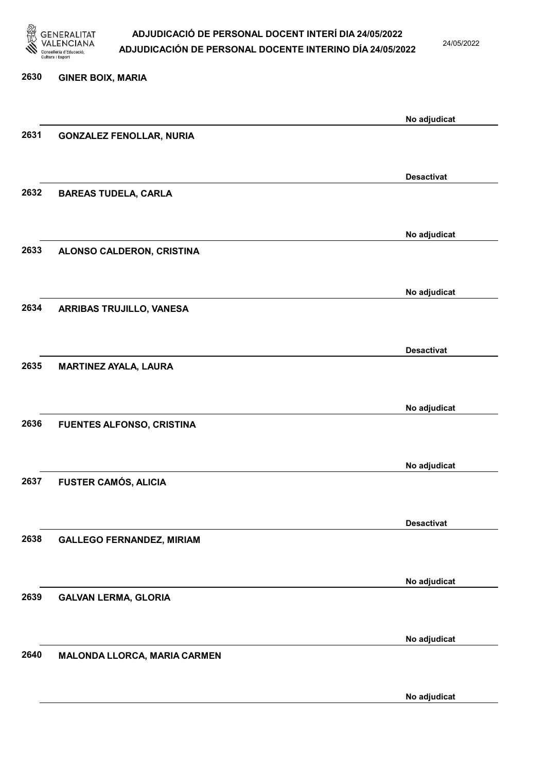

24/05/2022

No adjudicat

# 2630 GINER BOIX, MARIA No adjudicat 2631 GONZALEZ FENOLLAR, NURIA Desactivat 2632 BAREAS TUDELA, CARLA No adjudicat 2633 ALONSO CALDERON, CRISTINA No adjudicat 2634 ARRIBAS TRUJILLO, VANESA Desactivat 2635 MARTINEZ AYALA, LAURA No adjudicat 2636 FUENTES ALFONSO, CRISTINA No adjudicat 2637 FUSTER CAMÓS, ALICIA Desactivat 2638 GALLEGO FERNANDEZ, MIRIAM No adjudicat 2639 GALVAN LERMA, GLORIA No adjudicat 2640 MALONDA LLORCA, MARIA CARMEN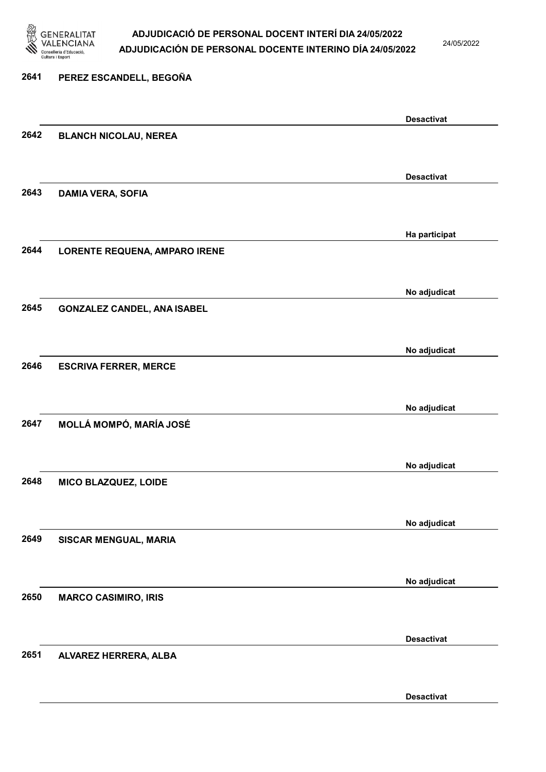

24/05/2022

Desactivat

# 2641 PEREZ ESCANDELL, BEGOÑA Desactivat 2642 BLANCH NICOLAU, NEREA Desactivat 2643 DAMIA VERA, SOFIA Ha participat 2644 LORENTE REQUENA, AMPARO IRENE No adjudicat 2645 GONZALEZ CANDEL, ANA ISABEL No adjudicat 2646 ESCRIVA FERRER, MERCE No adjudicat 2647 MOLLÁ MOMPÓ, MARÍA JOSÉ No adjudicat 2648 MICO BLAZQUEZ, LOIDE No adjudicat 2649 SISCAR MENGUAL, MARIA No adjudicat 2650 MARCO CASIMIRO, IRIS Desactivat 2651 ALVAREZ HERRERA, ALBA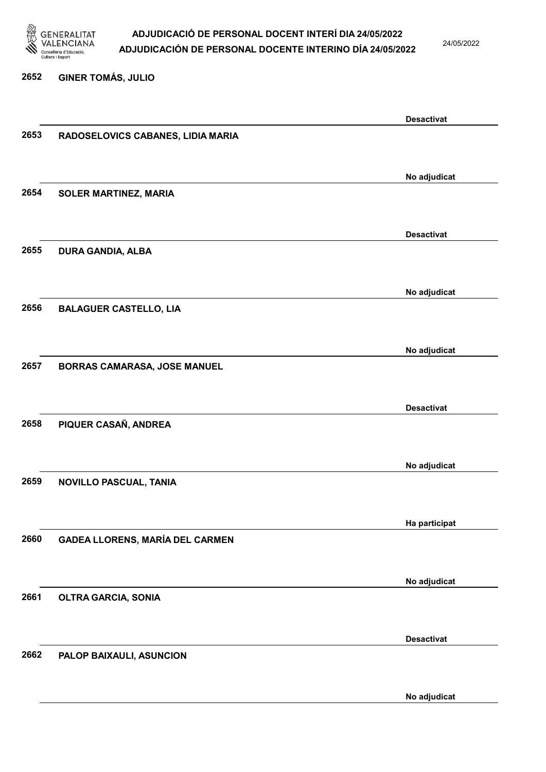

24/05/2022

#### 2652 GINER TOMÁS, JULIO

|      |                                        | <b>Desactivat</b> |
|------|----------------------------------------|-------------------|
| 2653 | RADOSELOVICS CABANES, LIDIA MARIA      |                   |
|      |                                        |                   |
|      |                                        | No adjudicat      |
| 2654 | <b>SOLER MARTINEZ, MARIA</b>           |                   |
|      |                                        |                   |
|      |                                        | <b>Desactivat</b> |
| 2655 | <b>DURA GANDIA, ALBA</b>               |                   |
|      |                                        |                   |
|      |                                        | No adjudicat      |
| 2656 | <b>BALAGUER CASTELLO, LIA</b>          |                   |
|      |                                        |                   |
|      |                                        | No adjudicat      |
| 2657 | BORRAS CAMARASA, JOSE MANUEL           |                   |
|      |                                        |                   |
|      |                                        | <b>Desactivat</b> |
| 2658 | PIQUER CASAÑ, ANDREA                   |                   |
|      |                                        |                   |
|      |                                        | No adjudicat      |
| 2659 | NOVILLO PASCUAL, TANIA                 |                   |
|      |                                        |                   |
|      |                                        | Ha participat     |
| 2660 | <b>GADEA LLORENS, MARÍA DEL CARMEN</b> |                   |
|      |                                        |                   |
|      |                                        | No adjudicat      |
| 2661 | <b>OLTRA GARCIA, SONIA</b>             |                   |
|      |                                        |                   |
|      |                                        | <b>Desactivat</b> |
| 2662 | PALOP BAIXAULI, ASUNCION               |                   |
|      |                                        |                   |
|      |                                        | No adjudicat      |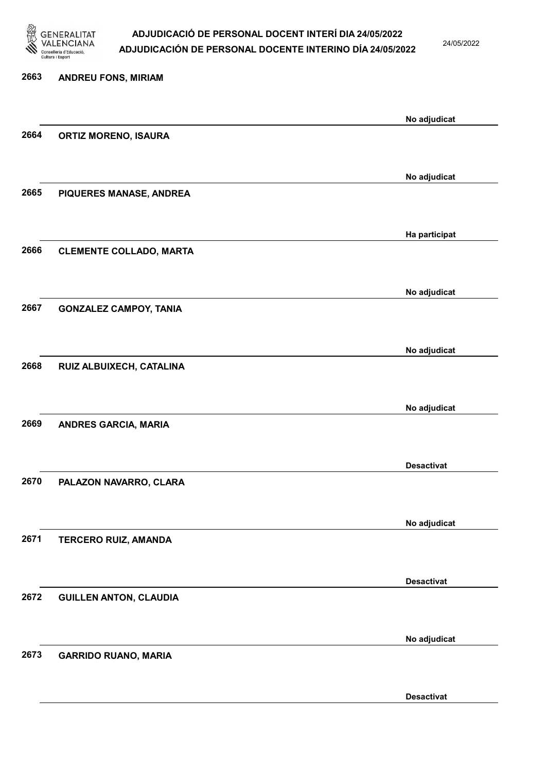

24/05/2022

Desactivat

# 2663 ANDREU FONS, MIRIAM No adjudicat 2664 ORTIZ MORENO, ISAURA No adjudicat 2665 PIQUERES MANASE, ANDREA Ha participat 2666 CLEMENTE COLLADO, MARTA No adjudicat 2667 GONZALEZ CAMPOY, TANIA No adjudicat 2668 RUIZ ALBUIXECH, CATALINA No adjudicat 2669 ANDRES GARCIA, MARIA Desactivat 2670 PALAZON NAVARRO, CLARA No adjudicat 2671 TERCERO RUIZ, AMANDA Desactivat 2672 GUILLEN ANTON, CLAUDIA No adjudicat 2673 GARRIDO RUANO, MARIA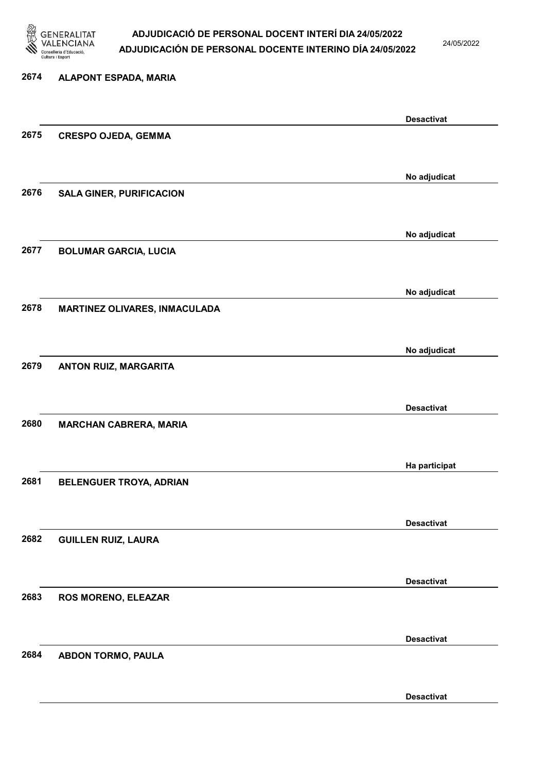

24/05/2022

Desactivat

# 2674 ALAPONT ESPADA, MARIA Desactivat 2675 CRESPO OJEDA, GEMMA No adjudicat 2676 SALA GINER, PURIFICACION No adjudicat 2677 BOLUMAR GARCIA, LUCIA No adjudicat 2678 MARTINEZ OLIVARES, INMACULADA No adjudicat 2679 ANTON RUIZ, MARGARITA Desactivat 2680 MARCHAN CABRERA, MARIA Ha participat 2681 BELENGUER TROYA, ADRIAN Desactivat 2682 GUILLEN RUIZ, LAURA Desactivat 2683 ROS MORENO, ELEAZAR Desactivat 2684 ABDON TORMO, PAULA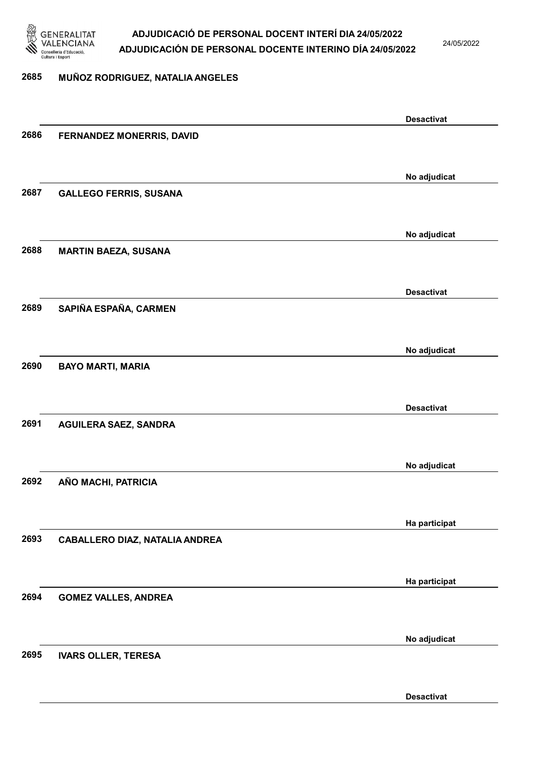

24/05/2022

#### 2685 MUÑOZ RODRIGUEZ, NATALIA ANGELES

|      |                                       | <b>Desactivat</b> |
|------|---------------------------------------|-------------------|
| 2686 | FERNANDEZ MONERRIS, DAVID             |                   |
|      |                                       |                   |
|      |                                       |                   |
| 2687 |                                       | No adjudicat      |
|      | <b>GALLEGO FERRIS, SUSANA</b>         |                   |
|      |                                       |                   |
|      |                                       | No adjudicat      |
| 2688 | <b>MARTIN BAEZA, SUSANA</b>           |                   |
|      |                                       |                   |
|      |                                       | <b>Desactivat</b> |
| 2689 | SAPIÑA ESPAÑA, CARMEN                 |                   |
|      |                                       |                   |
|      |                                       |                   |
|      |                                       | No adjudicat      |
| 2690 | <b>BAYO MARTI, MARIA</b>              |                   |
|      |                                       |                   |
|      |                                       | <b>Desactivat</b> |
| 2691 | <b>AGUILERA SAEZ, SANDRA</b>          |                   |
|      |                                       |                   |
|      |                                       |                   |
|      |                                       | No adjudicat      |
| 2692 | AÑO MACHI, PATRICIA                   |                   |
|      |                                       |                   |
|      |                                       | Ha participat     |
| 2693 | <b>CABALLERO DIAZ, NATALIA ANDREA</b> |                   |
|      |                                       |                   |
|      |                                       |                   |
| 2694 |                                       | Ha participat     |
|      | <b>GOMEZ VALLES, ANDREA</b>           |                   |
|      |                                       |                   |
|      |                                       | No adjudicat      |
| 2695 | <b>IVARS OLLER, TERESA</b>            |                   |
|      |                                       |                   |
|      |                                       | <b>Desactivat</b> |
|      |                                       |                   |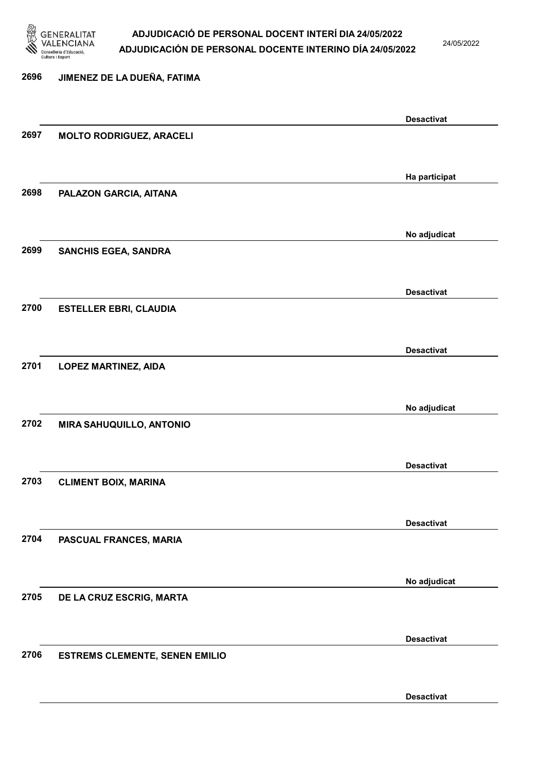

24/05/2022

Desactivat

### 2696 JIMENEZ DE LA DUEÑA, FATIMA Desactivat 2697 MOLTO RODRIGUEZ, ARACELI Ha participat 2698 PALAZON GARCIA, AITANA No adjudicat 2699 SANCHIS EGEA, SANDRA Desactivat 2700 ESTELLER EBRI, CLAUDIA Desactivat 2701 LOPEZ MARTINEZ, AIDA No adjudicat 2702 MIRA SAHUQUILLO, ANTONIO Desactivat 2703 CLIMENT BOIX, MARINA Desactivat 2704 PASCUAL FRANCES, MARIA No adjudicat 2705 DE LA CRUZ ESCRIG, MARTA Desactivat 2706 ESTREMS CLEMENTE, SENEN EMILIO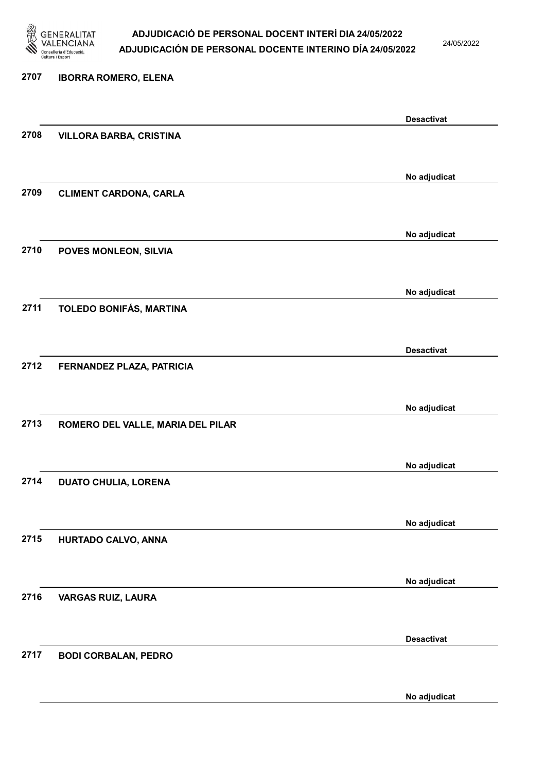

24/05/2022

#### 2707 IBORRA ROMERO, ELENA

|      |                                   | <b>Desactivat</b> |
|------|-----------------------------------|-------------------|
| 2708 | <b>VILLORA BARBA, CRISTINA</b>    |                   |
|      |                                   |                   |
|      |                                   | No adjudicat      |
| 2709 | <b>CLIMENT CARDONA, CARLA</b>     |                   |
|      |                                   |                   |
|      |                                   | No adjudicat      |
| 2710 | POVES MONLEON, SILVIA             |                   |
|      |                                   |                   |
|      |                                   | No adjudicat      |
| 2711 | TOLEDO BONIFÁS, MARTINA           |                   |
|      |                                   |                   |
|      |                                   |                   |
| 2712 | FERNANDEZ PLAZA, PATRICIA         | <b>Desactivat</b> |
|      |                                   |                   |
|      |                                   |                   |
|      |                                   | No adjudicat      |
| 2713 | ROMERO DEL VALLE, MARIA DEL PILAR |                   |
|      |                                   |                   |
|      |                                   | No adjudicat      |
| 2714 | <b>DUATO CHULIA, LORENA</b>       |                   |
|      |                                   |                   |
|      |                                   | No adjudicat      |
| 2715 | HURTADO CALVO, ANNA               |                   |
|      |                                   |                   |
|      |                                   | No adjudicat      |
| 2716 | <b>VARGAS RUIZ, LAURA</b>         |                   |
|      |                                   |                   |
|      |                                   | <b>Desactivat</b> |
| 2717 | <b>BODI CORBALAN, PEDRO</b>       |                   |
|      |                                   |                   |
|      |                                   | No adjudicat      |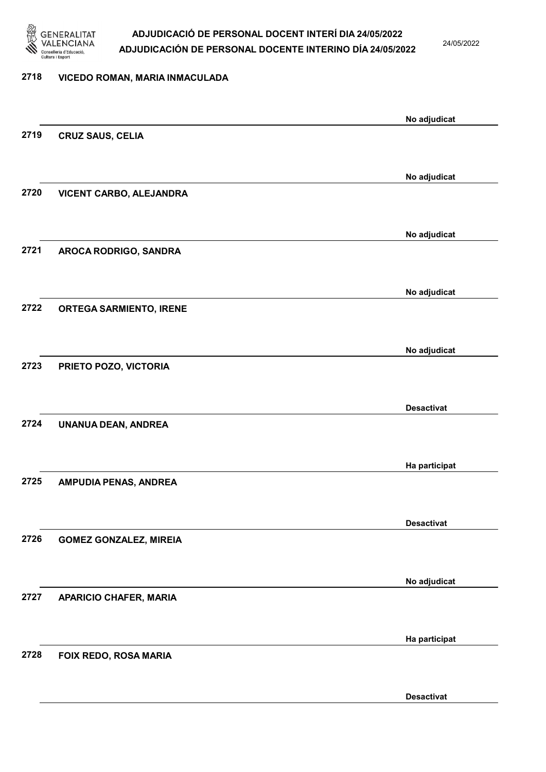

24/05/2022

#### 2718 VICEDO ROMAN, MARIA INMACULADA

| No adjudicat<br>2719<br><b>CRUZ SAUS, CELIA</b><br>No adjudicat<br>2720<br>VICENT CARBO, ALEJANDRA<br>No adjudicat<br>2721<br>AROCA RODRIGO, SANDRA<br>No adjudicat<br>2722<br><b>ORTEGA SARMIENTO, IRENE</b><br>No adjudicat<br>2723<br>PRIETO POZO, VICTORIA<br><b>Desactivat</b><br>2724<br>UNANUA DEAN, ANDREA<br>Ha participat<br>2725<br>AMPUDIA PENAS, ANDREA |  |
|----------------------------------------------------------------------------------------------------------------------------------------------------------------------------------------------------------------------------------------------------------------------------------------------------------------------------------------------------------------------|--|
|                                                                                                                                                                                                                                                                                                                                                                      |  |
|                                                                                                                                                                                                                                                                                                                                                                      |  |
|                                                                                                                                                                                                                                                                                                                                                                      |  |
|                                                                                                                                                                                                                                                                                                                                                                      |  |
|                                                                                                                                                                                                                                                                                                                                                                      |  |
|                                                                                                                                                                                                                                                                                                                                                                      |  |
|                                                                                                                                                                                                                                                                                                                                                                      |  |
|                                                                                                                                                                                                                                                                                                                                                                      |  |
|                                                                                                                                                                                                                                                                                                                                                                      |  |
|                                                                                                                                                                                                                                                                                                                                                                      |  |
|                                                                                                                                                                                                                                                                                                                                                                      |  |
|                                                                                                                                                                                                                                                                                                                                                                      |  |
|                                                                                                                                                                                                                                                                                                                                                                      |  |
|                                                                                                                                                                                                                                                                                                                                                                      |  |
|                                                                                                                                                                                                                                                                                                                                                                      |  |
|                                                                                                                                                                                                                                                                                                                                                                      |  |
|                                                                                                                                                                                                                                                                                                                                                                      |  |
|                                                                                                                                                                                                                                                                                                                                                                      |  |
|                                                                                                                                                                                                                                                                                                                                                                      |  |
|                                                                                                                                                                                                                                                                                                                                                                      |  |
|                                                                                                                                                                                                                                                                                                                                                                      |  |
|                                                                                                                                                                                                                                                                                                                                                                      |  |
| <b>Desactivat</b>                                                                                                                                                                                                                                                                                                                                                    |  |
| 2726<br><b>GOMEZ GONZALEZ, MIREIA</b>                                                                                                                                                                                                                                                                                                                                |  |
|                                                                                                                                                                                                                                                                                                                                                                      |  |
| No adjudicat                                                                                                                                                                                                                                                                                                                                                         |  |
| 2727<br><b>APARICIO CHAFER, MARIA</b>                                                                                                                                                                                                                                                                                                                                |  |
|                                                                                                                                                                                                                                                                                                                                                                      |  |
| Ha participat                                                                                                                                                                                                                                                                                                                                                        |  |
| 2728<br>FOIX REDO, ROSA MARIA                                                                                                                                                                                                                                                                                                                                        |  |
|                                                                                                                                                                                                                                                                                                                                                                      |  |
| <b>Desactivat</b>                                                                                                                                                                                                                                                                                                                                                    |  |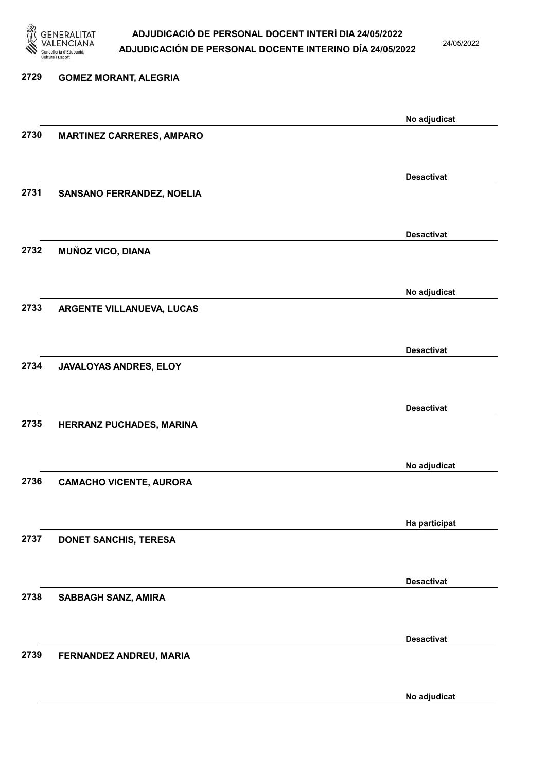

24/05/2022

No adjudicat

# 2729 GOMEZ MORANT, ALEGRIA No adjudicat 2730 MARTINEZ CARRERES, AMPARO Desactivat 2731 SANSANO FERRANDEZ, NOELIA Desactivat 2732 MUÑOZ VICO, DIANA No adjudicat 2733 ARGENTE VILLANUEVA, LUCAS Desactivat 2734 JAVALOYAS ANDRES, ELOY Desactivat 2735 HERRANZ PUCHADES, MARINA No adjudicat 2736 CAMACHO VICENTE, AURORA Ha participat 2737 DONET SANCHIS, TERESA Desactivat 2738 SABBAGH SANZ, AMIRA Desactivat 2739 FERNANDEZ ANDREU, MARIA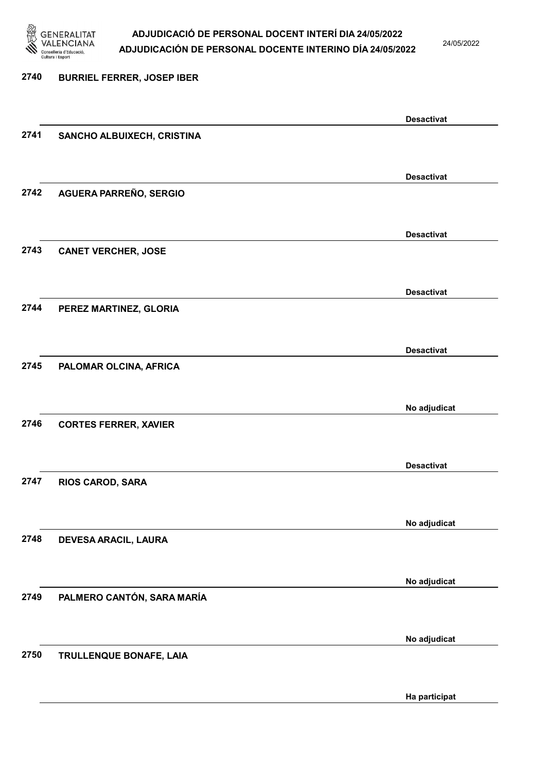

24/05/2022

### 2740 BURRIEL FERRER, JOSEP IBER Desactivat 2741 SANCHO ALBUIXECH, CRISTINA Desactivat 2742 AGUERA PARREÑO, SERGIO Desactivat 2743 CANET VERCHER, JOSE Desactivat 2744 PEREZ MARTINEZ, GLORIA Desactivat 2745 PALOMAR OLCINA, AFRICA No adjudicat 2746 CORTES FERRER, XAVIER Desactivat 2747 RIOS CAROD, SARA No adjudicat 2748 DEVESA ARACIL, LAURA No adjudicat 2749 PALMERO CANTÓN, SARA MARÍA No adjudicat 2750 TRULLENQUE BONAFE, LAIA Ha participat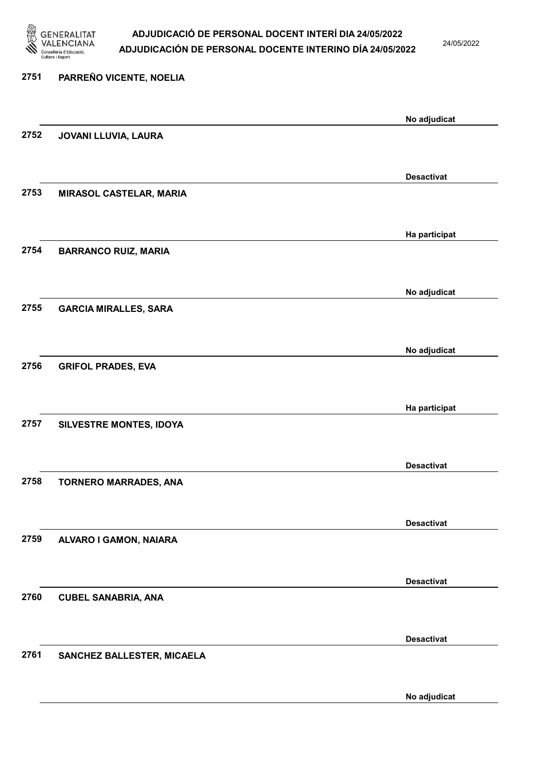

24/05/2022

No adjudicat

# 2751 PARREÑO VICENTE, NOELIA No adjudicat 2752 JOVANI LLUVIA, LAURA Desactivat 2753 MIRASOL CASTELAR, MARIA Ha participat 2754 BARRANCO RUIZ, MARIA No adjudicat 2755 GARCIA MIRALLES, SARA No adjudicat 2756 GRIFOL PRADES, EVA Ha participat 2757 SILVESTRE MONTES, IDOYA Desactivat 2758 TORNERO MARRADES, ANA Desactivat 2759 ALVARO I GAMON, NAIARA Desactivat 2760 CUBEL SANABRIA, ANA Desactivat 2761 SANCHEZ BALLESTER, MICAELA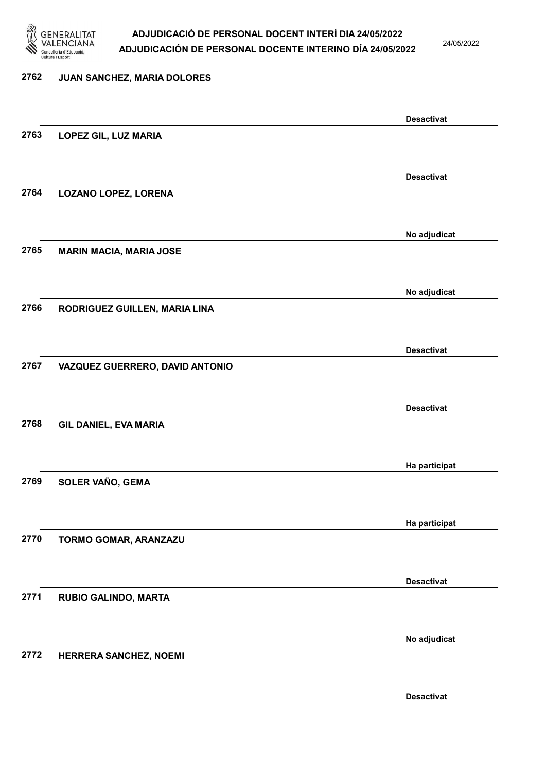

24/05/2022

Desactivat

### 2762 JUAN SANCHEZ, MARIA DOLORES Desactivat 2763 LOPEZ GIL, LUZ MARIA Desactivat 2764 LOZANO LOPEZ, LORENA No adjudicat 2765 MARIN MACIA, MARIA JOSE No adjudicat 2766 RODRIGUEZ GUILLEN, MARIA LINA Desactivat 2767 VAZQUEZ GUERRERO, DAVID ANTONIO Desactivat 2768 GIL DANIEL, EVA MARIA Ha participat 2769 SOLER VAÑO, GEMA Ha participat 2770 TORMO GOMAR, ARANZAZU Desactivat 2771 RUBIO GALINDO, MARTA No adjudicat 2772 HERRERA SANCHEZ, NOEMI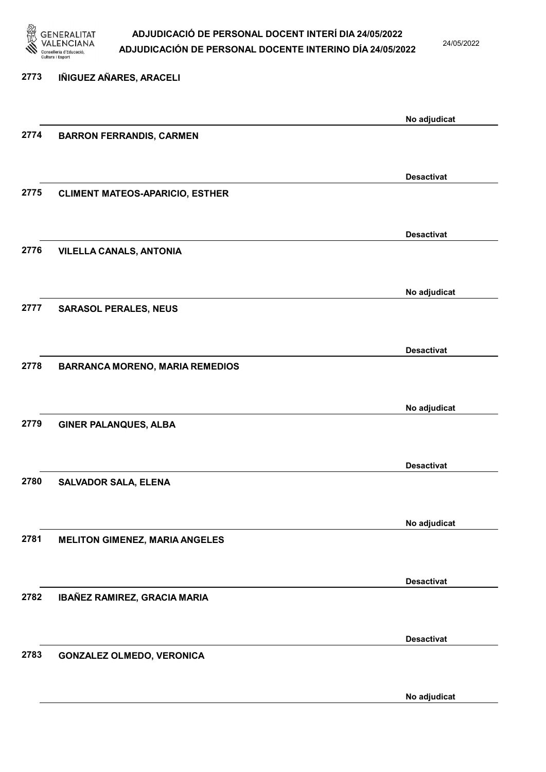

24/05/2022

No adjudicat

# 2773 IÑIGUEZ AÑARES, ARACELI No adjudicat 2774 BARRON FERRANDIS, CARMEN Desactivat 2775 CLIMENT MATEOS-APARICIO, ESTHER Desactivat 2776 VILELLA CANALS, ANTONIA No adjudicat 2777 SARASOL PERALES, NEUS Desactivat 2778 BARRANCA MORENO, MARIA REMEDIOS No adjudicat 2779 GINER PALANQUES, ALBA Desactivat 2780 SALVADOR SALA, ELENA No adjudicat 2781 MELITON GIMENEZ, MARIA ANGELES Desactivat 2782 IBAÑEZ RAMIREZ, GRACIA MARIA Desactivat 2783 GONZALEZ OLMEDO, VERONICA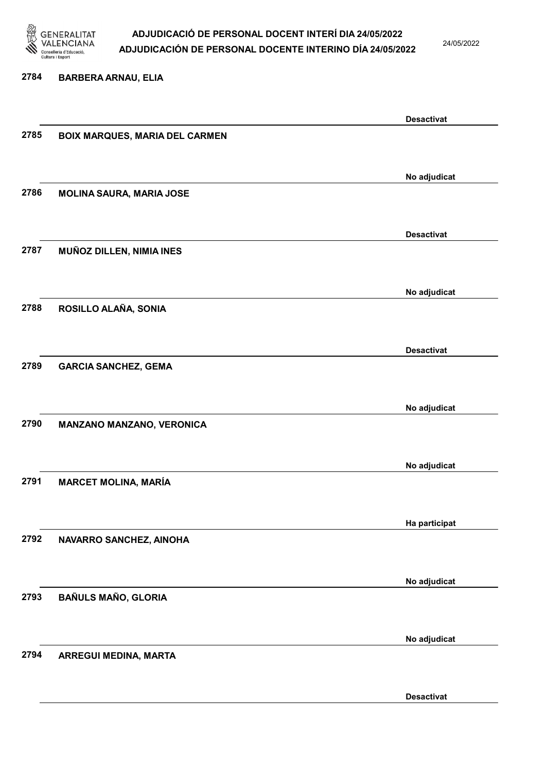

24/05/2022

### 2784 BARBERA ARNAU, ELIA

|      |                                       | <b>Desactivat</b>                 |
|------|---------------------------------------|-----------------------------------|
| 2785 | <b>BOIX MARQUES, MARIA DEL CARMEN</b> |                                   |
|      |                                       |                                   |
|      |                                       |                                   |
|      |                                       | No adjudicat                      |
| 2786 | <b>MOLINA SAURA, MARIA JOSE</b>       |                                   |
|      |                                       |                                   |
|      |                                       |                                   |
|      |                                       | <b>Desactivat</b>                 |
| 2787 | MUÑOZ DILLEN, NIMIA INES              |                                   |
|      |                                       |                                   |
|      |                                       |                                   |
|      |                                       | No adjudicat                      |
| 2788 | ROSILLO ALAÑA, SONIA                  |                                   |
|      |                                       |                                   |
|      |                                       |                                   |
|      |                                       | <b>Desactivat</b>                 |
| 2789 | <b>GARCIA SANCHEZ, GEMA</b>           |                                   |
|      |                                       |                                   |
|      |                                       |                                   |
|      |                                       | No adjudicat                      |
| 2790 | MANZANO MANZANO, VERONICA             |                                   |
|      |                                       |                                   |
|      |                                       |                                   |
|      |                                       | No adjudicat                      |
| 2791 | <b>MARCET MOLINA, MARÍA</b>           |                                   |
|      |                                       |                                   |
|      |                                       |                                   |
|      |                                       | Ha participat                     |
| 2792 | NAVARRO SANCHEZ, AINOHA               |                                   |
|      |                                       |                                   |
|      |                                       | No adjudicat                      |
|      |                                       |                                   |
| 2793 | <b>BAÑULS MAÑO, GLORIA</b>            |                                   |
|      |                                       |                                   |
|      |                                       |                                   |
|      |                                       |                                   |
|      |                                       |                                   |
|      |                                       |                                   |
|      |                                       |                                   |
| 2794 | ARREGUI MEDINA, MARTA                 | No adjudicat<br><b>Desactivat</b> |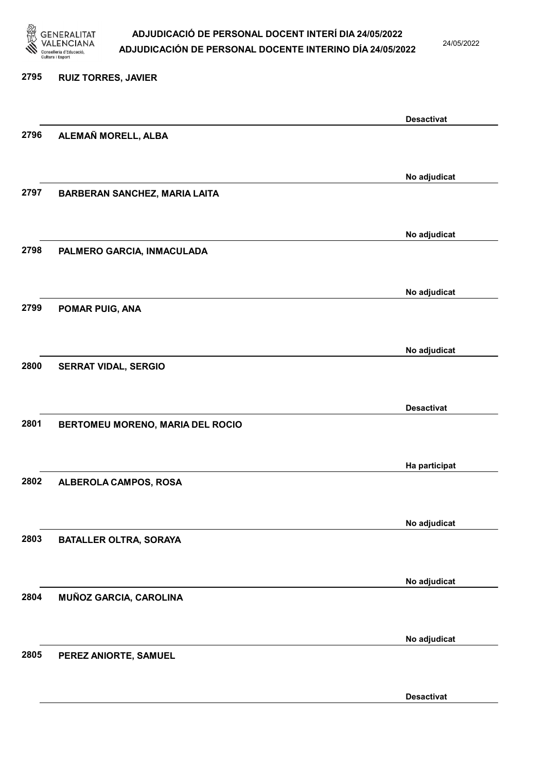

24/05/2022

Desactivat

# 2795 RUIZ TORRES, JAVIER Desactivat 2796 ALEMAÑ MORELL, ALBA No adjudicat 2797 BARBERAN SANCHEZ, MARIA LAITA No adjudicat 2798 PALMERO GARCIA, INMACULADA No adjudicat 2799 POMAR PUIG, ANA No adjudicat 2800 SERRAT VIDAL, SERGIO Desactivat 2801 BERTOMEU MORENO, MARIA DEL ROCIO Ha participat 2802 ALBEROLA CAMPOS, ROSA No adjudicat 2803 BATALLER OLTRA, SORAYA No adjudicat 2804 MUÑOZ GARCIA, CAROLINA No adjudicat 2805 PEREZ ANIORTE, SAMUEL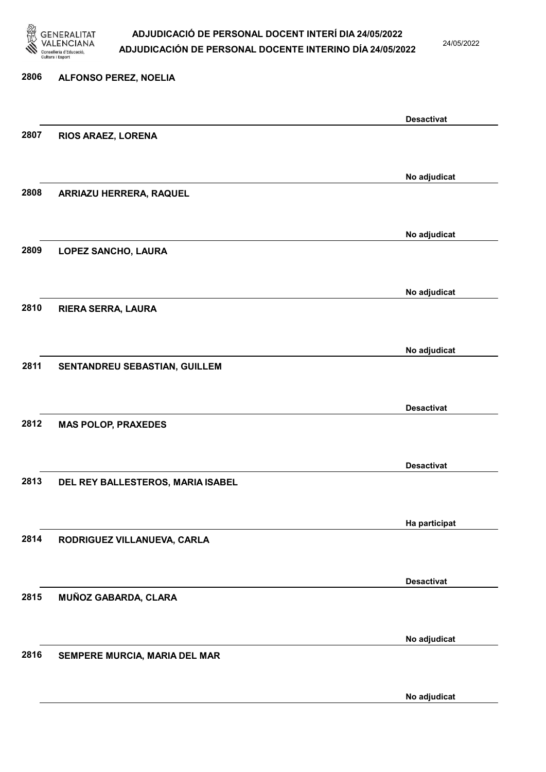

24/05/2022

# 2806 ALFONSO PEREZ, NOELIA Desactivat 2807 RIOS ARAEZ, LORENA No adjudicat 2808 ARRIAZU HERRERA, RAQUEL No adjudicat 2809 LOPEZ SANCHO, LAURA No adjudicat 2810 RIERA SERRA, LAURA No adjudicat 2811 SENTANDREU SEBASTIAN, GUILLEM Desactivat 2812 MAS POLOP, PRAXEDES Desactivat 2813 DEL REY BALLESTEROS, MARIA ISABEL Ha participat 2814 RODRIGUEZ VILLANUEVA, CARLA Desactivat 2815 MUÑOZ GABARDA, CLARA No adjudicat 2816 SEMPERE MURCIA, MARIA DEL MAR

No adjudicat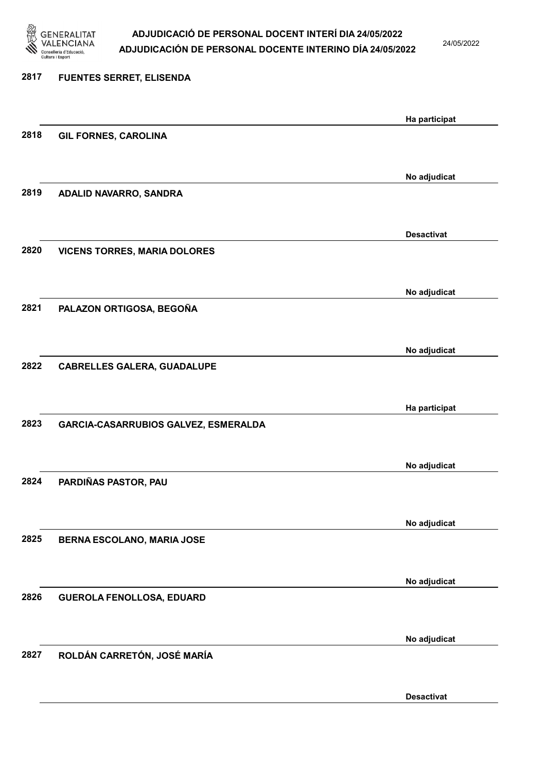

24/05/2022

# 2817 FUENTES SERRET, ELISENDA Ha participat 2818 GIL FORNES, CAROLINA No adjudicat 2819 ADALID NAVARRO, SANDRA Desactivat 2820 VICENS TORRES, MARIA DOLORES No adjudicat 2821 PALAZON ORTIGOSA, BEGOÑA No adjudicat 2822 CABRELLES GALERA, GUADALUPE Ha participat 2823 GARCIA-CASARRUBIOS GALVEZ, ESMERALDA No adjudicat 2824 PARDIÑAS PASTOR, PAU No adjudicat 2825 BERNA ESCOLANO, MARIA JOSE No adjudicat 2826 GUEROLA FENOLLOSA, EDUARD No adjudicat 2827 ROLDÁN CARRETÓN, JOSÉ MARÍA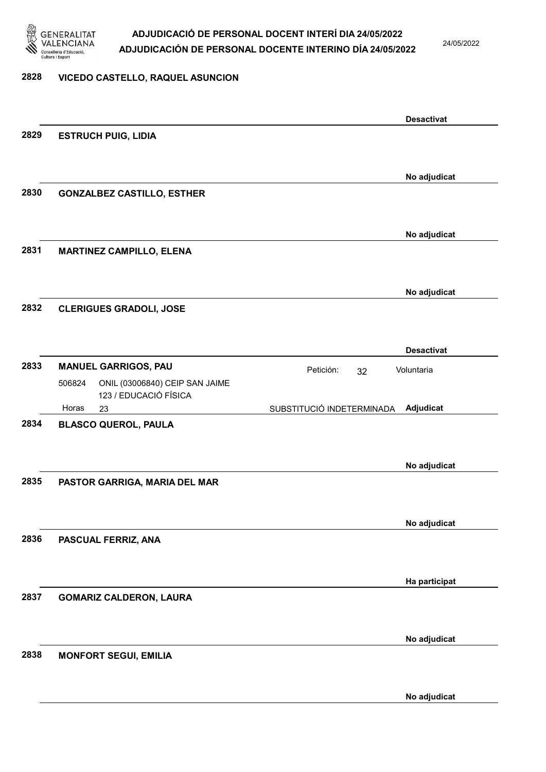

24/05/2022

# 2828 VICEDO CASTELLO, RAQUEL ASUNCION

|      |                                          |                           | <b>Desactivat</b> |
|------|------------------------------------------|---------------------------|-------------------|
| 2829 | <b>ESTRUCH PUIG, LIDIA</b>               |                           |                   |
|      |                                          |                           |                   |
|      |                                          |                           | No adjudicat      |
| 2830 | <b>GONZALBEZ CASTILLO, ESTHER</b>        |                           |                   |
|      |                                          |                           |                   |
|      |                                          |                           | No adjudicat      |
| 2831 | <b>MARTINEZ CAMPILLO, ELENA</b>          |                           |                   |
|      |                                          |                           |                   |
|      |                                          |                           | No adjudicat      |
| 2832 | <b>CLERIGUES GRADOLI, JOSE</b>           |                           |                   |
|      |                                          |                           |                   |
|      |                                          |                           | <b>Desactivat</b> |
| 2833 | <b>MANUEL GARRIGOS, PAU</b>              | Petición:<br>32           | Voluntaria        |
|      | ONIL (03006840) CEIP SAN JAIME<br>506824 |                           |                   |
|      | 123 / EDUCACIÓ FÍSICA<br>Horas<br>23     | SUBSTITUCIÓ INDETERMINADA | Adjudicat         |
| 2834 | <b>BLASCO QUEROL, PAULA</b>              |                           |                   |
|      |                                          |                           |                   |
|      |                                          |                           | No adjudicat      |
| 2835 | PASTOR GARRIGA, MARIA DEL MAR            |                           |                   |
|      |                                          |                           |                   |
|      |                                          |                           | No adjudicat      |
| 2836 | PASCUAL FERRIZ, ANA                      |                           |                   |
|      |                                          |                           |                   |
|      |                                          |                           |                   |
| 2837 | <b>GOMARIZ CALDERON, LAURA</b>           |                           | Ha participat     |
|      |                                          |                           |                   |
|      |                                          |                           |                   |
| 2838 | <b>MONFORT SEGUI, EMILIA</b>             |                           | No adjudicat      |
|      |                                          |                           |                   |
|      |                                          |                           |                   |
|      |                                          |                           | No adjudicat      |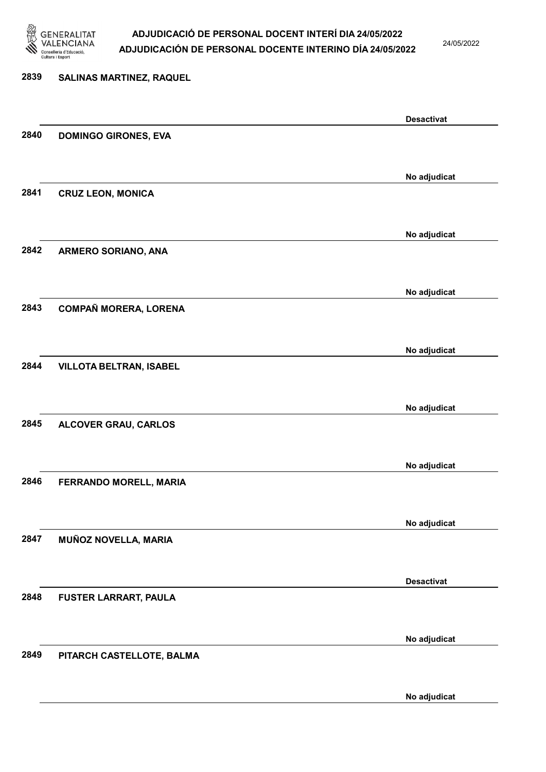

24/05/2022

# 2839 SALINAS MARTINEZ, RAQUEL Desactivat 2840 DOMINGO GIRONES, EVA No adjudicat 2841 CRUZ LEON, MONICA No adjudicat 2842 ARMERO SORIANO, ANA No adjudicat 2843 COMPAÑ MORERA, LORENA No adjudicat 2844 VILLOTA BELTRAN, ISABEL No adjudicat 2845 ALCOVER GRAU, CARLOS No adjudicat 2846 FERRANDO MORELL, MARIA No adjudicat 2847 MUÑOZ NOVELLA, MARIA Desactivat 2848 FUSTER LARRART, PAULA No adjudicat 2849 PITARCH CASTELLOTE, BALMA

No adjudicat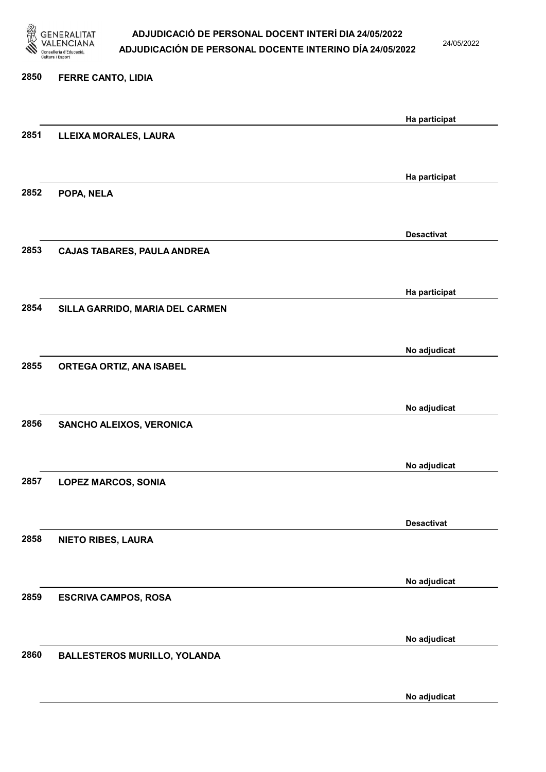

24/05/2022

# 2850 FERRE CANTO, LIDIA Ha participat 2851 LLEIXA MORALES, LAURA Ha participat 2852 POPA, NELA Desactivat 2853 CAJAS TABARES, PAULA ANDREA Ha participat 2854 SILLA GARRIDO, MARIA DEL CARMEN No adjudicat 2855 ORTEGA ORTIZ, ANA ISABEL No adjudicat 2856 SANCHO ALEIXOS, VERONICA No adjudicat 2857 LOPEZ MARCOS, SONIA Desactivat 2858 NIETO RIBES, LAURA No adjudicat 2859 ESCRIVA CAMPOS, ROSA No adjudicat 2860 BALLESTEROS MURILLO, YOLANDA No adjudicat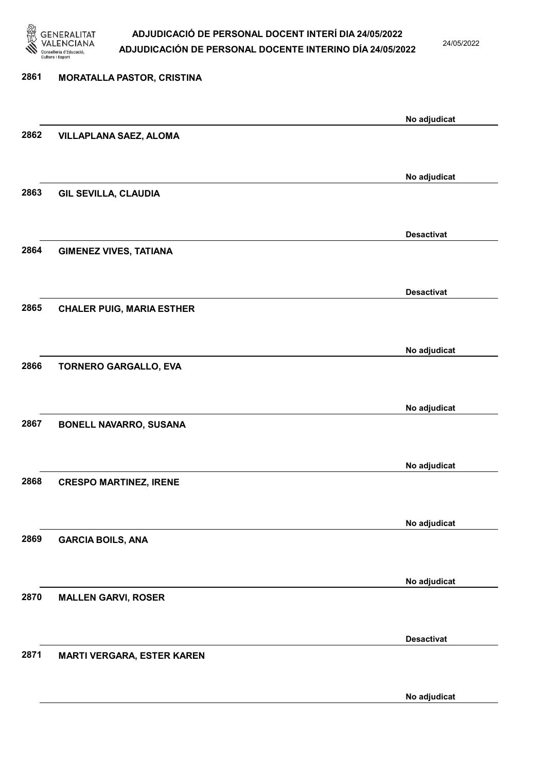

24/05/2022

# 2861 MORATALLA PASTOR, CRISTINA No adjudicat 2862 VILLAPLANA SAEZ, ALOMA No adjudicat 2863 GIL SEVILLA, CLAUDIA Desactivat 2864 GIMENEZ VIVES, TATIANA Desactivat 2865 CHALER PUIG, MARIA ESTHER No adjudicat 2866 TORNERO GARGALLO, EVA No adjudicat 2867 BONELL NAVARRO, SUSANA No adjudicat 2868 CRESPO MARTINEZ, IRENE No adjudicat 2869 GARCIA BOILS, ANA No adjudicat 2870 MALLEN GARVI, ROSER Desactivat 2871 MARTI VERGARA, ESTER KAREN

No adjudicat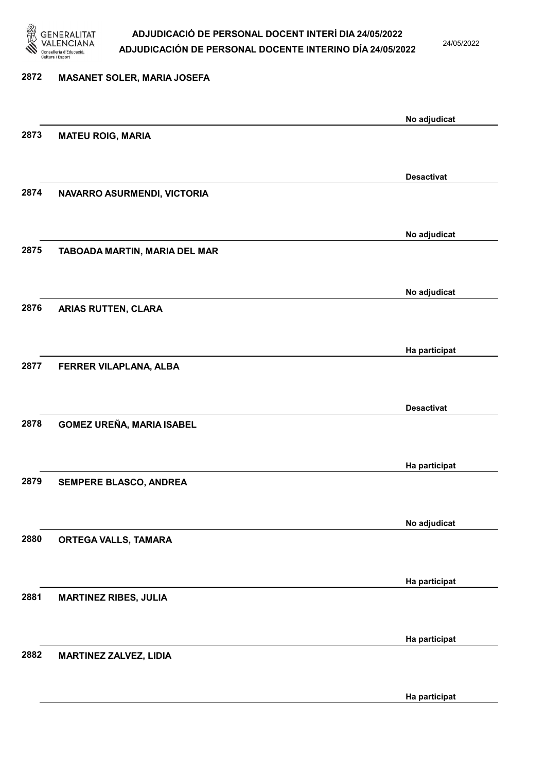

24/05/2022

# 2872 MASANET SOLER, MARIA JOSEFA No adjudicat 2873 MATEU ROIG, MARIA Desactivat 2874 NAVARRO ASURMENDI, VICTORIA No adjudicat 2875 TABOADA MARTIN, MARIA DEL MAR No adjudicat 2876 ARIAS RUTTEN, CLARA Ha participat 2877 FERRER VILAPLANA, ALBA Desactivat 2878 GOMEZ UREÑA, MARIA ISABEL Ha participat 2879 SEMPERE BLASCO, ANDREA No adjudicat 2880 ORTEGA VALLS, TAMARA Ha participat 2881 MARTINEZ RIBES, JULIA Ha participat 2882 MARTINEZ ZALVEZ, LIDIA

Ha participat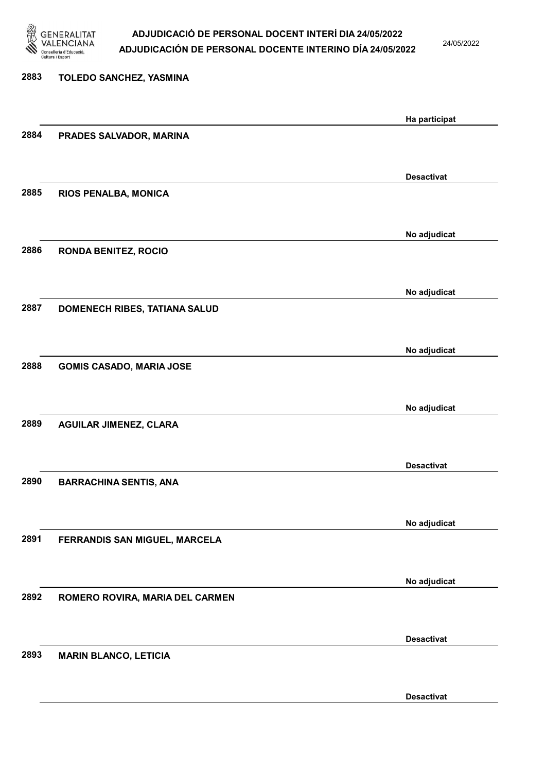

24/05/2022

| 2883 | TOLEDO SANCHEZ, YASMINA         |                   |
|------|---------------------------------|-------------------|
|      |                                 | Ha participat     |
| 2884 | PRADES SALVADOR, MARINA         |                   |
|      |                                 | <b>Desactivat</b> |
| 2885 | RIOS PENALBA, MONICA            |                   |
|      |                                 | No adjudicat      |
| 2886 | <b>RONDA BENITEZ, ROCIO</b>     |                   |
|      |                                 | No adjudicat      |
| 2887 | DOMENECH RIBES, TATIANA SALUD   |                   |
|      |                                 | No adjudicat      |
| 2888 | <b>GOMIS CASADO, MARIA JOSE</b> |                   |
|      |                                 | No adjudicat      |
| 2889 | <b>AGUILAR JIMENEZ, CLARA</b>   |                   |
|      |                                 | <b>Desactivat</b> |
| 2890 | <b>BARRACHINA SENTIS, ANA</b>   |                   |
|      |                                 | No adjudicat      |
| 2891 | FERRANDIS SAN MIGUEL, MARCELA   |                   |
|      |                                 | No adjudicat      |
| 2892 | ROMERO ROVIRA, MARIA DEL CARMEN |                   |
|      |                                 | <b>Desactivat</b> |
| 2893 | <b>MARIN BLANCO, LETICIA</b>    |                   |
|      |                                 |                   |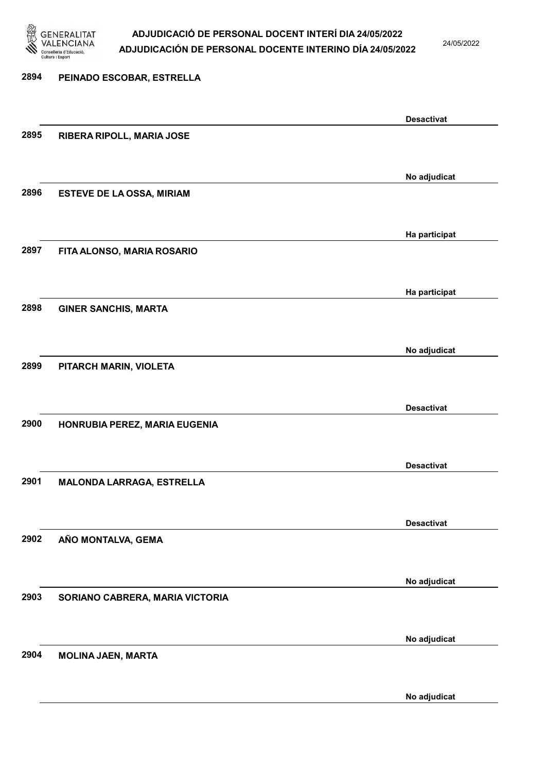

2894 PEINADO ESCOBAR, ESTRELLA

# ADJUDICACIÓ DE PERSONAL DOCENT INTERÍ DIA 24/05/2022 ADJUDICACIÓN DE PERSONAL DOCENTE INTERINO DÍA 24/05/2022

24/05/2022

# Desactivat 2895 RIBERA RIPOLL, MARIA JOSE No adjudicat 2896 ESTEVE DE LA OSSA, MIRIAM Ha participat 2897 FITA ALONSO, MARIA ROSARIO Ha participat 2898 GINER SANCHIS, MARTA No adjudicat 2899 PITARCH MARIN, VIOLETA Desactivat 2900 HONRUBIA PEREZ, MARIA EUGENIA Desactivat 2901 MALONDA LARRAGA, ESTRELLA Desactivat 2902 AÑO MONTALVA, GEMA No adjudicat 2903 SORIANO CABRERA, MARIA VICTORIA No adjudicat 2904 MOLINA JAEN, MARTA

No adjudicat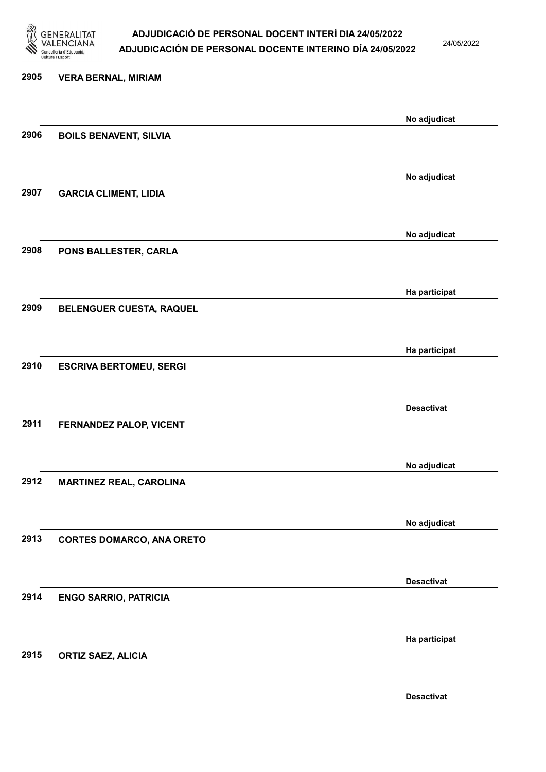

24/05/2022

# 2905 VERA BERNAL, MIRIAM No adjudicat 2906 BOILS BENAVENT, SILVIA No adjudicat 2907 GARCIA CLIMENT, LIDIA No adjudicat 2908 PONS BALLESTER, CARLA Ha participat 2909 BELENGUER CUESTA, RAQUEL Ha participat 2910 ESCRIVA BERTOMEU, SERGI Desactivat 2911 FERNANDEZ PALOP, VICENT No adjudicat 2912 MARTINEZ REAL, CAROLINA No adjudicat 2913 CORTES DOMARCO, ANA ORETO Desactivat 2914 ENGO SARRIO, PATRICIA Ha participat 2915 ORTIZ SAEZ, ALICIA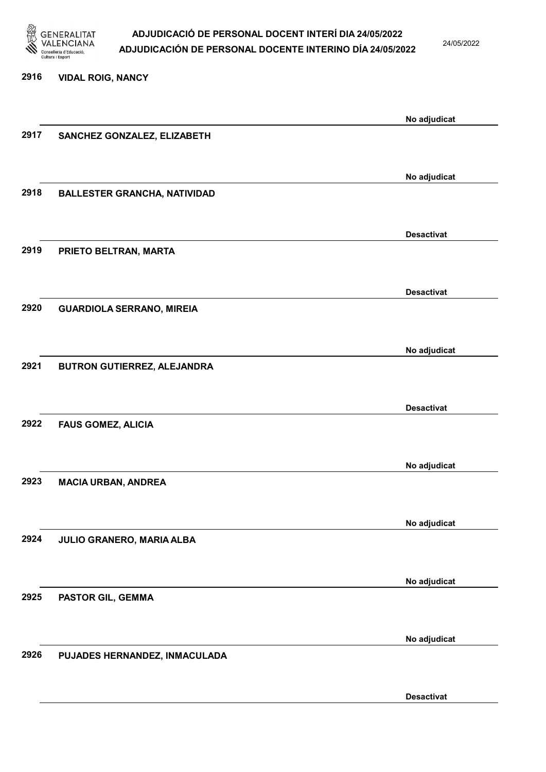

24/05/2022

# 2916 VIDAL ROIG, NANCY No adjudicat 2917 SANCHEZ GONZALEZ, ELIZABETH No adjudicat 2918 BALLESTER GRANCHA, NATIVIDAD Desactivat 2919 PRIETO BELTRAN, MARTA Desactivat 2920 GUARDIOLA SERRANO, MIREIA No adjudicat 2921 BUTRON GUTIERREZ, ALEJANDRA Desactivat 2922 FAUS GOMEZ, ALICIA No adjudicat 2923 MACIA URBAN, ANDREA No adjudicat 2924 JULIO GRANERO, MARIA ALBA No adjudicat 2925 PASTOR GIL, GEMMA No adjudicat 2926 PUJADES HERNANDEZ, INMACULADA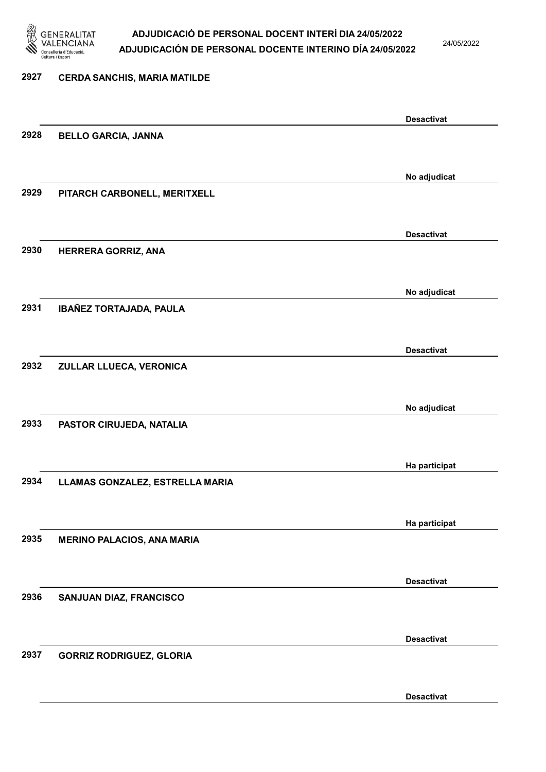

24/05/2022

# 2927 CERDA SANCHIS, MARIA MATILDE Desactivat 2928 BELLO GARCIA, JANNA No adjudicat 2929 PITARCH CARBONELL, MERITXELL Desactivat 2930 HERRERA GORRIZ, ANA No adjudicat 2931 IBAÑEZ TORTAJADA, PAULA Desactivat 2932 ZULLAR LLUECA, VERONICA No adjudicat 2933 PASTOR CIRUJEDA, NATALIA Ha participat 2934 LLAMAS GONZALEZ, ESTRELLA MARIA Ha participat 2935 MERINO PALACIOS, ANA MARIA Desactivat 2936 SANJUAN DIAZ, FRANCISCO Desactivat 2937 GORRIZ RODRIGUEZ, GLORIA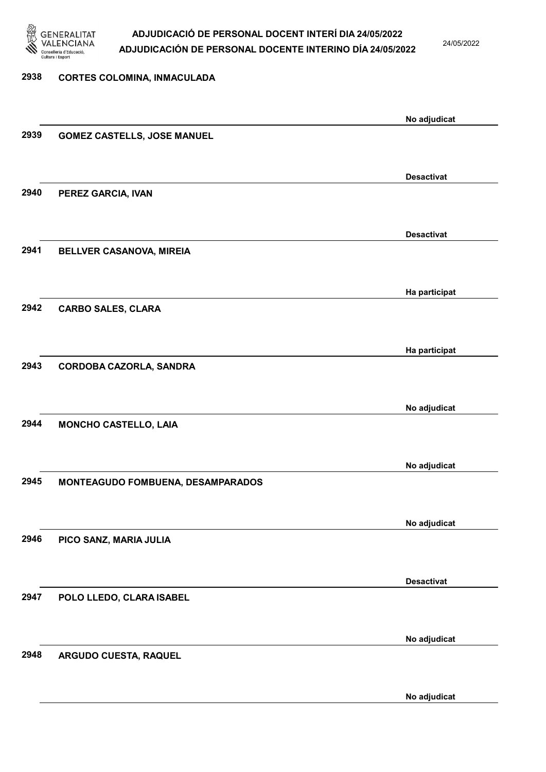

24/05/2022

| 2938 | <b>CORTES COLOMINA, INMACULADA</b> |                   |
|------|------------------------------------|-------------------|
|      |                                    |                   |
|      |                                    | No adjudicat      |
| 2939 | <b>GOMEZ CASTELLS, JOSE MANUEL</b> |                   |
|      |                                    |                   |
|      |                                    | <b>Desactivat</b> |
| 2940 | PEREZ GARCIA, IVAN                 |                   |
|      |                                    |                   |
|      |                                    |                   |
|      |                                    | <b>Desactivat</b> |
| 2941 | <b>BELLVER CASANOVA, MIREIA</b>    |                   |
|      |                                    |                   |
|      |                                    | Ha participat     |
| 2942 | <b>CARBO SALES, CLARA</b>          |                   |
|      |                                    |                   |
|      |                                    | Ha participat     |
| 2943 | CORDOBA CAZORLA, SANDRA            |                   |
|      |                                    |                   |
|      |                                    |                   |
| 2944 |                                    | No adjudicat      |
|      | <b>MONCHO CASTELLO, LAIA</b>       |                   |
|      |                                    |                   |
|      |                                    | No adjudicat      |
| 2945 | MONTEAGUDO FOMBUENA, DESAMPARADOS  |                   |
|      |                                    |                   |
|      |                                    | No adjudicat      |
| 2946 | PICO SANZ, MARIA JULIA             |                   |
|      |                                    |                   |
|      |                                    | <b>Desactivat</b> |
| 2947 | POLO LLEDO, CLARA ISABEL           |                   |
|      |                                    |                   |
|      |                                    |                   |
|      |                                    | No adjudicat      |
| 2948 | ARGUDO CUESTA, RAQUEL              |                   |
|      |                                    |                   |

No adjudicat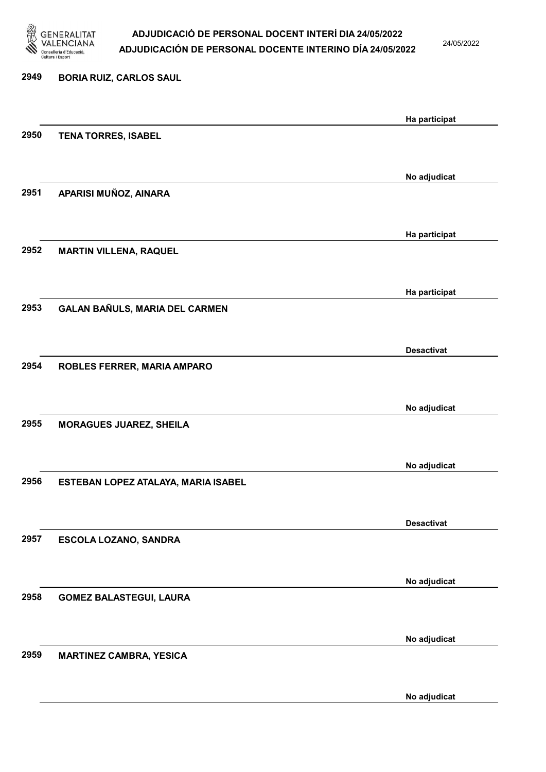

24/05/2022

# 2949 BORIA RUIZ, CARLOS SAUL Ha participat 2950 TENA TORRES, ISABEL No adjudicat 2951 APARISI MUÑOZ, AINARA Ha participat 2952 MARTIN VILLENA, RAQUEL Ha participat 2953 GALAN BAÑULS, MARIA DEL CARMEN Desactivat 2954 ROBLES FERRER, MARIA AMPARO No adjudicat 2955 MORAGUES JUAREZ, SHEILA No adjudicat 2956 ESTEBAN LOPEZ ATALAYA, MARIA ISABEL Desactivat 2957 ESCOLA LOZANO, SANDRA No adjudicat 2958 GOMEZ BALASTEGUI, LAURA No adjudicat 2959 MARTINEZ CAMBRA, YESICA

No adjudicat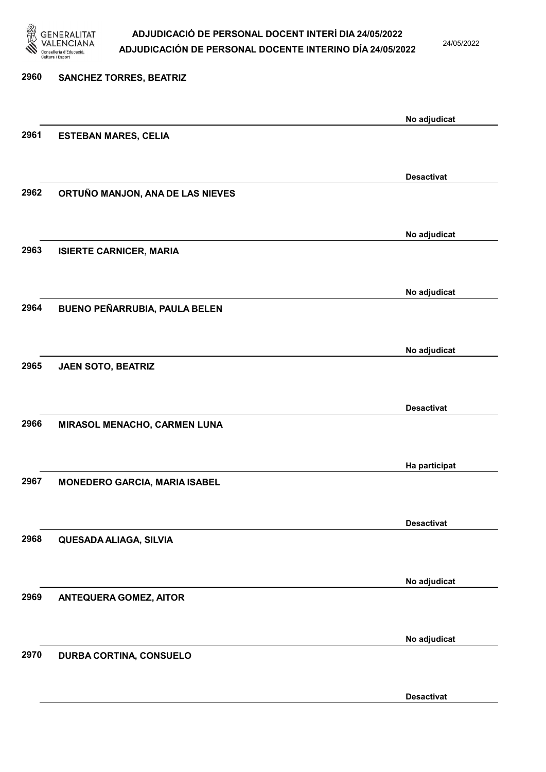

24/05/2022

| 2960 | <b>SANCHEZ TORRES, BEATRIZ</b>       |                   |
|------|--------------------------------------|-------------------|
|      |                                      | No adjudicat      |
| 2961 | <b>ESTEBAN MARES, CELIA</b>          |                   |
|      |                                      | <b>Desactivat</b> |
| 2962 | ORTUÑO MANJON, ANA DE LAS NIEVES     |                   |
|      |                                      | No adjudicat      |
| 2963 | <b>ISIERTE CARNICER, MARIA</b>       |                   |
|      |                                      | No adjudicat      |
| 2964 | <b>BUENO PEÑARRUBIA, PAULA BELEN</b> |                   |
|      |                                      | No adjudicat      |
| 2965 | JAEN SOTO, BEATRIZ                   |                   |
|      |                                      | <b>Desactivat</b> |
| 2966 | MIRASOL MENACHO, CARMEN LUNA         |                   |
|      |                                      | Ha participat     |
| 2967 | <b>MONEDERO GARCIA, MARIA ISABEL</b> |                   |
|      |                                      | <b>Desactivat</b> |
| 2968 | QUESADA ALIAGA, SILVIA               |                   |
|      |                                      | No adjudicat      |
| 2969 | <b>ANTEQUERA GOMEZ, AITOR</b>        |                   |
|      |                                      | No adjudicat      |
| 2970 | DURBA CORTINA, CONSUELO              |                   |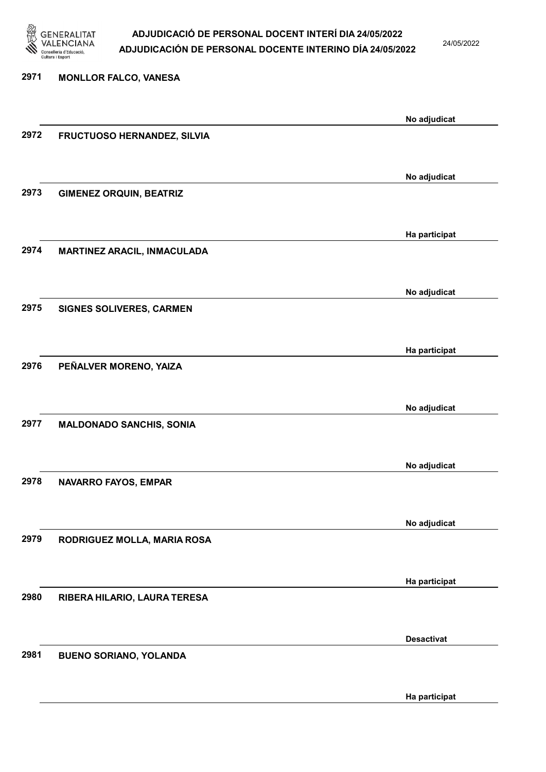

24/05/2022

# 2971 MONLLOR FALCO, VANESA No adjudicat 2972 FRUCTUOSO HERNANDEZ, SILVIA No adjudicat 2973 GIMENEZ ORQUIN, BEATRIZ Ha participat 2974 MARTINEZ ARACIL, INMACULADA No adjudicat 2975 SIGNES SOLIVERES, CARMEN Ha participat 2976 PEÑALVER MORENO, YAIZA No adjudicat 2977 MALDONADO SANCHIS, SONIA No adjudicat 2978 NAVARRO FAYOS, EMPAR No adjudicat 2979 RODRIGUEZ MOLLA, MARIA ROSA Ha participat 2980 RIBERA HILARIO, LAURA TERESA Desactivat 2981 BUENO SORIANO, YOLANDA

Ha participat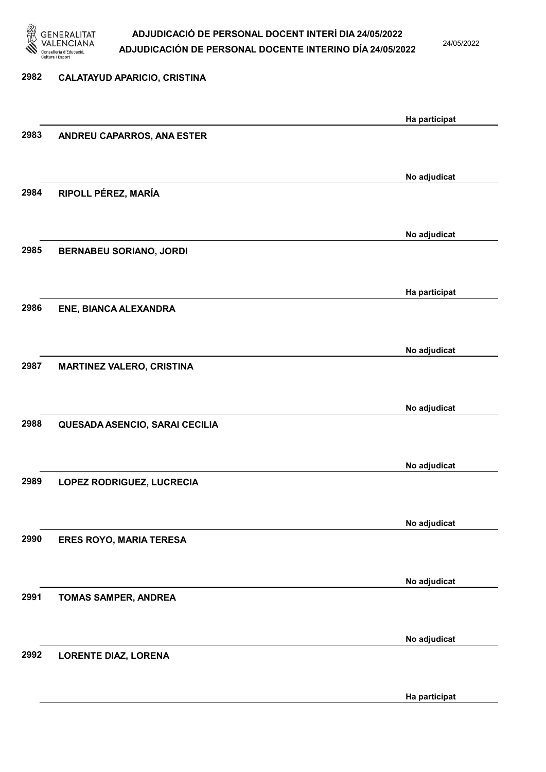

24/05/2022

| 2982 | <b>CALATAYUD APARICIO, CRISTINA</b> |               |
|------|-------------------------------------|---------------|
|      |                                     |               |
|      |                                     | Ha participat |
| 2983 | ANDREU CAPARROS, ANA ESTER          |               |
|      |                                     |               |
|      |                                     | No adjudicat  |
| 2984 | RIPOLL PÉREZ, MARÍA                 |               |
|      |                                     |               |
|      |                                     | No adjudicat  |
| 2985 | <b>BERNABEU SORIANO, JORDI</b>      |               |
|      |                                     |               |
|      |                                     | Ha participat |
| 2986 | ENE, BIANCA ALEXANDRA               |               |
|      |                                     |               |
|      |                                     | No adjudicat  |
| 2987 | <b>MARTINEZ VALERO, CRISTINA</b>    |               |
|      |                                     |               |
|      |                                     | No adjudicat  |
| 2988 | QUESADA ASENCIO, SARAI CECILIA      |               |
|      |                                     |               |
|      |                                     | No adjudicat  |
| 2989 | LOPEZ RODRIGUEZ, LUCRECIA           |               |
|      |                                     |               |
|      |                                     | No adjudicat  |
| 2990 | <b>ERES ROYO, MARIA TERESA</b>      |               |
|      |                                     |               |
|      |                                     | No adjudicat  |
| 2991 | TOMAS SAMPER, ANDREA                |               |
|      |                                     |               |
|      |                                     | No adjudicat  |
| 2992 | <b>LORENTE DIAZ, LORENA</b>         |               |
|      |                                     |               |

Ha participat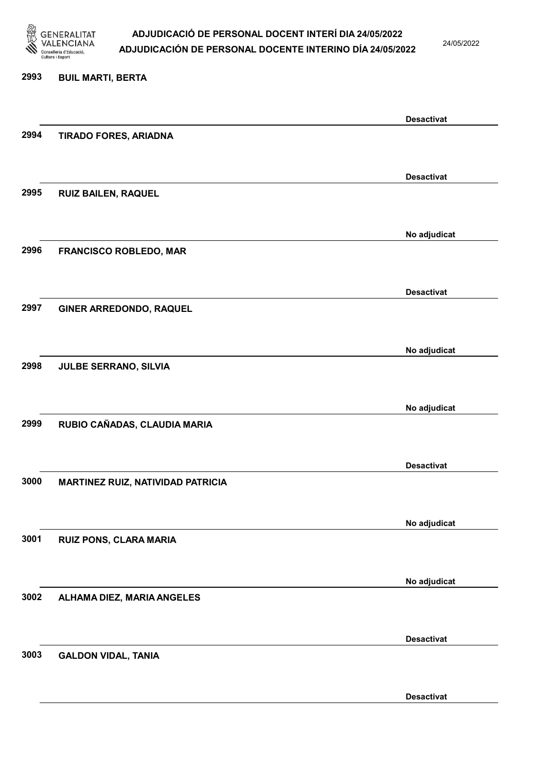

24/05/2022

### 2993 BUIL MARTI, BERTA

|      |                                   | <b>Desactivat</b> |
|------|-----------------------------------|-------------------|
| 2994 | <b>TIRADO FORES, ARIADNA</b>      |                   |
|      |                                   |                   |
|      |                                   |                   |
|      |                                   | <b>Desactivat</b> |
| 2995 | RUIZ BAILEN, RAQUEL               |                   |
|      |                                   |                   |
|      |                                   |                   |
|      |                                   | No adjudicat      |
| 2996 |                                   |                   |
|      | <b>FRANCISCO ROBLEDO, MAR</b>     |                   |
|      |                                   |                   |
|      |                                   | <b>Desactivat</b> |
|      |                                   |                   |
| 2997 | GINER ARREDONDO, RAQUEL           |                   |
|      |                                   |                   |
|      |                                   |                   |
|      |                                   | No adjudicat      |
| 2998 | <b>JULBE SERRANO, SILVIA</b>      |                   |
|      |                                   |                   |
|      |                                   |                   |
|      |                                   | No adjudicat      |
| 2999 | RUBIO CAÑADAS, CLAUDIA MARIA      |                   |
|      |                                   |                   |
|      |                                   |                   |
|      |                                   | <b>Desactivat</b> |
| 3000 | MARTINEZ RUIZ, NATIVIDAD PATRICIA |                   |
|      |                                   |                   |
|      |                                   |                   |
|      |                                   | No adjudicat      |
| 3001 | RUIZ PONS, CLARA MARIA            |                   |
|      |                                   |                   |
|      |                                   |                   |
|      |                                   | No adjudicat      |
|      |                                   |                   |
| 3002 | ALHAMA DIEZ, MARIA ANGELES        |                   |
|      |                                   |                   |
|      |                                   |                   |
|      |                                   | <b>Desactivat</b> |
| 3003 | <b>GALDON VIDAL, TANIA</b>        |                   |
|      |                                   |                   |
|      |                                   |                   |
|      |                                   | <b>Desactivat</b> |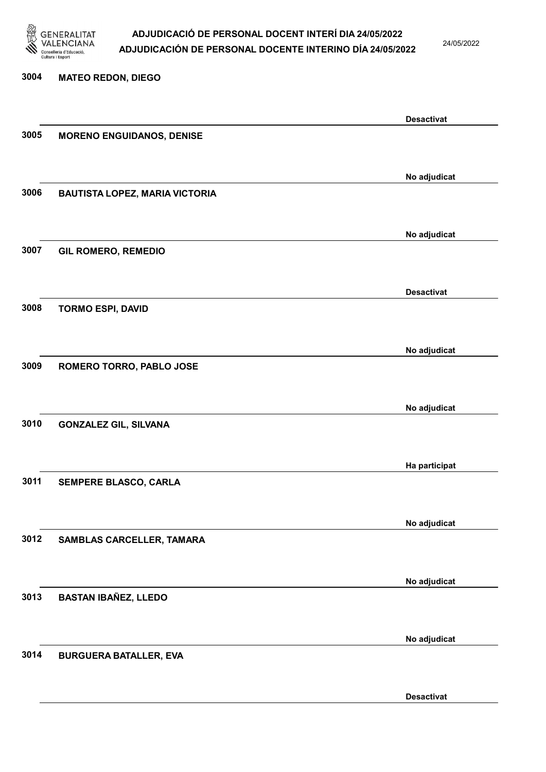

24/05/2022

# 3004 MATEO REDON, DIEGO Desactivat 3005 MORENO ENGUIDANOS, DENISE No adjudicat 3006 BAUTISTA LOPEZ, MARIA VICTORIA No adjudicat 3007 GIL ROMERO, REMEDIO Desactivat 3008 TORMO ESPI, DAVID No adjudicat 3009 ROMERO TORRO, PABLO JOSE No adjudicat 3010 GONZALEZ GIL, SILVANA Ha participat 3011 SEMPERE BLASCO, CARLA No adjudicat 3012 SAMBLAS CARCELLER, TAMARA No adjudicat 3013 BASTAN IBAÑEZ, LLEDO No adjudicat 3014 BURGUERA BATALLER, EVA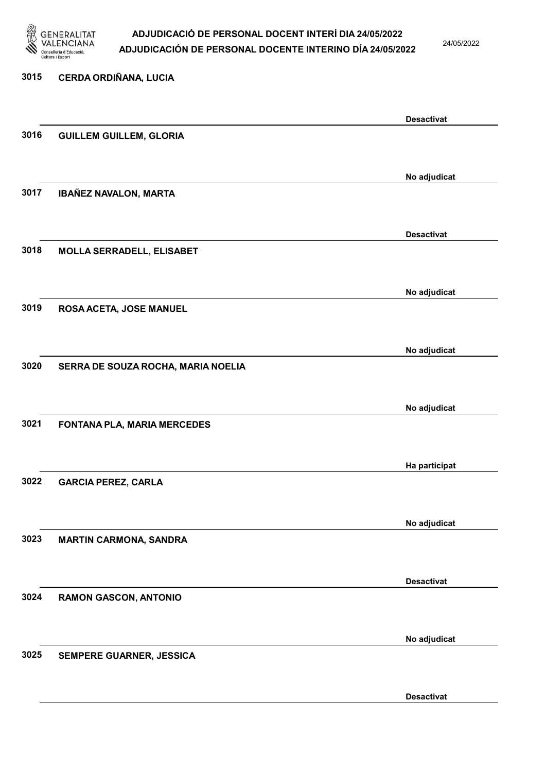

24/05/2022

Desactivat

# 3015 CERDA ORDIÑANA, LUCIA Desactivat 3016 GUILLEM GUILLEM, GLORIA No adjudicat 3017 IBAÑEZ NAVALON, MARTA Desactivat 3018 MOLLA SERRADELL, ELISABET No adjudicat 3019 ROSA ACETA, JOSE MANUEL No adjudicat 3020 SERRA DE SOUZA ROCHA, MARIA NOELIA No adjudicat 3021 FONTANA PLA, MARIA MERCEDES Ha participat 3022 GARCIA PEREZ, CARLA No adjudicat 3023 MARTIN CARMONA, SANDRA Desactivat 3024 RAMON GASCON, ANTONIO No adjudicat 3025 SEMPERE GUARNER, JESSICA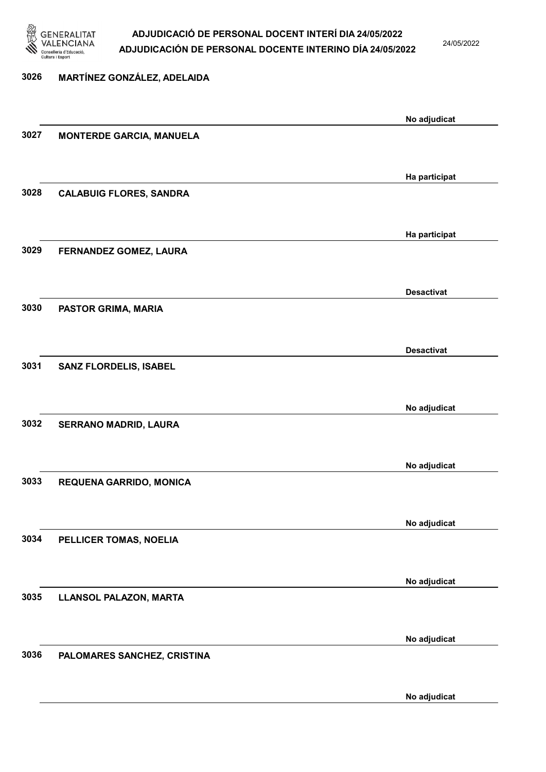

24/05/2022

No adjudicat

# 3026 MARTÍNEZ GONZÁLEZ, ADELAIDA No adjudicat 3027 MONTERDE GARCIA, MANUELA Ha participat 3028 CALABUIG FLORES, SANDRA Ha participat 3029 FERNANDEZ GOMEZ, LAURA Desactivat 3030 PASTOR GRIMA, MARIA Desactivat 3031 SANZ FLORDELIS, ISABEL No adjudicat 3032 SERRANO MADRID, LAURA No adjudicat 3033 REQUENA GARRIDO, MONICA No adjudicat 3034 PELLICER TOMAS, NOELIA No adjudicat 3035 LLANSOL PALAZON, MARTA No adjudicat 3036 PALOMARES SANCHEZ, CRISTINA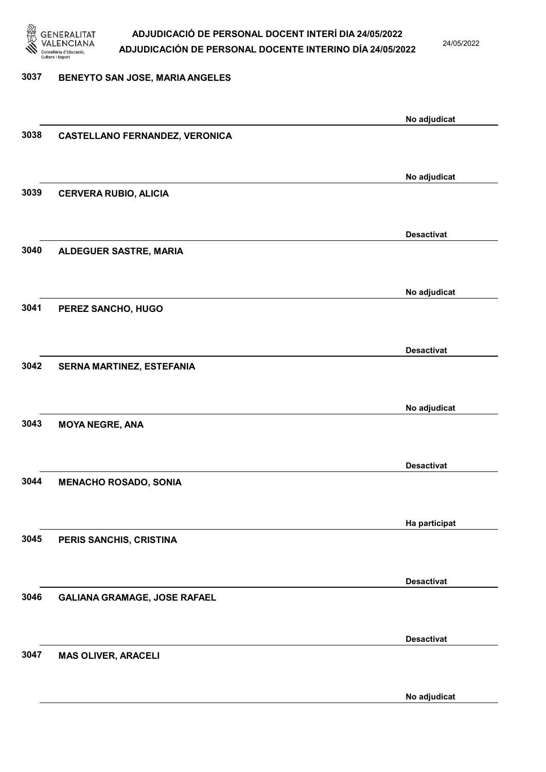

24/05/2022

### 3037 BENEYTO SAN JOSE, MARIA ANGELES

|      |                                       | No adjudicat      |
|------|---------------------------------------|-------------------|
| 3038 | <b>CASTELLANO FERNANDEZ, VERONICA</b> |                   |
|      |                                       |                   |
|      |                                       | No adjudicat      |
| 3039 | <b>CERVERA RUBIO, ALICIA</b>          |                   |
|      |                                       |                   |
|      |                                       | <b>Desactivat</b> |
| 3040 | ALDEGUER SASTRE, MARIA                |                   |
|      |                                       |                   |
|      |                                       | No adjudicat      |
| 3041 | PEREZ SANCHO, HUGO                    |                   |
|      |                                       |                   |
|      |                                       | <b>Desactivat</b> |
| 3042 | SERNA MARTINEZ, ESTEFANIA             |                   |
|      |                                       |                   |
|      |                                       | No adjudicat      |
| 3043 | <b>MOYA NEGRE, ANA</b>                |                   |
|      |                                       |                   |
|      |                                       | <b>Desactivat</b> |
| 3044 | <b>MENACHO ROSADO, SONIA</b>          |                   |
|      |                                       |                   |
|      |                                       | Ha participat     |
| 3045 | PERIS SANCHIS, CRISTINA               |                   |
|      |                                       |                   |
|      |                                       | <b>Desactivat</b> |
| 3046 | <b>GALIANA GRAMAGE, JOSE RAFAEL</b>   |                   |
|      |                                       |                   |
|      |                                       | <b>Desactivat</b> |
| 3047 | <b>MAS OLIVER, ARACELI</b>            |                   |
|      |                                       |                   |
|      |                                       | No adjudicat      |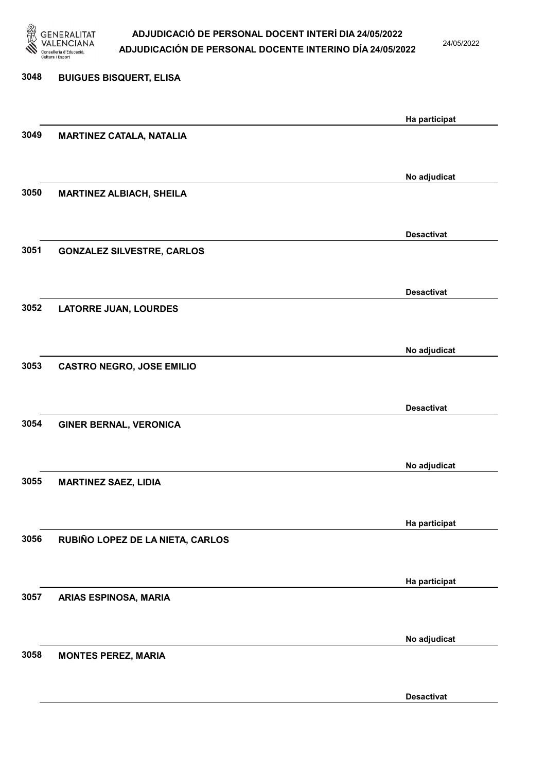

24/05/2022

Desactivat

# 3048 BUIGUES BISQUERT, ELISA Ha participat 3049 MARTINEZ CATALA, NATALIA No adjudicat 3050 MARTINEZ ALBIACH, SHEILA Desactivat 3051 GONZALEZ SILVESTRE, CARLOS Desactivat 3052 LATORRE JUAN, LOURDES No adjudicat 3053 CASTRO NEGRO, JOSE EMILIO Desactivat 3054 GINER BERNAL, VERONICA No adjudicat 3055 MARTINEZ SAEZ, LIDIA Ha participat 3056 RUBIÑO LOPEZ DE LA NIETA, CARLOS Ha participat 3057 ARIAS ESPINOSA, MARIA No adjudicat 3058 MONTES PEREZ, MARIA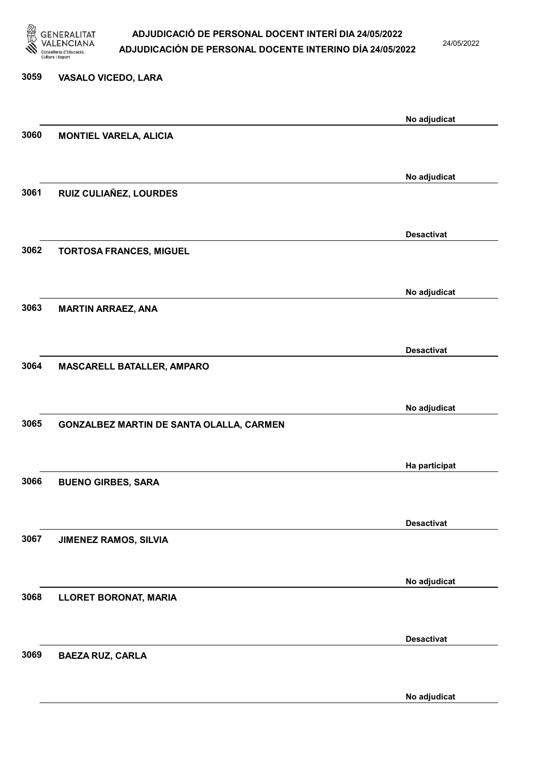

24/05/2022

# 3059 VASALO VICEDO, LARA No adjudicat 3060 MONTIEL VARELA, ALICIA No adjudicat 3061 RUIZ CULIAÑEZ, LOURDES Desactivat 3062 TORTOSA FRANCES, MIGUEL No adjudicat 3063 MARTIN ARRAEZ, ANA Desactivat 3064 MASCARELL BATALLER, AMPARO No adjudicat 3065 GONZALBEZ MARTIN DE SANTA OLALLA, CARMEN Ha participat 3066 BUENO GIRBES, SARA Desactivat 3067 JIMENEZ RAMOS, SILVIA No adjudicat 3068 LLORET BORONAT, MARIA Desactivat 3069 BAEZA RUZ, CARLA

No adjudicat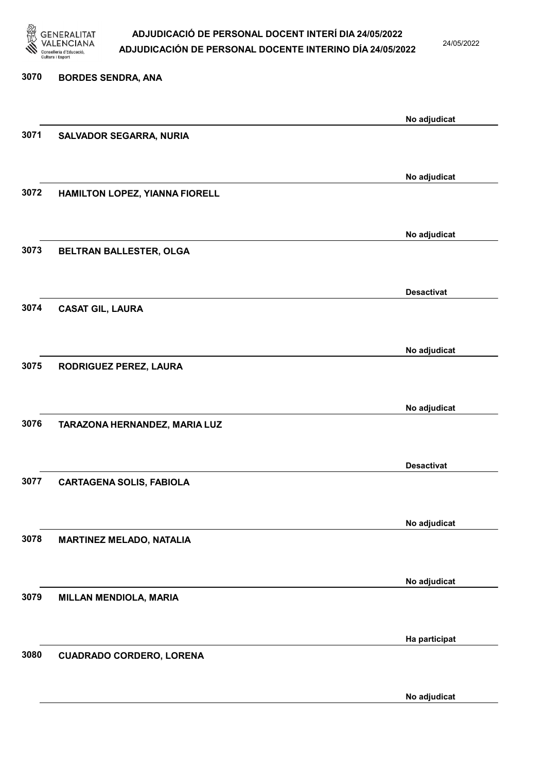

24/05/2022

No adjudicat

# 3070 BORDES SENDRA, ANA No adjudicat 3071 SALVADOR SEGARRA, NURIA No adjudicat 3072 HAMILTON LOPEZ, YIANNA FIORELL No adjudicat 3073 BELTRAN BALLESTER, OLGA Desactivat 3074 CASAT GIL, LAURA No adjudicat 3075 RODRIGUEZ PEREZ, LAURA No adjudicat 3076 TARAZONA HERNANDEZ, MARIA LUZ Desactivat 3077 CARTAGENA SOLIS, FABIOLA No adjudicat 3078 MARTINEZ MELADO, NATALIA No adjudicat 3079 MILLAN MENDIOLA, MARIA Ha participat 3080 CUADRADO CORDERO, LORENA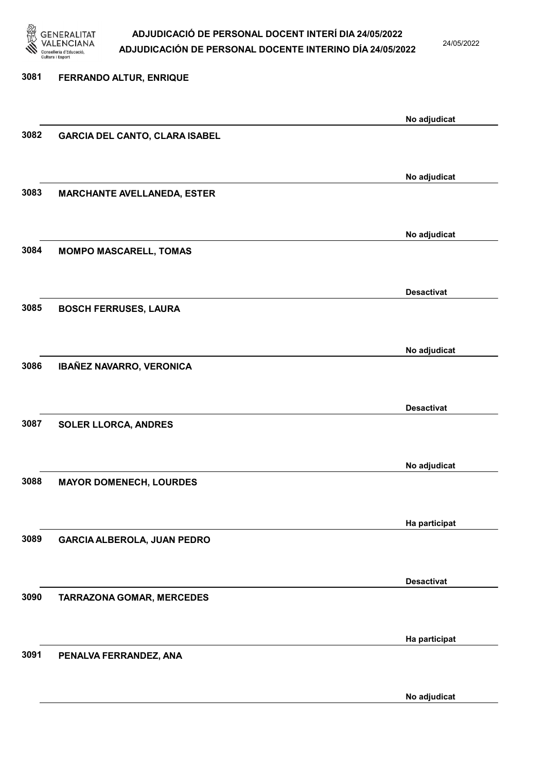

24/05/2022

No adjudicat

# 3081 FERRANDO ALTUR, ENRIQUE No adjudicat 3082 GARCIA DEL CANTO, CLARA ISABEL No adjudicat 3083 MARCHANTE AVELLANEDA, ESTER No adjudicat 3084 MOMPO MASCARELL, TOMAS Desactivat 3085 BOSCH FERRUSES, LAURA No adjudicat 3086 IBAÑEZ NAVARRO, VERONICA Desactivat 3087 SOLER LLORCA, ANDRES No adjudicat 3088 MAYOR DOMENECH, LOURDES Ha participat 3089 GARCIA ALBEROLA, JUAN PEDRO Desactivat 3090 TARRAZONA GOMAR, MERCEDES Ha participat 3091 PENALVA FERRANDEZ, ANA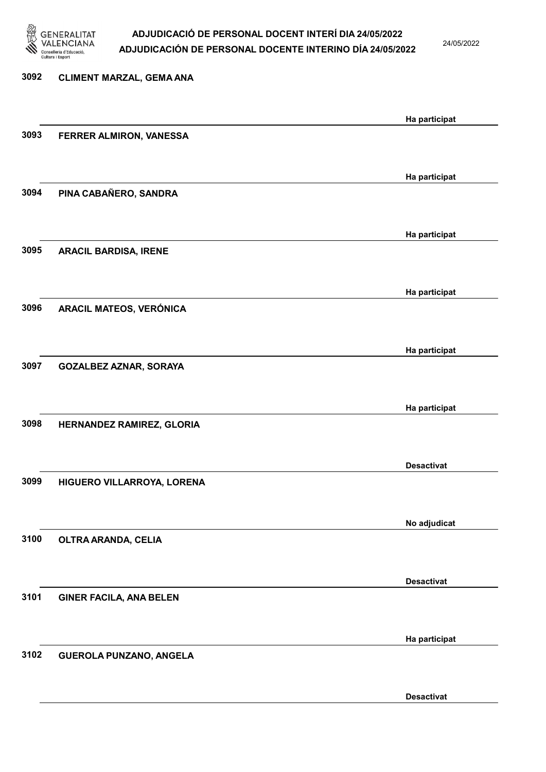

24/05/2022

# 3092 CLIMENT MARZAL, GEMA ANA Ha participat 3093 FERRER ALMIRON, VANESSA Ha participat 3094 PINA CABAÑERO, SANDRA Ha participat 3095 ARACIL BARDISA, IRENE Ha participat 3096 ARACIL MATEOS, VERÓNICA Ha participat 3097 GOZALBEZ AZNAR, SORAYA Ha participat 3098 HERNANDEZ RAMIREZ, GLORIA Desactivat 3099 HIGUERO VILLARROYA, LORENA No adjudicat 3100 OLTRA ARANDA, CELIA Desactivat 3101 GINER FACILA, ANA BELEN Ha participat 3102 GUEROLA PUNZANO, ANGELA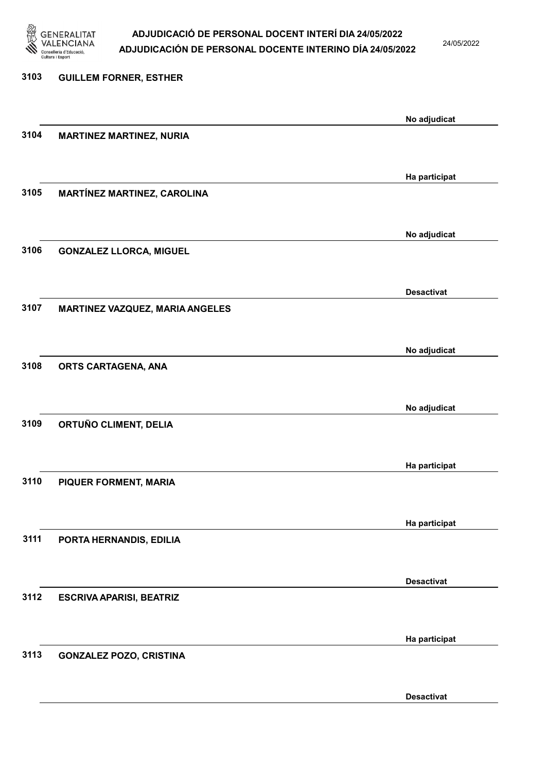

24/05/2022

# 3103 GUILLEM FORNER, ESTHER No adjudicat 3104 MARTINEZ MARTINEZ, NURIA Ha participat 3105 MARTÍNEZ MARTINEZ, CAROLINA No adjudicat 3106 GONZALEZ LLORCA, MIGUEL Desactivat 3107 MARTINEZ VAZQUEZ, MARIA ANGELES No adjudicat 3108 ORTS CARTAGENA, ANA No adjudicat 3109 ORTUÑO CLIMENT, DELIA Ha participat 3110 PIQUER FORMENT, MARIA Ha participat 3111 PORTA HERNANDIS, EDILIA Desactivat 3112 ESCRIVA APARISI, BEATRIZ Ha participat 3113 GONZALEZ POZO, CRISTINA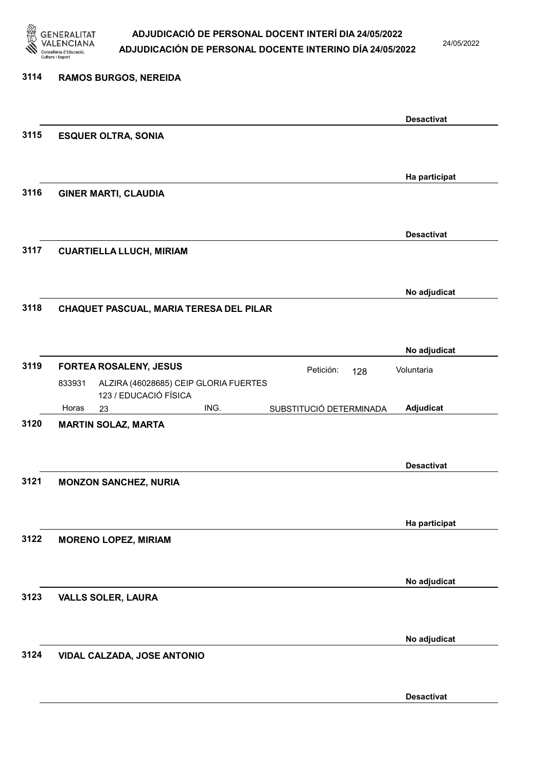

24/05/2022

| 3114 | <b>RAMOS BURGOS, NEREIDA</b>                                             |                   |
|------|--------------------------------------------------------------------------|-------------------|
|      |                                                                          | <b>Desactivat</b> |
| 3115 | <b>ESQUER OLTRA, SONIA</b>                                               |                   |
|      |                                                                          | Ha participat     |
| 3116 | <b>GINER MARTI, CLAUDIA</b>                                              |                   |
|      |                                                                          |                   |
| 3117 | <b>CUARTIELLA LLUCH, MIRIAM</b>                                          | <b>Desactivat</b> |
|      |                                                                          |                   |
| 3118 | CHAQUET PASCUAL, MARIA TERESA DEL PILAR                                  | No adjudicat      |
|      |                                                                          |                   |
|      |                                                                          | No adjudicat      |
| 3119 | <b>FORTEA ROSALENY, JESUS</b><br>Petición:<br>128                        | Voluntaria        |
|      | ALZIRA (46028685) CEIP GLORIA FUERTES<br>833931<br>123 / EDUCACIÓ FÍSICA |                   |
|      | ING.<br>Horas<br>SUBSTITUCIÓ DETERMINADA<br>23                           | Adjudicat         |
| 3120 | <b>MARTIN SOLAZ, MARTA</b>                                               |                   |
|      |                                                                          |                   |
|      |                                                                          | <b>Desactivat</b> |
| 3121 | <b>MONZON SANCHEZ, NURIA</b>                                             |                   |
|      |                                                                          |                   |
|      |                                                                          | Ha participat     |
| 3122 | <b>MORENO LOPEZ, MIRIAM</b>                                              |                   |
|      |                                                                          |                   |
| 3123 | <b>VALLS SOLER, LAURA</b>                                                | No adjudicat      |
|      |                                                                          |                   |
|      |                                                                          | No adjudicat      |
| 3124 | VIDAL CALZADA, JOSE ANTONIO                                              |                   |
|      |                                                                          |                   |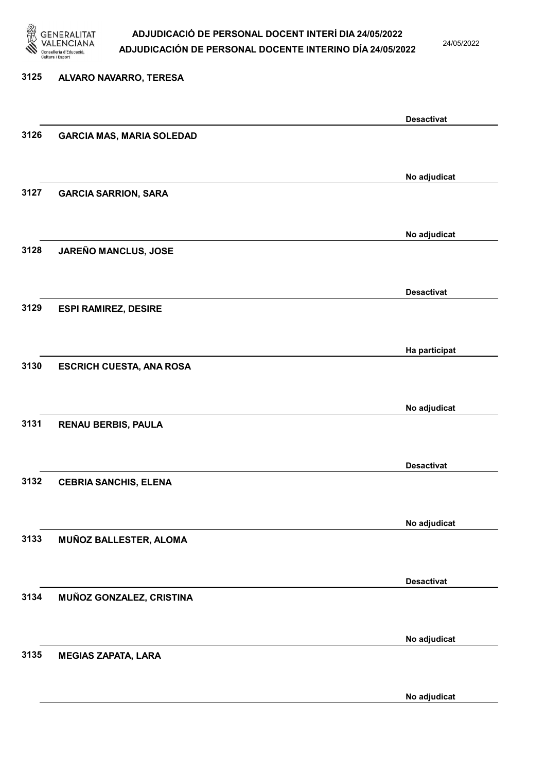

24/05/2022

### 3125 ALVARO NAVARRO, TERESA

|      |                                  | <b>Desactivat</b> |
|------|----------------------------------|-------------------|
| 3126 | <b>GARCIA MAS, MARIA SOLEDAD</b> |                   |
|      |                                  |                   |
|      |                                  | No adjudicat      |
| 3127 | <b>GARCIA SARRION, SARA</b>      |                   |
|      |                                  |                   |
|      |                                  |                   |
|      |                                  | No adjudicat      |
| 3128 | JAREÑO MANCLUS, JOSE             |                   |
|      |                                  |                   |
|      |                                  | <b>Desactivat</b> |
| 3129 | <b>ESPI RAMIREZ, DESIRE</b>      |                   |
|      |                                  |                   |
|      |                                  | Ha participat     |
| 3130 | <b>ESCRICH CUESTA, ANA ROSA</b>  |                   |
|      |                                  |                   |
|      |                                  |                   |
|      |                                  | No adjudicat      |
| 3131 | <b>RENAU BERBIS, PAULA</b>       |                   |
|      |                                  |                   |
|      |                                  | <b>Desactivat</b> |
| 3132 | <b>CEBRIA SANCHIS, ELENA</b>     |                   |
|      |                                  |                   |
|      |                                  | No adjudicat      |
| 3133 | MUÑOZ BALLESTER, ALOMA           |                   |
|      |                                  |                   |
|      |                                  |                   |
|      |                                  | <b>Desactivat</b> |
| 3134 | MUÑOZ GONZALEZ, CRISTINA         |                   |
|      |                                  |                   |
|      |                                  | No adjudicat      |
| 3135 | <b>MEGIAS ZAPATA, LARA</b>       |                   |
|      |                                  |                   |
|      |                                  | No adjudicat      |
|      |                                  |                   |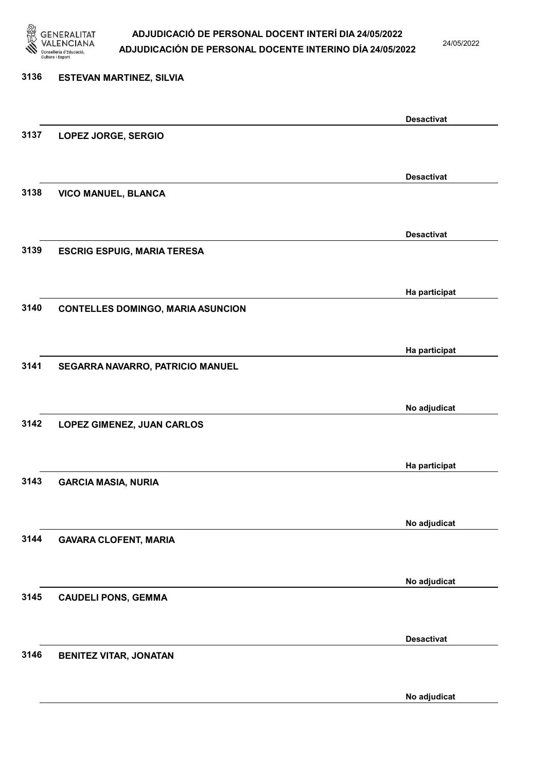

24/05/2022

No adjudicat

# 3136 ESTEVAN MARTINEZ, SILVIA Desactivat 3137 LOPEZ JORGE, SERGIO Desactivat 3138 VICO MANUEL, BLANCA Desactivat 3139 ESCRIG ESPUIG, MARIA TERESA Ha participat 3140 CONTELLES DOMINGO, MARIA ASUNCION Ha participat 3141 SEGARRA NAVARRO, PATRICIO MANUEL No adjudicat 3142 LOPEZ GIMENEZ, JUAN CARLOS Ha participat 3143 GARCIA MASIA, NURIA No adjudicat 3144 GAVARA CLOFENT, MARIA No adjudicat 3145 CAUDELI PONS, GEMMA Desactivat 3146 BENITEZ VITAR, JONATAN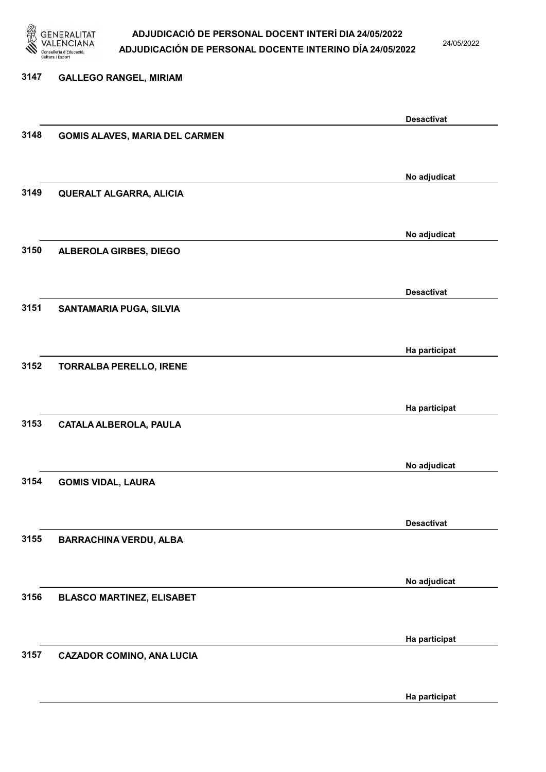

24/05/2022

Ha participat

# 3147 GALLEGO RANGEL, MIRIAM Desactivat 3148 GOMIS ALAVES, MARIA DEL CARMEN No adjudicat 3149 QUERALT ALGARRA, ALICIA No adjudicat 3150 ALBEROLA GIRBES, DIEGO Desactivat 3151 SANTAMARIA PUGA, SILVIA Ha participat 3152 TORRALBA PERELLO, IRENE Ha participat 3153 CATALA ALBEROLA, PAULA No adjudicat 3154 GOMIS VIDAL, LAURA Desactivat 3155 BARRACHINA VERDU, ALBA No adjudicat 3156 BLASCO MARTINEZ, ELISABET Ha participat 3157 CAZADOR COMINO, ANA LUCIA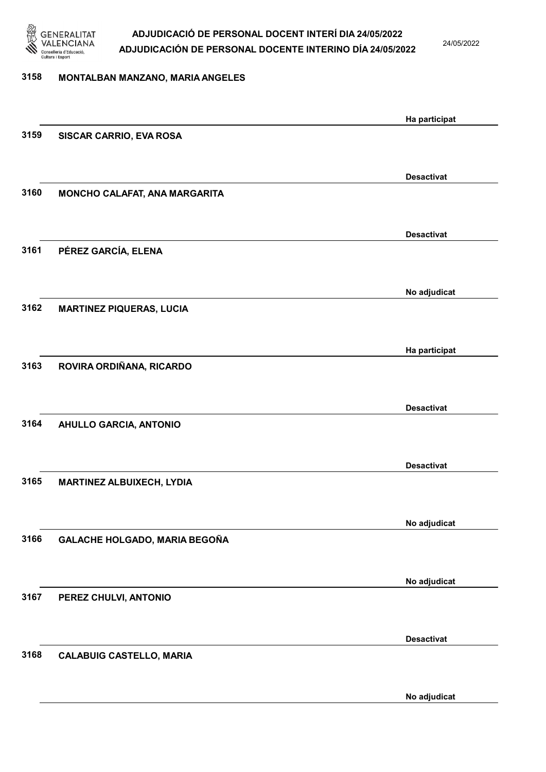

24/05/2022

### 3158 MONTALBAN MANZANO, MARIA ANGELES

|      |                                  | Ha participat     |
|------|----------------------------------|-------------------|
| 3159 | SISCAR CARRIO, EVA ROSA          |                   |
|      |                                  |                   |
|      |                                  | <b>Desactivat</b> |
| 3160 | MONCHO CALAFAT, ANA MARGARITA    |                   |
|      |                                  |                   |
|      |                                  |                   |
|      |                                  | <b>Desactivat</b> |
| 3161 | PÉREZ GARCÍA, ELENA              |                   |
|      |                                  |                   |
|      |                                  | No adjudicat      |
| 3162 | <b>MARTINEZ PIQUERAS, LUCIA</b>  |                   |
|      |                                  |                   |
|      |                                  | Ha participat     |
| 3163 | ROVIRA ORDIÑANA, RICARDO         |                   |
|      |                                  |                   |
|      |                                  |                   |
| 3164 | <b>AHULLO GARCIA, ANTONIO</b>    | <b>Desactivat</b> |
|      |                                  |                   |
|      |                                  |                   |
|      |                                  | <b>Desactivat</b> |
| 3165 | <b>MARTINEZ ALBUIXECH, LYDIA</b> |                   |
|      |                                  |                   |
|      |                                  | No adjudicat      |
| 3166 | GALACHE HOLGADO, MARIA BEGOÑA    |                   |
|      |                                  |                   |
|      |                                  | No adjudicat      |
| 3167 | PEREZ CHULVI, ANTONIO            |                   |
|      |                                  |                   |
|      |                                  |                   |
|      |                                  | <b>Desactivat</b> |
| 3168 | <b>CALABUIG CASTELLO, MARIA</b>  |                   |
|      |                                  |                   |
|      |                                  | No adjudicat      |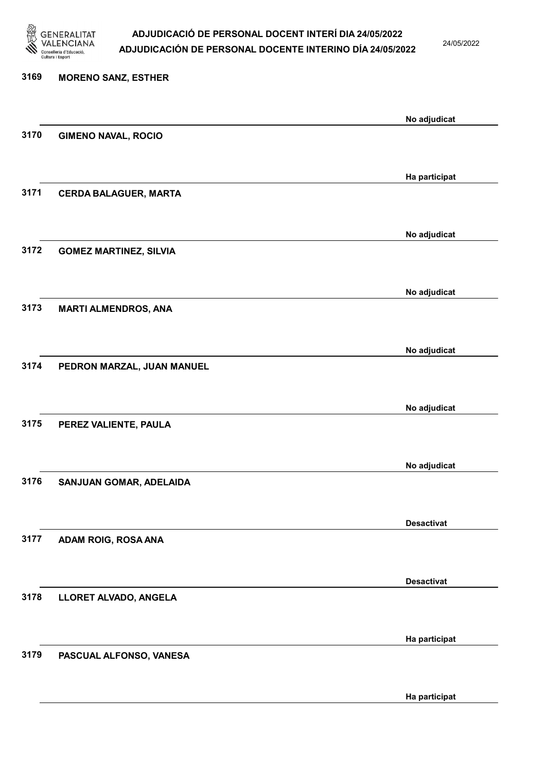

24/05/2022

Ha participat

## 3169 MORENO SANZ, ESTHER No adjudicat 3170 GIMENO NAVAL, ROCIO Ha participat 3171 CERDA BALAGUER, MARTA No adjudicat 3172 GOMEZ MARTINEZ, SILVIA No adjudicat 3173 MARTI ALMENDROS, ANA No adjudicat 3174 PEDRON MARZAL, JUAN MANUEL No adjudicat 3175 PEREZ VALIENTE, PAULA No adjudicat 3176 SANJUAN GOMAR, ADELAIDA Desactivat 3177 ADAM ROIG, ROSA ANA Desactivat 3178 LLORET ALVADO, ANGELA Ha participat 3179 PASCUAL ALFONSO, VANESA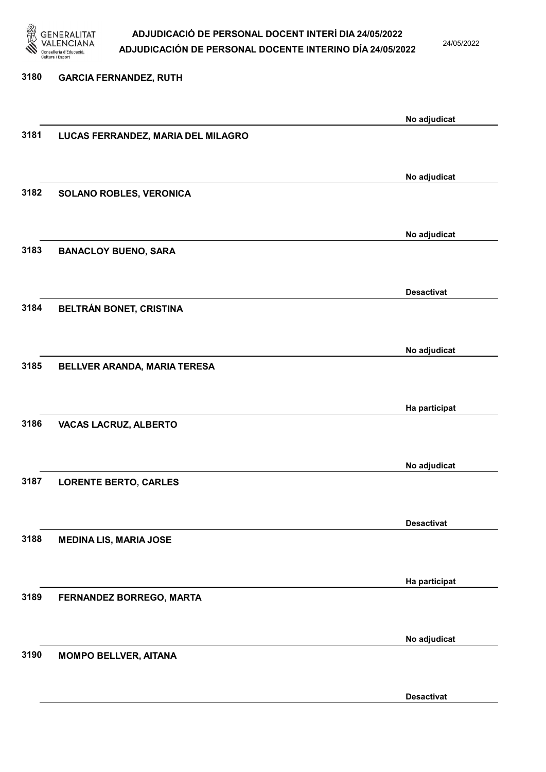

24/05/2022

#### 3180 GARCIA FERNANDEZ, RUTH

|      |                                    | No adjudicat      |
|------|------------------------------------|-------------------|
| 3181 | LUCAS FERRANDEZ, MARIA DEL MILAGRO |                   |
|      |                                    |                   |
|      |                                    |                   |
|      |                                    | No adjudicat      |
|      |                                    |                   |
| 3182 | SOLANO ROBLES, VERONICA            |                   |
|      |                                    |                   |
|      |                                    |                   |
|      |                                    | No adjudicat      |
| 3183 | <b>BANACLOY BUENO, SARA</b>        |                   |
|      |                                    |                   |
|      |                                    |                   |
|      |                                    | <b>Desactivat</b> |
| 3184 | BELTRÁN BONET, CRISTINA            |                   |
|      |                                    |                   |
|      |                                    |                   |
|      |                                    | No adjudicat      |
| 3185 | BELLVER ARANDA, MARIA TERESA       |                   |
|      |                                    |                   |
|      |                                    |                   |
|      |                                    | Ha participat     |
|      |                                    |                   |
| 3186 | VACAS LACRUZ, ALBERTO              |                   |
|      |                                    |                   |
|      |                                    |                   |
|      |                                    | No adjudicat      |
| 3187 | <b>LORENTE BERTO, CARLES</b>       |                   |
|      |                                    |                   |
|      |                                    |                   |
|      |                                    | <b>Desactivat</b> |
| 3188 | <b>MEDINA LIS, MARIA JOSE</b>      |                   |
|      |                                    |                   |
|      |                                    |                   |
|      |                                    | Ha participat     |
| 3189 | FERNANDEZ BORREGO, MARTA           |                   |
|      |                                    |                   |
|      |                                    |                   |
|      |                                    | No adjudicat      |
| 3190 |                                    |                   |
|      | <b>MOMPO BELLVER, AITANA</b>       |                   |
|      |                                    |                   |
|      |                                    |                   |
|      |                                    | <b>Desactivat</b> |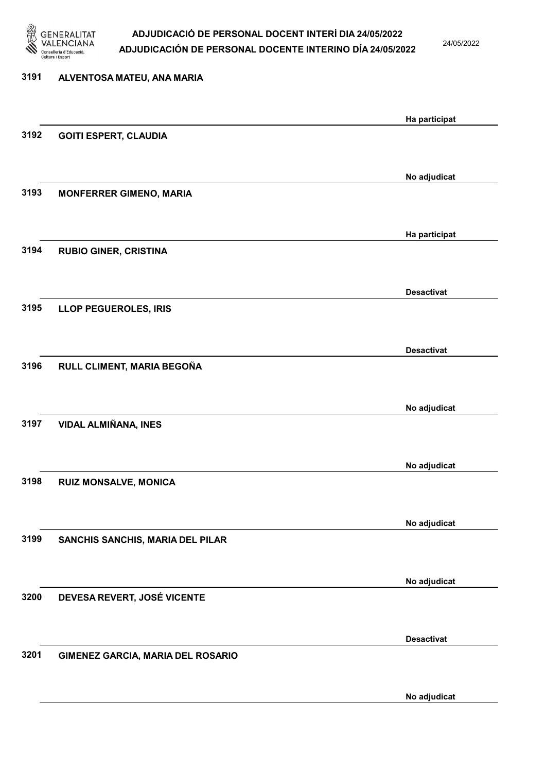

24/05/2022

No adjudicat

## 3191 ALVENTOSA MATEU, ANA MARIA Ha participat 3192 GOITI ESPERT, CLAUDIA No adjudicat 3193 MONFERRER GIMENO, MARIA Ha participat 3194 RUBIO GINER, CRISTINA Desactivat 3195 LLOP PEGUEROLES, IRIS Desactivat 3196 RULL CLIMENT, MARIA BEGOÑA No adjudicat 3197 VIDAL ALMIÑANA, INES No adjudicat 3198 RUIZ MONSALVE, MONICA No adjudicat 3199 SANCHIS SANCHIS, MARIA DEL PILAR No adjudicat 3200 DEVESA REVERT, JOSÉ VICENTE Desactivat 3201 GIMENEZ GARCIA, MARIA DEL ROSARIO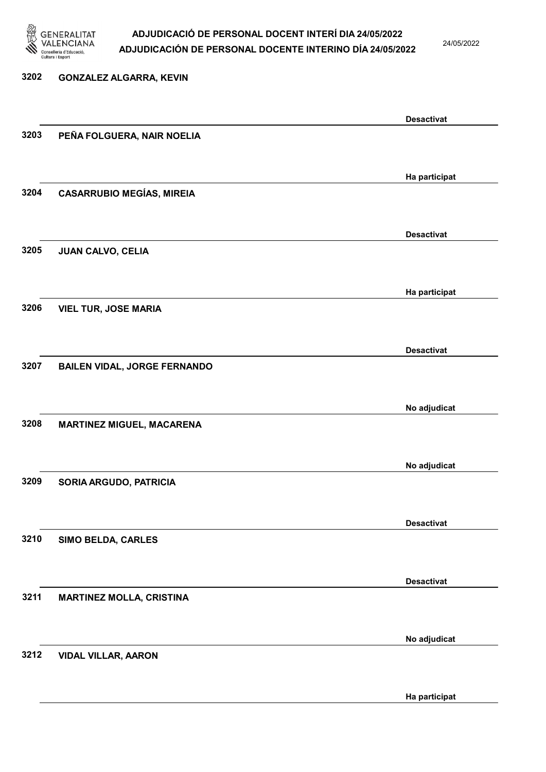

24/05/2022

Ha participat

### 3202 GONZALEZ ALGARRA, KEVIN Desactivat 3203 PEÑA FOLGUERA, NAIR NOELIA Ha participat 3204 CASARRUBIO MEGÍAS, MIREIA Desactivat 3205 JUAN CALVO, CELIA Ha participat 3206 VIEL TUR, JOSE MARIA Desactivat 3207 BAILEN VIDAL, JORGE FERNANDO No adjudicat 3208 MARTINEZ MIGUEL, MACARENA No adjudicat 3209 SORIA ARGUDO, PATRICIA Desactivat 3210 SIMO BELDA, CARLES Desactivat 3211 MARTINEZ MOLLA, CRISTINA No adjudicat 3212 VIDAL VILLAR, AARON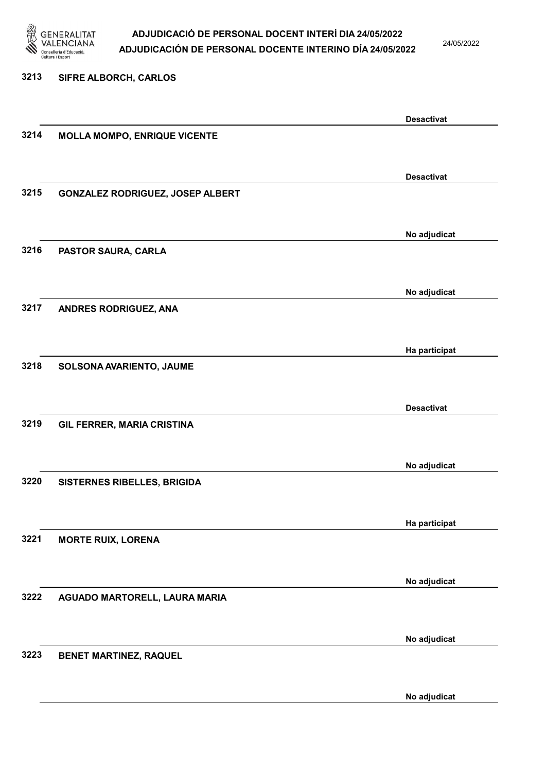

24/05/2022

Desactivat

No adjudicat

# 3213 SIFRE ALBORCH, CARLOS

3214 MOLLA MOMPO, ENRIQUE VICENTE

Desactivat 3215 GONZALEZ RODRIGUEZ, JOSEP ALBERT No adjudicat 3216 PASTOR SAURA, CARLA No adjudicat 3217 ANDRES RODRIGUEZ, ANA Ha participat 3218 SOLSONA AVARIENTO, JAUME Desactivat 3219 GIL FERRER, MARIA CRISTINA No adjudicat 3220 SISTERNES RIBELLES, BRIGIDA Ha participat 3221 MORTE RUIX, LORENA No adjudicat 3222 AGUADO MARTORELL, LAURA MARIA No adjudicat 3223 BENET MARTINEZ, RAQUEL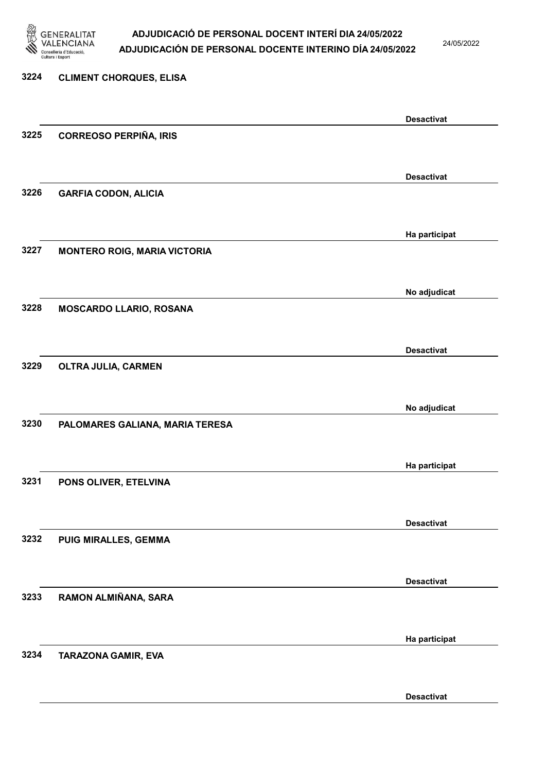

24/05/2022

Desactivat

## 3224 CLIMENT CHORQUES, ELISA Desactivat 3225 CORREOSO PERPIÑA, IRIS Desactivat 3226 GARFIA CODON, ALICIA Ha participat 3227 MONTERO ROIG, MARIA VICTORIA No adjudicat 3228 MOSCARDO LLARIO, ROSANA Desactivat 3229 OLTRA JULIA, CARMEN No adjudicat 3230 PALOMARES GALIANA, MARIA TERESA Ha participat 3231 PONS OLIVER, ETELVINA Desactivat 3232 PUIG MIRALLES, GEMMA Desactivat 3233 RAMON ALMIÑANA, SARA Ha participat 3234 TARAZONA GAMIR, EVA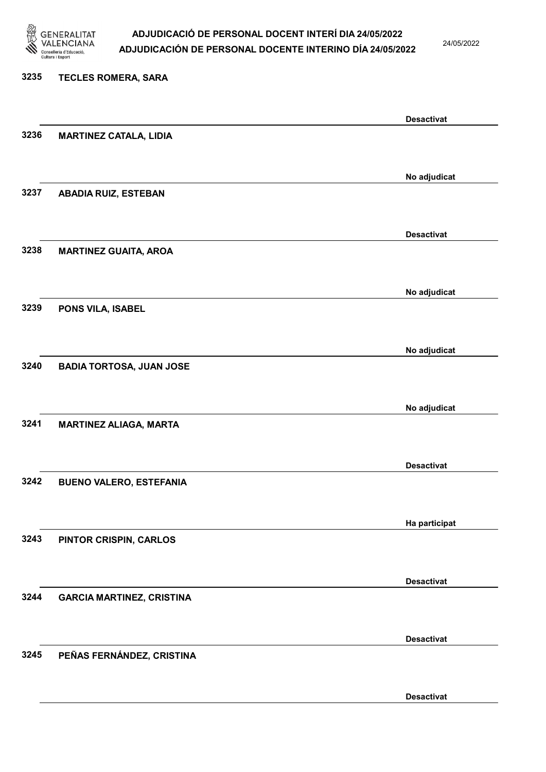

24/05/2022

#### 3235 TECLES ROMERA, SARA

|      |                                  | <b>Desactivat</b> |
|------|----------------------------------|-------------------|
| 3236 | <b>MARTINEZ CATALA, LIDIA</b>    |                   |
|      |                                  |                   |
|      |                                  | No adjudicat      |
| 3237 | <b>ABADIA RUIZ, ESTEBAN</b>      |                   |
|      |                                  |                   |
|      |                                  |                   |
|      |                                  | <b>Desactivat</b> |
| 3238 | <b>MARTINEZ GUAITA, AROA</b>     |                   |
|      |                                  |                   |
|      |                                  | No adjudicat      |
| 3239 | PONS VILA, ISABEL                |                   |
|      |                                  |                   |
|      |                                  | No adjudicat      |
| 3240 | <b>BADIA TORTOSA, JUAN JOSE</b>  |                   |
|      |                                  |                   |
|      |                                  |                   |
|      |                                  | No adjudicat      |
| 3241 | <b>MARTINEZ ALIAGA, MARTA</b>    |                   |
|      |                                  |                   |
|      |                                  | <b>Desactivat</b> |
| 3242 | <b>BUENO VALERO, ESTEFANIA</b>   |                   |
|      |                                  |                   |
|      |                                  | Ha participat     |
| 3243 | PINTOR CRISPIN, CARLOS           |                   |
|      |                                  |                   |
|      |                                  |                   |
|      |                                  | <b>Desactivat</b> |
| 3244 | <b>GARCIA MARTINEZ, CRISTINA</b> |                   |
|      |                                  |                   |
|      |                                  | <b>Desactivat</b> |
| 3245 | PEÑAS FERNÁNDEZ, CRISTINA        |                   |
|      |                                  |                   |
|      |                                  | <b>Desactivat</b> |
|      |                                  |                   |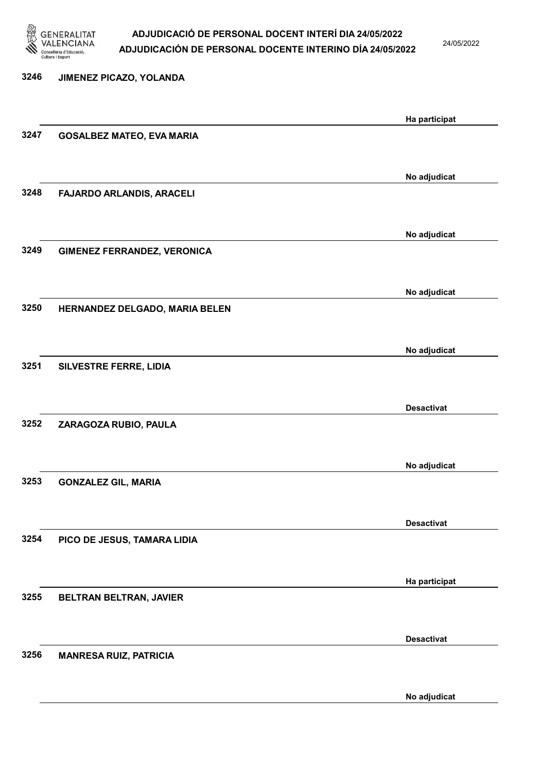

24/05/2022

No adjudicat

3246 JIMENEZ PICAZO, YOLANDA Ha participat 3247 GOSALBEZ MATEO, EVA MARIA No adjudicat 3248 FAJARDO ARLANDIS, ARACELI No adjudicat 3249 GIMENEZ FERRANDEZ, VERONICA No adjudicat 3250 HERNANDEZ DELGADO, MARIA BELEN No adjudicat 3251 SILVESTRE FERRE, LIDIA Desactivat 3252 ZARAGOZA RUBIO, PAULA No adjudicat 3253 GONZALEZ GIL, MARIA Desactivat 3254 PICO DE JESUS, TAMARA LIDIA Ha participat 3255 BELTRAN BELTRAN, JAVIER Desactivat 3256 MANRESA RUIZ, PATRICIA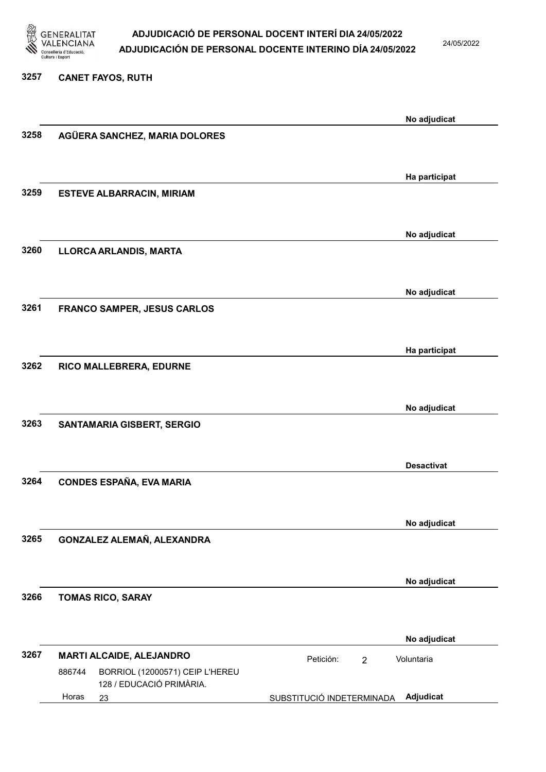

24/05/2022

#### 3257 CANET FAYOS, RUTH

|      |        |                                                             |                           |                | No adjudicat      |
|------|--------|-------------------------------------------------------------|---------------------------|----------------|-------------------|
| 3258 |        | AGÜERA SANCHEZ, MARIA DOLORES                               |                           |                |                   |
|      |        |                                                             |                           |                |                   |
|      |        |                                                             |                           |                | Ha participat     |
| 3259 |        | <b>ESTEVE ALBARRACIN, MIRIAM</b>                            |                           |                |                   |
|      |        |                                                             |                           |                |                   |
| 3260 |        | LLORCA ARLANDIS, MARTA                                      |                           |                | No adjudicat      |
|      |        |                                                             |                           |                |                   |
|      |        |                                                             |                           |                | No adjudicat      |
| 3261 |        | <b>FRANCO SAMPER, JESUS CARLOS</b>                          |                           |                |                   |
|      |        |                                                             |                           |                |                   |
|      |        |                                                             |                           |                | Ha participat     |
| 3262 |        | RICO MALLEBRERA, EDURNE                                     |                           |                |                   |
|      |        |                                                             |                           |                | No adjudicat      |
| 3263 |        | SANTAMARIA GISBERT, SERGIO                                  |                           |                |                   |
|      |        |                                                             |                           |                |                   |
|      |        |                                                             |                           |                | <b>Desactivat</b> |
| 3264 |        | <b>CONDES ESPAÑA, EVA MARIA</b>                             |                           |                |                   |
|      |        |                                                             |                           |                |                   |
| 3265 |        | GONZALEZ ALEMAÑ, ALEXANDRA                                  |                           |                | No adjudicat      |
|      |        |                                                             |                           |                |                   |
|      |        |                                                             |                           |                | No adjudicat      |
| 3266 |        | <b>TOMAS RICO, SARAY</b>                                    |                           |                |                   |
|      |        |                                                             |                           |                |                   |
|      |        |                                                             |                           |                | No adjudicat      |
| 3267 | 886744 | MARTI ALCAIDE, ALEJANDRO<br>BORRIOL (12000571) CEIP L'HEREU | Petición:                 | $\overline{2}$ | Voluntaria        |
|      |        | 128 / EDUCACIÓ PRIMÀRIA.                                    |                           |                |                   |
|      | Horas  | 23                                                          | SUBSTITUCIÓ INDETERMINADA |                | Adjudicat         |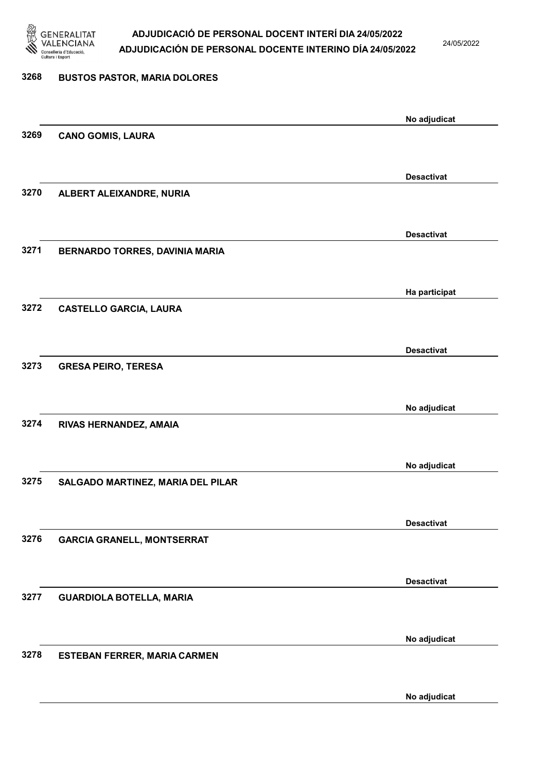

24/05/2022

## 3268 BUSTOS PASTOR, MARIA DOLORES No adjudicat 3269 CANO GOMIS, LAURA Desactivat 3270 ALBERT ALEIXANDRE, NURIA Desactivat 3271 BERNARDO TORRES, DAVINIA MARIA Ha participat 3272 CASTELLO GARCIA, LAURA Desactivat 3273 GRESA PEIRO, TERESA No adjudicat 3274 RIVAS HERNANDEZ, AMAIA No adjudicat 3275 SALGADO MARTINEZ, MARIA DEL PILAR Desactivat 3276 GARCIA GRANELL, MONTSERRAT Desactivat 3277 GUARDIOLA BOTELLA, MARIA No adjudicat 3278 ESTEBAN FERRER, MARIA CARMEN

No adjudicat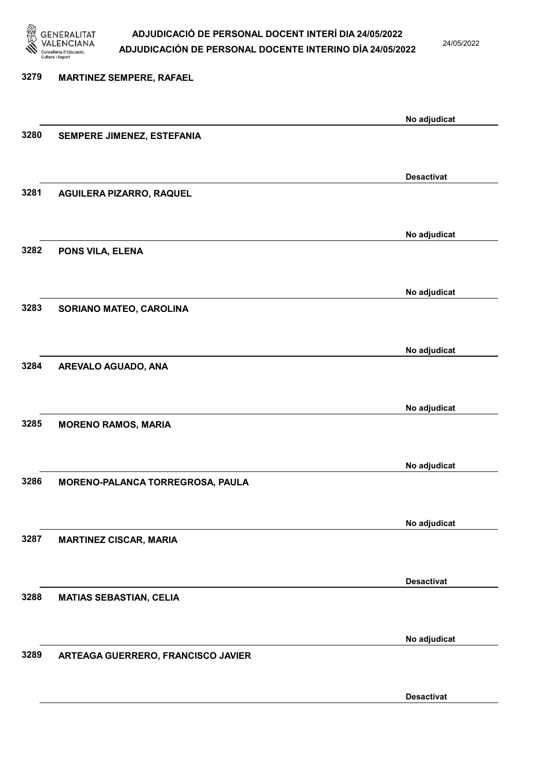

24/05/2022

Desactivat

## 3279 MARTINEZ SEMPERE, RAFAEL No adjudicat 3280 SEMPERE JIMENEZ, ESTEFANIA Desactivat 3281 AGUILERA PIZARRO, RAQUEL No adjudicat 3282 PONS VILA, ELENA No adjudicat 3283 SORIANO MATEO, CAROLINA No adjudicat 3284 AREVALO AGUADO, ANA No adjudicat 3285 MORENO RAMOS, MARIA No adjudicat 3286 MORENO-PALANCA TORREGROSA, PAULA No adjudicat 3287 MARTINEZ CISCAR, MARIA Desactivat 3288 MATIAS SEBASTIAN, CELIA No adjudicat 3289 ARTEAGA GUERRERO, FRANCISCO JAVIER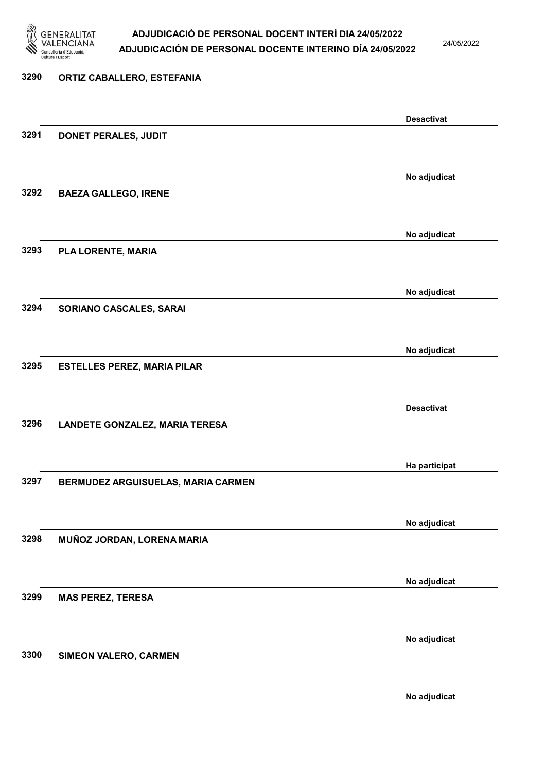

3290 ORTIZ CABALLERO, ESTEFANIA

### ADJUDICACIÓ DE PERSONAL DOCENT INTERÍ DIA 24/05/2022 ADJUDICACIÓN DE PERSONAL DOCENTE INTERINO DÍA 24/05/2022

24/05/2022

### Desactivat 3291 DONET PERALES, JUDIT No adjudicat 3292 BAEZA GALLEGO, IRENE No adjudicat 3293 PLA LORENTE, MARIA No adjudicat 3294 SORIANO CASCALES, SARAI No adjudicat 3295 ESTELLES PEREZ, MARIA PILAR Desactivat 3296 LANDETE GONZALEZ, MARIA TERESA Ha participat 3297 BERMUDEZ ARGUISUELAS, MARIA CARMEN No adjudicat 3298 MUÑOZ JORDAN, LORENA MARIA No adjudicat 3299 MAS PEREZ, TERESA No adjudicat 3300 SIMEON VALERO, CARMEN No adjudicat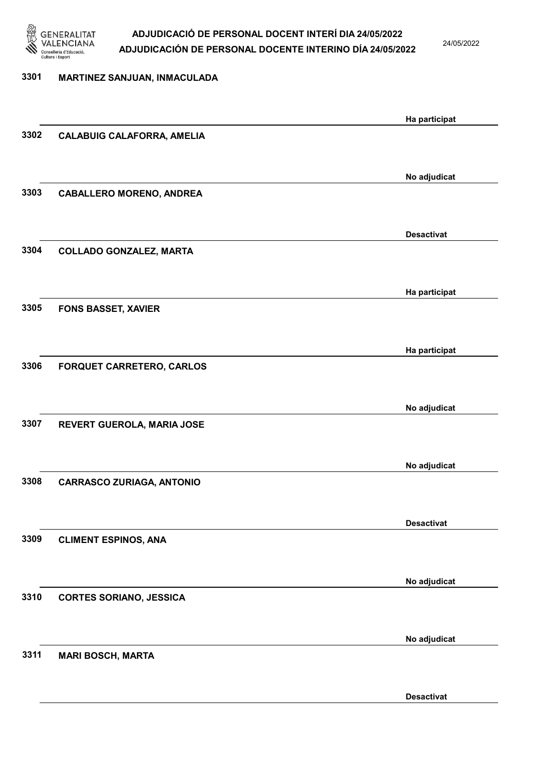

24/05/2022

| 3301 | MARTINEZ SANJUAN, INMACULADA      |                   |
|------|-----------------------------------|-------------------|
|      |                                   |                   |
|      |                                   | Ha participat     |
| 3302 | <b>CALABUIG CALAFORRA, AMELIA</b> |                   |
|      |                                   |                   |
|      |                                   | No adjudicat      |
| 3303 | <b>CABALLERO MORENO, ANDREA</b>   |                   |
|      |                                   |                   |
|      |                                   |                   |
|      |                                   | <b>Desactivat</b> |
| 3304 | <b>COLLADO GONZALEZ, MARTA</b>    |                   |
|      |                                   |                   |
|      |                                   | Ha participat     |
| 3305 | <b>FONS BASSET, XAVIER</b>        |                   |
|      |                                   |                   |
|      |                                   |                   |
|      |                                   | Ha participat     |
| 3306 | <b>FORQUET CARRETERO, CARLOS</b>  |                   |
|      |                                   |                   |
|      |                                   | No adjudicat      |
| 3307 | REVERT GUEROLA, MARIA JOSE        |                   |
|      |                                   |                   |
|      |                                   | No adjudicat      |
| 3308 | <b>CARRASCO ZURIAGA, ANTONIO</b>  |                   |
|      |                                   |                   |
|      |                                   |                   |
|      |                                   | <b>Desactivat</b> |
| 3309 | <b>CLIMENT ESPINOS, ANA</b>       |                   |
|      |                                   |                   |
|      |                                   | No adjudicat      |
| 3310 | <b>CORTES SORIANO, JESSICA</b>    |                   |
|      |                                   |                   |
|      |                                   |                   |
|      |                                   | No adjudicat      |
| 3311 | <b>MARI BOSCH, MARTA</b>          |                   |
|      |                                   |                   |

Desactivat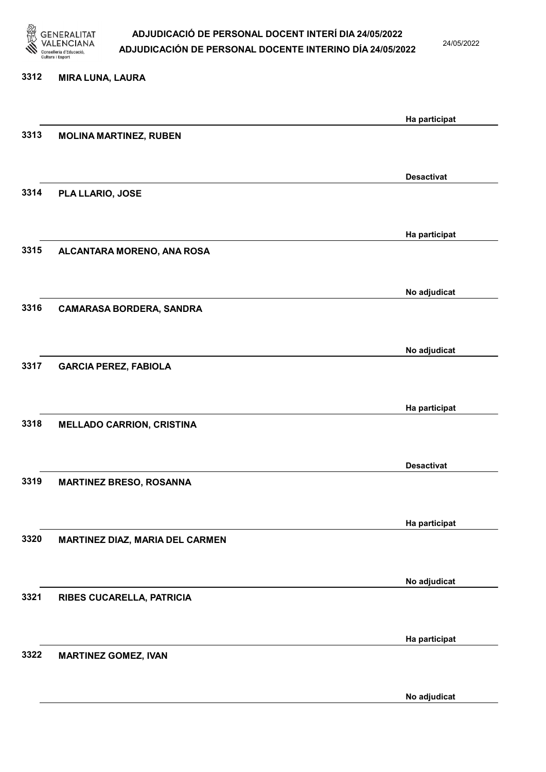

24/05/2022

#### 3312 MIRA LUNA, LAURA

|      |                                  | Ha participat     |
|------|----------------------------------|-------------------|
| 3313 | <b>MOLINA MARTINEZ, RUBEN</b>    |                   |
|      |                                  |                   |
|      |                                  | <b>Desactivat</b> |
| 3314 | PLA LLARIO, JOSE                 |                   |
|      |                                  |                   |
| 3315 |                                  | Ha participat     |
|      | ALCANTARA MORENO, ANA ROSA       |                   |
|      |                                  | No adjudicat      |
| 3316 | <b>CAMARASA BORDERA, SANDRA</b>  |                   |
|      |                                  |                   |
|      |                                  | No adjudicat      |
| 3317 | <b>GARCIA PEREZ, FABIOLA</b>     |                   |
|      |                                  |                   |
|      |                                  | Ha participat     |
| 3318 | <b>MELLADO CARRION, CRISTINA</b> |                   |
|      |                                  |                   |
| 3319 | <b>MARTINEZ BRESO, ROSANNA</b>   | <b>Desactivat</b> |
|      |                                  |                   |
|      |                                  | Ha participat     |
| 3320 | MARTINEZ DIAZ, MARIA DEL CARMEN  |                   |
|      |                                  |                   |
|      |                                  | No adjudicat      |
| 3321 | RIBES CUCARELLA, PATRICIA        |                   |
|      |                                  |                   |
| 3322 |                                  | Ha participat     |
|      | <b>MARTINEZ GOMEZ, IVAN</b>      |                   |
|      |                                  | No adjudicat      |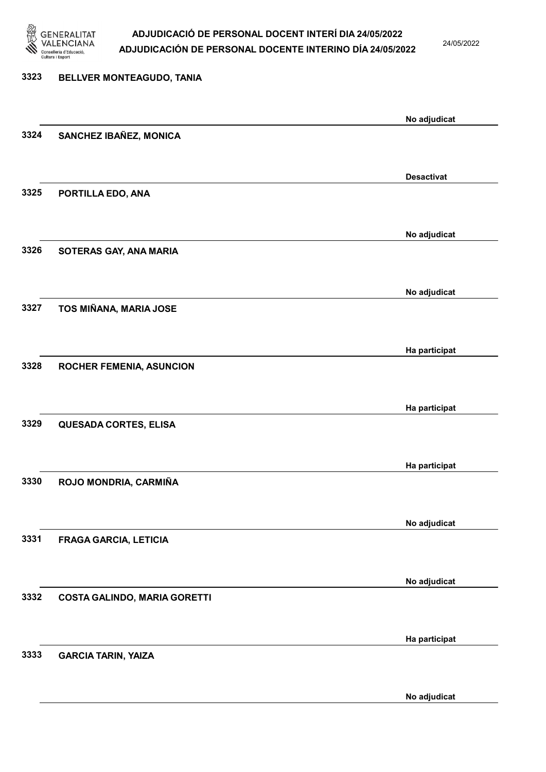

24/05/2022

No adjudicat

### 3323 BELLVER MONTEAGUDO, TANIA No adjudicat 3324 SANCHEZ IBAÑEZ, MONICA Desactivat 3325 PORTILLA EDO, ANA No adjudicat 3326 SOTERAS GAY, ANA MARIA No adjudicat 3327 TOS MIÑANA, MARIA JOSE Ha participat 3328 ROCHER FEMENIA, ASUNCION Ha participat 3329 QUESADA CORTES, ELISA Ha participat 3330 ROJO MONDRIA, CARMIÑA No adjudicat 3331 FRAGA GARCIA, LETICIA No adjudicat 3332 COSTA GALINDO, MARIA GORETTI Ha participat 3333 GARCIA TARIN, YAIZA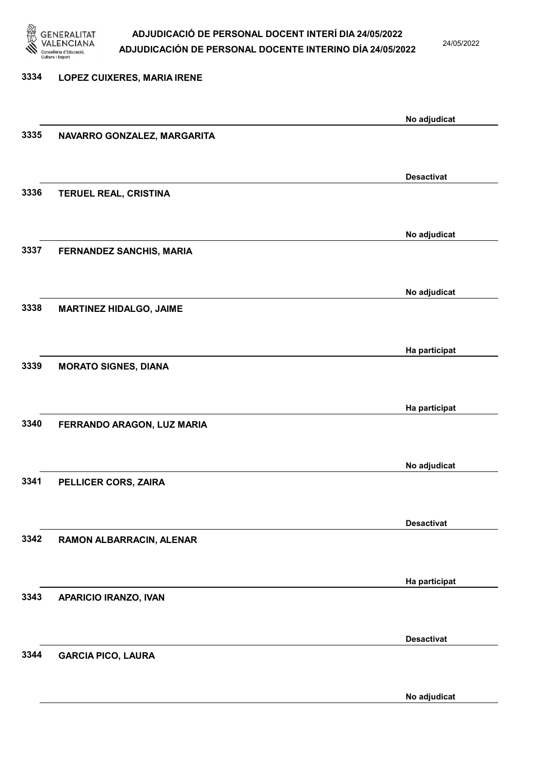

24/05/2022

### 3334 LOPEZ CUIXERES, MARIA IRENE No adjudicat 3335 NAVARRO GONZALEZ, MARGARITA Desactivat 3336 TERUEL REAL, CRISTINA No adjudicat 3337 FERNANDEZ SANCHIS, MARIA No adjudicat 3338 MARTINEZ HIDALGO, JAIME Ha participat 3339 MORATO SIGNES, DIANA Ha participat 3340 FERRANDO ARAGON, LUZ MARIA No adjudicat 3341 PELLICER CORS, ZAIRA Desactivat 3342 RAMON ALBARRACIN, ALENAR Ha participat 3343 APARICIO IRANZO, IVAN Desactivat 3344 GARCIA PICO, LAURA

No adjudicat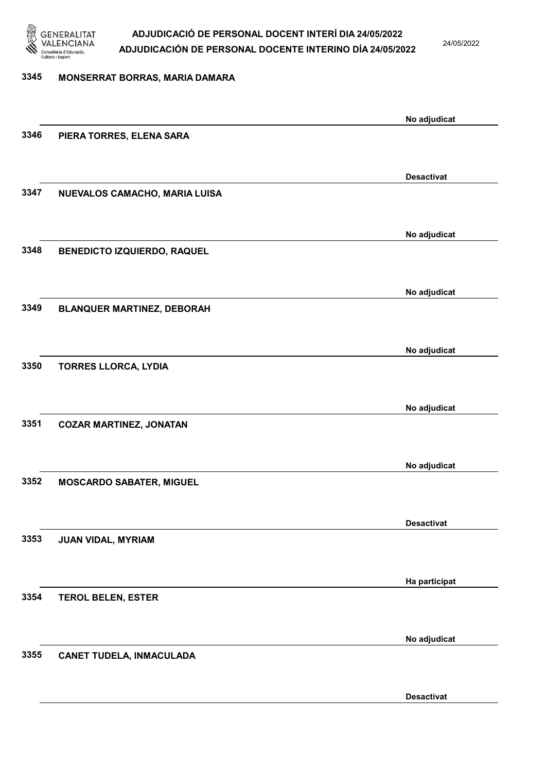

24/05/2022

### 3345 MONSERRAT BORRAS, MARIA DAMARA

|      |                                    | No adjudicat      |
|------|------------------------------------|-------------------|
| 3346 | PIERA TORRES, ELENA SARA           |                   |
|      |                                    |                   |
|      |                                    | <b>Desactivat</b> |
| 3347 | NUEVALOS CAMACHO, MARIA LUISA      |                   |
|      |                                    |                   |
|      |                                    | No adjudicat      |
| 3348 | <b>BENEDICTO IZQUIERDO, RAQUEL</b> |                   |
|      |                                    |                   |
|      |                                    | No adjudicat      |
| 3349 | <b>BLANQUER MARTINEZ, DEBORAH</b>  |                   |
|      |                                    |                   |
|      |                                    | No adjudicat      |
| 3350 | <b>TORRES LLORCA, LYDIA</b>        |                   |
|      |                                    |                   |
|      |                                    |                   |
| 3351 | <b>COZAR MARTINEZ, JONATAN</b>     | No adjudicat      |
|      |                                    |                   |
|      |                                    |                   |
| 3352 |                                    | No adjudicat      |
|      | <b>MOSCARDO SABATER, MIGUEL</b>    |                   |
|      |                                    |                   |
|      |                                    | <b>Desactivat</b> |
| 3353 | JUAN VIDAL, MYRIAM                 |                   |
|      |                                    |                   |
|      |                                    | Ha participat     |
| 3354 | <b>TEROL BELEN, ESTER</b>          |                   |
|      |                                    |                   |
|      |                                    | No adjudicat      |
| 3355 | <b>CANET TUDELA, INMACULADA</b>    |                   |
|      |                                    |                   |
|      |                                    | <b>Desactivat</b> |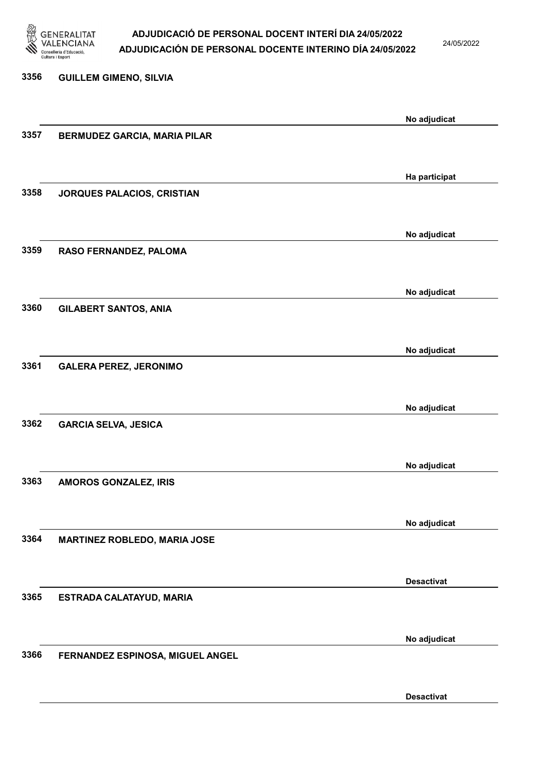

24/05/2022

Desactivat

## 3356 GUILLEM GIMENO, SILVIA No adjudicat 3357 BERMUDEZ GARCIA, MARIA PILAR Ha participat 3358 JORQUES PALACIOS, CRISTIAN No adjudicat 3359 RASO FERNANDEZ, PALOMA No adjudicat 3360 GILABERT SANTOS, ANIA No adjudicat 3361 GALERA PEREZ, JERONIMO No adjudicat 3362 GARCIA SELVA, JESICA No adjudicat 3363 AMOROS GONZALEZ, IRIS No adjudicat 3364 MARTINEZ ROBLEDO, MARIA JOSE Desactivat 3365 ESTRADA CALATAYUD, MARIA No adjudicat 3366 FERNANDEZ ESPINOSA, MIGUEL ANGEL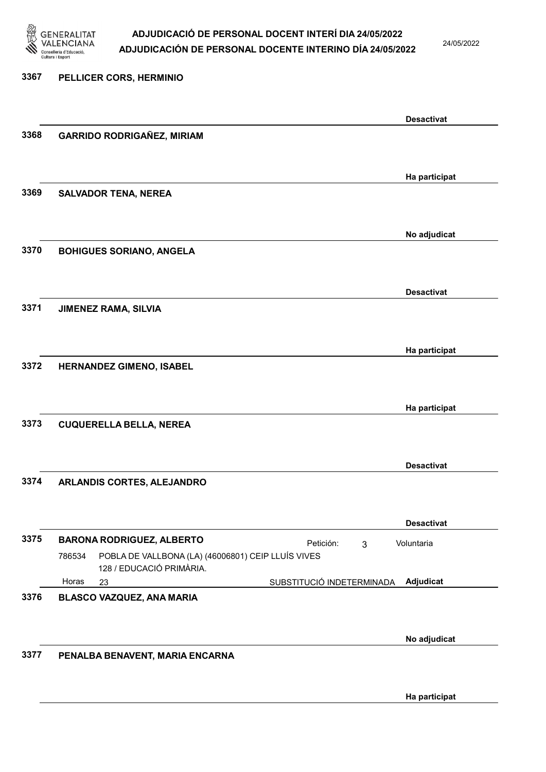

24/05/2022

Ha participat

### 3367 PELLICER CORS, HERMINIO Desactivat 3368 GARRIDO RODRIGAÑEZ, MIRIAM Ha participat 3369 SALVADOR TENA, NEREA No adjudicat 3370 BOHIGUES SORIANO, ANGELA Desactivat 3371 JIMENEZ RAMA, SILVIA Ha participat 3372 HERNANDEZ GIMENO, ISABEL Ha participat 3373 CUQUERELLA BELLA, NEREA Desactivat 3374 ARLANDIS CORTES, ALEJANDRO Desactivat 3375 BARONA RODRIGUEZ, ALBERTO Petición: 3 23 SUBSTITUCIÓ INDETERMINADA POBLA DE VALLBONA (LA) (46006801) CEIP LLUÍS VIVES 128 / EDUCACIÓ PRIMÀRIA. Adjudicat Voluntaria 786534 Horas 3376 BLASCO VAZQUEZ, ANA MARIA No adjudicat 3377 PENALBA BENAVENT, MARIA ENCARNA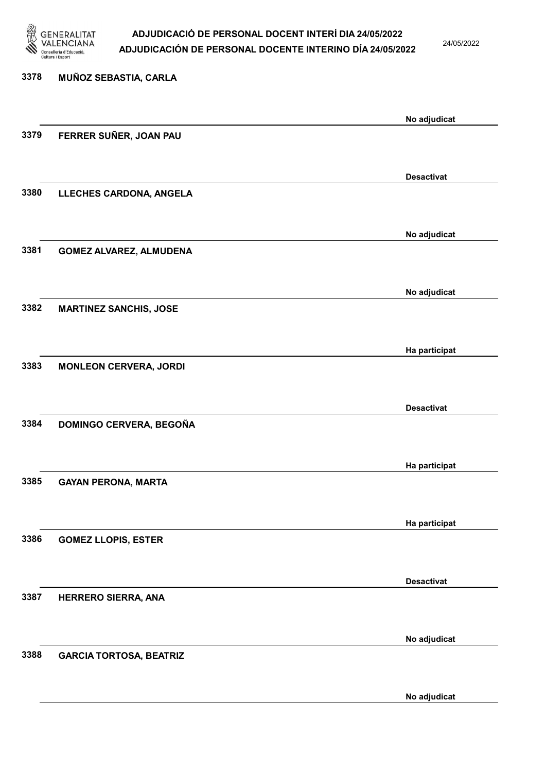

24/05/2022

No adjudicat

## 3378 MUÑOZ SEBASTIA, CARLA No adjudicat 3379 FERRER SUÑER, JOAN PAU Desactivat 3380 LLECHES CARDONA, ANGELA No adjudicat 3381 GOMEZ ALVAREZ, ALMUDENA No adjudicat 3382 MARTINEZ SANCHIS, JOSE Ha participat 3383 MONLEON CERVERA, JORDI Desactivat 3384 DOMINGO CERVERA, BEGOÑA Ha participat 3385 GAYAN PERONA, MARTA Ha participat 3386 GOMEZ LLOPIS, ESTER Desactivat 3387 HERRERO SIERRA, ANA No adjudicat 3388 GARCIA TORTOSA, BEATRIZ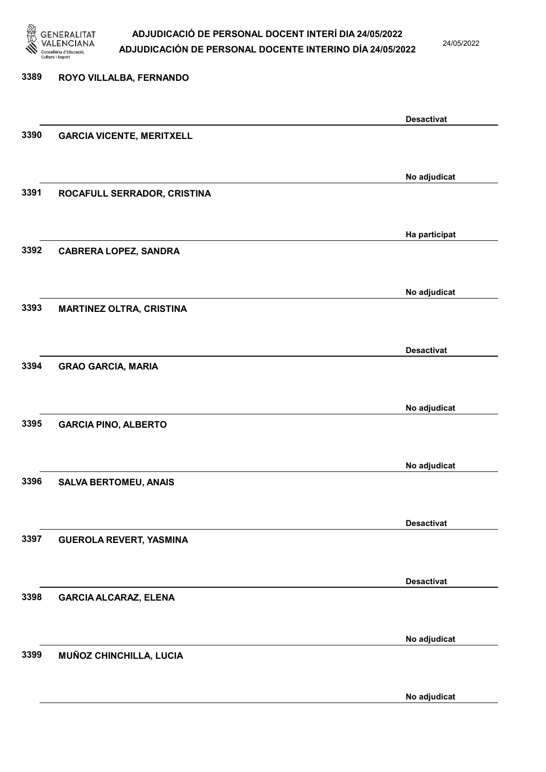

24/05/2022

### 3389 ROYO VILLALBA, FERNANDO Desactivat 3390 GARCIA VICENTE, MERITXELL No adjudicat 3391 ROCAFULL SERRADOR, CRISTINA Ha participat 3392 CABRERA LOPEZ, SANDRA No adjudicat 3393 MARTINEZ OLTRA, CRISTINA Desactivat 3394 GRAO GARCIA, MARIA No adjudicat 3395 GARCIA PINO, ALBERTO No adjudicat 3396 SALVA BERTOMEU, ANAIS Desactivat 3397 GUEROLA REVERT, YASMINA Desactivat 3398 GARCIA ALCARAZ, ELENA No adjudicat 3399 MUÑOZ CHINCHILLA, LUCIA No adjudicat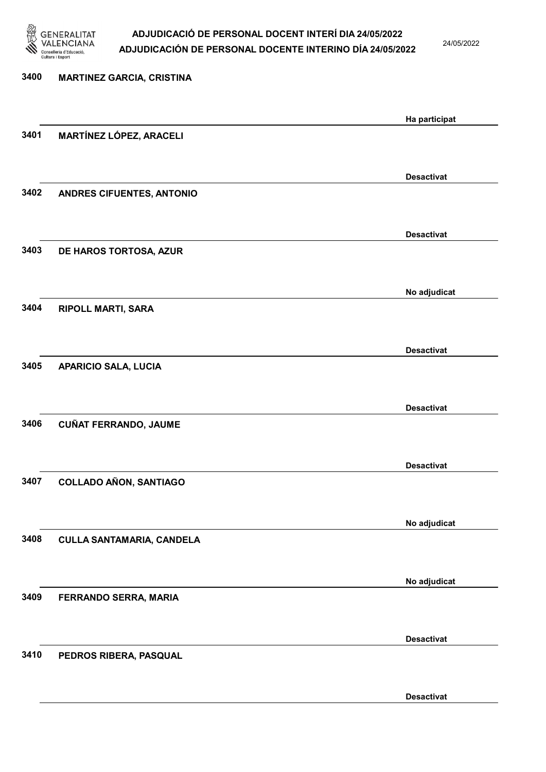

24/05/2022

| 3400 | <b>MARTINEZ GARCIA, CRISTINA</b> |                   |
|------|----------------------------------|-------------------|
|      |                                  | Ha participat     |
| 3401 | MARTÍNEZ LÓPEZ, ARACELI          |                   |
|      |                                  | <b>Desactivat</b> |
| 3402 | ANDRES CIFUENTES, ANTONIO        |                   |
|      |                                  | <b>Desactivat</b> |
| 3403 | DE HAROS TORTOSA, AZUR           |                   |
|      |                                  | No adjudicat      |
| 3404 | <b>RIPOLL MARTI, SARA</b>        |                   |
|      |                                  | <b>Desactivat</b> |
| 3405 | <b>APARICIO SALA, LUCIA</b>      |                   |
|      |                                  | <b>Desactivat</b> |
| 3406 | <b>CUÑAT FERRANDO, JAUME</b>     |                   |
|      |                                  | <b>Desactivat</b> |
| 3407 | <b>COLLADO AÑON, SANTIAGO</b>    |                   |
|      |                                  | No adjudicat      |
| 3408 | <b>CULLA SANTAMARIA, CANDELA</b> |                   |
|      |                                  | No adjudicat      |
| 3409 | FERRANDO SERRA, MARIA            |                   |
|      |                                  |                   |
| 3410 | PEDROS RIBERA, PASQUAL           | <b>Desactivat</b> |
|      |                                  |                   |
|      |                                  | <b>Desactivat</b> |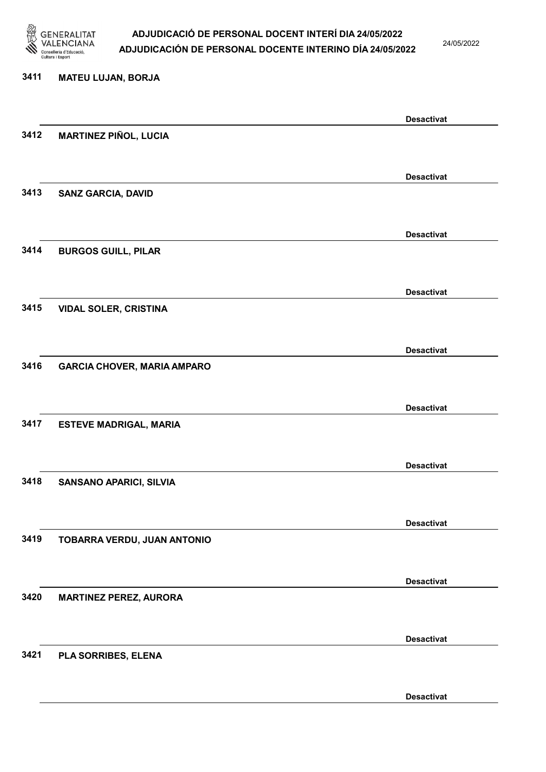

24/05/2022

#### 3411 MATEU LUJAN, BORJA

|      |                                    | <b>Desactivat</b> |
|------|------------------------------------|-------------------|
| 3412 | <b>MARTINEZ PIÑOL, LUCIA</b>       |                   |
|      |                                    |                   |
|      |                                    | <b>Desactivat</b> |
| 3413 | <b>SANZ GARCIA, DAVID</b>          |                   |
|      |                                    |                   |
|      |                                    | <b>Desactivat</b> |
| 3414 | <b>BURGOS GUILL, PILAR</b>         |                   |
|      |                                    |                   |
|      |                                    |                   |
| 3415 |                                    | <b>Desactivat</b> |
|      | <b>VIDAL SOLER, CRISTINA</b>       |                   |
|      |                                    |                   |
|      |                                    | <b>Desactivat</b> |
| 3416 | <b>GARCIA CHOVER, MARIA AMPARO</b> |                   |
|      |                                    |                   |
|      |                                    | <b>Desactivat</b> |
| 3417 | <b>ESTEVE MADRIGAL, MARIA</b>      |                   |
|      |                                    |                   |
|      |                                    | <b>Desactivat</b> |
| 3418 | <b>SANSANO APARICI, SILVIA</b>     |                   |
|      |                                    |                   |
|      |                                    | <b>Desactivat</b> |
| 3419 | TOBARRA VERDU, JUAN ANTONIO        |                   |
|      |                                    |                   |
|      |                                    | <b>Desactivat</b> |
| 3420 | <b>MARTINEZ PEREZ, AURORA</b>      |                   |
|      |                                    |                   |
|      |                                    | <b>Desactivat</b> |
| 3421 | PLA SORRIBES, ELENA                |                   |
|      |                                    |                   |
|      |                                    |                   |
|      |                                    | <b>Desactivat</b> |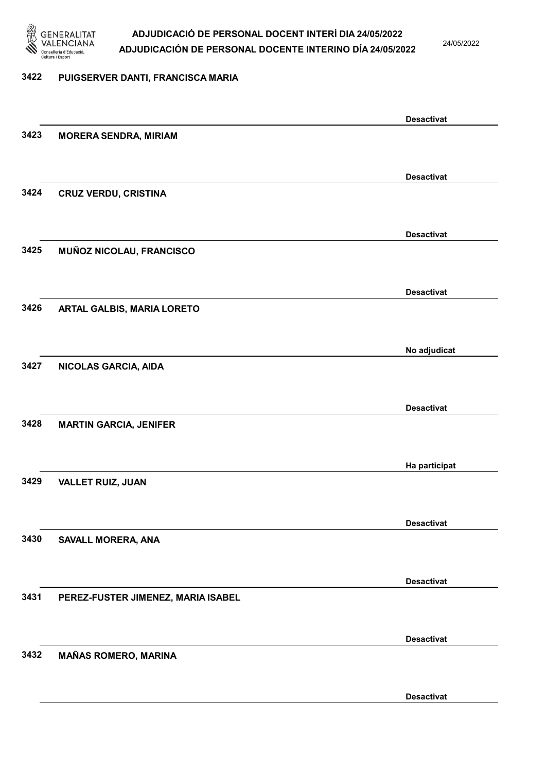

24/05/2022

#### 3422 PUIGSERVER DANTI, FRANCISCA MARIA

|      |                                    | <b>Desactivat</b> |
|------|------------------------------------|-------------------|
| 3423 | <b>MORERA SENDRA, MIRIAM</b>       |                   |
|      |                                    |                   |
|      |                                    | <b>Desactivat</b> |
| 3424 | <b>CRUZ VERDU, CRISTINA</b>        |                   |
|      |                                    |                   |
|      |                                    | <b>Desactivat</b> |
| 3425 | MUÑOZ NICOLAU, FRANCISCO           |                   |
|      |                                    |                   |
|      |                                    | <b>Desactivat</b> |
| 3426 | ARTAL GALBIS, MARIA LORETO         |                   |
|      |                                    |                   |
|      |                                    | No adjudicat      |
| 3427 | NICOLAS GARCIA, AIDA               |                   |
|      |                                    |                   |
|      |                                    | <b>Desactivat</b> |
| 3428 | <b>MARTIN GARCIA, JENIFER</b>      |                   |
|      |                                    |                   |
|      |                                    | Ha participat     |
| 3429 | <b>VALLET RUIZ, JUAN</b>           |                   |
|      |                                    |                   |
|      |                                    | <b>Desactivat</b> |
| 3430 | SAVALL MORERA, ANA                 |                   |
|      |                                    |                   |
|      |                                    | <b>Desactivat</b> |
| 3431 | PEREZ-FUSTER JIMENEZ, MARIA ISABEL |                   |
|      |                                    |                   |
|      |                                    | <b>Desactivat</b> |
| 3432 | <b>MAÑAS ROMERO, MARINA</b>        |                   |
|      |                                    |                   |
|      |                                    | <b>Desactivat</b> |
|      |                                    |                   |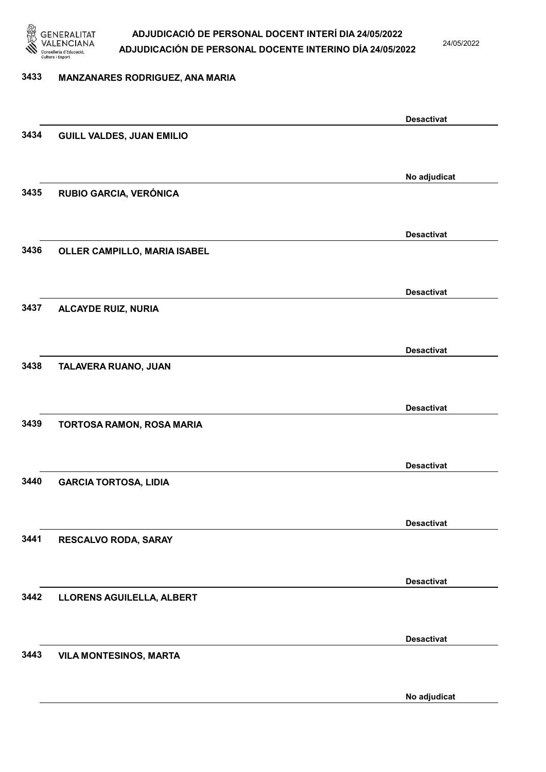

24/05/2022

#### 3433 MANZANARES RODRIGUEZ, ANA MARIA

|      |                                  | <b>Desactivat</b> |
|------|----------------------------------|-------------------|
| 3434 | <b>GUILL VALDES, JUAN EMILIO</b> |                   |
|      |                                  |                   |
|      |                                  | No adjudicat      |
| 3435 | RUBIO GARCIA, VERÓNICA           |                   |
|      |                                  |                   |
|      |                                  | <b>Desactivat</b> |
| 3436 | OLLER CAMPILLO, MARIA ISABEL     |                   |
|      |                                  |                   |
|      |                                  | <b>Desactivat</b> |
| 3437 | <b>ALCAYDE RUIZ, NURIA</b>       |                   |
|      |                                  |                   |
|      |                                  |                   |
| 3438 | TALAVERA RUANO, JUAN             | <b>Desactivat</b> |
|      |                                  |                   |
|      |                                  |                   |
|      |                                  | <b>Desactivat</b> |
| 3439 | TORTOSA RAMON, ROSA MARIA        |                   |
|      |                                  |                   |
|      |                                  | <b>Desactivat</b> |
| 3440 | <b>GARCIA TORTOSA, LIDIA</b>     |                   |
|      |                                  |                   |
|      |                                  | <b>Desactivat</b> |
| 3441 | RESCALVO RODA, SARAY             |                   |
|      |                                  |                   |
|      |                                  | <b>Desactivat</b> |
| 3442 | <b>LLORENS AGUILELLA, ALBERT</b> |                   |
|      |                                  |                   |
|      |                                  | <b>Desactivat</b> |
| 3443 | <b>VILA MONTESINOS, MARTA</b>    |                   |
|      |                                  |                   |
|      |                                  | No adjudicat      |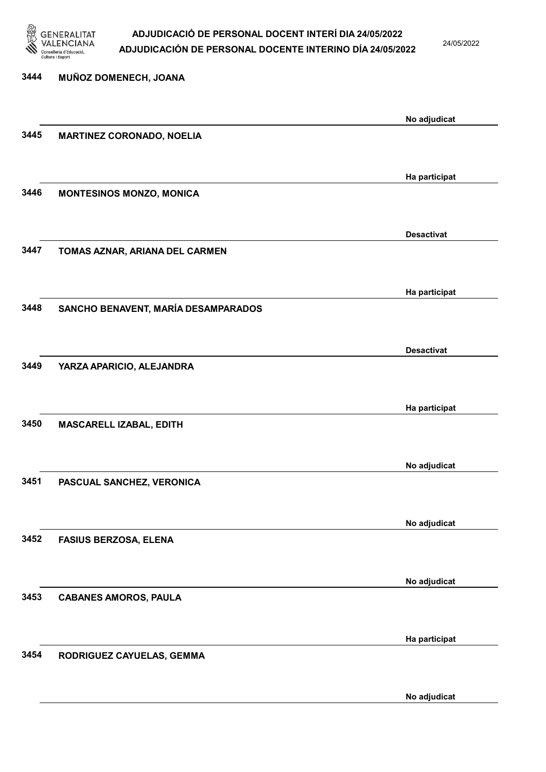

24/05/2022

| 3444 | MUÑOZ DOMENECH, JOANA               |                   |
|------|-------------------------------------|-------------------|
|      |                                     | No adjudicat      |
| 3445 | <b>MARTINEZ CORONADO, NOELIA</b>    |                   |
|      |                                     | Ha participat     |
| 3446 | <b>MONTESINOS MONZO, MONICA</b>     |                   |
| 3447 | TOMAS AZNAR, ARIANA DEL CARMEN      | <b>Desactivat</b> |
|      |                                     |                   |
| 3448 | SANCHO BENAVENT, MARÍA DESAMPARADOS | Ha participat     |
|      |                                     |                   |
| 3449 | YARZA APARICIO, ALEJANDRA           | <b>Desactivat</b> |
|      |                                     | Ha participat     |
| 3450 | MASCARELL IZABAL, EDITH             |                   |
|      |                                     | No adjudicat      |
| 3451 | PASCUAL SANCHEZ, VERONICA           |                   |
|      |                                     | No adjudicat      |
| 3452 | <b>FASIUS BERZOSA, ELENA</b>        |                   |
| 3453 | <b>CABANES AMOROS, PAULA</b>        | No adjudicat      |
|      |                                     |                   |
| 3454 | RODRIGUEZ CAYUELAS, GEMMA           | Ha participat     |
|      |                                     |                   |

No adjudicat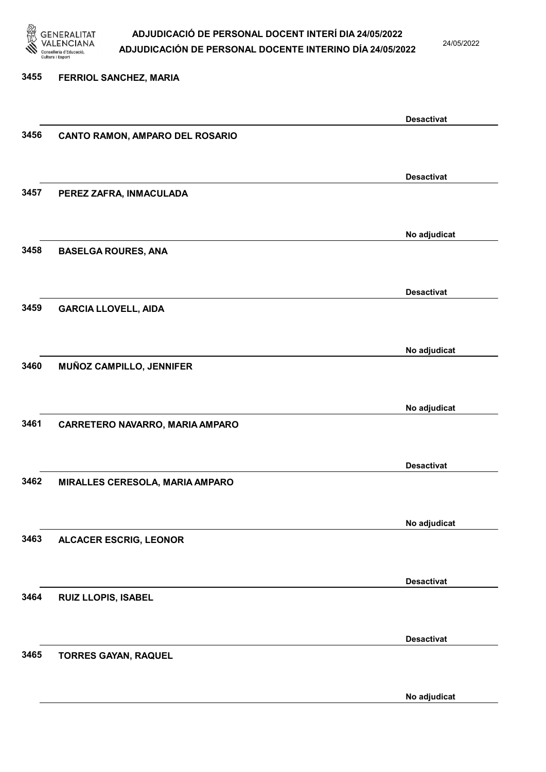

24/05/2022

#### 3455 FERRIOL SANCHEZ, MARIA

|      |                                 | <b>Desactivat</b> |
|------|---------------------------------|-------------------|
| 3456 | CANTO RAMON, AMPARO DEL ROSARIO |                   |
|      |                                 |                   |
|      |                                 |                   |
|      |                                 | <b>Desactivat</b> |
| 3457 | PEREZ ZAFRA, INMACULADA         |                   |
|      |                                 |                   |
|      |                                 |                   |
|      |                                 | No adjudicat      |
| 3458 | <b>BASELGA ROURES, ANA</b>      |                   |
|      |                                 |                   |
|      |                                 |                   |
|      |                                 | <b>Desactivat</b> |
| 3459 | <b>GARCIA LLOVELL, AIDA</b>     |                   |
|      |                                 |                   |
|      |                                 |                   |
|      |                                 | No adjudicat      |
| 3460 | MUÑOZ CAMPILLO, JENNIFER        |                   |
|      |                                 |                   |
|      |                                 |                   |
|      |                                 | No adjudicat      |
| 3461 | CARRETERO NAVARRO, MARIA AMPARO |                   |
|      |                                 |                   |
|      |                                 |                   |
|      |                                 | <b>Desactivat</b> |
| 3462 | MIRALLES CERESOLA, MARIA AMPARO |                   |
|      |                                 |                   |
|      |                                 |                   |
|      |                                 | No adjudicat      |
| 3463 | <b>ALCACER ESCRIG, LEONOR</b>   |                   |
|      |                                 |                   |
|      |                                 |                   |
|      |                                 | <b>Desactivat</b> |
| 3464 | RUIZ LLOPIS, ISABEL             |                   |
|      |                                 |                   |
|      |                                 |                   |
|      |                                 | <b>Desactivat</b> |
| 3465 | <b>TORRES GAYAN, RAQUEL</b>     |                   |
|      |                                 |                   |
|      |                                 |                   |
|      |                                 | No adjudicat      |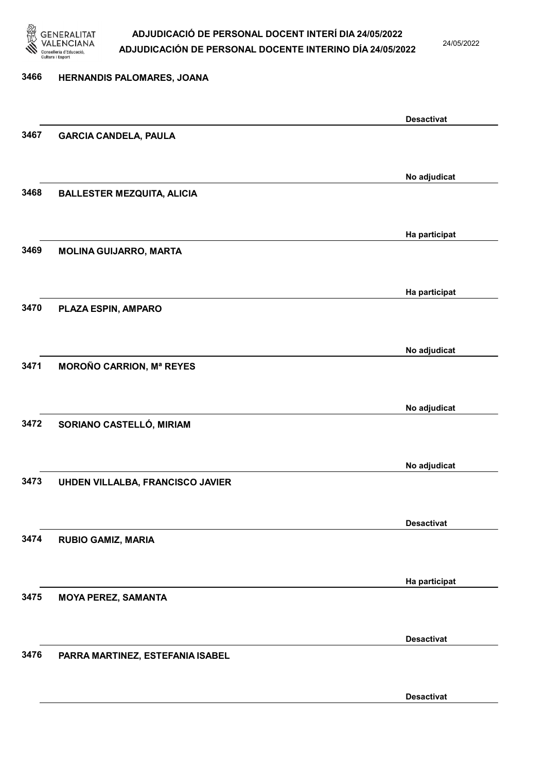

24/05/2022

Desactivat

## 3466 HERNANDIS PALOMARES, JOANA Desactivat 3467 GARCIA CANDELA, PAULA No adjudicat 3468 BALLESTER MEZQUITA, ALICIA Ha participat 3469 MOLINA GUIJARRO, MARTA Ha participat 3470 PLAZA ESPIN, AMPARO No adjudicat 3471 MOROÑO CARRION, Mª REYES No adjudicat 3472 SORIANO CASTELLÓ, MIRIAM No adjudicat 3473 UHDEN VILLALBA, FRANCISCO JAVIER Desactivat 3474 RUBIO GAMIZ, MARIA Ha participat 3475 MOYA PEREZ, SAMANTA Desactivat 3476 PARRA MARTINEZ, ESTEFANIA ISABEL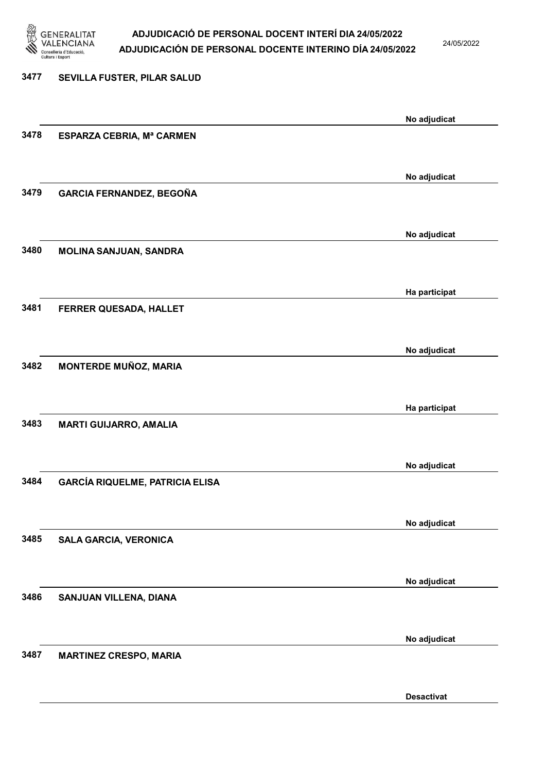

24/05/2022

Desactivat

### 3477 SEVILLA FUSTER, PILAR SALUD No adjudicat 3478 ESPARZA CEBRIA, Mª CARMEN No adjudicat 3479 GARCIA FERNANDEZ, BEGOÑA No adjudicat 3480 MOLINA SANJUAN, SANDRA Ha participat 3481 FERRER QUESADA, HALLET No adjudicat 3482 MONTERDE MUÑOZ, MARIA Ha participat 3483 MARTI GUIJARRO, AMALIA No adjudicat 3484 GARCÍA RIQUELME, PATRICIA ELISA No adjudicat 3485 SALA GARCIA, VERONICA No adjudicat 3486 SANJUAN VILLENA, DIANA No adjudicat 3487 MARTINEZ CRESPO, MARIA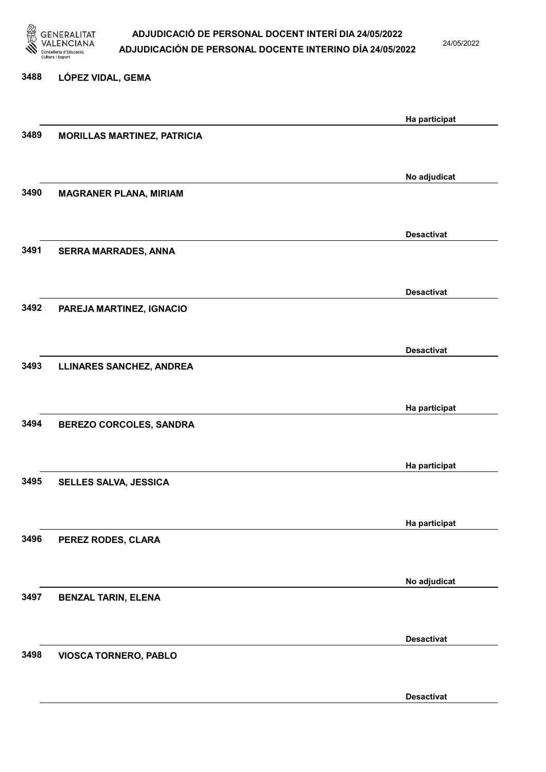

24/05/2022

#### 3488 LÓPEZ VIDAL, GEMA

|      |                                    | Ha participat     |
|------|------------------------------------|-------------------|
| 3489 | <b>MORILLAS MARTINEZ, PATRICIA</b> |                   |
|      |                                    |                   |
|      |                                    |                   |
|      |                                    | No adjudicat      |
| 3490 | <b>MAGRANER PLANA, MIRIAM</b>      |                   |
|      |                                    |                   |
|      |                                    |                   |
|      |                                    | <b>Desactivat</b> |
|      |                                    |                   |
| 3491 | <b>SERRA MARRADES, ANNA</b>        |                   |
|      |                                    |                   |
|      |                                    |                   |
|      |                                    | <b>Desactivat</b> |
| 3492 | PAREJA MARTINEZ, IGNACIO           |                   |
|      |                                    |                   |
|      |                                    |                   |
|      |                                    | <b>Desactivat</b> |
| 3493 | <b>LLINARES SANCHEZ, ANDREA</b>    |                   |
|      |                                    |                   |
|      |                                    |                   |
|      |                                    | Ha participat     |
| 3494 | <b>BEREZO CORCOLES, SANDRA</b>     |                   |
|      |                                    |                   |
|      |                                    |                   |
|      |                                    | Ha participat     |
| 3495 | SELLES SALVA, JESSICA              |                   |
|      |                                    |                   |
|      |                                    |                   |
|      |                                    | Ha participat     |
| 3496 |                                    |                   |
|      | PEREZ RODES, CLARA                 |                   |
|      |                                    |                   |
|      |                                    | No adjudicat      |
|      |                                    |                   |
| 3497 | <b>BENZAL TARIN, ELENA</b>         |                   |
|      |                                    |                   |
|      |                                    |                   |
|      |                                    | <b>Desactivat</b> |
| 3498 | <b>VIOSCA TORNERO, PABLO</b>       |                   |
|      |                                    |                   |
|      |                                    |                   |
|      |                                    | <b>Desactivat</b> |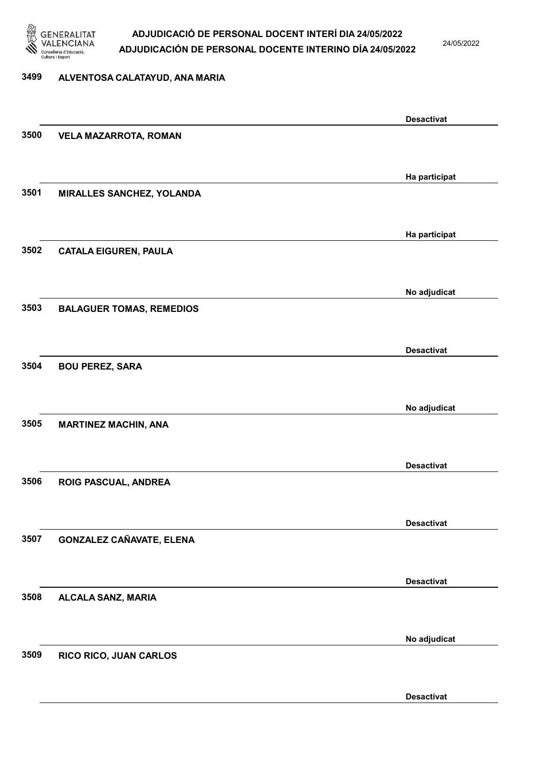

24/05/2022

#### 3499 ALVENTOSA CALATAYUD, ANA MARIA

|      |                                 | <b>Desactivat</b> |
|------|---------------------------------|-------------------|
| 3500 | <b>VELA MAZARROTA, ROMAN</b>    |                   |
|      |                                 |                   |
|      |                                 |                   |
|      |                                 | Ha participat     |
| 3501 | MIRALLES SANCHEZ, YOLANDA       |                   |
|      |                                 |                   |
|      |                                 | Ha participat     |
| 3502 | <b>CATALA EIGUREN, PAULA</b>    |                   |
|      |                                 |                   |
|      |                                 |                   |
|      |                                 | No adjudicat      |
| 3503 | <b>BALAGUER TOMAS, REMEDIOS</b> |                   |
|      |                                 |                   |
|      |                                 | <b>Desactivat</b> |
| 3504 | <b>BOU PEREZ, SARA</b>          |                   |
|      |                                 |                   |
|      |                                 |                   |
|      |                                 | No adjudicat      |
| 3505 | <b>MARTINEZ MACHIN, ANA</b>     |                   |
|      |                                 |                   |
|      |                                 | <b>Desactivat</b> |
| 3506 | ROIG PASCUAL, ANDREA            |                   |
|      |                                 |                   |
|      |                                 |                   |
|      |                                 | <b>Desactivat</b> |
| 3507 | <b>GONZALEZ CAÑAVATE, ELENA</b> |                   |
|      |                                 |                   |
|      |                                 |                   |
|      |                                 | <b>Desactivat</b> |
| 3508 | ALCALA SANZ, MARIA              |                   |
|      |                                 |                   |
|      |                                 | No adjudicat      |
| 3509 | RICO RICO, JUAN CARLOS          |                   |
|      |                                 |                   |
|      |                                 |                   |
|      |                                 | <b>Desactivat</b> |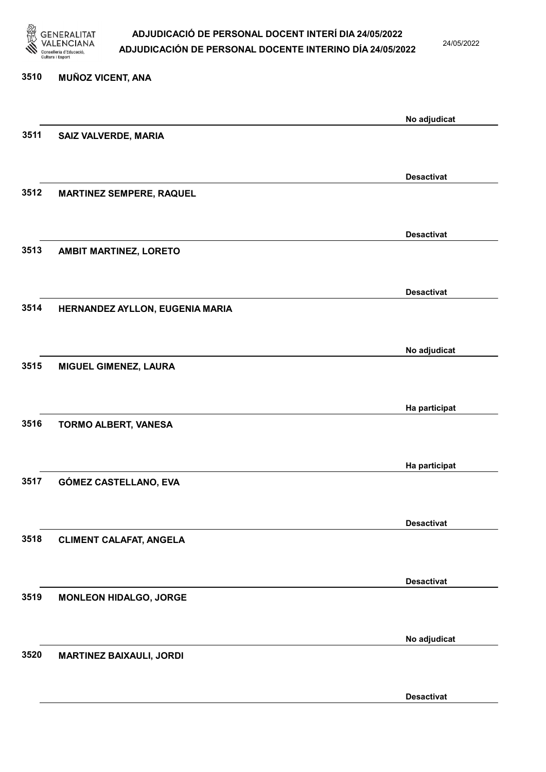

24/05/2022

Desactivat

## 3510 MUÑOZ VICENT, ANA No adjudicat 3511 SAIZ VALVERDE, MARIA Desactivat 3512 MARTINEZ SEMPERE, RAQUEL Desactivat 3513 AMBIT MARTINEZ, LORETO Desactivat 3514 HERNANDEZ AYLLON, EUGENIA MARIA No adjudicat 3515 MIGUEL GIMENEZ, LAURA Ha participat 3516 TORMO ALBERT, VANESA Ha participat 3517 GÓMEZ CASTELLANO, EVA Desactivat 3518 CLIMENT CALAFAT, ANGELA Desactivat 3519 MONLEON HIDALGO, JORGE No adjudicat 3520 MARTINEZ BAIXAULI, JORDI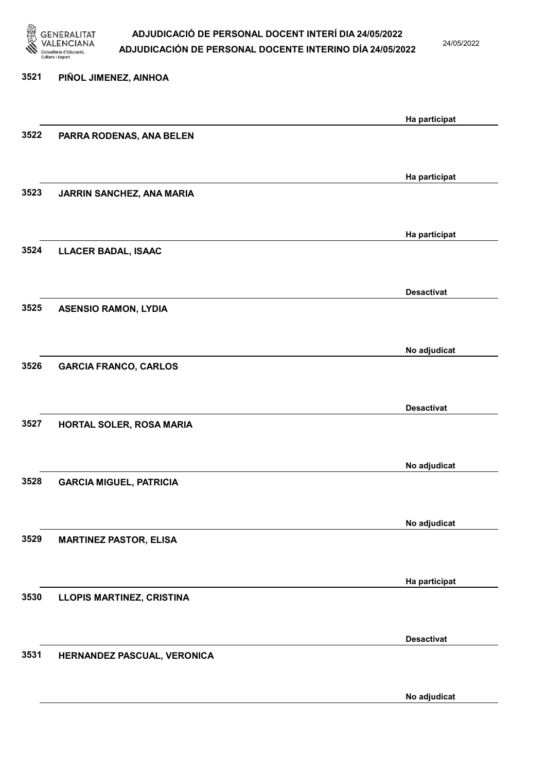

24/05/2022

No adjudicat

## 3521 PIÑOL JIMENEZ, AINHOA Ha participat 3522 PARRA RODENAS, ANA BELEN Ha participat 3523 JARRIN SANCHEZ, ANA MARIA Ha participat 3524 LLACER BADAL, ISAAC Desactivat 3525 ASENSIO RAMON, LYDIA No adjudicat 3526 GARCIA FRANCO, CARLOS Desactivat 3527 HORTAL SOLER, ROSA MARIA No adjudicat 3528 GARCIA MIGUEL, PATRICIA No adjudicat 3529 MARTINEZ PASTOR, ELISA Ha participat 3530 LLOPIS MARTINEZ, CRISTINA Desactivat 3531 HERNANDEZ PASCUAL, VERONICA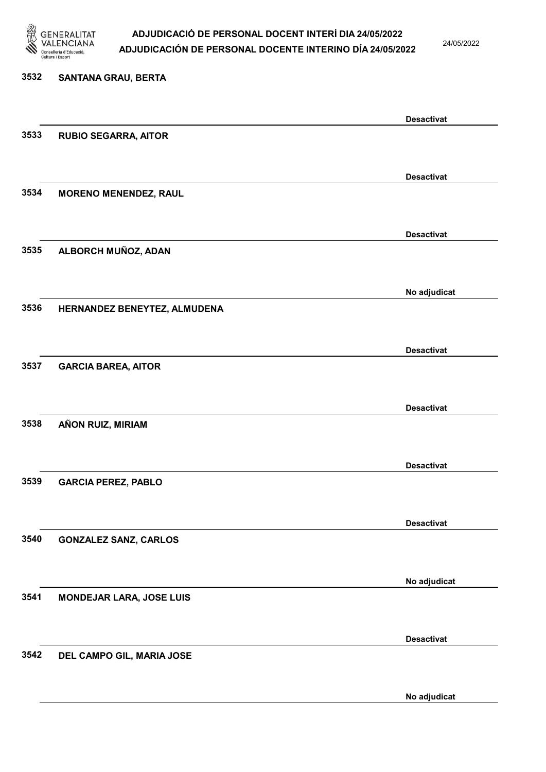

24/05/2022

No adjudicat

## 3532 SANTANA GRAU, BERTA Desactivat 3533 RUBIO SEGARRA, AITOR Desactivat 3534 MORENO MENENDEZ, RAUL Desactivat 3535 ALBORCH MUÑOZ, ADAN No adjudicat 3536 HERNANDEZ BENEYTEZ, ALMUDENA Desactivat 3537 GARCIA BAREA, AITOR Desactivat 3538 AÑON RUIZ, MIRIAM Desactivat 3539 GARCIA PEREZ, PABLO Desactivat 3540 GONZALEZ SANZ, CARLOS No adjudicat 3541 MONDEJAR LARA, JOSE LUIS Desactivat 3542 DEL CAMPO GIL, MARIA JOSE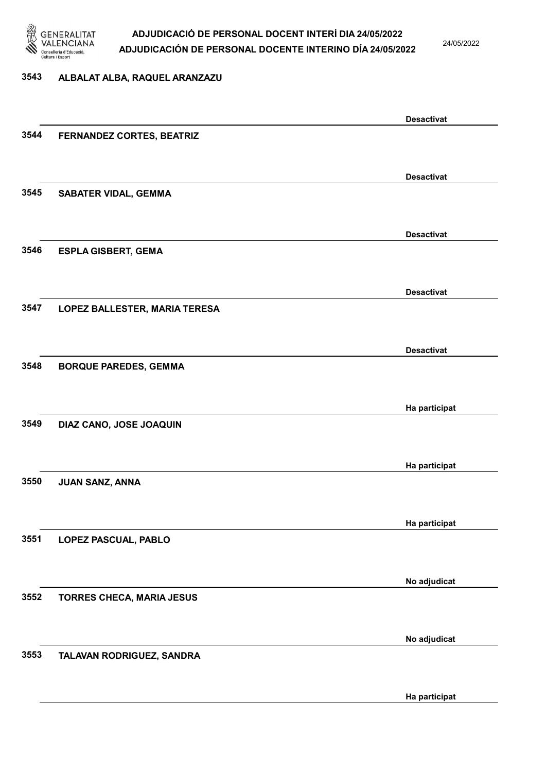

24/05/2022

#### 3543 ALBALAT ALBA, RAQUEL ARANZAZU

|      |                                  | <b>Desactivat</b> |
|------|----------------------------------|-------------------|
| 3544 | FERNANDEZ CORTES, BEATRIZ        |                   |
|      |                                  |                   |
|      |                                  | <b>Desactivat</b> |
| 3545 | <b>SABATER VIDAL, GEMMA</b>      |                   |
|      |                                  |                   |
|      |                                  |                   |
|      |                                  | <b>Desactivat</b> |
| 3546 | <b>ESPLA GISBERT, GEMA</b>       |                   |
|      |                                  |                   |
|      |                                  | <b>Desactivat</b> |
| 3547 | LOPEZ BALLESTER, MARIA TERESA    |                   |
|      |                                  |                   |
|      |                                  | <b>Desactivat</b> |
| 3548 | <b>BORQUE PAREDES, GEMMA</b>     |                   |
|      |                                  |                   |
|      |                                  |                   |
|      |                                  | Ha participat     |
| 3549 | DIAZ CANO, JOSE JOAQUIN          |                   |
|      |                                  |                   |
|      |                                  | Ha participat     |
| 3550 | JUAN SANZ, ANNA                  |                   |
|      |                                  |                   |
|      |                                  | Ha participat     |
| 3551 | LOPEZ PASCUAL, PABLO             |                   |
|      |                                  |                   |
|      |                                  |                   |
|      |                                  | No adjudicat      |
| 3552 | <b>TORRES CHECA, MARIA JESUS</b> |                   |
|      |                                  |                   |
|      |                                  | No adjudicat      |
| 3553 | TALAVAN RODRIGUEZ, SANDRA        |                   |
|      |                                  |                   |
|      |                                  | Ha participat     |
|      |                                  |                   |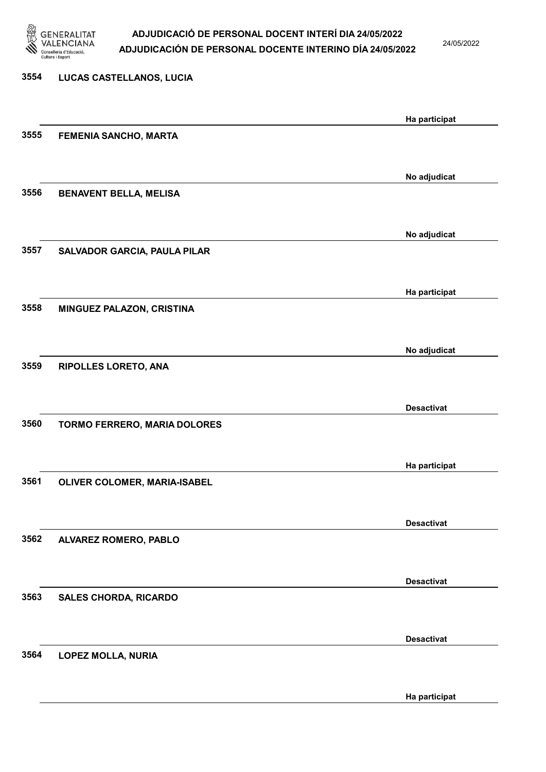

24/05/2022

Ha participat

## 3554 LUCAS CASTELLANOS, LUCIA Ha participat 3555 FEMENIA SANCHO, MARTA No adjudicat 3556 BENAVENT BELLA, MELISA No adjudicat 3557 SALVADOR GARCIA, PAULA PILAR Ha participat 3558 MINGUEZ PALAZON, CRISTINA No adjudicat 3559 RIPOLLES LORETO, ANA Desactivat 3560 TORMO FERRERO, MARIA DOLORES Ha participat 3561 OLIVER COLOMER, MARIA-ISABEL Desactivat 3562 ALVAREZ ROMERO, PABLO Desactivat 3563 SALES CHORDA, RICARDO Desactivat 3564 LOPEZ MOLLA, NURIA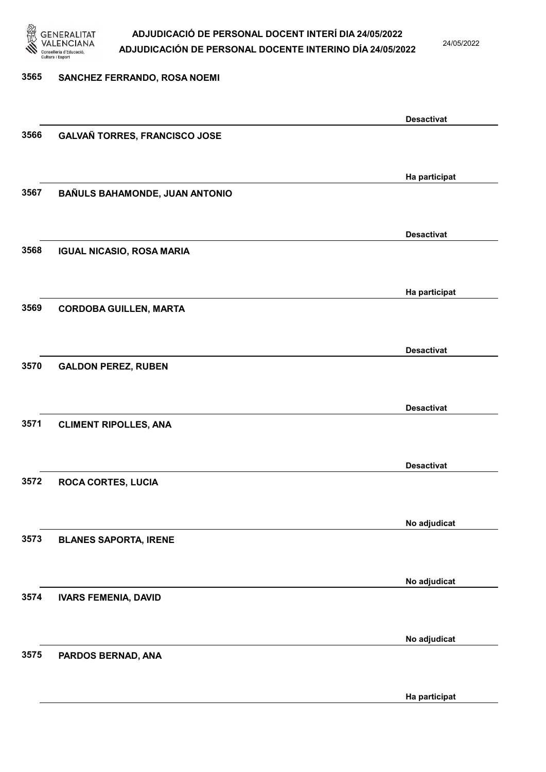

24/05/2022

Ha participat

# 3565 SANCHEZ FERRANDO, ROSA NOEMI Desactivat 3566 GALVAÑ TORRES, FRANCISCO JOSE Ha participat 3567 BAÑULS BAHAMONDE, JUAN ANTONIO Desactivat 3568 IGUAL NICASIO, ROSA MARIA Ha participat 3569 CORDOBA GUILLEN, MARTA Desactivat 3570 GALDON PEREZ, RUBEN Desactivat 3571 CLIMENT RIPOLLES, ANA Desactivat 3572 ROCA CORTES, LUCIA No adjudicat 3573 BLANES SAPORTA, IRENE No adjudicat 3574 IVARS FEMENIA, DAVID No adjudicat 3575 PARDOS BERNAD, ANA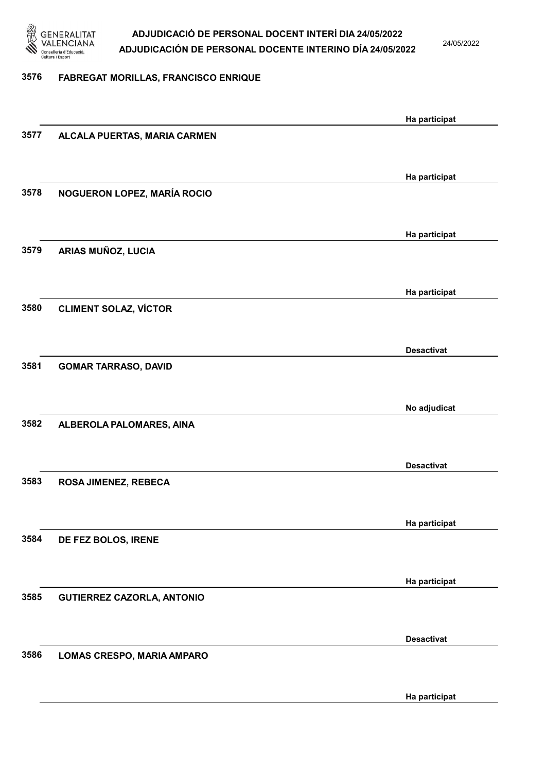

24/05/2022

#### 3576 FABREGAT MORILLAS, FRANCISCO ENRIQUE

|      |                                   | Ha participat     |
|------|-----------------------------------|-------------------|
| 3577 | ALCALA PUERTAS, MARIA CARMEN      |                   |
|      |                                   |                   |
|      |                                   |                   |
|      |                                   | Ha participat     |
| 3578 | NOGUERON LOPEZ, MARÍA ROCIO       |                   |
|      |                                   |                   |
|      |                                   | Ha participat     |
| 3579 | ARIAS MUÑOZ, LUCIA                |                   |
|      |                                   |                   |
|      |                                   |                   |
|      |                                   | Ha participat     |
| 3580 | <b>CLIMENT SOLAZ, VÍCTOR</b>      |                   |
|      |                                   |                   |
|      |                                   | <b>Desactivat</b> |
| 3581 | <b>GOMAR TARRASO, DAVID</b>       |                   |
|      |                                   |                   |
|      |                                   |                   |
|      |                                   | No adjudicat      |
| 3582 | ALBEROLA PALOMARES, AINA          |                   |
|      |                                   |                   |
|      |                                   | <b>Desactivat</b> |
| 3583 | ROSA JIMENEZ, REBECA              |                   |
|      |                                   |                   |
|      |                                   |                   |
|      |                                   | Ha participat     |
| 3584 | DE FEZ BOLOS, IRENE               |                   |
|      |                                   |                   |
|      |                                   | Ha participat     |
| 3585 | <b>GUTIERREZ CAZORLA, ANTONIO</b> |                   |
|      |                                   |                   |
|      |                                   |                   |
|      |                                   | <b>Desactivat</b> |
| 3586 | LOMAS CRESPO, MARIA AMPARO        |                   |
|      |                                   |                   |
|      |                                   |                   |
|      |                                   | Ha participat     |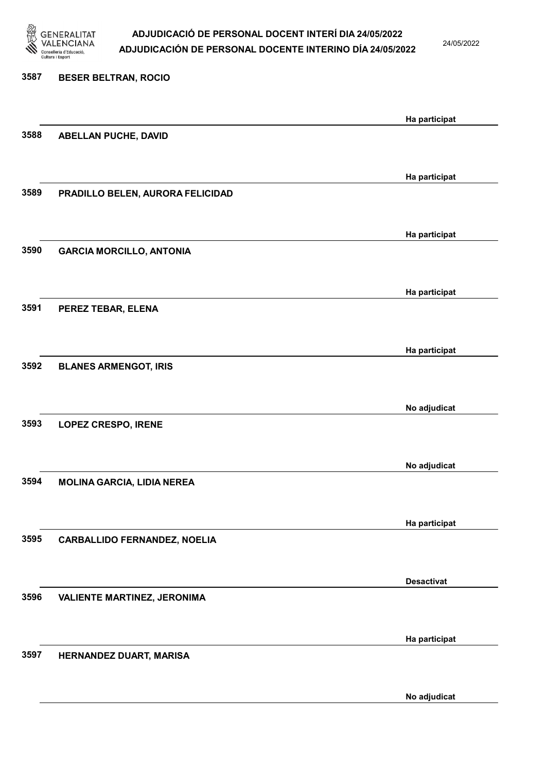

24/05/2022

No adjudicat

# 3587 BESER BELTRAN, ROCIO Ha participat 3588 ABELLAN PUCHE, DAVID Ha participat 3589 PRADILLO BELEN, AURORA FELICIDAD Ha participat 3590 GARCIA MORCILLO, ANTONIA Ha participat 3591 PEREZ TEBAR, ELENA Ha participat 3592 BLANES ARMENGOT, IRIS No adjudicat 3593 LOPEZ CRESPO, IRENE No adjudicat 3594 MOLINA GARCIA, LIDIA NEREA Ha participat 3595 CARBALLIDO FERNANDEZ, NOELIA Desactivat 3596 VALIENTE MARTINEZ, JERONIMA Ha participat 3597 HERNANDEZ DUART, MARISA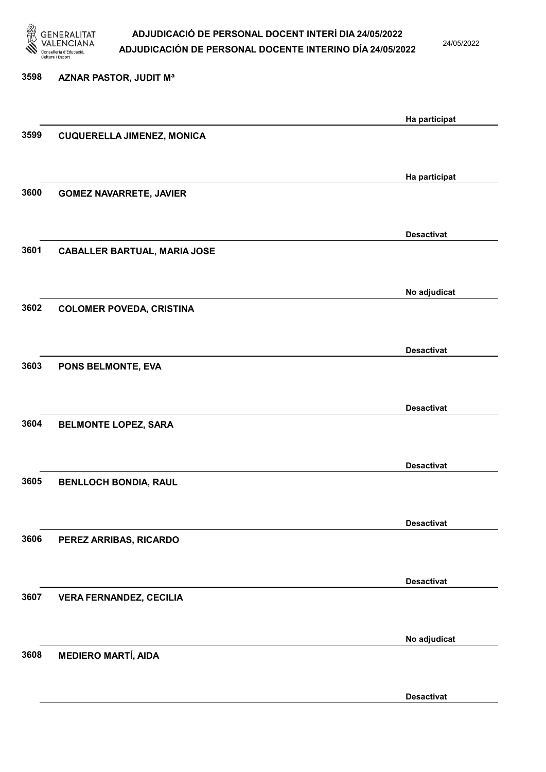

24/05/2022

Desactivat

# 3598 AZNAR PASTOR, JUDIT Mª Ha participat 3599 CUQUERELLA JIMENEZ, MONICA Ha participat 3600 GOMEZ NAVARRETE, JAVIER Desactivat 3601 CABALLER BARTUAL, MARIA JOSE No adjudicat 3602 COLOMER POVEDA, CRISTINA Desactivat 3603 PONS BELMONTE, EVA Desactivat 3604 BELMONTE LOPEZ, SARA Desactivat 3605 BENLLOCH BONDIA, RAUL Desactivat 3606 PEREZ ARRIBAS, RICARDO Desactivat 3607 VERA FERNANDEZ, CECILIA No adjudicat 3608 MEDIERO MARTÍ, AIDA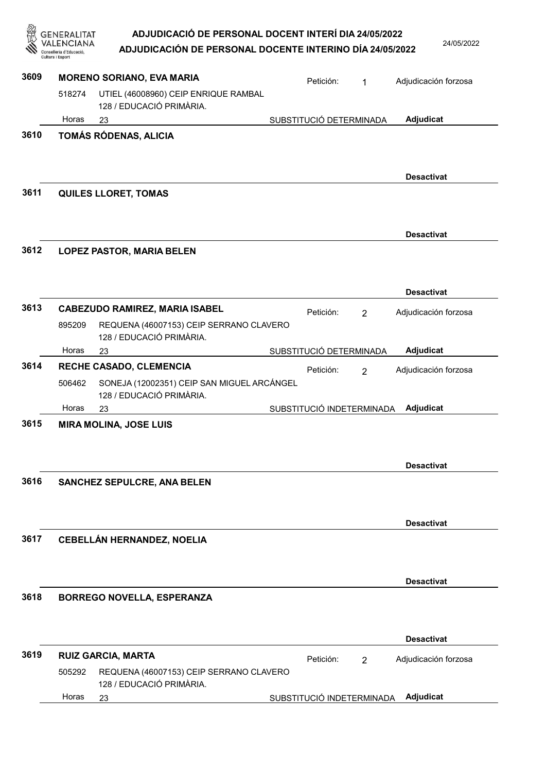GENERALITAT<br>VALENCIANA<br><sup>Conselleria d'Educació,</sup><br><sup>Cultura i Esport</sup> ADJUDICACIÓ DE PERSONAL DOCENT INTERÍ DIA 24/05/2022 ADJUDICACIÓN DE PERSONAL DOCENTE INTERINO DÍA 24/05/2022

乡

24/05/2022

|      | Cultura i Esport |                                                                        |                           |                |                      |
|------|------------------|------------------------------------------------------------------------|---------------------------|----------------|----------------------|
| 3609 |                  | <b>MORENO SORIANO, EVA MARIA</b>                                       | Petición:                 | $\mathbf{1}$   | Adjudicación forzosa |
|      | 518274           | UTIEL (46008960) CEIP ENRIQUE RAMBAL<br>128 / EDUCACIÓ PRIMÀRIA.       |                           |                |                      |
|      | Horas            | 23                                                                     | SUBSTITUCIÓ DETERMINADA   |                | Adjudicat            |
| 3610 |                  | TOMÁS RÓDENAS, ALICIA                                                  |                           |                |                      |
| 3611 |                  | <b>QUILES LLORET, TOMAS</b>                                            |                           |                | <b>Desactivat</b>    |
|      |                  |                                                                        |                           |                |                      |
| 3612 |                  |                                                                        |                           |                | <b>Desactivat</b>    |
|      |                  | <b>LOPEZ PASTOR, MARIA BELEN</b>                                       |                           |                |                      |
|      |                  |                                                                        |                           |                | <b>Desactivat</b>    |
| 3613 |                  | <b>CABEZUDO RAMIREZ, MARIA ISABEL</b>                                  | Petición:                 | 2              | Adjudicación forzosa |
|      | 895209           | REQUENA (46007153) CEIP SERRANO CLAVERO<br>128 / EDUCACIÓ PRIMÀRIA.    |                           |                |                      |
|      | Horas            | 23                                                                     | SUBSTITUCIÓ DETERMINADA   |                | Adjudicat            |
| 3614 |                  | RECHE CASADO, CLEMENCIA                                                | Petición:                 | $\overline{2}$ | Adjudicación forzosa |
|      | 506462           | SONEJA (12002351) CEIP SAN MIGUEL ARCÁNGEL<br>128 / EDUCACIÓ PRIMÀRIA. |                           |                |                      |
|      | Horas            | 23                                                                     | SUBSTITUCIÓ INDETERMINADA |                | Adjudicat            |
| 3615 |                  | <b>MIRA MOLINA, JOSE LUIS</b>                                          |                           |                |                      |
|      |                  |                                                                        |                           |                | <b>Desactivat</b>    |
| 3616 |                  | <b>SANCHEZ SEPULCRE, ANA BELEN</b>                                     |                           |                |                      |
|      |                  |                                                                        |                           |                | <b>Desactivat</b>    |
| 3617 |                  | <b>CEBELLÁN HERNANDEZ, NOELIA</b>                                      |                           |                |                      |
|      |                  |                                                                        |                           |                | <b>Desactivat</b>    |
| 3618 |                  | <b>BORREGO NOVELLA, ESPERANZA</b>                                      |                           |                |                      |
|      |                  |                                                                        |                           |                | <b>Desactivat</b>    |
| 3619 |                  | <b>RUIZ GARCIA, MARTA</b>                                              | Petición:                 | 2              | Adjudicación forzosa |
|      | 505292           | REQUENA (46007153) CEIP SERRANO CLAVERO<br>128 / EDUCACIÓ PRIMÀRIA.    |                           |                |                      |
|      | Horas            |                                                                        | SUBSTITUCIÓ INDETERMINADA |                | Adjudicat            |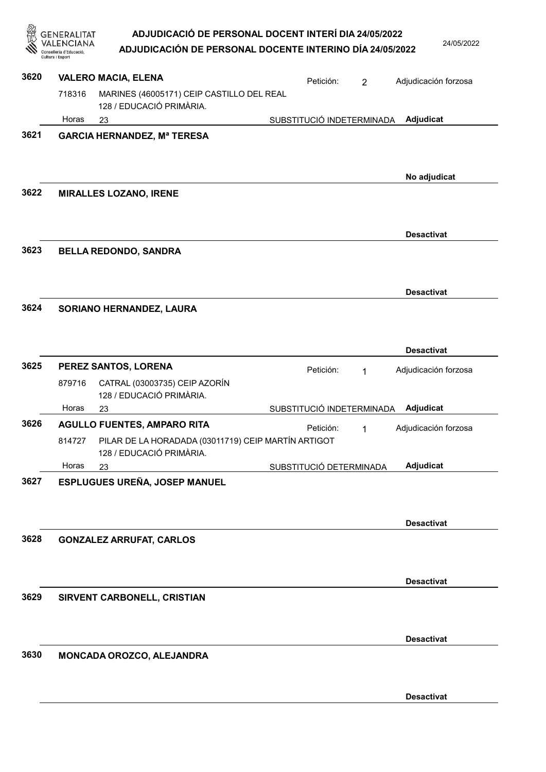|      | SENERALITAT<br>onselleria d'Educació,<br>Cultura i Esport | ADJUDICACIÓ DE PERSONAL DOCENT INTERÍ DIA 24/05/2022<br>ADJUDICACIÓN DE PERSONAL DOCENTE INTERINO DÍA 24/05/2022 |                           |                | 24/05/2022           |
|------|-----------------------------------------------------------|------------------------------------------------------------------------------------------------------------------|---------------------------|----------------|----------------------|
| 3620 |                                                           | <b>VALERO MACIA, ELENA</b>                                                                                       | Petición:                 | $\overline{2}$ | Adjudicación forzosa |
|      | 718316                                                    | MARINES (46005171) CEIP CASTILLO DEL REAL<br>128 / EDUCACIÓ PRIMÀRIA.                                            |                           |                |                      |
|      | Horas                                                     | 23                                                                                                               | SUBSTITUCIÓ INDETERMINADA |                | Adjudicat            |
| 3621 |                                                           | <b>GARCIA HERNANDEZ, Mª TERESA</b>                                                                               |                           |                |                      |
| 3622 |                                                           | <b>MIRALLES LOZANO, IRENE</b>                                                                                    |                           |                | No adjudicat         |
|      |                                                           |                                                                                                                  |                           |                | <b>Desactivat</b>    |
| 3623 |                                                           | <b>BELLA REDONDO, SANDRA</b>                                                                                     |                           |                |                      |
| 3624 |                                                           |                                                                                                                  |                           |                | <b>Desactivat</b>    |
| 3625 |                                                           | SORIANO HERNANDEZ, LAURA                                                                                         |                           |                | <b>Desactivat</b>    |
|      |                                                           | PEREZ SANTOS, LORENA                                                                                             | Petición:                 | 1              | Adjudicación forzosa |
|      | 879716<br>Horas                                           | CATRAL (03003735) CEIP AZORÍN<br>128 / EDUCACIÓ PRIMÀRIA.                                                        | SUBSTITUCIÓ INDETERMINADA |                | Adjudicat            |
| 3626 |                                                           | 23<br><b>AGULLO FUENTES, AMPARO RITA</b>                                                                         |                           |                |                      |
|      | 814727                                                    | PILAR DE LA HORADADA (03011719) CEIP MARTÍN ARTIGOT<br>128 / EDUCACIÓ PRIMÀRIA.                                  | Petición:                 | 1              | Adjudicación forzosa |
|      | Horas                                                     | 23                                                                                                               | SUBSTITUCIÓ DETERMINADA   |                | Adjudicat            |
| 3627 |                                                           | ESPLUGUES UREÑA, JOSEP MANUEL                                                                                    |                           |                | <b>Desactivat</b>    |
| 3628 |                                                           | <b>GONZALEZ ARRUFAT, CARLOS</b>                                                                                  |                           |                |                      |
|      |                                                           |                                                                                                                  |                           |                | <b>Desactivat</b>    |
| 3629 |                                                           | SIRVENT CARBONELL, CRISTIAN                                                                                      |                           |                |                      |
|      |                                                           |                                                                                                                  |                           |                | <b>Desactivat</b>    |
| 3630 |                                                           | MONCADA OROZCO, ALEJANDRA                                                                                        |                           |                |                      |

Desactivat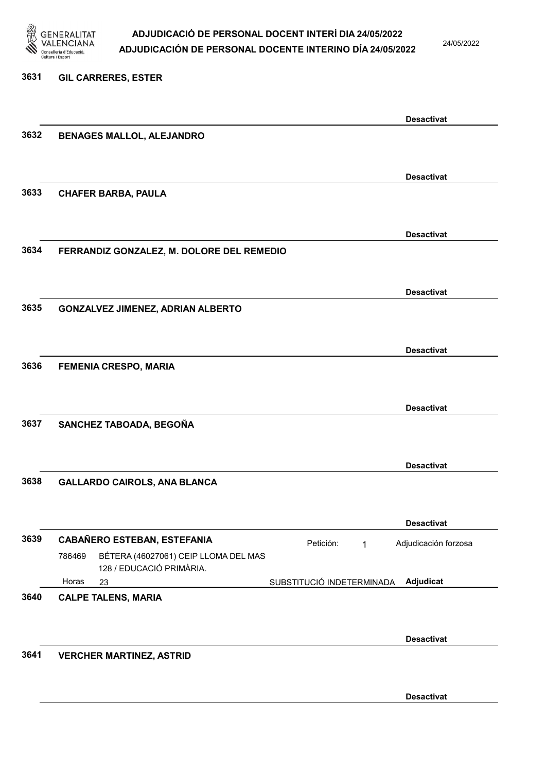

24/05/2022

#### 3631 GIL CARRERES, ESTER

|      |                                                | <b>Desactivat</b>                      |  |
|------|------------------------------------------------|----------------------------------------|--|
| 3632 | <b>BENAGES MALLOL, ALEJANDRO</b>               |                                        |  |
|      |                                                |                                        |  |
|      |                                                | <b>Desactivat</b>                      |  |
| 3633 | <b>CHAFER BARBA, PAULA</b>                     |                                        |  |
|      |                                                |                                        |  |
|      |                                                | <b>Desactivat</b>                      |  |
| 3634 | FERRANDIZ GONZALEZ, M. DOLORE DEL REMEDIO      |                                        |  |
|      |                                                |                                        |  |
|      |                                                | <b>Desactivat</b>                      |  |
| 3635 | <b>GONZALVEZ JIMENEZ, ADRIAN ALBERTO</b>       |                                        |  |
|      |                                                |                                        |  |
|      |                                                | <b>Desactivat</b>                      |  |
| 3636 | <b>FEMENIA CRESPO, MARIA</b>                   |                                        |  |
|      |                                                |                                        |  |
|      |                                                | <b>Desactivat</b>                      |  |
| 3637 | SANCHEZ TABOADA, BEGOÑA                        |                                        |  |
|      |                                                |                                        |  |
|      |                                                | <b>Desactivat</b>                      |  |
| 3638 | <b>GALLARDO CAIROLS, ANA BLANCA</b>            |                                        |  |
|      |                                                |                                        |  |
|      |                                                | <b>Desactivat</b>                      |  |
| 3639 | <b>CABAÑERO ESTEBAN, ESTEFANIA</b>             | Petición:<br>Adjudicación forzosa<br>1 |  |
|      | BÉTERA (46027061) CEIP LLOMA DEL MAS<br>786469 |                                        |  |
|      | 128 / EDUCACIÓ PRIMÀRIA.<br>Horas<br>23        | Adjudicat<br>SUBSTITUCIÓ INDETERMINADA |  |
| 3640 | <b>CALPE TALENS, MARIA</b>                     |                                        |  |
|      |                                                |                                        |  |
|      |                                                | <b>Desactivat</b>                      |  |
| 3641 | <b>VERCHER MARTINEZ, ASTRID</b>                |                                        |  |
|      |                                                |                                        |  |
|      |                                                | <b>Desactivat</b>                      |  |
|      |                                                |                                        |  |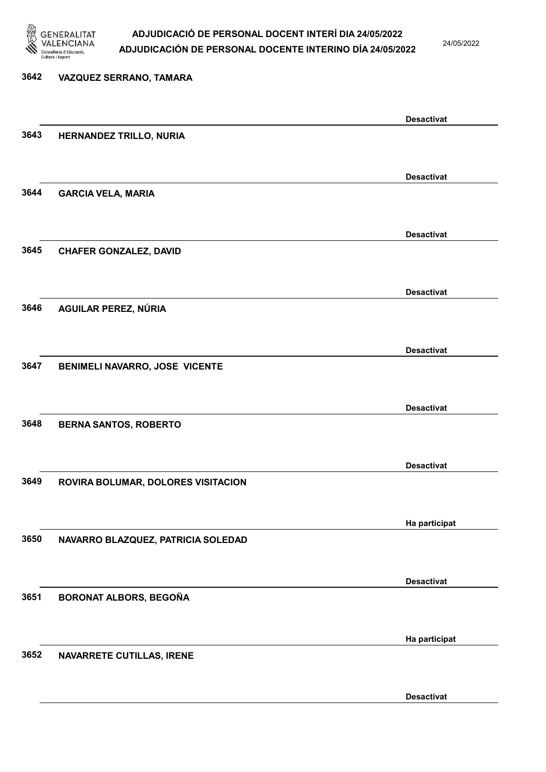

24/05/2022

# 3642 VAZQUEZ SERRANO, TAMARA Desactivat 3643 HERNANDEZ TRILLO, NURIA Desactivat 3644 GARCIA VELA, MARIA Desactivat 3645 CHAFER GONZALEZ, DAVID Desactivat 3646 AGUILAR PEREZ, NÚRIA Desactivat 3647 BENIMELI NAVARRO, JOSE VICENTE Desactivat 3648 BERNA SANTOS, ROBERTO Desactivat 3649 ROVIRA BOLUMAR, DOLORES VISITACION Ha participat 3650 NAVARRO BLAZQUEZ, PATRICIA SOLEDAD Desactivat 3651 BORONAT ALBORS, BEGOÑA Ha participat 3652 NAVARRETE CUTILLAS, IRENE

Desactivat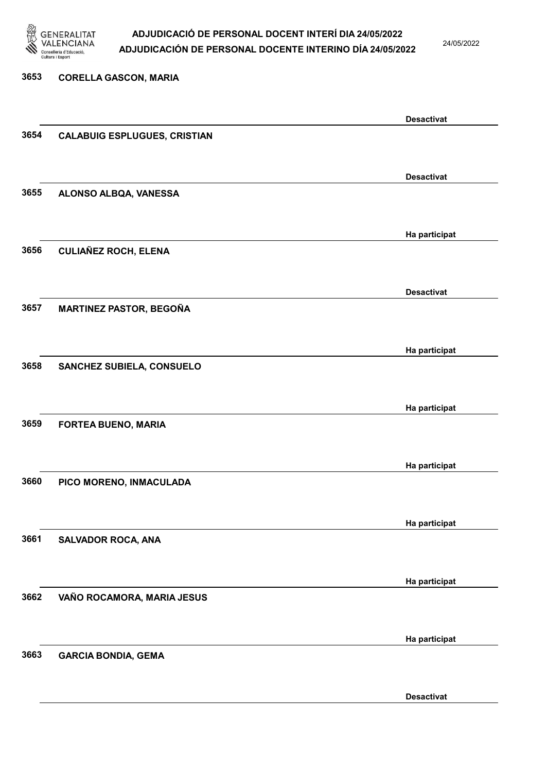

24/05/2022

Desactivat

# 3653 CORELLA GASCON, MARIA Desactivat 3654 CALABUIG ESPLUGUES, CRISTIAN Desactivat 3655 ALONSO ALBQA, VANESSA Ha participat 3656 CULIAÑEZ ROCH, ELENA Desactivat 3657 MARTINEZ PASTOR, BEGOÑA Ha participat 3658 SANCHEZ SUBIELA, CONSUELO Ha participat 3659 FORTEA BUENO, MARIA Ha participat 3660 PICO MORENO, INMACULADA Ha participat 3661 SALVADOR ROCA, ANA Ha participat 3662 VAÑO ROCAMORA, MARIA JESUS Ha participat 3663 GARCIA BONDIA, GEMA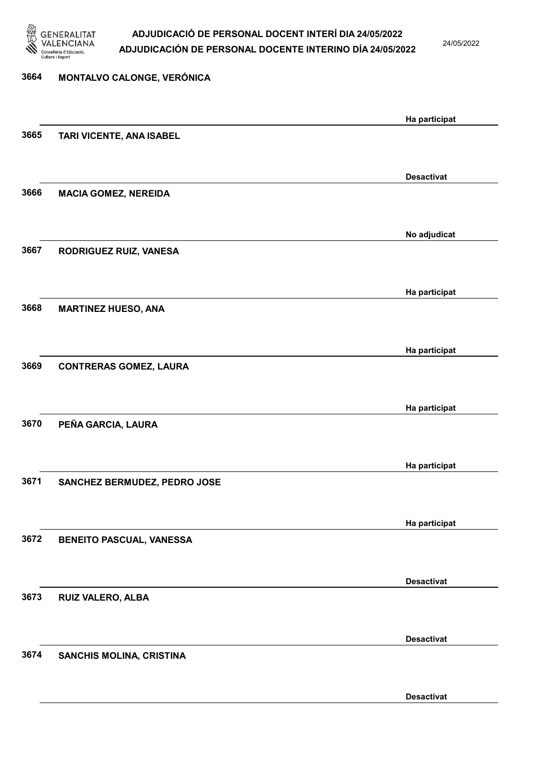

24/05/2022

Desactivat

# 3664 MONTALVO CALONGE, VERÓNICA Ha participat 3665 TARI VICENTE, ANA ISABEL Desactivat 3666 MACIA GOMEZ, NEREIDA No adjudicat 3667 RODRIGUEZ RUIZ, VANESA Ha participat 3668 MARTINEZ HUESO, ANA Ha participat 3669 CONTRERAS GOMEZ, LAURA Ha participat 3670 PEÑA GARCIA, LAURA Ha participat 3671 SANCHEZ BERMUDEZ, PEDRO JOSE Ha participat 3672 BENEITO PASCUAL, VANESSA Desactivat 3673 RUIZ VALERO, ALBA Desactivat 3674 SANCHIS MOLINA, CRISTINA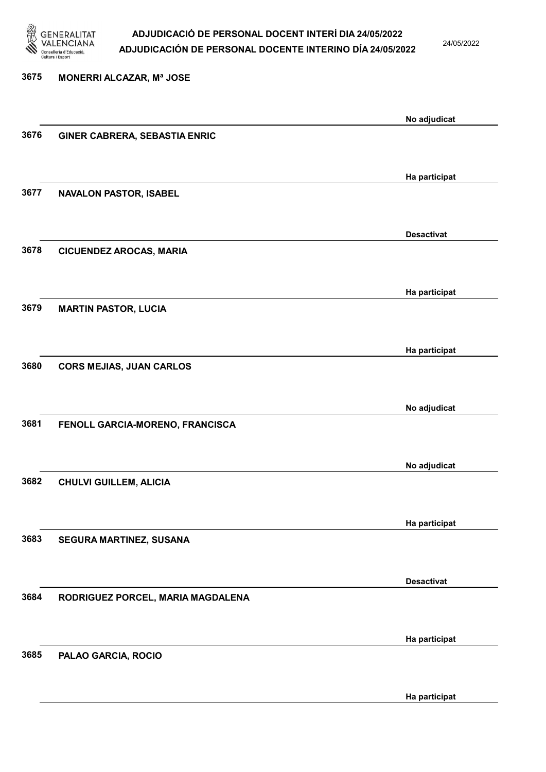

24/05/2022

### 3675 MONERRI ALCAZAR, Mª JOSE No adjudicat 3676 GINER CABRERA, SEBASTIA ENRIC Ha participat 3677 NAVALON PASTOR, ISABEL Desactivat 3678 CICUENDEZ AROCAS, MARIA Ha participat 3679 MARTIN PASTOR, LUCIA Ha participat 3680 CORS MEJIAS, JUAN CARLOS No adjudicat 3681 FENOLL GARCIA-MORENO, FRANCISCA No adjudicat 3682 CHULVI GUILLEM, ALICIA Ha participat 3683 SEGURA MARTINEZ, SUSANA Desactivat 3684 RODRIGUEZ PORCEL, MARIA MAGDALENA Ha participat 3685 PALAO GARCIA, ROCIO Ha participat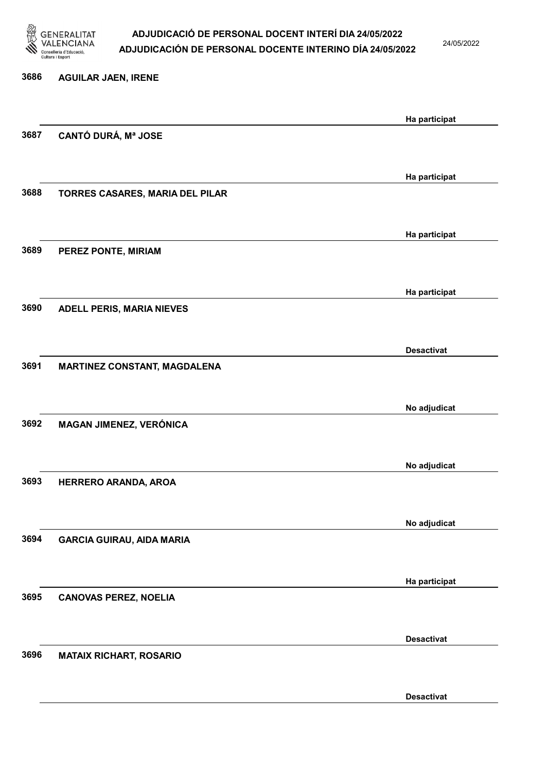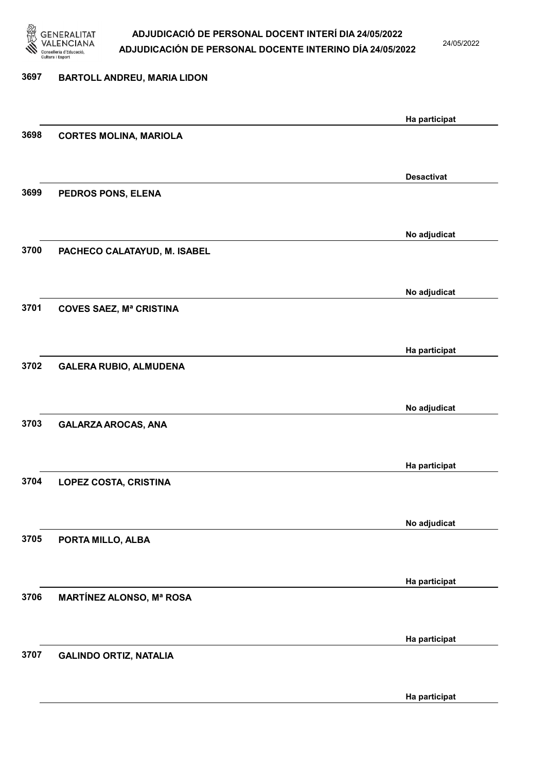

24/05/2022

### 3697 BARTOLL ANDREU, MARIA LIDON Ha participat 3698 CORTES MOLINA, MARIOLA Desactivat 3699 PEDROS PONS, ELENA No adjudicat 3700 PACHECO CALATAYUD, M. ISABEL No adjudicat 3701 COVES SAEZ, Mª CRISTINA Ha participat 3702 GALERA RUBIO, ALMUDENA No adjudicat 3703 GALARZA AROCAS, ANA Ha participat 3704 LOPEZ COSTA, CRISTINA No adjudicat 3705 PORTA MILLO, ALBA Ha participat 3706 MARTÍNEZ ALONSO, Mª ROSA Ha participat 3707 GALINDO ORTIZ, NATALIA Ha participat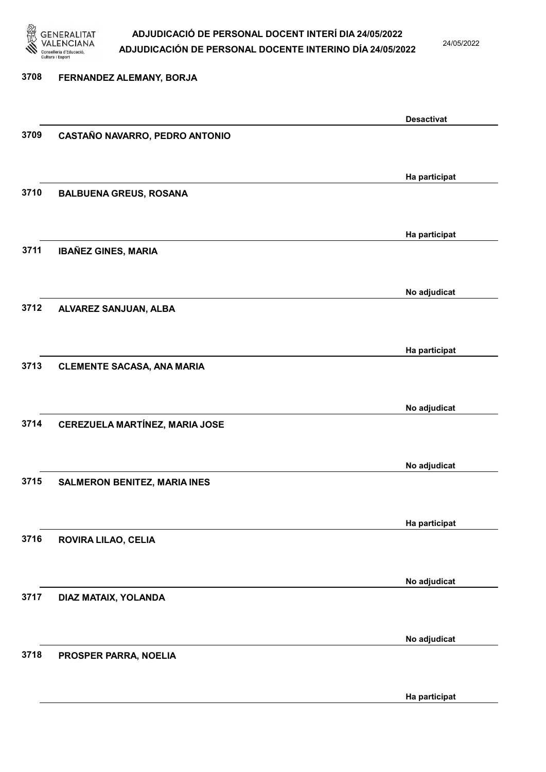

24/05/2022

### 3708 FERNANDEZ ALEMANY, BORJA Desactivat 3709 CASTAÑO NAVARRO, PEDRO ANTONIO Ha participat 3710 BALBUENA GREUS, ROSANA Ha participat 3711 IBAÑEZ GINES, MARIA No adjudicat 3712 ALVAREZ SANJUAN, ALBA Ha participat 3713 CLEMENTE SACASA, ANA MARIA No adjudicat 3714 CEREZUELA MARTÍNEZ, MARIA JOSE No adjudicat 3715 SALMERON BENITEZ, MARIA INES Ha participat 3716 ROVIRA LILAO, CELIA No adjudicat 3717 DIAZ MATAIX, YOLANDA No adjudicat 3718 PROSPER PARRA, NOELIA

Ha participat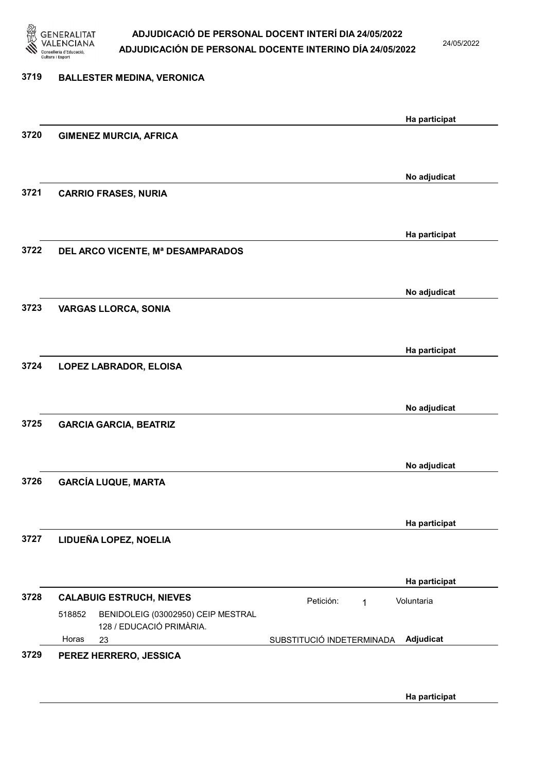

24/05/2022

| 3719 | <b>BALLESTER MEDINA, VERONICA</b>                                        |                                         |
|------|--------------------------------------------------------------------------|-----------------------------------------|
|      |                                                                          | Ha participat                           |
| 3720 | <b>GIMENEZ MURCIA, AFRICA</b>                                            |                                         |
|      |                                                                          | No adjudicat                            |
| 3721 | <b>CARRIO FRASES, NURIA</b>                                              |                                         |
|      |                                                                          | Ha participat                           |
| 3722 | DEL ARCO VICENTE, Mª DESAMPARADOS                                        |                                         |
| 3723 | <b>VARGAS LLORCA, SONIA</b>                                              | No adjudicat                            |
|      |                                                                          |                                         |
| 3724 | LOPEZ LABRADOR, ELOISA                                                   | Ha participat                           |
|      |                                                                          |                                         |
|      |                                                                          | No adjudicat                            |
| 3725 | <b>GARCIA GARCIA, BEATRIZ</b>                                            |                                         |
|      |                                                                          | No adjudicat                            |
| 3726 | <b>GARCÍA LUQUE, MARTA</b>                                               |                                         |
|      |                                                                          | Ha participat                           |
| 3727 | LIDUEÑA LOPEZ, NOELIA                                                    |                                         |
|      |                                                                          | Ha participat                           |
| 3728 | <b>CALABUIG ESTRUCH, NIEVES</b>                                          | Petición:<br>Voluntaria<br>$\mathbf{1}$ |
|      | BENIDOLEIG (03002950) CEIP MESTRAL<br>518852<br>128 / EDUCACIÓ PRIMÀRIA. |                                         |
|      | Horas<br>23                                                              | Adjudicat<br>SUBSTITUCIÓ INDETERMINADA  |
| 3729 | PEREZ HERRERO, JESSICA                                                   |                                         |
|      |                                                                          |                                         |

Ha participat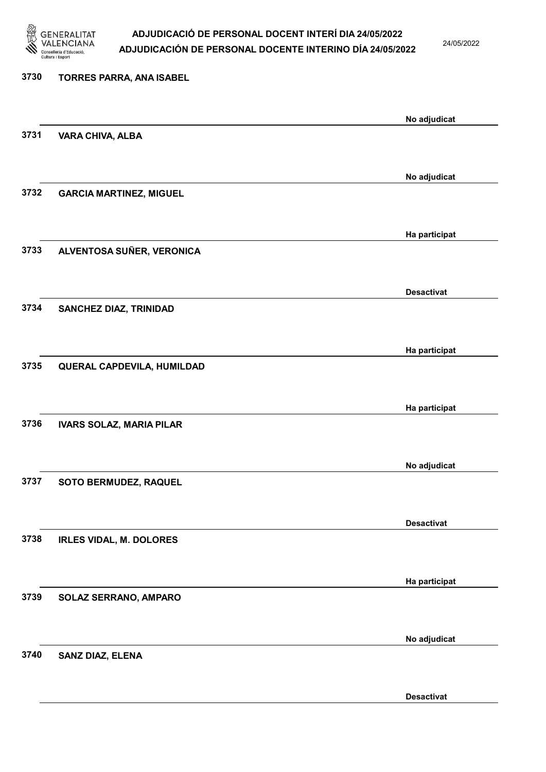

24/05/2022

# 3730 TORRES PARRA, ANA ISABEL No adjudicat 3731 VARA CHIVA, ALBA No adjudicat 3732 GARCIA MARTINEZ, MIGUEL Ha participat 3733 ALVENTOSA SUÑER, VERONICA Desactivat 3734 SANCHEZ DIAZ, TRINIDAD Ha participat 3735 QUERAL CAPDEVILA, HUMILDAD Ha participat 3736 IVARS SOLAZ, MARIA PILAR No adjudicat 3737 SOTO BERMUDEZ, RAQUEL Desactivat 3738 IRLES VIDAL, M. DOLORES Ha participat 3739 SOLAZ SERRANO, AMPARO No adjudicat 3740 SANZ DIAZ, ELENA

Desactivat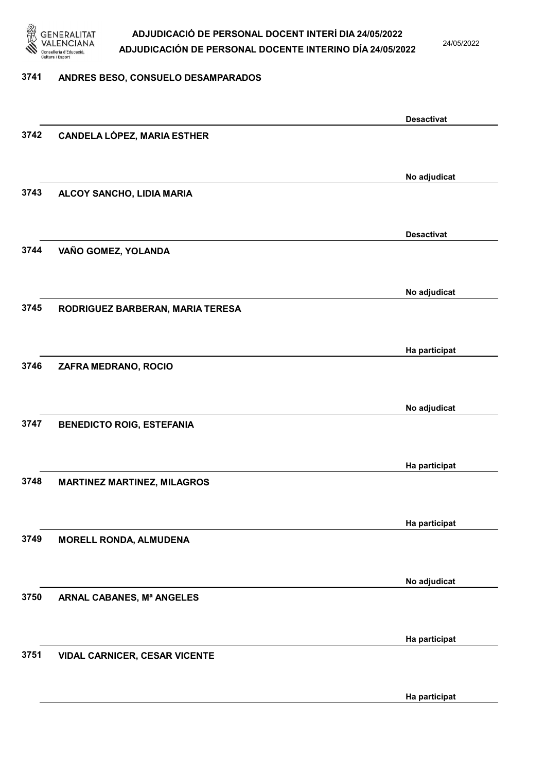

24/05/2022

#### 3741 ANDRES BESO, CONSUELO DESAMPARADOS

|      |                                      | <b>Desactivat</b> |
|------|--------------------------------------|-------------------|
| 3742 | <b>CANDELA LÓPEZ, MARIA ESTHER</b>   |                   |
|      |                                      |                   |
|      |                                      |                   |
| 3743 | ALCOY SANCHO, LIDIA MARIA            | No adjudicat      |
|      |                                      |                   |
|      |                                      |                   |
|      |                                      | <b>Desactivat</b> |
| 3744 | VAÑO GOMEZ, YOLANDA                  |                   |
|      |                                      |                   |
|      |                                      | No adjudicat      |
| 3745 | RODRIGUEZ BARBERAN, MARIA TERESA     |                   |
|      |                                      |                   |
|      |                                      | Ha participat     |
| 3746 | ZAFRA MEDRANO, ROCIO                 |                   |
|      |                                      |                   |
|      |                                      | No adjudicat      |
| 3747 | <b>BENEDICTO ROIG, ESTEFANIA</b>     |                   |
|      |                                      |                   |
|      |                                      |                   |
| 3748 |                                      | Ha participat     |
|      | <b>MARTINEZ MARTINEZ, MILAGROS</b>   |                   |
|      |                                      |                   |
|      |                                      | Ha participat     |
| 3749 | <b>MORELL RONDA, ALMUDENA</b>        |                   |
|      |                                      |                   |
|      |                                      | No adjudicat      |
| 3750 | ARNAL CABANES, Mª ANGELES            |                   |
|      |                                      |                   |
|      |                                      | Ha participat     |
| 3751 | <b>VIDAL CARNICER, CESAR VICENTE</b> |                   |
|      |                                      |                   |
|      |                                      |                   |
|      |                                      | Ha participat     |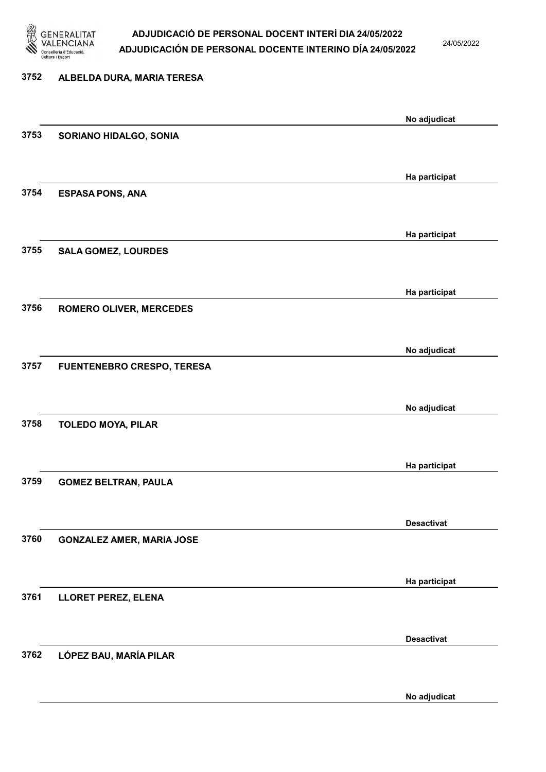

24/05/2022

# 3752 ALBELDA DURA, MARIA TERESA No adjudicat 3753 SORIANO HIDALGO, SONIA Ha participat 3754 ESPASA PONS, ANA Ha participat 3755 SALA GOMEZ, LOURDES Ha participat 3756 ROMERO OLIVER, MERCEDES No adjudicat 3757 FUENTENEBRO CRESPO, TERESA No adjudicat 3758 TOLEDO MOYA, PILAR Ha participat 3759 GOMEZ BELTRAN, PAULA Desactivat 3760 GONZALEZ AMER, MARIA JOSE Ha participat 3761 LLORET PEREZ, ELENA Desactivat 3762 LÓPEZ BAU, MARÍA PILAR

No adjudicat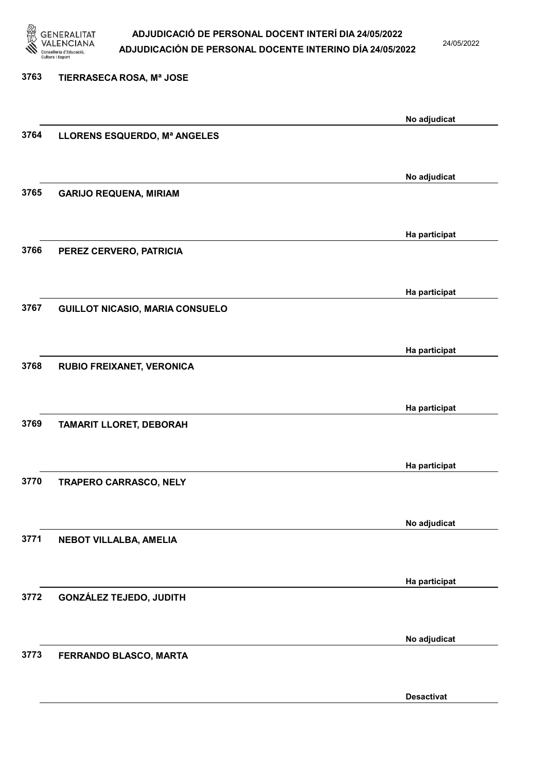

24/05/2022

3763 TIERRASECA ROSA, Mª JOSE No adjudicat 3764 LLORENS ESQUERDO, Mª ANGELES No adjudicat 3765 GARIJO REQUENA, MIRIAM Ha participat 3766 PEREZ CERVERO, PATRICIA Ha participat 3767 GUILLOT NICASIO, MARIA CONSUELO Ha participat 3768 RUBIO FREIXANET, VERONICA Ha participat 3769 TAMARIT LLORET, DEBORAH Ha participat 3770 TRAPERO CARRASCO, NELY No adjudicat 3771 NEBOT VILLALBA, AMELIA Ha participat 3772 GONZÁLEZ TEJEDO, JUDITH No adjudicat 3773 FERRANDO BLASCO, MARTA

Desactivat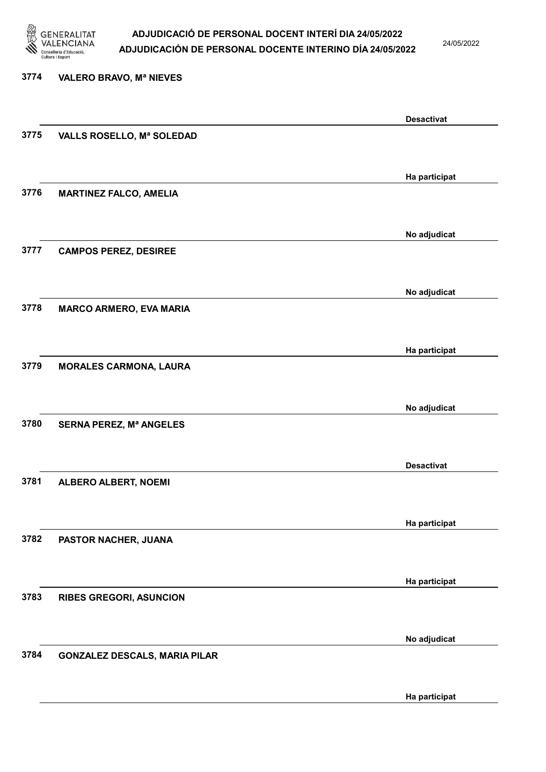

24/05/2022

### 3774 VALERO BRAVO, Mª NIEVES Desactivat 3775 VALLS ROSELLO, Mª SOLEDAD Ha participat 3776 MARTINEZ FALCO, AMELIA No adjudicat 3777 CAMPOS PEREZ, DESIREE No adjudicat 3778 MARCO ARMERO, EVA MARIA Ha participat 3779 MORALES CARMONA, LAURA No adjudicat 3780 SERNA PEREZ, Mª ANGELES Desactivat 3781 ALBERO ALBERT, NOEMI Ha participat 3782 PASTOR NACHER, JUANA Ha participat 3783 RIBES GREGORI, ASUNCION No adjudicat 3784 GONZALEZ DESCALS, MARIA PILAR

Ha participat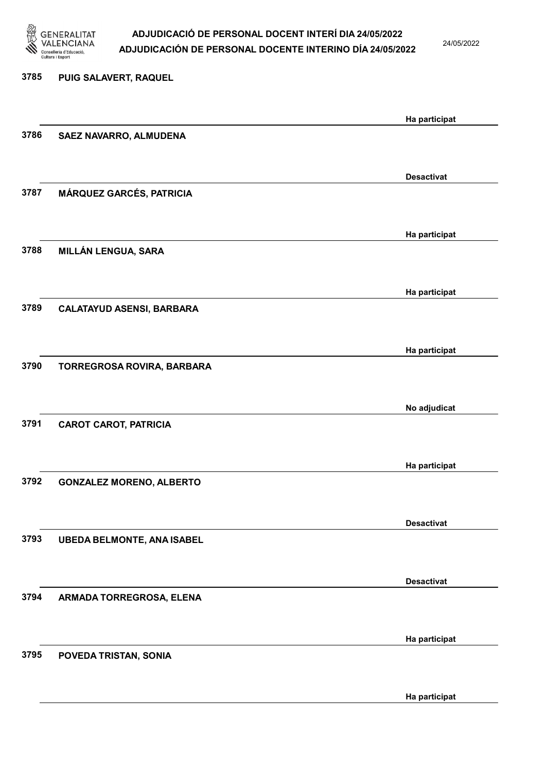

24/05/2022

Ha participat

# 3785 PUIG SALAVERT, RAQUEL Ha participat 3786 SAEZ NAVARRO, ALMUDENA Desactivat 3787 MÁRQUEZ GARCÉS, PATRICIA Ha participat 3788 MILLÁN LENGUA, SARA Ha participat 3789 CALATAYUD ASENSI, BARBARA Ha participat 3790 TORREGROSA ROVIRA, BARBARA No adjudicat 3791 CAROT CAROT, PATRICIA Ha participat 3792 GONZALEZ MORENO, ALBERTO Desactivat 3793 UBEDA BELMONTE, ANA ISABEL Desactivat 3794 ARMADA TORREGROSA, ELENA Ha participat 3795 POVEDA TRISTAN, SONIA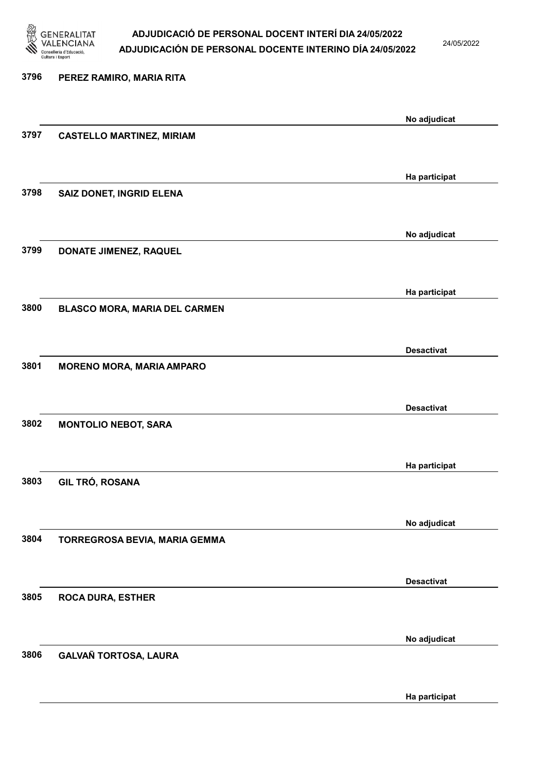

24/05/2022

Ha participat

# 3796 PEREZ RAMIRO, MARIA RITA No adjudicat 3797 CASTELLO MARTINEZ, MIRIAM Ha participat 3798 SAIZ DONET, INGRID ELENA No adjudicat 3799 DONATE JIMENEZ, RAQUEL Ha participat 3800 BLASCO MORA, MARIA DEL CARMEN Desactivat 3801 MORENO MORA, MARIA AMPARO Desactivat 3802 MONTOLIO NEBOT, SARA Ha participat 3803 GIL TRÓ, ROSANA No adjudicat 3804 TORREGROSA BEVIA, MARIA GEMMA Desactivat 3805 ROCA DURA, ESTHER No adjudicat 3806 GALVAÑ TORTOSA, LAURA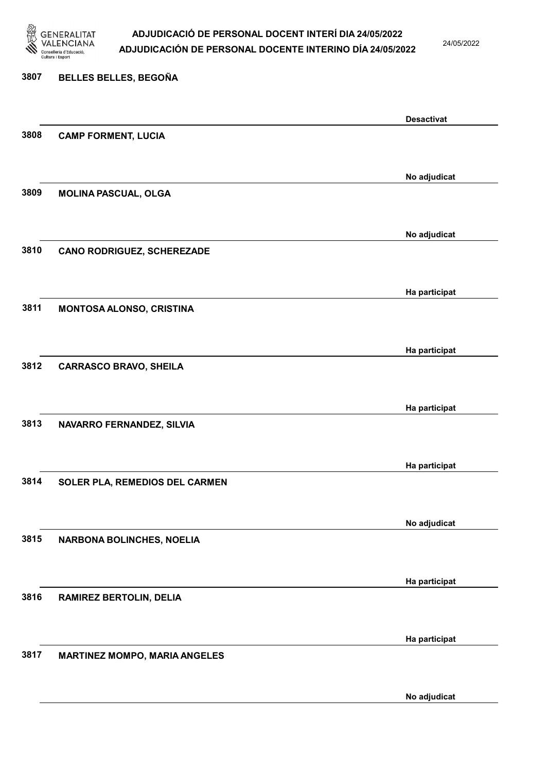

24/05/2022

# 3807 BELLES BELLES, BEGOÑA Desactivat 3808 CAMP FORMENT, LUCIA No adjudicat 3809 MOLINA PASCUAL, OLGA No adjudicat 3810 CANO RODRIGUEZ, SCHEREZADE Ha participat 3811 MONTOSA ALONSO, CRISTINA Ha participat 3812 CARRASCO BRAVO, SHEILA Ha participat 3813 NAVARRO FERNANDEZ, SILVIA Ha participat 3814 SOLER PLA, REMEDIOS DEL CARMEN No adjudicat 3815 NARBONA BOLINCHES, NOELIA Ha participat 3816 RAMIREZ BERTOLIN, DELIA Ha participat 3817 MARTINEZ MOMPO, MARIA ANGELES

No adjudicat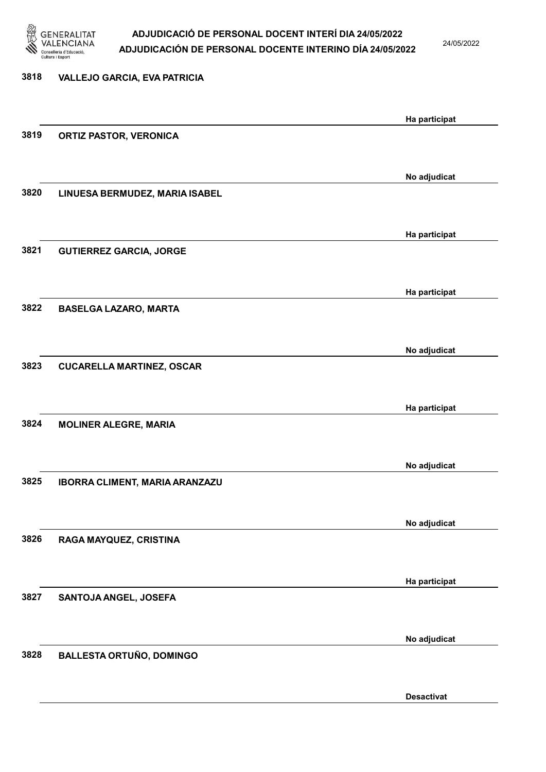

24/05/2022

Desactivat

| 3818 | <b>VALLEJO GARCIA, EVA PATRICIA</b> |               |
|------|-------------------------------------|---------------|
|      |                                     | Ha participat |
| 3819 | <b>ORTIZ PASTOR, VERONICA</b>       |               |
|      |                                     | No adjudicat  |
| 3820 | LINUESA BERMUDEZ, MARIA ISABEL      |               |
|      |                                     | Ha participat |
| 3821 | <b>GUTIERREZ GARCIA, JORGE</b>      |               |
|      |                                     | Ha participat |
| 3822 | <b>BASELGA LAZARO, MARTA</b>        |               |
|      |                                     | No adjudicat  |
| 3823 | <b>CUCARELLA MARTINEZ, OSCAR</b>    |               |
|      |                                     | Ha participat |
| 3824 | <b>MOLINER ALEGRE, MARIA</b>        |               |
|      |                                     | No adjudicat  |
| 3825 | IBORRA CLIMENT, MARIA ARANZAZU      |               |
|      |                                     | No adjudicat  |
| 3826 | RAGA MAYQUEZ, CRISTINA              |               |
|      |                                     | Ha participat |
| 3827 | SANTOJA ANGEL, JOSEFA               |               |
|      |                                     | No adjudicat  |
| 3828 | <b>BALLESTA ORTUÑO, DOMINGO</b>     |               |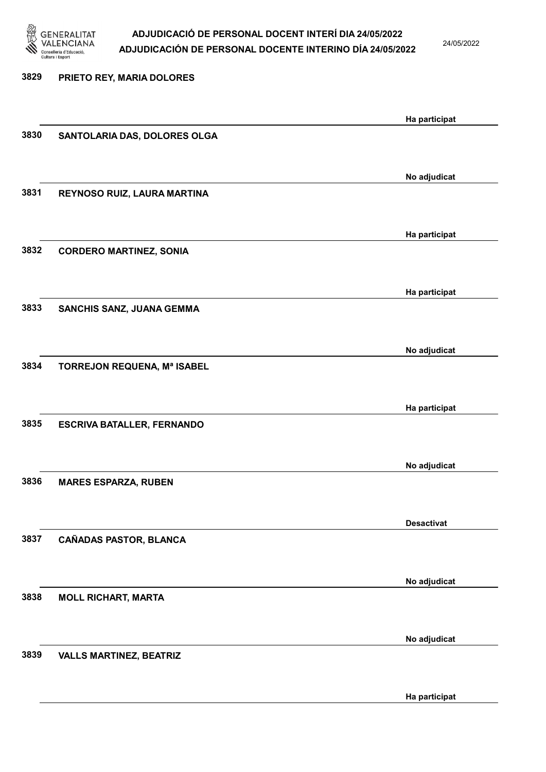

24/05/2022

| 3829 | PRIETO REY, MARIA DOLORES         |                   |
|------|-----------------------------------|-------------------|
|      |                                   | Ha participat     |
| 3830 | SANTOLARIA DAS, DOLORES OLGA      |                   |
|      |                                   |                   |
| 3831 | REYNOSO RUIZ, LAURA MARTINA       | No adjudicat      |
|      |                                   |                   |
| 3832 |                                   | Ha participat     |
|      | <b>CORDERO MARTINEZ, SONIA</b>    |                   |
|      |                                   | Ha participat     |
| 3833 | SANCHIS SANZ, JUANA GEMMA         |                   |
|      |                                   | No adjudicat      |
| 3834 | TORREJON REQUENA, Mª ISABEL       |                   |
|      |                                   |                   |
|      |                                   | Ha participat     |
| 3835 | <b>ESCRIVA BATALLER, FERNANDO</b> |                   |
|      |                                   | No adjudicat      |
| 3836 | <b>MARES ESPARZA, RUBEN</b>       |                   |
|      |                                   |                   |
| 3837 | CAÑADAS PASTOR, BLANCA            | <b>Desactivat</b> |
|      |                                   |                   |
| 3838 |                                   | No adjudicat      |
|      | <b>MOLL RICHART, MARTA</b>        |                   |
|      |                                   | No adjudicat      |
| 3839 | <b>VALLS MARTINEZ, BEATRIZ</b>    |                   |
|      |                                   |                   |

Ha participat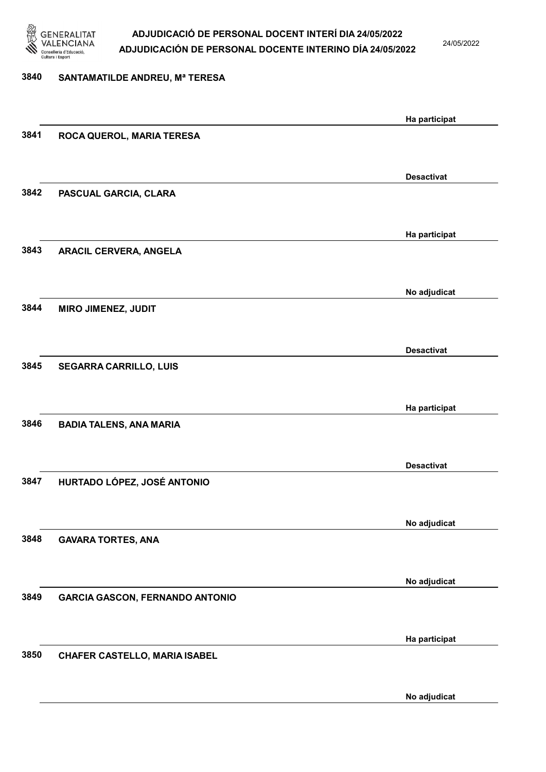

24/05/2022

### 3840 SANTAMATILDE ANDREU, Mª TERESA

|      |                                        | Ha participat     |
|------|----------------------------------------|-------------------|
| 3841 | ROCA QUEROL, MARIA TERESA              |                   |
|      |                                        |                   |
|      |                                        | <b>Desactivat</b> |
| 3842 | PASCUAL GARCIA, CLARA                  |                   |
|      |                                        |                   |
|      |                                        |                   |
|      |                                        | Ha participat     |
| 3843 | <b>ARACIL CERVERA, ANGELA</b>          |                   |
|      |                                        |                   |
|      |                                        | No adjudicat      |
| 3844 | <b>MIRO JIMENEZ, JUDIT</b>             |                   |
|      |                                        |                   |
|      |                                        |                   |
|      |                                        | <b>Desactivat</b> |
| 3845 | <b>SEGARRA CARRILLO, LUIS</b>          |                   |
|      |                                        |                   |
|      |                                        | Ha participat     |
| 3846 | <b>BADIA TALENS, ANA MARIA</b>         |                   |
|      |                                        |                   |
|      |                                        |                   |
|      |                                        | <b>Desactivat</b> |
| 3847 | HURTADO LÓPEZ, JOSÉ ANTONIO            |                   |
|      |                                        |                   |
|      |                                        | No adjudicat      |
| 3848 | <b>GAVARA TORTES, ANA</b>              |                   |
|      |                                        |                   |
|      |                                        |                   |
| 3849 | <b>GARCIA GASCON, FERNANDO ANTONIO</b> | No adjudicat      |
|      |                                        |                   |
|      |                                        |                   |
|      |                                        | Ha participat     |
| 3850 | <b>CHAFER CASTELLO, MARIA ISABEL</b>   |                   |
|      |                                        |                   |
|      |                                        | No adjudicat      |
|      |                                        |                   |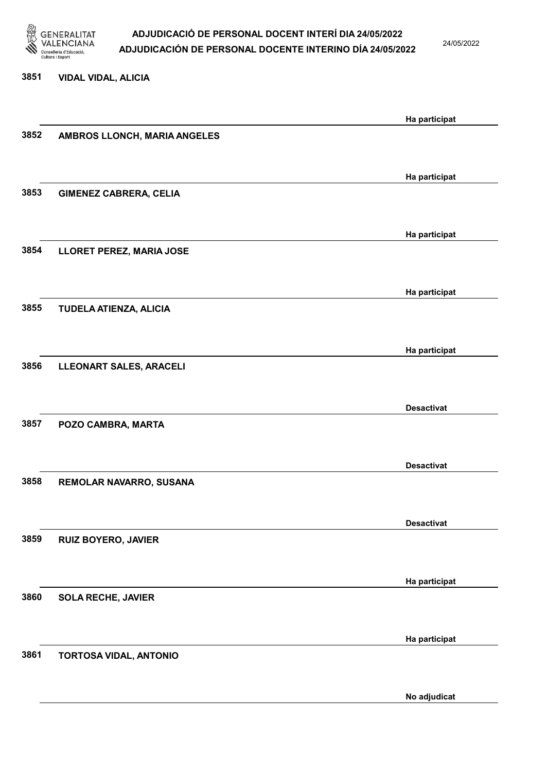

24/05/2022

#### 3851 VIDAL VIDAL, ALICIA

|                               | Ha participat                                                                                                                                                             |
|-------------------------------|---------------------------------------------------------------------------------------------------------------------------------------------------------------------------|
| AMBROS LLONCH, MARIA ANGELES  |                                                                                                                                                                           |
|                               |                                                                                                                                                                           |
|                               | Ha participat                                                                                                                                                             |
| <b>GIMENEZ CABRERA, CELIA</b> |                                                                                                                                                                           |
|                               |                                                                                                                                                                           |
|                               | Ha participat                                                                                                                                                             |
|                               |                                                                                                                                                                           |
|                               |                                                                                                                                                                           |
|                               | Ha participat                                                                                                                                                             |
|                               |                                                                                                                                                                           |
|                               |                                                                                                                                                                           |
|                               | Ha participat                                                                                                                                                             |
|                               |                                                                                                                                                                           |
|                               | <b>Desactivat</b>                                                                                                                                                         |
| POZO CAMBRA, MARTA            |                                                                                                                                                                           |
|                               |                                                                                                                                                                           |
|                               | <b>Desactivat</b>                                                                                                                                                         |
| REMOLAR NAVARRO, SUSANA       |                                                                                                                                                                           |
|                               |                                                                                                                                                                           |
|                               | <b>Desactivat</b>                                                                                                                                                         |
|                               |                                                                                                                                                                           |
|                               |                                                                                                                                                                           |
|                               | Ha participat                                                                                                                                                             |
|                               |                                                                                                                                                                           |
|                               |                                                                                                                                                                           |
|                               | Ha participat                                                                                                                                                             |
|                               |                                                                                                                                                                           |
|                               | No adjudicat                                                                                                                                                              |
|                               | LLORET PEREZ, MARIA JOSE<br>TUDELA ATIENZA, ALICIA<br>LLEONART SALES, ARACELI<br><b>RUIZ BOYERO, JAVIER</b><br><b>SOLA RECHE, JAVIER</b><br><b>TORTOSA VIDAL, ANTONIO</b> |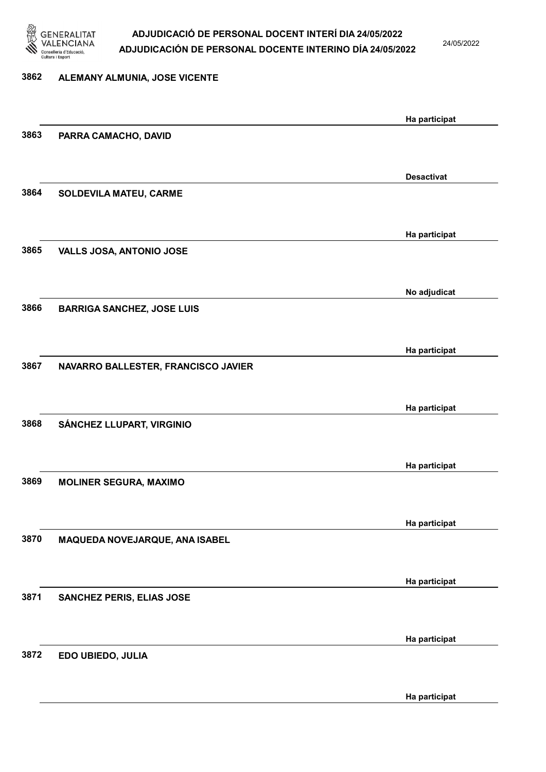

24/05/2022

# 3862 ALEMANY ALMUNIA, JOSE VICENTE Ha participat 3863 PARRA CAMACHO, DAVID Desactivat 3864 SOLDEVILA MATEU, CARME Ha participat 3865 VALLS JOSA, ANTONIO JOSE No adjudicat 3866 BARRIGA SANCHEZ, JOSE LUIS Ha participat 3867 NAVARRO BALLESTER, FRANCISCO JAVIER Ha participat 3868 SÁNCHEZ LLUPART, VIRGINIO Ha participat 3869 MOLINER SEGURA, MAXIMO Ha participat 3870 MAQUEDA NOVEJARQUE, ANA ISABEL Ha participat 3871 SANCHEZ PERIS, ELIAS JOSE Ha participat 3872 EDO UBIEDO, JULIA

Ha participat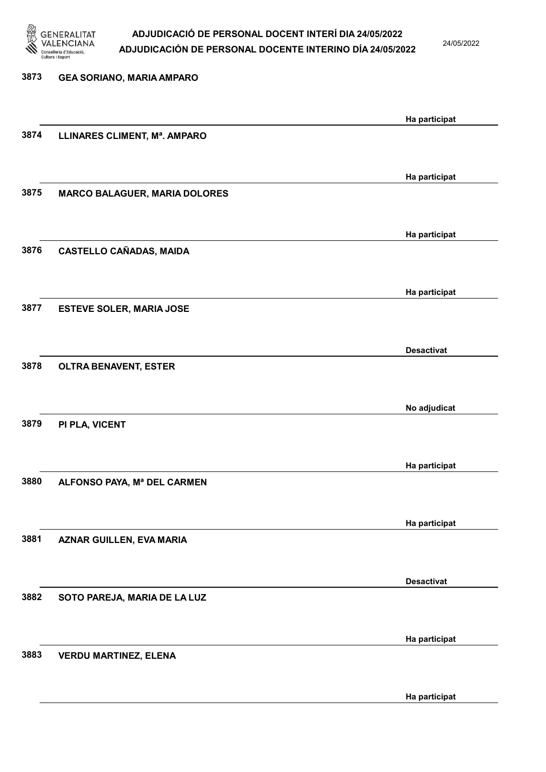

24/05/2022

| 3873 | <b>GEA SORIANO, MARIA AMPARO</b>     |                   |
|------|--------------------------------------|-------------------|
|      |                                      | Ha participat     |
| 3874 | LLINARES CLIMENT, Mª. AMPARO         |                   |
|      |                                      | Ha participat     |
| 3875 | <b>MARCO BALAGUER, MARIA DOLORES</b> |                   |
|      |                                      | Ha participat     |
| 3876 | <b>CASTELLO CAÑADAS, MAIDA</b>       |                   |
| 3877 |                                      | Ha participat     |
|      | <b>ESTEVE SOLER, MARIA JOSE</b>      |                   |
| 3878 | <b>OLTRA BENAVENT, ESTER</b>         | <b>Desactivat</b> |
|      |                                      |                   |
| 3879 | PI PLA, VICENT                       | No adjudicat      |
|      |                                      |                   |
| 3880 | ALFONSO PAYA, Mª DEL CARMEN          | Ha participat     |
|      |                                      |                   |
| 3881 | AZNAR GUILLEN, EVA MARIA             | Ha participat     |
|      |                                      | <b>Desactivat</b> |
| 3882 | SOTO PAREJA, MARIA DE LA LUZ         |                   |
|      |                                      | Ha participat     |
| 3883 | <b>VERDU MARTINEZ, ELENA</b>         |                   |
|      |                                      | Ha participat     |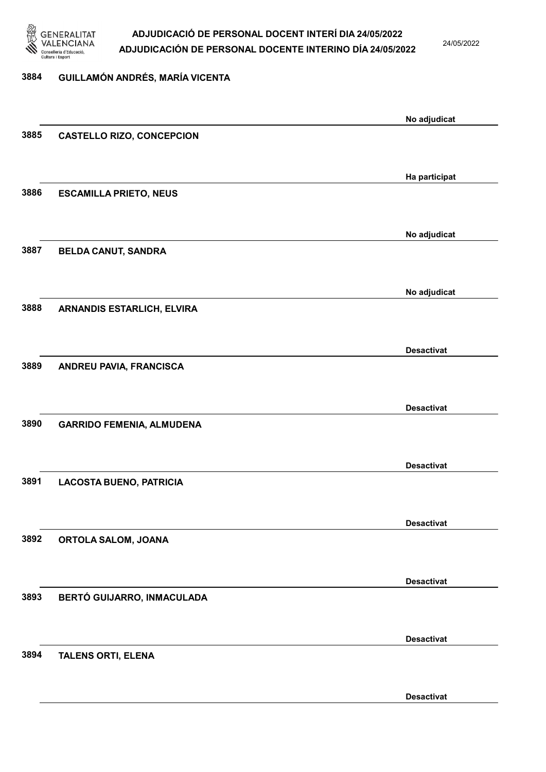

24/05/2022

### 3884 GUILLAMÓN ANDRÉS, MARÍA VICENTA

|      |                                   | No adjudicat      |
|------|-----------------------------------|-------------------|
| 3885 | <b>CASTELLO RIZO, CONCEPCION</b>  |                   |
|      |                                   |                   |
|      |                                   | Ha participat     |
| 3886 | <b>ESCAMILLA PRIETO, NEUS</b>     |                   |
|      |                                   |                   |
|      |                                   | No adjudicat      |
| 3887 | <b>BELDA CANUT, SANDRA</b>        |                   |
|      |                                   |                   |
|      |                                   |                   |
| 3888 | <b>ARNANDIS ESTARLICH, ELVIRA</b> | No adjudicat      |
|      |                                   |                   |
|      |                                   |                   |
| 3889 |                                   | <b>Desactivat</b> |
|      | ANDREU PAVIA, FRANCISCA           |                   |
|      |                                   |                   |
|      |                                   | <b>Desactivat</b> |
| 3890 | <b>GARRIDO FEMENIA, ALMUDENA</b>  |                   |
|      |                                   |                   |
|      |                                   | <b>Desactivat</b> |
| 3891 | <b>LACOSTA BUENO, PATRICIA</b>    |                   |
|      |                                   |                   |
|      |                                   | <b>Desactivat</b> |
| 3892 | ORTOLA SALOM, JOANA               |                   |
|      |                                   |                   |
|      |                                   | <b>Desactivat</b> |
| 3893 | BERTÓ GUIJARRO, INMACULADA        |                   |
|      |                                   |                   |
|      |                                   | <b>Desactivat</b> |
| 3894 | <b>TALENS ORTI, ELENA</b>         |                   |
|      |                                   |                   |
|      |                                   | <b>Desactivat</b> |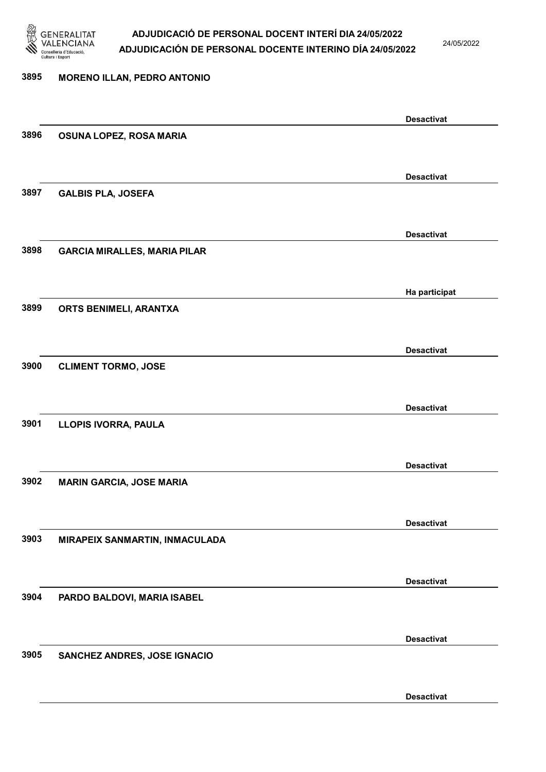

24/05/2022

Desactivat

# 3895 MORENO ILLAN, PEDRO ANTONIO Desactivat 3896 OSUNA LOPEZ, ROSA MARIA Desactivat 3897 GALBIS PLA, JOSEFA Desactivat 3898 GARCIA MIRALLES, MARIA PILAR Ha participat 3899 ORTS BENIMELI, ARANTXA Desactivat 3900 CLIMENT TORMO, JOSE Desactivat 3901 LLOPIS IVORRA, PAULA Desactivat 3902 MARIN GARCIA, JOSE MARIA Desactivat 3903 MIRAPEIX SANMARTIN, INMACULADA Desactivat 3904 PARDO BALDOVI, MARIA ISABEL Desactivat 3905 SANCHEZ ANDRES, JOSE IGNACIO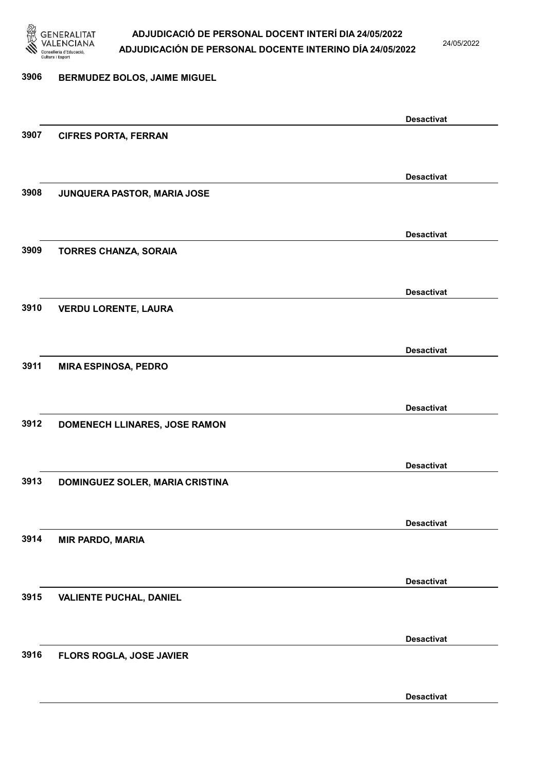

24/05/2022

#### 3906 BERMUDEZ BOLOS, JAIME MIGUEL

|      |                                 | <b>Desactivat</b> |
|------|---------------------------------|-------------------|
| 3907 | <b>CIFRES PORTA, FERRAN</b>     |                   |
|      |                                 |                   |
|      |                                 |                   |
|      |                                 | <b>Desactivat</b> |
| 3908 | JUNQUERA PASTOR, MARIA JOSE     |                   |
|      |                                 |                   |
|      |                                 | <b>Desactivat</b> |
| 3909 | <b>TORRES CHANZA, SORAIA</b>    |                   |
|      |                                 |                   |
|      |                                 |                   |
|      |                                 | <b>Desactivat</b> |
| 3910 | <b>VERDU LORENTE, LAURA</b>     |                   |
|      |                                 |                   |
|      |                                 | <b>Desactivat</b> |
| 3911 | <b>MIRA ESPINOSA, PEDRO</b>     |                   |
|      |                                 |                   |
|      |                                 |                   |
|      |                                 | <b>Desactivat</b> |
| 3912 | DOMENECH LLINARES, JOSE RAMON   |                   |
|      |                                 |                   |
|      |                                 | <b>Desactivat</b> |
| 3913 | DOMINGUEZ SOLER, MARIA CRISTINA |                   |
|      |                                 |                   |
|      |                                 |                   |
|      |                                 | <b>Desactivat</b> |
| 3914 | <b>MIR PARDO, MARIA</b>         |                   |
|      |                                 |                   |
|      |                                 | <b>Desactivat</b> |
| 3915 | <b>VALIENTE PUCHAL, DANIEL</b>  |                   |
|      |                                 |                   |
|      |                                 |                   |
|      |                                 | <b>Desactivat</b> |
| 3916 | FLORS ROGLA, JOSE JAVIER        |                   |
|      |                                 |                   |
|      |                                 | <b>Desactivat</b> |
|      |                                 |                   |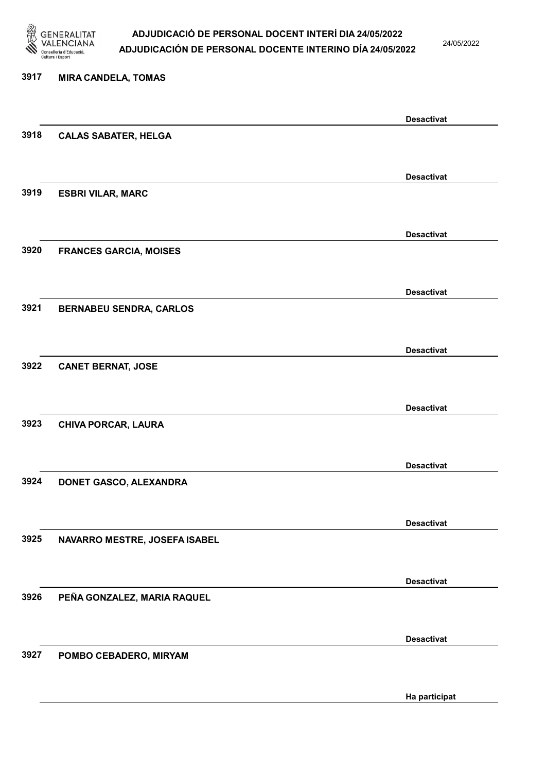

24/05/2022

Ha participat

### 3917 MIRA CANDELA, TOMAS Desactivat 3918 CALAS SABATER, HELGA Desactivat 3919 ESBRI VILAR, MARC Desactivat 3920 FRANCES GARCIA, MOISES Desactivat 3921 BERNABEU SENDRA, CARLOS Desactivat 3922 CANET BERNAT, JOSE Desactivat 3923 CHIVA PORCAR, LAURA Desactivat 3924 DONET GASCO, ALEXANDRA Desactivat 3925 NAVARRO MESTRE, JOSEFA ISABEL Desactivat 3926 PEÑA GONZALEZ, MARIA RAQUEL Desactivat 3927 POMBO CEBADERO, MIRYAM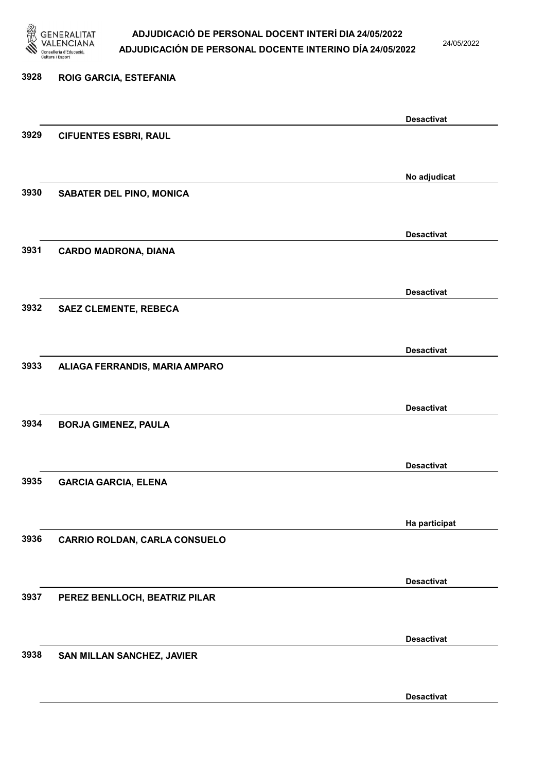

24/05/2022

Desactivat

# 3928 ROIG GARCIA, ESTEFANIA Desactivat 3929 CIFUENTES ESBRI, RAUL No adjudicat 3930 SABATER DEL PINO, MONICA Desactivat 3931 CARDO MADRONA, DIANA Desactivat 3932 SAEZ CLEMENTE, REBECA Desactivat 3933 ALIAGA FERRANDIS, MARIA AMPARO Desactivat 3934 BORJA GIMENEZ, PAULA Desactivat 3935 GARCIA GARCIA, ELENA Ha participat 3936 CARRIO ROLDAN, CARLA CONSUELO Desactivat 3937 PEREZ BENLLOCH, BEATRIZ PILAR Desactivat 3938 SAN MILLAN SANCHEZ, JAVIER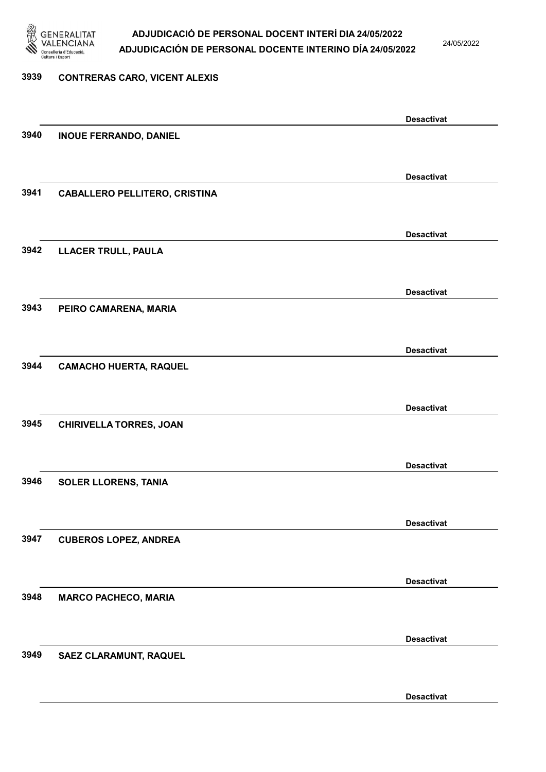

24/05/2022

#### 3939 CONTRERAS CARO, VICENT ALEXIS

|      |                                      | <b>Desactivat</b> |
|------|--------------------------------------|-------------------|
| 3940 | <b>INOUE FERRANDO, DANIEL</b>        |                   |
|      |                                      |                   |
|      |                                      |                   |
|      |                                      | <b>Desactivat</b> |
| 3941 | <b>CABALLERO PELLITERO, CRISTINA</b> |                   |
|      |                                      |                   |
|      |                                      |                   |
|      |                                      | <b>Desactivat</b> |
|      |                                      |                   |
| 3942 | LLACER TRULL, PAULA                  |                   |
|      |                                      |                   |
|      |                                      |                   |
|      |                                      | <b>Desactivat</b> |
| 3943 | PEIRO CAMARENA, MARIA                |                   |
|      |                                      |                   |
|      |                                      |                   |
|      |                                      | <b>Desactivat</b> |
| 3944 | <b>CAMACHO HUERTA, RAQUEL</b>        |                   |
|      |                                      |                   |
|      |                                      |                   |
|      |                                      | <b>Desactivat</b> |
| 3945 | <b>CHIRIVELLA TORRES, JOAN</b>       |                   |
|      |                                      |                   |
|      |                                      |                   |
|      |                                      | <b>Desactivat</b> |
| 3946 |                                      |                   |
|      | <b>SOLER LLORENS, TANIA</b>          |                   |
|      |                                      |                   |
|      |                                      |                   |
|      |                                      | <b>Desactivat</b> |
| 3947 | <b>CUBEROS LOPEZ, ANDREA</b>         |                   |
|      |                                      |                   |
|      |                                      |                   |
|      |                                      | <b>Desactivat</b> |
| 3948 | <b>MARCO PACHECO, MARIA</b>          |                   |
|      |                                      |                   |
|      |                                      |                   |
|      |                                      | <b>Desactivat</b> |
| 3949 | SAEZ CLARAMUNT, RAQUEL               |                   |
|      |                                      |                   |
|      |                                      |                   |
|      |                                      | <b>Desactivat</b> |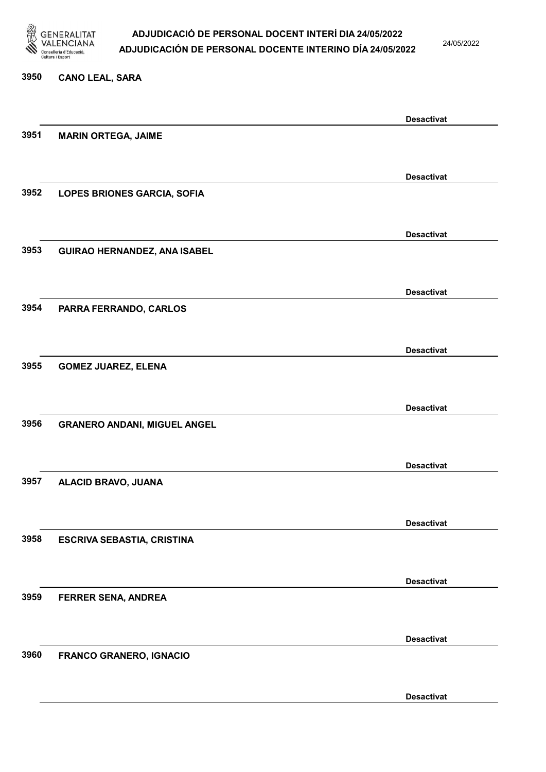

24/05/2022

# 3950 CANO LEAL, SARA Desactivat 3951 MARIN ORTEGA, JAIME Desactivat 3952 LOPES BRIONES GARCIA, SOFIA Desactivat 3953 GUIRAO HERNANDEZ, ANA ISABEL Desactivat 3954 PARRA FERRANDO, CARLOS Desactivat 3955 GOMEZ JUAREZ, ELENA Desactivat 3956 GRANERO ANDANI, MIGUEL ANGEL Desactivat 3957 ALACID BRAVO, JUANA Desactivat 3958 ESCRIVA SEBASTIA, CRISTINA Desactivat 3959 FERRER SENA, ANDREA Desactivat 3960 FRANCO GRANERO, IGNACIO

Desactivat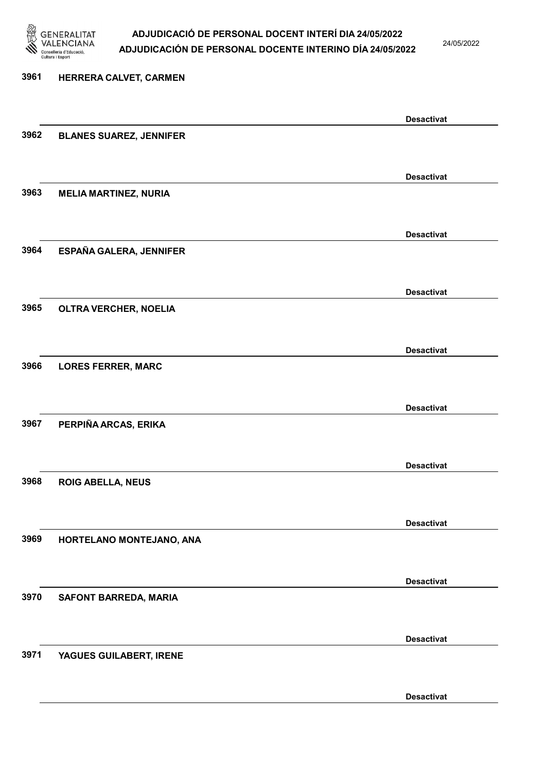

## ADJUDICACIÓ DE PERSONAL DOCENT INTERÍ DIA 24/05/2022 ADJUDICACIÓN DE PERSONAL DOCENTE INTERINO DÍA 24/05/2022

24/05/2022

Desactivat

## 3961 HERRERA CALVET, CARMEN Desactivat 3962 BLANES SUAREZ, JENNIFER Desactivat 3963 MELIA MARTINEZ, NURIA Desactivat 3964 ESPAÑA GALERA, JENNIFER Desactivat 3965 OLTRA VERCHER, NOELIA Desactivat 3966 LORES FERRER, MARC Desactivat 3967 PERPIÑA ARCAS, ERIKA Desactivat 3968 ROIG ABELLA, NEUS Desactivat 3969 HORTELANO MONTEJANO, ANA Desactivat 3970 SAFONT BARREDA, MARIA Desactivat 3971 YAGUES GUILABERT, IRENE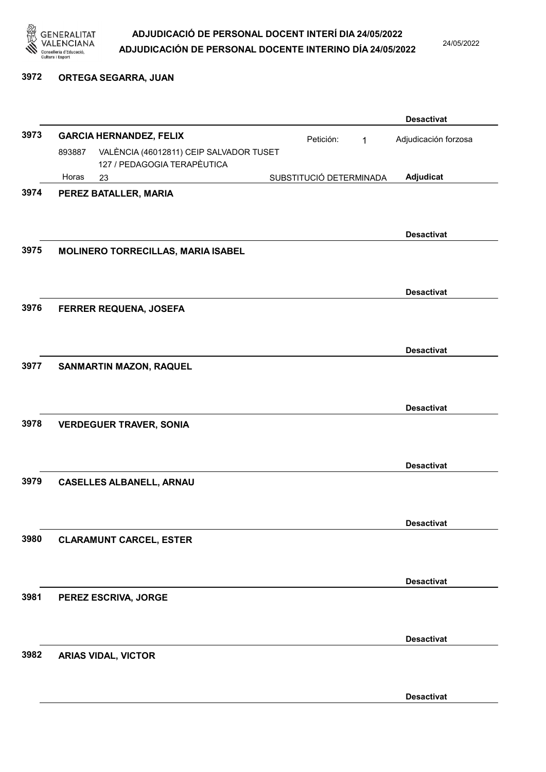

24/05/2022

## 3972 ORTEGA SEGARRA, JUAN

|      |        |                                         |                         |           |              | <b>Desactivat</b>    |
|------|--------|-----------------------------------------|-------------------------|-----------|--------------|----------------------|
| 3973 |        | <b>GARCIA HERNANDEZ, FELIX</b>          |                         | Petición: | $\mathbf{1}$ | Adjudicación forzosa |
|      | 893887 | VALÈNCIA (46012811) CEIP SALVADOR TUSET |                         |           |              |                      |
|      | Horas  | 127 / PEDAGOGIA TERAPÈUTICA<br>23       | SUBSTITUCIÓ DETERMINADA |           |              | Adjudicat            |
| 3974 |        | PEREZ BATALLER, MARIA                   |                         |           |              |                      |
|      |        |                                         |                         |           |              |                      |
|      |        |                                         |                         |           |              | <b>Desactivat</b>    |
| 3975 |        | MOLINERO TORRECILLAS, MARIA ISABEL      |                         |           |              |                      |
|      |        |                                         |                         |           |              |                      |
|      |        |                                         |                         |           |              | <b>Desactivat</b>    |
| 3976 |        | FERRER REQUENA, JOSEFA                  |                         |           |              |                      |
|      |        |                                         |                         |           |              |                      |
|      |        |                                         |                         |           |              | <b>Desactivat</b>    |
| 3977 |        | <b>SANMARTIN MAZON, RAQUEL</b>          |                         |           |              |                      |
|      |        |                                         |                         |           |              |                      |
|      |        |                                         |                         |           |              | <b>Desactivat</b>    |
| 3978 |        | <b>VERDEGUER TRAVER, SONIA</b>          |                         |           |              |                      |
|      |        |                                         |                         |           |              |                      |
|      |        |                                         |                         |           |              | <b>Desactivat</b>    |
| 3979 |        | <b>CASELLES ALBANELL, ARNAU</b>         |                         |           |              |                      |
|      |        |                                         |                         |           |              |                      |
|      |        |                                         |                         |           |              |                      |
| 3980 |        | <b>CLARAMUNT CARCEL, ESTER</b>          |                         |           |              | <b>Desactivat</b>    |
|      |        |                                         |                         |           |              |                      |
|      |        |                                         |                         |           |              |                      |
| 3981 |        |                                         |                         |           |              | <b>Desactivat</b>    |
|      |        | PEREZ ESCRIVA, JORGE                    |                         |           |              |                      |
|      |        |                                         |                         |           |              |                      |
|      |        |                                         |                         |           |              | <b>Desactivat</b>    |
| 3982 |        | <b>ARIAS VIDAL, VICTOR</b>              |                         |           |              |                      |
|      |        |                                         |                         |           |              |                      |
|      |        |                                         |                         |           |              | <b>Desactivat</b>    |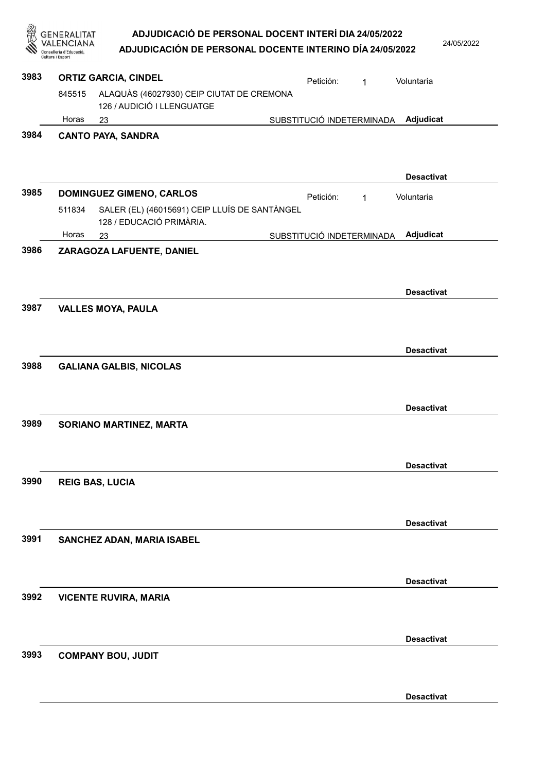| 忽    | GENERALITAT<br>Conselleria d'Educació<br>Cultura i Esport | ADJUDICACIÓ DE PERSONAL DOCENT INTERÍ DIA 24/05/2022<br>ADJUDICACIÓN DE PERSONAL DOCENTE INTERINO DÍA 24/05/2022 |                           |   | 24/05/2022        |  |
|------|-----------------------------------------------------------|------------------------------------------------------------------------------------------------------------------|---------------------------|---|-------------------|--|
| 3983 |                                                           | <b>ORTIZ GARCIA, CINDEL</b>                                                                                      | Petición:                 | 1 | Voluntaria        |  |
|      | 845515                                                    | ALAQUÀS (46027930) CEIP CIUTAT DE CREMONA<br>126 / AUDICIÓ I LLENGUATGE                                          |                           |   |                   |  |
|      | Horas<br>23                                               |                                                                                                                  | SUBSTITUCIÓ INDETERMINADA |   | Adjudicat         |  |
| 3984 |                                                           | <b>CANTO PAYA, SANDRA</b>                                                                                        |                           |   | <b>Desactivat</b> |  |
| 3985 |                                                           | <b>DOMINGUEZ GIMENO, CARLOS</b>                                                                                  | Petición:                 | 1 | Voluntaria        |  |
|      | 511834                                                    | SALER (EL) (46015691) CEIP LLUÍS DE SANTÀNGEL<br>128 / EDUCACIÓ PRIMÀRIA.                                        |                           |   |                   |  |
|      | Horas<br>23                                               |                                                                                                                  | SUBSTITUCIÓ INDETERMINADA |   | Adjudicat         |  |
| 3986 |                                                           | ZARAGOZA LAFUENTE, DANIEL                                                                                        |                           |   |                   |  |
| 3987 |                                                           | <b>VALLES MOYA, PAULA</b>                                                                                        |                           |   | <b>Desactivat</b> |  |
|      |                                                           |                                                                                                                  |                           |   | <b>Desactivat</b> |  |
| 3988 |                                                           | <b>GALIANA GALBIS, NICOLAS</b>                                                                                   |                           |   |                   |  |
|      |                                                           |                                                                                                                  |                           |   | <b>Desactivat</b> |  |
| 3989 |                                                           | SORIANO MARTINEZ, MARTA                                                                                          |                           |   |                   |  |
|      |                                                           |                                                                                                                  |                           |   | <b>Desactivat</b> |  |
| 3990 | <b>REIG BAS, LUCIA</b>                                    |                                                                                                                  |                           |   |                   |  |
|      |                                                           |                                                                                                                  |                           |   | <b>Desactivat</b> |  |
| 3991 |                                                           | SANCHEZ ADAN, MARIA ISABEL                                                                                       |                           |   |                   |  |
|      |                                                           |                                                                                                                  |                           |   | <b>Desactivat</b> |  |
| 3992 |                                                           | <b>VICENTE RUVIRA, MARIA</b>                                                                                     |                           |   |                   |  |
|      |                                                           |                                                                                                                  |                           |   | <b>Desactivat</b> |  |
| 3993 |                                                           | <b>COMPANY BOU, JUDIT</b>                                                                                        |                           |   |                   |  |
|      |                                                           |                                                                                                                  |                           |   | <b>Desactivat</b> |  |